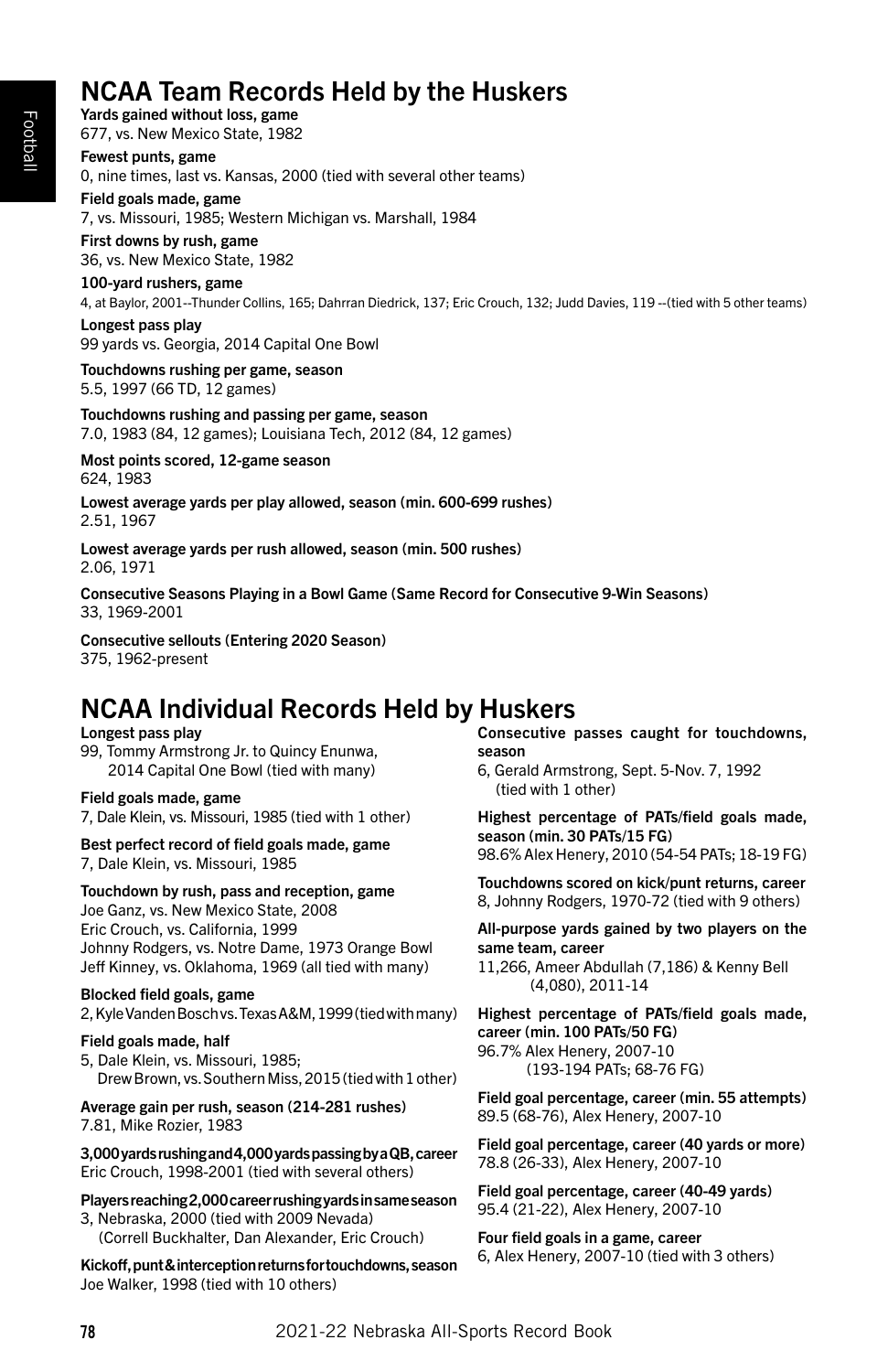# NCAA Team Records Held by the Huskers

Yards gained without loss, game 677, vs. New Mexico State, 1982

Fewest punts, game 0, nine times, last vs. Kansas, 2000 (tied with several other teams)

Field goals made, game 7, vs. Missouri, 1985; Western Michigan vs. Marshall, 1984

First downs by rush, game 36, vs. New Mexico State, 1982

# 100-yard rushers, game

4, at Baylor, 2001--Thunder Collins, 165; Dahrran Diedrick, 137; Eric Crouch, 132; Judd Davies, 119 --(tied with 5 other teams)

Longest pass play 99 yards vs. Georgia, 2014 Capital One Bowl

Touchdowns rushing per game, season 5.5, 1997 (66 TD, 12 games)

Touchdowns rushing and passing per game, season 7.0, 1983 (84, 12 games); Louisiana Tech, 2012 (84, 12 games)

Most points scored, 12-game season 624, 1983

Lowest average yards per play allowed, season (min. 600-699 rushes) 2.51, 1967

Lowest average yards per rush allowed, season (min. 500 rushes) 2.06, 1971

Consecutive Seasons Playing in a Bowl Game (Same Record for Consecutive 9-Win Seasons) 33, 1969-2001

Consecutive sellouts (Entering 2020 Season) 375, 1962-present

# NCAA Individual Records Held by Huskers

Longest pass play 99, Tommy Armstrong Jr. to Quincy Enunwa, 2014 Capital One Bowl (tied with many)

Field goals made, game 7, Dale Klein, vs. Missouri, 1985 (tied with 1 other)

Best perfect record of field goals made, game 7, Dale Klein, vs. Missouri, 1985

Touchdown by rush, pass and reception, game Joe Ganz, vs. New Mexico State, 2008 Eric Crouch, vs. California, 1999 Johnny Rodgers, vs. Notre Dame, 1973 Orange Bowl Jeff Kinney, vs. Oklahoma, 1969 (all tied with many)

Blocked field goals, game 2, Kyle Vanden Bosch vs. Texas A&M, 1999 (tied with many)

Field goals made, half 5, Dale Klein, vs. Missouri, 1985; Drew Brown, vs. Southern Miss, 2015 (tied with 1 other)

Average gain per rush, season (214-281 rushes) 7.81, Mike Rozier, 1983

3,000 yards rushing and 4,000 yards passing by a QB, career Eric Crouch, 1998-2001 (tied with several others)

Players reaching 2,000 career rushing yards in same season 3, Nebraska, 2000 (tied with 2009 Nevada) (Correll Buckhalter, Dan Alexander, Eric Crouch)

Kickoff, punt & interception returns for touchdowns, season Joe Walker, 1998 (tied with 10 others)

Consecutive passes caught for touchdowns, season

6, Gerald Armstrong, Sept. 5-Nov. 7, 1992 (tied with 1 other)

Highest percentage of PATs/field goals made, season (min. 30 PATs/15 FG) 98.6% Alex Henery, 2010 (54-54 PATs; 18-19 FG)

Touchdowns scored on kick/punt returns, career 8, Johnny Rodgers, 1970-72 (tied with 9 others)

All-purpose yards gained by two players on the same team, career

11,266, Ameer Abdullah (7,186) & Kenny Bell (4,080), 2011-14

Highest percentage of PATs/field goals made, career (min. 100 PATs/50 FG) 96.7% Alex Henery, 2007-10 (193-194 PATs; 68-76 FG)

Field goal percentage, career (min. 55 attempts) 89.5 (68-76), Alex Henery, 2007-10

Field goal percentage, career (40 yards or more) 78.8 (26-33), Alex Henery, 2007-10

Field goal percentage, career (40-49 yards) 95.4 (21-22), Alex Henery, 2007-10

Four field goals in a game, career 6, Alex Henery, 2007-10 (tied with 3 others)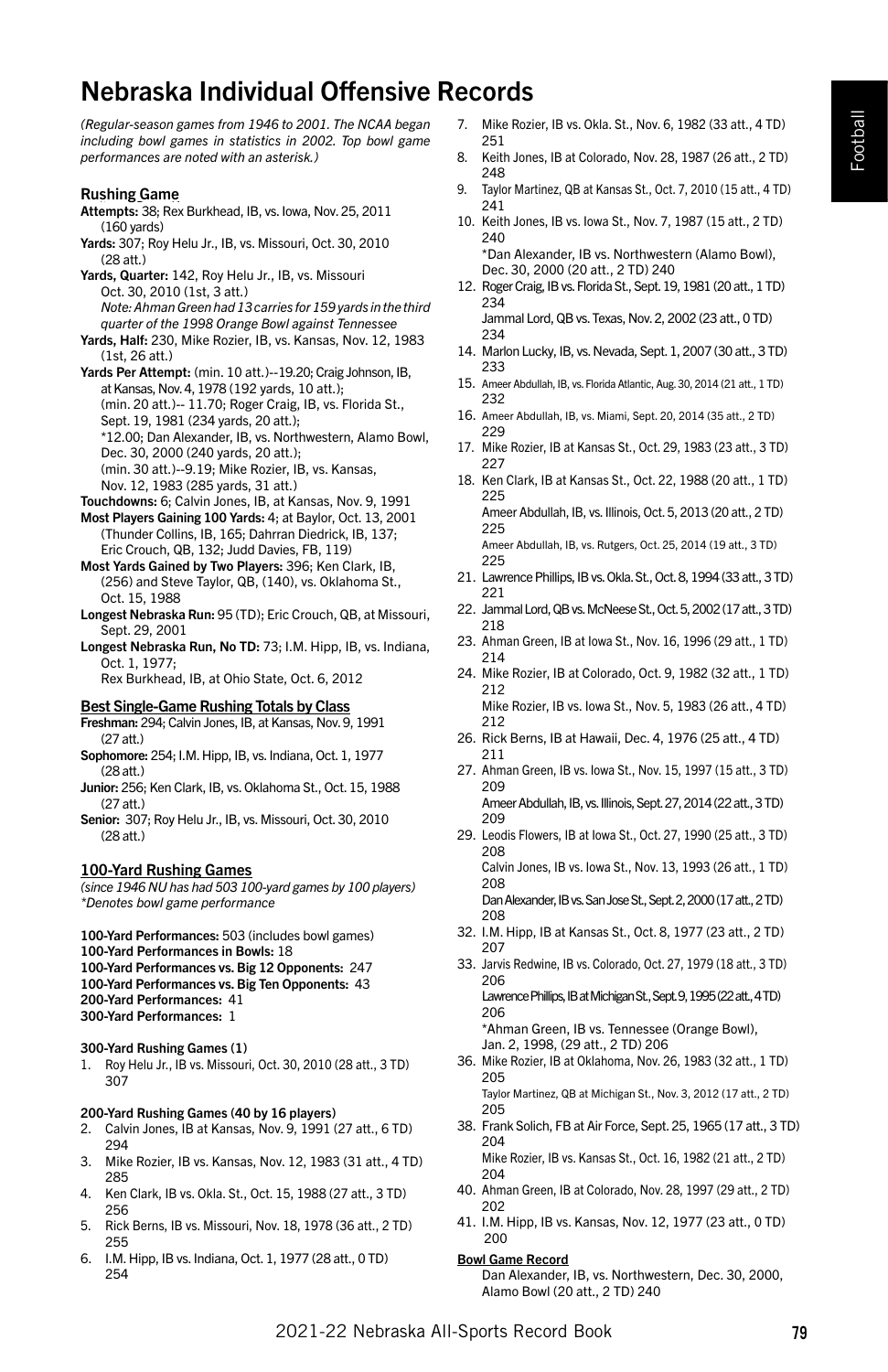# Nebraska Individual Offensive Records

*(Regular-season games from 1946 to 2001. The NCAA began including bowl games in statistics in 2002. Top bowl game performances are noted with an asterisk.)*

#### Rushing Game

- Attempts: 38; Rex Burkhead, IB, vs. Iowa, Nov. 25, 2011 (160 yards)
- Yards: 307; Roy Helu Jr., IB, vs. Missouri, Oct. 30, 2010 (28 att.)
- Yards, Quarter: 142, Roy Helu Jr., IB, vs. Missouri Oct. 30, 2010 (1st, 3 att.) *Note: Ahman Green had 13 carries for 159 yards in the third quarter of the 1998 Orange Bowl against Tennessee*
- Yards, Half: 230, Mike Rozier, IB, vs. Kansas, Nov. 12, 1983 (1st, 26 att.)
- Yards Per Attempt: (min. 10 att.)--19.20; Craig Johnson, IB, at Kansas, Nov. 4, 1978 (192 yards, 10 att.); (min. 20 att.)-- 11.70; Roger Craig, IB, vs. Florida St., Sept. 19, 1981 (234 yards, 20 att.); \*12.00; Dan Alexander, IB, vs. Northwestern, Alamo Bowl, Dec. 30, 2000 (240 yards, 20 att.); (min. 30 att.)--9.19; Mike Rozier, IB, vs. Kansas, Nov. 12, 1983 (285 yards, 31 att.)
- Touchdowns: 6; Calvin Jones, IB, at Kansas, Nov. 9, 1991
- Most Players Gaining 100 Yards: 4; at Baylor, Oct. 13, 2001 (Thunder Collins, IB, 165; Dahrran Diedrick, IB, 137; Eric Crouch, QB, 132; Judd Davies, FB, 119)
- Most Yards Gained by Two Players: 396; Ken Clark, IB, (256) and Steve Taylor, QB, (140), vs. Oklahoma St., Oct. 15, 1988
- Longest Nebraska Run: 95 (TD); Eric Crouch, QB, at Missouri, Sept. 29, 2001
- Longest Nebraska Run, No TD: 73; I.M. Hipp, IB, vs. Indiana, Oct. 1, 1977; Rex Burkhead, IB, at Ohio State, Oct. 6, 2012

# Best Single-Game Rushing Totals by Class

- Freshman: 294; Calvin Jones, IB, at Kansas, Nov. 9, 1991 (27 att.)
- Sophomore: 254; I.M. Hipp, IB, vs. Indiana, Oct. 1, 1977 (28 att.)
- Junior: 256; Ken Clark, IB, vs. Oklahoma St., Oct. 15, 1988 (27 att.)
- Senior: 307; Roy Helu Jr., IB, vs. Missouri, Oct. 30, 2010 (28 att.)

#### 100-Yard Rushing Games

*(since 1946 NU has had 503 100-yard games by 100 players) \*Denotes bowl game performance*

100-Yard Performances: 503 (includes bowl games) 100-Yard Performances in Bowls: 18 100-Yard Performances vs. Big 12 Opponents: 247 100-Yard Performances vs. Big Ten Opponents: 43

200-Yard Performances: 41

300-Yard Performances: 1

#### 300-Yard Rushing Games (1)

1. Roy Helu Jr., IB vs. Missouri, Oct. 30, 2010 (28 att., 3 TD) 307

#### 200-Yard Rushing Games (40 by 16 players)

- 2. Calvin Jones, IB at Kansas, Nov. 9, 1991 (27 att., 6 TD) 294
- 3. Mike Rozier, IB vs. Kansas, Nov. 12, 1983 (31 att., 4 TD) 285
- 4. Ken Clark, IB vs. Okla. St., Oct. 15, 1988 (27 att., 3 TD) 256
- 5. Rick Berns, IB vs. Missouri, Nov. 18, 1978 (36 att., 2 TD) 255
- 6. I.M. Hipp, IB vs. Indiana, Oct. 1, 1977 (28 att., 0 TD) 254
- 7. Mike Rozier, IB vs. Okla. St., Nov. 6, 1982 (33 att., 4 TD) 251
- 8. Keith Jones, IB at Colorado, Nov. 28, 1987 (26 att., 2 TD) 248
- 9. Taylor Martinez, QB at Kansas St., Oct. 7, 2010 (15 att., 4 TD) 241
- 10. Keith Jones, IB vs. Iowa St., Nov. 7, 1987 (15 att., 2 TD) 240 \*Dan Alexander, IB vs. Northwestern (Alamo Bowl), Dec. 30, 2000 (20 att., 2 TD) 240
- 12. Roger Craig, IB vs. Florida St., Sept. 19, 1981 (20 att., 1 TD) 234 Jammal Lord, QB vs. Texas, Nov. 2, 2002 (23 att., 0 TD)
- 234 14. Marlon Lucky, IB, vs. Nevada, Sept. 1, 2007 (30 att., 3 TD) 233
- 15. Ameer Abdullah, IB, vs. Florida Atlantic, Aug. 30, 2014 (21 att., 1 TD) 232
- 16. Ameer Abdullah, IB, vs. Miami, Sept. 20, 2014 (35 att., 2 TD) 229
- 17. Mike Rozier, IB at Kansas St., Oct. 29, 1983 (23 att., 3 TD) 227
- 18. Ken Clark, IB at Kansas St., Oct. 22, 1988 (20 att., 1 TD) 225 Ameer Abdullah, IB, vs. Illinois, Oct. 5, 2013 (20 att., 2 TD) 225 Ameer Abdullah, IB, vs. Rutgers, Oct. 25, 2014 (19 att., 3 TD)
- 225 21. Lawrence Phillips, IB vs. Okla. St., Oct. 8, 1994 (33 att., 3 TD) 221
- 22. Jammal Lord, QB vs. McNeese St., Oct. 5, 2002 (17 att., 3 TD) 218
- 23. Ahman Green, IB at Iowa St., Nov. 16, 1996 (29 att., 1 TD) 214
- 24. Mike Rozier, IB at Colorado, Oct. 9, 1982 (32 att., 1 TD) 212 Mike Rozier, IB vs. Iowa St., Nov. 5, 1983 (26 att., 4 TD) 212
- 26. Rick Berns, IB at Hawaii, Dec. 4, 1976 (25 att., 4 TD) 211
- 27. Ahman Green, IB vs. Iowa St., Nov. 15, 1997 (15 att., 3 TD) 209 Ameer Abdullah, IB, vs. Illinois, Sept. 27, 2014 (22 att., 3 TD) 209
- 29. Leodis Flowers, IB at Iowa St., Oct. 27, 1990 (25 att., 3 TD) 208 Calvin Jones, IB vs. Iowa St., Nov. 13, 1993 (26 att., 1 TD) 208 Dan Alexander, IB vs. San Jose St., Sept. 2, 2000 (17 att., 2 TD) 208
- 32. I.M. Hipp, IB at Kansas St., Oct. 8, 1977 (23 att., 2 TD) 207
- 33. Jarvis Redwine, IB vs. Colorado, Oct. 27, 1979 (18 att., 3 TD) 206

Lawrence Phillips, IB at Michigan St., Sept. 9, 1995 (22 att., 4 TD) 206

\*Ahman Green, IB vs. Tennessee (Orange Bowl), Jan. 2, 1998, (29 att., 2 TD) 206

36. Mike Rozier, IB at Oklahoma, Nov. 26, 1983 (32 att., 1 TD) 205 Taylor Martinez, QB at Michigan St., Nov. 3, 2012 (17 att., 2 TD)

205

- 38. Frank Solich, FB at Air Force, Sept. 25, 1965 (17 att., 3 TD) 204 Mike Rozier, IB vs. Kansas St., Oct. 16, 1982 (21 att., 2 TD) 204
- 40. Ahman Green, IB at Colorado, Nov. 28, 1997 (29 att., 2 TD) 202
- 41. I.M. Hipp, IB vs. Kansas, Nov. 12, 1977 (23 att., 0 TD) 200
- Bowl Game Record

Dan Alexander, IB, vs. Northwestern, Dec. 30, 2000, Alamo Bowl (20 att., 2 TD) 240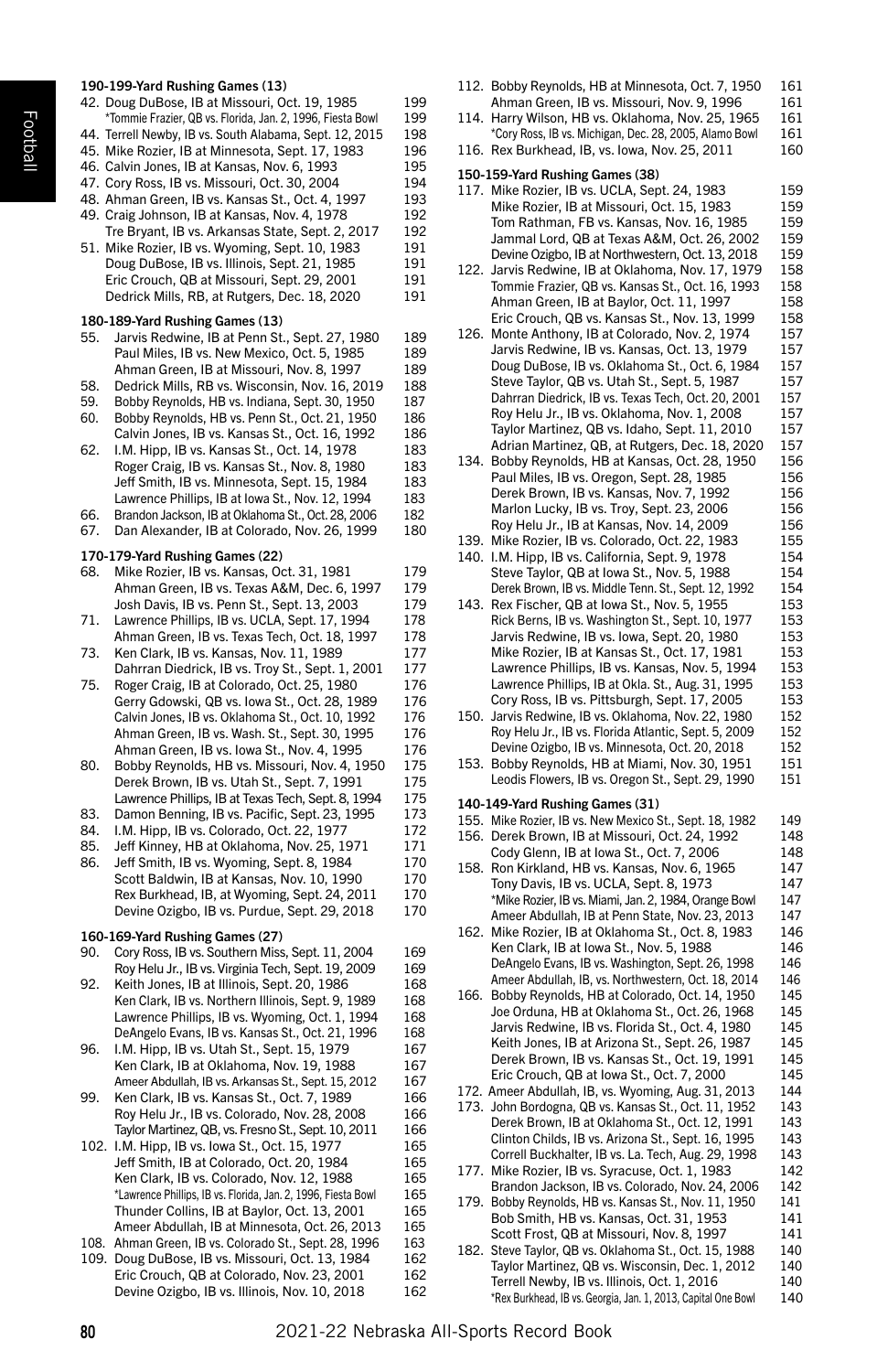#### 190-199-Yard Rushing Games (13) 42. Doug DuBose, IB at Missouri, Oct. 19, 1985 199<br>
\*Tommie Frazier, QB vs. Florida, Jan. 2, 1996, Fiesta Bowl 199 \*Tommie Frazier, QB vs. Florida, Jan. 2, 1996, Fiesta Bowl 44. Terrell Newby, IB vs. South Alabama, Sept. 12, 2015 198 45. Mike Rozier, IB at Minnesota, Sept. 17, 1983 196 46. Calvin Jones, IB at Kansas, Nov. 6, 1993 195 47. Cory Ross, IB vs. Missouri, Oct. 30, 2004 194<br>48. Ahman Green, IB vs. Kansas St., Oct. 4, 1997 193 48. Ahman Green, IB vs. Kansas St., Oct. 4, 1997 49. Craig Johnson, IB at Kansas, Nov. 4, 1978 192 Tre Bryant, IB vs. Arkansas State, Sept. 2, 2017 192 51. Mike Rozier, IB vs. Wyoming, Sept. 10, 1983 191 Doug DuBose, IB vs. Illinois, Sept. 21, 1985<br>Fric Crouch, OB at Missouri, Sept. 29, 2001 191 Eric Crouch, QB at Missouri, Sept. 29, 2001 Dedrick Mills, RB, at Rutgers, Dec. 18, 2020 191 180-189-Yard Rushing Games (13) 55. Jarvis Redwine, IB at Penn St., Sept. 27, 1980 189 Paul Miles, IB vs. New Mexico, Oct. 5, 1985 189 Ahman Green, IB at Missouri, Nov. 8, 1997 189 58. Dedrick Mills, RB vs. Wisconsin, Nov. 16, 2019 188 59. Bobby Reynolds, HB vs. Indiana, Sept. 30, 1950 187 60. Bobby Reynolds, HB vs. Penn St., Oct. 21, 1950 186 Calvin Jones, IB vs. Kansas St., Oct. 16, 1992 186 62. I.M. Hipp, IB vs. Kansas St., Oct. 14, 1978 183 Roger Craig, IB vs. Kansas St., Nov. 8, 1980 183 Jeff Smith, IB vs. Minnesota, Sept. 15, 1984 183 Lawrence Phillips, IB at Iowa St., Nov. 12, 1994 183 66. Brandon Jackson, IB at Oklahoma St., Oct. 28, 2006 182 67. Dan Alexander, IB at Colorado, Nov. 26, 1999 180 170-179-Yard Rushing Games (22) 68. Mike Rozier, IB vs. Kansas, Oct. 31, 1981 179 Ahman Green, IB vs. Texas A&M, Dec. 6, 1997 179 Josh Davis, IB vs. Penn St., Sept. 13, 2003 71. Lawrence Phillips, IB vs. UCLA, Sept. 17, 1994 178 Ahman Green, IB vs. Texas Tech, Oct. 18, 1997 178 73. Ken Clark, IB vs. Kansas, Nov. 11, 1989 177 Dahrran Diedrick, IB vs. Troy St., Sept. 1, 2001 177<br>Roger Craig, IB at Colorado, Oct. 25, 1980 176 75. Roger Craig, IB at Colorado, Oct. 25, 1980 Gerry Gdowski, QB vs. Iowa St., Oct. 28, 1989 176 Calvin Jones, IB vs. Oklahoma St., Oct. 10, 1992 176 Ahman Green, IB vs. Wash. St., Sept. 30, 1995 176 Ahman Green, IB vs. Iowa St., Nov. 4, 1995 176 80. Bobby Reynolds, HB vs. Missouri, Nov. 4, 1950 175 Derek Brown, IB vs. Utah St., Sept. 7, 1991 175 Lawrence Phillips, IB at Texas Tech, Sept. 8, 1994 175

- 83. Damon Benning, IB vs. Pacific, Sept. 23, 1995 173
- 84. I.M. Hipp, IB vs. Colorado, Oct. 22, 1977 172<br>85. Leff Kinney, HB at Oklahoma, Nov. 25, 1971 171
- 85. Jeff Kinney, HB at Oklahoma, Nov. 25, 1971
- 86. Jeff Smith, IB vs. Wyoming, Sept. 8, 1984 170 Scott Baldwin, IB at Kansas, Nov. 10, 1990 170 Rex Burkhead, IB, at Wyoming, Sept. 24, 2011 170 Devine Ozigbo, IB vs. Purdue, Sept. 29, 2018 170

# 160-169-Yard Rushing Games (27)

- 90. Cory Ross, IB vs. Southern Miss, Sept. 11, 2004 169 Roy Helu Jr., IB vs. Virginia Tech, Sept. 19, 2009 169
- 92. Keith Jones, IB at Illinois, Sept. 20, 1986 168 Ken Clark, IB vs. Northern Illinois, Sept. 9, 1989 168 Lawrence Phillips, IB vs. Wyoming, Oct. 1, 1994 168 DeAngelo Evans, IB vs. Kansas St., Oct. 21, 1996 168
- 96. I.M. Hipp, IB vs. Utah St., Sept. 15, 1979 167 Ken Clark, IB at Oklahoma, Nov. 19, 1988 167 Ameer Abdullah, IB vs. Arkansas St., Sept. 15, 2012 167
- 99. Ken Clark, IB vs. Kansas St., Oct. 7, 1989 166 Roy Helu Jr., IB vs. Colorado, Nov. 28, 2008 166 Taylor Martinez, QB, vs. Fresno St., Sept. 10, 2011 166
- 102. I.M. Hipp, IB vs. Iowa St., Oct. 15, 1977 165 Jeff Smith, IB at Colorado, Oct. 20, 1984 165 Ken Clark, IB vs. Colorado, Nov. 12, 1988 165<br>\*Lawrence Phillins IB vs. Florida Jan 2, 1996. Fiesta Rowl 165 \*Lawrence Phillips, IB vs. Florida, Jan. 2, 1996, Fiesta Bowl Thunder Collins, IB at Baylor, Oct. 13, 2001 165 Ameer Abdullah, IB at Minnesota, Oct. 26, 2013 165
- 108. Ahman Green, IB vs. Colorado St., Sept. 28, 1996 163
- 109. Doug DuBose, IB vs. Missouri, Oct. 13, 1984 162 Eric Crouch, QB at Colorado, Nov. 23, 2001 Devine Ozigbo, IB vs. Illinois, Nov. 10, 2018 162
- Ahman Green, IB vs. Missouri, Nov. 9, 1996 161 114. Harry Wilson, HB vs. Oklahoma, Nov. 25, 1965 161 \*Cory Ross, IB vs. Michigan, Dec. 28, 2005, Alamo Bowl 161 116. Rex Burkhead, IB, vs. Iowa, Nov. 25, 2011 160 150-159-Yard Rushing Games (38) 117. Mike Rozier, IB vs. UCLA, Sept. 24, 1983 159 Mike Rozier, IB at Missouri, Oct. 15, 1983 159 Tom Rathman, FB vs. Kansas, Nov. 16, 1985 159 Jammal Lord, QB at Texas A&M, Oct. 26, 2002 159 Devine Ozigbo, IB at Northwestern, Oct. 13, 2018 159 122. Jarvis Redwine, IB at Oklahoma, Nov. 17, 1979 158 Tommie Frazier, QB vs. Kansas St., Oct. 16, 1993 158 Ahman Green, IB at Baylor, Oct. 11, 1997 158 Eric Crouch, QB vs. Kansas St., Nov. 13, 1999 158 126. Monte Anthony, IB at Colorado, Nov. 2, 1974 157 Jarvis Redwine, IB vs. Kansas, Oct. 13, 1979 157<br>Doug DuBose, IB vs. Oklahoma St., Oct. 6, 1984 157 Doug DuBose, IB vs. Oklahoma St., Oct. 6, 1984 Steve Taylor, QB vs. Utah St., Sept. 5, 1987 157 Dahrran Diedrick, IB vs. Texas Tech, Oct. 20, 2001 157 Roy Helu Jr., IB vs. Oklahoma, Nov. 1, 2008 157 Taylor Martinez, QB vs. Idaho, Sept. 11, 2010 157 Adrian Martinez, QB, at Rutgers, Dec. 18, 2020 157 134. Bobby Reynolds, HB at Kansas, Oct. 28, 1950 156 Paul Miles, IB vs. Oregon, Sept. 28, 1985 156 Derek Brown, IB vs. Kansas, Nov. 7, 1992 156 Marlon Lucky, IB vs. Troy, Sept. 23, 2006 156 Roy Helu Jr., IB at Kansas, Nov. 14, 2009 156 139. Mike Rozier, IB vs. Colorado, Oct. 22, 1983 155 140. I.M. Hipp, IB vs. California, Sept. 9, 1978 154<br>Steve Taylor, OB at Jowa St. Nov. 5, 1988 154 Steve Taylor, QB at Iowa St., Nov. 5, 1988 Derek Brown, IB vs. Middle Tenn. St., Sept. 12, 1992 154 143. Rex Fischer, QB at Iowa St., Nov. 5, 1955 Rick Berns, IB vs. Washington St., Sept. 10, 1977 153 Jarvis Redwine, IB vs. Iowa, Sept. 20, 1980 Mike Rozier, IB at Kansas St., Oct. 17, 1981 153<br>Lawrence Phillins JB vs. Kansas, Nov. 5, 1994 153 Lawrence Phillips, IB vs. Kansas, Nov. 5, 1994 Lawrence Phillips, IB at Okla. St., Aug. 31, 1995 153<br>Cory Ross, IB vs. Pittsburgh, Sept. 17, 2005 153 Cory Ross, IB vs. Pittsburgh, Sept. 17, 2005 150. Jarvis Redwine, IB vs. Oklahoma, Nov. 22, 1980 152 Roy Helu Jr., IB vs. Florida Atlantic, Sept. 5, 2009 152 Devine Ozigbo, IB vs. Minnesota, Oct. 20, 2018 152 153. Bobby Reynolds, HB at Miami, Nov. 30, 1951 151 Leodis Flowers, IB vs. Oregon St., Sept. 29, 1990 151 140-149-Yard Rushing Games (31) 155. Mike Rozier, IB vs. New Mexico St., Sept. 18, 1982 149 156. Derek Brown, IB at Missouri, Oct. 24, 1992 Cody Glenn, IB at Iowa St., Oct. 7, 2006 148<br>Ron Kirkland HB vs. Kansas, Nov. 6, 1965 147 158. Ron Kirkland, HB vs. Kansas, Nov. 6, 1965 Tony Davis, IB vs. UCLA, Sept. 8, 1973 147 \*Mike Rozier, IB vs. Miami, Jan. 2, 1984, Orange Bowl 147 Ameer Abdullah, IB at Penn State, Nov. 23, 2013 147 162. Mike Rozier, IB at Oklahoma St., Oct. 8, 1983 146 Ken Clark, IB at Iowa St., Nov. 5, 1988 146 DeAngelo Evans, IB vs. Washington, Sept. 26, 1998 146 Ameer Abdullah, IB, vs. Northwestern, Oct. 18, 2014 146 166. Bobby Reynolds, HB at Colorado, Oct. 14, 1950 145 Joe Orduna, HB at Oklahoma St., Oct. 26, 1968 Jarvis Redwine, IB vs. Florida St., Oct. 4, 1980 145<br>Keith Jones JB at Arizona St. Sent. 26, 1987 145 Keith Jones, IB at Arizona St., Sept. 26, 1987 Derek Brown, IB vs. Kansas St., Oct. 19, 1991 145 Eric Crouch, QB at Iowa St., Oct. 7, 2000 172. Ameer Abdullah, IB, vs. Wyoming, Aug. 31, 2013 144 173. John Bordogna, QB vs. Kansas St., Oct. 11, 1952 143 Derek Brown, IB at Oklahoma St., Oct. 12, 1991 143 Clinton Childs, IB vs. Arizona St., Sept. 16, 1995 143 Correll Buckhalter, IB vs. La. Tech, Aug. 29, 1998 143 177. Mike Rozier, IB vs. Syracuse, Oct. 1, 1983 142 Brandon Jackson, IB vs. Colorado, Nov. 24, 2006 142 179. Bobby Reynolds, HB vs. Kansas St., Nov. 11, 1950 141 Bob Smith, HB vs. Kansas, Oct. 31, 1953 Scott Frost, QB at Missouri, Nov. 8, 1997 141 182. Steve Taylor, QB vs. Oklahoma St., Oct. 15, 1988 Taylor Martinez, QB vs. Wisconsin, Dec. 1, 2012 140

Terrell Newby, IB vs. Illinois, Oct. 1, 2016

\*Rex Burkhead, IB vs. Georgia, Jan. 1, 2013, Capital One Bowl 140

112. Bobby Reynolds, HB at Minnesota, Oct. 7, 1950 161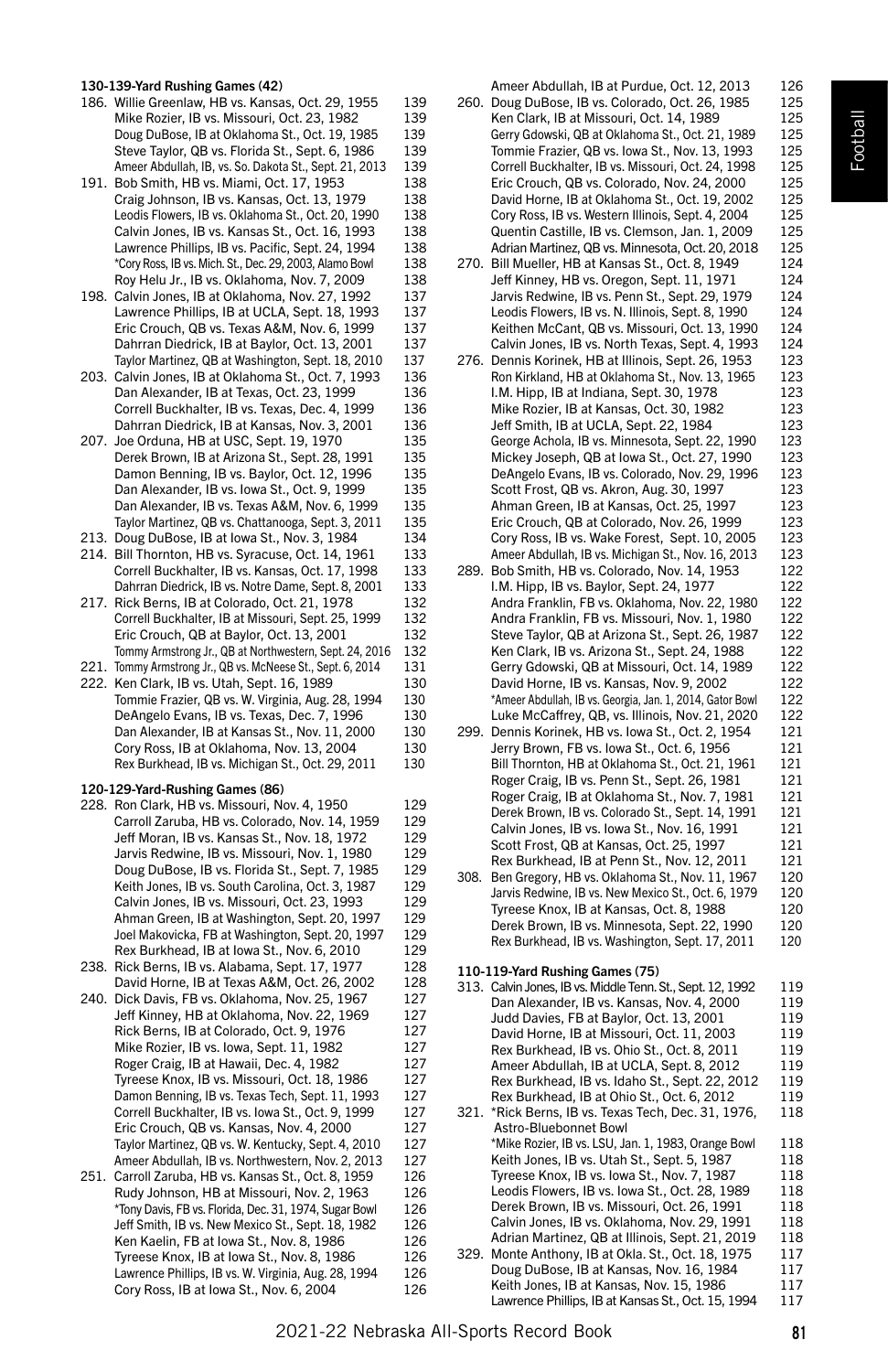# Football

130-139-Yard Rushing Games (42)

- 186. Willie Greenlaw, HB vs. Kansas, Oct. 29, 1955 139 Mike Rozier, IB vs. Missouri, Oct. 23, 1982 Doug DuBose, IB at Oklahoma St., Oct. 19, 1985 139 Steve Taylor, QB vs. Florida St., Sept. 6, 1986 139 Ameer Abdullah, IB, vs. So. Dakota St., Sept. 21, 2013 139
- 191. Bob Smith, HB vs. Miami, Oct. 17, 1953 138<br>Craig Johnson, JB vs. Kansas, Oct. 13, 1979 138 Craig Johnson, IB vs. Kansas, Oct. 13, 1979 Leodis Flowers, IB vs. Oklahoma St., Oct. 20, 1990 138<br>Calvin Jones, IB vs. Kansas St., Oct. 16, 1993 138 Calvin Jones, IB vs. Kansas St., Oct. 16, 1993 Lawrence Phillips, IB vs. Pacific, Sept. 24, 1994 138 \*Cory Ross, IB vs. Mich. St., Dec. 29, 2003, Alamo Bowl 138 Roy Helu Jr., IB vs. Oklahoma, Nov. 7, 2009
- 198. Calvin Jones, IB at Oklahoma, Nov. 27, 1992 137 Lawrence Phillips, IB at UCLA, Sept. 18, 1993 137 Eric Crouch, QB vs. Texas A&M, Nov. 6, 1999 137 Dahrran Diedrick, IB at Baylor, Oct. 13, 2001 137<br>Taylor Martinez, OB at Washington, Sent. 18, 2010 137 Taylor Martinez, QB at Washington, Sept. 18, 2010
- 203. Calvin Jones, IB at Oklahoma St., Oct. 7, 1993 136 Dan Alexander, IB at Texas, Oct. 23, 1999 136 Correll Buckhalter, IB vs. Texas, Dec. 4, 1999 136 Dahrran Diedrick, IB at Kansas, Nov. 3, 2001 136<br>
loe Orduna, HB at USC, Sent. 19, 1970 135
- 207. Joe Orduna, HB at USC, Sept. 19, 1970 Derek Brown, IB at Arizona St., Sept. 28, 1991 135 Damon Benning, IB vs. Baylor, Oct. 12, 1996 135 Dan Alexander, IB vs. Iowa St., Oct. 9, 1999 135 Dan Alexander, IB vs. Texas A&M, Nov. 6, 1999 135 Taylor Martinez, QB vs. Chattanooga, Sept. 3, 2011
- 213. Doug DuBose, IB at Iowa St., Nov. 3, 1984 134
- 214. Bill Thornton, HB vs. Syracuse, Oct. 14, 1961 133 Correll Buckhalter, IB vs. Kansas, Oct. 17, 1998 133 Dahrran Diedrick, IB vs. Notre Dame, Sept. 8, 2001 133
- 217. Rick Berns, IB at Colorado, Oct. 21, 1978 Correll Buckhalter, IB at Missouri, Sept. 25, 1999 132 Eric Crouch, QB at Baylor, Oct. 13, 2001 132 Tommy Armstrong Jr., QB at Northwestern, Sept. 24, 2016 132
- 221. Tommy Armstrong Jr., QB vs. McNeese St., Sept. 6, 2014 131<br>222 Ken Clark JB vs. Utah Sept. 16, 1989 130
- 222. Ken Clark, IB vs. Utah, Sept. 16, 1989 Tommie Frazier, QB vs. W. Virginia, Aug. 28, 1994 130 DeAngelo Evans, IB vs. Texas, Dec. 7, 1996 130 Dan Alexander, IB at Kansas St., Nov. 11, 2000 130 Cory Ross, IB at Oklahoma, Nov. 13, 2004 130<br>Rex Burkhead, IB vs. Michigan St. Oct. 29, 2011 130 Rex Burkhead, IB vs. Michigan St., Oct. 29, 2011

#### 120-129-Yard-Rushing Games (86)

- 228. Ron Clark, HB vs. Missouri, Nov. 4, 1950 129 Carroll Zaruba, HB vs. Colorado, Nov. 14, 1959 129 Jeff Moran, IB vs. Kansas St., Nov. 18, 1972 129 Jarvis Redwine, IB vs. Missouri, Nov. 1, 1980 129 Doug DuBose, IB vs. Florida St., Sept. 7, 1985 129 Keith Jones, IB vs. South Carolina, Oct. 3, 1987 129 Calvin Jones, IB vs. Missouri, Oct. 23, 1993 129 Ahman Green, IB at Washington, Sept. 20, 1997 129 Joel Makovicka, FB at Washington, Sept. 20, 1997 129 Rex Burkhead, IB at Iowa St., Nov. 6, 2010 129
- 238. Rick Berns, IB vs. Alabama, Sept. 17, 1977 128 David Horne, IB at Texas A&M, Oct. 26, 2002 128 240. Dick Davis, FB vs. Oklahoma, Nov. 25, 1967 127 Jeff Kinney, HB at Oklahoma, Nov. 22, 1969 127 Rick Berns, IB at Colorado, Oct. 9, 1976 127 Mike Rozier, IB vs. Iowa, Sept. 11, 1982 127 Roger Craig, IB at Hawaii, Dec. 4, 1982 127 Tyreese Knox, IB vs. Missouri, Oct. 18, 1986 127 Damon Benning, IB vs. Texas Tech, Sept. 11, 1993 127 Correll Buckhalter, IB vs. Iowa St., Oct. 9, 1999 127 Eric Crouch, QB vs. Kansas, Nov. 4, 2000 127 Taylor Martinez, QB vs. W. Kentucky, Sept. 4, 2010 127 Ameer Abdullah, IB vs. Northwestern, Nov. 2, 2013 127 251. Carroll Zaruba, HB vs. Kansas St., Oct. 8, 1959 126
- Rudy Johnson, HB at Missouri, Nov. 2, 1963 126 \*Tony Davis, FB vs. Florida, Dec. 31, 1974, Sugar Bowl 126 Jeff Smith, IB vs. New Mexico St., Sept. 18, 1982 126 Ken Kaelin, FB at Iowa St., Nov. 8, 1986 126 Tyreese Knox, IB at Iowa St., Nov. 8, 1986 126 Lawrence Phillips, IB vs. W. Virginia, Aug. 28, 1994 126 Cory Ross, IB at Iowa St., Nov. 6, 2004 126

|      | Ameer Abdullah, IB at Purdue, Oct. 12, 2013        | 126 |
|------|----------------------------------------------------|-----|
| 260. | Doug DuBose, IB vs. Colorado, Oct. 26, 1985        | 125 |
|      | Ken Clark, IB at Missouri, Oct. 14, 1989           | 125 |
|      | Gerry Gdowski, QB at Oklahoma St., Oct. 21, 1989   | 125 |
|      | Tommie Frazier, QB vs. Iowa St., Nov. 13, 1993     | 125 |
|      | Correll Buckhalter, IB vs. Missouri, Oct. 24, 1998 | 125 |
|      | Eric Crouch, QB vs. Colorado, Nov. 24, 2000        | 125 |
|      | David Horne, IB at Oklahoma St., Oct. 19, 2002     | 125 |
|      | Cory Ross, IB vs. Western Illinois, Sept. 4, 2004  | 125 |
|      | Quentin Castille, IB vs. Clemson, Jan. 1, 2009     | 125 |
|      | Adrian Martinez, QB vs. Minnesota, Oct. 20, 2018   | 125 |
| 270. | Bill Mueller, HB at Kansas St., Oct. 8, 1949       | 124 |
|      | Jeff Kinney, HB vs. Oregon, Sept. 11, 1971         | 124 |
|      | Jarvis Redwine, IB vs. Penn St., Sept. 29, 1979    | 124 |
|      | Leodis Flowers, IB vs. N. Illinois, Sept. 8, 1990  | 124 |
|      | Keithen McCant, QB vs. Missouri, Oct. 13, 1990     | 124 |
|      | Calvin Jones, IB vs. North Texas, Sept. 4, 1993    | 124 |
| 276. | Dennis Korinek, HB at Illinois, Sept. 26, 1953     | 123 |
|      | Ron Kirkland, HB at Oklahoma St., Nov. 13, 1965    | 123 |
|      | I.M. Hipp, IB at Indiana, Sept. 30, 1978           | 123 |
|      | Mike Rozier, IB at Kansas, Oct. 30, 1982           | 123 |
|      | Jeff Smith, IB at UCLA, Sept. 22, 1984             | 123 |
|      | George Achola, IB vs. Minnesota, Sept. 22, 1990    | 123 |
|      | Mickey Joseph, QB at Iowa St., Oct. 27, 1990       | 123 |
|      | DeAngelo Evans, IB vs. Colorado, Nov. 29, 1996     | 123 |
|      | Scott Frost, QB vs. Akron, Aug. 30, 1997           | 123 |
|      | Ahman Green, IB at Kansas, Oct. 25, 1997           | 123 |
|      | Eric Crouch, QB at Colorado, Nov. 26, 1999         | 123 |
|      | Cory Ross, IB vs. Wake Forest, Sept. 10, 2005      | 123 |
|      | Ameer Abdullah, IB vs. Michigan St., Nov. 16, 2013 | 123 |
|      | 289. Bob Smith, HB vs. Colorado, Nov. 14, 1953     | 122 |
|      | I.M. Hipp, IB vs. Baylor, Sept. 24, 1977           | 122 |
|      | Andra Franklin, FB vs. Oklahoma, Nov. 22, 1980     | 122 |
|      | Andra Franklin, FB vs. Missouri, Nov. 1, 1980      | 122 |
|      | Steve Taylor, QB at Arizona St., Sept. 26, 1987    | 122 |
|      | Ken Clark, IB vs. Arizona St., Sept. 24, 1988      | 122 |
|      | Gerry Gdowski, QB at Missouri, Oct. 14, 1989       | 122 |

\*Ameer Abdullah, IB vs. Georgia, Jan. 1, 2014, Gator Bowl 122 Luke McCaffrey, QB, vs. Illinois, Nov. 21, 2020 122 299. Dennis Korinek, HB vs. Iowa St., Oct. 2, 1954 121 Jerry Brown, FB vs. Iowa St., Oct. 6, 1956 121<br>Bill Thornton, HB at Oklahoma St., Oct. 21, 1961 121 Bill Thornton, HB at Oklahoma St., Oct. 21, 1961 Roger Craig, IB vs. Penn St., Sept. 26, 1981 121<br>Roger Craig, IB at Oklahoma St., Nov. 7, 1981 121 Roger Craig, IB at Oklahoma St., Nov. 7, 1981 Derek Brown, IB vs. Colorado St., Sept. 14, 1991 121 Calvin Jones, IB vs. Iowa St., Nov. 16, 1991 121 Scott Frost, QB at Kansas, Oct. 25, 1997 121<br>Rex Burkhead. IB at Penn St.. Nov. 12. 2011 121 Rex Burkhead, IB at Penn St., Nov. 12, 2011 308. Ben Gregory, HB vs. Oklahoma St., Nov. 11, 1967 120 Jarvis Redwine, IB vs. New Mexico St., Oct. 6, 1979 120 Tyreese Knox, IB at Kansas, Oct. 8, 1988 120<br>Derek Brown, IB vs. Minnesota, Sept. 22, 1990 120 Derek Brown, IB vs. Minnesota, Sept. 22, 1990

David Horne, IB vs. Kansas, Nov. 9, 2002 122

Rex Burkhead, IB vs. Washington, Sept. 17, 2011 120

110-119-Yard Rushing Games (75)

313. Calvin Jones, IB vs. Middle Tenn. St., Sept. 12, 1992 119 Dan Alexander, IB vs. Kansas, Nov. 4, 2000 Judd Davies, FB at Baylor, Oct. 13, 2001 119 David Horne, IB at Missouri, Oct. 11, 2003 119 Rex Burkhead, IB vs. Ohio St., Oct. 8, 2011 119 Ameer Abdullah, IB at UCLA, Sept. 8, 2012 119 Rex Burkhead, IB vs. Idaho St., Sept. 22, 2012 119<br>Rex Burkhead, IB at Ohio St., Oct. 6, 2012 119 Rex Burkhead, IB at Ohio St., Oct. 6, 2012 321. \*Rick Berns, IB vs. Texas Tech, Dec. 31, 1976, 118 Astro-Bluebonnet Bowl \*Mike Rozier, IB vs. LSU, Jan. 1, 1983, Orange Bowl 118 Keith Jones, IB vs. Utah St., Sept. 5, 1987 118 Tyreese Knox, IB vs. Iowa St., Nov. 7, 1987 118 Leodis Flowers, IB vs. Iowa St., Oct. 28, 1989 118 Derek Brown, IB vs. Missouri, Oct. 26, 1991 118 Calvin Jones, IB vs. Oklahoma, Nov. 29, 1991 118 Adrian Martinez, QB at Illinois, Sept. 21, 2019 118 329. Monte Anthony, IB at Okla. St., Oct. 18, 1975 117 Doug DuBose, IB at Kansas, Nov. 16, 1984 117 Keith Jones, IB at Kansas, Nov. 15, 1986 Lawrence Phillips, IB at Kansas St., Oct. 15, 1994 117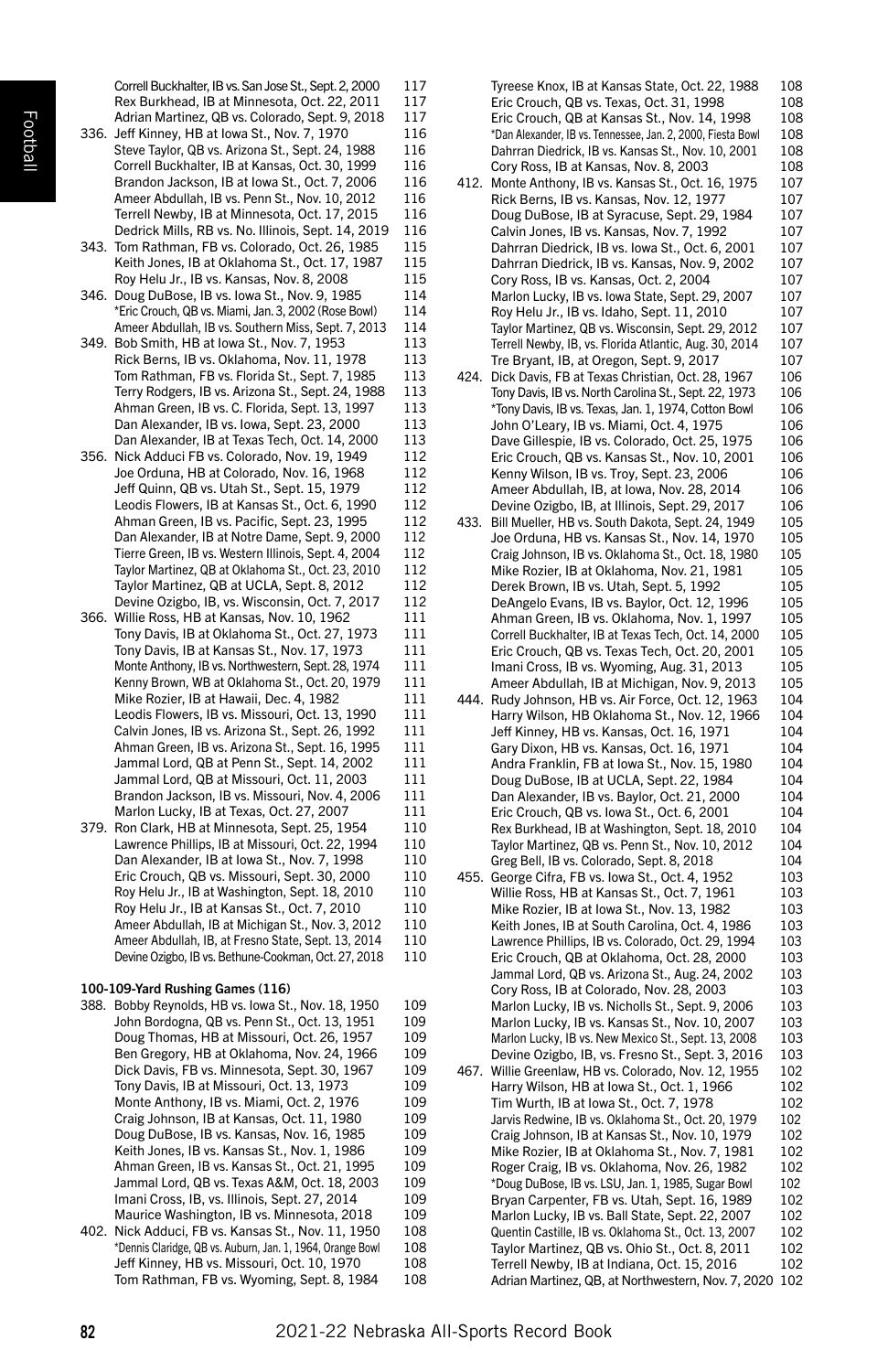Football

Correll Buckhalter, IB vs. San Jose St., Sept. 2, 2000 117 Rex Burkhead, IB at Minnesota, Oct. 22, 2011 117 Adrian Martinez, QB vs. Colorado, Sept. 9, 2018 117<br>
Jeff Kinney, HB at Jowa St. Nov. 7, 1970 116 336. Jeff Kinney, HB at Iowa St., Nov. 7, 1970 Steve Taylor, QB vs. Arizona St., Sept. 24, 1988 116 Correll Buckhalter, IB at Kansas, Oct. 30, 1999 116 Brandon Jackson, IB at Iowa St., Oct. 7, 2006 116 Ameer Abdullah, IB vs. Penn St., Nov. 10, 2012 116 Terrell Newby, IB at Minnesota, Oct. 17, 2015 116 Dedrick Mills, RB vs. No. Illinois, Sept. 14, 2019 116 343. Tom Rathman, FB vs. Colorado, Oct. 26, 1985 115 Keith Jones, IB at Oklahoma St., Oct. 17, 1987 115 Roy Helu Jr., IB vs. Kansas, Nov. 8, 2008 115 346. Doug DuBose, IB vs. Iowa St., Nov. 9, 1985 114 \*Eric Crouch, QB vs. Miami, Jan. 3, 2002 (Rose Bowl) 114 Ameer Abdullah, IB vs. Southern Miss, Sept. 7, 2013 114 349. Bob Smith, HB at Iowa St., Nov. 7, 1953 113 Rick Berns, IB vs. Oklahoma, Nov. 11, 1978 113 Tom Rathman, FB vs. Florida St., Sept. 7, 1985 Terry Rodgers, IB vs. Arizona St., Sept. 24, 1988 113 Ahman Green, IB vs. C. Florida, Sept. 13, 1997 113 Dan Alexander, IB vs. Iowa, Sept. 23, 2000 113 Dan Alexander, IB at Texas Tech, Oct. 14, 2000 113<br>Nick Adduci FB vs. Colorado, Nov. 19, 1949 112 356. Nick Adduci FB vs. Colorado, Nov. 19, 1949 Joe Orduna, HB at Colorado, Nov. 16, 1968 112 Jeff Quinn, QB vs. Utah St., Sept. 15, 1979 112 Leodis Flowers, IB at Kansas St., Oct. 6, 1990 112 Ahman Green, IB vs. Pacific, Sept. 23, 1995 112 Dan Alexander, IB at Notre Dame, Sept. 9, 2000 112 Tierre Green, IB vs. Western Illinois, Sept. 4, 2004 112 Taylor Martinez, QB at Oklahoma St., Oct. 23, 2010 112 Taylor Martinez, QB at UCLA, Sept. 8, 2012 112 Devine Ozigbo, IB, vs. Wisconsin, Oct. 7, 2017 112 366. Willie Ross, HB at Kansas, Nov. 10, 1962 Tony Davis, IB at Oklahoma St., Oct. 27, 1973 111 Tony Davis, IB at Kansas St., Nov. 17, 1973 111 Monte Anthony, IB vs. Northwestern, Sept. 28, 1974 111 Kenny Brown, WB at Oklahoma St., Oct. 20, 1979 111 Mike Rozier, IB at Hawaii, Dec. 4, 1982 111 Leodis Flowers, IB vs. Missouri, Oct. 13, 1990 111 Calvin Jones, IB vs. Arizona St., Sept. 26, 1992 111 Ahman Green, IB vs. Arizona St., Sept. 16, 1995 111 Jammal Lord, QB at Penn St., Sept. 14, 2002 111 Jammal Lord, QB at Missouri, Oct. 11, 2003 111 Brandon Jackson, IB vs. Missouri, Nov. 4, 2006 111 Marlon Lucky, IB at Texas, Oct. 27, 2007 111 379. Ron Clark, HB at Minnesota, Sept. 25, 1954 110 Lawrence Phillips, IB at Missouri, Oct. 22, 1994 110<br>Dan Alexander, IB at Iowa St., Nov. 7, 1998 110 Dan Alexander, IB at Iowa St., Nov. 7, 1998 Eric Crouch, QB vs. Missouri, Sept. 30, 2000 110 Roy Helu Jr., IB at Washington, Sept. 18, 2010 110 Roy Helu Jr., IB at Kansas St., Oct. 7, 2010 110 Ameer Abdullah, IB at Michigan St., Nov. 3, 2012 110 Ameer Abdullah, IB, at Fresno State, Sept. 13, 2014 110 Devine Ozigbo, IB vs. Bethune-Cookman, Oct. 27, 2018 110 100-109-Yard Rushing Games (116) 388. Bobby Reynolds, HB vs. Iowa St., Nov. 18, 1950 109 John Bordogna, QB vs. Penn St., Oct. 13, 1951 Doug Thomas, HB at Missouri, Oct. 26, 1957 109 Ben Gregory, HB at Oklahoma, Nov. 24, 1966 109 Dick Davis, FB vs. Minnesota, Sept. 30, 1967 109 Tony Davis, IB at Missouri, Oct. 13, 1973 109 Monte Anthony, IB vs. Miami, Oct. 2, 1976 109 Craig Johnson, IB at Kansas, Oct. 11, 1980 109 Doug DuBose, IB vs. Kansas, Nov. 16, 1985 109 Keith Jones, IB vs. Kansas St., Nov. 1, 1986 109 Ahman Green, IB vs. Kansas St., Oct. 21, 1995 109 Jammal Lord, QB vs. Texas A&M, Oct. 18, 2003 109 Imani Cross, IB, vs. Illinois, Sept. 27, 2014 109 Maurice Washington, IB vs. Minnesota, 2018 109 402. Nick Adduci, FB vs. Kansas St., Nov. 11, 1950 108 \*Dennis Claridge, QB vs. Auburn, Jan. 1, 1964, Orange Bowl 108 Jeff Kinney, HB vs. Missouri, Oct. 10, 1970 Tom Rathman, FB vs. Wyoming, Sept. 8, 1984 108

Tyreese Knox, IB at Kansas State, Oct. 22, 1988 108 Eric Crouch, QB vs. Texas, Oct. 31, 1998 108<br>Fric Crouch, OB at Kansas St., Nov. 14, 1998 108 Eric Crouch, QB at Kansas St., Nov. 14, 1998 \*Dan Alexander, IB vs. Tennessee, Jan. 2, 2000, Fiesta Bowl 108 Dahrran Diedrick, IB vs. Kansas St., Nov. 10, 2001 108 Cory Ross, IB at Kansas, Nov. 8, 2003 108 412. Monte Anthony, IB vs. Kansas St., Oct. 16, 1975 107<br>Rick Berns, IB vs. Kansas, Nov. 12, 1977 107 Rick Berns, IB vs. Kansas, Nov. 12, 1977 Doug DuBose, IB at Syracuse, Sept. 29, 1984 107 Calvin Jones, IB vs. Kansas, Nov. 7, 1992 107 Dahrran Diedrick, IB vs. Iowa St., Oct. 6, 2001 107 Dahrran Diedrick, IB vs. Kansas, Nov. 9, 2002 107 Cory Ross, IB vs. Kansas, Oct. 2, 2004 Marlon Lucky, IB vs. Iowa State, Sept. 29, 2007 107 Roy Helu Jr., IB vs. Idaho, Sept. 11, 2010 107 Taylor Martinez, QB vs. Wisconsin, Sept. 29, 2012 107 Terrell Newby, IB, vs. Florida Atlantic, Aug. 30, 2014 107<br>Tre Bryant IB, at Oregon, Sent. 9, 2017 107 Tre Bryant, IB, at Oregon, Sept. 9, 2017 424. Dick Davis, FB at Texas Christian, Oct. 28, 1967 106 Tony Davis, IB vs. North Carolina St., Sept. 22, 1973 106 \*Tony Davis, IB vs. Texas, Jan. 1, 1974, Cotton Bowl 106 John O'Leary, IB vs. Miami, Oct. 4, 1975 106 Dave Gillespie, IB vs. Colorado, Oct. 25, 1975 106 Eric Crouch, QB vs. Kansas St., Nov. 10, 2001 106 Kenny Wilson, IB vs. Troy, Sept. 23, 2006 106 Ameer Abdullah, IB, at Iowa, Nov. 28, 2014 106 Devine Ozigbo, IB, at Illinois, Sept. 29, 2017 106 433. Bill Mueller, HB vs. South Dakota, Sept. 24, 1949 Joe Orduna, HB vs. Kansas St., Nov. 14, 1970 105 Craig Johnson, IB vs. Oklahoma St., Oct. 18, 1980 105 Mike Rozier, IB at Oklahoma, Nov. 21, 1981 105<br>Derek Brown. IB vs. Utah. Sept. 5. 1992 105 Derek Brown, IB vs. Utah, Sept. 5, 1992 105<br>DeAngelo Evans. IB vs. Baylor. Oct. 12, 1996 105 DeAngelo Evans, IB vs. Baylor, Oct. 12, 1996 Ahman Green, IB vs. Oklahoma, Nov. 1, 1997 105 Correll Buckhalter, IB at Texas Tech, Oct. 14, 2000 105 Eric Crouch, QB vs. Texas Tech, Oct. 20, 2001 105 Imani Cross, IB vs. Wyoming, Aug. 31, 2013 105<br>Ameer Abdullah IB at Michigan, Nov. 9, 2013 105 Ameer Abdullah, IB at Michigan, Nov. 9, 2013 444. Rudy Johnson, HB vs. Air Force, Oct. 12, 1963 104 Harry Wilson, HB Oklahoma St., Nov. 12, 1966 104 Jeff Kinney, HB vs. Kansas, Oct. 16, 1971 104 Gary Dixon, HB vs. Kansas, Oct. 16, 1971 104<br>Andra Franklin, FB at Jowa St., Nov. 15, 1980 104 Andra Franklin, FB at Iowa St., Nov. 15, 1980 Doug DuBose, IB at UCLA, Sept. 22, 1984 104<br>Dan Alexander, IB vs. Baylor, Oct. 21, 2000 104 Dan Alexander, IB vs. Baylor, Oct. 21, 2000 Eric Crouch, QB vs. Iowa St., Oct. 6, 2001 104 Rex Burkhead, IB at Washington, Sept. 18, 2010 104 Taylor Martinez, QB vs. Penn St., Nov. 10, 2012 104<br>Greg Bell. IB vs. Colorado. Sept. 8. 2018 104 Greg Bell, IB vs. Colorado, Sept. 8, 2018 455. George Cifra, FB vs. Iowa St., Oct. 4, 1952 103 Willie Ross, HB at Kansas St., Oct. 7, 1961 103 Mike Rozier, IB at Iowa St., Nov. 13, 1982 103<br>Keith Jones, IB at South Carolina, Oct. 4, 1986 103 Keith Jones, IB at South Carolina, Oct. 4, 1986 Lawrence Phillips, IB vs. Colorado, Oct. 29, 1994 103 Eric Crouch, QB at Oklahoma, Oct. 28, 2000 103 Jammal Lord, QB vs. Arizona St., Aug. 24, 2002 103 Cory Ross, IB at Colorado, Nov. 28, 2003 103 Marlon Lucky, IB vs. Nicholls St., Sept. 9, 2006 103 Marlon Lucky, IB vs. Kansas St., Nov. 10, 2007 103<br>Marlon Lucky, IB vs. New Mexico St., Sept. 13, 2008 103 Marlon Lucky, IB vs. New Mexico St., Sept. 13, 2008 Devine Ozigbo, IB, vs. Fresno St., Sept. 3, 2016 103 467. Willie Greenlaw, HB vs. Colorado, Nov. 12, 1955 102 Harry Wilson, HB at Iowa St., Oct. 1, 1966 102 Tim Wurth, IB at Iowa St., Oct. 7, 1978 102 Jarvis Redwine, IB vs. Oklahoma St., Oct. 20, 1979 102 Craig Johnson, IB at Kansas St., Nov. 10, 1979 102 Mike Rozier, IB at Oklahoma St., Nov. 7, 1981 102<br>Roger Craig, IB vs. Oklahoma, Nov. 26, 1982 102 Roger Craig, IB vs. Oklahoma, Nov. 26, 1982 \*Doug DuBose, IB vs. LSU, Jan. 1, 1985, Sugar Bowl 102 Bryan Carpenter, FB vs. Utah, Sept. 16, 1989 102 Marlon Lucky, IB vs. Ball State, Sept. 22, 2007 102 Quentin Castille, IB vs. Oklahoma St., Oct. 13, 2007 102 Taylor Martinez, QB vs. Ohio St., Oct. 8, 2011 102 Terrell Newby, IB at Indiana, Oct. 15, 2016 102 Adrian Martinez, QB, at Northwestern, Nov. 7, 2020 102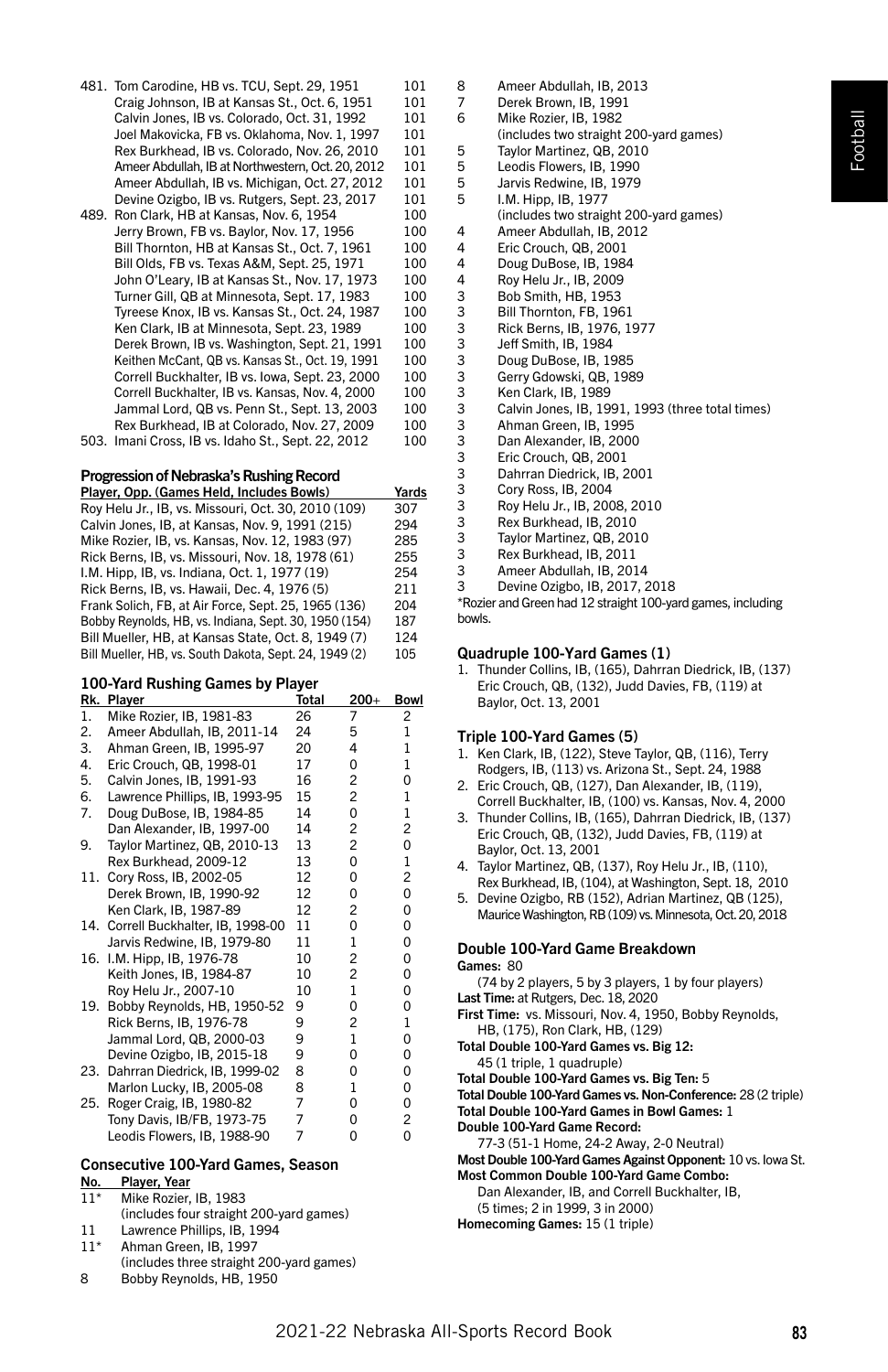| 481. Tom Carodine, HB vs. TCU, Sept. 29, 1951     | 101 |
|---------------------------------------------------|-----|
| Craig Johnson, IB at Kansas St., Oct. 6, 1951     | 101 |
| Calvin Jones, IB vs. Colorado, Oct. 31, 1992      | 101 |
| Joel Makovicka, FB vs. Oklahoma, Nov. 1, 1997     | 101 |
| Rex Burkhead, IB vs. Colorado, Nov. 26, 2010      | 101 |
| Ameer Abdullah, IB at Northwestern, Oct. 20, 2012 | 101 |
| Ameer Abdullah. IB vs. Michigan, Oct. 27, 2012    | 101 |
| Devine Ozigbo, IB vs. Rutgers, Sept. 23, 2017     | 101 |
| 489. Ron Clark, HB at Kansas, Nov. 6, 1954        | 100 |
| Jerry Brown, FB vs. Baylor, Nov. 17, 1956         | 100 |
| Bill Thornton, HB at Kansas St., Oct. 7, 1961     | 100 |
| Bill Olds, FB vs. Texas A&M, Sept. 25, 1971       | 100 |
| John O'Leary, IB at Kansas St., Nov. 17, 1973     | 100 |
| Turner Gill, QB at Minnesota, Sept. 17, 1983      | 100 |
| Tyreese Knox, IB vs. Kansas St., Oct. 24, 1987    | 100 |
| Ken Clark, IB at Minnesota, Sept. 23, 1989        | 100 |

Derek Brown, IB vs. Washington, Sept. 21, 1991 100<br>Keithen McCant, OB vs. Kansas St. Oct. 19, 1991 100 Keithen McCant, QB vs. Kansas St., Oct. 19, 1991 100<br>Correll Buckhalter. IB vs. Iowa. Sept. 23, 2000 100 Correll Buckhalter, IB vs. Iowa, Sept. 23, 2000 100<br>Correll Buckhalter, IB vs. Kansas, Nov. 4, 2000 100 Correll Buckhalter, IB vs. Kansas, Nov. 4, 2000 100<br>Jammal Lord. QB vs. Penn St.. Sept. 13, 2003 100 Jammal Lord, QB vs. Penn St., Sept. 13, 2003 100<br>Rex Burkhead. IB at Colorado. Nov. 27, 2009 100 Rex Burkhead, IB at Colorado, Nov. 27, 2009 100<br>Imani Cross. IB vs. Idaho St., Sept. 22, 2012 100 503. Imani Cross, IB vs. Idaho St., Sept. 22, 2012

## Progression of Nebraska's Rushing Record

| Player, Opp. (Games Held, Includes Bowls)              | Yards |
|--------------------------------------------------------|-------|
| Roy Helu Jr., IB, vs. Missouri, Oct. 30, 2010 (109)    | 307   |
| Calvin Jones, IB, at Kansas, Nov. 9, 1991 (215)        | 294   |
| Mike Rozier, IB, vs. Kansas, Nov. 12, 1983 (97)        | 285   |
| Rick Berns, IB, vs. Missouri, Nov. 18, 1978 (61)       | 255   |
| I.M. Hipp. IB. vs. Indiana. Oct. 1. 1977 (19)          | 254   |
| Rick Berns, IB, vs. Hawaii, Dec. 4, 1976 (5)           | 211   |
| Frank Solich, FB, at Air Force, Sept. 25, 1965 (136)   | 204   |
| Bobby Reynolds, HB, vs. Indiana, Sept. 30, 1950 (154)  | 187   |
| Bill Mueller, HB, at Kansas State, Oct. 8, 1949 (7)    | 124   |
| Bill Mueller, HB, vs. South Dakota, Sept. 24, 1949 (2) | 105   |
|                                                        |       |

# 100-Yard Rushing Games by Player

|     | Rk. Player                          | <b>Total</b> | $200+$         | <b>Bowl</b> |
|-----|-------------------------------------|--------------|----------------|-------------|
| 1.  | Mike Rozier, IB, 1981-83            | 26           | 7              | 2           |
| 2.  | Ameer Abdullah, IB, 2011-14         | 24           | 5              | 1           |
| 3.  | Ahman Green, IB, 1995-97            | 20           | 4              | 1           |
| 4.  | Eric Crouch, QB, 1998-01            | 17           | 0              | 1           |
| 5.  | Calvin Jones, IB, 1991-93           | 16           | 2              | 0           |
| 6.  | Lawrence Phillips, IB, 1993-95      | 15           | 2              | 1           |
| 7.  | Doug DuBose, IB, 1984-85            | 14           | 0              | 1           |
|     | Dan Alexander, IB, 1997-00          | 14           | 2              | 2           |
| 9.  | Taylor Martinez, QB, 2010-13        | 13           | 2              | 0           |
|     | Rex Burkhead, 2009-12               | 13           | 0              | 1           |
| 11. | Cory Ross, IB, 2002-05              | 12           | 0              | 2           |
|     | Derek Brown, IB, 1990-92            | 12           | 0              | 0           |
|     | Ken Clark, IB, 1987-89              | 12           | 2              | 0           |
|     | 14. Correll Buckhalter, IB, 1998-00 | 11           | 0              | 0           |
|     | Jarvis Redwine, IB, 1979-80         | 11           | 1              | 0           |
|     | 16. I.M. Hipp, IB, 1976-78          | 10           | 2              | 0           |
|     | Keith Jones, IB, 1984-87            | 10           | $\overline{c}$ | 0           |
|     | Roy Helu Jr., 2007-10               | 10           | 1              | 0           |
|     | 19. Bobby Reynolds, HB, 1950-52     | 9            | 0              | 0           |
|     | Rick Berns, IB, 1976-78             | 9            | 2              | 1           |
|     | Jammal Lord, QB, 2000-03            | 9            | $\mathbf{1}$   | 0           |
|     | Devine Ozigbo, IB, 2015-18          | 9            | 0              | 0           |
| 23. | Dahrran Diedrick, IB, 1999-02       | 8            | 0              | 0           |
|     | Marlon Lucky, IB, 2005-08           | 8            | 1              | 0           |
| 25. | Roger Craig, IB, 1980-82            | 7            | 0              | 0           |
|     | Tony Davis, IB/FB, 1973-75          | 7            | 0              | 2           |
|     | Leodis Flowers, IB, 1988-90         | 7            | 0              | 0           |
|     |                                     |              |                |             |

## Consecutive 100-Yard Games, Season

### No. Player, Year

- 11\* Mike Rozier, IB, 1983 (includes four straight 200-yard games)
- 11 Lawrence Phillips, IB, 1994
- 11\* Ahman Green, IB, 1997
- (includes three straight 200-yard games) 8 Bobby Reynolds, HB, 1950

| ັ |                                                  |
|---|--------------------------------------------------|
| 7 | Derek Brown, IB, 1991                            |
| 6 | Mike Rozier, IB, 1982                            |
|   | (includes two straight 200-yard games)           |
| 5 | Taylor Martinez, QB, 2010                        |
| 5 | Leodis Flowers, IB, 1990                         |
| 5 | Jarvis Redwine, IB, 1979                         |
| 5 | I.M. Hipp, IB, 1977                              |
|   | (includes two straight 200-yard games)           |
| 4 | Ameer Abdullah, IB, 2012                         |
| 4 | Eric Crouch, QB, 2001                            |
|   | Doug DuBose, IB, 1984                            |
|   | Roy Helu Jr., IB, 2009                           |
|   | Bob Smith, HB, 1953                              |
|   | Bill Thornton, FB, 1961                          |
|   | Rick Berns, IB, 1976, 1977                       |
|   | Jeff Smith, IB, 1984                             |
|   | Doug DuBose, IB, 1985                            |
|   | Gerry Gdowski, QB, 1989                          |
|   | Ken Clark, IB, 1989                              |
|   | Calvin Jones, IB, 1991, 1993 (three total times) |
|   | Ahman Green, IB, 1995                            |
|   | Dan Alexander, IB, 2000                          |
|   | Eric Crouch, QB, 2001                            |
|   | Dahrran Diedrick, IB, 2001                       |
|   | Cory Ross, IB, 2004                              |
|   | Roy Helu Jr., IB, 2008, 2010                     |
|   | Rex Burkhead, IB, 2010                           |
|   | Taylor Martinez, QB, 2010                        |
|   | Rex Burkhead, IB, 2011                           |
|   | Ameer Abdullah, IB, 2014                         |
| 3 | Devine Ozigbo, IB, 2017, 2018                    |

8 Ameer Abdullah, IB, 2013

\*Rozier and Green had 12 straight 100-yard games, including bowls.

#### Quadruple 100-Yard Games (1)

1. Thunder Collins, IB, (165), Dahrran Diedrick, IB, (137) Eric Crouch, QB, (132), Judd Davies, FB, (119) at Baylor, Oct. 13, 2001

#### Triple 100-Yard Games (5)

- 1. Ken Clark, IB, (122), Steve Taylor, QB, (116), Terry Rodgers, IB, (113) vs. Arizona St., Sept. 24, 1988
- 2. Eric Crouch, QB, (127), Dan Alexander, IB, (119), Correll Buckhalter, IB, (100) vs. Kansas, Nov. 4, 2000
- 3. Thunder Collins, IB, (165), Dahrran Diedrick, IB, (137) Eric Crouch, QB, (132), Judd Davies, FB, (119) at Baylor, Oct. 13, 2001
- 4. Taylor Martinez, QB, (137), Roy Helu Jr., IB, (110), Rex Burkhead, IB, (104), at Washington, Sept. 18, 2010
- 5. Devine Ozigbo, RB (152), Adrian Martinez, QB (125), Maurice Washington, RB (109) vs. Minnesota, Oct. 20, 2018

#### Double 100-Yard Game Breakdown

Games: 80

(74 by 2 players, 5 by 3 players, 1 by four players) Last Time: at Rutgers, Dec. 18, 2020

First Time: vs. Missouri, Nov. 4, 1950, Bobby Reynolds, HB, (175), Ron Clark, HB, (129)

- Total Double 100-Yard Games vs. Big 12:
- 45 (1 triple, 1 quadruple)

Total Double 100-Yard Games vs. Big Ten: 5

Total Double 100-Yard Games vs. Non-Conference: 28 (2 triple)

Total Double 100-Yard Games in Bowl Games: 1

Double 100-Yard Game Record:

77-3 (51-1 Home, 24-2 Away, 2-0 Neutral)

Most Double 100-Yard Games Against Opponent: 10 vs. Iowa St. Most Common Double 100-Yard Game Combo:

Dan Alexander, IB, and Correll Buckhalter, IB, (5 times; 2 in 1999, 3 in 2000)

Homecoming Games: 15 (1 triple)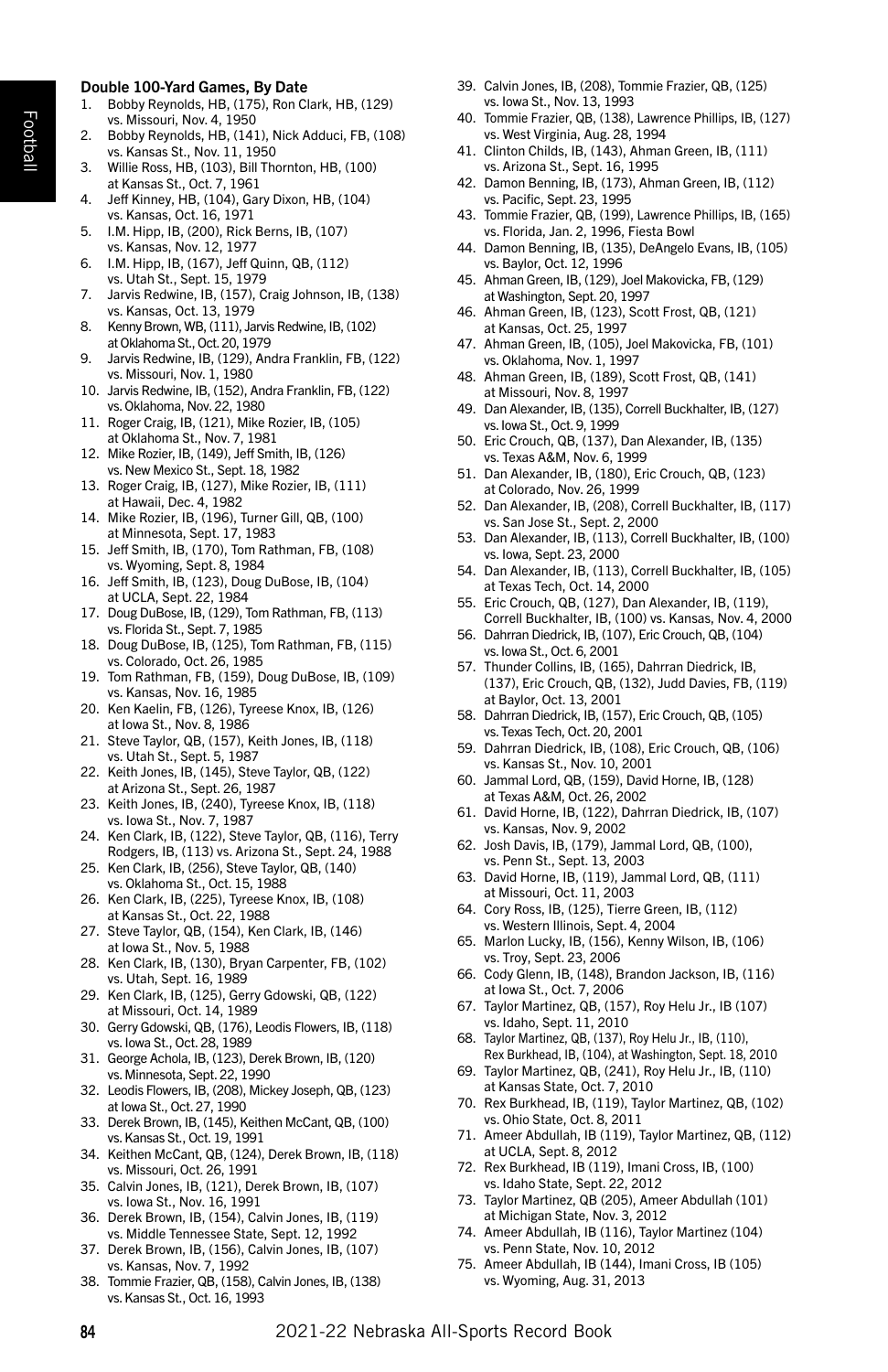#### Double 100-Yard Games, By Date

- 1. Bobby Reynolds, HB, (175), Ron Clark, HB, (129) vs. Missouri, Nov. 4, 1950
- 2. Bobby Reynolds, HB, (141), Nick Adduci, FB, (108) vs. Kansas St., Nov. 11, 1950
- 3. Willie Ross, HB, (103), Bill Thornton, HB, (100) at Kansas St., Oct. 7, 1961
- 4. Jeff Kinney, HB, (104), Gary Dixon, HB, (104) vs. Kansas, Oct. 16, 1971
- 5. I.M. Hipp, IB, (200), Rick Berns, IB, (107) vs. Kansas, Nov. 12, 1977
- 6. I.M. Hipp, IB, (167), Jeff Quinn, QB, (112) vs. Utah St., Sept. 15, 1979
- 7. Jarvis Redwine, IB, (157), Craig Johnson, IB, (138) vs. Kansas, Oct. 13, 1979
- 8. Kenny Brown, WB, (111), Jarvis Redwine, IB, (102) at Oklahoma St., Oct. 20, 1979
- 9. Jarvis Redwine, IB, (129), Andra Franklin, FB, (122) vs. Missouri, Nov. 1, 1980
- 10. Jarvis Redwine, IB, (152), Andra Franklin, FB, (122) vs. Oklahoma, Nov. 22, 1980
- 11. Roger Craig, IB, (121), Mike Rozier, IB, (105) at Oklahoma St., Nov. 7, 1981
- 12. Mike Rozier, IB, (149), Jeff Smith, IB, (126) vs. New Mexico St., Sept. 18, 1982
- 13. Roger Craig, IB, (127), Mike Rozier, IB, (111) at Hawaii, Dec. 4, 1982
- 14. Mike Rozier, IB, (196), Turner Gill, QB, (100) at Minnesota, Sept. 17, 1983
- 15. Jeff Smith, IB, (170), Tom Rathman, FB, (108) vs. Wyoming, Sept. 8, 1984
- 16. Jeff Smith, IB, (123), Doug DuBose, IB, (104) at UCLA, Sept. 22, 1984
- 17. Doug DuBose, IB, (129), Tom Rathman, FB, (113) vs. Florida St., Sept. 7, 1985
- 18. Doug DuBose, IB, (125), Tom Rathman, FB, (115) vs. Colorado, Oct. 26, 1985
- 19. Tom Rathman, FB, (159), Doug DuBose, IB, (109) vs. Kansas, Nov. 16, 1985
- 20. Ken Kaelin, FB, (126), Tyreese Knox, IB, (126) at Iowa St., Nov. 8, 1986
- 21. Steve Taylor, QB, (157), Keith Jones, IB, (118) vs. Utah St., Sept. 5, 1987
- 22. Keith Jones, IB, (145), Steve Taylor, QB, (122) at Arizona St., Sept. 26, 1987
- 23. Keith Jones, IB, (240), Tyreese Knox, IB, (118) vs. Iowa St., Nov. 7, 1987
- 24. Ken Clark, IB, (122), Steve Taylor, QB, (116), Terry Rodgers, IB, (113) vs. Arizona St., Sept. 24, 1988
- 25. Ken Clark, IB, (256), Steve Taylor, QB, (140) vs. Oklahoma St., Oct. 15, 1988
- 26. Ken Clark, IB, (225), Tyreese Knox, IB, (108) at Kansas St., Oct. 22, 1988
- 27. Steve Taylor, QB, (154), Ken Clark, IB, (146) at Iowa St., Nov. 5, 1988
- 28. Ken Clark, IB, (130), Bryan Carpenter, FB, (102) vs. Utah, Sept. 16, 1989
- 29. Ken Clark, IB, (125), Gerry Gdowski, QB, (122) at Missouri, Oct. 14, 1989
- 30. Gerry Gdowski, QB, (176), Leodis Flowers, IB, (118) vs. Iowa St., Oct. 28, 1989
- 31. George Achola, IB, (123), Derek Brown, IB, (120) vs. Minnesota, Sept. 22, 1990
- 32. Leodis Flowers, IB, (208), Mickey Joseph, QB, (123) at Iowa St., Oct. 27, 1990
- 33. Derek Brown, IB, (145), Keithen McCant, QB, (100) vs. Kansas St., Oct. 19, 1991
- 34. Keithen McCant, QB, (124), Derek Brown, IB, (118) vs. Missouri, Oct. 26, 1991
- 35. Calvin Jones, IB, (121), Derek Brown, IB, (107) vs. Iowa St., Nov. 16, 1991
- 36. Derek Brown, IB, (154), Calvin Jones, IB, (119) vs. Middle Tennessee State, Sept. 12, 1992
- 37. Derek Brown, IB, (156), Calvin Jones, IB, (107) vs. Kansas, Nov. 7, 1992
- 38. Tommie Frazier, QB, (158), Calvin Jones, IB, (138) vs. Kansas St., Oct. 16, 1993
- 39. Calvin Jones, IB, (208), Tommie Frazier, QB, (125) vs. Iowa St., Nov. 13, 1993
- 40. Tommie Frazier, QB, (138), Lawrence Phillips, IB, (127) vs. West Virginia, Aug. 28, 1994
- 41. Clinton Childs, IB, (143), Ahman Green, IB, (111) vs. Arizona St., Sept. 16, 1995
- 42. Damon Benning, IB, (173), Ahman Green, IB, (112) vs. Pacific, Sept. 23, 1995
- 43. Tommie Frazier, QB, (199), Lawrence Phillips, IB, (165) vs. Florida, Jan. 2, 1996, Fiesta Bowl
- 44. Damon Benning, IB, (135), DeAngelo Evans, IB, (105) vs. Baylor, Oct. 12, 1996
- 45. Ahman Green, IB, (129), Joel Makovicka, FB, (129) at Washington, Sept. 20, 1997
- 46. Ahman Green, IB, (123), Scott Frost, QB, (121) at Kansas, Oct. 25, 1997
- 47. Ahman Green, IB, (105), Joel Makovicka, FB, (101) vs. Oklahoma, Nov. 1, 1997
- 48. Ahman Green, IB, (189), Scott Frost, QB, (141) at Missouri, Nov. 8, 1997
- 49. Dan Alexander, IB, (135), Correll Buckhalter, IB, (127) vs. Iowa St., Oct. 9, 1999
- 50. Eric Crouch, QB, (137), Dan Alexander, IB, (135) vs. Texas A&M, Nov. 6, 1999
- 51. Dan Alexander, IB, (180), Eric Crouch, QB, (123) at Colorado, Nov. 26, 1999
- 52. Dan Alexander, IB, (208), Correll Buckhalter, IB, (117) vs. San Jose St., Sept. 2, 2000
- 53. Dan Alexander, IB, (113), Correll Buckhalter, IB, (100) vs. Iowa, Sept. 23, 2000
- 54. Dan Alexander, IB, (113), Correll Buckhalter, IB, (105) at Texas Tech, Oct. 14, 2000
- 55. Eric Crouch, QB, (127), Dan Alexander, IB, (119), Correll Buckhalter, IB, (100) vs. Kansas, Nov. 4, 2000
- 56. Dahrran Diedrick, IB, (107), Eric Crouch, QB, (104) vs. Iowa St., Oct. 6, 2001
- 57. Thunder Collins, IB, (165), Dahrran Diedrick, IB, (137), Eric Crouch, QB, (132), Judd Davies, FB, (119) at Baylor, Oct. 13, 2001
- 58. Dahrran Diedrick, IB, (157), Eric Crouch, QB, (105) vs. Texas Tech, Oct. 20, 2001
- 59. Dahrran Diedrick, IB, (108), Eric Crouch, QB, (106) vs. Kansas St., Nov. 10, 2001
- 60. Jammal Lord, QB, (159), David Horne, IB, (128) at Texas A&M, Oct. 26, 2002
- 61. David Horne, IB, (122), Dahrran Diedrick, IB, (107) vs. Kansas, Nov. 9, 2002
- 62. Josh Davis, IB, (179), Jammal Lord, QB, (100), vs. Penn St., Sept. 13, 2003
- 63. David Horne, IB, (119), Jammal Lord, QB, (111) at Missouri, Oct. 11, 2003
- 64. Cory Ross, IB, (125), Tierre Green, IB, (112) vs. Western Illinois, Sept. 4, 2004
- 65. Marlon Lucky, IB, (156), Kenny Wilson, IB, (106) vs. Troy, Sept. 23, 2006
- 66. Cody Glenn, IB, (148), Brandon Jackson, IB, (116) at Iowa St., Oct. 7, 2006
- 67. Taylor Martinez, QB, (157), Roy Helu Jr., IB (107) vs. Idaho, Sept. 11, 2010
- 68. Taylor Martinez, QB, (137), Roy Helu Jr., IB, (110), Rex Burkhead, IB, (104), at Washington, Sept. 18, 2010
- 69. Taylor Martinez, QB, (241), Roy Helu Jr., IB, (110) at Kansas State, Oct. 7, 2010
- 70. Rex Burkhead, IB, (119), Taylor Martinez, QB, (102) vs. Ohio State, Oct. 8, 2011
- 71. Ameer Abdullah, IB (119), Taylor Martinez, QB, (112) at UCLA, Sept. 8, 2012
- 72. Rex Burkhead, IB (119), Imani Cross, IB, (100) vs. Idaho State, Sept. 22, 2012
- 73. Taylor Martinez, QB (205), Ameer Abdullah (101) at Michigan State, Nov. 3, 2012
- 74. Ameer Abdullah, IB (116), Taylor Martinez (104) vs. Penn State, Nov. 10, 2012
- 75. Ameer Abdullah, IB (144), Imani Cross, IB (105) vs. Wyoming, Aug. 31, 2013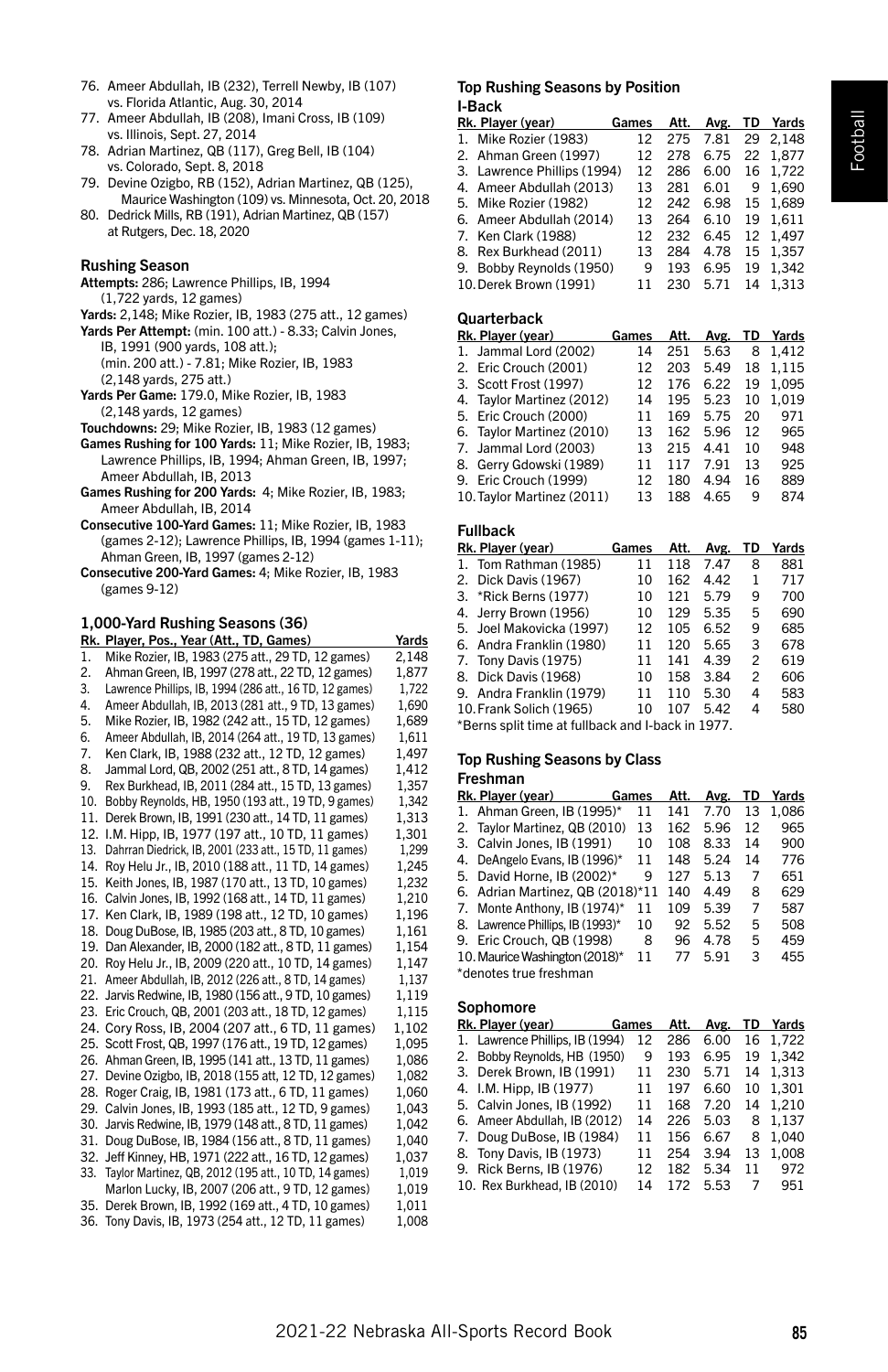Football

- 76. Ameer Abdullah, IB (232), Terrell Newby, IB (107) vs. Florida Atlantic, Aug. 30, 2014
- 77. Ameer Abdullah, IB (208), Imani Cross, IB (109) vs. Illinois, Sept. 27, 2014
- 78. Adrian Martinez, QB (117), Greg Bell, IB (104) vs. Colorado, Sept. 8, 2018
- 79. Devine Ozigbo, RB (152), Adrian Martinez, QB (125), Maurice Washington (109) vs. Minnesota, Oct. 20, 2018
- 80. Dedrick Mills, RB (191), Adrian Martinez, QB (157) at Rutgers, Dec. 18, 2020

## Rushing Season

- Attempts: 286; Lawrence Phillips, IB, 1994 (1,722 yards, 12 games)
- Yards: 2,148; Mike Rozier, IB, 1983 (275 att., 12 games)
- Yards Per Attempt: (min. 100 att.) 8.33; Calvin Jones, IB, 1991 (900 yards, 108 att.); (min. 200 att.) - 7.81; Mike Rozier, IB, 1983 (2,148 yards, 275 att.)
- Yards Per Game: 179.0, Mike Rozier, IB, 1983 (2,148 yards, 12 games)
- Touchdowns: 29; Mike Rozier, IB, 1983 (12 games)
- Games Rushing for 100 Yards: 11; Mike Rozier, IB, 1983; Lawrence Phillips, IB, 1994; Ahman Green, IB, 1997; Ameer Abdullah, IB, 2013
- Games Rushing for 200 Yards: 4; Mike Rozier, IB, 1983; Ameer Abdullah, IB, 2014
- Consecutive 100-Yard Games: 11; Mike Rozier, IB, 1983 (games 2-12); Lawrence Phillips, IB, 1994 (games 1-11); Ahman Green, IB, 1997 (games 2-12)
- Consecutive 200-Yard Games: 4; Mike Rozier, IB, 1983 (games 9-12)

## 1,000-Yard Rushing Seasons (36)

|     | Rk. Player, Pos., Year (Att., TD, Games)                  | Yards |
|-----|-----------------------------------------------------------|-------|
| 1.  | Mike Rozier, IB, 1983 (275 att., 29 TD, 12 games)         | 2,148 |
| 2.  | Ahman Green, IB, 1997 (278 att., 22 TD, 12 games)         | 1,877 |
| 3.  | Lawrence Phillips, IB, 1994 (286 att., 16 TD, 12 games)   | 1,722 |
| 4.  | Ameer Abdullah, IB, 2013 (281 att., 9 TD, 13 games)       | 1,690 |
| 5.  | Mike Rozier, IB, 1982 (242 att., 15 TD, 12 games)         | 1.689 |
| 6.  | Ameer Abdullah, IB, 2014 (264 att., 19 TD, 13 games)      | 1.611 |
| 7.  | Ken Clark, IB, 1988 (232 att., 12 TD, 12 games)           | 1.497 |
| 8.  | Jammal Lord, QB, 2002 (251 att., 8 TD, 14 games)          | 1,412 |
| 9.  | Rex Burkhead, IB, 2011 (284 att., 15 TD, 13 games)        | 1,357 |
| 10. | Bobby Reynolds, HB, 1950 (193 att., 19 TD, 9 games)       | 1,342 |
| 11. | Derek Brown, IB, 1991 (230 att., 14 TD, 11 games)         | 1,313 |
|     | 12. I.M. Hipp, IB, 1977 (197 att., 10 TD, 11 games)       | 1,301 |
| 13. | Dahrran Diedrick, IB, 2001 (233 att., 15 TD, 11 games)    | 1,299 |
| 14. | Roy Helu Jr., IB, 2010 (188 att., 11 TD, 14 games)        | 1,245 |
| 15. | Keith Jones, IB, 1987 (170 att., 13 TD, 10 games)         | 1.232 |
|     | 16. Calvin Jones, IB, 1992 (168 att., 14 TD, 11 games)    | 1.210 |
|     | 17. Ken Clark, IB, 1989 (198 att., 12 TD, 10 games)       | 1,196 |
|     | 18. Doug DuBose, IB, 1985 (203 att., 8 TD, 10 games)      | 1,161 |
|     | 19. Dan Alexander, IB, 2000 (182 att., 8 TD, 11 games)    | 1,154 |
|     | 20. Roy Helu Jr., IB, 2009 (220 att., 10 TD, 14 games)    | 1,147 |
|     | 21. Ameer Abdullah, IB, 2012 (226 att., 8 TD, 14 games)   | 1,137 |
|     | 22. Jarvis Redwine, IB, 1980 (156 att., 9 TD, 10 games)   | 1,119 |
|     | 23. Eric Crouch, QB, 2001 (203 att., 18 TD, 12 games)     | 1,115 |
|     | 24. Cory Ross, IB, 2004 (207 att., 6 TD, 11 games)        | 1,102 |
|     | 25. Scott Frost, QB, 1997 (176 att., 19 TD, 12 games)     | 1.095 |
|     | 26. Ahman Green, IB, 1995 (141 att., 13 TD, 11 games)     | 1.086 |
|     | 27. Devine Ozigbo, IB, 2018 (155 att, 12 TD, 12 games)    | 1,082 |
|     | 28. Roger Craig, IB, 1981 (173 att., 6 TD, 11 games)      | 1,060 |
|     | 29. Calvin Jones, IB, 1993 (185 att., 12 TD, 9 games)     | 1,043 |
|     | 30. Jarvis Redwine, IB, 1979 (148 att., 8 TD, 11 games)   | 1.042 |
|     | 31. Doug DuBose, IB, 1984 (156 att., 8 TD, 11 games)      | 1.040 |
|     | 32. Jeff Kinney, HB, 1971 (222 att., 16 TD, 12 games)     | 1.037 |
|     | 33. Taylor Martinez, QB, 2012 (195 att., 10 TD, 14 games) | 1,019 |
|     | Marlon Lucky, IB, 2007 (206 att., 9 TD, 12 games)         | 1,019 |
|     | 35. Derek Brown, IB, 1992 (169 att., 4 TD, 10 games)      | 1.011 |
|     | 36. Tony Davis, IB, 1973 (254 att., 12 TD, 11 games)      | 1,008 |
|     |                                                           |       |

#### Top Rushing Seasons by Position I-Back

| Rk. Player (year)           | Games | Att. | Avg. TD  | Yards    |
|-----------------------------|-------|------|----------|----------|
| 1. Mike Rozier (1983)       | 12    |      | 275 7.81 | 29 2.148 |
| 2. Ahman Green (1997)       | 12    | 278  | 6.75     | 22 1.877 |
| 3. Lawrence Phillips (1994) | 12    | 286  | 6.00     | 16 1,722 |
| 4. Ameer Abdullah (2013)    | 13    | 281  | 6.01     | 9 1.690  |
| 5. Mike Rozier (1982)       | 12    | 242  | 6.98     | 15 1.689 |
| 6. Ameer Abdullah (2014)    | 13    | 264  | 6.10     | 19 1.611 |
| 7. Ken Clark (1988)         | 12    | 232  | 6.45     | 12 1.497 |
| 8. Rex Burkhead (2011)      | 13    | 284  | 4.78     | 15 1.357 |
| 9. Bobby Reynolds (1950)    | 9     | 193  | 6.95     | 19 1.342 |
| 10. Derek Brown (1991)      | 11    | 230  | 5.71     | 14 1.313 |
|                             |       |      |          |          |

# **Quarterback**

| Rk. Player (year)          | Games     | Att. |      |    | Avg. TD Yards |
|----------------------------|-----------|------|------|----|---------------|
| 1. Jammal Lord (2002)      | 14        | 251  | 5.63 |    | 8 1.412       |
| 2. Eric Crouch (2001)      | 12        | 203  | 5.49 | 18 | 1.115         |
| 3. Scott Frost (1997)      | 12        | 176  | 6.22 | 19 | 1.095         |
| 4. Taylor Martinez (2012)  | 14        | 195  | 5.23 | 10 | 1.019         |
| 5. Eric Crouch (2000)      | 11        | 169  | 5.75 | 20 | 971           |
| 6. Taylor Martinez (2010)  | 13        | 162  | 5.96 | 12 | 965           |
| 7. Jammal Lord (2003)      | 13        | 215  | 4.41 | 10 | 948           |
| 8. Gerry Gdowski (1989)    | 11        | 117  | 7.91 | 13 | 925           |
| 9. Eric Crouch (1999)      | $12^{12}$ | 180  | 4.94 | 16 | 889           |
| 10. Taylor Martinez (2011) | 13        | 188  | 4.65 | q  | 874           |
|                            |           |      |      |    |               |

#### Fullback

| Rk. Player (year)        | Games | Att. | Avg. | TD             | Yards |
|--------------------------|-------|------|------|----------------|-------|
| 1. Tom Rathman (1985)    | 11    | 118  | 7.47 | 8              | 881   |
| 2. Dick Davis (1967)     | 10    | 162  | 4.42 | 1              | 717   |
| 3. *Rick Berns (1977)    | 10    | 121  | 5.79 | 9              | 700   |
| 4. Jerry Brown (1956)    | 10    | 129  | 5.35 | 5              | 690   |
| 5. Joel Makovicka (1997) | 12    | 105  | 6.52 | 9              | 685   |
| 6. Andra Franklin (1980) | 11    | 120  | 5.65 | 3              | 678   |
| 7. Tony Davis (1975)     | 11    | 141  | 4.39 | $\overline{c}$ | 619   |
| 8. Dick Davis (1968)     | 10    | 158  | 3.84 | $\overline{c}$ | 606   |
| 9. Andra Franklin (1979) | 11    | 110  | 5.30 | 4              | 583   |
| 10. Frank Solich (1965)  | 10    | 107  | 5.42 | 4              | 580   |
|                          |       |      |      |                |       |

\*Berns split time at fullback and I-back in 1977.

#### Top Rushing Seasons by Class

#### Freshman

|    | Rk. Player (year)                | Games | Att. | Avg. | TD | Yards |
|----|----------------------------------|-------|------|------|----|-------|
| 1. | Ahman Green, IB (1995)*          | 11    | 141  | 7.70 | 13 | 1.086 |
|    | 2. Taylor Martinez, QB (2010)    | 13    | 162  | 5.96 | 12 | 965   |
|    | 3. Calvin Jones, IB (1991)       | 10    | 108  | 8.33 | 14 | 900   |
| 4. | DeAngelo Evans, IB (1996)*       | 11    | 148  | 5.24 | 14 | 776   |
|    | 5. David Horne. IB (2002)*       | 9     | 127  | 5.13 | 7  | 651   |
| 6. | Adrian Martinez, QB (2018)*11    |       | 140  | 4.49 | 8  | 629   |
|    | 7. Monte Anthony, IB (1974)*     | 11    | 109  | 5.39 | 7  | 587   |
|    | 8. Lawrence Phillips. IB (1993)* | 10    | 92   | 5.52 | 5  | 508   |
|    | 9. Eric Crouch, QB (1998)        | 8     | 96   | 4.78 | 5  | 459   |
|    | 10. Maurice Washington (2018)*   | 11    | 77   | 591  | 3  | 455   |
|    | *denotes true freshman           |       |      |      |    |       |

#### Sophomore

| Rk. Player (year) Games         |    | Att. | Avg. |    | TD Yards |
|---------------------------------|----|------|------|----|----------|
| 1. Lawrence Phillips, IB (1994) | 12 | 286  | 6.00 | 16 | 1.722    |
| 2. Bobby Reynolds, HB (1950)    | 9  | 193  | 6.95 | 19 | 1.342    |
| 3. Derek Brown, IB (1991)       | 11 | 230  | 5.71 | 14 | 1.313    |
| 4. I.M. Hipp, IB (1977)         | 11 | 197  | 6.60 | 10 | 1.301    |
| 5. Calvin Jones, IB (1992)      | 11 | 168  | 7.20 | 14 | 1.210    |
| 6. Ameer Abdullah. IB (2012)    | 14 | 226  | 5.03 | 8  | 1.137    |
| 7. Doug DuBose, IB (1984)       | 11 | 156  | 6.67 | 8  | 1.040    |
| 8. Tony Davis, IB (1973)        | 11 | 254  | 3.94 | 13 | 1.008    |
| 9. Rick Berns, IB (1976)        | 12 | 182  | 5.34 | 11 | 972      |
| 10. Rex Burkhead. IB (2010)     | 14 | 172  | 5.53 | 7  | 951      |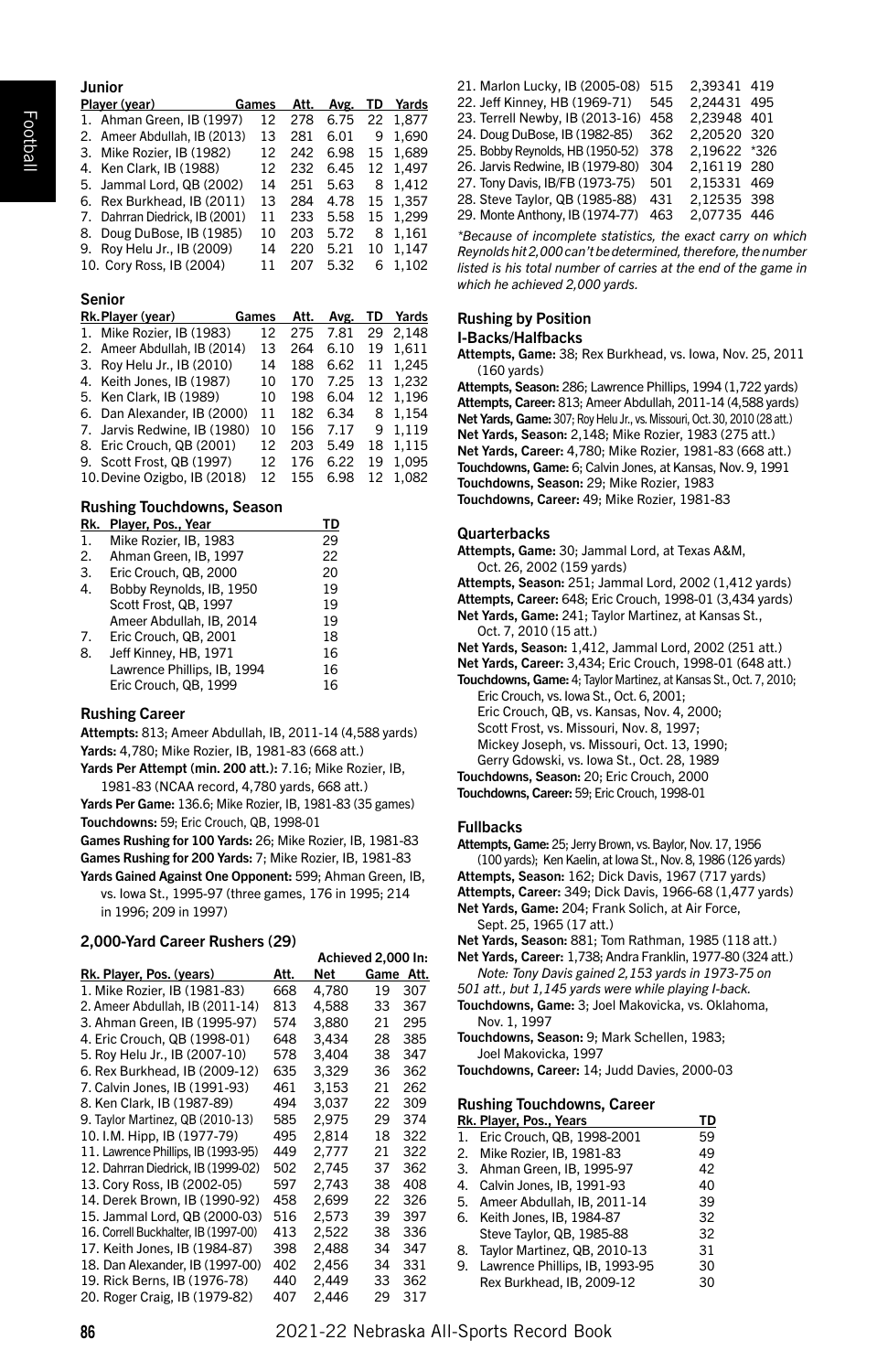| Junior                         |       |     |           |    |                 |
|--------------------------------|-------|-----|-----------|----|-----------------|
| Player (year)                  | Games |     | Att. Avg. |    | <b>TD</b> Yards |
| 1. Ahman Green. IB (1997)      | 12    | 278 | 6.75      |    | 22 1.877        |
| 2. Ameer Abdullah, IB (2013)   | 13    | 281 | 6.01      | 9  | 1.690           |
| 3. Mike Rozier, IB (1982)      | 12    | 242 | 6.98      |    | 15 1.689        |
| 4. Ken Clark, IB (1988)        | 12    | 232 | 6.45      |    | 12 1.497        |
| 5. Jammal Lord, QB (2002)      | 14    | 251 | 5.63      | 8  | 1.412           |
| 6. Rex Burkhead. IB (2011)     | 13    | 284 | 4.78      |    | 15 1.357        |
| 7. Dahrran Diedrick, IB (2001) | 11    | 233 | 5.58      | 15 | 1.299           |
| 8. Doug DuBose, IB (1985)      | 10    | 203 | 5.72      | 8  | 1.161           |
| 9. Roy Helu Jr., IB (2009)     | 14    | 220 | 5.21      | 10 | 1.147           |
| 10. Cory Ross, IB (2004)       | 11    | 207 | 5.32      | 6  | 1.102           |

#### Senior

| Rk. Plaver (vear) Games      |    | Att. |      |    | Avg. TD Yards |
|------------------------------|----|------|------|----|---------------|
| 1. Mike Rozier, IB (1983)    | 12 | 275  |      |    | 7.81 29 2.148 |
| 2. Ameer Abdullah, IB (2014) | 13 | 264  | 6.10 | 19 | 1.611         |
| 3. Roy Helu Jr., IB (2010)   | 14 | 188  | 6.62 | 11 | 1.245         |
| 4. Keith Jones, IB (1987)    | 10 | 170  | 7.25 |    | 13 1.232      |
| 5. Ken Clark, IB (1989)      | 10 | 198  | 6.04 |    | 12 1.196      |
| 6. Dan Alexander, IB (2000)  | 11 | 182  | 6.34 |    | 8 1,154       |
| 7. Jarvis Redwine, IB (1980) | 10 | 156  | 7.17 |    | 9 1.119       |
| 8. Eric Crouch, QB (2001)    | 12 | 203  | 5.49 | 18 | 1.115         |
| 9. Scott Frost, QB (1997)    | 12 | 176  | 6.22 | 19 | 1.095         |
| 10. Devine Ozigbo. IB (2018) | 12 | 155  | 6.98 |    | 12 1.082      |

#### Rushing Touchdowns, Season

| Rk. | Player, Pos., Year          | TD |
|-----|-----------------------------|----|
| 1.  | Mike Rozier, IB, 1983       | 29 |
| 2.  | Ahman Green. IB. 1997       | 22 |
| 3.  | Eric Crouch, QB, 2000       | 20 |
| 4.  | Bobby Reynolds, IB, 1950    | 19 |
|     | Scott Frost, QB, 1997       | 19 |
|     | Ameer Abdullah, IB, 2014    | 19 |
| 7.  | Eric Crouch, QB, 2001       | 18 |
| 8.  | Jeff Kinney, HB, 1971       | 16 |
|     | Lawrence Phillips, IB, 1994 | 16 |
|     | Eric Crouch, QB, 1999       | 16 |
|     |                             |    |

#### Rushing Career

Attempts: 813; Ameer Abdullah, IB, 2011-14 (4,588 yards) Yards: 4,780; Mike Rozier, IB, 1981-83 (668 att.)

Yards Per Attempt (min. 200 att.): 7.16; Mike Rozier, IB, 1981-83 (NCAA record, 4,780 yards, 668 att.)

Yards Per Game: 136.6; Mike Rozier, IB, 1981-83 (35 games) Touchdowns: 59; Eric Crouch, QB, 1998-01

Games Rushing for 100 Yards: 26; Mike Rozier, IB, 1981-83 Games Rushing for 200 Yards: 7; Mike Rozier, IB, 1981-83

Yards Gained Against One Opponent: 599; Ahman Green, IB, vs. Iowa St., 1995-97 (three games, 176 in 1995; 214 in 1996; 209 in 1997)

#### 2,000-Yard Career Rushers (29)

|                                      |      | Achieved 2,000 In: |           |     |  |
|--------------------------------------|------|--------------------|-----------|-----|--|
| Rk. Player, Pos. (years)             | Att. | Net                | Game Att. |     |  |
| 1. Mike Rozier, IB (1981-83)         | 668  | 4,780              | 19        | 307 |  |
| 2. Ameer Abdullah, IB (2011-14)      | 813  | 4,588              | 33        | 367 |  |
| 3. Ahman Green, IB (1995-97)         | 574  | 3.880              | 21        | 295 |  |
| 4. Eric Crouch. QB (1998-01)         | 648  | 3.434              | 28        | 385 |  |
| 5. Rov Helu Jr., IB (2007-10)        | 578  | 3.404              | 38        | 347 |  |
| 6. Rex Burkhead, IB (2009-12)        | 635  | 3,329              | 36        | 362 |  |
| 7. Calvin Jones, IB (1991-93)        | 461  | 3.153              | 21        | 262 |  |
| 8. Ken Clark, IB (1987-89)           | 494  | 3,037              | 22        | 309 |  |
| 9. Taylor Martinez, QB (2010-13)     | 585  | 2.975              | 29        | 374 |  |
| 10. I.M. Hipp, IB (1977-79)          | 495  | 2,814              | 18        | 322 |  |
| 11. Lawrence Phillips, IB (1993-95)  | 449  | 2,777              | 21        | 322 |  |
| 12. Dahrran Diedrick, IB (1999-02)   | 502  | 2,745              | 37        | 362 |  |
| 13. Cory Ross, IB (2002-05)          | 597  | 2,743              | 38        | 408 |  |
| 14. Derek Brown. IB (1990-92)        | 458  | 2.699              | 22        | 326 |  |
| 15. Jammal Lord, QB (2000-03)        | 516  | 2,573              | 39        | 397 |  |
| 16. Correll Buckhalter. IB (1997-00) | 413  | 2.522              | 38        | 336 |  |
| 17. Keith Jones, IB (1984-87)        | 398  | 2.488              | 34        | 347 |  |
| 18. Dan Alexander, IB (1997-00)      | 402  | 2,456              | 34        | 331 |  |
| 19. Rick Berns, IB (1976-78)         | 440  | 2,449              | 33        | 362 |  |
| 20. Roger Craig, IB (1979-82)        | 407  | 2,446              | 29        | 317 |  |

| 21. Marlon Lucky, IB (2005-08)   | 515 | 2.39341 419  |     |
|----------------------------------|-----|--------------|-----|
| 22. Jeff Kinney, HB (1969-71)    | 545 | 2.24431 495  |     |
| 23. Terrell Newby, IB (2013-16)  | 458 | 2.23948 401  |     |
| 24. Doug DuBose, IB (1982-85)    | 362 | 2.20520 320  |     |
| 25. Bobby Reynolds, HB (1950-52) | 378 | 2.19622 *326 |     |
| 26. Jarvis Redwine, IB (1979-80) | 304 | 2,16119 280  |     |
| 27. Tony Davis, IB/FB (1973-75)  | 501 | 2.15331      | 469 |
| 28. Steve Taylor, QB (1985-88)   | 431 | 2.12535 398  |     |
| 29. Monte Anthony, IB (1974-77)  | 463 | 2,07735 446  |     |
|                                  |     |              |     |

*\*Because of incomplete statistics, the exact carry on which Reynolds hit 2,000 can't be determined, therefore, the number*  listed is his total number of carries at the end of the game in *which he achieved 2,000 yards.*

# Rushing by Position

#### I-Backs/Halfbacks

Attempts, Game: 38; Rex Burkhead, vs. Iowa, Nov. 25, 2011 (160 yards)

Attempts, Season: 286; Lawrence Phillips, 1994 (1,722 yards) Attempts, Career: 813; Ameer Abdullah, 2011-14 (4,588 yards) Net Yards, Game: 307; Roy Helu Jr., vs. Missouri, Oct. 30, 2010 (28 att.) Net Yards, Season: 2,148; Mike Rozier, 1983 (275 att.) Net Yards, Career: 4,780; Mike Rozier, 1981-83 (668 att.) Touchdowns, Game: 6; Calvin Jones, at Kansas, Nov. 9, 1991 Touchdowns, Season: 29; Mike Rozier, 1983 Touchdowns, Career: 49; Mike Rozier, 1981-83

#### **Quarterbacks**

Attempts, Game: 30; Jammal Lord, at Texas A&M, Oct. 26, 2002 (159 yards)

Attempts, Season: 251; Jammal Lord, 2002 (1,412 yards)

Attempts, Career: 648; Eric Crouch, 1998-01 (3,434 yards)

Net Yards, Game: 241; Taylor Martinez, at Kansas St.,

Oct. 7, 2010 (15 att.)

Net Yards, Season: 1,412, Jammal Lord, 2002 (251 att.)

Net Yards, Career: 3,434; Eric Crouch, 1998-01 (648 att.)

Touchdowns, Game: 4; Taylor Martinez, at Kansas St., Oct. 7, 2010;

Eric Crouch, vs. Iowa St., Oct. 6, 2001;

Eric Crouch, QB, vs. Kansas, Nov. 4, 2000;

Scott Frost, vs. Missouri, Nov. 8, 1997;

Mickey Joseph, vs. Missouri, Oct. 13, 1990; Gerry Gdowski, vs. Iowa St., Oct. 28, 1989

Touchdowns, Season: 20; Eric Crouch, 2000

Touchdowns, Career: 59; Eric Crouch, 1998-01

#### Fullbacks

Attempts, Game: 25; Jerry Brown, vs. Baylor, Nov. 17, 1956 (100 yards); Ken Kaelin, at Iowa St., Nov. 8, 1986 (126 yards)

Attempts, Season: 162; Dick Davis, 1967 (717 yards)

Attempts, Career: 349; Dick Davis, 1966-68 (1,477 yards)

Net Yards, Game: 204; Frank Solich, at Air Force,

Sept. 25, 1965 (17 att.)

Net Yards, Season: 881; Tom Rathman, 1985 (118 att.)

Net Yards, Career: 1,738; Andra Franklin, 1977-80 (324 att.) *Note: Tony Davis gained 2,153 yards in 1973-75 on* 

*501 att., but 1,145 yards were while playing I-back.* 

Touchdowns, Game: 3; Joel Makovicka, vs. Oklahoma, Nov. 1, 1997

Touchdowns, Season: 9; Mark Schellen, 1983; Joel Makovicka, 1997

Touchdowns, Career: 14; Judd Davies, 2000-03

#### Rushing Touchdowns, Career

|    | Rk. Player, Pos., Years        | TD |
|----|--------------------------------|----|
|    | 1. Eric Crouch. QB. 1998-2001  | 59 |
|    | 2. Mike Rozier, IB, 1981-83    | 49 |
| 3. | Ahman Green, IB, 1995-97       | 42 |
| 4. | Calvin Jones, IB, 1991-93      | 40 |
| 5. | Ameer Abdullah, IB, 2011-14    | 39 |
| 6. | Keith Jones, IB, 1984-87       | 32 |
|    | Steve Taylor, QB, 1985-88      | 32 |
| 8. | Taylor Martinez, QB, 2010-13   | 31 |
| 9. | Lawrence Phillips, IB, 1993-95 | 30 |
|    | Rex Burkhead. IB. 2009-12      | 30 |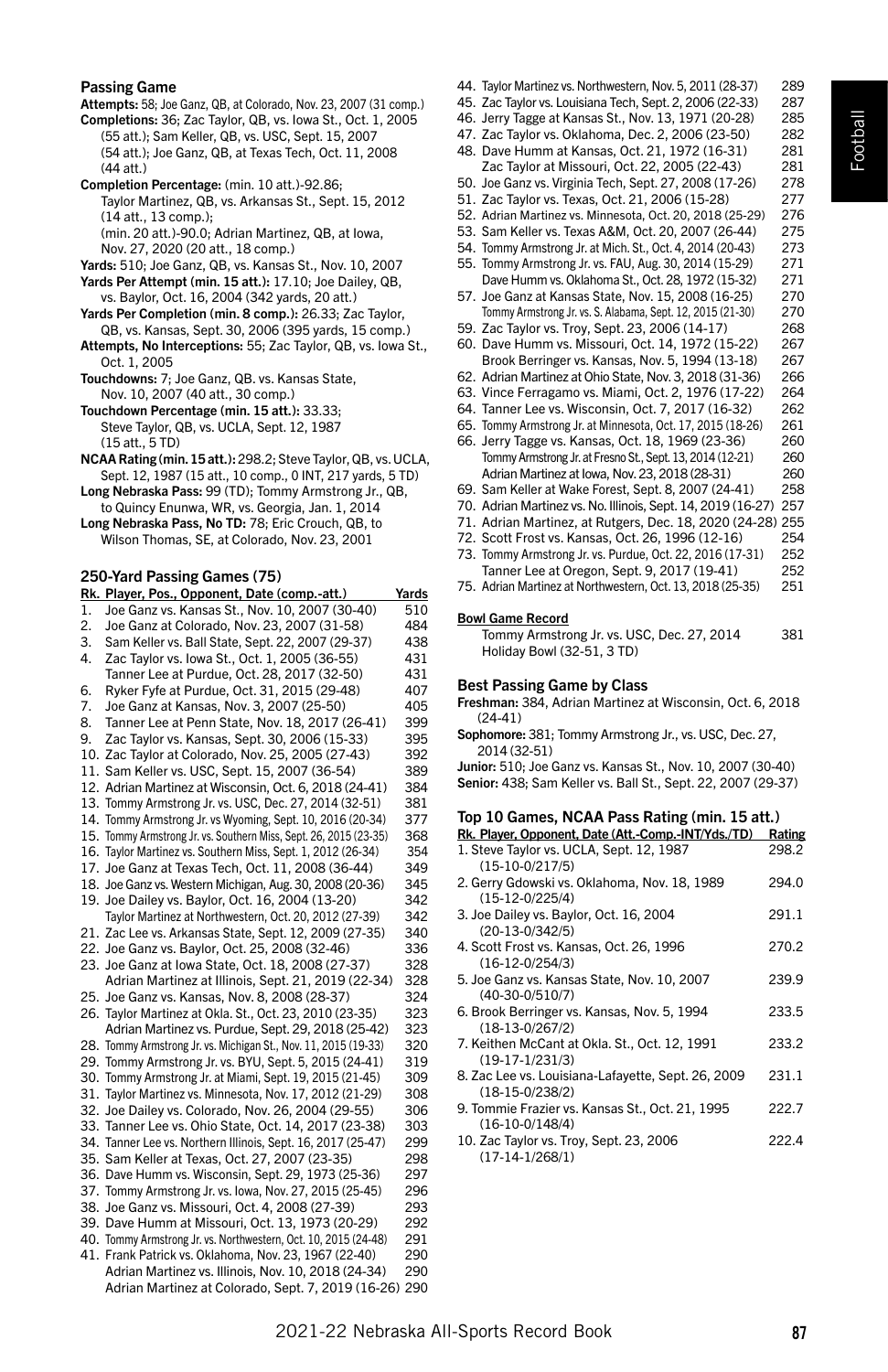# Football

#### Passing Game

Attempts: 58; Joe Ganz, QB, at Colorado, Nov. 23, 2007 (31 comp.) Completions: 36; Zac Taylor, QB, vs. Iowa St., Oct. 1, 2005 (55 att.); Sam Keller, QB, vs. USC, Sept. 15, 2007 (54 att.); Joe Ganz, QB, at Texas Tech, Oct. 11, 2008 (44 att.)

Completion Percentage: (min. 10 att.)-92.86; Taylor Martinez, QB, vs. Arkansas St., Sept. 15, 2012 (14 att., 13 comp.);

(min. 20 att.)-90.0; Adrian Martinez, QB, at Iowa, Nov. 27, 2020 (20 att., 18 comp.)

- Yards: 510; Joe Ganz, QB, vs. Kansas St., Nov. 10, 2007
- Yards Per Attempt (min. 15 att.): 17.10; Joe Dailey, QB, vs. Baylor, Oct. 16, 2004 (342 yards, 20 att.)
- Yards Per Completion (min. 8 comp.): 26.33; Zac Taylor, QB, vs. Kansas, Sept. 30, 2006 (395 yards, 15 comp.)
- Attempts, No Interceptions: 55; Zac Taylor, QB, vs. Iowa St., Oct. 1, 2005
- Touchdowns: 7; Joe Ganz, QB. vs. Kansas State, Nov. 10, 2007 (40 att., 30 comp.)
- Touchdown Percentage (min. 15 att.): 33.33; Steve Taylor, QB, vs. UCLA, Sept. 12, 1987 (15 att., 5 TD)
- NCAA Rating (min. 15 att.): 298.2; Steve Taylor, QB, vs. UCLA, Sept. 12, 1987 (15 att., 10 comp., 0 INT, 217 yards, 5 TD)

Long Nebraska Pass: 99 (TD); Tommy Armstrong Jr., QB, to Quincy Enunwa, WR, vs. Georgia, Jan. 1, 2014

Long Nebraska Pass, No TD: 78; Eric Crouch, QB, to Wilson Thomas, SE, at Colorado, Nov. 23, 2001

#### 250-Yard Passing Games (75)

|    | Rk. Player, Pos., Opponent, Date (comp.-att.)                     | Yards |
|----|-------------------------------------------------------------------|-------|
| 1. | Joe Ganz vs. Kansas St., Nov. 10, 2007 (30-40)                    | 510   |
| 2. | Joe Ganz at Colorado, Nov. 23, 2007 (31-58)                       | 484   |
| 3. | Sam Keller vs. Ball State, Sept. 22, 2007 (29-37)                 | 438   |
| 4. | Zac Taylor vs. lowa St., Oct. 1, 2005 (36-55)                     | 431   |
|    | Tanner Lee at Purdue, Oct. 28, 2017 (32-50)                       | 431   |
| 6. | Ryker Fyfe at Purdue, Oct. 31, 2015 (29-48)                       | 407   |
| 7. | Joe Ganz at Kansas, Nov. 3, 2007 (25-50)                          | 405   |
| 8. | Tanner Lee at Penn State, Nov. 18, 2017 (26-41)                   | 399   |
| 9. | Zac Taylor vs. Kansas, Sept. 30, 2006 (15-33)                     | 395   |
|    | 10. Zac Taylor at Colorado, Nov. 25, 2005 (27-43)                 | 392   |
|    | 11. Sam Keller vs. USC, Sept. 15, 2007 (36-54)                    | 389   |
|    | 12. Adrian Martinez at Wisconsin, Oct. 6, 2018 (24-41)            | 384   |
|    | 13. Tommy Armstrong Jr. vs. USC, Dec. 27, 2014 (32-51)            | 381   |
|    | 14. Tommy Armstrong Jr. vs Wyoming, Sept. 10, 2016 (20-34)        | 377   |
|    | 15. Tommy Armstrong Jr. vs. Southern Miss, Sept. 26, 2015 (23-35) | 368   |
|    | 16. Taylor Martinez vs. Southern Miss, Sept. 1, 2012 (26-34)      | 354   |
|    | 17. Joe Ganz at Texas Tech, Oct. 11, 2008 (36-44)                 | 349   |
|    | 18. Joe Ganz vs. Western Michigan, Aug. 30, 2008 (20-36)          | 345   |
|    | 19. Joe Dailey vs. Baylor, Oct. 16, 2004 (13-20)                  | 342   |
|    | Taylor Martinez at Northwestern, Oct. 20, 2012 (27-39)            | 342   |
|    | 21. Zac Lee vs. Arkansas State, Sept. 12, 2009 (27-35)            | 340   |
|    | 22. Joe Ganz vs. Baylor, Oct. 25, 2008 (32-46)                    | 336   |
|    | 23. Joe Ganz at Iowa State, Oct. 18, 2008 (27-37)                 | 328   |
|    | Adrian Martinez at Illinois, Sept. 21, 2019 (22-34)               | 328   |
|    | 25. Joe Ganz vs. Kansas, Nov. 8, 2008 (28-37)                     | 324   |
|    | 26. Taylor Martinez at Okla. St., Oct. 23, 2010 (23-35)           | 323   |
|    | Adrian Martinez vs. Purdue, Sept. 29, 2018 (25-42)                | 323   |
|    | 28. Tommy Armstrong Jr. vs. Michigan St., Nov. 11, 2015 (19-33)   | 320   |
|    | 29. Tommy Armstrong Jr. vs. BYU, Sept. 5, 2015 (24-41)            | 319   |
|    | 30. Tommy Armstrong Jr. at Miami, Sept. 19, 2015 (21-45)          | 309   |
|    | 31. Taylor Martinez vs. Minnesota, Nov. 17, 2012 (21-29)          | 308   |
|    | 32. Joe Dailey vs. Colorado, Nov. 26, 2004 (29-55)                | 306   |
|    | 33. Tanner Lee vs. Ohio State, Oct. 14, 2017 (23-38)              | 303   |
|    | 34. Tanner Lee vs. Northern Illinois, Sept. 16, 2017 (25-47)      | 299   |
|    | 35. Sam Keller at Texas, Oct. 27, 2007 (23-35)                    | 298   |
|    | 36. Dave Humm vs. Wisconsin, Sept. 29, 1973 (25-36)               | 297   |
|    | 37. Tommy Armstrong Jr. vs. Iowa, Nov. 27, 2015 (25-45)           | 296   |
|    | 38. Joe Ganz vs. Missouri, Oct. 4, 2008 (27-39)                   | 293   |
|    | 39. Dave Humm at Missouri, Oct. 13, 1973 (20-29)                  | 292   |
|    | 40. Tommy Armstrong Jr. vs. Northwestern, Oct. 10, 2015 (24-48)   | 291   |
|    | 41. Frank Patrick vs. Oklahoma, Nov. 23, 1967 (22-40)             | 290   |
|    | Adrian Martinez vs. Illinois, Nov. 10, 2018 (24-34)               | 290   |
|    | Adrian Martinez at Colorado, Sept. 7, 2019 (16-26) 290            |       |
|    |                                                                   |       |

- 44. Taylor Martinez vs. Northwestern, Nov. 5, 2011 (28-37) 289
- 45. Zac Taylor vs. Louisiana Tech, Sept. 2, 2006 (22-33) 287
- 46. Jerry Tagge at Kansas St., Nov. 13, 1971 (20-28)
- 47. Zac Taylor vs. Oklahoma, Dec. 2, 2006 (23-50) 282 48. Dave Humm at Kansas, Oct. 21, 1972 (16-31) 281
- Zac Taylor at Missouri, Oct. 22, 2005 (22-43) 281 50. Joe Ganz vs. Virginia Tech, Sept. 27, 2008 (17-26) 278
- 51. Zac Taylor vs. Texas, Oct. 21, 2006 (15-28) 277
- 52. Adrian Martinez vs. Minnesota, Oct. 20, 2018 (25-29) 276
- 53. Sam Keller vs. Texas A&M, Oct. 20, 2007 (26-44) 275
- 54. Tommy Armstrong Jr. at Mich. St., Oct. 4, 2014 (20-43) 273
- 55. Tommy Armstrong Jr. vs. FAU, Aug. 30, 2014 (15-29) 271 Dave Humm vs. Oklahoma St., Oct. 28, 1972 (15-32)
- 57. Joe Ganz at Kansas State, Nov. 15, 2008 (16-25) 270 Tommy Armstrong Jr. vs. S. Alabama, Sept. 12, 2015 (21-30) 270
- 59. Zac Taylor vs. Troy, Sept. 23, 2006 (14-17) 268
- 60. Dave Humm vs. Missouri, Oct. 14, 1972 (15-22) 267 Brook Berringer vs. Kansas, Nov. 5, 1994 (13-18)
- 62. Adrian Martinez at Ohio State, Nov. 3, 2018 (31-36) 266
- 63. Vince Ferragamo vs. Miami, Oct. 2, 1976 (17-22) 264
- 64. Tanner Lee vs. Wisconsin, Oct. 7, 2017 (16-32) 262
- 65. Tommy Armstrong Jr. at Minnesota, Oct. 17, 2015 (18-26) 261 66. Jerry Tagge vs. Kansas, Oct. 18, 1969 (23-36) 260 Tommy Armstrong Jr. at Fresno St., Sept. 13, 2014 (12-21) 260
- Adrian Martinez at Iowa, Nov. 23, 2018 (28-31) 260
- 69. Sam Keller at Wake Forest, Sept. 8, 2007 (24-41) 258
- 70. Adrian Martinez vs. No. Illinois, Sept. 14, 2019 (16-27) 257 71. Adrian Martinez, at Rutgers, Dec. 18, 2020 (24-28) 255
- 72. Scott Frost vs. Kansas, Oct. 26, 1996 (12-16) 254
- 73. Tommy Armstrong Jr. vs. Purdue, Oct. 22, 2016 (17-31) 252
- Tanner Lee at Oregon, Sept. 9, 2017 (19-41) 252
- 75. Adrian Martinez at Northwestern, Oct. 13, 2018 (25-35) 251

#### Bowl Game Record

Tommy Armstrong Jr. vs. USC, Dec. 27, 2014 381 Holiday Bowl (32-51, 3 TD)

#### Best Passing Game by Class

- Freshman: 384, Adrian Martinez at Wisconsin, Oct. 6, 2018  $(24-41)$
- Sophomore: 381; Tommy Armstrong Jr., vs. USC, Dec. 27, 2014 (32-51)
- Junior: 510; Joe Ganz vs. Kansas St., Nov. 10, 2007 (30-40) Senior: 438; Sam Keller vs. Ball St., Sept. 22, 2007 (29-37)

#### Top 10 Games, NCAA Pass Rating (min. 15 att.)

| Rk. Player, Opponent, Date (Att.-Comp.-INT/Yds./TD)                     | Rating |
|-------------------------------------------------------------------------|--------|
| 1. Steve Taylor vs. UCLA, Sept. 12, 1987<br>$(15-10-0/217/5)$           | 298.2  |
| 2. Gerry Gdowski vs. Oklahoma, Nov. 18, 1989<br>$(15-12-0/225/4)$       | 294.0  |
| 3. Joe Dailey vs. Baylor, Oct. 16, 2004<br>$(20-13-0/342/5)$            | 291.1  |
| 4. Scott Frost vs. Kansas, Oct. 26, 1996<br>$(16-12-0/254/3)$           | 270.2  |
| 5. Joe Ganz vs. Kansas State, Nov. 10, 2007<br>$(40-30-0/510/7)$        | 239.9  |
| 6. Brook Berringer vs. Kansas, Nov. 5, 1994<br>$(18-13-0/267/2)$        | 233.5  |
| 7. Keithen McCant at Okla. St., Oct. 12, 1991<br>$(19-17-1/231/3)$      | 233.2  |
| 8. Zac Lee vs. Louisiana-Lafayette, Sept. 26, 2009<br>$(18-15-0/238/2)$ | 231.1  |
| 9. Tommie Frazier vs. Kansas St., Oct. 21, 1995<br>$(16-10-0/148/4)$    | 222.7  |
| 10. Zac Taylor vs. Troy, Sept. 23, 2006<br>$(17-14-1/268/1)$            | 222.4  |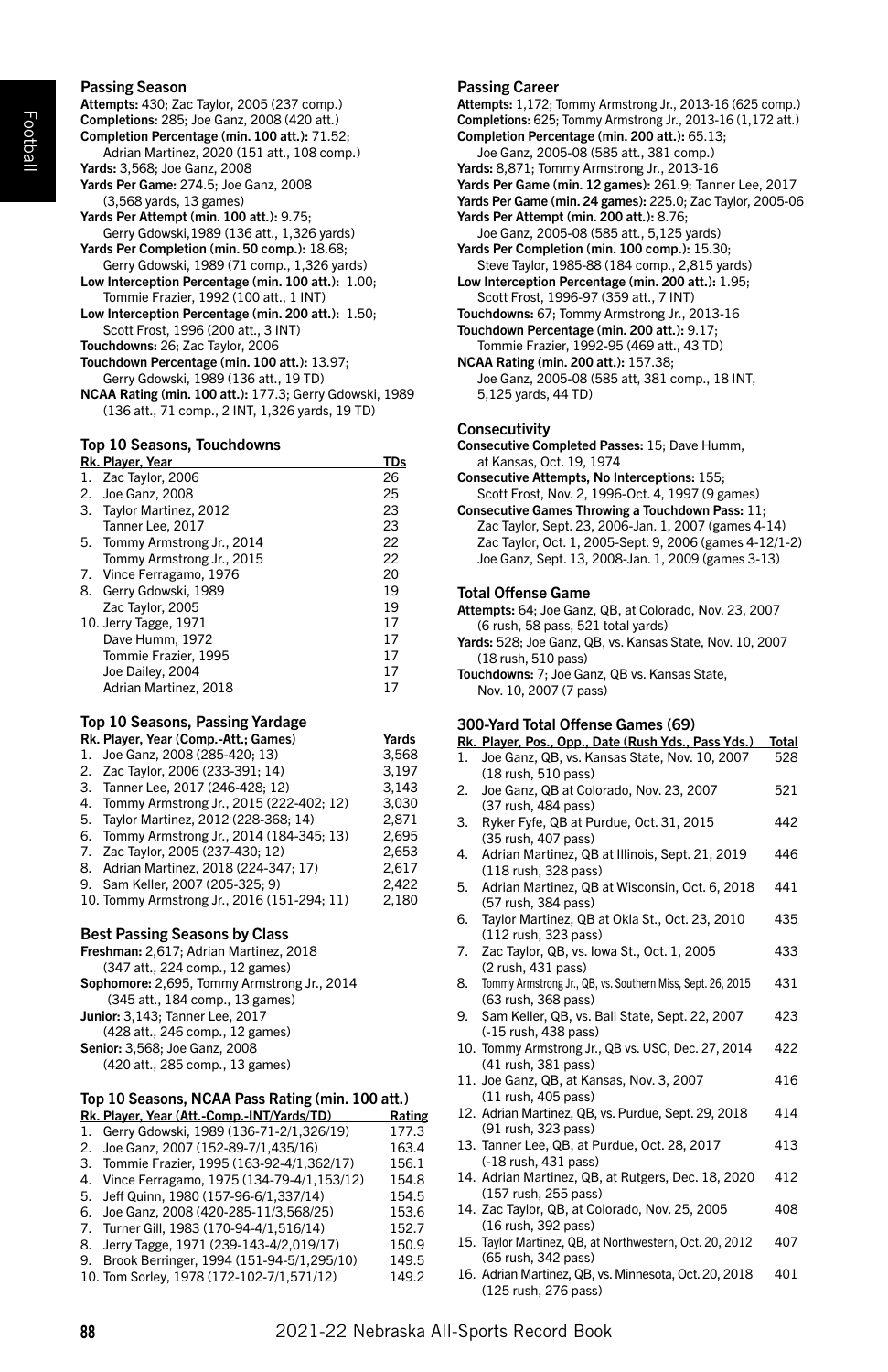### Passing Season

Attempts: 430; Zac Taylor, 2005 (237 comp.) Completions: 285; Joe Ganz, 2008 (420 att.) Completion Percentage (min. 100 att.): 71.52; Adrian Martinez, 2020 (151 att., 108 comp.) Yards: 3,568; Joe Ganz, 2008 Yards Per Game: 274.5; Joe Ganz, 2008 (3,568 yards, 13 games) Yards Per Attempt (min. 100 att.): 9.75; Gerry Gdowski,1989 (136 att., 1,326 yards) Yards Per Completion (min. 50 comp.): 18.68; Gerry Gdowski, 1989 (71 comp., 1,326 yards) Low Interception Percentage (min. 100 att.): 1.00; Tommie Frazier, 1992 (100 att., 1 INT) Low Interception Percentage (min. 200 att.): 1.50; Scott Frost, 1996 (200 att., 3 INT) Touchdowns: 26; Zac Taylor, 2006 Touchdown Percentage (min. 100 att.): 13.97; Gerry Gdowski, 1989 (136 att., 19 TD)

NCAA Rating (min. 100 att.): 177.3; Gerry Gdowski, 1989 (136 att., 71 comp., 2 INT, 1,326 yards, 19 TD)

#### Top 10 Seasons, Touchdowns

|    | Rk. Player, Year             | TDs |
|----|------------------------------|-----|
| 1. | Zac Taylor, 2006             | 26  |
| 2. | Joe Ganz, 2008               | 25  |
|    | 3. Tavlor Martinez, 2012     | 23  |
|    | Tanner Lee, 2017             | 23  |
|    | 5. Tommy Armstrong Jr., 2014 | 22  |
|    | Tommy Armstrong Jr., 2015    | 22  |
|    | 7. Vince Ferragamo, 1976     | 20  |
| 8. | Gerry Gdowski, 1989          | 19  |
|    | Zac Taylor, 2005             | 19  |
|    | 10. Jerry Tagge, 1971        | 17  |
|    | Dave Humm, 1972              | 17  |
|    | Tommie Frazier, 1995         | 17  |
|    | Joe Dailey, 2004             | 17  |
|    | Adrian Martinez, 2018        | 17  |
|    |                              |     |

#### Top 10 Seasons, Passing Yardage

|    | Rk. Player, Year (Comp.-Att.; Games)        | Yards |
|----|---------------------------------------------|-------|
|    | 1. Joe Ganz. 2008 (285-420: 13)             | 3.568 |
|    | 2. Zac Taylor, 2006 (233-391; 14)           | 3.197 |
|    | 3. Tanner Lee, 2017 (246-428; 12)           | 3.143 |
|    | 4. Tommy Armstrong Jr., 2015 (222-402; 12)  | 3.030 |
| 5. | Taylor Martinez, 2012 (228-368; 14)         | 2.871 |
|    | 6. Tommy Armstrong Jr., 2014 (184-345; 13)  | 2.695 |
|    | 7. Zac Taylor, 2005 (237-430; 12)           | 2.653 |
|    | 8. Adrian Martinez, 2018 (224-347; 17)      | 2,617 |
|    | 9. Sam Keller, 2007 (205-325; 9)            | 2.422 |
|    | 10. Tommy Armstrong Jr., 2016 (151-294; 11) | 2.180 |
|    |                                             |       |

#### Best Passing Seasons by Class

| Freshman: 2,617; Adrian Martinez, 2018      |
|---------------------------------------------|
| (347 att., 224 comp., 12 games)             |
| Sophomore: 2,695, Tommy Armstrong Jr., 2014 |
| (345 att., 184 comp., 13 games)             |
| Junior: 3,143; Tanner Lee, 2017             |
| (428 att., 246 comp., 12 games)             |
| Senior: 3.568: Joe Ganz. 2008               |
| (420 att., 285 comp., 13 games)             |
|                                             |

#### Top 10 Seasons, NCAA Pass Rating (min. 100 att.)

|    | Rk. Player, Year (Att.-Comp.-INT/Yards/TD)   | Rating |
|----|----------------------------------------------|--------|
|    | 1. Gerry Gdowski, 1989 (136-71-2/1,326/19)   | 177.3  |
|    | 2. Joe Ganz, 2007 (152-89-7/1,435/16)        | 163.4  |
|    | 3. Tommie Frazier, 1995 (163-92-4/1,362/17)  | 156.1  |
|    | 4. Vince Ferragamo. 1975 (134-79-4/1.153/12) | 154.8  |
|    | 5. Jeff Quinn. 1980 (157-96-6/1.337/14)      | 154.5  |
|    | 6. Joe Ganz. 2008 (420-285-11/3.568/25)      | 153.6  |
|    | 7. Turner Gill, 1983 (170-94-4/1,516/14)     | 152.7  |
| 8. | Jerry Tagge, 1971 (239-143-4/2,019/17)       | 150.9  |
|    | 9. Brook Berringer, 1994 (151-94-5/1.295/10) | 149.5  |
|    | 10. Tom Sorley, 1978 (172-102-7/1.571/12)    | 149.2  |

#### Passing Career

Attempts: 1,172; Tommy Armstrong Jr., 2013-16 (625 comp.) Completions: 625; Tommy Armstrong Jr., 2013-16 (1,172 att.) Completion Percentage (min. 200 att.): 65.13; Joe Ganz, 2005-08 (585 att., 381 comp.) Yards: 8,871; Tommy Armstrong Jr., 2013-16 Yards Per Game (min. 12 games): 261.9; Tanner Lee, 2017 Yards Per Game (min. 24 games): 225.0; Zac Taylor, 2005-06 Yards Per Attempt (min. 200 att.): 8.76; Joe Ganz, 2005-08 (585 att., 5,125 yards) Yards Per Completion (min. 100 comp.): 15.30; Steve Taylor, 1985-88 (184 comp., 2,815 yards) Low Interception Percentage (min. 200 att.): 1.95; Scott Frost, 1996-97 (359 att., 7 INT) Touchdowns: 67; Tommy Armstrong Jr., 2013-16 Touchdown Percentage (min. 200 att.): 9.17; Tommie Frazier, 1992-95 (469 att., 43 TD) NCAA Rating (min. 200 att.): 157.38; Joe Ganz, 2005-08 (585 att, 381 comp., 18 INT, 5,125 yards, 44 TD)

#### **Consecutivity**

Consecutive Completed Passes: 15; Dave Humm, at Kansas, Oct. 19, 1974

Consecutive Attempts, No Interceptions: 155; Scott Frost, Nov. 2, 1996-Oct. 4, 1997 (9 games)

Consecutive Games Throwing a Touchdown Pass: 11; Zac Taylor, Sept. 23, 2006-Jan. 1, 2007 (games 4-14) Zac Taylor, Oct. 1, 2005-Sept. 9, 2006 (games 4-12/1-2) Joe Ganz, Sept. 13, 2008-Jan. 1, 2009 (games 3-13)

#### Total Offense Game

Attempts: 64; Joe Ganz, QB, at Colorado, Nov. 23, 2007 (6 rush, 58 pass, 521 total yards)

Yards: 528; Joe Ganz, QB, vs. Kansas State, Nov. 10, 2007 (18 rush, 510 pass)

Touchdowns: 7; Joe Ganz, QB vs. Kansas State, Nov. 10, 2007 (7 pass)

#### 300-Yard Total Offense Games (69)

|    | Rk. Player, Pos., Opp., Date (Rush Yds., Pass Yds.)                    | Total |
|----|------------------------------------------------------------------------|-------|
| 1. | Joe Ganz, QB, vs. Kansas State, Nov. 10, 2007                          | 528   |
|    | (18 rush, 510 pass)                                                    |       |
| 2. | Joe Ganz, QB at Colorado, Nov. 23, 2007                                | 521   |
|    | (37 rush, 484 pass)                                                    |       |
| 3. | Ryker Fyfe, QB at Purdue, Oct. 31, 2015                                | 442   |
|    | (35 rush, 407 pass)                                                    |       |
| 4. | Adrian Martinez, QB at Illinois, Sept. 21, 2019                        | 446   |
|    | (118 rush, 328 pass)                                                   |       |
| 5. | Adrian Martinez, QB at Wisconsin, Oct. 6, 2018                         | 441   |
| 6. | (57 rush, 384 pass)                                                    | 435   |
|    | Taylor Martinez, QB at Okla St., Oct. 23, 2010<br>(112 rush, 323 pass) |       |
| 7. | Zac Taylor, QB, vs. lowa St., Oct. 1, 2005                             | 433   |
|    | (2 rush, 431 pass)                                                     |       |
| 8. | Tommy Armstrong Jr., QB, vs. Southern Miss, Sept. 26, 2015             | 431   |
|    | (63 rush, 368 pass)                                                    |       |
| 9. | Sam Keller, QB, vs. Ball State, Sept. 22, 2007                         | 423   |
|    | (-15 rush, 438 pass)                                                   |       |
|    | 10. Tommy Armstrong Jr., QB vs. USC, Dec. 27, 2014                     | 422   |
|    | (41 rush, 381 pass)                                                    |       |
|    | 11. Joe Ganz, QB, at Kansas, Nov. 3, 2007                              | 416   |
|    | (11 rush, 405 pass)                                                    |       |
|    | 12. Adrian Martinez, QB, vs. Purdue, Sept. 29, 2018                    | 414   |
|    | (91 rush, 323 pass)                                                    |       |
|    | 13. Tanner Lee, QB, at Purdue, Oct. 28, 2017                           | 413   |
|    | (-18 rush, 431 pass)                                                   |       |
|    | 14. Adrian Martinez, QB, at Rutgers, Dec. 18, 2020                     | 412   |
|    | (157 rush, 255 pass)                                                   | 408   |
|    | 14. Zac Taylor, QB, at Colorado, Nov. 25, 2005<br>(16 rush, 392 pass)  |       |
|    | 15. Taylor Martinez, QB, at Northwestern, Oct. 20, 2012                | 407   |
|    | (65 rush, 342 pass)                                                    |       |
|    | 16. Adrian Martinez, QB, vs. Minnesota, Oct. 20, 2018                  | 401   |
|    | (125 rush, 276 pass)                                                   |       |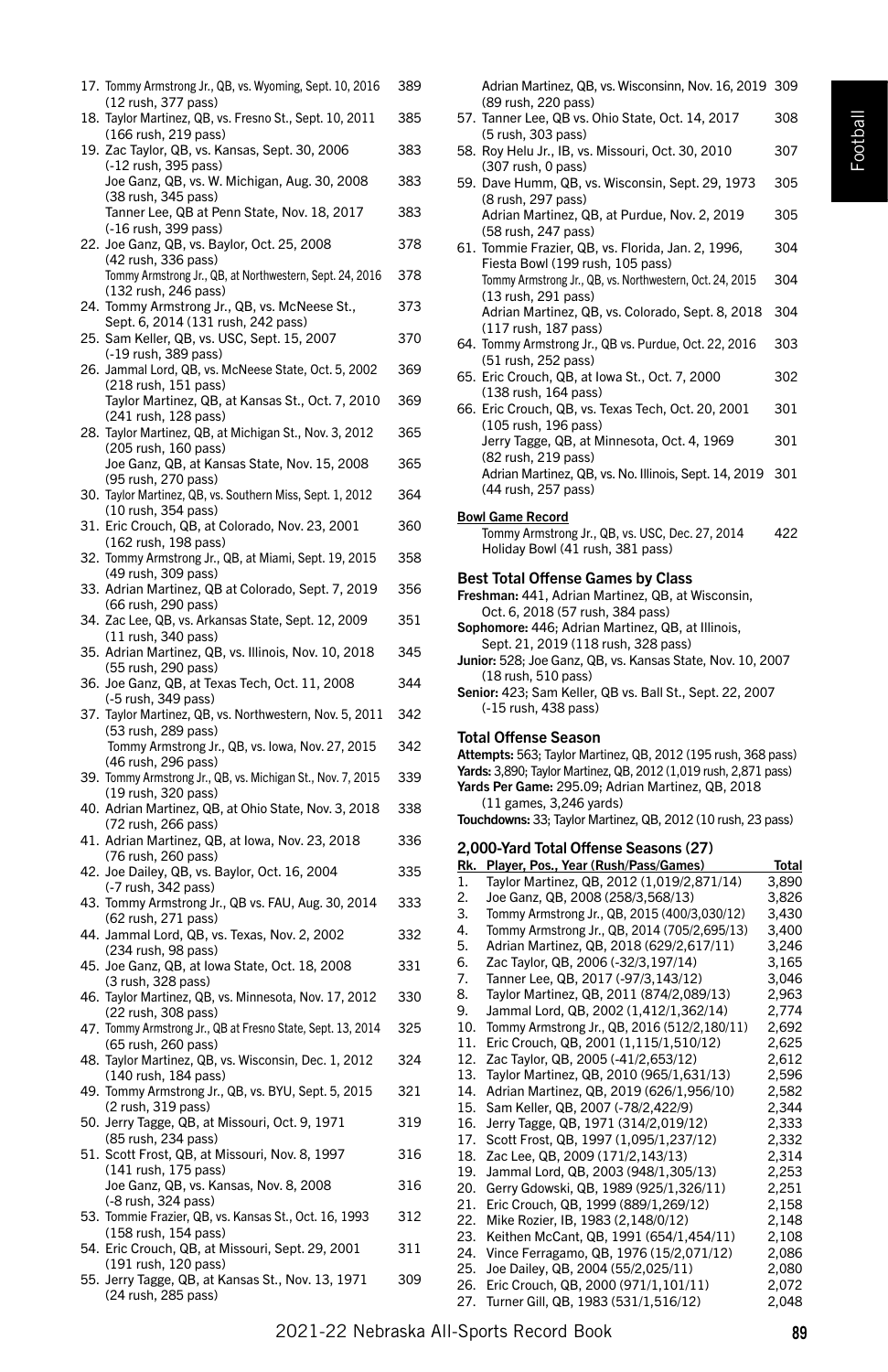| 17. Tommy Armstrong Jr., QB, vs. Wyoming, Sept. 10, 2016<br>(12 rush, 377 pass)    | 389 |
|------------------------------------------------------------------------------------|-----|
| 18. Taylor Martinez, QB, vs. Fresno St., Sept. 10, 2011<br>(166 rush, 219 pass)    | 385 |
| 19. Zac Taylor, QB, vs. Kansas, Sept. 30, 2006<br>(-12 rush, 395 pass)             | 383 |
| Joe Ganz, QB, vs. W. Michigan, Aug. 30, 2008<br>(38 rush, 345 pass)                | 383 |
| Tanner Lee, QB at Penn State, Nov. 18, 2017<br>(-16 rush, 399 pass)                | 383 |
| 22. Joe Ganz, QB, vs. Baylor, Oct. 25, 2008                                        | 378 |
| (42 rush, 336 pass)<br>Tommy Armstrong Jr., QB, at Northwestern, Sept. 24, 2016    | 378 |
| (132 rush, 246 pass)<br>24. Tommy Armstrong Jr., QB, vs. McNeese St.,              | 373 |
| Sept. 6, 2014 (131 rush, 242 pass)<br>25. Sam Keller, QB, vs. USC, Sept. 15, 2007  | 370 |
| (-19 rush, 389 pass)<br>26. Jammal Lord, QB, vs. McNeese State, Oct. 5, 2002       | 369 |
| (218 rush, 151 pass)<br>Taylor Martinez, QB, at Kansas St., Oct. 7, 2010           | 369 |
| (241 rush, 128 pass)<br>28. Taylor Martinez, QB, at Michigan St., Nov. 3, 2012     | 365 |
| (205 rush, 160 pass)<br>Joe Ganz, QB, at Kansas State, Nov. 15, 2008               | 365 |
| (95 rush, 270 pass)<br>30. Taylor Martinez, QB, vs. Southern Miss, Sept. 1, 2012   | 364 |
| (10 rush, 354 pass)<br>31. Eric Crouch, QB, at Colorado, Nov. 23, 2001             | 360 |
| (162 rush, 198 pass)<br>32. Tommy Armstrong Jr., QB, at Miami, Sept. 19, 2015      | 358 |
| (49 rush, 309 pass)                                                                |     |
| 33. Adrian Martinez, QB at Colorado, Sept. 7, 2019<br>(66 rush, 290 pass)          | 356 |
| 34. Zac Lee, QB, vs. Arkansas State, Sept. 12, 2009<br>(11 rush, 340 pass)         | 351 |
| 35. Adrian Martinez, QB, vs. Illinois, Nov. 10, 2018<br>(55 rush, 290 pass)        | 345 |
| 36. Joe Ganz, QB, at Texas Tech, Oct. 11, 2008<br>(-5 rush, 349 pass)              | 344 |
| 37. Taylor Martinez, QB, vs. Northwestern, Nov. 5, 2011<br>(53 rush, 289 pass)     | 342 |
| Tommy Armstrong Jr., QB, vs. Iowa, Nov. 27, 2015<br>(46 rush, 296 pass)            | 342 |
| 39. Tommy Armstrong Jr., QB, vs. Michigan St., Nov. 7, 2015<br>(19 rush, 320 pass) | 339 |
| 40. Adrian Martinez, QB, at Ohio State, Nov. 3, 2018<br>(72 rush, 266 pass)        | 338 |
| 41. Adrian Martinez, QB, at Iowa, Nov. 23, 2018<br>(76 rush, 260 pass)             | 336 |
| 42. Joe Dailey, QB, vs. Baylor, Oct. 16, 2004<br>(-7 rush, 342 pass)               | 335 |
| 43. Tommy Armstrong Jr., QB vs. FAU, Aug. 30, 2014                                 | 333 |
| (62 rush, 271 pass)<br>44. Jammal Lord, QB, vs. Texas, Nov. 2, 2002                | 332 |
| (234 rush, 98 pass)<br>45. Joe Ganz, QB, at Iowa State, Oct. 18, 2008              | 331 |
| (3 rush, 328 pass)<br>46. Taylor Martinez, QB, vs. Minnesota, Nov. 17, 2012        | 330 |
| (22 rush, 308 pass)<br>47. Tommy Armstrong Jr., QB at Fresno State, Sept. 13, 2014 | 325 |
| (65 rush, 260 pass)<br>48. Taylor Martinez, QB, vs. Wisconsin, Dec. 1, 2012        | 324 |
| (140 rush, 184 pass)<br>49. Tommy Armstrong Jr., QB, vs. BYU, Sept. 5, 2015        | 321 |
| (2 rush, 319 pass)<br>50. Jerry Tagge, QB, at Missouri, Oct. 9, 1971               | 319 |
| (85 rush, 234 pass)<br>51. Scott Frost, QB, at Missouri, Nov. 8, 1997              | 316 |
| (141 rush, 175 pass)<br>Joe Ganz, QB, vs. Kansas, Nov. 8, 2008                     | 316 |
| (-8 rush, 324 pass)<br>53. Tommie Frazier, QB, vs. Kansas St., Oct. 16, 1993       | 312 |
|                                                                                    |     |
| (158 rush, 154 pass)<br>54. Eric Crouch, QB, at Missouri, Sept. 29, 2001           | 311 |

nsas St., Nov. 13, 1971 309 (24 rush, 285 pass)

Adrian Martinez, QB, vs. Wisconsinn, Nov. 16, 2019 309 (89 rush, 220 pass)

- 57. Tanner Lee, QB vs. Ohio State, Oct. 14, 2017 308 (5 rush, 303 pass)
- 58. Roy Helu Jr., IB, vs. Missouri, Oct. 30, 2010 307 (307 rush, 0 pass)
- 59. Dave Humm, QB, vs. Wisconsin, Sept. 29, 1973 305 (8 rush, 297 pass) Adrian Martinez, QB, at Purdue, Nov. 2, 2019 305 (58 rush, 247 pass) 61. Tommie Frazier, QB, vs. Florida, Jan. 2, 1996, 304
- Fiesta Bowl (199 rush, 105 pass) Tommy Armstrong Jr., QB, vs. Northwestern, Oct. 24, 2015 304 (13 rush, 291 pass) Adrian Martinez, QB, vs. Colorado, Sept. 8, 2018 304 (117 rush, 187 pass) 64. Tommy Armstrong Jr., QB vs. Purdue, Oct. 22, 2016 303 (51 rush, 252 pass) 65. Eric Crouch, QB, at Iowa St., Oct. 7, 2000 302 (138 rush, 164 pass) 66. Eric Crouch, QB, vs. Texas Tech, Oct. 20, 2001 301 (105 rush, 196 pass) Jerry Tagge, QB, at Minnesota, Oct. 4, 1969 301 (82 rush, 219 pass)

Adrian Martinez, QB, vs. No. Illinois, Sept. 14, 2019 301 (44 rush, 257 pass)

#### Bowl Game Record

Tommy Armstrong Jr., QB, vs. USC, Dec. 27, 2014 422 Holiday Bowl (41 rush, 381 pass)

#### Best Total Offense Games by Class

- Freshman: 441, Adrian Martinez, QB, at Wisconsin, Oct. 6, 2018 (57 rush, 384 pass)
- Sophomore: 446: Adrian Martinez, QB, at Illinois, Sept. 21, 2019 (118 rush, 328 pass)
- Junior: 528; Joe Ganz, QB, vs. Kansas State, Nov. 10, 2007 (18 rush, 510 pass)
- Senior: 423; Sam Keller, QB vs. Ball St., Sept. 22, 2007 (-15 rush, 438 pass)

#### Total Offense Season

Attempts: 563; Taylor Martinez, QB, 2012 (195 rush, 368 pass) Yards: 3,890; Taylor Martinez, QB, 2012 (1,019 rush, 2,871 pass) Yards Per Game: 295.09; Adrian Martinez, QB, 2018 (11 games, 3,246 yards)

Touchdowns: 33; Taylor Martinez, QB, 2012 (10 rush, 23 pass)

#### 2,000-Yard Total Offense Seasons (27)

| Rk. | Player, Pos., Year (Rush/Pass/Games)         | Total |
|-----|----------------------------------------------|-------|
| 1.  | Taylor Martinez, QB, 2012 (1,019/2,871/14)   | 3,890 |
| 2.  | Joe Ganz, QB, 2008 (258/3,568/13)            | 3.826 |
| 3.  | Tommy Armstrong Jr., QB, 2015 (400/3,030/12) | 3,430 |
| 4.  | Tommy Armstrong Jr., QB, 2014 (705/2,695/13) | 3,400 |
| 5.  | Adrian Martinez, QB, 2018 (629/2,617/11)     | 3,246 |
| 6.  | Zac Taylor, QB, 2006 (-32/3,197/14)          | 3,165 |
| 7.  | Tanner Lee, QB, 2017 (-97/3,143/12)          | 3,046 |
| 8.  | Taylor Martinez, QB, 2011 (874/2,089/13)     | 2,963 |
| 9.  | Jammal Lord, QB, 2002 (1,412/1,362/14)       | 2,774 |
| 10. | Tommy Armstrong Jr., QB, 2016 (512/2,180/11) | 2,692 |
| 11. | Eric Crouch, QB, 2001 (1,115/1,510/12)       | 2,625 |
| 12. | Zac Taylor, QB, 2005 (-41/2,653/12)          | 2,612 |
| 13. | Taylor Martinez, QB, 2010 (965/1,631/13)     | 2,596 |
| 14. | Adrian Martinez, QB, 2019 (626/1,956/10)     | 2,582 |
| 15. | Sam Keller, QB, 2007 (-78/2,422/9)           | 2,344 |
| 16. | Jerry Tagge, QB, 1971 (314/2,019/12)         | 2,333 |
| 17. | Scott Frost, QB, 1997 (1,095/1,237/12)       | 2,332 |
| 18. | Zac Lee, QB, 2009 (171/2, 143/13)            | 2,314 |
| 19. | Jammal Lord, QB, 2003 (948/1,305/13)         | 2,253 |
| 20. | Gerry Gdowski, QB, 1989 (925/1,326/11)       | 2,251 |
| 21. | Eric Crouch, QB, 1999 (889/1,269/12)         | 2,158 |
| 22. | Mike Rozier, IB, 1983 (2,148/0/12)           | 2,148 |
| 23. | Keithen McCant, QB, 1991 (654/1,454/11)      | 2,108 |
| 24. | Vince Ferragamo, QB, 1976 (15/2,071/12)      | 2,086 |
| 25. | Joe Dailey, QB, 2004 (55/2,025/11)           | 2,080 |
| 26. | Eric Crouch, QB, 2000 (971/1,101/11)         | 2,072 |
| 27. | Turner Gill, QB, 1983 (531/1,516/12)         | 2,048 |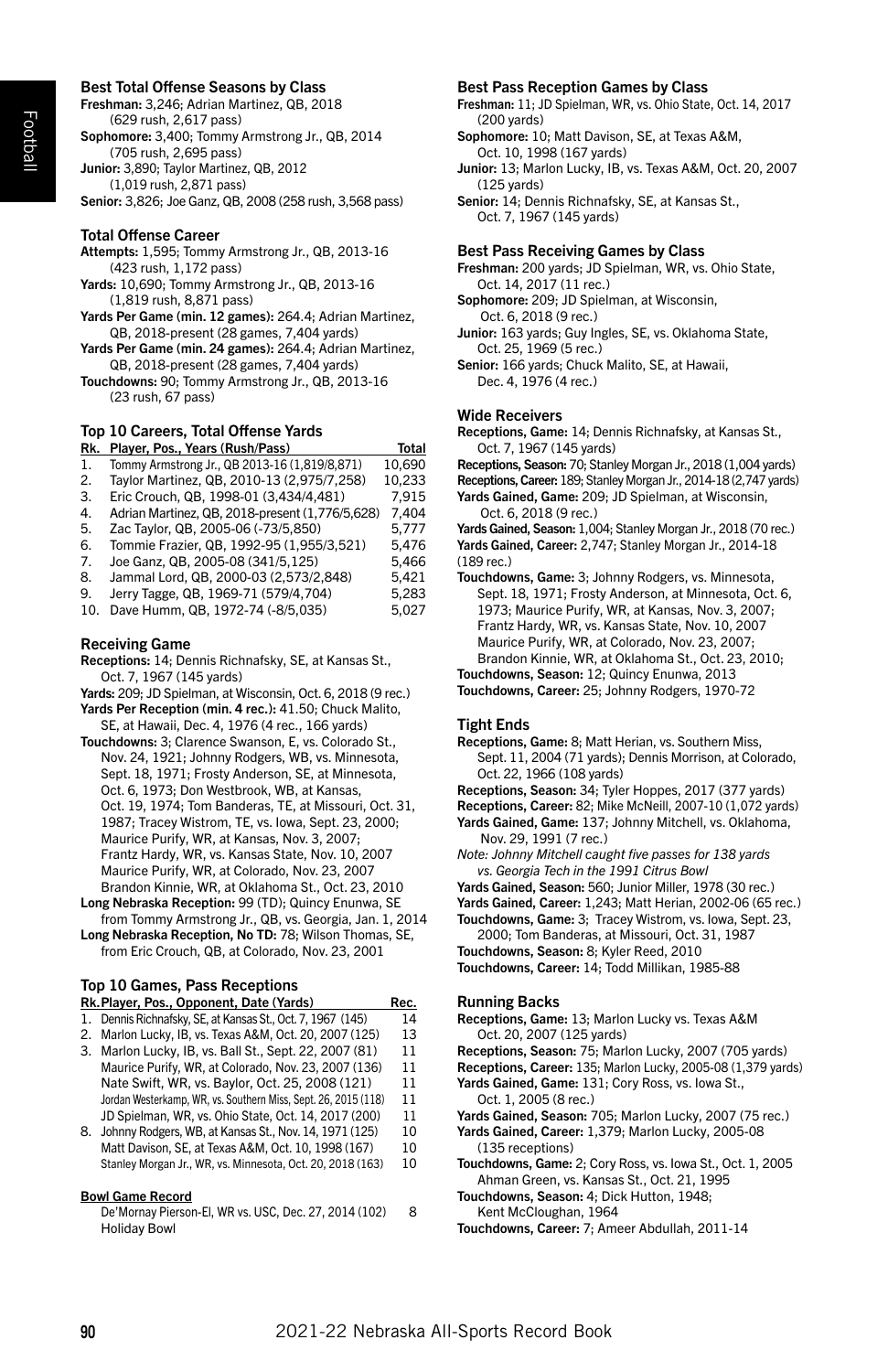#### Best Total Offense Seasons by Class

Freshman: 3,246; Adrian Martinez, QB, 2018 (629 rush, 2,617 pass) Sophomore: 3,400; Tommy Armstrong Jr., QB, 2014 (705 rush, 2,695 pass) Junior: 3,890; Taylor Martinez, QB, 2012 (1,019 rush, 2,871 pass) Senior: 3,826; Joe Ganz, QB, 2008 (258 rush, 3,568 pass)

#### Total Offense Career

Attempts: 1,595; Tommy Armstrong Jr., QB, 2013-16 (423 rush, 1,172 pass)

Yards: 10,690; Tommy Armstrong Jr., QB, 2013-16 (1,819 rush, 8,871 pass)

- Yards Per Game (min. 12 games): 264.4; Adrian Martinez, QB, 2018-present (28 games, 7,404 yards)
- Yards Per Game (min. 24 games): 264.4; Adrian Martinez, QB, 2018-present (28 games, 7,404 yards)
- Touchdowns: 90; Tommy Armstrong Jr., QB, 2013-16 (23 rush, 67 pass)

# Top 10 Careers, Total Offense Yards

| Rk. | Player, Pos., Years (Rush/Pass)                 | Total  |
|-----|-------------------------------------------------|--------|
| 1.  | Tommy Armstrong Jr., QB 2013-16 (1,819/8,871)   | 10,690 |
| 2.  | Taylor Martinez, QB, 2010-13 (2,975/7,258)      | 10.233 |
| 3.  | Eric Crouch, QB, 1998-01 (3,434/4,481)          | 7.915  |
| 4.  | Adrian Martinez, QB, 2018-present (1,776/5,628) | 7.404  |
| 5.  | Zac Taylor, QB, 2005-06 (-73/5,850)             | 5.777  |
| 6.  | Tommie Frazier, QB, 1992-95 (1,955/3,521)       | 5,476  |
| 7.  | Joe Ganz. QB. 2005-08 (341/5.125)               | 5.466  |
| 8.  | Jammal Lord, QB, 2000-03 (2,573/2,848)          | 5.421  |
| 9.  | Jerry Tagge, QB, 1969-71 (579/4,704)            | 5.283  |
| 10. | Dave Humm, QB, 1972-74 (-8/5,035)               | 5.027  |
|     |                                                 |        |

#### Receiving Game

- Receptions: 14; Dennis Richnafsky, SE, at Kansas St., Oct. 7, 1967 (145 yards)
- Yards: 209; JD Spielman, at Wisconsin, Oct. 6, 2018 (9 rec.)

Yards Per Reception (min. 4 rec.): 41.50: Chuck Malito, SE, at Hawaii, Dec. 4, 1976 (4 rec., 166 yards)

- Touchdowns: 3; Clarence Swanson, E, vs. Colorado St., Nov. 24, 1921; Johnny Rodgers, WB, vs. Minnesota, Sept. 18, 1971; Frosty Anderson, SE, at Minnesota, Oct. 6, 1973; Don Westbrook, WB, at Kansas, Oct. 19, 1974; Tom Banderas, TE, at Missouri, Oct. 31, 1987; Tracey Wistrom, TE, vs. Iowa, Sept. 23, 2000; Maurice Purify, WR, at Kansas, Nov. 3, 2007; Frantz Hardy, WR, vs. Kansas State, Nov. 10, 2007 Maurice Purify, WR, at Colorado, Nov. 23, 2007 Brandon Kinnie, WR, at Oklahoma St., Oct. 23, 2010
- Long Nebraska Reception: 99 (TD); Quincy Enunwa, SE from Tommy Armstrong Jr., QB, vs. Georgia, Jan. 1, 2014
- Long Nebraska Reception, No TD: 78; Wilson Thomas, SE, from Eric Crouch, QB, at Colorado, Nov. 23, 2001

# Top 10 Games, Pass Receptions

|    | Rk. Player, Pos., Opponent, Date (Yards)                       | Rec. |
|----|----------------------------------------------------------------|------|
|    | 1. Dennis Richnafsky, SE, at Kansas St., Oct. 7, 1967 (145)    | 14   |
| 2. | Marlon Lucky, IB, vs. Texas A&M, Oct. 20, 2007 (125)           | 13   |
|    | 3. Marlon Lucky, IB, vs. Ball St., Sept. 22, 2007 (81)         | 11   |
|    | Maurice Purify, WR, at Colorado, Nov. 23, 2007 (136)           | 11   |
|    | Nate Swift, WR, vs. Baylor, Oct. 25, 2008 (121)                | 11   |
|    | Jordan Westerkamp, WR, vs. Southern Miss, Sept. 26, 2015 (118) | 11   |
|    | JD Spielman, WR, vs. Ohio State, Oct. 14, 2017 (200)           | 11   |
| 8. | Johnny Rodgers, WB, at Kansas St., Nov. 14, 1971 (125)         | 10   |
|    | Matt Davison, SE, at Texas A&M, Oct. 10, 1998 (167)            | 10   |
|    | Stanley Morgan Jr., WR, vs. Minnesota, Oct. 20, 2018 (163)     | 10   |

#### Bowl Game Record

De'Mornay Pierson-El, WR vs. USC, Dec. 27, 2014 (102) 8 Holiday Bowl

#### Best Pass Reception Games by Class

Freshman: 11; JD Spielman, WR, vs. Ohio State, Oct. 14, 2017 (200 yards)

Sophomore: 10; Matt Davison, SE, at Texas A&M, Oct. 10, 1998 (167 yards)

Junior: 13; Marlon Lucky, IB, vs. Texas A&M, Oct. 20, 2007 (125 yards)

Senior: 14; Dennis Richnafsky, SE, at Kansas St., Oct. 7, 1967 (145 yards)

#### Best Pass Receiving Games by Class

Freshman: 200 yards; JD Spielman, WR, vs. Ohio State, Oct. 14, 2017 (11 rec.)

Sophomore: 209; JD Spielman, at Wisconsin, Oct. 6, 2018 (9 rec.)

Junior: 163 yards; Guy Ingles, SE, vs. Oklahoma State, Oct. 25, 1969 (5 rec.)

Senior: 166 yards; Chuck Malito, SE, at Hawaii, Dec. 4, 1976 (4 rec.)

#### Wide Receivers

Receptions, Game: 14; Dennis Richnafsky, at Kansas St., Oct. 7, 1967 (145 yards)

Receptions, Season: 70; Stanley Morgan Jr., 2018 (1,004 yards)

Receptions, Career: 189; Stanley Morgan Jr., 2014-18 (2,747 yards)

Yards Gained, Game: 209; JD Spielman, at Wisconsin, Oct. 6, 2018 (9 rec.)

Yards Gained, Season: 1,004; Stanley Morgan Jr., 2018 (70 rec.) Yards Gained, Career: 2,747; Stanley Morgan Jr., 2014-18 (189 rec.)

- Touchdowns, Game: 3; Johnny Rodgers, vs. Minnesota, Sept. 18, 1971; Frosty Anderson, at Minnesota, Oct. 6, 1973; Maurice Purify, WR, at Kansas, Nov. 3, 2007; Frantz Hardy, WR, vs. Kansas State, Nov. 10, 2007 Maurice Purify, WR, at Colorado, Nov. 23, 2007; Brandon Kinnie, WR, at Oklahoma St., Oct. 23, 2010;
- Touchdowns, Season: 12; Quincy Enunwa, 2013 Touchdowns, Career: 25; Johnny Rodgers, 1970-72

#### Tight Ends

Receptions, Game: 8; Matt Herian, vs. Southern Miss, Sept. 11, 2004 (71 yards); Dennis Morrison, at Colorado, Oct. 22, 1966 (108 yards)

Receptions, Season: 34; Tyler Hoppes, 2017 (377 yards)

Receptions, Career: 82; Mike McNeill, 2007-10 (1,072 yards) Yards Gained, Game: 137; Johnny Mitchell, vs. Oklahoma,

 Nov. 29, 1991 (7 rec.) *Note: Johnny Mitchell caught five passes for 138 yards*

- *vs. Georgia Tech in the 1991 Citrus Bowl*
- Yards Gained, Season: 560; Junior Miller, 1978 (30 rec.)
- Yards Gained, Career: 1,243; Matt Herian, 2002-06 (65 rec.)
- Touchdowns, Game: 3; Tracey Wistrom, vs. Iowa, Sept. 23, 2000; Tom Banderas, at Missouri, Oct. 31, 1987
- Touchdowns, Season: 8; Kyler Reed, 2010
- Touchdowns, Career: 14; Todd Millikan, 1985-88

#### Running Backs

Receptions, Game: 13; Marlon Lucky vs. Texas A&M Oct. 20, 2007 (125 yards)

Receptions, Season: 75; Marlon Lucky, 2007 (705 yards)

- Receptions, Career: 135; Marlon Lucky, 2005-08 (1,379 yards) Yards Gained, Game: 131; Cory Ross, vs. Iowa St.,
- Oct. 1, 2005 (8 rec.)
- Yards Gained, Season: 705; Marlon Lucky, 2007 (75 rec.)
- Yards Gained, Career: 1,379; Marlon Lucky, 2005-08 (135 receptions)
- Touchdowns, Game: 2; Cory Ross, vs. Iowa St., Oct. 1, 2005 Ahman Green, vs. Kansas St., Oct. 21, 1995

Touchdowns, Season: 4; Dick Hutton, 1948; Kent McCloughan, 1964

Touchdowns, Career: 7; Ameer Abdullah, 2011-14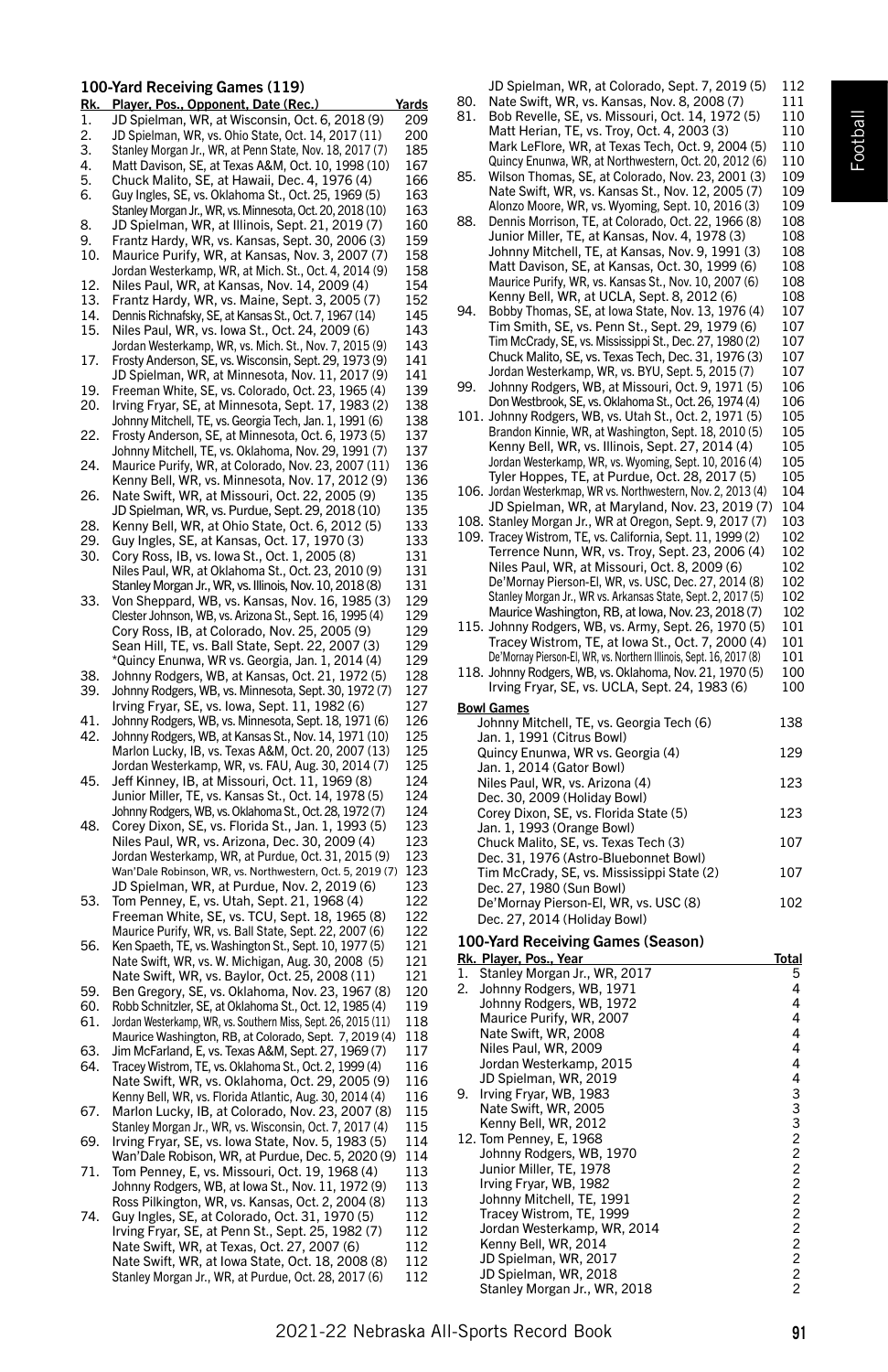# 100-Yard Receiving Games (119)

| <u>Rk.</u> | Player, Pos., Opponent, Date (Rec.)                                                                              | Yards      |
|------------|------------------------------------------------------------------------------------------------------------------|------------|
| 1.         | JD Spielman, WR, at Wisconsin, Oct. 6, 2018 (9)                                                                  | 209        |
| 2.         | JD Spielman, WR, vs. Ohio State, Oct. 14, 2017 (11)                                                              | 200        |
| 3.<br>4.   | Stanley Morgan Jr., WR, at Penn State, Nov. 18, 2017 (7)                                                         | 185        |
| 5.         | Matt Davison, SE, at Texas A&M, Oct. 10, 1998 (10)                                                               | 167<br>166 |
| 6.         | Chuck Malito, SE, at Hawaii, Dec. 4, 1976 (4)<br>Guy Ingles, SE, vs. Oklahoma St., Oct. 25, 1969 (5)             | 163        |
|            | Stanley Morgan Jr., WR, vs. Minnesota, Oct. 20, 2018 (10)                                                        | 163        |
| 8.         | JD Spielman, WR, at Illinois, Sept. 21, 2019 (7)                                                                 | 160        |
| 9.         | Frantz Hardy, WR, vs. Kansas, Sept. 30, 2006 (3)                                                                 | 159        |
| 10.        | Maurice Purify, WR, at Kansas, Nov. 3, 2007 (7)                                                                  | 158        |
| 12.        | Jordan Westerkamp, WR, at Mich. St., Oct. 4, 2014 (9)                                                            | 158<br>154 |
| 13.        | Niles Paul, WR, at Kansas, Nov. 14, 2009 (4)                                                                     | 152        |
| 14.        | Frantz Hardy, WR, vs. Maine, Sept. 3, 2005 (7)<br>Dennis Richnafsky, SE, at Kansas St., Oct. 7, 1967 (14)        | 145        |
| 15.        | Niles Paul, WR, vs. lowa St., Oct. 24, 2009 (6)                                                                  | 143        |
|            | Jordan Westerkamp, WR, vs. Mich. St., Nov. 7, 2015 (9)                                                           | 143        |
| 17.        | Frosty Anderson, SE, vs. Wisconsin, Sept. 29, 1973 (9)                                                           | 141        |
|            | JD Spielman, WR, at Minnesota, Nov. 11, 2017 (9)                                                                 | 141        |
| 19.<br>20. | Freeman White, SE, vs. Colorado, Oct. 23, 1965 (4)<br>Irving Fryar, SE, at Minnesota, Sept. 17, 1983 (2)         | 139<br>138 |
|            | Johnny Mitchell, TE, vs. Georgia Tech, Jan. 1, 1991 (6)                                                          | 138        |
| 22.        | Frosty Anderson, SE, at Minnesota, Oct. 6, 1973 (5)                                                              | 137        |
|            | Johnny Mitchell, TE, vs. Oklahoma, Nov. 29, 1991 (7)                                                             | 137        |
| 24.        | Maurice Purify, WR, at Colorado, Nov. 23, 2007 (11)                                                              | 136        |
|            | Kenny Bell, WR, vs. Minnesota, Nov. 17, 2012 (9)                                                                 | 136        |
| 26.        | Nate Swift, WR, at Missouri, Oct. 22, 2005 (9)                                                                   | 135<br>135 |
| 28.        | JD Spielman, WR, vs. Purdue, Sept. 29, 2018 (10)<br>Kenny Bell, WR, at Ohio State, Oct. 6, 2012 (5)              | 133        |
| 29.        | Guy Ingles, SE, at Kansas, Oct. 17, 1970 (3)                                                                     | 133        |
| 30.        | Cory Ross, IB, vs. Iowa St., Oct. 1, 2005 (8)                                                                    | 131        |
|            | Niles Paul, WR, at Oklahoma St., Oct. 23, 2010 (9)                                                               | 131        |
|            | Stanley Morgan Jr., WR, vs. Illinois, Nov. 10, 2018 (8)                                                          | 131        |
| 33.        | Von Sheppard, WB, vs. Kansas, Nov. 16, 1985 (3)                                                                  | 129<br>129 |
|            | Clester Johnson, WB, vs. Arizona St., Sept. 16, 1995 (4)<br>Cory Ross, IB, at Colorado, Nov. 25, 2005 (9)        | 129        |
|            | Sean Hill, TE, vs. Ball State, Sept. 22, 2007 (3)                                                                | 129        |
|            | *Quincy Enunwa, WR vs. Georgia, Jan. 1, 2014 (4)                                                                 | 129        |
| 38.        | Johnny Rodgers, WB, at Kansas, Oct. 21, 1972 (5)                                                                 | 128        |
| 39.        | Johnny Rodgers, WB, vs. Minnesota, Sept. 30, 1972 (7)                                                            | 127        |
| 41.        | Irving Fryar, SE, vs. Iowa, Sept. 11, 1982 (6)<br>Johnny Rodgers, WB, vs. Minnesota, Sept. 18, 1971 (6)          | 127<br>126 |
| 42.        | Johnny Rodgers, WB, at Kansas St., Nov. 14, 1971 (10)                                                            | 125        |
|            | Marlon Lucky, IB, vs. Texas A&M, Oct. 20, 2007 (13)                                                              | 125        |
|            | Jordan Westerkamp, WR, vs. FAU, Aug. 30, 2014 (7)                                                                | 125        |
| 45.        | Jeff Kinney, IB, at Missouri, Oct. 11, 1969 (8)                                                                  | 124<br>124 |
|            | Junior Miller, TE, vs. Kansas St., Oct. 14, 1978 (5)<br>Johnny Rodgers, WB, vs. Oklahoma St., Oct. 28, 1972 (7)  | 124        |
| 48.        | Corey Dixon, SE, vs. Florida St., Jan. 1, 1993 (5)                                                               | 123        |
|            | Niles Paul, WR, vs. Arizona, Dec. 30, 2009 (4)                                                                   | 123        |
|            | Jordan Westerkamp, WR, at Purdue, Oct. 31, 2015 (9)                                                              | 123        |
|            | Wan'Dale Robinson, WR, vs. Northwestern, Oct. 5, 2019 (7)                                                        | 123        |
| 53.        | JD Spielman, WR, at Purdue, Nov. 2, 2019 (6)<br>Tom Penney, E, vs. Utah, Sept. 21, 1968 (4)                      | 123<br>122 |
|            | Freeman White, SE, vs. TCU, Sept. 18, 1965 (8)                                                                   | 122        |
|            | Maurice Purify, WR, vs. Ball State, Sept. 22, 2007 (6)<br>Ken Spaeth, TE, vs. Washington St., Sept. 10, 1977 (5) | 122        |
| 56.        |                                                                                                                  | 121        |
|            | Nate Swift, WR, vs. W. Michigan, Aug. 30, 2008 (5)                                                               | 121        |
| 59.        | Nate Swift, WR, vs. Baylor, Oct. 25, 2008 (11)<br>Ben Gregory, SE, vs. Oklahoma, Nov. 23, 1967 (8)               | 121<br>120 |
| 60.        | Robb Schnitzler, SE, at Oklahoma St., Oct. 12, 1985 (4)                                                          | 119        |
| 61.        | Jordan Westerkamp, WR, vs. Southern Miss, Sept. 26, 2015 (11)                                                    | 118        |
|            | Maurice Washington, RB, at Colorado, Sept. 7, 2019 (4)                                                           | 118        |
| 63.        | Jim McFarland, E, vs. Texas A&M, Sept. 27, 1969 (7)                                                              | 117<br>116 |
| 64.        | Tracey Wistrom, TE, vs. Oklahoma St., Oct. 2, 1999 (4)<br>Nate Swift, WR, vs. Oklahoma, Oct. 29, 2005 (9)        | 116        |
|            | Kenny Bell, WR, vs. Florida Atlantic, Aug. 30, 2014 (4)                                                          | 116        |
| 67.        | Marlon Lucky, IB, at Colorado, Nov. 23, 2007 (8)                                                                 | 115        |
|            | Stanley Morgan Jr., WR, vs. Wisconsin, Oct. 7, 2017 (4)                                                          | 115        |
| 69.        | Irving Fryar, SE, vs. Iowa State, Nov. 5, 1983 (5)                                                               | 114        |
| 71.        | Wan'Dale Robison, WR, at Purdue, Dec. 5, 2020 (9)<br>Tom Penney, E, vs. Missouri, Oct. 19, 1968 (4)              | 114<br>113 |
|            | Johnny Rodgers, WB, at Iowa St., Nov. 11, 1972 (9)                                                               | 113        |
|            | Ross Pilkington, WR, vs. Kansas, Oct. 2, 2004 (8)                                                                | 113        |
| 74.        | Guy Ingles, SE, at Colorado, Oct. 31, 1970 (5)                                                                   | 112        |
|            | Irving Fryar, SE, at Penn St., Sept. 25, 1982 (7)                                                                | 112        |
|            | Nate Swift, WR, at Texas, Oct. 27, 2007 (6)                                                                      | 112        |
|            | Nate Swift, WR, at Iowa State, Oct. 18, 2008 (8)<br>Stanley Morgan Jr., WR, at Purdue, Oct. 28, 2017 (6)         | 112<br>112 |
|            |                                                                                                                  |            |

JD Spielman, WR, at Colorado, Sept. 7, 2019 (5) 112

| 80. | Nate Swift, WR, vs. Kansas, Nov. 8, 2008 (7)                                                        | 111        |
|-----|-----------------------------------------------------------------------------------------------------|------------|
| 81. | Bob Revelle, SE, vs. Missouri, Oct. 14, 1972 (5)                                                    | 110        |
|     | Matt Herian, TE, vs. Troy, Oct. 4, 2003 (3)                                                         | 110        |
|     | Mark LeFlore, WR, at Texas Tech, Oct. 9, 2004 (5)                                                   | 110        |
|     | Quincy Enunwa, WR, at Northwestern, Oct. 20, 2012 (6)                                               | 110        |
| 85. | Wilson Thomas, SE, at Colorado, Nov. 23, 2001 (3)                                                   | 109        |
|     | Nate Swift, WR, vs. Kansas St., Nov. 12, 2005 (7)                                                   | 109        |
|     | Alonzo Moore, WR, vs. Wyoming, Sept. 10, 2016 (3)                                                   | 109        |
| 88. | Dennis Morrison, TE, at Colorado, Oct. 22, 1966 (8)                                                 | 108        |
|     | Junior Miller, TE, at Kansas, Nov. 4, 1978 (3)                                                      | 108        |
|     | Johnny Mitchell, TE, at Kansas, Nov. 9, 1991 (3)                                                    | 108        |
|     | Matt Davison, SE, at Kansas, Oct. 30, 1999 (6)                                                      | 108        |
|     |                                                                                                     |            |
|     | Maurice Purify, WR, vs. Kansas St., Nov. 10, 2007 (6)<br>Kenny Bell, WR, at UCLA, Sept. 8, 2012 (6) | 108<br>108 |
| 94. |                                                                                                     |            |
|     | Bobby Thomas, SE, at Iowa State, Nov. 13, 1976 (4)                                                  | 107        |
|     | Tim Smith, SE, vs. Penn St., Sept. 29, 1979 (6)                                                     | 107        |
|     | Tim McCrady, SE, vs. Mississippi St., Dec. 27, 1980 (2)                                             | 107        |
|     | Chuck Malito, SE, vs. Texas Tech, Dec. 31, 1976 (3)                                                 | 107        |
|     | Jordan Westerkamp, WR, vs. BYU, Sept. 5, 2015 (7)                                                   | 107        |
| 99. | Johnny Rodgers, WB, at Missouri, Oct. 9, 1971 (5)                                                   | 106        |
|     | Don Westbrook, SE, vs. Oklahoma St., Oct. 26, 1974 (4)                                              | 106        |
|     | 101. Johnny Rodgers, WB, vs. Utah St., Oct. 2, 1971 (5)                                             | 105        |
|     | Brandon Kinnie, WR, at Washington, Sept. 18, 2010 (5)                                               | 105        |
|     | Kenny Bell, WR, vs. Illinois, Sept. 27, 2014 (4)                                                    | 105        |
|     | Jordan Westerkamp, WR, vs. Wyoming, Sept. 10, 2016 (4)                                              | 105        |
|     | Tyler Hoppes, TE, at Purdue, Oct. 28, 2017 (5)                                                      | 105        |
|     | 106. Jordan Westerkmap, WR vs. Northwestern, Nov. 2, 2013 (4)                                       | 104        |
|     | JD Spielman, WR, at Maryland, Nov. 23, 2019 (7)                                                     | 104        |
|     | 108. Stanley Morgan Jr., WR at Oregon, Sept. 9, 2017 (7)                                            | 103        |
|     | 109. Tracey Wistrom, TE, vs. California, Sept. 11, 1999 (2)                                         | 102        |
|     | Terrence Nunn, WR, vs. Troy, Sept. 23, 2006 (4)                                                     | 102        |
|     | Niles Paul, WR, at Missouri, Oct. 8, 2009 (6)                                                       | 102        |
|     | De'Mornay Pierson-El, WR, vs. USC, Dec. 27, 2014 (8)                                                | 102        |
|     | Stanley Morgan Jr., WR vs. Arkansas State, Sept. 2, 2017 (5)                                        | 102        |
|     | Maurice Washington, RB, at Iowa, Nov. 23, 2018 (7)                                                  | 102        |
|     | 115. Johnny Rodgers, WB, vs. Army, Sept. 26, 1970 (5)                                               | 101        |
|     | Tracey Wistrom, TE, at Iowa St., Oct. 7, 2000 (4)                                                   | 101        |
|     | De'Mornay Pierson-El, WR, vs. Northern Illinois, Sept. 16, 2017 (8)                                 | 101        |
|     | 118. Johnny Rodgers, WB, vs. Oklahoma, Nov. 21, 1970 (5)                                            | 100        |
|     | Irving Fryar, SE, vs. UCLA, Sept. 24, 1983 (6)                                                      | 100        |
|     |                                                                                                     |            |
|     | <u>Bowl Games</u>                                                                                   |            |
|     | Johnny Mitchell, TE, vs. Georgia Tech (6)                                                           | 138        |
|     | Jan. 1, 1991 (Citrus Bowl)                                                                          |            |
|     | Quincy Enunwa, WR vs. Georgia (4)                                                                   | 129        |
|     | Jan. 1, 2014 (Gator Bowl)                                                                           |            |
|     | Niles Paul, WR, vs. Arizona (4)                                                                     | 123        |
|     | Dec. 30, 2009 (Holiday Bowl)                                                                        |            |
|     | Corey Dixon, SE, vs. Florida State (5)                                                              | 123        |
|     | Jan. 1, 1993 (Orange Bowl)                                                                          |            |
|     | Chuck Malito, SE, vs. Texas Tech (3)                                                                | 107        |
|     | Dec. 31, 1976 (Astro-Bluebonnet Bowl)                                                               |            |
|     | Tim McCrady, SE, vs. Mississippi State (2)                                                          | 107        |
|     | Dec. 27, 1980 (Sun Bowl)                                                                            |            |
|     | De'Mornay Pierson-El, WR, vs. USC (8)                                                               | 102        |

# 100-Yard Receiving Games (Season)

Dec. 27, 2014 (Holiday Bowl)

|    | Rk. Player, Pos., Year       | Total          |
|----|------------------------------|----------------|
| 1. | Stanley Morgan Jr., WR, 2017 | 5              |
| 2. | Johnny Rodgers, WB, 1971     | 4              |
|    | Johnny Rodgers, WB, 1972     | 4              |
|    | Maurice Purify, WR, 2007     | 4              |
|    | Nate Swift, WR, 2008         | 4              |
|    | Niles Paul, WR, 2009         | 4              |
|    | Jordan Westerkamp, 2015      | 4              |
|    | JD Spielman, WR, 2019        | 4              |
| 9. | Irving Fryar, WB, 1983       | 3              |
|    | Nate Swift, WR, 2005         | 3              |
|    | Kenny Bell, WR, 2012         | $\frac{3}{2}$  |
|    | 12. Tom Penney, E, 1968      |                |
|    | Johnny Rodgers, WB, 1970     | $\overline{c}$ |
|    | Junior Miller, TE, 1978      | $\overline{c}$ |
|    | Irving Fryar, WB, 1982       | $\overline{c}$ |
|    | Johnny Mitchell, TE, 1991    | $\overline{c}$ |
|    | Tracey Wistrom, TE, 1999     | $\overline{c}$ |
|    | Jordan Westerkamp, WR, 2014  | $\overline{c}$ |
|    | Kenny Bell, WR, 2014         | $\overline{c}$ |
|    | JD Spielman, WR, 2017        | $\overline{c}$ |
|    | JD Spielman, WR, 2018        | $\overline{c}$ |
|    | Stanley Morgan Jr., WR, 2018 | $\overline{c}$ |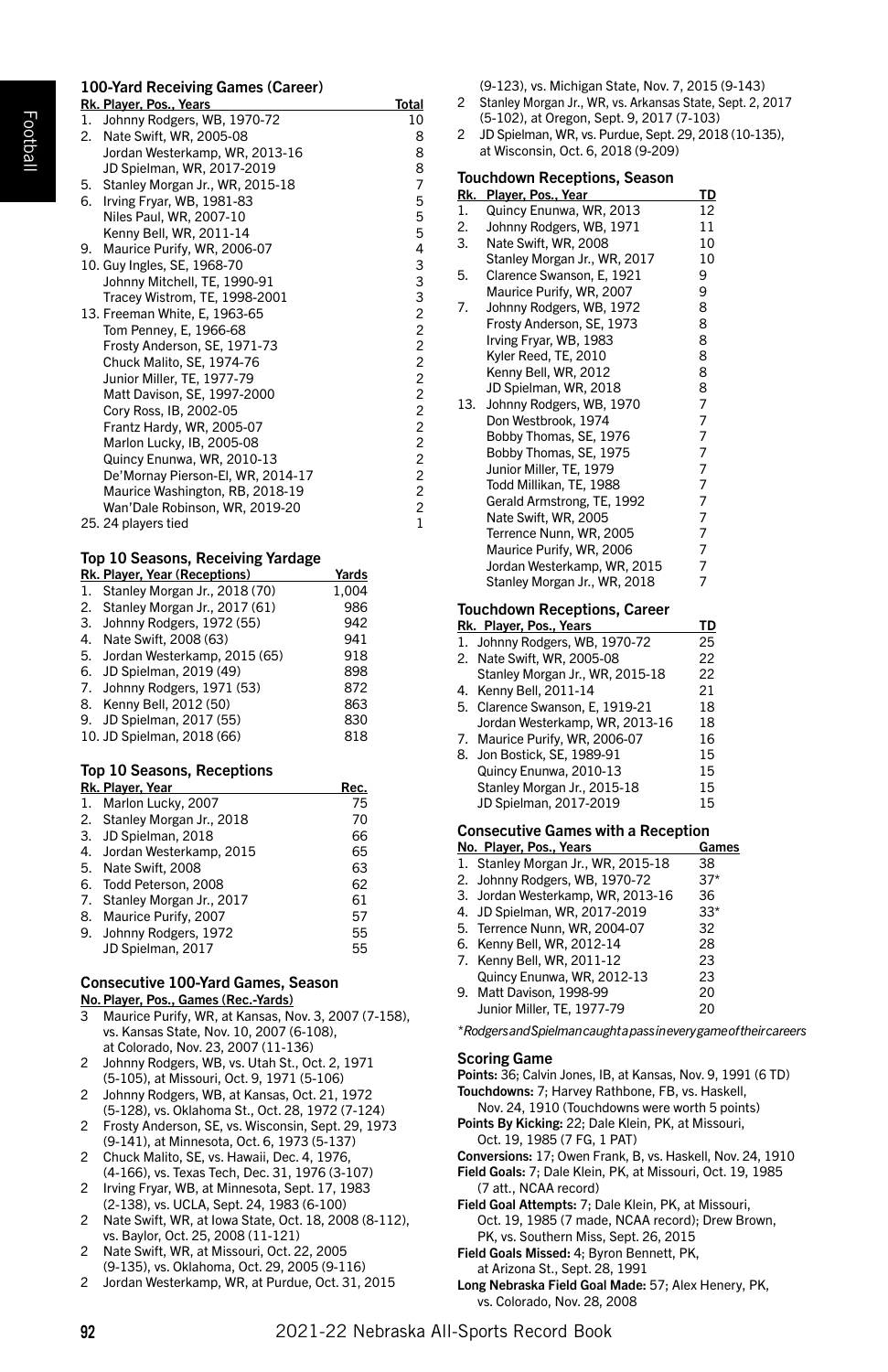# 100-Yard Receiving Games (Career) Rk. Player, Pos., Years Total<br>1. Johnny Rodgers. WB. 1970-72 10 1. Johnny Rodgers, WB, 1970-72

| 2. | Nate Swift, WR, 2005-08           | 8              |
|----|-----------------------------------|----------------|
|    | Jordan Westerkamp, WR, 2013-16    | 8              |
|    | JD Spielman, WR, 2017-2019        | 8              |
| 5. | Stanley Morgan Jr., WR, 2015-18   | $\overline{7}$ |
| 6. | Irving Fryar, WB, 1981-83         | 5              |
|    | Niles Paul, WR, 2007-10           | 5              |
|    | Kenny Bell, WR, 2011-14           | 5              |
| 9. | Maurice Purify, WR, 2006-07       | 4              |
|    | 10. Guy Ingles, SE, 1968-70       | 3              |
|    | Johnny Mitchell, TE, 1990-91      | 3              |
|    | Tracey Wistrom, TE, 1998-2001     | 3              |
|    | 13. Freeman White, E, 1963-65     | $\overline{c}$ |
|    | Tom Penney, E, 1966-68            | $\overline{c}$ |
|    | Frosty Anderson, SE, 1971-73      | $\overline{c}$ |
|    | Chuck Malito, SE, 1974-76         | $\overline{c}$ |
|    | Junior Miller, TE, 1977-79        | $\overline{c}$ |
|    | Matt Davison, SE, 1997-2000       | $\overline{c}$ |
|    | Cory Ross, IB, 2002-05            | $\overline{c}$ |
|    | Frantz Hardy, WR, 2005-07         | $\overline{c}$ |
|    | Marlon Lucky, IB, 2005-08         | $\overline{c}$ |
|    | Quincy Enunwa, WR, 2010-13        | $\overline{c}$ |
|    | De'Mornay Pierson-El, WR, 2014-17 | $\overline{c}$ |
|    | Maurice Washington, RB, 2018-19   | $\overline{c}$ |
|    | Wan'Dale Robinson, WR, 2019-20    | $\overline{c}$ |
|    | 25. 24 players tied               | $\mathbf{1}$   |

# Top 10 Seasons, Receiving Yardage

|    | Rk. Player, Year (Receptions)    | Yards |
|----|----------------------------------|-------|
| 1. | Stanley Morgan Jr., 2018 (70)    | 1.004 |
|    | 2. Stanley Morgan Jr., 2017 (61) | 986   |
|    | 3. Johnny Rodgers, 1972 (55)     | 942   |
|    | 4. Nate Swift, 2008 (63)         | 941   |
|    | 5. Jordan Westerkamp, 2015 (65)  | 918   |
|    | 6. JD Spielman, 2019 (49)        | 898   |
|    | 7. Johnny Rodgers, 1971 (53)     | 872   |
|    | 8. Kenny Bell, 2012 (50)         | 863   |
|    | 9. JD Spielman, 2017 (55)        | 830   |
|    | 10. JD Spielman, 2018 (66)       | 818   |

# Top 10 Seasons, Receptions

| Rk. Player, Year | Rec.                                                                                                                                                                                                                                                                  |
|------------------|-----------------------------------------------------------------------------------------------------------------------------------------------------------------------------------------------------------------------------------------------------------------------|
|                  | 75                                                                                                                                                                                                                                                                    |
|                  | 70                                                                                                                                                                                                                                                                    |
|                  | 66                                                                                                                                                                                                                                                                    |
|                  | 65                                                                                                                                                                                                                                                                    |
|                  | 63                                                                                                                                                                                                                                                                    |
|                  | 62                                                                                                                                                                                                                                                                    |
|                  | 61                                                                                                                                                                                                                                                                    |
|                  | 57                                                                                                                                                                                                                                                                    |
|                  | 55                                                                                                                                                                                                                                                                    |
|                  | 55                                                                                                                                                                                                                                                                    |
|                  | 1. Marlon Lucky, 2007<br>2. Stanley Morgan Jr., 2018<br>3. JD Spielman, 2018<br>4. Jordan Westerkamp, 2015<br>5. Nate Swift, 2008<br>6. Todd Peterson, 2008<br>7. Stanley Morgan Jr., 2017<br>8. Maurice Purify, 2007<br>9. Johnny Rodgers, 1972<br>JD Spielman, 2017 |

#### Consecutive 100-Yard Games, Season No.Player, Pos., Games (Rec.-Yards)

- Maurice Purify, WR, at Kansas, Nov. 3, 2007 (7-158). vs. Kansas State, Nov. 10, 2007 (6-108), at Colorado, Nov. 23, 2007 (11-136)
- 2 Johnny Rodgers, WB, vs. Utah St., Oct. 2, 1971 (5-105), at Missouri, Oct. 9, 1971 (5-106)
- 2 Johnny Rodgers, WB, at Kansas, Oct. 21, 1972 (5-128), vs. Oklahoma St., Oct. 28, 1972 (7-124)
- 2 Frosty Anderson, SE, vs. Wisconsin, Sept. 29, 1973 (9-141), at Minnesota, Oct. 6, 1973 (5-137)
- 2 Chuck Malito, SE, vs. Hawaii, Dec. 4, 1976, (4-166), vs. Texas Tech, Dec. 31, 1976 (3-107)
- 2 Irving Fryar, WB, at Minnesota, Sept. 17, 1983 (2-138), vs. UCLA, Sept. 24, 1983 (6-100)
- 2 Nate Swift, WR, at Iowa State, Oct. 18, 2008 (8-112), vs. Baylor, Oct. 25, 2008 (11-121)
- 2 Nate Swift, WR, at Missouri, Oct. 22, 2005 (9-135), vs. Oklahoma, Oct. 29, 2005 (9-116)
- 2 Jordan Westerkamp, WR, at Purdue, Oct. 31, 2015

(9-123), vs. Michigan State, Nov. 7, 2015 (9-143)

- 2 Stanley Morgan Jr., WR, vs. Arkansas State, Sept. 2, 2017 (5-102), at Oregon, Sept. 9, 2017 (7-103)
- 2 JD Spielman, WR, vs. Purdue, Sept. 29, 2018 (10-135), at Wisconsin, Oct. 6, 2018 (9-209)

# Touchdown Receptions, Season

| Rk.            | Player, Pos., Year                  | TD             |
|----------------|-------------------------------------|----------------|
| $\mathbf{1}$ . | Quincy Enunwa, WR, 2013             | 12             |
| 2.             | Johnny Rodgers, WB, 1971            | 11             |
| 3.             | Nate Swift, WR, 2008                | 10             |
|                | Stanley Morgan Jr., WR, 2017        | 10             |
| 5.             | Clarence Swanson, E, 1921           | 9              |
|                | Maurice Purify, WR, 2007            | 9              |
| 7.             | Johnny Rodgers, WB, 1972            | 8              |
|                | Frosty Anderson, SE, 1973           | 8              |
|                | Irving Fryar, WB, 1983              | 8              |
|                | Kyler Reed, TE, 2010                | 8              |
|                | Kenny Bell, WR, 2012                | 8              |
|                | JD Spielman, WR, 2018               | 8              |
| 13.            | Johnny Rodgers, WB, 1970            |                |
|                | Don Westbrook, 1974                 |                |
|                | Bobby Thomas, SE, 1976              | フフフフ           |
|                | Bobby Thomas, SE, 1975              |                |
|                | Junior Miller, TE, 1979             | $\overline{7}$ |
|                | Todd Millikan, TE, 1988             | $\overline{7}$ |
|                | Gerald Armstrong, TE, 1992          | 7              |
|                | Nate Swift, WR, 2005                | $\overline{7}$ |
|                | Terrence Nunn, WR, 2005             | $777$<br>$77$  |
|                | Maurice Purify, WR, 2006            |                |
|                | Jordan Westerkamp, WR, 2015         |                |
|                | Stanley Morgan Jr., WR, 2018        |                |
|                | <b>Touchdown Receptions, Career</b> |                |
|                | Rk. Player, Pos., Years             | TD             |
| 1.             | Johnny Rodgers, WB, 1970-72         | 25             |
| 2.             | Nate Swift, WR, 2005-08             | 22             |
|                | Stanley Morgan Jr., WR, 2015-18     | 22             |
| 4.             | Kenny Bell, 2011-14                 | 21             |
| 5.             | Clarence Swanson, E, 1919-21        | 18             |
|                | Jordan Westerkamp, WR, 2013-16      | 18             |
| 7.             | Maurice Purify, WR, 2006-07         | 16             |
| 8.             | Jon Bostick, SE, 1989-91            | 15             |
|                | Quincy Enunwa, 2010-13              | 15             |

Stanley Morgan Jr., 2015-18 15 JD Spielman, 2017-2019 15

## Consecutive Games with a Reception

| No. Player, Pos., Years            | Games |
|------------------------------------|-------|
| 1. Stanley Morgan Jr., WR, 2015-18 | 38    |
| 2. Johnny Rodgers, WB, 1970-72     | $37*$ |
| 3. Jordan Westerkamp, WR, 2013-16  | 36    |
| 4. JD Spielman, WR, 2017-2019      | $33*$ |
| 5. Terrence Nunn, WR, 2004-07      | 32    |
| 6. Kenny Bell, WR, 2012-14         | 28    |
| 7. Kenny Bell, WR, 2011-12         | 23    |
| Quincy Enunwa, WR, 2012-13         | 23    |
| 9. Matt Davison, 1998-99           | 20    |
| Junior Miller, TE, 1977-79         | 20    |

*\* Rodgers and Spielman caught a pass in every game of their careers*

#### Scoring Game

- Points: 36; Calvin Jones, IB, at Kansas, Nov. 9, 1991 (6 TD) Touchdowns: 7; Harvey Rathbone, FB, vs. Haskell,
- Nov. 24, 1910 (Touchdowns were worth 5 points) Points By Kicking: 22; Dale Klein, PK, at Missouri,
- Oct. 19, 1985 (7 FG, 1 PAT)
- Conversions: 17; Owen Frank, B, vs. Haskell, Nov. 24, 1910
- Field Goals: 7; Dale Klein, PK, at Missouri, Oct. 19, 1985 (7 att., NCAA record)
- Field Goal Attempts: 7; Dale Klein, PK, at Missouri, Oct. 19, 1985 (7 made, NCAA record); Drew Brown, PK, vs. Southern Miss, Sept. 26, 2015
- Field Goals Missed: 4; Byron Bennett, PK,
- at Arizona St., Sept. 28, 1991 Long Nebraska Field Goal Made: 57; Alex Henery, PK, vs. Colorado, Nov. 28, 2008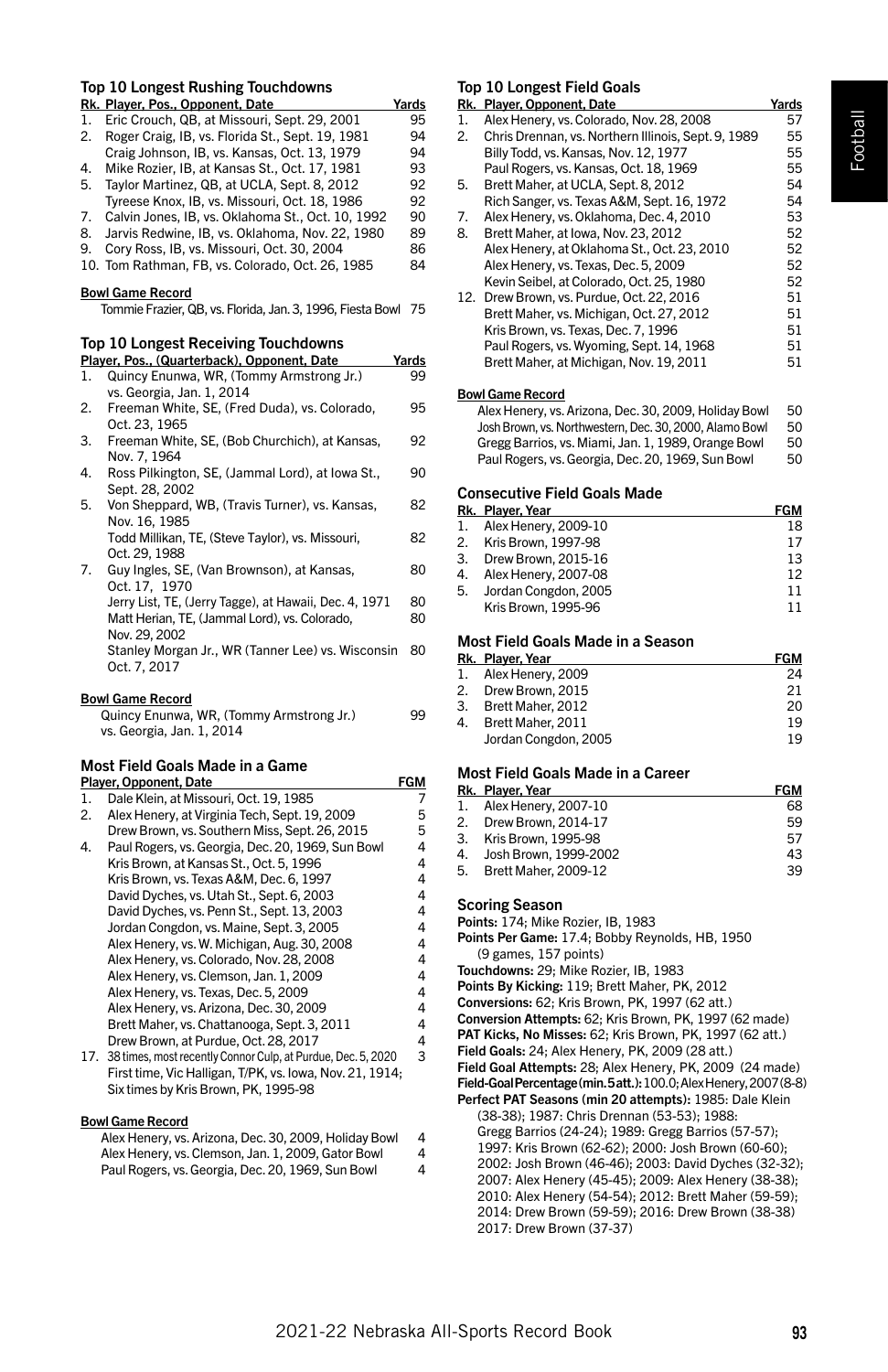| Top 10 Longest Rushing Touchdowns                                                           |                                                                 |       |  |  |
|---------------------------------------------------------------------------------------------|-----------------------------------------------------------------|-------|--|--|
| Rk. Plaver. Pos., Opponent. Date<br>Yards                                                   |                                                                 |       |  |  |
| $\mathbf{1}$ .                                                                              | Eric Crouch, QB, at Missouri, Sept. 29, 2001                    | 95    |  |  |
| 2.                                                                                          | Roger Craig, IB, vs. Florida St., Sept. 19, 1981                | 94    |  |  |
|                                                                                             | Craig Johnson, IB, vs. Kansas, Oct. 13, 1979                    | 94    |  |  |
| 4.                                                                                          | Mike Rozier, IB, at Kansas St., Oct. 17, 1981                   | 93    |  |  |
| 5.                                                                                          | Taylor Martinez, QB, at UCLA, Sept. 8, 2012                     | 92    |  |  |
|                                                                                             | Tyreese Knox, IB, vs. Missouri, Oct. 18, 1986                   | 92    |  |  |
| 7.                                                                                          | Calvin Jones, IB, vs. Oklahoma St., Oct. 10, 1992               | 90    |  |  |
| 8.                                                                                          | Jarvis Redwine, IB, vs. Oklahoma, Nov. 22, 1980                 | 89    |  |  |
| 9.                                                                                          | Cory Ross, IB, vs. Missouri, Oct. 30, 2004                      | 86    |  |  |
|                                                                                             | 10. Tom Rathman, FB, vs. Colorado, Oct. 26, 1985                | 84    |  |  |
| <b>Bowl Game Record</b><br>Tommie Frazier, QB, vs. Florida, Jan. 3, 1996, Fiesta Bowl<br>75 |                                                                 |       |  |  |
|                                                                                             |                                                                 |       |  |  |
|                                                                                             | <b>Top 10 Longest Receiving Touchdowns</b>                      |       |  |  |
|                                                                                             | Player, Pos., (Quarterback), Opponent, Date                     | Yards |  |  |
| 1.                                                                                          | Quincy Enunwa, WR, (Tommy Armstrong Jr.)                        | 99    |  |  |
|                                                                                             | vs. Georgia, Jan. 1, 2014                                       |       |  |  |
| 2.                                                                                          | Freeman White, SE, (Fred Duda), vs. Colorado,                   | 95    |  |  |
| 3.                                                                                          | Oct. 23, 1965<br>Freeman White, SE, (Bob Churchich), at Kansas, | 92    |  |  |
|                                                                                             | Nov. 7, 1964                                                    |       |  |  |
| 4.                                                                                          | Ross Pilkington, SE, (Jammal Lord), at Iowa St.,                | 90    |  |  |
|                                                                                             | Sept. 28, 2002                                                  |       |  |  |
| 5.                                                                                          | Von Sheppard, WB, (Travis Turner), vs. Kansas,                  | 82    |  |  |
|                                                                                             | Nov. 16, 1985                                                   |       |  |  |
|                                                                                             | Todd Millikan, TE, (Steve Taylor), vs. Missouri,                | 82    |  |  |
|                                                                                             | Oct. 29. 1988                                                   |       |  |  |

| Jerry List, TE, (Jerry Tagge), at Hawaii, Dec. 4, 1971 | 80            |
|--------------------------------------------------------|---------------|
| Matt Herian, TE, (Jammal Lord), vs. Colorado,          | 80            |
| Nov. 29, 2002                                          |               |
| Stanley Morgan Jr., WR (Tanner Lee) vs. Wisconsin 80   |               |
| Oct. 7. 2017                                           |               |
|                                                        | Oct. 17, 1970 |

#### Bowl Game Record

| Quincy Enunwa, WR, (Tommy Armstrong Jr.) | 99 |
|------------------------------------------|----|
| vs. Georgia, Jan. 1, 2014                |    |

# Most Field Goals Made in a Game

|    | Player, Opponent, Date                                           | FGM |
|----|------------------------------------------------------------------|-----|
| 1. | Dale Klein, at Missouri, Oct. 19, 1985                           | 7   |
| 2. | Alex Henery, at Virginia Tech, Sept. 19, 2009                    | 5   |
|    | Drew Brown, vs. Southern Miss, Sept. 26, 2015                    | 5   |
| 4. | Paul Rogers, vs. Georgia, Dec. 20, 1969, Sun Bowl                | 4   |
|    | Kris Brown, at Kansas St., Oct. 5, 1996                          | 4   |
|    | Kris Brown, vs. Texas A&M, Dec. 6, 1997                          | 4   |
|    | David Dyches, vs. Utah St., Sept. 6, 2003                        | 4   |
|    | David Dyches, vs. Penn St., Sept. 13, 2003                       | 4   |
|    | Jordan Congdon, vs. Maine, Sept. 3, 2005                         | 4   |
|    | Alex Henery, ys. W. Michigan, Aug. 30, 2008                      | 4   |
|    | Alex Henery, ys. Colorado, Nov. 28, 2008                         | 4   |
|    | Alex Henery, vs. Clemson, Jan. 1, 2009                           | 4   |
|    | Alex Henery, vs. Texas, Dec. 5, 2009                             | 4   |
|    | Alex Henery, vs. Arizona, Dec. 30, 2009                          | 4   |
|    | Brett Maher, vs. Chattanooga, Sept. 3, 2011                      | 4   |
|    | Drew Brown, at Purdue, Oct. 28, 2017                             | 4   |
|    | 17. 38 times, most recently Connor Culp, at Purdue, Dec. 5, 2020 | 3   |
|    | First time, Vic Halligan, T/PK, vs. Iowa, Nov. 21, 1914;         |     |

Six times by Kris Brown, PK, 1995-98

#### Bowl Game Record

| Alex Henery, ys. Arizona, Dec. 30, 2009. Holiday Bowl | 4 |
|-------------------------------------------------------|---|
| Alex Henery, vs. Clemson, Jan. 1, 2009, Gator Bowl    | 4 |
| Paul Rogers, vs. Georgia, Dec. 20, 1969, Sun Bowl     | 4 |

# Top 10 Longest Field Goals

|    | ---------------                                     |       |
|----|-----------------------------------------------------|-------|
|    | Rk. Player, Opponent, Date                          | Yards |
| 1. | Alex Henery, vs. Colorado, Nov. 28, 2008            | 57    |
| 2. | Chris Drennan, vs. Northern Illinois, Sept. 9, 1989 | 55    |
|    | Billy Todd, vs. Kansas, Nov. 12, 1977               | 55    |
|    | Paul Rogers, vs. Kansas, Oct. 18, 1969              | 55    |
| 5. | Brett Maher, at UCLA, Sept. 8, 2012                 | 54    |
|    | Rich Sanger, vs. Texas A&M, Sept. 16, 1972          | 54    |
| 7. | Alex Henery, ys. Oklahoma, Dec. 4, 2010             | 53    |
| 8. | Brett Maher, at Iowa, Nov. 23, 2012                 | 52    |
|    | Alex Henery, at Oklahoma St., Oct. 23, 2010         | 52    |
|    | Alex Henery, ys. Texas, Dec. 5, 2009                | 52    |
|    | Kevin Seibel, at Colorado, Oct. 25, 1980            | 52    |
|    | 12. Drew Brown, vs. Purdue, Oct. 22, 2016           | 51    |
|    | Brett Maher, vs. Michigan, Oct. 27, 2012            | 51    |
|    | Kris Brown, vs. Texas, Dec. 7, 1996                 | 51    |
|    | Paul Rogers, vs. Wyoming, Sept. 14, 1968            | 51    |
|    | Brett Maher, at Michigan, Nov. 19, 2011             | 51    |
|    | <b>Bowl Game Record</b>                             |       |

Alex Henery, vs. Arizona, Dec. 30, 2009, Holiday Bowl 50<br>Josh Brown, vs. Northwestern, Dec. 30, 2000, Alamo Bowl 50 Josh Brown, vs. Northwestern, Dec. 30, 2000, Alamo Bowl 50 Gregg Barrios, vs. Miami, Jan. 1, 1989, Orange Bowl 50<br>Paul Rogers, vs. Georgia, Dec. 20, 1969, Sun Bowl 50 Paul Rogers, vs. Georgia, Dec. 20, 1969, Sun Bowl

#### Consecutive Field Goals Made

|    | Rk. Player, Year     | <b>FGM</b> |
|----|----------------------|------------|
| 1. | Alex Henery, 2009-10 | 18         |
| 2. | Kris Brown, 1997-98  | 17         |
| 3. | Drew Brown, 2015-16  | 13         |
| 4. | Alex Henery, 2007-08 | 12         |
| 5. | Jordan Congdon, 2005 | 11         |
|    | Kris Brown, 1995-96  | 11         |
|    |                      |            |

# Most Field Goals Made in a Season

|    | Rk. Player, Year     | <b>FGM</b> |
|----|----------------------|------------|
|    | 1. Alex Henery, 2009 | 24         |
|    | 2. Drew Brown, 2015  | 21         |
|    | 3. Brett Maher, 2012 | 20         |
| 4. | Brett Maher, 2011    | 19         |
|    | Jordan Congdon, 2005 | 19         |

## Most Field Goals Made in a Career

|    | Rk. Player, Year            | <b>FGM</b> |
|----|-----------------------------|------------|
|    | 1. Alex Henery, 2007-10     | 68         |
|    | 2. Drew Brown, 2014-17      | 59         |
| 3. | Kris Brown, 1995-98         | 57         |
| 4. | Josh Brown, 1999-2002       | 43         |
| 5. | <b>Brett Maher, 2009-12</b> | 39         |

#### Scoring Season

Points: 174; Mike Rozier, IB, 1983

- Points Per Game: 17.4; Bobby Reynolds, HB, 1950 (9 games, 157 points)
- Touchdowns: 29; Mike Rozier, IB, 1983

Points By Kicking: 119; Brett Maher, PK, 2012

Conversions: 62; Kris Brown, PK, 1997 (62 att.)

- Conversion Attempts: 62; Kris Brown, PK, 1997 (62 made)
- PAT Kicks, No Misses: 62; Kris Brown, PK, 1997 (62 att.)

Field Goals: 24; Alex Henery, PK, 2009 (28 att.)

Field Goal Attempts: 28; Alex Henery, PK, 2009 (24 made)

Field-Goal Percentage (min. 5 att.): 100.0; Alex Henery, 2007 (8-8) Perfect PAT Seasons (min 20 attempts): 1985: Dale Klein (38-38); 1987: Chris Drennan (53-53); 1988: Gregg Barrios (24-24); 1989: Gregg Barrios (57-57); 1997: Kris Brown (62-62); 2000: Josh Brown (60-60); 2002: Josh Brown (46-46); 2003: David Dyches (32-32); 2007: Alex Henery (45-45); 2009: Alex Henery (38-38); 2010: Alex Henery (54-54); 2012: Brett Maher (59-59); 2014: Drew Brown (59-59); 2016: Drew Brown (38-38) 2017: Drew Brown (37-37)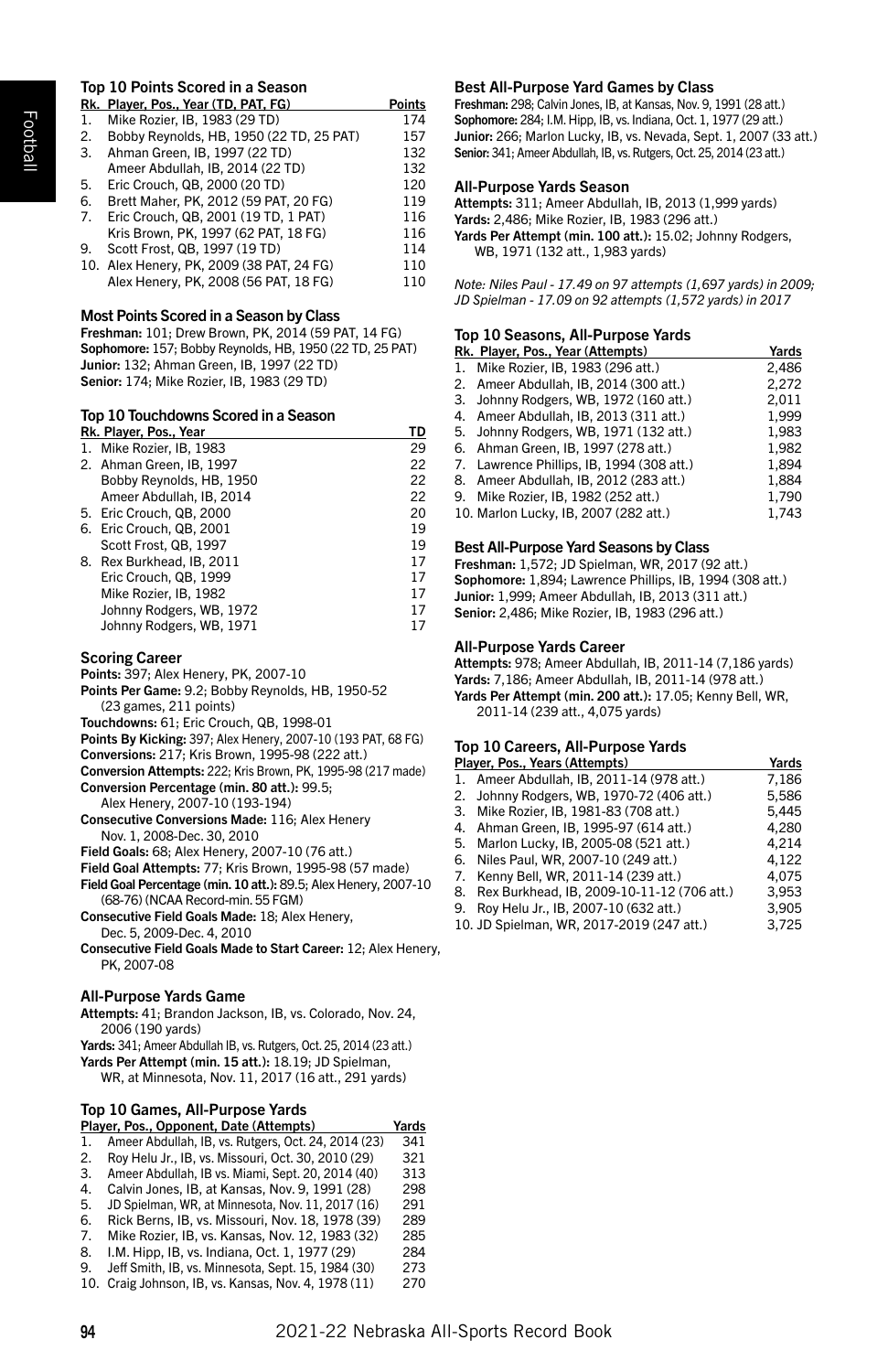#### Top 10 Points Scored in a Season Rk. Player, Pos., Year (TD, PAT, FG) Points

|    | RK. Player, Pos., Year (TD, PAT, FG)      | Points |
|----|-------------------------------------------|--------|
| 1. | Mike Rozier, IB, 1983 (29 TD)             | 174    |
| 2. | Bobby Revnolds, HB, 1950 (22 TD, 25 PAT)  | 157    |
|    | 3. Ahman Green, IB, 1997 (22 TD)          | 132    |
|    | Ameer Abdullah, IB, 2014 (22 TD)          | 132    |
| 5. | Eric Crouch, QB, 2000 (20 TD)             | 120    |
| 6. | Brett Maher, PK, 2012 (59 PAT, 20 FG)     | 119    |
| 7. | Eric Crouch, QB, 2001 (19 TD, 1 PAT)      | 116    |
|    | Kris Brown, PK, 1997 (62 PAT, 18 FG)      | 116    |
| 9. | Scott Frost, QB, 1997 (19 TD)             | 114    |
|    | 10. Alex Henery, PK, 2009 (38 PAT, 24 FG) | 110    |
|    | Alex Henery, PK, 2008 (56 PAT, 18 FG)     | 110    |

# Most Points Scored in a Season by Class

Freshman: 101; Drew Brown, PK, 2014 (59 PAT, 14 FG) Sophomore: 157; Bobby Reynolds, HB, 1950 (22 TD, 25 PAT) Junior: 132; Ahman Green, IB, 1997 (22 TD) Senior: 174; Mike Rozier, IB, 1983 (29 TD)

# Top 10 Touchdowns Scored in a Season

|    | Rk. Player, Pos., Year    | TD |
|----|---------------------------|----|
| 1. | Mike Rozier, IB, 1983     | 29 |
|    | 2. Ahman Green, IB, 1997  | 22 |
|    | Bobby Revnolds, HB, 1950  | 22 |
|    | Ameer Abdullah, IB, 2014  | 22 |
|    | 5. Eric Crouch, QB, 2000  | 20 |
|    | 6. Eric Crouch, QB, 2001  | 19 |
|    | Scott Frost, QB, 1997     | 19 |
|    | 8. Rex Burkhead, IB, 2011 | 17 |
|    | Eric Crouch, QB, 1999     | 17 |
|    | Mike Rozier, IB, 1982     | 17 |
|    | Johnny Rodgers, WB, 1972  | 17 |
|    | Johnny Rodgers, WB, 1971  | 17 |
|    |                           |    |

# Scoring Career

Points: 397; Alex Henery, PK, 2007-10

Points Per Game: 9.2; Bobby Reynolds, HB, 1950-52 (23 games, 211 points)

Touchdowns: 61; Eric Crouch, QB, 1998-01

Points By Kicking: 397; Alex Henery, 2007-10 (193 PAT, 68 FG)

Conversions: 217; Kris Brown, 1995-98 (222 att.)

Conversion Attempts: 222; Kris Brown, PK, 1995-98 (217 made) Conversion Percentage (min. 80 att.): 99.5;

Alex Henery, 2007-10 (193-194)

Consecutive Conversions Made: 116; Alex Henery Nov. 1, 2008-Dec. 30, 2010

Field Goals: 68; Alex Henery, 2007-10 (76 att.)

Field Goal Attempts: 77; Kris Brown, 1995-98 (57 made)

Field Goal Percentage (min. 10 att.): 89.5; Alex Henery, 2007-10 (68-76) (NCAA Record-min. 55 FGM)

Consecutive Field Goals Made: 18; Alex Henery,

Dec. 5, 2009-Dec. 4, 2010

Consecutive Field Goals Made to Start Career: 12; Alex Henery, PK, 2007-08

# All-Purpose Yards Game

Attempts: 41; Brandon Jackson, IB, vs. Colorado, Nov. 24, 2006 (190 yards)

Yards: 341; Ameer Abdullah IB, vs. Rutgers, Oct. 25, 2014 (23 att.)

Yards Per Attempt (min. 15 att.): 18.19; JD Spielman, WR, at Minnesota, Nov. 11, 2017 (16 att., 291 yards)

# Top 10 Games, All-Purpose Yards

| Player, Pos., Opponent, Date (Attempts) |                                                     |     |  |
|-----------------------------------------|-----------------------------------------------------|-----|--|
| 1.                                      | Ameer Abdullah, IB, vs. Rutgers, Oct. 24, 2014 (23) | 341 |  |
| 2.                                      | Roy Helu Jr., IB, vs. Missouri, Oct. 30, 2010 (29)  | 321 |  |
| 3.                                      | Ameer Abdullah, IB vs. Miami, Sept. 20, 2014 (40)   | 313 |  |
| 4.                                      | Calvin Jones, IB, at Kansas, Nov. 9, 1991 (28)      | 298 |  |
| 5.                                      | JD Spielman, WR, at Minnesota, Nov. 11, 2017 (16)   | 291 |  |
| 6.                                      | Rick Berns, IB, vs. Missouri, Nov. 18, 1978 (39)    | 289 |  |
| 7.                                      | Mike Rozier, IB, vs. Kansas, Nov. 12, 1983 (32)     | 285 |  |
| 8.                                      | I.M. Hipp, IB, vs. Indiana, Oct. 1, 1977 (29)       | 284 |  |
| 9.                                      | Jeff Smith, IB, vs. Minnesota, Sept. 15, 1984 (30)  | 273 |  |
| 10.                                     | Craig Johnson, IB, vs. Kansas, Nov. 4, 1978 (11)    | 270 |  |

# Best All-Purpose Yard Games by Class

Freshman: 298; Calvin Jones, IB, at Kansas, Nov. 9, 1991 (28 att.) Sophomore: 284; I.M. Hipp, IB, vs. Indiana, Oct. 1, 1977 (29 att.) Junior: 266; Marlon Lucky, IB, vs. Nevada, Sept. 1, 2007 (33 att.) Senior: 341; Ameer Abdullah, IB, vs. Rutgers, Oct. 25, 2014 (23 att.)

# All-Purpose Yards Season

Attempts: 311; Ameer Abdullah, IB, 2013 (1,999 yards) Yards: 2,486; Mike Rozier, IB, 1983 (296 att.) Yards Per Attempt (min. 100 att.): 15.02; Johnny Rodgers, WB, 1971 (132 att., 1,983 yards)

*Note: Niles Paul - 17.49 on 97 attempts (1,697 yards) in 2009; JD Spielman - 17.09 on 92 attempts (1,572 yards) in 2017*

# Top 10 Seasons, All-Purpose Yards

|    | Rk. Player, Pos., Year (Attempts)         | Yards |
|----|-------------------------------------------|-------|
| 1. | Mike Rozier, IB, 1983 (296 att.)          | 2.486 |
|    | 2. Ameer Abdullah, IB, 2014 (300 att.)    | 2.272 |
|    | 3. Johnny Rodgers, WB, 1972 (160 att.)    | 2.011 |
|    | 4. Ameer Abdullah, IB, 2013 (311 att.)    | 1.999 |
|    | 5. Johnny Rodgers, WB, 1971 (132 att.)    | 1.983 |
|    | 6. Ahman Green, IB, 1997 (278 att.)       | 1.982 |
|    | 7. Lawrence Phillips, IB, 1994 (308 att.) | 1.894 |
|    | 8. Ameer Abdullah, IB, 2012 (283 att.)    | 1.884 |
|    | 9. Mike Rozier, IB, 1982 (252 att.)       | 1.790 |
|    | 10. Marlon Lucky, IB, 2007 (282 att.)     | 1.743 |

# Best All-Purpose Yard Seasons by Class

Freshman: 1,572; JD Spielman, WR, 2017 (92 att.) Sophomore: 1,894; Lawrence Phillips, IB, 1994 (308 att.) Junior: 1,999; Ameer Abdullah, IB, 2013 (311 att.) Senior: 2,486; Mike Rozier, IB, 1983 (296 att.)

# All-Purpose Yards Career

Attempts: 978; Ameer Abdullah, IB, 2011-14 (7,186 yards) Yards: 7,186; Ameer Abdullah, IB, 2011-14 (978 att.) Yards Per Attempt (min. 200 att.): 17.05; Kenny Bell, WR,

2011-14 (239 att., 4,075 yards)

# Top 10 Careers, All-Purpose Yards

|    | Player, Pos., Years (Attempts)             | Yards |
|----|--------------------------------------------|-------|
|    | 1. Ameer Abdullah, IB, 2011-14 (978 att.)  | 7.186 |
|    | 2. Johnny Rodgers, WB, 1970-72 (406 att.)  | 5.586 |
|    | 3. Mike Rozier, IB, 1981-83 (708 att.)     | 5.445 |
|    | 4. Ahman Green, IB, 1995-97 (614 att.)     | 4,280 |
| 5. | Marlon Lucky, IB, 2005-08 (521 att.)       | 4.214 |
| 6. | Niles Paul, WR. 2007-10 (249 att.)         | 4.122 |
| 7. | Kenny Bell, WR, 2011-14 (239 att.)         | 4.075 |
| 8. | Rex Burkhead, IB, 2009-10-11-12 (706 att.) | 3.953 |
| 9. | Roy Helu Jr., IB, 2007-10 (632 att.)       | 3.905 |
|    | 10. JD Spielman, WR, 2017-2019 (247 att.)  | 3.725 |
|    |                                            |       |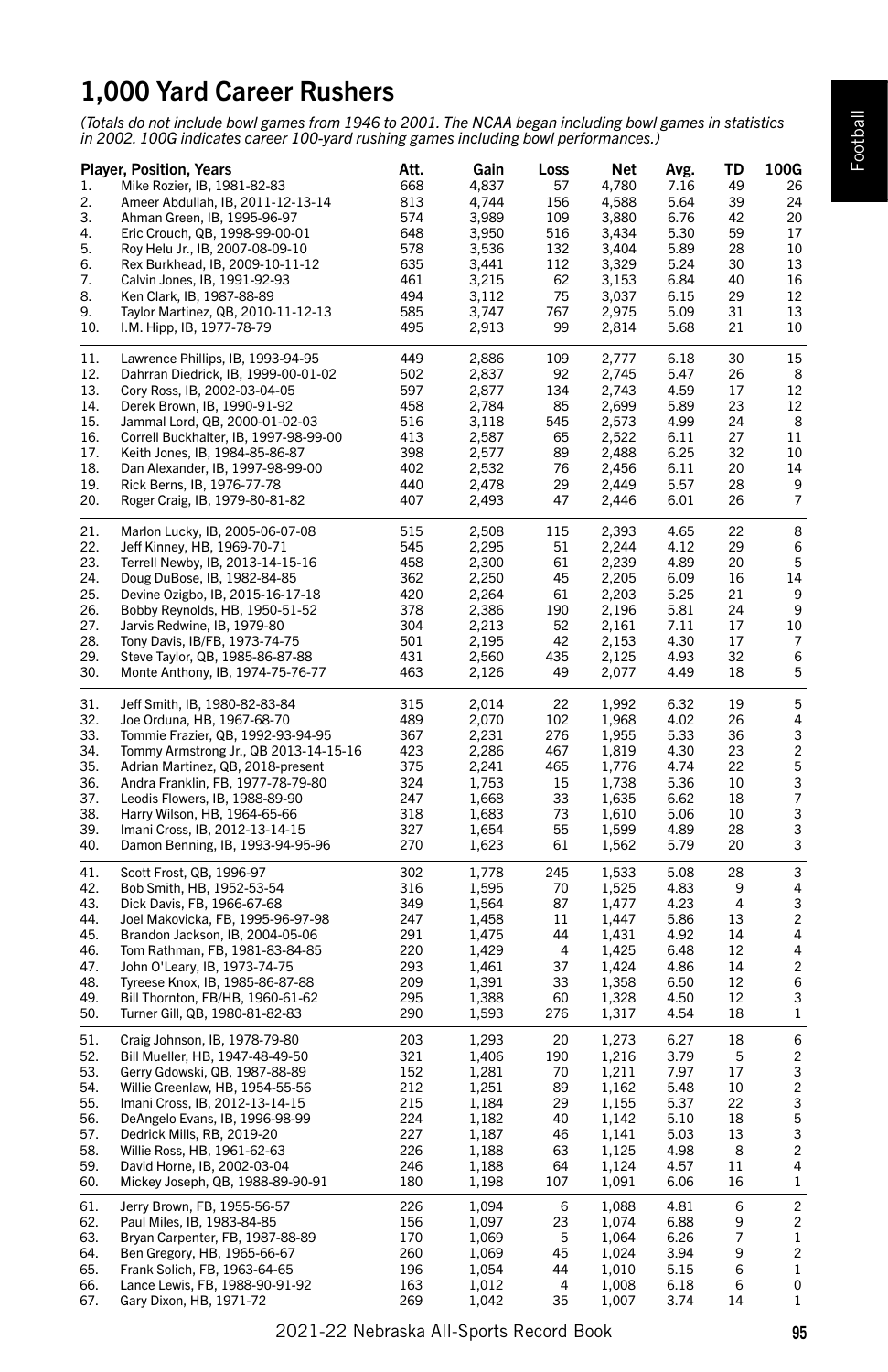# 1,000 Yard Career Rushers

*(Totals do not include bowl games from 1946 to 2001. The NCAA began including bowl games in statistics in 2002. 100G indicates career 100-yard rushing games including bowl performances.)*

|            | <b>Player, Position, Years</b>                                          | <u>Att.</u> | <u>Gain</u>    | <u>Loss</u>    | <u>Net</u>     | <u>Avg.</u>  | <u>TD</u> | <u> 100G</u>            |
|------------|-------------------------------------------------------------------------|-------------|----------------|----------------|----------------|--------------|-----------|-------------------------|
| 1.         | Mike Rozier, IB, 1981-82-83                                             | 668         | 4,837          | 57             | 4,780          | 7.16         | 49        | 26                      |
| 2.         | Ameer Abdullah, IB, 2011-12-13-14                                       | 813         | 4,744          | 156            | 4,588          | 5.64         | 39        | 24                      |
| 3.         | Ahman Green, IB, 1995-96-97                                             | 574         | 3,989          | 109            | 3,880          | 6.76         | 42        | 20                      |
| 4.         | Eric Crouch, QB, 1998-99-00-01                                          | 648         | 3,950          | 516            | 3,434          | 5.30         | 59        | 17                      |
| 5.         | Roy Helu Jr., IB, 2007-08-09-10                                         | 578         | 3,536          | 132            | 3,404          | 5.89         | 28        | 10                      |
| 6.         | Rex Burkhead, IB, 2009-10-11-12                                         | 635         | 3,441          | 112            | 3,329          | 5.24         | 30        | 13                      |
| 7.         | Calvin Jones, IB, 1991-92-93                                            | 461         | 3,215          | 62             | 3,153          | 6.84         | 40        | 16                      |
| 8.         | Ken Clark, IB, 1987-88-89                                               | 494         | 3,112          | 75             | 3,037          | 6.15         | 29        | 12                      |
| 9.         | Taylor Martinez, QB, 2010-11-12-13                                      | 585         | 3,747          | 767            | 2,975          | 5.09         | 31        | 13                      |
| 10.        | I.M. Hipp, IB, 1977-78-79                                               | 495         | 2,913          | 99             | 2,814          | 5.68         | 21        | 10                      |
| 11.        | Lawrence Phillips, IB, 1993-94-95                                       | 449         | 2,886          | 109            | 2,777          | 6.18         | 30        | 15                      |
| 12.        | Dahrran Diedrick, IB, 1999-00-01-02                                     | 502         | 2,837          | 92             | 2,745          | 5.47         | 26        | 8                       |
| 13.        | Cory Ross, IB, 2002-03-04-05                                            | 597         | 2,877          | 134            | 2,743          | 4.59         | 17        | 12                      |
| 14.        | Derek Brown, IB, 1990-91-92                                             | 458         | 2,784          | 85             | 2,699          | 5.89         | 23        | 12<br>8                 |
| 15.<br>16. | Jammal Lord, QB, 2000-01-02-03<br>Correll Buckhalter, IB, 1997-98-99-00 | 516<br>413  | 3,118<br>2,587 | 545<br>65      | 2,573<br>2,522 | 4.99<br>6.11 | 24<br>27  | 11                      |
| 17.        | Keith Jones, IB, 1984-85-86-87                                          | 398         | 2,577          | 89             | 2,488          | 6.25         | 32        | 10                      |
| 18.        | Dan Alexander, IB, 1997-98-99-00                                        | 402         | 2,532          | 76             | 2,456          | 6.11         | 20        | 14                      |
| 19.        | Rick Berns, IB, 1976-77-78                                              | 440         | 2,478          | 29             | 2,449          | 5.57         | 28        | 9                       |
| 20.        | Roger Craig, IB, 1979-80-81-82                                          | 407         | 2,493          | 47             | 2,446          | 6.01         | 26        | $\overline{7}$          |
|            |                                                                         |             |                |                |                |              |           |                         |
| 21.        | Marlon Lucky, IB, 2005-06-07-08                                         | 515         | 2,508          | 115            | 2,393          | 4.65         | 22        | 8                       |
| 22.        | Jeff Kinney, HB, 1969-70-71                                             | 545         | 2,295          | 51             | 2,244          | 4.12         | 29        | 6                       |
| 23.        | Terrell Newby, IB, 2013-14-15-16                                        | 458         | 2,300          | 61             | 2,239          | 4.89         | 20        | 5                       |
| 24.        | Doug DuBose, IB, 1982-84-85                                             | 362         | 2,250          | 45             | 2,205          | 6.09         | 16        | 14                      |
| 25.        | Devine Ozigbo, IB, 2015-16-17-18                                        | 420         | 2,264          | 61             | 2,203          | 5.25         | 21        | 9                       |
| 26.        | Bobby Reynolds, HB, 1950-51-52                                          | 378         | 2,386          | 190            | 2,196          | 5.81         | 24        | 9                       |
| 27.        | Jarvis Redwine, IB, 1979-80                                             | 304         | 2,213          | 52             | 2,161          | 7.11         | 17        | 10                      |
| 28.        | Tony Davis, IB/FB, 1973-74-75                                           | 501         | 2,195          | 42             | 2,153          | 4.30         | 17        | 7                       |
| 29.        | Steve Taylor, QB, 1985-86-87-88                                         | 431         | 2,560          | 435            | 2,125          | 4.93         | 32        | 6                       |
| 30.        | Monte Anthony, IB, 1974-75-76-77                                        | 463         | 2,126          | 49             | 2,077          | 4.49         | 18        | 5                       |
| 31.        | Jeff Smith, IB, 1980-82-83-84                                           | 315         | 2,014          | 22             | 1,992          | 6.32         | 19        | 5                       |
| 32.        | Joe Orduna, HB, 1967-68-70                                              | 489         | 2,070          | 102            | 1,968          | 4.02         | 26        | 4                       |
| 33.        | Tommie Frazier, QB, 1992-93-94-95                                       | 367         | 2,231          | 276            | 1,955          | 5.33         | 36        | 3                       |
| 34.        | Tommy Armstrong Jr., QB 2013-14-15-16                                   | 423         | 2,286          | 467            | 1,819          | 4.30         | 23        | $\overline{c}$          |
| 35.        | Adrian Martinez, QB, 2018-present                                       | 375         | 2,241          | 465            | 1,776          | 4.74         | 22        | 5                       |
| 36.        | Andra Franklin, FB, 1977-78-79-80                                       | 324         | 1,753          | 15             | 1,738          | 5.36         | 10        | 3                       |
| 37.        | Leodis Flowers, IB, 1988-89-90                                          | 247         | 1,668          | 33             | 1,635          | 6.62         | 18        | 7                       |
| 38.        | Harry Wilson, HB, 1964-65-66                                            | 318         | 1,683          | 73             | 1,610          | 5.06         | 10        | 3                       |
| 39.        | Imani Cross, IB, 2012-13-14-15                                          | 327         | 1,654          | 55             | 1,599          | 4.89         | 28        | 3                       |
| 40.        | Damon Benning, IB, 1993-94-95-96                                        | 270         | 1,623          | 61             | 1,562          | 5.79         | 20        | 3                       |
| 41.        | Scott Frost, QB, 1996-97                                                | 302         | 1,778          | 245            | 1,533          | 5.08         | 28        | 3                       |
| 42.        | Bob Smith, HB, 1952-53-54                                               | 316         | 1,595          | 70             | 1,525          | 4.83         | 9         | 4                       |
| 43.        | Dick Davis, FB, 1966-67-68                                              | 349         | 1,564          | 87             | 1,477          | 4.23         | 4         | 3                       |
| 44.        | Joel Makovicka, FB, 1995-96-97-98                                       | 247         | 1,458          | 11             | 1,447          | 5.86         | 13        | $\overline{c}$          |
| 45.        | Brandon Jackson, IB, 2004-05-06                                         | 291         | 1,475          | 44             | 1,431          | 4.92         | 14        | 4                       |
| 46.        | Tom Rathman, FB, 1981-83-84-85                                          | 220         | 1,429          | $\overline{4}$ | 1,425          | 6.48         | 12        | 4                       |
| 47.<br>48. | John O'Leary, IB, 1973-74-75                                            | 293<br>209  | 1,461          | 37<br>33       | 1,424          | 4.86         | 14<br>12  | $\overline{c}$<br>6     |
| 49.        | Tyreese Knox, IB, 1985-86-87-88                                         | 295         | 1,391          | 60             | 1,358<br>1,328 | 6.50<br>4.50 | 12        | 3                       |
| 50.        | Bill Thornton, FB/HB, 1960-61-62<br>Turner Gill, QB, 1980-81-82-83      | 290         | 1,388<br>1,593 | 276            | 1,317          | 4.54         | 18        | $\,1$                   |
|            |                                                                         |             |                |                |                |              |           |                         |
| 51.        | Craig Johnson, IB, 1978-79-80                                           | 203         | 1,293          | 20             | 1,273          | 6.27         | 18        | 6                       |
| 52.        | Bill Mueller, HB, 1947-48-49-50                                         | 321         | 1,406          | 190            | 1,216          | 3.79         | 5         | $\overline{\mathbf{c}}$ |
| 53.        | Gerry Gdowski, QB, 1987-88-89                                           | 152         | 1,281          | 70             | 1,211          | 7.97         | 17        | 3                       |
| 54.        | Willie Greenlaw, HB, 1954-55-56                                         | 212         | 1,251          | 89             | 1,162          | 5.48         | 10        | $\overline{c}$<br>3     |
| 55.        | Imani Cross, IB, 2012-13-14-15                                          | 215         | 1,184          | 29             | 1,155          | 5.37         | 22        |                         |
| 56.<br>57. | DeAngelo Evans, IB, 1996-98-99<br>Dedrick Mills, RB, 2019-20            | 224<br>227  | 1,182<br>1,187 | 40<br>46       | 1,142<br>1,141 | 5.10<br>5.03 | 18<br>13  | 5<br>3                  |
| 58.        | Willie Ross, HB, 1961-62-63                                             | 226         | 1,188          | 63             | 1,125          | 4.98         | 8         | $\overline{c}$          |
| 59.        | David Horne, IB, 2002-03-04                                             | 246         | 1,188          | 64             | 1,124          | 4.57         | 11        | 4                       |
| 60.        | Mickey Joseph, QB, 1988-89-90-91                                        | 180         | 1,198          | 107            | 1,091          | 6.06         | 16        | $\mathbf 1$             |
| 61.        | Jerry Brown, FB, 1955-56-57                                             | 226         | 1,094          | 6              | 1,088          | 4.81         | 6         | $\overline{c}$          |
| 62.        | Paul Miles, IB, 1983-84-85                                              | 156         | 1,097          | 23             | 1,074          | 6.88         | 9         | $\overline{\mathbf{c}}$ |
| 63.        | Bryan Carpenter, FB, 1987-88-89                                         | 170         | 1,069          | 5              | 1,064          | 6.26         | 7         | $\mathbf 1$             |
| 64.        | Ben Gregory, HB, 1965-66-67                                             | 260         | 1,069          | 45             | 1,024          | 3.94         | 9         | $\overline{c}$          |
| 65.        | Frank Solich, FB, 1963-64-65                                            | 196         | 1,054          | 44             | 1,010          | 5.15         | 6         | 1                       |
| 66.        | Lance Lewis, FB, 1988-90-91-92                                          | 163         | 1,012          | 4              | 1,008          | 6.18         | 6         | 0                       |
| 67.        | Gary Dixon, HB, 1971-72                                                 | 269         | 1,042          | 35             | 1,007          | 3.74         | 14        | 1                       |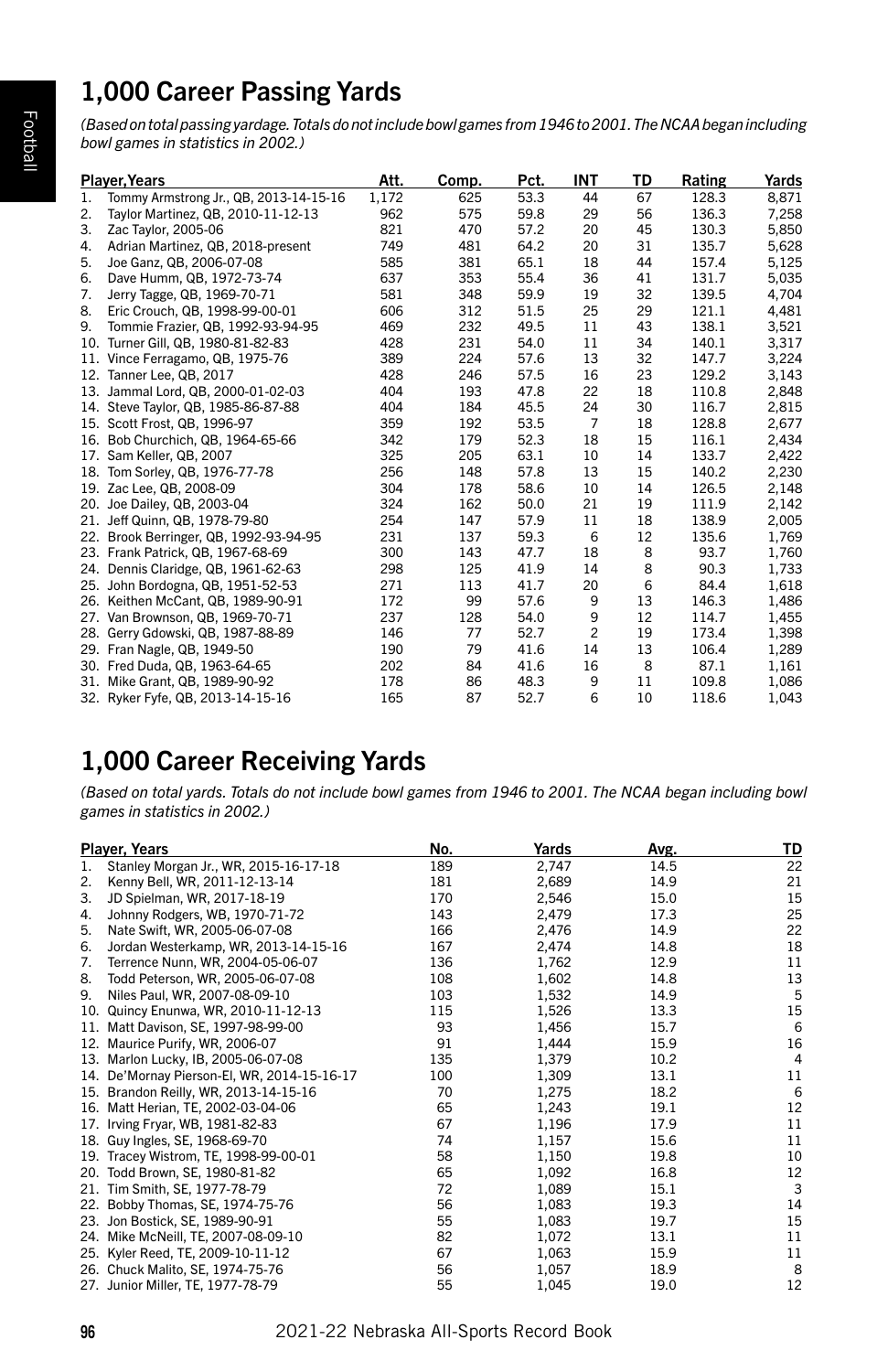# 1,000 Career Passing Yards

*(Based on total passing yardage. Totals do not include bowl games from 1946 to 2001. The NCAA began including bowl games in statistics in 2002.)*

|     | <b>Player, Years</b>                   | Att.  | Comp. | Pct. | <b>INT</b>     | TD | Rating | Yards |
|-----|----------------------------------------|-------|-------|------|----------------|----|--------|-------|
| 1.  | Tommy Armstrong Jr., QB, 2013-14-15-16 | 1.172 | 625   | 53.3 | 44             | 67 | 128.3  | 8,871 |
| 2.  | Taylor Martinez, QB, 2010-11-12-13     | 962   | 575   | 59.8 | 29             | 56 | 136.3  | 7,258 |
| 3.  | Zac Taylor, 2005-06                    | 821   | 470   | 57.2 | 20             | 45 | 130.3  | 5,850 |
| 4.  | Adrian Martinez, QB, 2018-present      | 749   | 481   | 64.2 | 20             | 31 | 135.7  | 5,628 |
| 5.  | Joe Ganz, QB, 2006-07-08               | 585   | 381   | 65.1 | 18             | 44 | 157.4  | 5,125 |
| 6.  | Dave Humm, QB, 1972-73-74              | 637   | 353   | 55.4 | 36             | 41 | 131.7  | 5,035 |
| 7.  | Jerry Tagge, QB, 1969-70-71            | 581   | 348   | 59.9 | 19             | 32 | 139.5  | 4,704 |
| 8.  | Eric Crouch, QB, 1998-99-00-01         | 606   | 312   | 51.5 | 25             | 29 | 121.1  | 4,481 |
| 9.  | Tommie Frazier, QB, 1992-93-94-95      | 469   | 232   | 49.5 | 11             | 43 | 138.1  | 3,521 |
|     | 10. Turner Gill, QB, 1980-81-82-83     | 428   | 231   | 54.0 | 11             | 34 | 140.1  | 3,317 |
|     | 11. Vince Ferragamo, QB, 1975-76       | 389   | 224   | 57.6 | 13             | 32 | 147.7  | 3,224 |
|     | 12. Tanner Lee, QB, 2017               | 428   | 246   | 57.5 | 16             | 23 | 129.2  | 3,143 |
|     | 13. Jammal Lord, QB, 2000-01-02-03     | 404   | 193   | 47.8 | 22             | 18 | 110.8  | 2,848 |
|     | 14. Steve Taylor, QB, 1985-86-87-88    | 404   | 184   | 45.5 | 24             | 30 | 116.7  | 2,815 |
|     | 15. Scott Frost, QB, 1996-97           | 359   | 192   | 53.5 | $\overline{7}$ | 18 | 128.8  | 2,677 |
|     | 16. Bob Churchich, QB, 1964-65-66      | 342   | 179   | 52.3 | 18             | 15 | 116.1  | 2,434 |
|     | 17. Sam Keller, QB, 2007               | 325   | 205   | 63.1 | 10             | 14 | 133.7  | 2,422 |
|     | 18. Tom Sorley, QB, 1976-77-78         | 256   | 148   | 57.8 | 13             | 15 | 140.2  | 2,230 |
|     | 19. Zac Lee, QB, 2008-09               | 304   | 178   | 58.6 | 10             | 14 | 126.5  | 2,148 |
|     | 20. Joe Dailey, QB, 2003-04            | 324   | 162   | 50.0 | 21             | 19 | 111.9  | 2,142 |
|     | 21. Jeff Quinn, QB, 1978-79-80         | 254   | 147   | 57.9 | 11             | 18 | 138.9  | 2,005 |
|     | 22. Brook Berringer, QB, 1992-93-94-95 | 231   | 137   | 59.3 | 6              | 12 | 135.6  | 1,769 |
|     | 23. Frank Patrick, QB, 1967-68-69      | 300   | 143   | 47.7 | 18             | 8  | 93.7   | 1,760 |
|     | 24. Dennis Claridge, QB, 1961-62-63    | 298   | 125   | 41.9 | 14             | 8  | 90.3   | 1,733 |
|     | 25. John Bordogna, QB, 1951-52-53      | 271   | 113   | 41.7 | 20             | 6  | 84.4   | 1,618 |
|     | 26. Keithen McCant, QB, 1989-90-91     | 172   | 99    | 57.6 | 9              | 13 | 146.3  | 1,486 |
|     | 27. Van Brownson, QB, 1969-70-71       | 237   | 128   | 54.0 | 9              | 12 | 114.7  | 1,455 |
| 28. | Gerry Gdowski, QB, 1987-88-89          | 146   | 77    | 52.7 | $\overline{c}$ | 19 | 173.4  | 1,398 |
| 29. | Fran Nagle, QB, 1949-50                | 190   | 79    | 41.6 | 14             | 13 | 106.4  | 1,289 |
|     | 30. Fred Duda, QB, 1963-64-65          | 202   | 84    | 41.6 | 16             | 8  | 87.1   | 1,161 |
| 31. | Mike Grant, QB, 1989-90-92             | 178   | 86    | 48.3 | 9              | 11 | 109.8  | 1,086 |
|     | 32. Ryker Fyfe, QB, 2013-14-15-16      | 165   | 87    | 52.7 | 6              | 10 | 118.6  | 1,043 |

# 1,000 Career Receiving Yards

*(Based on total yards. Totals do not include bowl games from 1946 to 2001. The NCAA began including bowl games in statistics in 2002.)*

|     | <b>Player, Years</b>                        | No. | Yards | Avg. | TD             |
|-----|---------------------------------------------|-----|-------|------|----------------|
| 1.  | Stanley Morgan Jr., WR, 2015-16-17-18       | 189 | 2,747 | 14.5 | 22             |
| 2.  | Kenny Bell, WR, 2011-12-13-14               | 181 | 2,689 | 14.9 | 21             |
| 3.  | JD Spielman, WR, 2017-18-19                 | 170 | 2,546 | 15.0 | 15             |
| 4.  | Johnny Rodgers, WB, 1970-71-72              | 143 | 2,479 | 17.3 | 25             |
| 5.  | Nate Swift, WR, 2005-06-07-08               | 166 | 2,476 | 14.9 | 22             |
| 6.  | Jordan Westerkamp, WR, 2013-14-15-16        | 167 | 2,474 | 14.8 | 18             |
| 7.  | Terrence Nunn, WR, 2004-05-06-07            | 136 | 1,762 | 12.9 | 11             |
| 8.  | Todd Peterson, WR, 2005-06-07-08            | 108 | 1,602 | 14.8 | 13             |
| 9.  | Niles Paul, WR, 2007-08-09-10               | 103 | 1,532 | 14.9 | 5              |
| 10. | Quincy Enunwa, WR, 2010-11-12-13            | 115 | 1,526 | 13.3 | 15             |
|     | 11. Matt Davison, SE, 1997-98-99-00         | 93  | 1,456 | 15.7 | 6              |
|     | 12. Maurice Purify, WR, 2006-07             | 91  | 1,444 | 15.9 | 16             |
|     | 13. Marlon Lucky, IB, 2005-06-07-08         | 135 | 1,379 | 10.2 | $\overline{4}$ |
|     | 14. De'Mornay Pierson-El, WR, 2014-15-16-17 | 100 | 1,309 | 13.1 | 11             |
|     | 15. Brandon Reilly, WR, 2013-14-15-16       | 70  | 1,275 | 18.2 | 6              |
|     | 16. Matt Herian, TE, 2002-03-04-06          | 65  | 1,243 | 19.1 | 12             |
|     | 17. Irving Fryar, WB, 1981-82-83            | 67  | 1,196 | 17.9 | 11             |
|     | 18. Guy Ingles, SE, 1968-69-70              | 74  | 1,157 | 15.6 | 11             |
|     | 19. Tracey Wistrom, TE, 1998-99-00-01       | 58  | 1,150 | 19.8 | 10             |
|     | 20. Todd Brown, SE, 1980-81-82              | 65  | 1,092 | 16.8 | 12             |
|     | 21. Tim Smith, SE, 1977-78-79               | 72  | 1,089 | 15.1 | 3              |
|     | 22. Bobby Thomas, SE, 1974-75-76            | 56  | 1,083 | 19.3 | 14             |
|     | 23. Jon Bostick, SE, 1989-90-91             | 55  | 1,083 | 19.7 | 15             |
|     | 24. Mike McNeill, TE, 2007-08-09-10         | 82  | 1,072 | 13.1 | 11             |
|     | 25. Kyler Reed, TE, 2009-10-11-12           | 67  | 1,063 | 15.9 | 11             |
|     | 26. Chuck Malito, SE, 1974-75-76            | 56  | 1,057 | 18.9 | 8              |
|     | 27. Junior Miller, TE, 1977-78-79           | 55  | 1,045 | 19.0 | 12             |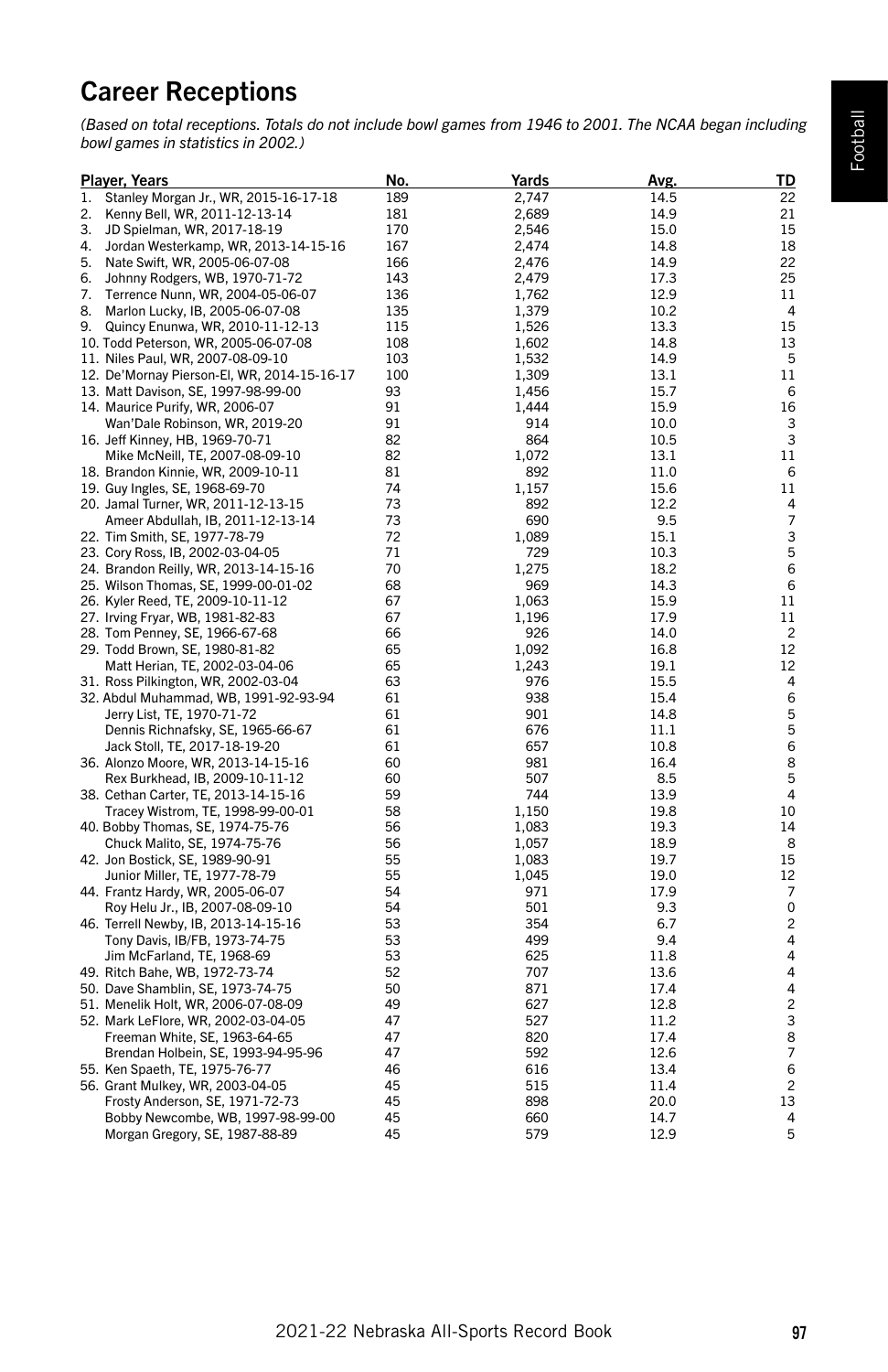# Career Receptions

*(Based on total receptions. Totals do not include bowl games from 1946 to 2001. The NCAA began including bowl games in statistics in 2002.)*

|    | <b>Player, Years</b>                        | No. | <u>Yards</u> | Avg. | <u>TD</u>               |
|----|---------------------------------------------|-----|--------------|------|-------------------------|
| 1. | Stanley Morgan Jr., WR, 2015-16-17-18       | 189 | 2,747        | 14.5 | 22                      |
| 2. | Kenny Bell, WR, 2011-12-13-14               | 181 | 2,689        | 14.9 | 21                      |
| 3. | JD Spielman, WR, 2017-18-19                 | 170 | 2,546        | 15.0 | 15                      |
| 4. | Jordan Westerkamp, WR, 2013-14-15-16        | 167 | 2,474        | 14.8 | 18                      |
| 5. | Nate Swift, WR, 2005-06-07-08               | 166 | 2,476        | 14.9 | 22                      |
| 6. | Johnny Rodgers, WB, 1970-71-72              | 143 | 2,479        | 17.3 | 25                      |
| 7. | Terrence Nunn, WR, 2004-05-06-07            | 136 | 1,762        | 12.9 | 11                      |
|    | 8. Marlon Lucky, IB, 2005-06-07-08          | 135 | 1,379        | 10.2 | $\overline{4}$          |
| 9. | Quincy Enunwa, WR, 2010-11-12-13            | 115 | 1,526        | 13.3 | 15                      |
|    | 10. Todd Peterson, WR, 2005-06-07-08        | 108 | 1,602        | 14.8 | 13                      |
|    | 11. Niles Paul, WR, 2007-08-09-10           | 103 | 1,532        | 14.9 | 5                       |
|    | 12. De'Mornay Pierson-El, WR, 2014-15-16-17 | 100 | 1,309        | 13.1 | 11                      |
|    | 13. Matt Davison, SE, 1997-98-99-00         | 93  | 1,456        | 15.7 | 6                       |
|    | 14. Maurice Purify, WR, 2006-07             | 91  | 1,444        | 15.9 | 16                      |
|    | Wan'Dale Robinson, WR, 2019-20              | 91  | 914          | 10.0 | 3                       |
|    | 16. Jeff Kinney, HB, 1969-70-71             | 82  | 864          | 10.5 | 3                       |
|    | Mike McNeill, TE, 2007-08-09-10             | 82  | 1,072        | 13.1 | 11                      |
|    |                                             | 81  | 892          |      | 6                       |
|    | 18. Brandon Kinnie, WR, 2009-10-11          | 74  |              | 11.0 |                         |
|    | 19. Guy Ingles, SE, 1968-69-70              |     | 1,157        | 15.6 | 11                      |
|    | 20. Jamal Turner, WR, 2011-12-13-15         | 73  | 892          | 12.2 | 4<br>$\overline{7}$     |
|    | Ameer Abdullah, IB, 2011-12-13-14           | 73  | 690          | 9.5  |                         |
|    | 22. Tim Smith, SE, 1977-78-79               | 72  | 1,089        | 15.1 | 3                       |
|    | 23. Cory Ross, IB, 2002-03-04-05            | 71  | 729          | 10.3 | 5                       |
|    | 24. Brandon Reilly, WR, 2013-14-15-16       | 70  | 1,275        | 18.2 | 6                       |
|    | 25. Wilson Thomas, SE, 1999-00-01-02        | 68  | 969          | 14.3 | 6                       |
|    | 26. Kyler Reed, TE, 2009-10-11-12           | 67  | 1,063        | 15.9 | 11                      |
|    | 27. Irving Fryar, WB, 1981-82-83            | 67  | 1,196        | 17.9 | 11                      |
|    | 28. Tom Penney, SE, 1966-67-68              | 66  | 926          | 14.0 | $\overline{c}$          |
|    | 29. Todd Brown, SE, 1980-81-82              | 65  | 1,092        | 16.8 | 12                      |
|    | Matt Herian, TE, 2002-03-04-06              | 65  | 1,243        | 19.1 | 12                      |
|    | 31. Ross Pilkington, WR, 2002-03-04         | 63  | 976          | 15.5 | 4                       |
|    | 32. Abdul Muhammad, WB, 1991-92-93-94       | 61  | 938          | 15.4 | 6                       |
|    | Jerry List, TE, 1970-71-72                  | 61  | 901          | 14.8 | 5                       |
|    | Dennis Richnafsky, SE, 1965-66-67           | 61  | 676          | 11.1 | 5                       |
|    | Jack Stoll, TE, 2017-18-19-20               | 61  | 657          | 10.8 | 6                       |
|    | 36. Alonzo Moore, WR, 2013-14-15-16         | 60  | 981          | 16.4 | 8                       |
|    | Rex Burkhead, IB, 2009-10-11-12             | 60  | 507          | 8.5  | 5                       |
|    | 38. Cethan Carter, TE, 2013-14-15-16        | 59  | 744          | 13.9 | 4                       |
|    | Tracey Wistrom, TE, 1998-99-00-01           | 58  | 1,150        | 19.8 | 10                      |
|    | 40. Bobby Thomas, SE, 1974-75-76            | 56  | 1,083        | 19.3 | 14                      |
|    | Chuck Malito, SE, 1974-75-76                | 56  | 1,057        | 18.9 | 8                       |
|    | 42. Jon Bostick, SE, 1989-90-91             | 55  | 1,083        | 19.7 | 15                      |
|    | Junior Miller, TE, 1977-78-79               | 55  | 1,045        | 19.0 | 12                      |
|    | 44. Frantz Hardy, WR, 2005-06-07            | 54  | 971          | 17.9 | 7                       |
|    | Roy Helu Jr., IB, 2007-08-09-10             | 54  | 501          | 9.3  | 0                       |
|    | 46. Terrell Newby, IB, 2013-14-15-16        | 53  | 354          | 6.7  | $\overline{\mathbf{c}}$ |
|    | Tony Davis, IB/FB, 1973-74-75               | 53  | 499          | 9.4  | 4                       |
|    | Jim McFarland, TE, 1968-69                  | 53  | 625          | 11.8 | 4                       |
|    | 49. Ritch Bahe, WB, 1972-73-74              | 52  | 707          | 13.6 | 4                       |
|    | 50. Dave Shamblin, SE, 1973-74-75           | 50  | 871          | 17.4 | 4                       |
|    | 51. Menelik Holt, WR, 2006-07-08-09         | 49  | 627          | 12.8 | $\overline{\mathbf{c}}$ |
|    | 52. Mark LeFlore, WR, 2002-03-04-05         | 47  | 527          | 11.2 | 3                       |
|    | Freeman White, SE, 1963-64-65               | 47  | 820          | 17.4 | 8                       |
|    | Brendan Holbein, SE, 1993-94-95-96          | 47  | 592          | 12.6 | 7                       |
|    | 55. Ken Spaeth, TE, 1975-76-77              | 46  | 616          | 13.4 | 6                       |
|    | 56. Grant Mulkey, WR, 2003-04-05            | 45  | 515          | 11.4 | $\overline{c}$          |
|    | Frosty Anderson, SE, 1971-72-73             | 45  | 898          | 20.0 | 13                      |
|    | Bobby Newcombe, WB, 1997-98-99-00           | 45  | 660          | 14.7 | 4                       |
|    | Morgan Gregory, SE, 1987-88-89              | 45  | 579          | 12.9 | 5                       |
|    |                                             |     |              |      |                         |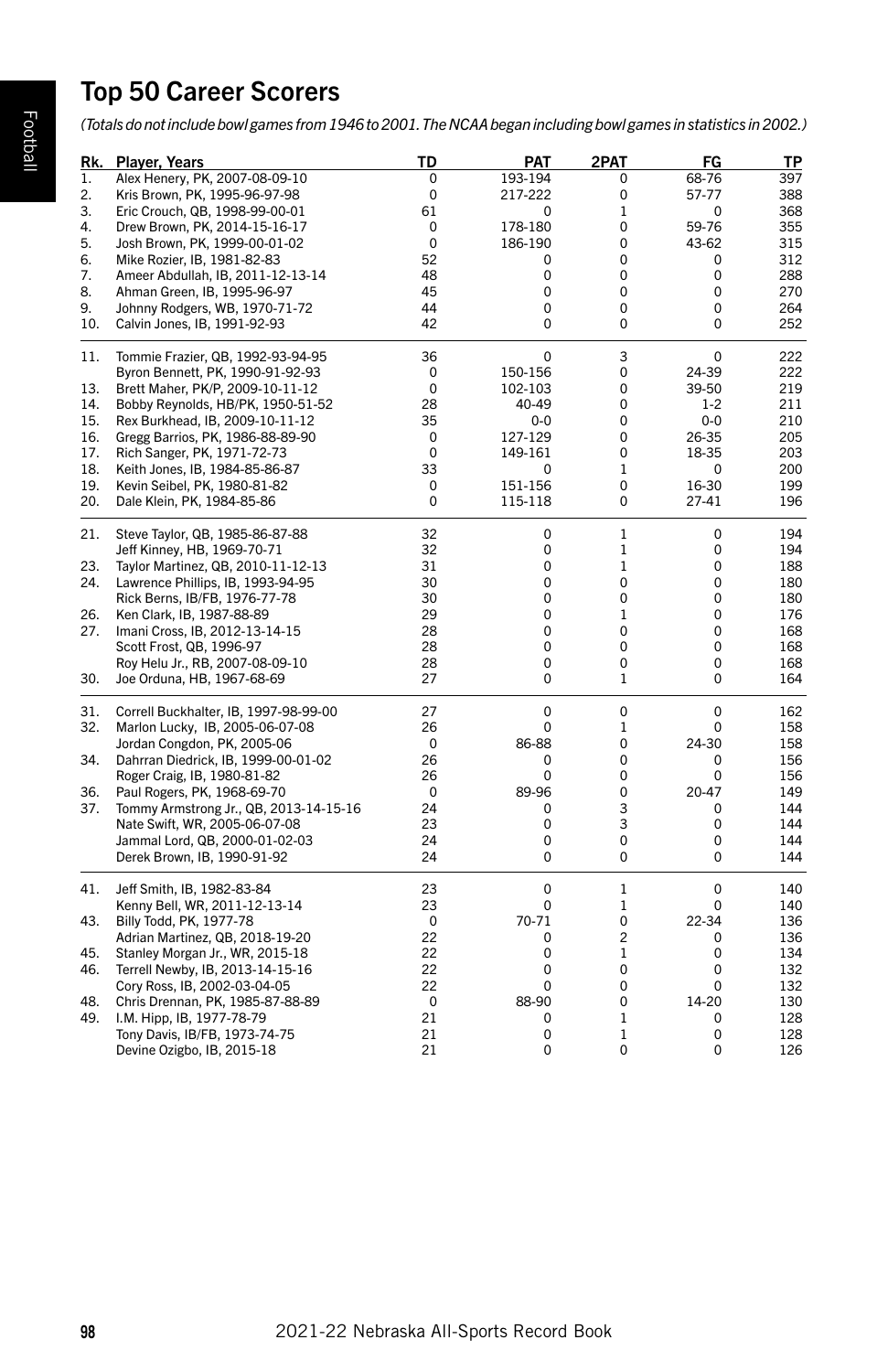# Top 50 Career Scorers

*(Totals do not include bowl games from 1946 to 2001. The NCAA began including bowl games in statistics in 2002.)*

|     | Rk. Player, Years                      | TD | PAT         | 2PAT           | FG       | ΤP  |
|-----|----------------------------------------|----|-------------|----------------|----------|-----|
| 1.  | Alex Henery, PK, 2007-08-09-10         | 0  | 193-194     | 0              | 68-76    | 397 |
| 2.  | Kris Brown, PK, 1995-96-97-98          | 0  | 217-222     | 0              | 57-77    | 388 |
| 3.  | Eric Crouch, QB, 1998-99-00-01         | 61 | 0           | $\mathbf{1}$   | 0        | 368 |
| 4.  | Drew Brown, PK, 2014-15-16-17          | 0  | 178-180     | 0              | 59-76    | 355 |
| 5.  | Josh Brown, PK, 1999-00-01-02          | 0  | 186-190     | 0              | 43-62    | 315 |
| 6.  | Mike Rozier, IB, 1981-82-83            | 52 | 0           | 0              | 0        | 312 |
| 7.  | Ameer Abdullah, IB, 2011-12-13-14      | 48 | 0           | 0              | 0        | 288 |
| 8.  | Ahman Green, IB, 1995-96-97            | 45 | $\Omega$    | 0              | $\Omega$ | 270 |
| 9.  | Johnny Rodgers, WB, 1970-71-72         | 44 | 0           | 0              | 0        | 264 |
| 10. | Calvin Jones, IB, 1991-92-93           | 42 | 0           | 0              | 0        | 252 |
| 11. | Tommie Frazier, QB, 1992-93-94-95      | 36 | 0           | 3              | 0        | 222 |
|     | Byron Bennett, PK, 1990-91-92-93       | 0  | 150-156     | 0              | 24-39    | 222 |
| 13. | Brett Maher, PK/P, 2009-10-11-12       | 0  | 102-103     | 0              | 39-50    | 219 |
| 14. | Bobby Reynolds, HB/PK, 1950-51-52      | 28 | 40-49       | 0              | $1 - 2$  | 211 |
| 15. | Rex Burkhead, IB, 2009-10-11-12        | 35 | $0-0$       | 0              | $0-0$    | 210 |
| 16. | Gregg Barrios, PK, 1986-88-89-90       | 0  | 127-129     | 0              | 26-35    | 205 |
| 17. | Rich Sanger, PK, 1971-72-73            | 0  | 149-161     | 0              | 18-35    | 203 |
| 18. | Keith Jones, IB, 1984-85-86-87         | 33 | 0           | 1              | 0        | 200 |
| 19. | Kevin Seibel, PK, 1980-81-82           | 0  | 151-156     | 0              | 16-30    | 199 |
| 20. | Dale Klein, PK, 1984-85-86             | 0  | 115-118     | 0              | 27-41    | 196 |
| 21. | Steve Taylor, QB, 1985-86-87-88        | 32 | 0           | 1              | 0        | 194 |
|     | Jeff Kinney, HB, 1969-70-71            | 32 | 0           | $\mathbf{1}$   | 0        | 194 |
| 23. | Taylor Martinez, QB, 2010-11-12-13     | 31 | 0           | 1              | 0        | 188 |
| 24. | Lawrence Phillips, IB, 1993-94-95      | 30 | 0           | 0              | 0        | 180 |
|     | Rick Berns, IB/FB, 1976-77-78          | 30 | 0           | 0              | 0        | 180 |
| 26. | Ken Clark, IB, 1987-88-89              | 29 | 0           | 1              | 0        | 176 |
| 27. | Imani Cross, IB, 2012-13-14-15         | 28 | 0           | 0              | 0        | 168 |
|     | Scott Frost, QB, 1996-97               | 28 | 0           | 0              | 0        | 168 |
|     | Roy Helu Jr., RB, 2007-08-09-10        | 28 | 0           | 0              | 0        | 168 |
| 30. | Joe Orduna, HB, 1967-68-69             | 27 | 0           | 1              | 0        | 164 |
| 31. | Correll Buckhalter, IB, 1997-98-99-00  | 27 | 0           | 0              | 0        | 162 |
| 32. | Marlon Lucky, IB, 2005-06-07-08        | 26 | 0           | 1              | 0        | 158 |
|     | Jordan Congdon, PK, 2005-06            | 0  | 86-88       | 0              | 24-30    | 158 |
| 34. | Dahrran Diedrick, IB, 1999-00-01-02    | 26 | 0           | 0              | 0        | 156 |
|     | Roger Craig, IB, 1980-81-82            | 26 | 0           | 0              | 0        | 156 |
| 36. | Paul Rogers, PK, 1968-69-70            | 0  | 89-96       | 0              | 20-47    | 149 |
| 37. | Tommy Armstrong Jr., QB, 2013-14-15-16 | 24 | 0           | 3              | 0        | 144 |
|     | Nate Swift, WR, 2005-06-07-08          | 23 | $\mathbf 0$ | 3              | 0        | 144 |
|     | Jammal Lord, QB, 2000-01-02-03         | 24 | 0           | 0              | 0        | 144 |
|     | Derek Brown, IB, 1990-91-92            | 24 | 0           | 0              | 0        | 144 |
| 41. | Jeff Smith, IB, 1982-83-84             | 23 | 0           | 1              | 0        | 140 |
|     | Kenny Bell, WR, 2011-12-13-14          | 23 | 0           | 1              | 0        | 140 |
| 43. | Billy Todd, PK, 1977-78                | 0  | 70-71       | 0              | 22-34    | 136 |
|     | Adrian Martinez, QB, 2018-19-20        | 22 | 0           | $\overline{c}$ | 0        | 136 |
| 45. | Stanley Morgan Jr., WR, 2015-18        | 22 | 0           | 1              | 0        | 134 |
| 46. | Terrell Newby, IB, 2013-14-15-16       | 22 | 0           | 0              | 0        | 132 |
|     | Cory Ross, IB, 2002-03-04-05           | 22 | $\Omega$    | 0              | 0        | 132 |
| 48. | Chris Drennan, PK, 1985-87-88-89       | 0  | 88-90       | 0              | 14-20    | 130 |
| 49. | I.M. Hipp, IB, 1977-78-79              | 21 | 0           | 1              | 0        | 128 |
|     | Tony Davis, IB/FB, 1973-74-75          | 21 | 0           | 1              | 0        | 128 |
|     | Devine Ozigbo, IB, 2015-18             | 21 | 0           | 0              | 0        | 126 |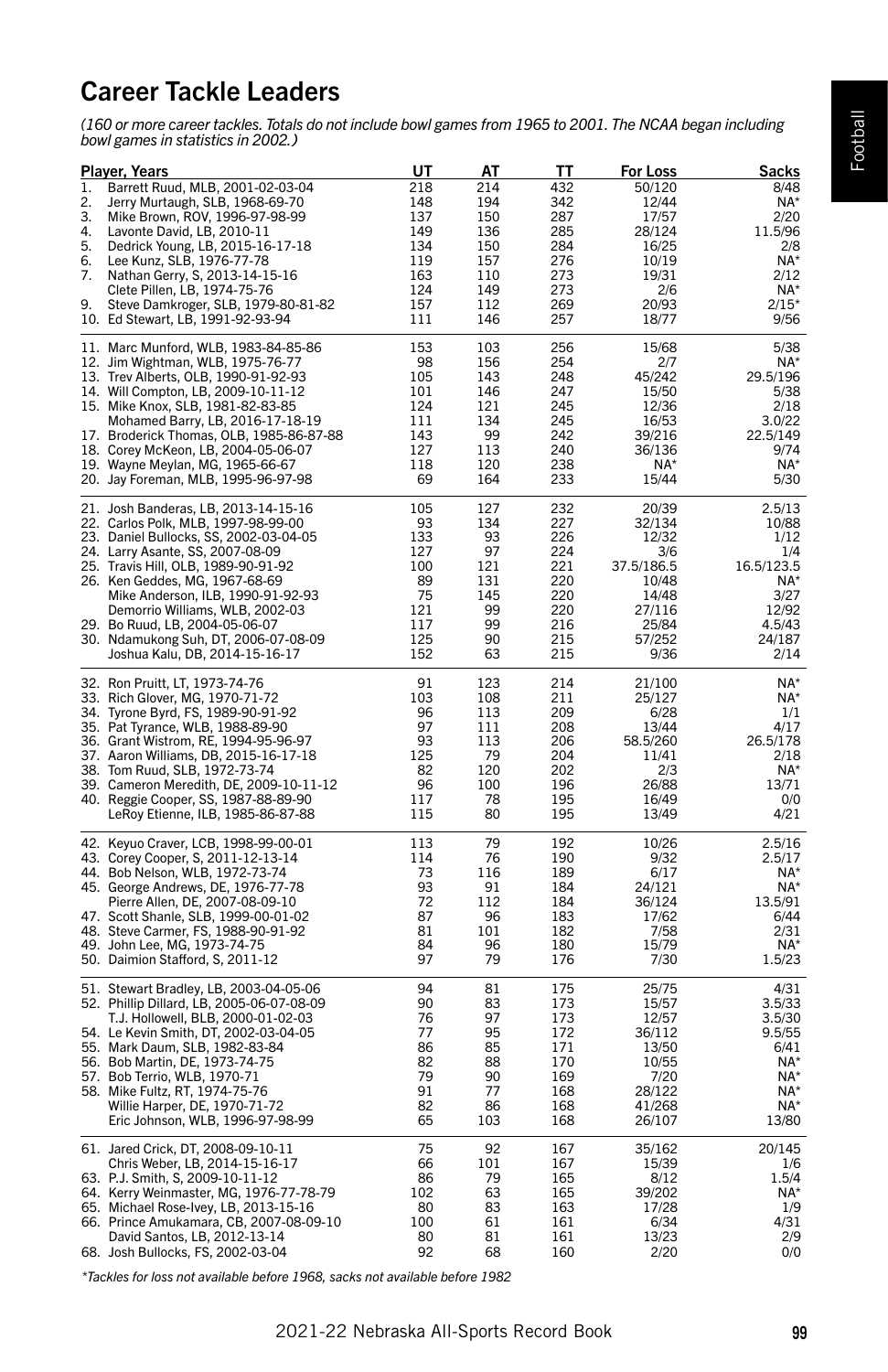# Football

# Career Tackle Leaders

*(160 or more career tackles. Totals do not include bowl games from 1965 to 2001. The NCAA began including bowl games in statistics in 2002.)*

|          | Player, Years                                                                    | UT         | АТ         | TТ         | For Loss       | Sacks            |
|----------|----------------------------------------------------------------------------------|------------|------------|------------|----------------|------------------|
| 1.       | Barrett Ruud, MLB, 2001-02-03-04                                                 | 218        | 214        | 432        | 50/120         | 8/48             |
| 2.       | Jerry Murtaugh, SLB, 1968-69-70                                                  | 148        | 194        | 342        | 12/44          | $NA*$            |
| 3.       | Mike Brown, ROV, 1996-97-98-99                                                   | 137        | 150        | 287        | 17/57          | 2/20             |
| 4.       | Lavonte David, LB, 2010-11                                                       | 149        | 136        | 285        | 28/124         | 11.5/96          |
| 5.       | Dedrick Young, LB, 2015-16-17-18                                                 | 134        | 150        | 284        | 16/25          | 2/8              |
| 6.<br>7. | Lee Kunz, SLB, 1976-77-78<br>Nathan Gerry, S, 2013-14-15-16                      | 119<br>163 | 157<br>110 | 276<br>273 | 10/19<br>19/31 | NA*<br>2/12      |
|          | Clete Pillen, LB, 1974-75-76                                                     | 124        | 149        | 273        | 2/6            | NA*              |
| 9.       | Steve Damkroger, SLB, 1979-80-81-82                                              | 157        | 112        | 269        | 20/93          | $2/15*$          |
|          | 10. Ed Stewart, LB, 1991-92-93-94                                                | 111        | 146        | 257        | 18/77          | 9/56             |
|          |                                                                                  |            |            |            |                |                  |
| 11.      | Marc Munford, WLB, 1983-84-85-86                                                 | 153        | 103        | 256        | 15/68          | 5/38             |
|          | 12. Jim Wightman, WLB, 1975-76-77                                                | 98         | 156        | 254        | 2/7            | NA*              |
|          | 13. Trev Alberts, OLB, 1990-91-92-93                                             | 105        | 143        | 248        | 45/242         | 29.5/196         |
|          | 14. Will Compton, LB, 2009-10-11-12                                              | 101        | 146        | 247        | 15/50          | 5/38             |
|          | 15. Mike Knox, SLB, 1981-82-83-85                                                | 124        | 121        | 245        | 12/36          | 2/18             |
|          | Mohamed Barry, LB, 2016-17-18-19                                                 | 111        | 134        | 245        | 16/53          | 3.0/22           |
|          | 17. Broderick Thomas, OLB, 1985-86-87-88                                         | 143        | 99         | 242        | 39/216         | 22.5/149         |
|          | 18. Corey McKeon, LB, 2004-05-06-07                                              | 127        | 113        | 240        | 36/136         | 9/74             |
|          | 19. Wayne Meylan, MG, 1965-66-67                                                 | 118<br>69  | 120<br>164 | 238<br>233 | NA*<br>15/44   | NA*<br>5/30      |
|          | 20. Jay Foreman, MLB, 1995-96-97-98                                              |            |            |            |                |                  |
| 21.      | Josh Banderas, LB, 2013-14-15-16                                                 | 105        | 127        | 232        | 20/39          | 2.5/13           |
|          | 22. Carlos Polk, MLB, 1997-98-99-00                                              | 93         | 134        | 227        | 32/134         | 10/88            |
|          | 23. Daniel Bullocks, SS, 2002-03-04-05                                           | 133        | 93         | 226        | 12/32          | 1/12             |
|          | 24. Larry Asante, SS, 2007-08-09                                                 | 127        | 97         | 224        | 3/6            | 1/4              |
|          | 25. Travis Hill, OLB, 1989-90-91-92                                              | 100        | 121        | 221        | 37.5/186.5     | 16.5/123.5       |
|          | 26. Ken Geddes, MG, 1967-68-69                                                   | 89         | 131        | 220        | 10/48          | NA*              |
|          | Mike Anderson, ILB, 1990-91-92-93                                                | 75         | 145        | 220        | 14/48          | 3/27             |
|          | Demorrio Williams, WLB, 2002-03                                                  | 121        | 99         | 220        | 27/116         | 12/92            |
|          | 29. Bo Ruud, LB, 2004-05-06-07                                                   | 117        | 99         | 216        | 25/84          | 4.5/43           |
|          | 30.   Ndamukong Suh, DT, 2006-07-08-09                                           | 125        | 90         | 215        | 57/252         | 24/187           |
|          | Joshua Kalu, DB, 2014-15-16-17                                                   | 152        | 63         | 215        | 9/36           | 2/14             |
| 32.      | Ron Pruitt, LT, 1973-74-76                                                       | 91         | 123        | 214        | 21/100         | NA*              |
| 33.      | Rich Glover, MG, 1970-71-72                                                      | 103        | 108        | 211        | 25/127         | NA*              |
| 34.      | Tyrone Byrd, FS, 1989-90-91-92                                                   | 96         | 113        | 209        | 6/28           | 1/1              |
|          | 35. Pat Tyrance, WLB, 1988-89-90                                                 | 97         | 111        | 208        | 13/44          | 4/17             |
|          | 36. Grant Wistrom, RE, 1994-95-96-97                                             | 93         | 113        | 206        | 58.5/260       | 26.5/178         |
| 37.      | Aaron Williams, DB, 2015-16-17-18                                                | 125        | 79         | 204        | 11/41          | 2/18             |
| 38.      | Tom Ruud, SLB, 1972-73-74                                                        | 82         | 120        | 202        | 2/3            | NA*              |
| 39.      | Cameron Meredith, DE, 2009-10-11-12                                              | 96         | 100        | 196        | 26/88          | 13/71            |
| 40.      | Reggie Cooper, SS, 1987-88-89-90                                                 | 117        | 78         | 195        | 16/49          | 0/0              |
|          | LeRoy Etienne, ILB, 1985-86-87-88                                                | 115        | 80         | 195        | 13/49          | 4/21             |
|          | 42. Keyuo Craver, LCB, 1998-99-00-01                                             | 113        | 79         | 192        | 10/26          | 2.5/16           |
|          | 43. Corey Cooper, S, 2011-12-13-14                                               | 114        | 76         | 190        | 9/32           | 2.5/17           |
|          | 44. Bob Nelson, WLB, 1972-73-74                                                  | 73         | 116        | 189        | 6/17           | NA*              |
|          | 45. George Andrews, DE, 1976-77-78                                               | 93         | 91         | 184        | 24/121         | NA*              |
|          | Pierre Allen, DE, 2007-08-09-10                                                  | 72         | 112        | 184        | 36/124         | 13.5/91          |
|          | 47. Scott Shanle, SLB, 1999-00-01-02                                             | 87         | 96         | 183        | 17/62          | 6/44             |
| 48.      | Steve Carmer, FS, 1988-90-91-92                                                  | 81         | 101        | 182        | 7/58           | 2/31             |
| 49.      | John Lee, MG, 1973-74-75                                                         | 84         | 96         | 180        | 15/79          | NA*              |
|          | 50. Daimion Stafford, S, 2011-12                                                 | 97         | 79         | 176        | 7/30           | 1.5/23           |
|          |                                                                                  | 94         | 81         | 175        |                | 4/31             |
|          | 51. Stewart Bradley, LB, 2003-04-05-06                                           | 90         | 83         |            | 25/75          | 3.5/33           |
|          | 52. Phillip Dillard, LB, 2005-06-07-08-09<br>T.J. Hollowell, BLB, 2000-01-02-03  | 76         | 97         | 173<br>173 | 15/57<br>12/57 |                  |
|          | 54. Le Kevin Smith, DT, 2002-03-04-05                                            | 77         | 95         | 172        | 36/112         | 3.5/30<br>9.5/55 |
|          | 55. Mark Daum, SLB, 1982-83-84                                                   | 86         | 85         | 171        | 13/50          | 6/41             |
|          | 56. Bob Martin, DE, 1973-74-75                                                   | 82         | 88         | 170        | 10/55          | NA*              |
|          | 57. Bob Terrio, WLB, 1970-71                                                     | 79         | 90         | 169        | 7/20           | NA*              |
|          | 58. Mike Fultz, RT, 1974-75-76                                                   | 91         | 77         | 168        | 28/122         | $NA*$            |
|          | Willie Harper, DE, 1970-71-72                                                    | 82         | 86         | 168        | 41/268         | $NA*$            |
|          | Eric Johnson, WLB, 1996-97-98-99                                                 | 65         | 103        | 168        | 26/107         | 13/80            |
|          |                                                                                  |            |            |            |                |                  |
|          | 61. Jared Crick, DT, 2008-09-10-11                                               | 75         | 92         | 167        | 35/162         | 20/145           |
|          | Chris Weber, LB, 2014-15-16-17                                                   | 66         | 101        | 167        | 15/39          | 1/6              |
|          | 63. P.J. Smith, S, 2009-10-11-12                                                 | 86<br>102  | 79<br>63   | 165<br>165 | 8/12<br>39/202 | 1.5/4<br>NA*     |
|          | 64. Kerry Weinmaster, MG, 1976-77-78-79<br>65. Michael Rose-Ivey, LB, 2013-15-16 | 80         | 83         | 163        | 17/28          | 1/9              |
|          | 66. Prince Amukamara, CB, 2007-08-09-10                                          | 100        | 61         | 161        | 6/34           | 4/31             |
|          | David Santos, LB, 2012-13-14                                                     | 80         | 81         | 161        | 13/23          | 2/9              |
|          | 68. Josh Bullocks, FS, 2002-03-04                                                | 92         | 68         | 160        | 2/20           | 0/0              |
|          |                                                                                  |            |            |            |                |                  |

*\*Tackles for loss not available before 1968, sacks not available before 1982*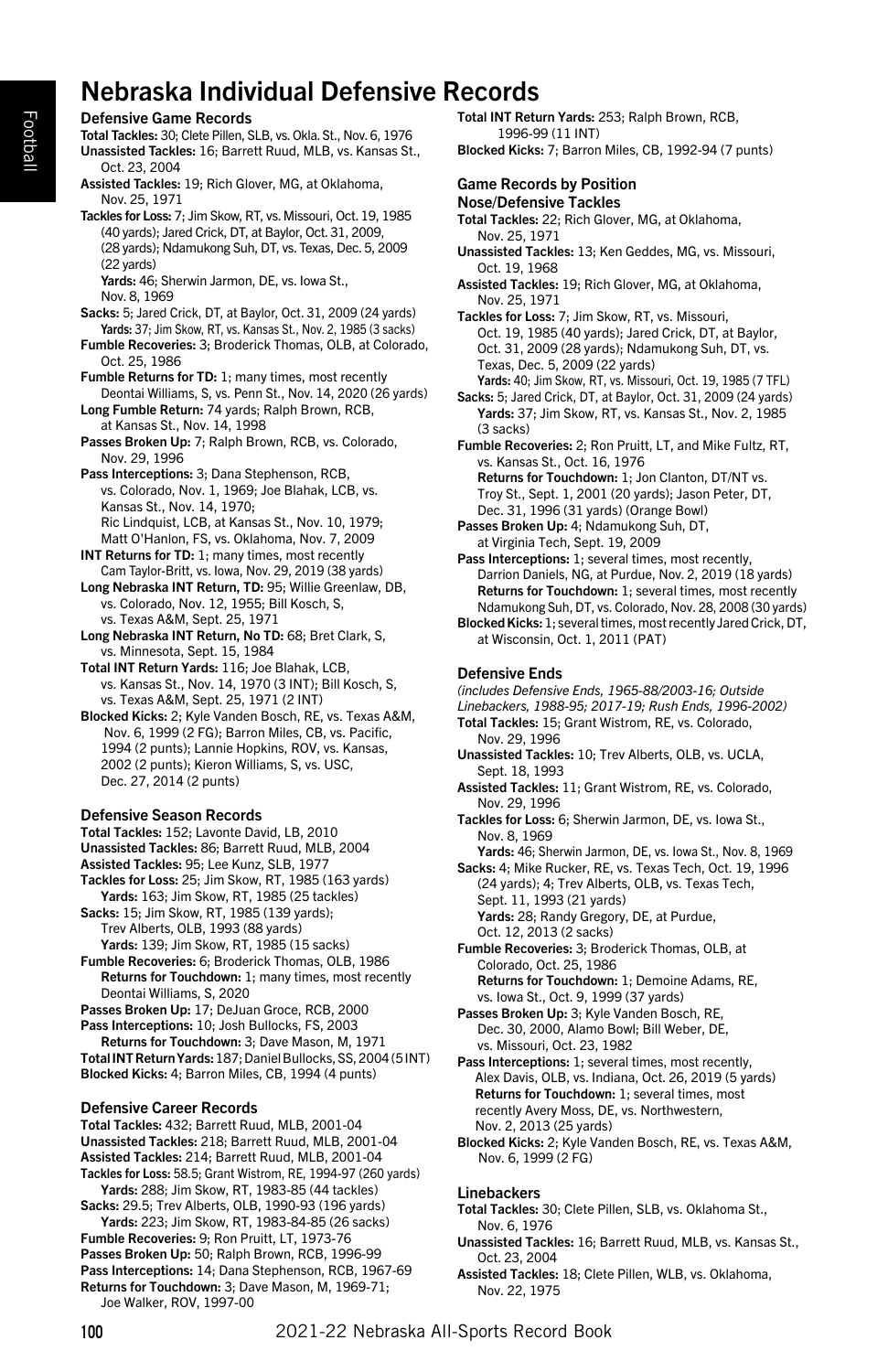# Nebraska Individual Defensive Records

# Defensive Game Records

Total Tackles: 30; Clete Pillen, SLB, vs. Okla. St., Nov. 6, 1976 Unassisted Tackles: 16; Barrett Ruud, MLB, vs. Kansas St., Oct. 23, 2004

Assisted Tackles: 19; Rich Glover, MG, at Oklahoma, Nov. 25, 1971

Tackles for Loss: 7; Jim Skow, RT, vs. Missouri, Oct. 19, 1985 (40 yards); Jared Crick, DT, at Baylor, Oct. 31, 2009, (28 yards); Ndamukong Suh, DT, vs. Texas, Dec. 5, 2009 (22 yards)

Yards: 46; Sherwin Jarmon, DE, vs. Iowa St., Nov. 8, 1969

- Sacks: 5; Jared Crick, DT, at Baylor, Oct. 31, 2009 (24 yards) Yards: 37; Jim Skow, RT, vs. Kansas St., Nov. 2, 1985 (3 sacks)
- Fumble Recoveries: 3; Broderick Thomas, OLB, at Colorado, Oct. 25, 1986
- Fumble Returns for TD: 1; many times, most recently Deontai Williams, S, vs. Penn St., Nov. 14, 2020 (26 yards)

Long Fumble Return: 74 yards; Ralph Brown, RCB, at Kansas St., Nov. 14, 1998

Passes Broken Up: 7; Ralph Brown, RCB, vs. Colorado, Nov. 29, 1996

Pass Interceptions: 3; Dana Stephenson, RCB, vs. Colorado, Nov. 1, 1969; Joe Blahak, LCB, vs. Kansas St., Nov. 14, 1970; Ric Lindquist, LCB, at Kansas St., Nov. 10, 1979; Matt O'Hanlon, FS, vs. Oklahoma, Nov. 7, 2009

INT Returns for TD: 1; many times, most recently Cam Taylor-Britt, vs. Iowa, Nov. 29, 2019 (38 yards)

Long Nebraska INT Return, TD: 95; Willie Greenlaw, DB, vs. Colorado, Nov. 12, 1955; Bill Kosch, S, vs. Texas A&M, Sept. 25, 1971

Long Nebraska INT Return, No TD: 68; Bret Clark, S, vs. Minnesota, Sept. 15, 1984

Total INT Return Yards: 116; Joe Blahak, LCB, vs. Kansas St., Nov. 14, 1970 (3 INT); Bill Kosch, S, vs. Texas A&M, Sept. 25, 1971 (2 INT)

Blocked Kicks: 2; Kyle Vanden Bosch, RE, vs. Texas A&M, Nov. 6, 1999 (2 FG); Barron Miles, CB, vs. Pacific, 1994 (2 punts); Lannie Hopkins, ROV, vs. Kansas, 2002 (2 punts); Kieron Williams, S, vs. USC, Dec. 27, 2014 (2 punts)

# Defensive Season Records

Total Tackles: 152; Lavonte David, LB, 2010

Unassisted Tackles: 86; Barrett Ruud, MLB, 2004

Assisted Tackles: 95; Lee Kunz, SLB, 1977

Tackles for Loss: 25; Jim Skow, RT, 1985 (163 yards) Yards: 163; Jim Skow, RT, 1985 (25 tackles) Sacks: 15; Jim Skow, RT, 1985 (139 yards);

Trev Alberts, OLB, 1993 (88 yards) Yards: 139; Jim Skow, RT, 1985 (15 sacks)

Fumble Recoveries: 6; Broderick Thomas, OLB, 1986 Returns for Touchdown: 1; many times, most recently Deontai Williams, S, 2020

Passes Broken Up: 17; DeJuan Groce, RCB, 2000 Pass Interceptions: 10; Josh Bullocks, FS, 2003

Returns for Touchdown: 3; Dave Mason, M, 1971 Total INT Return Yards: 187; Daniel Bullocks, SS, 2004 (5 INT) Blocked Kicks: 4; Barron Miles, CB, 1994 (4 punts)

# Defensive Career Records

Total Tackles: 432; Barrett Ruud, MLB, 2001-04 Unassisted Tackles: 218; Barrett Ruud, MLB, 2001-04 Assisted Tackles: 214; Barrett Ruud, MLB, 2001-04 Tackles for Loss: 58.5; Grant Wistrom, RE, 1994-97 (260 yards) Yards: 288; Jim Skow, RT, 1983-85 (44 tackles) Sacks: 29.5; Trev Alberts, OLB, 1990-93 (196 yards) Yards: 223; Jim Skow, RT, 1983-84-85 (26 sacks) Fumble Recoveries: 9; Ron Pruitt, LT, 1973-76 Passes Broken Up: 50; Ralph Brown, RCB, 1996-99 Pass Interceptions: 14; Dana Stephenson, RCB, 1967-69 Returns for Touchdown: 3; Dave Mason, M, 1969-71;

Joe Walker, ROV, 1997-00

Total INT Return Yards: 253; Ralph Brown, RCB, 1996-99 (11 INT)

Blocked Kicks: 7; Barron Miles, CB, 1992-94 (7 punts)

#### Game Records by Position Nose/Defensive Tackles

Total Tackles: 22; Rich Glover, MG, at Oklahoma, Nov. 25, 1971

- Unassisted Tackles: 13; Ken Geddes, MG, vs. Missouri, Oct. 19, 1968
- Assisted Tackles: 19; Rich Glover, MG, at Oklahoma, Nov. 25, 1971

Tackles for Loss: 7; Jim Skow, RT, vs. Missouri, Oct. 19, 1985 (40 yards); Jared Crick, DT, at Baylor, Oct. 31, 2009 (28 yards); Ndamukong Suh, DT, vs. Texas, Dec. 5, 2009 (22 yards)

Yards: 40; Jim Skow, RT, vs. Missouri, Oct. 19, 1985 (7 TFL)

Sacks: 5; Jared Crick, DT, at Baylor, Oct. 31, 2009 (24 yards) Yards: 37; Jim Skow, RT, vs. Kansas St., Nov. 2, 1985 (3 sacks)

Fumble Recoveries: 2; Ron Pruitt, LT, and Mike Fultz, RT, vs. Kansas St., Oct. 16, 1976 Returns for Touchdown: 1; Jon Clanton, DT/NT vs.

Troy St., Sept. 1, 2001 (20 yards); Jason Peter, DT, Dec. 31, 1996 (31 yards) (Orange Bowl) Passes Broken Up: 4; Ndamukong Suh, DT,

at Virginia Tech, Sept. 19, 2009

Pass Interceptions: 1: several times, most recently, Darrion Daniels, NG, at Purdue, Nov. 2, 2019 (18 yards) Returns for Touchdown: 1; several times, most recently Ndamukong Suh, DT, vs. Colorado, Nov. 28, 2008 (30 yards)

Blocked Kicks: 1; several times, most recently Jared Crick, DT, at Wisconsin, Oct. 1, 2011 (PAT)

# Defensive Ends

*(includes Defensive Ends, 1965-88/2003-16; Outside Linebackers, 1988-95; 2017-19; Rush Ends, 1996-2002)* Total Tackles: 15; Grant Wistrom, RE, vs. Colorado, Nov. 29, 1996

Unassisted Tackles: 10; Trev Alberts, OLB, vs. UCLA, Sept. 18, 1993

- Assisted Tackles: 11; Grant Wistrom, RE, vs. Colorado, Nov. 29, 1996
- Tackles for Loss: 6; Sherwin Jarmon, DE, vs. Iowa St., Nov. 8, 1969

Yards: 46; Sherwin Jarmon, DE, vs. Iowa St., Nov. 8, 1969 Sacks: 4; Mike Rucker, RE, vs. Texas Tech, Oct. 19, 1996 (24 yards); 4; Trev Alberts, OLB, vs. Texas Tech, Sept. 11, 1993 (21 yards) Yards: 28; Randy Gregory, DE, at Purdue,

Oct. 12, 2013 (2 sacks) Fumble Recoveries: 3; Broderick Thomas, OLB, at

Colorado, Oct. 25, 1986 Returns for Touchdown: 1; Demoine Adams, RE, vs. Iowa St., Oct. 9, 1999 (37 yards)

Passes Broken Up: 3; Kyle Vanden Bosch, RE Dec. 30, 2000, Alamo Bowl; Bill Weber, DE, vs. Missouri, Oct. 23, 1982

Pass Interceptions: 1; several times, most recently, Alex Davis, OLB, vs. Indiana, Oct. 26, 2019 (5 yards) Returns for Touchdown: 1; several times, most recently Avery Moss, DE, vs. Northwestern, Nov. 2, 2013 (25 yards)

Blocked Kicks: 2; Kyle Vanden Bosch, RE, vs. Texas A&M, Nov. 6, 1999 (2 FG)

# Linebackers

Total Tackles: 30; Clete Pillen, SLB, vs. Oklahoma St., Nov. 6, 1976

- Unassisted Tackles: 16; Barrett Ruud, MLB, vs. Kansas St., Oct. 23, 2004
- Assisted Tackles: 18; Clete Pillen, WLB, vs. Oklahoma, Nov. 22, 1975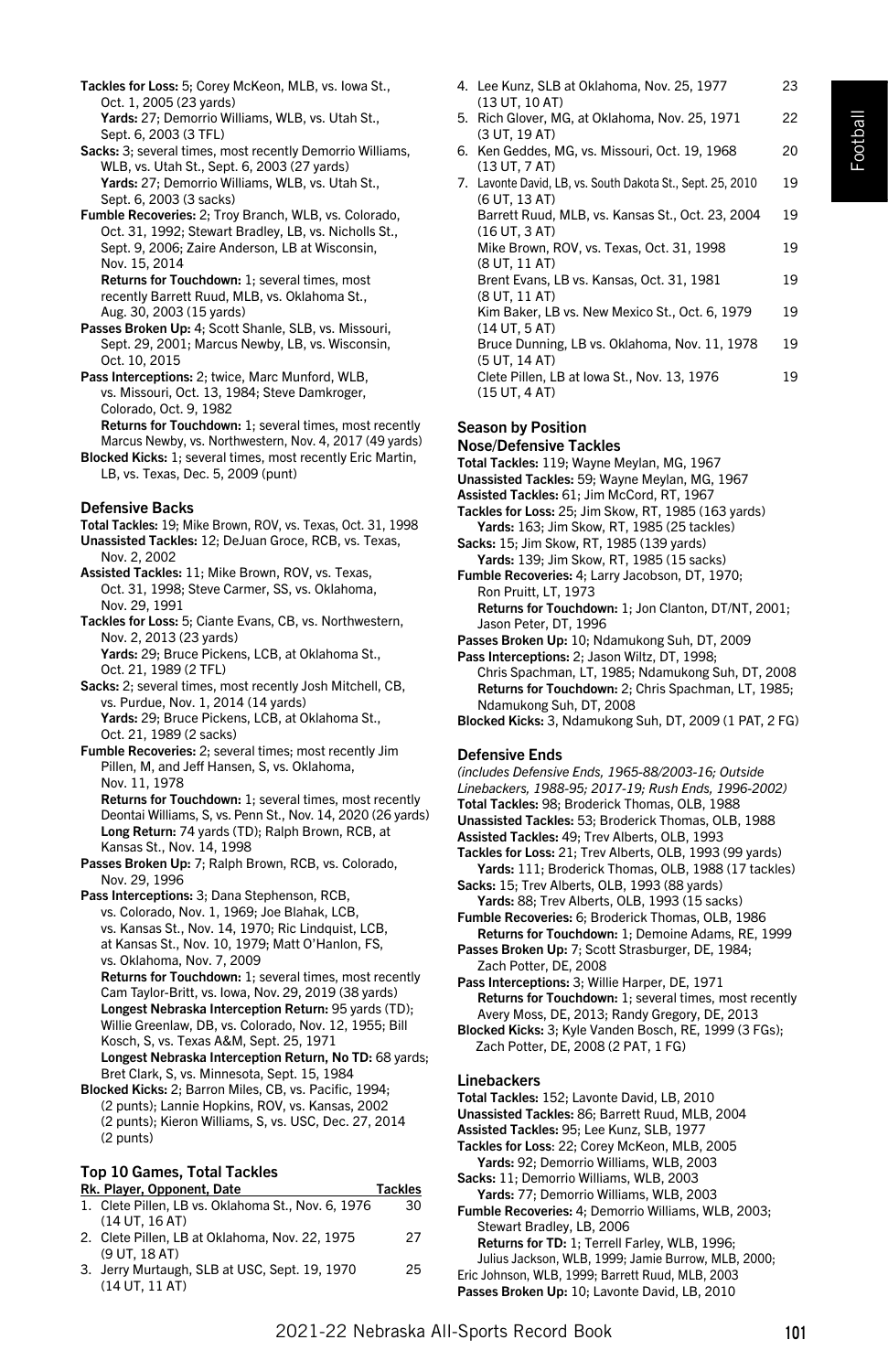- Tackles for Loss: 5; Corey McKeon, MLB, vs. Iowa St., Oct. 1, 2005 (23 yards) Yards: 27; Demorrio Williams, WLB, vs. Utah St.,
- Sept. 6, 2003 (3 TFL) Sacks: 3; several times, most recently Demorrio Williams, WLB, vs. Utah St., Sept. 6, 2003 (27 yards) Yards: 27: Demorrio Williams, WLB, vs. Utah St., Sept. 6, 2003 (3 sacks)
- Fumble Recoveries: 2; Troy Branch, WLB, vs. Colorado, Oct. 31, 1992; Stewart Bradley, LB, vs. Nicholls St., Sept. 9, 2006; Zaire Anderson, LB at Wisconsin. Nov. 15, 2014

Returns for Touchdown: 1; several times, most recently Barrett Ruud, MLB, vs. Oklahoma St., Aug. 30, 2003 (15 yards)

- Passes Broken Up: 4; Scott Shanle, SLB, vs. Missouri, Sept. 29, 2001; Marcus Newby, LB, vs. Wisconsin, Oct. 10, 2015
- Pass Interceptions: 2; twice, Marc Munford, WLB, vs. Missouri, Oct. 13, 1984; Steve Damkroger, Colorado, Oct. 9, 1982 Returns for Touchdown: 1; several times, most recently
- Marcus Newby, vs. Northwestern, Nov. 4, 2017 (49 yards) Blocked Kicks: 1; several times, most recently Eric Martin, LB, vs. Texas, Dec. 5, 2009 (punt)

#### Defensive Backs

- Total Tackles: 19; Mike Brown, ROV, vs. Texas, Oct. 31, 1998
- Unassisted Tackles: 12; DeJuan Groce, RCB, vs. Texas, Nov. 2, 2002
- Assisted Tackles: 11; Mike Brown, ROV, vs. Texas, Oct. 31, 1998; Steve Carmer, SS, vs. Oklahoma, Nov. 29, 1991
- Tackles for Loss: 5; Ciante Evans, CB, vs. Northwestern, Nov. 2, 2013 (23 yards) Yards: 29; Bruce Pickens, LCB, at Oklahoma St.,
- Oct. 21, 1989 (2 TFL) Sacks: 2; several times, most recently Josh Mitchell, CB, vs. Purdue, Nov. 1, 2014 (14 yards) Yards: 29; Bruce Pickens, LCB, at Oklahoma St., Oct. 21, 1989 (2 sacks)
- Fumble Recoveries: 2; several times; most recently Jim Pillen, M, and Jeff Hansen, S, vs. Oklahoma, Nov. 11, 1978

Returns for Touchdown: 1; several times, most recently Deontai Williams, S, vs. Penn St., Nov. 14, 2020 (26 yards) Long Return: 74 yards (TD); Ralph Brown, RCB, at Kansas St., Nov. 14, 1998

- Passes Broken Up: 7; Ralph Brown, RCB, vs. Colorado, Nov. 29, 1996
- Pass Interceptions: 3; Dana Stephenson, RCB, vs. Colorado, Nov. 1, 1969; Joe Blahak, LCB, vs. Kansas St., Nov. 14, 1970; Ric Lindquist, LCB, at Kansas St., Nov. 10, 1979; Matt O'Hanlon, FS, vs. Oklahoma, Nov. 7, 2009 Returns for Touchdown: 1; several times, most recently Cam Taylor-Britt, vs. Iowa, Nov. 29, 2019 (38 yards) Longest Nebraska Interception Return: 95 yards (TD); Willie Greenlaw, DB, vs. Colorado, Nov. 12, 1955; Bill Kosch, S, vs. Texas A&M, Sept. 25, 1971 Longest Nebraska Interception Return, No TD: 68 yards; Bret Clark, S, vs. Minnesota, Sept. 15, 1984
- Blocked Kicks: 2; Barron Miles, CB, vs. Pacific, 1994; (2 punts); Lannie Hopkins, ROV, vs. Kansas, 2002 (2 punts); Kieron Williams, S, vs. USC, Dec. 27, 2014 (2 punts)

# Top 10 Games, Total Tackles

| Rk. Player, Opponent, Date                         | <b>Tackles</b> |
|----------------------------------------------------|----------------|
| 1. Clete Pillen. LB vs. Oklahoma St., Nov. 6, 1976 | 30             |
| (14 UT, 16 AT)                                     |                |

- 2. Clete Pillen, LB at Oklahoma, Nov. 22, 1975 27 (9 UT, 18 AT)
- 3. Jerry Murtaugh, SLB at USC, Sept. 19, 1970 25 (14 UT, 11 AT)
- 4. Lee Kunz, SLB at Oklahoma, Nov. 25, 1977 23 (13 UT, 10 AT)
- 5. Rich Glover, MG, at Oklahoma, Nov. 25, 1971 22 (3 UT, 19 AT)
- 6. Ken Geddes, MG, vs. Missouri, Oct. 19, 1968 20 (13 UT, 7 AT)
- 7. Lavonte David, LB, vs. South Dakota St., Sept. 25, 2010 19 (6 UT, 13 AT) Barrett Ruud, MLB, vs. Kansas St., Oct. 23, 2004 19 (16 UT, 3 AT) Mike Brown, ROV, vs. Texas, Oct. 31, 1998 19 (8 UT, 11 AT) Brent Evans, LB vs. Kansas, Oct. 31, 1981 19 (8 UT, 11 AT) Kim Baker, LB vs. New Mexico St., Oct. 6, 1979 19 (14 UT, 5 AT) Bruce Dunning, LB vs. Oklahoma, Nov. 11, 1978 19 (5 UT, 14 AT) Clete Pillen, LB at Iowa St., Nov. 13, 1976 19 (15 UT, 4 AT)

#### Season by Position

#### Nose/Defensive Tackles

- Total Tackles: 119; Wayne Meylan, MG, 1967
- Unassisted Tackles: 59; Wayne Meylan, MG, 1967
- Assisted Tackles: 61; Jim McCord, RT, 1967
- Tackles for Loss: 25; Jim Skow, RT, 1985 (163 yards) Yards: 163; Jim Skow, RT, 1985 (25 tackles)
- Sacks: 15; Jim Skow, RT, 1985 (139 yards) Yards: 139; Jim Skow, RT, 1985 (15 sacks) Fumble Recoveries: 4; Larry Jacobson, DT, 1970; Ron Pruitt, LT, 1973
- Returns for Touchdown: 1; Jon Clanton, DT/NT, 2001; Jason Peter, DT, 1996
- Passes Broken Up: 10; Ndamukong Suh, DT, 2009 Pass Interceptions: 2; Jason Wiltz, DT, 1998;
- Chris Spachman, LT, 1985; Ndamukong Suh, DT, 2008 Returns for Touchdown: 2; Chris Spachman, LT, 1985; Ndamukong Suh, DT, 2008
- Blocked Kicks: 3, Ndamukong Suh, DT, 2009 (1 PAT, 2 FG)

#### Defensive Ends

- *(includes Defensive Ends, 1965-88/2003-16; Outside*
- *Linebackers, 1988-95; 2017-19; Rush Ends, 1996-2002)*
- Total Tackles: 98; Broderick Thomas, OLB, 1988
- Unassisted Tackles: 53; Broderick Thomas, OLB, 1988
- Assisted Tackles: 49; Trev Alberts, OLB, 1993
- Tackles for Loss: 21; Trev Alberts, OLB, 1993 (99 yards) Yards: 111; Broderick Thomas, OLB, 1988 (17 tackles)
- Sacks: 15; Trev Alberts, OLB, 1993 (88 yards) Yards: 88: Trev Alberts, OLB, 1993 (15 sacks) Fumble Recoveries: 6; Broderick Thomas, OLB, 1986
- Returns for Touchdown: 1; Demoine Adams, RE, 1999 Passes Broken Up: 7; Scott Strasburger, DE, 1984;
- Zach Potter, DE, 2008 Pass Interceptions: 3; Willie Harper, DE, 1971
- Returns for Touchdown: 1; several times, most recently Avery Moss, DE, 2013; Randy Gregory, DE, 2013
- Blocked Kicks: 3; Kyle Vanden Bosch, RE, 1999 (3 FGs); Zach Potter, DE, 2008 (2 PAT, 1 FG)

#### Linebackers

- Total Tackles: 152; Lavonte David, LB, 2010
- Unassisted Tackles: 86; Barrett Ruud, MLB, 2004
- Assisted Tackles: 95; Lee Kunz, SLB, 1977
- Tackles for Loss: 22; Corey McKeon, MLB, 2005 Yards: 92; Demorrio Williams, WLB, 2003
- Sacks: 11; Demorrio Williams, WLB, 2003 Yards: 77; Demorrio Williams, WLB, 2003
- Fumble Recoveries: 4; Demorrio Williams, WLB, 2003; Stewart Bradley, LB, 2006 Returns for TD: 1; Terrell Farley, WLB, 1996;
- Julius Jackson, WLB, 1999; Jamie Burrow, MLB, 2000;
- Eric Johnson, WLB, 1999; Barrett Ruud, MLB, 2003
- Passes Broken Up: 10; Lavonte David, LB, 2010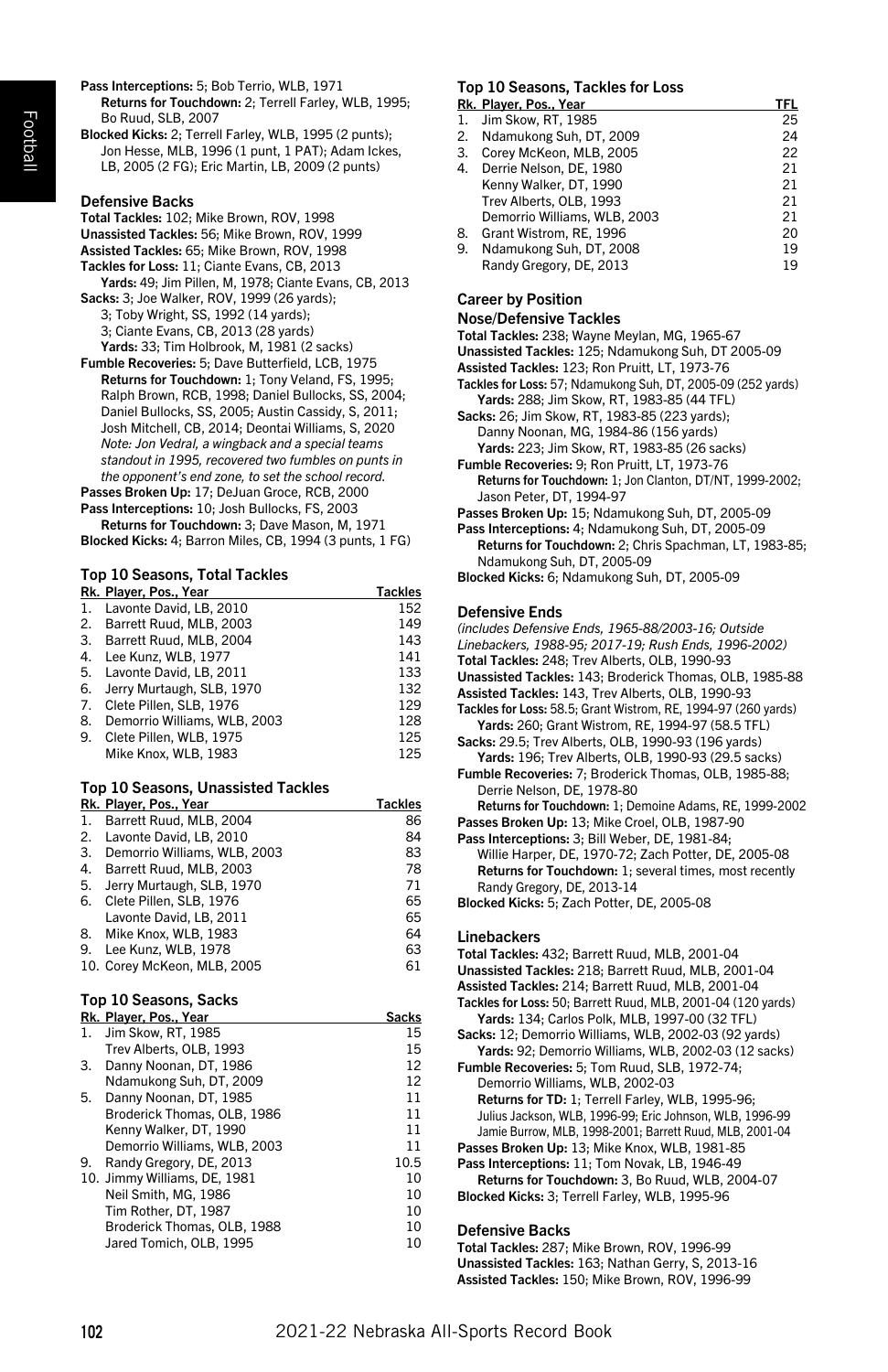- Football
- Pass Interceptions: 5; Bob Terrio, WLB, 1971 Returns for Touchdown: 2; Terrell Farley, WLB, 1995; Bo Ruud, SLB, 2007
- Blocked Kicks: 2; Terrell Farley, WLB, 1995 (2 punts); Jon Hesse, MLB, 1996 (1 punt, 1 PAT); Adam Ickes, LB, 2005 (2 FG); Eric Martin, LB, 2009 (2 punts)

### Defensive Backs

Total Tackles: 102; Mike Brown, ROV, 1998 Unassisted Tackles: 56; Mike Brown, ROV, 1999 Assisted Tackles: 65; Mike Brown, ROV, 1998 Tackles for Loss: 11; Ciante Evans, CB, 2013 Yards: 49; Jim Pillen, M, 1978; Ciante Evans, CB, 2013 Sacks: 3; Joe Walker, ROV, 1999 (26 yards); 3; Toby Wright, SS, 1992 (14 yards); 3; Ciante Evans, CB, 2013 (28 yards) Yards: 33; Tim Holbrook, M, 1981 (2 sacks)

Fumble Recoveries: 5; Dave Butterfield, LCB, 1975 Returns for Touchdown: 1; Tony Veland, FS, 1995; Ralph Brown, RCB, 1998; Daniel Bullocks, SS, 2004; Daniel Bullocks, SS, 2005; Austin Cassidy, S, 2011; Josh Mitchell, CB, 2014; Deontai Williams, S, 2020 *Note: Jon Vedral, a wingback and a special teams standout in 1995, recovered two fumbles on punts in the opponent's end zone, to set the school record.* Passes Broken Up: 17; DeJuan Groce, RCB, 2000

Pass Interceptions: 10; Josh Bullocks, FS, 2003 Returns for Touchdown: 3; Dave Mason, M, 1971 Blocked Kicks: 4; Barron Miles, CB, 1994 (3 punts, 1 FG)

# Top 10 Seasons, Total Tackles

| Rk. Player, Pos., Year       | <b>Tackles</b> |
|------------------------------|----------------|
| Lavonte David, LB, 2010      | 152            |
| 2. Barrett Ruud, MLB, 2003   | 149            |
| 3. Barrett Ruud, MLB, 2004   | 143            |
| 4. Lee Kunz, WLB, 1977       | 141            |
| 5. Lavonte David, LB, 2011   | 133            |
| Jerry Murtaugh, SLB, 1970    | 132            |
| Clete Pillen, SLB, 1976      | 129            |
| Demorrio Williams, WLB, 2003 | 128            |
| 9. Clete Pillen, WLB, 1975   | 125            |
| Mike Knox, WLB, 1983         | 125            |
|                              |                |

# Top 10 Seasons, Unassisted Tackles

|    | Rk. Player, Pos., Year       | <b>Tackles</b> |
|----|------------------------------|----------------|
| 1. | Barrett Ruud, MLB, 2004      | 86             |
| 2. | Lavonte David, LB, 2010      | 84             |
| 3. | Demorrio Williams, WLB, 2003 | 83             |
| 4. | Barrett Ruud, MLB, 2003      | 78             |
| 5. | Jerry Murtaugh, SLB, 1970    | 71             |
| 6. | Clete Pillen, SLB, 1976      | 65             |
|    | Lavonte David, LB, 2011      | 65             |
|    | 8. Mike Knox, WLB, 1983      | 64             |
| 9. | Lee Kunz, WLB, 1978          | 63             |
|    | 10. Corey McKeon, MLB, 2005  | 61             |

# Top 10 Seasons, Sacks

|    | Rk. Player, Pos., Year       | Sacks |
|----|------------------------------|-------|
| 1. | Jim Skow, RT, 1985           | 15    |
|    | Trev Alberts, OLB, 1993      | 15    |
| 3. | Danny Noonan, DT, 1986       | 12    |
|    | Ndamukong Suh, DT, 2009      | 12    |
| 5. | Danny Noonan, DT, 1985       | 11    |
|    | Broderick Thomas, OLB, 1986  | 11    |
|    | Kenny Walker, DT, 1990       | 11    |
|    | Demorrio Williams, WLB, 2003 | 11    |
| 9. | Randy Gregory, DE, 2013      | 10.5  |
|    | 10. Jimmy Williams, DE, 1981 | 10    |
|    | Neil Smith, MG, 1986         | 10    |
|    | Tim Rother, DT, 1987         | 10    |
|    | Broderick Thomas, OLB, 1988  | 10    |
|    | Jared Tomich, OLB, 1995      | 10    |

# Top 10 Seasons, Tackles for Loss

|    | Rk. Player, Pos., Year       | TFL |
|----|------------------------------|-----|
|    | 1. Jim Skow. RT. 1985        | 25  |
| 2. | Ndamukong Suh, DT, 2009      | 24  |
| 3. | Corey McKeon, MLB, 2005      | 22  |
| 4. | Derrie Nelson, DE, 1980      | 21  |
|    | Kenny Walker, DT, 1990       | 21  |
|    | Trev Alberts, OLB, 1993      | 21  |
|    | Demorrio Williams, WLB, 2003 | 21  |
| 8. | Grant Wistrom, RE, 1996      | 20  |
| 9. | Ndamukong Suh, DT, 2008      | 19  |
|    | Randy Gregory, DE, 2013      | 19  |

#### Career by Position

#### Nose/Defensive Tackles

Total Tackles: 238; Wayne Meylan, MG, 1965-67

- Unassisted Tackles: 125; Ndamukong Suh, DT 2005-09
- Assisted Tackles: 123; Ron Pruitt, LT, 1973-76
- Tackles for Loss: 57; Ndamukong Suh, DT, 2005-09 (252 yards) Yards: 288; Jim Skow, RT, 1983-85 (44 TFL)
- Sacks: 26; Jim Skow, RT, 1983-85 (223 yards); Danny Noonan, MG, 1984-86 (156 yards) Yards: 223; Jim Skow, RT, 1983-85 (26 sacks)
- Fumble Recoveries: 9; Ron Pruitt, LT, 1973-76 Returns for Touchdown: 1; Jon Clanton, DT/NT, 1999-2002; Jason Peter, DT, 1994-97
- Passes Broken Up: 15; Ndamukong Suh, DT, 2005-09
- Pass Interceptions: 4; Ndamukong Suh, DT, 2005-09 Returns for Touchdown: 2: Chris Spachman, LT, 1983-85: Ndamukong Suh, DT, 2005-09
- Blocked Kicks: 6; Ndamukong Suh, DT, 2005-09

## Defensive Ends

| (includes Defensive Ends, 1965-88/2003-16; Outside             |
|----------------------------------------------------------------|
| Linebackers, 1988-95; 2017-19; Rush Ends, 1996-2002)           |
| Total Tackles: 248; Trev Alberts, OLB, 1990-93                 |
| Unassisted Tackles: 143; Broderick Thomas, OLB, 1985-88        |
| Assisted Tackles: 143, Trev Alberts, OLB, 1990-93              |
| Tackles for Loss: 58.5; Grant Wistrom, RE, 1994-97 (260 yards) |
| Yards: 260: Grant Wistrom, RE, 1994-97 (58.5 TFL)              |
| Sacks: 29.5; Trev Alberts, OLB, 1990-93 (196 yards)            |
| Yards: 196; Trev Alberts, OLB, 1990-93 (29.5 sacks)            |
| Fumble Recoveries: 7; Broderick Thomas, OLB, 1985-88;          |
| Derrie Nelson, DE, 1978-80                                     |
| Returns for Touchdown: 1; Demoine Adams, RE, 1999-2002         |
| Passes Broken Up: 13; Mike Croel, OLB, 1987-90                 |
| Pass Interceptions: 3; Bill Weber, DE, 1981-84;                |
| Willie Harper, DE, 1970-72; Zach Potter, DE, 2005-08           |
| Returns for Touchdown: 1; several times, most recently         |
| Randy Gregory, DE, 2013-14                                     |
| Blocked Kicks: 5; Zach Potter, DE, 2005-08                     |
|                                                                |

#### Linebackers

Total Tackles: 432; Barrett Ruud, MLB, 2001-04 Unassisted Tackles: 218; Barrett Ruud, MLB, 2001-04 Assisted Tackles: 214; Barrett Ruud, MLB, 2001-04 Tackles for Loss: 50; Barrett Ruud, MLB, 2001-04 (120 yards) Yards: 134; Carlos Polk, MLB, 1997-00 (32 TFL) Sacks: 12; Demorrio Williams, WLB, 2002-03 (92 yards) Yards: 92; Demorrio Williams, WLB, 2002-03 (12 sacks) Fumble Recoveries: 5; Tom Ruud, SLB, 1972-74; Demorrio Williams, WLB, 2002-03 Returns for TD: 1; Terrell Farley, WLB, 1995-96; Julius Jackson, WLB, 1996-99; Eric Johnson, WLB, 1996-99 Jamie Burrow, MLB, 1998-2001; Barrett Ruud, MLB, 2001-04 Passes Broken Up: 13; Mike Knox, WLB, 1981-85 Pass Interceptions: 11; Tom Novak, LB, 1946-49 Returns for Touchdown: 3, Bo Ruud, WLB, 2004-07 Blocked Kicks: 3; Terrell Farley, WLB, 1995-96 Defensive Backs

# Total Tackles: 287; Mike Brown, ROV, 1996-99

Unassisted Tackles: 163; Nathan Gerry, S, 2013-16 Assisted Tackles: 150; Mike Brown, ROV, 1996-99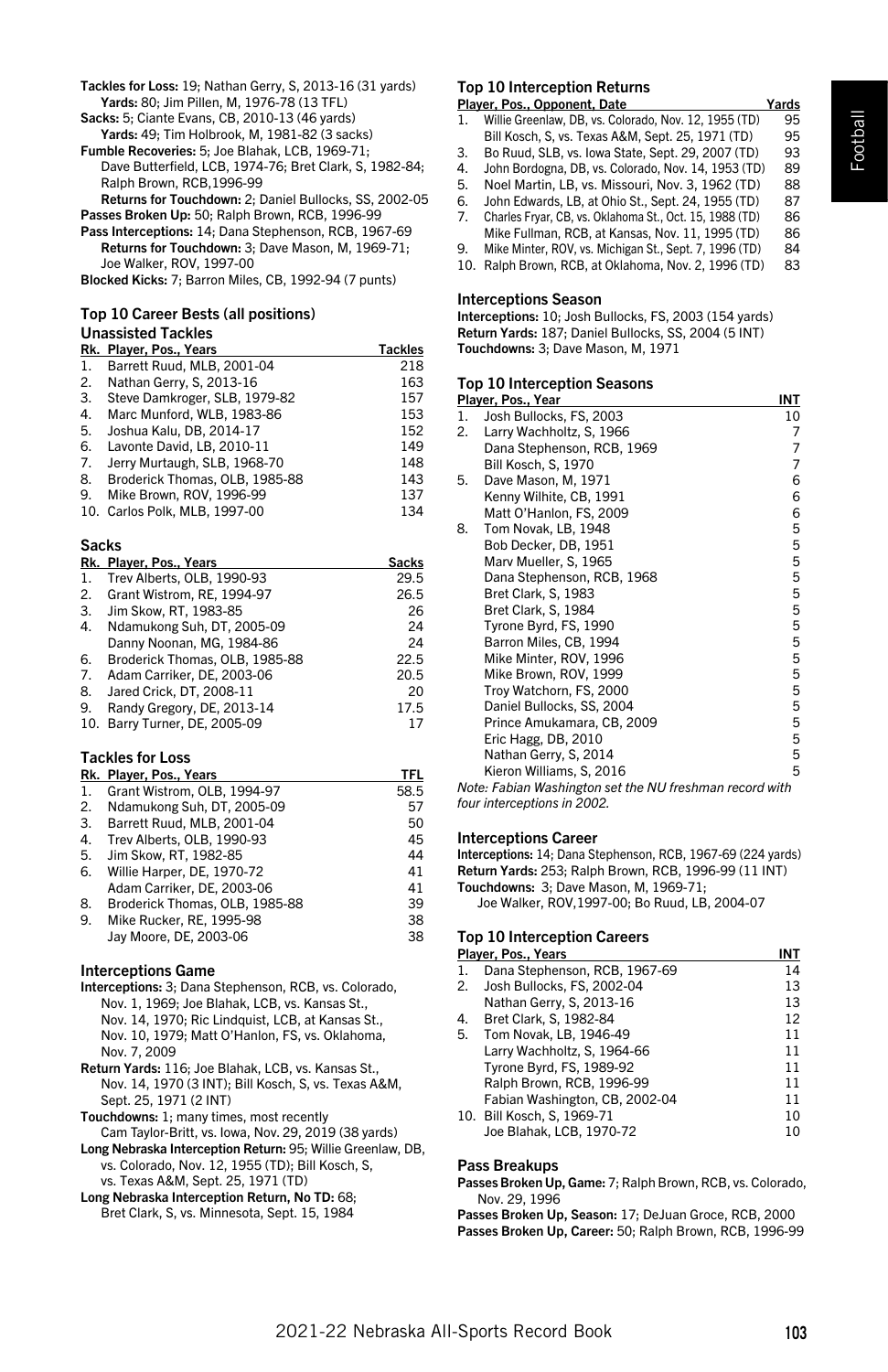Football

Tackles for Loss: 19; Nathan Gerry, S, 2013-16 (31 yards) Yards: 80; Jim Pillen, M, 1976-78 (13 TFL)

Sacks: 5; Ciante Evans, CB, 2010-13 (46 yards) Yards: 49; Tim Holbrook, M, 1981-82 (3 sacks) Fumble Recoveries: 5; Joe Blahak, LCB, 1969-71; Dave Butterfield, LCB, 1974-76; Bret Clark, S, 1982-84;

Ralph Brown, RCB,1996-99 Returns for Touchdown: 2; Daniel Bullocks, SS, 2002-05 Passes Broken Up: 50: Ralph Brown, RCB, 1996-99

Pass Interceptions: 14; Dana Stephenson, RCB, 1967-69 Returns for Touchdown: 3; Dave Mason, M, 1969-71; Joe Walker, ROV, 1997-00

Blocked Kicks: 7; Barron Miles, CB, 1992-94 (7 punts)

#### Top 10 Career Bests (all positions) Unassisted Tackles

|    | Rk. Player, Pos., Years        | <b>Tackles</b> |
|----|--------------------------------|----------------|
| 1. | Barrett Ruud, MLB, 2001-04     | 218            |
| 2. | Nathan Gerry, S, 2013-16       | 163            |
| 3. | Steve Damkroger, SLB, 1979-82  | 157            |
| 4. | Marc Munford, WLB, 1983-86     | 153            |
| 5. | Joshua Kalu, DB, 2014-17       | 152            |
| 6. | Lavonte David, LB, 2010-11     | 149            |
| 7. | Jerry Murtaugh, SLB, 1968-70   | 148            |
| 8. | Broderick Thomas, OLB, 1985-88 | 143            |
| 9. | Mike Brown, ROV, 1996-99       | 137            |
|    | 10. Carlos Polk, MLB, 1997-00  | 134            |

#### Sacks

|     | Rk. Player, Pos., Years        | <b>Sacks</b> |
|-----|--------------------------------|--------------|
| 1.  | Trev Alberts, OLB, 1990-93     | 29.5         |
| 2.  | Grant Wistrom, RE. 1994-97     | 26.5         |
| 3.  | Jim Skow, RT, 1983-85          | 26           |
| 4.  | Ndamukong Suh, DT, 2005-09     | 24           |
|     | Danny Noonan, MG, 1984-86      | 24           |
| 6.  | Broderick Thomas, OLB, 1985-88 | 22.5         |
| 7.  | Adam Carriker, DE, 2003-06     | 20.5         |
| 8.  | Jared Crick, DT, 2008-11       | 20           |
| 9.  | Randy Gregory, DE, 2013-14     | 17.5         |
| 10. | Barry Turner, DE, 2005-09      | 17           |

# Tackles for Loss

|    | Rk. Player, Pos., Years        | TFL  |
|----|--------------------------------|------|
| 1. | Grant Wistrom, OLB, 1994-97    | 58.5 |
| 2. | Ndamukong Suh, DT, 2005-09     | 57   |
| 3. | Barrett Ruud, MLB, 2001-04     | 50   |
| 4. | Trev Alberts, OLB, 1990-93     | 45   |
| 5. | Jim Skow. RT. 1982-85          | 44   |
| 6. | Willie Harper, DE, 1970-72     | 41   |
|    | Adam Carriker, DE. 2003-06     | 41   |
| 8. | Broderick Thomas, OLB, 1985-88 | 39   |
| 9. | Mike Rucker, RE, 1995-98       | 38   |
|    | Jay Moore, DE, 2003-06         | 38   |

#### Interceptions Game

- Interceptions: 3; Dana Stephenson, RCB, vs. Colorado, Nov. 1, 1969; Joe Blahak, LCB, vs. Kansas St., Nov. 14, 1970; Ric Lindquist, LCB, at Kansas St., Nov. 10, 1979; Matt O'Hanlon, FS, vs. Oklahoma, Nov. 7, 2009
- Return Yards: 116; Joe Blahak, LCB, vs. Kansas St., Nov. 14, 1970 (3 INT); Bill Kosch, S, vs. Texas A&M, Sept. 25, 1971 (2 INT)
- Touchdowns: 1; many times, most recently Cam Taylor-Britt, vs. Iowa, Nov. 29, 2019 (38 yards)
- Long Nebraska Interception Return: 95; Willie Greenlaw, DB, vs. Colorado, Nov. 12, 1955 (TD); Bill Kosch, S, vs. Texas A&M, Sept. 25, 1971 (TD)
- Long Nebraska Interception Return, No TD: 68; Bret Clark, S, vs. Minnesota, Sept. 15, 1984

# Top 10 Interception Returns

- Player, Pos., Opponent, Date Yards<br>1 Willie Greenlaw, DB vs. Colorado, Nov. 12, 1955 (TD) 95 1. Willie Greenlaw, DB, vs. Colorado, Nov. 12, 1955 (TD) Bill Kosch, S, vs. Texas A&M, Sept. 25, 1971 (TD) 95
- 3. Bo Ruud, SLB, vs. Iowa State, Sept. 29, 2007 (TD) 93 4. John Bordogna, DB, vs. Colorado, Nov. 14, 1953 (TD) 89
- 
- 5. Noel Martin, LB, vs. Missouri, Nov. 3, 1962 (TD) 88 6. John Edwards, LB, at Ohio St., Sept. 24, 1955 (TD) 87
- 7. Charles Fryar, CB, vs. Oklahoma St., Oct. 15, 1988 (TD) 86 Mike Fullman, RCB, at Kansas, Nov. 11, 1995 (TD) 86
- 9. Mike Minter, ROV, vs. Michigan St., Sept. 7, 1996 (TD) 84
- 10. Ralph Brown, RCB, at Oklahoma, Nov. 2, 1996 (TD) 83

#### Interceptions Season

Interceptions: 10; Josh Bullocks, FS, 2003 (154 yards) Return Yards: 187; Daniel Bullocks, SS, 2004 (5 INT) Touchdowns: 3; Dave Mason, M, 1971

#### Top 10 Interception Seasons

|    | Player, Pos., Year                                      | INT |
|----|---------------------------------------------------------|-----|
| 1. | Josh Bullocks, FS, 2003                                 | 10  |
| 2. | Larry Wachholtz, S, 1966                                | 7   |
|    | Dana Stephenson, RCB, 1969                              | 7   |
|    | Bill Kosch, S, 1970                                     | 7   |
| 5. | Dave Mason, M, 1971                                     | 6   |
|    | Kenny Wilhite, CB, 1991                                 | 6   |
|    | Matt O'Hanlon, FS, 2009                                 | 6   |
| 8. | Tom Novak, LB, 1948                                     | 5   |
|    | Bob Decker, DB, 1951                                    | 5   |
|    | Marv Mueller, S, 1965                                   | 5   |
|    | Dana Stephenson, RCB, 1968                              | 5   |
|    | Bret Clark, S, 1983                                     | 5   |
|    | Bret Clark, S, 1984                                     | 5   |
|    | Tyrone Byrd, FS, 1990                                   | 5   |
|    | Barron Miles, CB, 1994                                  | 5   |
|    | Mike Minter, ROV, 1996                                  | 5   |
|    | Mike Brown, ROV, 1999                                   | 5   |
|    | Troy Watchorn, FS, 2000                                 | 5   |
|    | Daniel Bullocks, SS, 2004                               | 5   |
|    | Prince Amukamara, CB, 2009                              | 5   |
|    | Eric Hagg, DB, 2010                                     | 5   |
|    | Nathan Gerry, S, 2014                                   | 5   |
|    | Kieron Williams, S, 2016                                | 5   |
|    | Note: Fabian Washington set the NU freshman record with |     |

*four interceptions in 2002.*

#### Interceptions Career

Interceptions: 14; Dana Stephenson, RCB, 1967-69 (224 yards) Return Yards: 253; Ralph Brown, RCB, 1996-99 (11 INT) Touchdowns: 3; Dave Mason, M, 1969-71;

Joe Walker, ROV,1997-00; Bo Ruud, LB, 2004-07

#### Top 10 Interception Careers

| Player, Pos., Years            | INT |
|--------------------------------|-----|
| Dana Stephenson, RCB, 1967-69  | 14  |
| Josh Bullocks, FS, 2002-04     | 13  |
| Nathan Gerry, S, 2013-16       | 13  |
| Bret Clark, S, 1982-84         | 12  |
| Tom Novak, LB, 1946-49         | 11  |
| Larry Wachholtz, S, 1964-66    | 11  |
| Tyrone Byrd, FS, 1989-92       | 11  |
| Ralph Brown, RCB, 1996-99      | 11  |
| Fabian Washington, CB, 2002-04 | 11  |
| 10. Bill Kosch, S, 1969-71     | 10  |
| Joe Blahak, LCB, 1970-72       | 10  |
|                                |     |

#### Pass Breakups

Passes Broken Up, Game: 7; Ralph Brown, RCB, vs. Colorado, Nov. 29, 1996

Passes Broken Up, Season: 17; DeJuan Groce, RCB, 2000

Passes Broken Up, Career: 50: Ralph Brown, RCB, 1996-99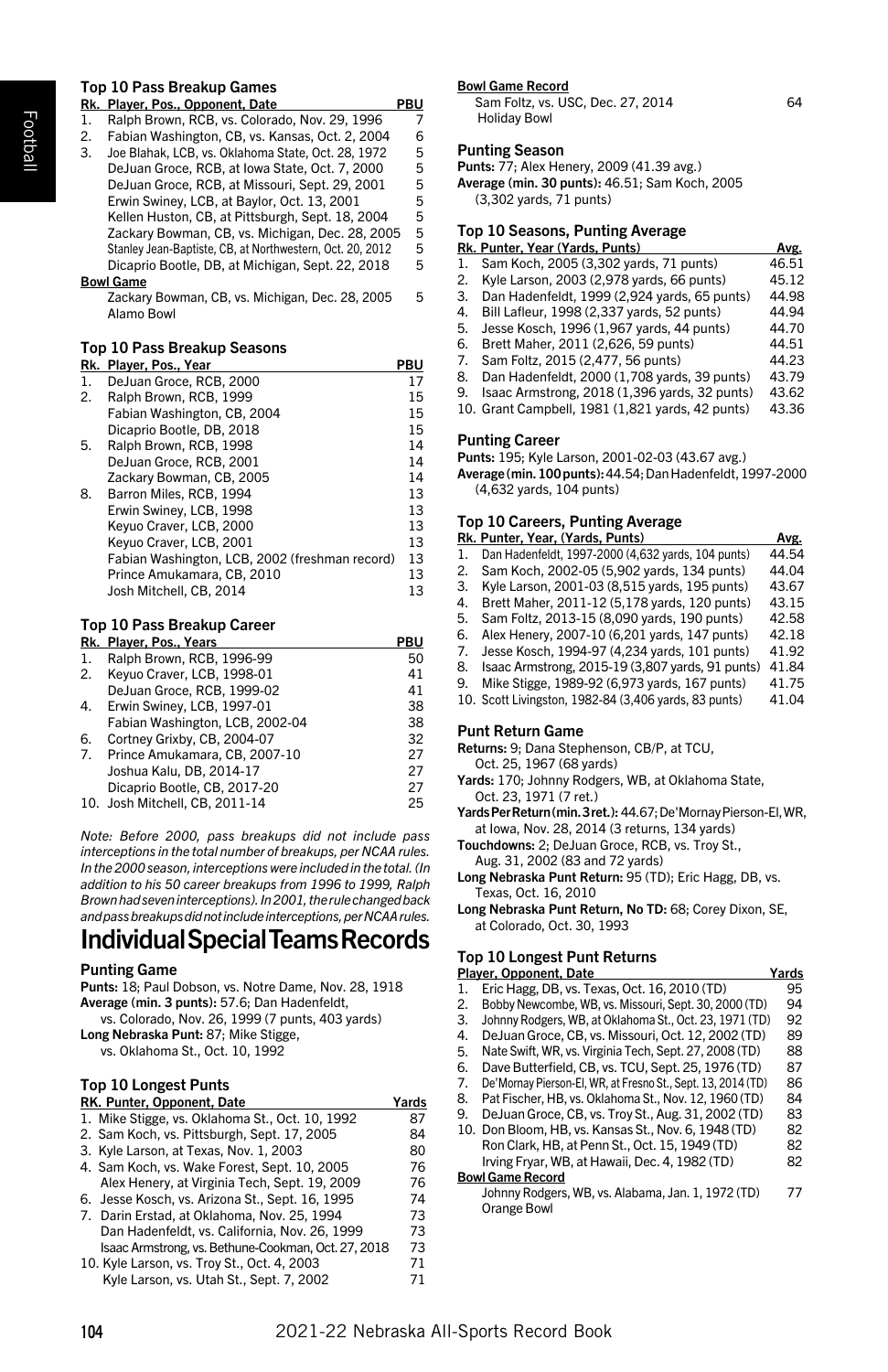# Top 10 Pass Breakup Games

|    | Rk. Player, Pos., Opponent, Date                          | PBU |
|----|-----------------------------------------------------------|-----|
| 1. | Ralph Brown, RCB, vs. Colorado, Nov. 29, 1996             | 7   |
| 2. | Fabian Washington, CB, vs. Kansas, Oct. 2, 2004           | 6   |
| 3. | Joe Blahak, LCB, vs. Oklahoma State, Oct. 28, 1972        | 5   |
|    | DeJuan Groce, RCB, at Iowa State, Oct. 7, 2000            | 5   |
|    | DeJuan Groce, RCB, at Missouri, Sept. 29, 2001            | 5   |
|    | Erwin Swiney, LCB, at Baylor, Oct. 13, 2001               | 5   |
|    | Kellen Huston, CB, at Pittsburgh, Sept. 18, 2004          | 5   |
|    | Zackary Bowman, CB, vs. Michigan, Dec. 28, 2005           | 5   |
|    | Stanley Jean-Baptiste, CB, at Northwestern, Oct. 20, 2012 | 5   |
|    | Dicaprio Bootle, DB, at Michigan, Sept. 22, 2018          | 5   |
|    | <b>Bowl Game</b>                                          |     |
|    | $7 - 1 - 0$                                               | -   |

Zackary Bowman, CB, vs. Michigan, Dec. 28, 2005 5 Alamo Bowl

#### Top 10 Pass Breakup Seasons

| Rk. | Player, Pos., Year                             | PBU |
|-----|------------------------------------------------|-----|
| 1.  | DeJuan Groce, RCB, 2000                        | 17  |
| 2.  | Ralph Brown, RCB, 1999                         | 15  |
|     | Fabian Washington, CB, 2004                    | 15  |
|     | Dicaprio Bootle, DB, 2018                      | 15  |
| 5.  | Ralph Brown, RCB, 1998                         | 14  |
|     | DeJuan Groce, RCB, 2001                        | 14  |
|     | Zackary Bowman, CB, 2005                       | 14  |
| 8.  | Barron Miles, RCB, 1994                        | 13  |
|     | Erwin Swiney, LCB, 1998                        | 13  |
|     | Keyuo Craver, LCB, 2000                        | 13  |
|     | Keyuo Craver, LCB, 2001                        | 13  |
|     | Fabian Washington, LCB, 2002 (freshman record) | 13  |
|     | Prince Amukamara, CB, 2010                     | 13  |
|     | Josh Mitchell, CB, 2014                        | 13  |
|     |                                                |     |

#### Top 10 Pass Breakup Career **Research, Pos., Years PBULL**

|    | RK. Player, Pos., rears         | rbu |
|----|---------------------------------|-----|
| 1. | Ralph Brown, RCB, 1996-99       | 50  |
| 2. | Keyuo Craver, LCB, 1998-01      | 41  |
|    | DeJuan Groce, RCB, 1999-02      | 41  |
| 4. | Erwin Swiney, LCB, 1997-01      | 38  |
|    | Fabian Washington, LCB, 2002-04 | 38  |
| 6. | Cortney Grixby, CB, 2004-07     | 32  |
| 7. | Prince Amukamara, CB, 2007-10   | 27  |
|    | Joshua Kalu, DB, 2014-17        | 27  |
|    | Dicaprio Bootle, CB, 2017-20    | 27  |
|    | 10. Josh Mitchell. CB. 2011-14  | 25  |
|    |                                 |     |

*Note: Before 2000, pass breakups did not include pass interceptions in the total number of breakups, per NCAA rules. In the 2000 season, interceptions were included in the total. (In addition to his 50 career breakups from 1996 to 1999, Ralph Brown had seven interceptions). In 2001, the rule changed back and pass breakups did not include interceptions, per NCAA rules.*

# Individual Special Teams Records

# Punting Game

| Punts: 18: Paul Dobson, vs. Notre Dame, Nov. 28, 1918 |
|-------------------------------------------------------|
| Average (min. 3 punts): 57.6; Dan Hadenfeldt,         |
| vs. Colorado, Nov. 26, 1999 (7 punts, 403 yards)      |

Long Nebraska Punt: 87; Mike Stigge, vs. Oklahoma St., Oct. 10, 1992

# Top 10 Longest Punts

| RK. Punter, Opponent, Date                          | Yards |
|-----------------------------------------------------|-------|
| 1. Mike Stigge, vs. Oklahoma St., Oct. 10, 1992     | 87    |
| 2. Sam Koch, vs. Pittsburgh, Sept. 17, 2005         | 84    |
| 3. Kyle Larson, at Texas, Nov. 1, 2003              | 80    |
| 4. Sam Koch, vs. Wake Forest, Sept. 10, 2005        | 76    |
| Alex Henery, at Virginia Tech, Sept. 19, 2009       | 76    |
| 6. Jesse Kosch, vs. Arizona St., Sept. 16, 1995     | 74    |
| 7. Darin Erstad, at Oklahoma, Nov. 25, 1994         | 73    |
| Dan Hadenfeldt, vs. California, Nov. 26, 1999       | 73    |
| Isaac Armstrong, vs. Bethune-Cookman, Oct. 27, 2018 | 73    |
| 10. Kyle Larson, vs. Troy St., Oct. 4, 2003         | 71    |
| Kyle Larson, vs. Utah St., Sept. 7, 2002            | 71    |

#### Bowl Game Record

Sam Foltz, vs. USC, Dec. 27, 2014 64 Holiday Bowl

#### Punting Season

Punts: 77; Alex Henery, 2009 (41.39 avg.) Average (min. 30 punts): 46.51; Sam Koch, 2005

(3,302 yards, 71 punts)

# Top 10 Seasons, Punting Average

|    | Rk. Punter, Year (Yards, Punts)               | Avg.  |
|----|-----------------------------------------------|-------|
| 1. | Sam Koch, 2005 (3.302 vards, 71 punts)        | 46.51 |
| 2. | Kyle Larson, 2003 (2,978 yards, 66 punts)     | 45.12 |
| 3. | Dan Hadenfeldt, 1999 (2,924 yards, 65 punts)  | 44.98 |
| 4. | Bill Lafleur, 1998 (2,337 yards, 52 punts)    | 44.94 |
| 5. | Jesse Kosch, 1996 (1,967 yards, 44 punts)     | 44.70 |
| 6. | Brett Maher, 2011 (2.626, 59 punts)           | 44.51 |
| 7. | Sam Foltz, 2015 (2.477, 56 punts)             | 44.23 |
| 8. | Dan Hadenfeldt, 2000 (1,708 yards, 39 punts)  | 43.79 |
| 9. | Isaac Armstrong, 2018 (1,396 yards, 32 punts) | 43.62 |
|    |                                               |       |

10. Grant Campbell, 1981 (1,821 yards, 42 punts) 43.36

#### Punting Career

Punts: 195; Kyle Larson, 2001-02-03 (43.67 avg.)

Average (min. 100 punts): 44.54;Dan Hadenfeldt, 1997-2000 (4,632 yards, 104 punts)

#### Top 10 Careers, Punting Average

|    | Rk. Punter, Year, (Yards, Punts)                      | Avg.  |
|----|-------------------------------------------------------|-------|
| 1. | Dan Hadenfeldt, 1997-2000 (4,632 yards, 104 punts)    | 44.54 |
| 2. | Sam Koch, 2002-05 (5,902 yards, 134 punts)            | 44.04 |
| 3. | Kyle Larson, 2001-03 (8.515 vards, 195 punts)         | 43.67 |
| 4. | Brett Maher, 2011-12 (5,178 yards, 120 punts)         | 43.15 |
| 5. | Sam Foltz, 2013-15 (8,090 yards, 190 punts)           | 42.58 |
| 6. | Alex Henery, 2007-10 (6,201 yards, 147 punts)         | 42.18 |
| 7. | Jesse Kosch, 1994-97 (4,234 yards, 101 punts)         | 41.92 |
| 8. | Isaac Armstrong, 2015-19 (3,807 yards, 91 punts)      | 41.84 |
| 9. | Mike Stigge, 1989-92 (6,973 yards, 167 punts)         | 41.75 |
|    | 10. Scott Livingston, 1982-84 (3,406 yards, 83 punts) | 41.04 |

#### Punt Return Game

Returns: 9; Dana Stephenson, CB/P, at TCU,

#### Oct. 25, 1967 (68 yards)

- Yards: 170; Johnny Rodgers, WB, at Oklahoma State, Oct. 23, 1971 (7 ret.)
- Yards Per Return (min. 3 ret.): 44.67; De'Mornay Pierson-El, WR, at Iowa, Nov. 28, 2014 (3 returns, 134 yards)

Touchdowns: 2; DeJuan Groce, RCB, vs. Troy St.,

Aug. 31, 2002 (83 and 72 yards)

Long Nebraska Punt Return: 95 (TD); Eric Hagg, DB, vs. Texas, Oct. 16, 2010

Long Nebraska Punt Return, No TD: 68; Corey Dixon, SE, at Colorado, Oct. 30, 1993

# Top 10 Longest Punt Returns

|    | Player, Opponent, Date                                       | Yards |
|----|--------------------------------------------------------------|-------|
| 1. | Eric Hagg. DB. vs. Texas. Oct. 16, 2010 (TD)                 | 95    |
| 2. | Bobby Newcombe, WB, vs. Missouri, Sept. 30, 2000 (TD)        | 94    |
| 3. | Johnny Rodgers, WB, at Oklahoma St., Oct. 23, 1971 (TD)      | 92    |
| 4. | DeJuan Groce, CB, vs. Missouri, Oct. 12, 2002 (TD)           | 89    |
| 5. | Nate Swift, WR, vs. Virginia Tech, Sept. 27, 2008 (TD)       | 88    |
| 6. | Dave Butterfield, CB, vs. TCU, Sept. 25, 1976 (TD)           | 87    |
| 7. | De'Mornav Pierson-El. WR. at Fresno St., Sept. 13, 2014 (TD) | 86    |
| 8. | Pat Fischer, HB, vs. Oklahoma St., Nov. 12, 1960 (TD)        | 84    |
| 9. | DeJuan Groce, CB, vs. Troy St., Aug. 31, 2002 (TD)           | 83    |
|    | 10. Don Bloom, HB, vs. Kansas St., Nov. 6, 1948 (TD)         | 82    |
|    | Ron Clark, HB, at Penn St., Oct. 15, 1949 (TD)               | 82    |
|    | Irving Frvar, WB, at Hawaii, Dec. 4, 1982 (TD)               | 82    |
|    | <b>Bowl Game Record</b>                                      |       |
|    | Johnny Rodgers, WB, vs. Alabama, Jan. 1, 1972 (TD)           | 77    |
|    | Orange Bowl                                                  |       |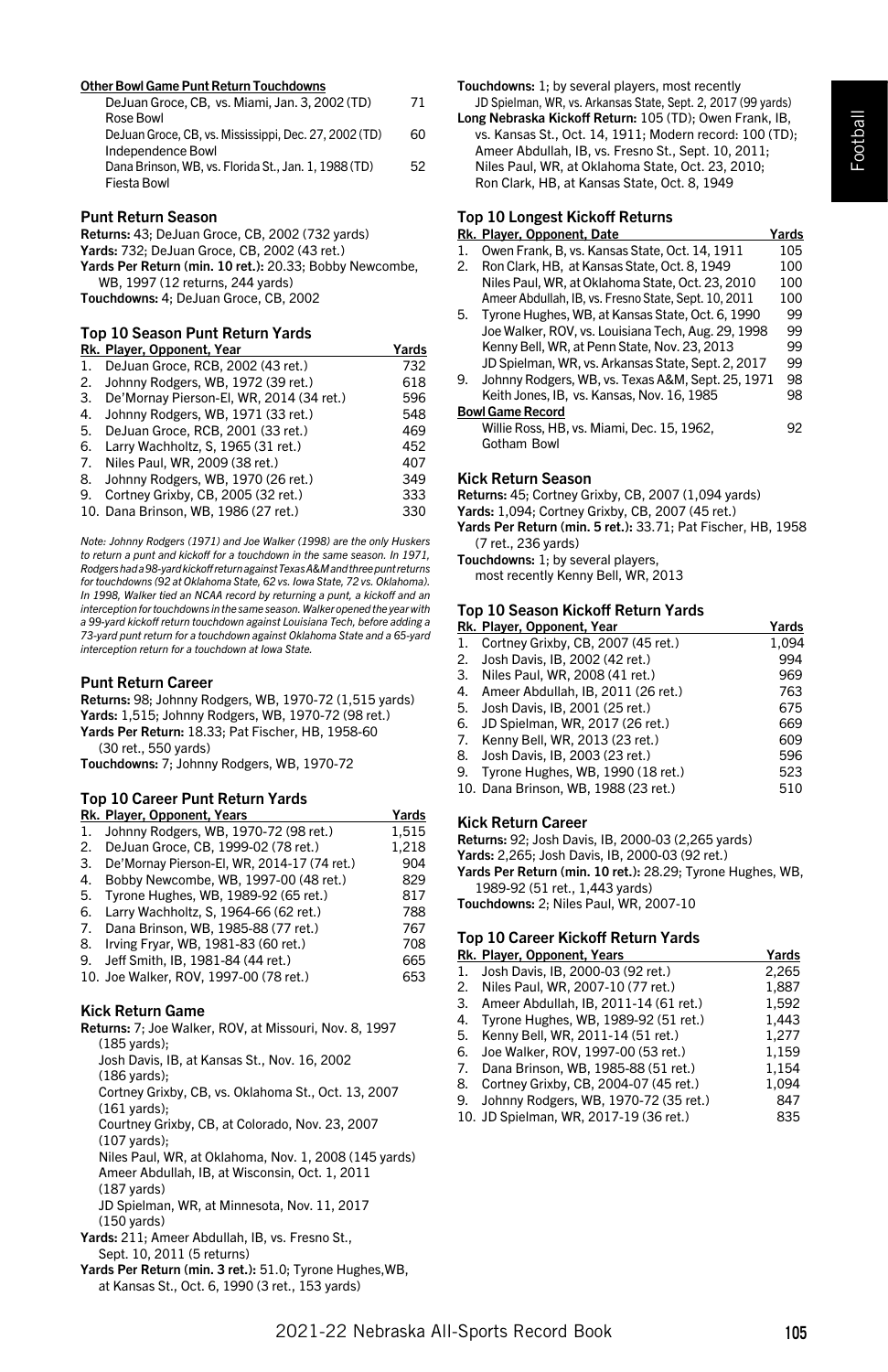#### Other Bowl Game Punt Return Touchdowns

| DeJuan Groce, CB, vs. Miami, Jan. 3, 2002 (TD)        | 71 |
|-------------------------------------------------------|----|
| Rose Bowl                                             |    |
| DeJuan Groce, CB, vs. Mississippi, Dec. 27, 2002 (TD) | 60 |
| Independence Bowl                                     |    |
| Dana Brinson, WB, vs. Florida St., Jan. 1, 1988 (TD)  | 52 |
| Fiesta Bowl                                           |    |
|                                                       |    |

#### Punt Return Season

Returns: 43; DeJuan Groce, CB, 2002 (732 yards) Yards: 732; DeJuan Groce, CB, 2002 (43 ret.) Yards Per Return (min. 10 ret.): 20.33; Bobby Newcombe, WB, 1997 (12 returns, 244 yards) Touchdowns: 4; DeJuan Groce, CB, 2002

#### Top 10 Season Punt Return Yards

|    | Rk. Player, Opponent, Year               | Yards |
|----|------------------------------------------|-------|
| 1. | DeJuan Groce, RCB, 2002 (43 ret.)        | 732   |
| 2. | Johnny Rodgers, WB, 1972 (39 ret.)       | 618   |
| 3. | De'Mornav Pierson-El. WR. 2014 (34 ret.) | 596   |
| 4. | Johnny Rodgers, WB, 1971 (33 ret.)       | 548   |
| 5. | DeJuan Groce, RCB, 2001 (33 ret.)        | 469   |
| 6. | Larry Wachholtz, S, 1965 (31 ret.)       | 452   |
| 7. | Niles Paul, WR, 2009 (38 ret.)           | 407   |
| 8. | Johnny Rodgers, WB, 1970 (26 ret.)       | 349   |
| 9. | Cortney Grixby, CB, 2005 (32 ret.)       | 333   |
|    | 10. Dana Brinson, WB, 1986 (27 ret.)     | 330   |

*Note: Johnny Rodgers (1971) and Joe Walker (1998) are the only Huskers to return a punt and kickoff for a touchdown in the same season. In 1971, Rodgers had a 98-yard kickoff return against Texas A&M and three punt returns for touchdowns (92 at Oklahoma State, 62 vs. Iowa State, 72 vs. Oklahoma). In 1998, Walker tied an NCAA record by returning a punt, a kickoff and an interception for touchdowns in the same season. Walker opened the year with a 99-yard kickoff return touchdown against Louisiana Tech, before adding a 73-yard punt return for a touchdown against Oklahoma State and a 65-yard interception return for a touchdown at Iowa State.*

#### Punt Return Career

Returns: 98; Johnny Rodgers, WB, 1970-72 (1,515 yards) Yards: 1,515; Johnny Rodgers, WB, 1970-72 (98 ret.) Yards Per Return: 18.33; Pat Fischer, HB, 1958-60 (30 ret., 550 yards)

Touchdowns: 7; Johnny Rodgers, WB, 1970-72

# Top 10 Career Punt Return Yards

|    | Rk. Player, Opponent, Years                 | Yards |
|----|---------------------------------------------|-------|
| 1. | Johnny Rodgers, WB, 1970-72 (98 ret.)       | 1.515 |
| 2. | DeJuan Groce, CB, 1999-02 (78 ret.)         | 1,218 |
| 3. | De'Mornay Pierson-El, WR, 2014-17 (74 ret.) | 904   |
| 4. | Bobby Newcombe, WB, 1997-00 (48 ret.)       | 829   |
| 5. | Tyrone Hughes, WB, 1989-92 (65 ret.)        | 817   |
| 6. | Larry Wachholtz, S, 1964-66 (62 ret.)       | 788   |
| 7. | Dana Brinson, WB, 1985-88 (77 ret.)         | 767   |
| 8. | Irving Fryar, WB, 1981-83 (60 ret.)         | 708   |
| 9. | Jeff Smith, IB, 1981-84 (44 ret.)           | 665   |
|    | 10. Joe Walker, ROV. 1997-00 (78 ret.)      | 653   |

#### Kick Return Game

| Returns: 7; Joe Walker, ROV, at Missouri, Nov. 8, 1997   |  |  |
|----------------------------------------------------------|--|--|
| (185 vards):                                             |  |  |
| Josh Davis, IB, at Kansas St., Nov. 16, 2002             |  |  |
| (186 vards):                                             |  |  |
| Cortney Grixby, CB, vs. Oklahoma St., Oct. 13, 2007      |  |  |
| $(161 \text{ yards})$ ;                                  |  |  |
| Courtney Grixby, CB, at Colorado, Nov. 23, 2007          |  |  |
| (107 vards):                                             |  |  |
| Niles Paul, WR, at Oklahoma, Nov. 1, 2008 (145 yards)    |  |  |
| Ameer Abdullah, IB, at Wisconsin, Oct. 1, 2011           |  |  |
| $(187 \text{ yards})$                                    |  |  |
| JD Spielman, WR, at Minnesota, Nov. 11, 2017             |  |  |
| (150 vards)                                              |  |  |
| Yards: 211; Ameer Abdullah, IB, vs. Fresno St.,          |  |  |
| Sept. 10, 2011 (5 returns)                               |  |  |
| Yards Per Return (min. 3 ret.): 51.0; Tyrone Hughes, WB, |  |  |
| at Kansas St., Oct. 6, 1990 (3 ret., 153 vards)          |  |  |

Touchdowns: 1; by several players, most recently JD Spielman, WR, vs. Arkansas State, Sept. 2, 2017 (99 yards)

Long Nebraska Kickoff Return: 105 (TD); Owen Frank, IB, vs. Kansas St., Oct. 14, 1911; Modern record: 100 (TD); Ameer Abdullah, IB, vs. Fresno St., Sept. 10, 2011; Niles Paul, WR, at Oklahoma State, Oct. 23, 2010; Ron Clark, HB, at Kansas State, Oct. 8, 1949

#### Top 10 Longest Kickoff Returns

|                  | Rk. Plaver. Opponent. Date                           | Yards |
|------------------|------------------------------------------------------|-------|
| 1.               | Owen Frank, B. vs. Kansas State, Oct. 14, 1911       | 105   |
| $\overline{2}$ . | Ron Clark, HB, at Kansas State, Oct, 8, 1949         | 100   |
|                  | Niles Paul, WR, at Oklahoma State, Oct, 23, 2010     | 100   |
|                  | Ameer Abdullah, IB, vs. Fresno State, Sept. 10, 2011 | 100   |
| 5.               | Tyrone Hughes, WB, at Kansas State, Oct. 6, 1990     | 99    |
|                  | Joe Walker, ROV, vs. Louisiana Tech, Aug. 29, 1998   | 99    |
|                  | Kenny Bell, WR, at Penn State, Nov. 23, 2013         | 99    |
|                  | JD Spielman, WR, vs. Arkansas State, Sept. 2, 2017   | 99    |
| 9.               | Johnny Rodgers, WB, vs. Texas A&M, Sept. 25, 1971    | 98    |
|                  | Keith Jones, IB, vs. Kansas, Nov. 16, 1985           | 98    |
|                  | <b>Bowl Game Record</b>                              |       |
|                  | Willie Ross, HB, vs. Miami, Dec. 15, 1962,           | 92    |
|                  | Gotham Bowl                                          |       |
|                  |                                                      |       |

#### Kick Return Season

Returns: 45; Cortney Grixby, CB, 2007 (1,094 yards)

Yards: 1,094; Cortney Grixby, CB, 2007 (45 ret.)

Yards Per Return (min. 5 ret.): 33.71; Pat Fischer, HB, 1958 (7 ret., 236 yards)

Touchdowns: 1; by several players, most recently Kenny Bell, WR, 2013

#### Top 10 Season Kickoff Return Yards

|    | Rk. Player, Opponent, Year            | Yards |
|----|---------------------------------------|-------|
| 1. | Cortney Grixby, CB, 2007 (45 ret.)    | 1.094 |
| 2. | Josh Davis, IB, 2002 (42 ret.)        | 994   |
|    | 3. Niles Paul, WR, 2008 (41 ret.)     | 969   |
|    | 4. Ameer Abdullah, IB, 2011 (26 ret.) | 763   |
| 5. | Josh Davis, IB, 2001 (25 ret.)        | 675   |
| 6. | JD Spielman, WR, 2017 (26 ret.)       | 669   |
|    | 7. Kenny Bell, WR, 2013 (23 ret.)     | 609   |
| 8. | Josh Davis, IB, 2003 (23 ret.)        | 596   |
| 9. | Tyrone Hughes, WB, 1990 (18 ret.)     | 523   |
|    | 10. Dana Brinson. WB. 1988 (23 ret.)  | 510   |
|    |                                       |       |

#### Kick Return Career

Returns: 92; Josh Davis, IB, 2000-03 (2,265 yards)

Yards: 2,265; Josh Davis, IB, 2000-03 (92 ret.)

Yards Per Return (min. 10 ret.): 28.29; Tyrone Hughes, WB, 1989-92 (51 ret., 1,443 yards)

Touchdowns: 2; Niles Paul, WR, 2007-10

## Top 10 Career Kickoff Return Yards

|    | Rk. Player, Opponent, Years             | Yards |
|----|-----------------------------------------|-------|
| 1. | Josh Davis, IB, 2000-03 (92 ret.)       | 2.265 |
|    | 2. Niles Paul, WR, 2007-10 (77 ret.)    | 1,887 |
| 3. | Ameer Abdullah, IB, 2011-14 (61 ret.)   | 1.592 |
|    | 4. Tyrone Hughes, WB, 1989-92 (51 ret.) | 1.443 |
| 5. | Kenny Bell, WR, 2011-14 (51 ret.)       | 1.277 |
| 6. | Joe Walker, ROV, 1997-00 (53 ret.)      | 1.159 |
|    | 7. Dana Brinson, WB, 1985-88 (51 ret.)  | 1.154 |
| 8. | Cortney Grixby, CB, 2004-07 (45 ret.)   | 1.094 |
| 9. | Johnny Rodgers, WB, 1970-72 (35 ret.)   | 847   |
|    | 10. JD Spielman, WR, 2017-19 (36 ret.)  | 835   |
|    |                                         |       |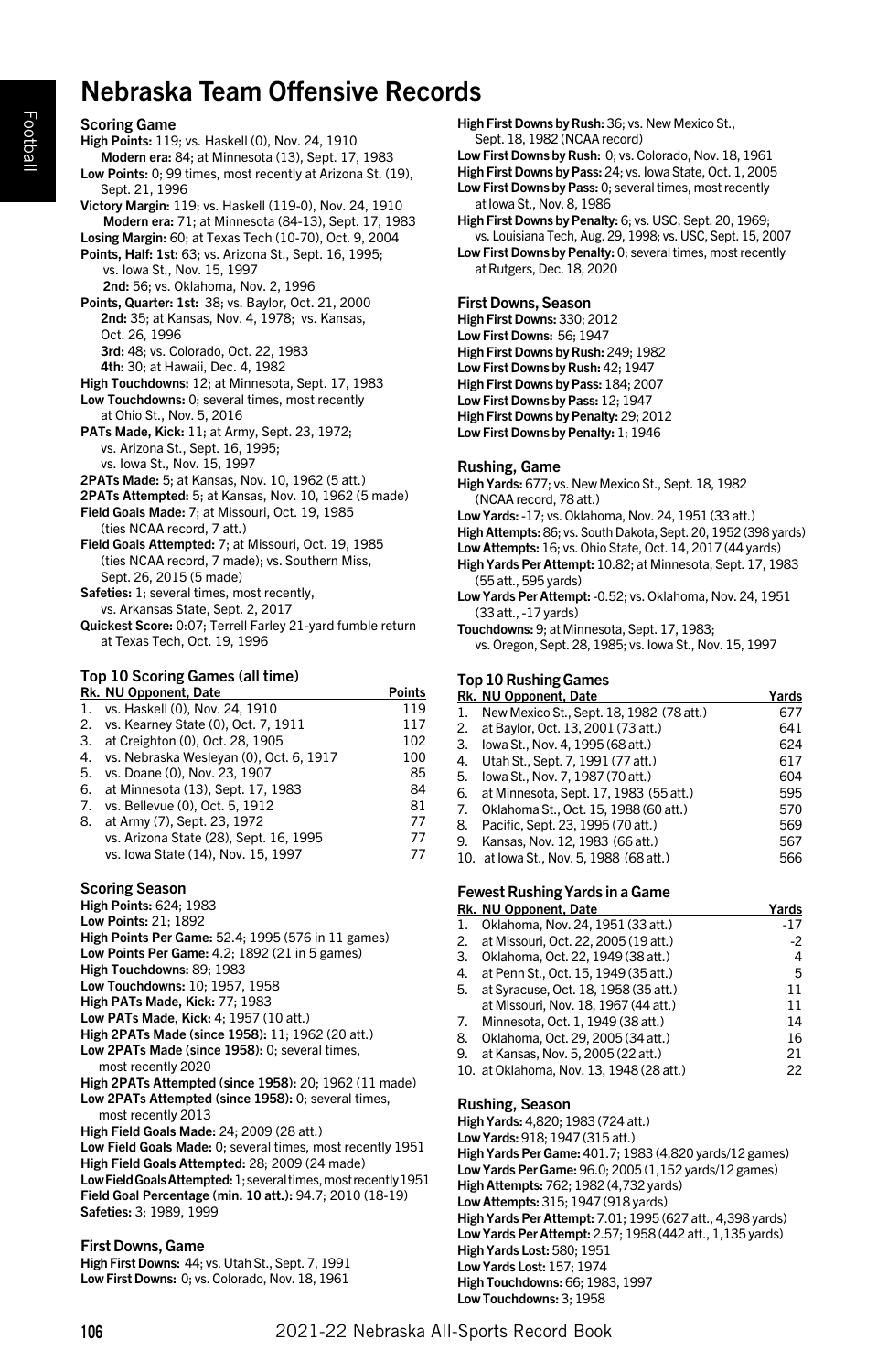# Nebraska Team Offensive Records

Scoring Game High Points: 119; vs. Haskell (0), Nov. 24, 1910 Modern era: 84; at Minnesota (13), Sept. 17, 1983 Low Points: 0; 99 times, most recently at Arizona St. (19), Sept. 21, 1996 Victory Margin: 119; vs. Haskell (119-0), Nov. 24, 1910 Modern era: 71; at Minnesota (84-13), Sept. 17, 1983 Losing Margin: 60; at Texas Tech (10-70), Oct. 9, 2004 Points, Half: 1st: 63; vs. Arizona St., Sept. 16, 1995; vs. Iowa St., Nov. 15, 1997 2nd: 56; vs. Oklahoma, Nov. 2, 1996 Points, Quarter: 1st: 38; vs. Baylor, Oct. 21, 2000 2nd: 35; at Kansas, Nov. 4, 1978; vs. Kansas, Oct. 26, 1996 3rd: 48; vs. Colorado, Oct. 22, 1983 4th: 30; at Hawaii, Dec. 4, 1982 High Touchdowns: 12; at Minnesota, Sept. 17, 1983 Low Touchdowns: 0; several times, most recently at Ohio St., Nov. 5, 2016 PATs Made, Kick: 11; at Army, Sept. 23, 1972; vs. Arizona St., Sept. 16, 1995; vs. Iowa St., Nov. 15, 1997 2PATs Made: 5; at Kansas, Nov. 10, 1962 (5 att.) 2PATs Attempted: 5; at Kansas, Nov. 10, 1962 (5 made) Field Goals Made: 7; at Missouri, Oct. 19, 1985 (ties NCAA record, 7 att.) Field Goals Attempted: 7; at Missouri, Oct. 19, 1985 (ties NCAA record, 7 made); vs. Southern Miss, Sept. 26, 2015 (5 made) Safeties: 1; several times, most recently, vs. Arkansas State, Sept. 2, 2017 Quickest Score: 0:07; Terrell Farley 21-yard fumble return at Texas Tech, Oct. 19, 1996

#### Top 10 Scoring Games (all time) r Passer and Section 1996.<br>Rhind Points Points Points Points

|    | <b>M. NO Opponent, Date</b>             | . טוווט |
|----|-----------------------------------------|---------|
|    | 1. vs. Haskell (0), Nov. 24, 1910       | 119     |
|    | 2. vs. Kearney State (0), Oct. 7, 1911  | 117     |
| 3. | at Creighton (0), Oct. 28, 1905         | 102     |
| 4. | vs. Nebraska Weslevan (0), Oct. 6, 1917 | 100     |
| 5. | vs. Doane (0), Nov. 23, 1907            | 85      |
|    | 6. at Minnesota (13), Sept. 17, 1983    | 84      |
| 7. | vs. Bellevue (0), Oct. 5, 1912          | 81      |
| 8. | at Army (7), Sept. 23, 1972             | 77      |
|    | vs. Arizona State (28), Sept. 16, 1995  | 77      |
|    | vs. Iowa State (14), Nov. 15, 1997      | 77      |
|    |                                         |         |

#### Scoring Season

- High Points: 624; 1983
- Low Points: 21; 1892
- High Points Per Game: 52.4; 1995 (576 in 11 games)
- Low Points Per Game: 4.2; 1892 (21 in 5 games)
- High Touchdowns: 89; 1983
- Low Touchdowns: 10; 1957, 1958
- High PATs Made, Kick: 77; 1983
- Low PATs Made, Kick: 4; 1957 (10 att.) High 2PATs Made (since 1958): 11; 1962 (20 att.)
- Low 2PATs Made (since 1958): 0; several times,
- most recently 2020
- High 2PATs Attempted (since 1958): 20; 1962 (11 made) Low 2PATs Attempted (since 1958): 0; several times, most recently 2013

High Field Goals Made: 24; 2009 (28 att.) Low Field Goals Made: 0; several times, most recently 1951 High Field Goals Attempted: 28; 2009 (24 made) Low Field Goals Attempted: 1; several times, most recently 1951 Field Goal Percentage (min. 10 att.): 94.7; 2010 (18-19) Safeties: 3; 1989, 1999

# First Downs, Game

High First Downs: 44; vs. Utah St., Sept. 7, 1991 Low First Downs: 0; vs. Colorado, Nov. 18, 1961 High First Downs by Rush: 36; vs. New Mexico St., Sept. 18, 1982 (NCAA record)

Low First Downs by Rush: 0; vs. Colorado, Nov. 18, 1961 High First Downs by Pass: 24; vs. Iowa State, Oct. 1, 2005

Low First Downs by Pass: 0; several times, most recently at Iowa St., Nov. 8, 1986

High First Downs by Penalty: 6; vs. USC, Sept. 20, 1969; vs. Louisiana Tech, Aug. 29, 1998; vs. USC, Sept. 15, 2007 Low First Downs by Penalty: 0; several times, most recently at Rutgers, Dec. 18, 2020

#### First Downs, Season

High First Downs: 330; 2012 Low First Downs: 56; 1947 High First Downs by Rush: 249; 1982 Low First Downs by Rush: 42; 1947 High First Downs by Pass: 184; 2007 Low First Downs by Pass: 12; 1947 High First Downs by Penalty: 29; 2012 Low First Downs by Penalty: 1; 1946

#### Rushing, Game

- High Yards: 677; vs. New Mexico St., Sept. 18, 1982 (NCAA record, 78 att.)
- Low Yards: -17; vs. Oklahoma, Nov. 24, 1951 (33 att.)
- High Attempts: 86; vs. South Dakota, Sept. 20, 1952 (398 yards)
- Low Attempts: 16; vs. Ohio State, Oct. 14, 2017 (44 yards)
- High Yards Per Attempt: 10.82; at Minnesota, Sept. 17, 1983 (55 att., 595 yards)
- Low Yards Per Attempt: -0.52; vs. Oklahoma, Nov. 24, 1951 (33 att., -17 yards)
- Touchdowns: 9; at Minnesota, Sept. 17, 1983; vs. Oregon, Sept. 28, 1985; vs. Iowa St., Nov. 15, 1997

## Top 10 Rushing Games

|    | <b>Rk. NU Opponent. Date</b>             | Yards |
|----|------------------------------------------|-------|
| 1. | New Mexico St., Sept. 18, 1982 (78 att.) | 677   |
| 2. | at Baylor, Oct. 13, 2001 (73 att.)       | 641   |
| 3. | lowa St., Nov. 4, 1995 (68 att.)         | 624   |
| 4. | Utah St., Sept. 7, 1991 (77 att.)        | 617   |
| 5. | lowa St., Nov. 7, 1987 (70 att.)         | 604   |
| 6. | at Minnesota, Sept. 17, 1983 (55 att.)   | 595   |
| 7. | Oklahoma St., Oct. 15, 1988 (60 att.)    | 570   |
| 8. | Pacific, Sept. 23, 1995 (70 att.)        | 569   |
| 9. | Kansas, Nov. 12, 1983 (66 att.)          | 567   |
|    | 10. at lowa St., Nov. 5, 1988 (68 att.)  | 566   |
|    |                                          |       |

# Fewest Rushing Yards in a Game

| Rk. NU Opponent, Date                    | Yards |
|------------------------------------------|-------|
| Oklahoma, Nov. 24, 1951 (33 att.)        | $-17$ |
| at Missouri, Oct. 22, 2005 (19 att.)     | $-2$  |
| Oklahoma, Oct. 22, 1949 (38 att.)        | 4     |
| at Penn St., Oct. 15, 1949 (35 att.)     | 5     |
| at Syracuse, Oct. 18, 1958 (35 att.)     | 11    |
| at Missouri, Nov. 18, 1967 (44 att.)     | 11    |
| Minnesota, Oct. 1, 1949 (38 att.)        | 14    |
| Oklahoma, Oct. 29, 2005 (34 att.)        | 16    |
| at Kansas, Nov. 5, 2005 (22 att.)        | 21    |
| 10. at Oklahoma, Nov. 13, 1948 (28 att.) | 22    |
|                                          |       |

#### Rushing, Season

High Yards: 4,820; 1983 (724 att.)

Low Yards: 918; 1947 (315 att.)

High Yards Per Game: 401.7; 1983 (4,820 yards/12 games) Low Yards Per Game: 96.0; 2005 (1,152 yards/12 games) High Attempts: 762; 1982 (4,732 yards) Low Attempts: 315; 1947 (918 yards) High Yards Per Attempt: 7.01; 1995 (627 att., 4,398 yards) Low Yards Per Attempt: 2.57; 1958 (442 att., 1,135 yards) High Yards Lost: 580; 1951 Low Yards Lost: 157; 1974 High Touchdowns: 66; 1983, 1997 Low Touchdowns: 3; 1958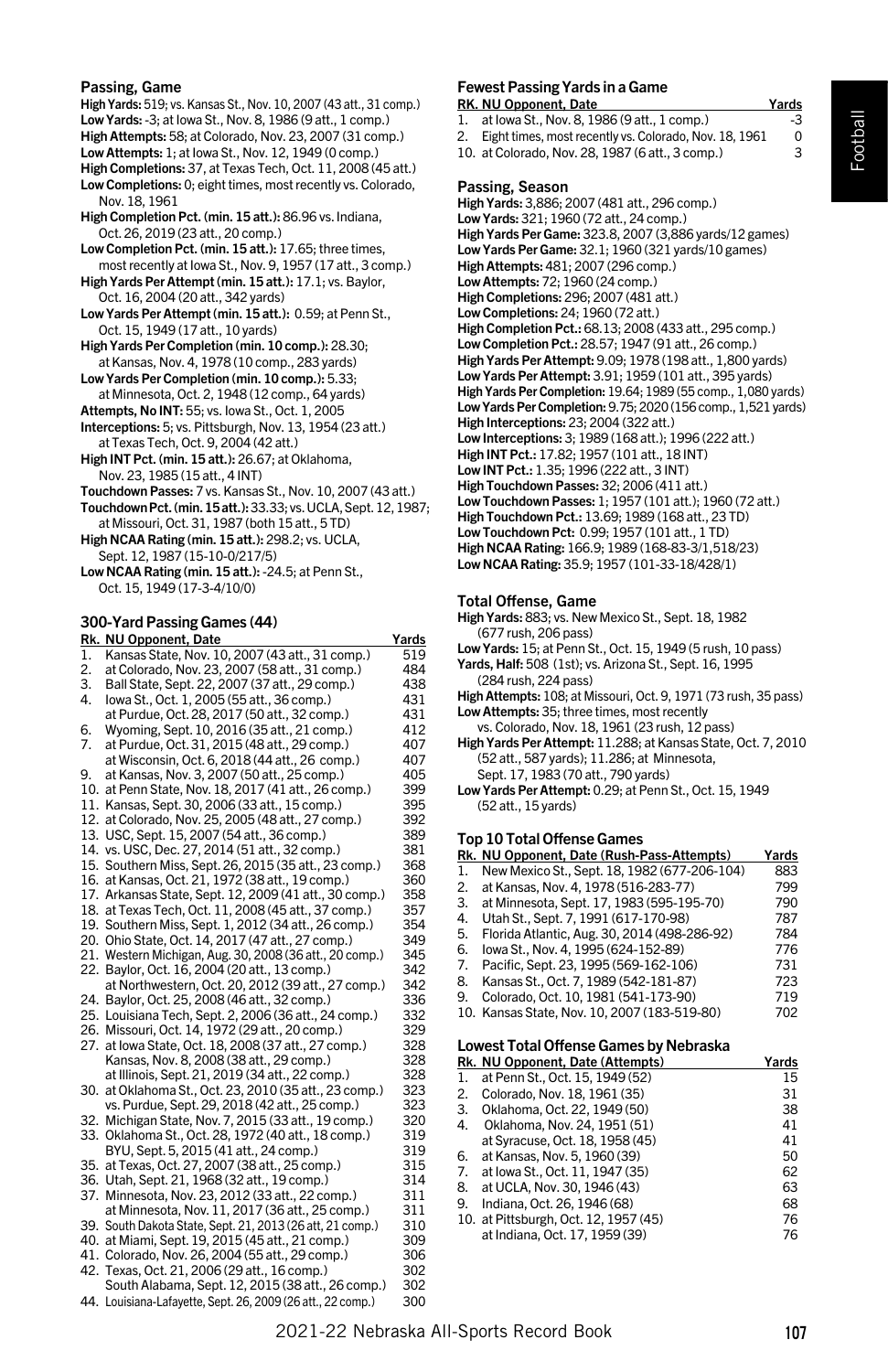#### Passing, Game

High Yards: 519; vs. Kansas St., Nov. 10, 2007 (43 att., 31 comp.) Low Yards: -3; at Iowa St., Nov. 8, 1986 (9 att., 1 comp.) High Attempts: 58; at Colorado, Nov. 23, 2007 (31 comp.) Low Attempts: 1; at Iowa St., Nov. 12, 1949 (0 comp.) High Completions: 37, at Texas Tech, Oct. 11, 2008 (45 att.) Low Completions: 0; eight times, most recently vs. Colorado, Nov. 18, 1961 High Completion Pct. (min. 15 att.): 86.96 vs. Indiana, Oct. 26, 2019 (23 att., 20 comp.) Low Completion Pct. (min. 15 att.): 17.65; three times,

most recently at Iowa St., Nov. 9, 1957 (17 att., 3 comp.) High Yards Per Attempt (min. 15 att.): 17.1; vs. Baylor, Oct. 16, 2004 (20 att., 342 yards)

- Low Yards Per Attempt (min. 15 att.): 0.59; at Penn St., Oct. 15, 1949 (17 att., 10 yards)
- High Yards Per Completion (min. 10 comp.): 28.30; at Kansas, Nov. 4, 1978 (10 comp., 283 yards)

Low Yards Per Completion (min. 10 comp.): 5.33; at Minnesota, Oct. 2, 1948 (12 comp., 64 yards)

Attempts, No INT: 55; vs. Iowa St., Oct. 1, 2005

Interceptions: 5; vs. Pittsburgh, Nov. 13, 1954 (23 att.) at Texas Tech, Oct. 9, 2004 (42 att.)

High INT Pct. (min. 15 att.): 26.67; at Oklahoma, Nov. 23, 1985 (15 att., 4 INT)

- Touchdown Passes: 7 vs. Kansas St., Nov. 10, 2007 (43 att.)
- Touchdown Pct. (min. 15 att.): 33.33; vs. UCLA, Sept. 12, 1987; at Missouri, Oct. 31, 1987 (both 15 att., 5 TD)
- High NCAA Rating (min. 15 att.): 298.2; vs. UCLA, Sept. 12, 1987 (15-10-0/217/5)

Low NCAA Rating (min. 15 att.): -24.5; at Penn St., Oct. 15, 1949 (17-3-4/10/0)

#### 300-Yard Passing Games (44)

| Rk. | <b>NU Opponent, Date</b>                                    | Yards |
|-----|-------------------------------------------------------------|-------|
| 1.  | Kansas State, Nov. 10, 2007 (43 att., 31 comp.)             | 519   |
| 2.  | at Colorado, Nov. 23, 2007 (58 att., 31 comp.)              | 484   |
| 3.  | Ball State, Sept. 22, 2007 (37 att., 29 comp.)              | 438   |
| 4.  | lowa St., Oct. 1, 2005 (55 att., 36 comp.)                  | 431   |
|     | at Purdue, Oct. 28, 2017 (50 att., 32 comp.)                | 431   |
| 6.  | Wyoming, Sept. 10, 2016 (35 att., 21 comp.)                 | 412   |
| 7.  | at Purdue, Oct. 31, 2015 (48 att., 29 comp.)                | 407   |
|     | at Wisconsin, Oct. 6, 2018 (44 att., 26 comp.)              | 407   |
| 9.  | at Kansas, Nov. 3, 2007 (50 att., 25 comp.)                 | 405   |
|     | 10. at Penn State, Nov. 18, 2017 (41 att., 26 comp.)        | 399   |
|     | 11. Kansas, Sept. 30, 2006 (33 att., 15 comp.)              | 395   |
|     | 12. at Colorado, Nov. 25, 2005 (48 att., 27 comp.)          | 392   |
|     | 13. USC, Sept. 15, 2007 (54 att., 36 comp.)                 | 389   |
|     | 14. vs. USC, Dec. 27, 2014 (51 att., 32 comp.)              | 381   |
|     | 15. Southern Miss, Sept. 26, 2015 (35 att., 23 comp.)       | 368   |
|     | 16. at Kansas, Oct. 21, 1972 (38 att., 19 comp.)            | 360   |
|     | 17. Arkansas State, Sept. 12, 2009 (41 att., 30 comp.)      | 358   |
|     | 18. at Texas Tech, Oct. 11, 2008 (45 att., 37 comp.)        | 357   |
|     | 19. Southern Miss, Sept. 1, 2012 (34 att., 26 comp.)        | 354   |
|     | 20. Ohio State, Oct. 14, 2017 (47 att., 27 comp.)           | 349   |
|     | 21. Western Michigan, Aug. 30, 2008 (36 att., 20 comp.)     | 345   |
|     | 22. Baylor, Oct. 16, 2004 (20 att., 13 comp.)               | 342   |
|     | at Northwestern, Oct. 20, 2012 (39 att., 27 comp.)          | 342   |
|     | 24. Baylor, Oct. 25, 2008 (46 att., 32 comp.)               | 336   |
|     | 25. Louisiana Tech, Sept. 2, 2006 (36 att., 24 comp.)       | 332   |
|     | 26. Missouri, Oct. 14, 1972 (29 att., 20 comp.)             | 329   |
|     | 27. at lowa State, Oct. 18, 2008 (37 att., 27 comp.)        | 328   |
|     | Kansas, Nov. 8, 2008 (38 att., 29 comp.)                    | 328   |
|     | at Illinois, Sept. 21, 2019 (34 att., 22 comp.)             | 328   |
|     | 30. at Oklahoma St., Oct. 23, 2010 (35 att., 23 comp.)      | 323   |
|     | vs. Purdue, Sept. 29, 2018 (42 att., 25 comp.)              | 323   |
|     | 32. Michigan State, Nov. 7, 2015 (33 att., 19 comp.)        | 320   |
|     | 33. Oklahoma St., Oct. 28, 1972 (40 att., 18 comp.)         | 319   |
|     | BYU, Sept. 5, 2015 (41 att., 24 comp.)                      | 319   |
|     | 35. at Texas, Oct. 27, 2007 (38 att., 25 comp.)             | 315   |
|     | 36. Utah, Sept. 21, 1968 (32 att., 19 comp.)                | 314   |
|     | 37. Minnesota, Nov. 23, 2012 (33 att., 22 comp.)            | 311   |
|     | at Minnesota, Nov. 11, 2017 (36 att., 25 comp.)             | 311   |
|     | 39. South Dakota State, Sept. 21, 2013 (26 att, 21 comp.)   | 310   |
|     | 40. at Miami, Sept. 19, 2015 (45 att., 21 comp.)            | 309   |
|     | 41. Colorado, Nov. 26, 2004 (55 att., 29 comp.)             | 306   |
|     | 42. Texas, Oct. 21, 2006 (29 att., 16 comp.)                | 302   |
|     | South Alabama, Sept. 12, 2015 (38 att., 26 comp.)           | 302   |
|     | 44. Louisiana-Lafayette, Sept. 26, 2009 (26 att., 22 comp.) | 300   |

# Fewest Passing Yards in a Game

- 
- RK. NU Opponent, Date Yards<br>1. at lowa St., Nov. 8, 1986 (9 att., 1 comp.) 43 at Iowa St., Nov. 8, 1986 (9 att., 1 comp.)

2. Eight times, most recently vs. Colorado, Nov. 18, 1961 0

10. at Colorado, Nov. 28, 1987 (6 att., 3 comp.) 3

#### Passing, Season

High Yards: 3,886; 2007 (481 att., 296 comp.) Low Yards: 321; 1960 (72 att., 24 comp.) High Yards Per Game: 323.8, 2007 (3,886 yards/12 games) Low Yards Per Game: 32.1; 1960 (321 yards/10 games) High Attempts: 481; 2007 (296 comp.) Low Attempts: 72; 1960 (24 comp.) High Completions: 296; 2007 (481 att.) Low Completions: 24; 1960 (72 att.) High Completion Pct.: 68.13; 2008 (433 att., 295 comp.) Low Completion Pct.: 28.57; 1947 (91 att., 26 comp.) High Yards Per Attempt: 9.09; 1978 (198 att., 1,800 yards) Low Yards Per Attempt: 3.91; 1959 (101 att., 395 yards) High Yards Per Completion: 19.64; 1989 (55 comp., 1,080 yards) Low Yards Per Completion: 9.75; 2020 (156 comp., 1,521 yards) High Interceptions: 23; 2004 (322 att.) Low Interceptions: 3; 1989 (168 att.); 1996 (222 att.) High INT Pct.: 17.82; 1957 (101 att., 18 INT) Low INT Pct.: 1.35; 1996 (222 att., 3 INT) High Touchdown Passes: 32; 2006 (411 att.) Low Touchdown Passes: 1; 1957 (101 att.); 1960 (72 att.) High Touchdown Pct.: 13.69; 1989 (168 att., 23 TD) Low Touchdown Pct: 0.99; 1957 (101 att., 1 TD) High NCAA Rating: 166.9; 1989 (168-83-3/1,518/23) Low NCAA Rating: 35.9; 1957 (101-33-18/428/1)

#### Total Offense, Game

High Yards: 883; vs. New Mexico St., Sept. 18, 1982 (677 rush, 206 pass)

- Low Yards: 15; at Penn St., Oct. 15, 1949 (5 rush, 10 pass) Yards, Half: 508 (1st); vs. Arizona St., Sept. 16, 1995
- (284 rush, 224 pass)

High Attempts: 108; at Missouri, Oct. 9, 1971 (73 rush, 35 pass) Low Attempts: 35; three times, most recently

vs. Colorado, Nov. 18, 1961 (23 rush, 12 pass)

High Yards Per Attempt: 11.288; at Kansas State, Oct. 7, 2010 (52 att., 587 yards); 11.286; at Minnesota, Sept. 17, 1983 (70 att., 790 yards)

Low Yards Per Attempt: 0.29; at Penn St., Oct. 15, 1949 (52 att., 15 yards)

## Top 10 Total Offense Games

|    | Rk. NU Opponent. Date (Rush-Pass-Attempts)   | Yards |
|----|----------------------------------------------|-------|
| 1. | New Mexico St., Sept. 18, 1982 (677-206-104) | 883   |
| 2. | at Kansas, Nov. 4, 1978 (516-283-77)         | 799   |
| 3. | at Minnesota, Sept. 17, 1983 (595-195-70)    | 790   |
| 4. | Utah St., Sept. 7, 1991 (617-170-98)         | 787   |
| 5. | Florida Atlantic, Aug. 30, 2014 (498-286-92) | 784   |
| 6. | lowa St., Nov. 4, 1995 (624-152-89)          | 776   |
| 7. | Pacific, Sept. 23, 1995 (569-162-106)        | 731   |
| 8. | Kansas St., Oct. 7, 1989 (542-181-87)        | 723   |
| 9. | Colorado, Oct. 10, 1981 (541-173-90)         | 719   |
|    | 10. Kansas State, Nov. 10, 2007 (183-519-80) | 702   |
|    |                                              |       |

# Lowest Total Offense Games by Nebraska

|    | Rk. NU Opponent, Date (Attempts)      | Yards |
|----|---------------------------------------|-------|
| 1. | at Penn St., Oct. 15, 1949 (52)       | 15    |
| 2. | Colorado, Nov. 18, 1961 (35)          | 31    |
| 3. | Oklahoma, Oct. 22, 1949 (50)          | 38    |
| 4. | Oklahoma, Nov. 24, 1951 (51)          | 41    |
|    | at Syracuse, Oct. 18, 1958 (45)       | 41    |
| 6. | at Kansas, Nov. 5, 1960 (39)          | 50    |
| 7. | at Iowa St., Oct. 11, 1947 (35)       | 62    |
| 8. | at UCLA, Nov. 30, 1946 (43)           | 63    |
| 9. | Indiana, Oct. 26, 1946 (68)           | 68    |
|    | 10. at Pittsburgh, Oct. 12, 1957 (45) | 76    |
|    | at Indiana, Oct. 17, 1959 (39)        | 76    |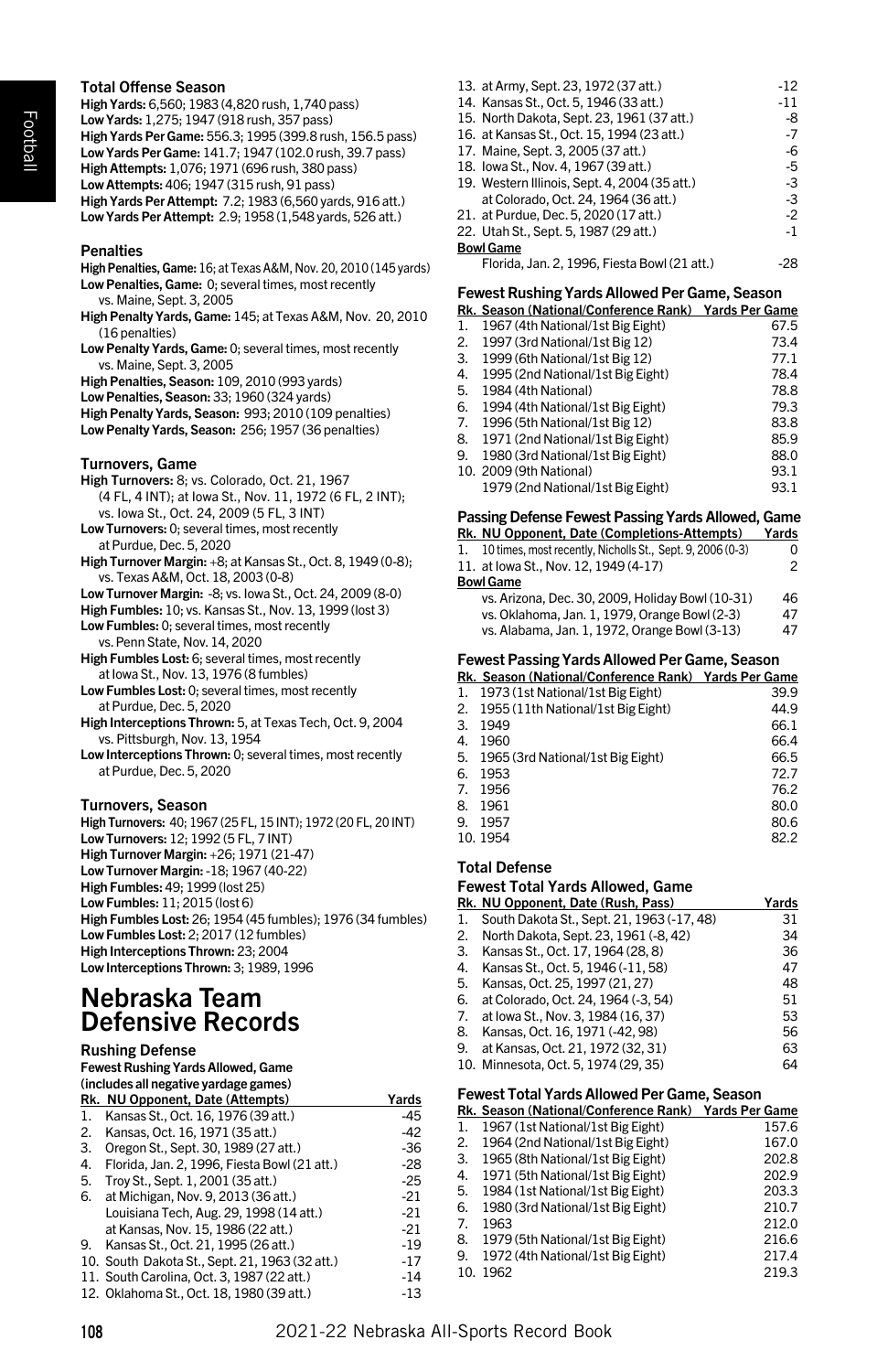# Total Offense Season

High Yards: 6,560; 1983 (4,820 rush, 1,740 pass) Low Yards: 1,275; 1947 (918 rush, 357 pass) High Yards Per Game: 556.3; 1995 (399.8 rush, 156.5 pass) Low Yards Per Game: 141.7; 1947 (102.0 rush, 39.7 pass) High Attempts: 1,076; 1971 (696 rush, 380 pass) Low Attempts: 406; 1947 (315 rush, 91 pass) High Yards Per Attempt: 7.2; 1983 (6,560 yards, 916 att.) Low Yards Per Attempt: 2.9; 1958 (1,548 yards, 526 att.)

#### **Penalties**

- High Penalties, Game: 16; at Texas A&M, Nov. 20, 2010 (145 yards) Low Penalties, Game: 0; several times, most recently vs. Maine, Sept. 3, 2005
- High Penalty Yards, Game: 145; at Texas A&M, Nov. 20, 2010 (16 penalties)
- Low Penalty Yards, Game: 0; several times, most recently vs. Maine, Sept. 3, 2005
- High Penalties, Season: 109, 2010 (993 yards)
- Low Penalties, Season: 33; 1960 (324 yards)
- High Penalty Yards, Season: 993; 2010 (109 penalties) Low Penalty Yards, Season: 256; 1957 (36 penalties)
- Turnovers, Game
- High Turnovers: 8; vs. Colorado, Oct. 21, 1967
- (4 FL, 4 INT); at Iowa St., Nov. 11, 1972 (6 FL, 2 INT); vs. Iowa St., Oct. 24, 2009 (5 FL, 3 INT)
- Low Turnovers: 0; several times, most recently at Purdue, Dec. 5, 2020
- High Turnover Margin: +8; at Kansas St., Oct. 8, 1949 (0-8); vs. Texas A&M, Oct. 18, 2003 (0-8)
- Low Turnover Margin: -8; vs. Iowa St., Oct. 24, 2009 (8-0)
- High Fumbles: 10; vs. Kansas St., Nov. 13, 1999 (lost 3)
- Low Fumbles: 0; several times, most recently vs. Penn State, Nov. 14, 2020
- High Fumbles Lost: 6; several times, most recently at Iowa St., Nov. 13, 1976 (8 fumbles)
- Low Fumbles Lost: 0; several times, most recently at Purdue, Dec. 5, 2020
- High Interceptions Thrown: 5, at Texas Tech, Oct. 9, 2004 vs. Pittsburgh, Nov. 13, 1954
- Low Interceptions Thrown: 0; several times, most recently at Purdue, Dec. 5, 2020

#### Turnovers, Season

High Turnovers: 40; 1967 (25 FL, 15 INT); 1972 (20 FL, 20 INT) Low Turnovers: 12; 1992 (5 FL, 7 INT) High Turnover Margin: +26; 1971 (21-47) Low Turnover Margin: -18; 1967 (40-22) High Fumbles: 49; 1999 (lost 25) Low Fumbles: 11; 2015 (lost 6) High Fumbles Lost: 26; 1954 (45 fumbles); 1976 (34 fumbles) Low Fumbles Lost: 2; 2017 (12 fumbles) High Interceptions Thrown: 23; 2004 Low Interceptions Thrown: 3; 1989, 1996

# Nebraska Team Defensive Records

# Rushing Defense

| <b>Fewest Rushing Yards Allowed, Game</b> |
|-------------------------------------------|
| (includes all negative yardage games)     |

|    | Rk. NU Opponent, Date (Attempts)               | Yards |
|----|------------------------------------------------|-------|
| 1. | Kansas St., Oct. 16, 1976 (39 att.)            | $-45$ |
| 2. | Kansas, Oct. 16, 1971 (35 att.)                | $-42$ |
| 3. | Oregon St., Sept. 30, 1989 (27 att.)           | $-36$ |
| 4. | Florida, Jan. 2, 1996, Fiesta Bowl (21 att.)   | $-28$ |
| 5. | Troy St., Sept. 1, 2001 (35 att.)              | $-25$ |
| 6. | at Michigan, Nov. 9, 2013 (36 att.)            | $-21$ |
|    | Louisiana Tech. Aug. 29, 1998 (14 att.)        | $-21$ |
|    | at Kansas, Nov. 15, 1986 (22 att.)             | $-21$ |
| 9. | Kansas St., Oct. 21, 1995 (26 att.)            | $-19$ |
|    | 10. South Dakota St., Sept. 21, 1963 (32 att.) | $-17$ |
|    | 11. South Carolina, Oct. 3, 1987 (22 att.)     | -14   |
|    | 12. Oklahoma St., Oct. 18, 1980 (39 att.)      | $-13$ |

| 13. at Army, Sept. 23, 1972 (37 att.)         | $-12$ |
|-----------------------------------------------|-------|
| 14. Kansas St., Oct. 5, 1946 (33 att.)        | $-11$ |
| 15. North Dakota, Sept. 23. 1961 (37 att.)    | -8    |
| 16. at Kansas St., Oct. 15, 1994 (23 att.)    | $-7$  |
| 17. Maine, Sept. 3, 2005 (37 att.)            | -6    |
| 18. Iowa St., Nov. 4, 1967 (39 att.)          | $-5$  |
| 19. Western Illinois, Sept. 4, 2004 (35 att.) | $-3$  |
| at Colorado, Oct. 24, 1964 (36 att.)          | $-3$  |
| 21. at Purdue. Dec. 5. 2020 (17 att.)         | $-2$  |
| 22. Utah St., Sept. 5, 1987 (29 att.)         | $-1$  |
| <b>Bowl Game</b>                              |       |
| Florida, Jan. 2, 1996, Fiesta Bowl (21 att.)  | -28   |

#### Fewest Rushing Yards Allowed Per Game, Season

|    | Rk. Season (National/Conference Rank) Yards Per Game |      |
|----|------------------------------------------------------|------|
| 1. | 1967 (4th National/1st Big Eight)                    | 67.5 |
| 2. | 1997 (3rd National/1st Big 12)                       | 73.4 |
| 3. | 1999 (6th National/1st Big 12)                       | 77.1 |
| 4. | 1995 (2nd National/1st Big Eight)                    | 78.4 |
| 5. | 1984 (4th National)                                  | 78.8 |
| 6. | 1994 (4th National/1st Big Eight)                    | 79.3 |
| 7. | 1996 (5th National/1st Big 12)                       | 83.8 |
| 8. | 1971 (2nd National/1st Big Eight)                    | 85.9 |
| 9. | 1980 (3rd National/1st Big Eight)                    | 88.0 |
|    | 10. 2009 (9th National)                              | 93.1 |
|    | 1979 (2nd National/1st Big Eight)                    | 93.1 |
|    |                                                      |      |

## Passing Defense Fewest Passing Yards Allowed, Game

| r assing Defense Fewest Fassing Tarus Allowed, Game           |       |
|---------------------------------------------------------------|-------|
| Rk. NU Opponent, Date (Completions-Attempts)                  | Yards |
| 1. 10 times, most recently, Nicholls St., Sept. 9, 2006 (0-3) | O     |
| 11. at lowa St., Nov. 12, 1949 (4-17)                         | 2     |
| <b>Bowl Game</b>                                              |       |
| vs. Arizona, Dec. 30, 2009, Holiday Bowl (10-31)              | 46    |
| vs. Oklahoma, Jan. 1, 1979, Orange Bowl (2-3)                 | 47    |
| vs. Alabama, Jan. 1, 1972, Orange Bowl (3-13)                 | 47    |

# Fewest Passing Yards Allowed Per Game, Season

|    | I GWGSLI ASSIIIR TAIWS AIIOWGUT GI GAIHG, JGASOII    |      |  |
|----|------------------------------------------------------|------|--|
|    | Rk. Season (National/Conference Rank) Yards Per Game |      |  |
|    | 1. 1973 (1st National/1st Big Eight)                 | 39.9 |  |
|    | 2. 1955 (11th National/1st Big Eight)                | 44.9 |  |
| 3. | 1949                                                 | 66.1 |  |
| 4. | 1960                                                 | 66.4 |  |
|    | 5. 1965 (3rd National/1st Big Eight)                 | 66.5 |  |
| 6. | 1953                                                 | 72.7 |  |
|    | 7. 1956                                              | 76.2 |  |
| 8. | 1961                                                 | 80.0 |  |
| 9. | 1957                                                 | 80.6 |  |
|    | 10.1954                                              | 82.2 |  |
|    |                                                      |      |  |

### Total Defense

#### Fewest Total Yards Allowed, Game

|    | Rk. NU Opponent, Date (Rush, Pass)         | Yards |
|----|--------------------------------------------|-------|
| 1. | South Dakota St., Sept. 21, 1963 (-17, 48) | 31    |
| 2. | North Dakota, Sept. 23, 1961 (-8, 42)      | 34    |
| 3. | Kansas St., Oct. 17, 1964 (28, 8)          | 36    |
| 4. | Kansas St., Oct. 5, 1946 (-11, 58)         | 47    |
| 5. | Kansas, Oct. 25, 1997 (21, 27)             | 48    |
| 6. | at Colorado, Oct. 24, 1964 (-3, 54)        | 51    |
| 7. | at lowa St., Nov. 3, 1984 (16, 37)         | 53    |
| 8. | Kansas, Oct. 16, 1971 (-42, 98)            | 56    |
| 9. | at Kansas, Oct. 21, 1972 (32, 31)          | 63    |
|    | 10. Minnesota, Oct. 5, 1974 (29, 35)       | 64    |

#### Fewest Total Yards Allowed Per Game, Season

|    | Rk. Season (National/Conference Rank) Yards Per Game |       |  |
|----|------------------------------------------------------|-------|--|
| 1. | 1967 (1st National/1st Big Eight)                    | 157.6 |  |
| 2. | 1964 (2nd National/1st Big Eight)                    | 167.0 |  |
| 3. | 1965 (8th National/1st Big Eight)                    | 202.8 |  |
| 4. | 1971 (5th National/1st Big Eight)                    | 202.9 |  |
| 5. | 1984 (1st National/1st Big Eight)                    | 203.3 |  |
| 6. | 1980 (3rd National/1st Big Eight)                    | 210.7 |  |
| 7. | 1963                                                 | 212.0 |  |
| 8. | 1979 (5th National/1st Big Eight)                    | 216.6 |  |
| 9. | 1972 (4th National/1st Big Eight)                    | 217.4 |  |
|    | 10. 1962                                             | 219.3 |  |
|    |                                                      |       |  |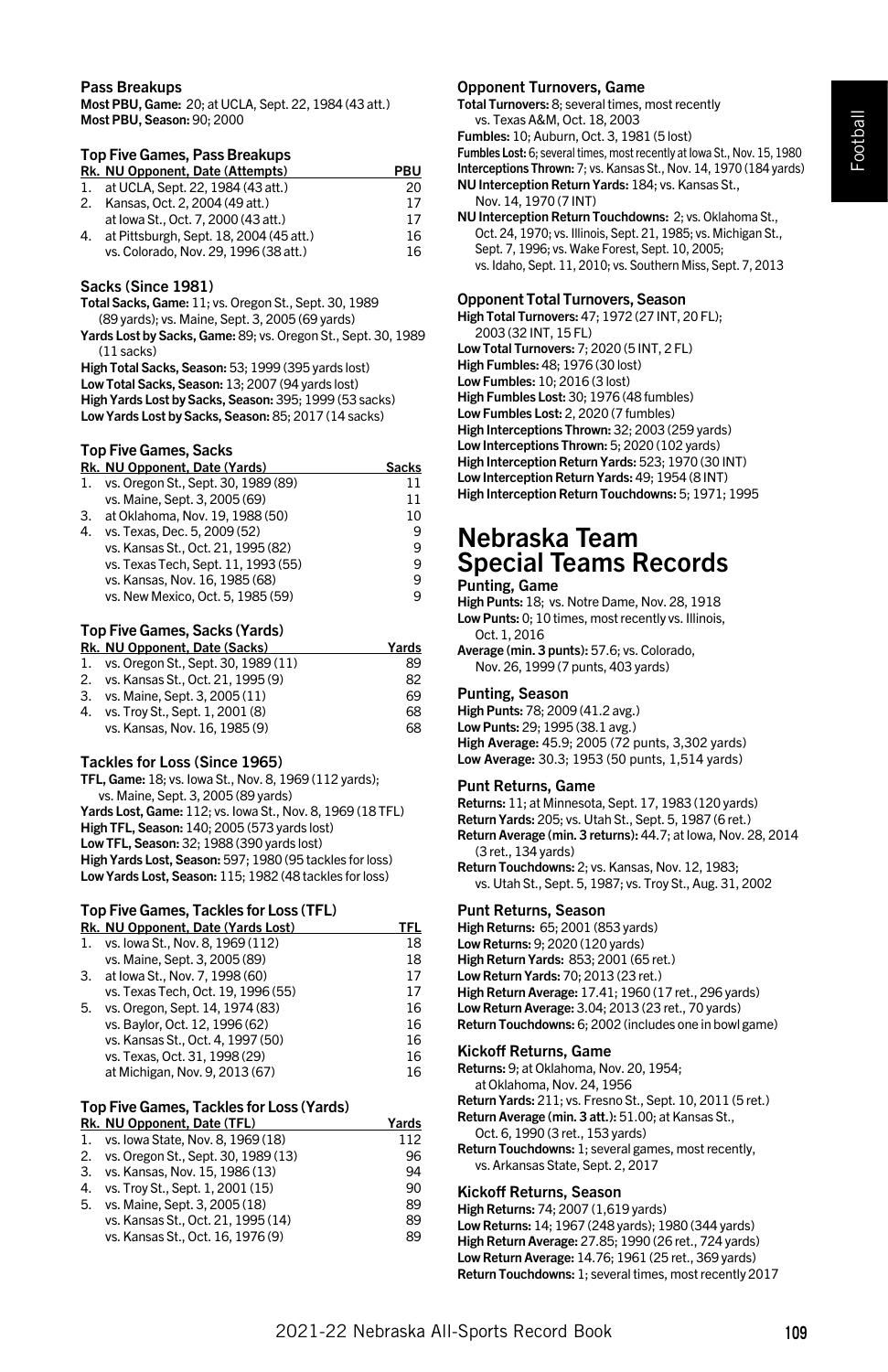#### Pass Breakups

Most PBU, Game: 20; at UCLA, Sept. 22, 1984 (43 att.) Most PBU, Season: 90; 2000

#### Top Five Games, Pass Breakups

|    | Rk. NU Opponent, Date (Attempts)        | PBU |
|----|-----------------------------------------|-----|
| 1. | at UCLA. Sept. 22. 1984 (43 att.)       | 20  |
| 2. | Kansas, Oct. 2, 2004 (49 att.)          | 17  |
|    | at Iowa St., Oct. 7, 2000 (43 att.)     | 17  |
| 4. | at Pittsburgh, Sept. 18, 2004 (45 att.) | 16  |
|    | vs. Colorado, Nov. 29, 1996 (38 att.)   | 16  |

#### Sacks (Since 1981)

Total Sacks, Game: 11; vs. Oregon St., Sept. 30, 1989 (89 yards); vs. Maine, Sept. 3, 2005 (69 yards)

Yards Lost by Sacks, Game: 89; vs. Oregon St., Sept. 30, 1989 (11 sacks)

High Total Sacks, Season: 53; 1999 (395 yards lost) Low Total Sacks, Season: 13; 2007 (94 yards lost)

High Yards Lost by Sacks, Season: 395; 1999 (53 sacks) Low Yards Lost by Sacks, Season: 85; 2017 (14 sacks)

# Top Five Games, Sacks

|    | Rk. NU Opponent, Date (Yards)       | Sacks |
|----|-------------------------------------|-------|
| 1. | vs. Oregon St., Sept. 30, 1989 (89) | 11    |
|    | vs. Maine, Sept. 3, 2005 (69)       | 11    |
| 3. | at Oklahoma, Nov. 19, 1988 (50)     | 10    |
| 4. | vs. Texas, Dec. 5, 2009 (52)        | 9     |
|    | vs. Kansas St., Oct. 21, 1995 (82)  | 9     |
|    | vs. Texas Tech, Sept. 11, 1993 (55) | q     |
|    | vs. Kansas, Nov. 16, 1985 (68)      | q     |
|    | vs. New Mexico, Oct. 5, 1985 (59)   | 9     |
|    |                                     |       |

# Top Five Games, Sacks (Yards)

|    | Rk. NU Opponent. Date (Sacks)       | Yards |
|----|-------------------------------------|-------|
| 1. | vs. Oregon St., Sept. 30, 1989 (11) | 89    |
| 2. | vs. Kansas St., Oct. 21, 1995 (9)   | 82    |
| 3. | vs. Maine, Sept. 3, 2005 (11)       | 69    |
| 4. | vs. Troy St., Sept. 1, 2001 (8)     | 68    |
|    | vs. Kansas, Nov. 16, 1985 (9)       | 68    |

#### Tackles for Loss (Since 1965)

TFL, Game: 18; vs. Iowa St., Nov. 8, 1969 (112 yards); vs. Maine, Sept. 3, 2005 (89 yards) Yards Lost, Game: 112; vs. Iowa St., Nov. 8, 1969 (18 TFL) High TFL, Season: 140; 2005 (573 yards lost) Low TFL, Season: 32; 1988 (390 yards lost) High Yards Lost, Season: 597; 1980 (95 tackles for loss) Low Yards Lost, Season: 115; 1982 (48 tackles for loss)

# Top Five Games, Tackles for Loss (TFL)

|    | Rk. NU Opponent, Date (Yards Lost) | TFL |
|----|------------------------------------|-----|
| 1. | vs. lowa St., Nov. 8, 1969 (112)   | 18  |
|    | vs. Maine, Sept. 3, 2005 (89)      | 18  |
| 3. | at lowa St., Nov. 7, 1998 (60)     | 17  |
|    | vs. Texas Tech, Oct. 19, 1996 (55) | 17  |
| 5. | vs. Oregon. Sept. 14, 1974 (83)    | 16  |
|    | vs. Baylor, Oct. 12, 1996 (62)     | 16  |
|    | vs. Kansas St., Oct. 4, 1997 (50)  | 16  |
|    | vs. Texas, Oct. 31, 1998 (29)      | 16  |
|    | at Michigan, Nov. 9, 2013 (67)     | 16  |

### Top Five Games, Tackles for Loss (Yards)

|     | Rk. NU Opponent, Date (TFL)         | Yards |
|-----|-------------------------------------|-------|
| 1.  | vs. Iowa State, Nov. 8, 1969 (18)   | 112   |
| 2.  | vs. Oregon St., Sept. 30, 1989 (13) | 96    |
| 3.  | vs. Kansas. Nov. 15, 1986 (13)      | 94    |
| 4.  | vs. Troy St., Sept. 1, 2001 (15)    | 90    |
| -5. | vs. Maine, Sept. 3, 2005 (18)       | 89    |
|     | vs. Kansas St., Oct. 21, 1995 (14)  | 89    |
|     | vs. Kansas St., Oct. 16, 1976 (9)   | 89    |

#### Opponent Turnovers, Game

Total Turnovers: 8; several times, most recently vs. Texas A&M, Oct. 18, 2003

Fumbles: 10; Auburn, Oct. 3, 1981 (5 lost) Fumbles Lost: 6; several times, most recently at Iowa St., Nov. 15, 1980 Interceptions Thrown: 7; vs. Kansas St., Nov. 14, 1970 (184 yards) NU Interception Return Yards: 184; vs. Kansas St., Nov. 14, 1970 (7 INT)

NU Interception Return Touchdowns: 2; vs. Oklahoma St., Oct. 24, 1970; vs. Illinois, Sept. 21, 1985; vs. Michigan St., Sept. 7, 1996; vs. Wake Forest, Sept. 10, 2005; vs. Idaho, Sept. 11, 2010; vs. Southern Miss, Sept. 7, 2013

#### Opponent Total Turnovers, Season

High Total Turnovers: 47; 1972 (27 INT, 20 FL); 2003 (32 INT, 15 FL) Low Total Turnovers: 7; 2020 (5 INT, 2 FL) High Fumbles: 48; 1976 (30 lost) Low Fumbles: 10; 2016 (3 lost) High Fumbles Lost: 30; 1976 (48 fumbles) Low Fumbles Lost: 2, 2020 (7 fumbles) High Interceptions Thrown: 32; 2003 (259 yards) Low Interceptions Thrown: 5; 2020 (102 yards) High Interception Return Yards: 523; 1970 (30 INT) Low Interception Return Yards: 49; 1954 (8 INT) High Interception Return Touchdowns: 5; 1971; 1995

# Nebraska Team Special Teams Records

# Punting, Game

High Punts: 18; vs. Notre Dame, Nov. 28, 1918 Low Punts: 0; 10 times, most recently vs. Illinois, Oct. 1, 2016

Average (min. 3 punts): 57.6; vs. Colorado, Nov. 26, 1999 (7 punts, 403 yards)

#### Punting, Season

High Punts: 78; 2009 (41.2 avg.) Low Punts: 29; 1995 (38.1 avg.) High Average: 45.9; 2005 (72 punts, 3,302 yards) Low Average: 30.3; 1953 (50 punts, 1,514 yards)

#### Punt Returns, Game

Returns: 11; at Minnesota, Sept. 17, 1983 (120 yards) Return Yards: 205; vs. Utah St., Sept. 5, 1987 (6 ret.) Return Average (min. 3 returns): 44.7; at Iowa, Nov. 28, 2014 (3 ret., 134 yards) Return Touchdowns: 2; vs. Kansas, Nov. 12, 1983; vs. Utah St., Sept. 5, 1987; vs. Troy St., Aug. 31, 2002

#### Punt Returns, Season

High Returns: 65; 2001 (853 yards)

- Low Returns: 9; 2020 (120 yards)
- High Return Yards: 853; 2001 (65 ret.)
- Low Return Yards: 70; 2013 (23 ret.)
- High Return Average: 17.41; 1960 (17 ret., 296 yards)

Low Return Average: 3.04; 2013 (23 ret., 70 yards) Return Touchdowns: 6; 2002 (includes one in bowl game)

#### Kickoff Returns, Game

- Returns: 9; at Oklahoma, Nov. 20, 1954;
- at Oklahoma, Nov. 24, 1956

Return Yards: 211; vs. Fresno St., Sept. 10, 2011 (5 ret.) Return Average (min. 3 att.): 51.00; at Kansas St.,

Oct. 6, 1990 (3 ret., 153 yards)

Return Touchdowns: 1; several games, most recently, vs. Arkansas State, Sept. 2, 2017

# Kickoff Returns, Season

High Returns: 74; 2007 (1,619 yards)

Low Returns: 14; 1967 (248 yards); 1980 (344 yards)

High Return Average: 27.85; 1990 (26 ret., 724 yards)

Low Return Average: 14.76; 1961 (25 ret., 369 yards) Return Touchdowns: 1; several times, most recently 2017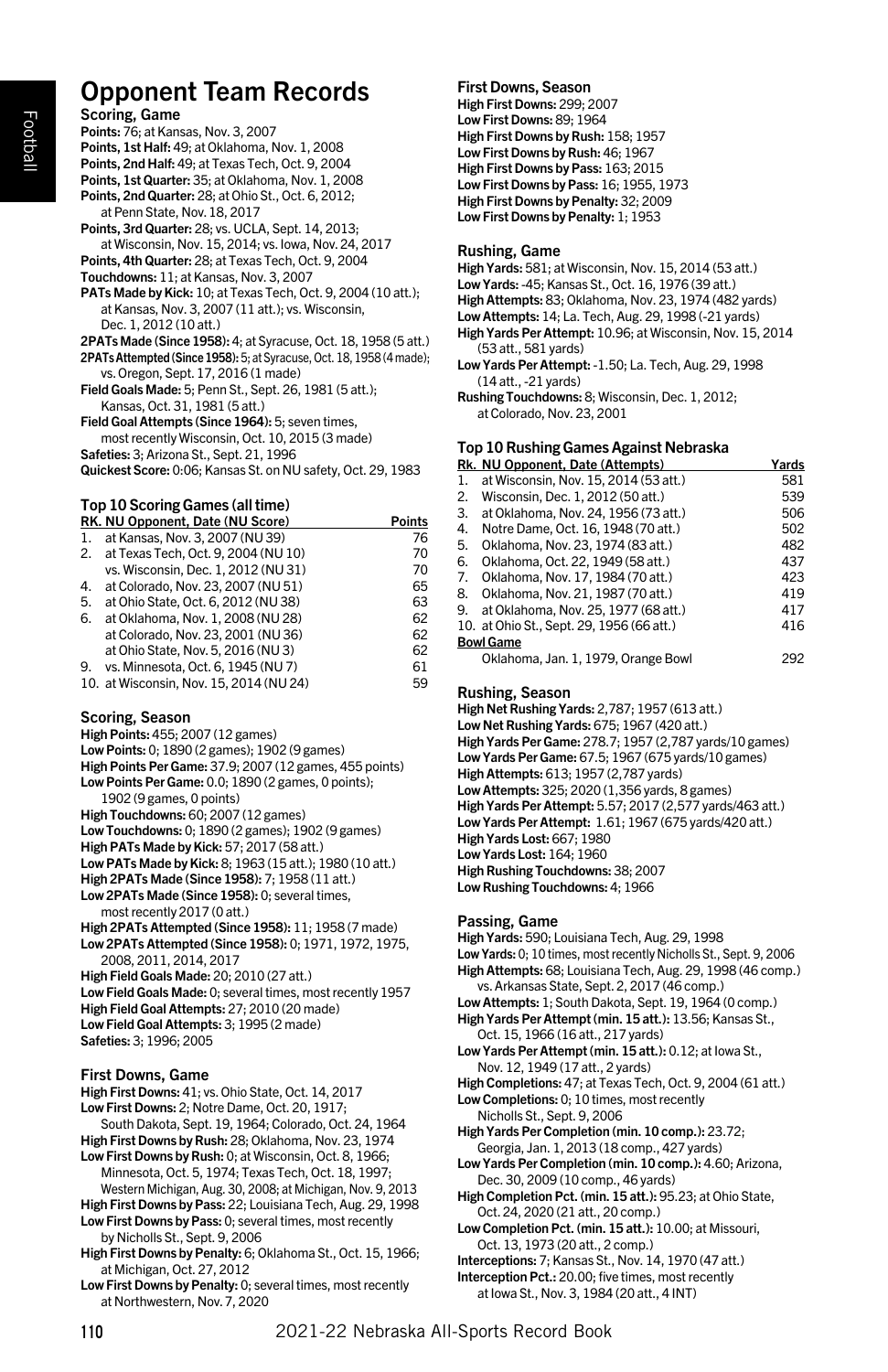# Opponent Team Records

Scoring, Game Points: 76; at Kansas, Nov. 3, 2007 Points, 1st Half: 49; at Oklahoma, Nov. 1, 2008 Points, 2nd Half: 49; at Texas Tech, Oct. 9, 2004 Points, 1st Quarter: 35; at Oklahoma, Nov. 1, 2008 Points, 2nd Quarter: 28; at Ohio St., Oct. 6, 2012; at Penn State, Nov. 18, 2017 Points, 3rd Quarter: 28; vs. UCLA, Sept. 14, 2013; at Wisconsin, Nov. 15, 2014; vs. Iowa, Nov. 24, 2017 Points, 4th Quarter: 28; at Texas Tech, Oct. 9, 2004 Touchdowns: 11; at Kansas, Nov. 3, 2007 PATs Made by Kick: 10; at Texas Tech, Oct. 9, 2004 (10 att.); at Kansas, Nov. 3, 2007 (11 att.); vs. Wisconsin, Dec. 1, 2012 (10 att.) 2PATs Made (Since 1958): 4; at Syracuse, Oct. 18, 1958 (5 att.) 2PATs Attempted (Since 1958): 5; at Syracuse, Oct. 18, 1958 (4 made); vs. Oregon, Sept. 17, 2016 (1 made) Field Goals Made: 5; Penn St., Sept. 26, 1981 (5 att.); Kansas, Oct. 31, 1981 (5 att.) Field Goal Attempts (Since 1964): 5; seven times, most recently Wisconsin, Oct. 10, 2015 (3 made) Safeties: 3; Arizona St., Sept. 21, 1996

Quickest Score: 0:06; Kansas St. on NU safety, Oct. 29, 1983

# Top 10 Scoring Games (all time)

|    | RK. NU Opponent, Date (NU Score)        | <b>Points</b> |
|----|-----------------------------------------|---------------|
| 1. | at Kansas, Nov. 3, 2007 (NU 39)         | 76            |
|    | 2. at Texas Tech, Oct. 9, 2004 (NU 10)  | 70            |
|    | vs. Wisconsin. Dec. 1. 2012 (NU 31)     | 70            |
| 4. | at Colorado, Nov. 23, 2007 (NU 51)      | 65            |
| 5. | at Ohio State, Oct. 6, 2012 (NU38)      | 63            |
| 6. | at Oklahoma, Nov. 1, 2008 (NU 28)       | 62            |
|    | at Colorado, Nov. 23, 2001 (NU 36)      | 62            |
|    | at Ohio State, Nov. 5, 2016 (NU3)       | 62            |
| 9. | vs. Minnesota, Oct. 6, 1945 (NU 7)      | 61            |
|    | 10. at Wisconsin, Nov. 15, 2014 (NU 24) | 59            |
|    |                                         |               |

#### Scoring, Season

High Points: 455; 2007 (12 games)

Low Points: 0; 1890 (2 games); 1902 (9 games) High Points Per Game: 37.9; 2007 (12 games, 455 points)

Low Points Per Game: 0.0; 1890 (2 games, 0 points);

- 1902 (9 games, 0 points)
- High Touchdowns: 60; 2007 (12 games) Low Touchdowns: 0; 1890 (2 games); 1902 (9 games)
- High PATs Made by Kick: 57; 2017 (58 att.)

Low PATs Made by Kick: 8; 1963 (15 att.); 1980 (10 att.)

High 2PATs Made (Since 1958): 7; 1958 (11 att.)

Low 2PATs Made (Since 1958): 0; several times, most recently 2017 (0 att.)

High 2PATs Attempted (Since 1958): 11; 1958 (7 made) Low 2PATs Attempted (Since 1958): 0; 1971, 1972, 1975, 2008, 2011, 2014, 2017

High Field Goals Made: 20; 2010 (27 att.)

- Low Field Goals Made: 0; several times, most recently 1957 High Field Goal Attempts: 27; 2010 (20 made) Low Field Goal Attempts: 3; 1995 (2 made)
- Safeties: 3; 1996; 2005

# First Downs, Game

High First Downs: 41; vs. Ohio State, Oct. 14, 2017 Low First Downs: 2; Notre Dame, Oct. 20, 1917; South Dakota, Sept. 19, 1964; Colorado, Oct. 24, 1964

- High First Downs by Rush: 28; Oklahoma, Nov. 23, 1974 Low First Downs by Rush: 0; at Wisconsin, Oct. 8, 1966;
- Minnesota, Oct. 5, 1974; Texas Tech, Oct. 18, 1997; Western Michigan, Aug. 30, 2008; at Michigan, Nov. 9, 2013

High First Downs by Pass: 22; Louisiana Tech, Aug. 29, 1998 Low First Downs by Pass: 0; several times, most recently

by Nicholls St., Sept. 9, 2006

- High First Downs by Penalty: 6; Oklahoma St., Oct. 15, 1966; at Michigan, Oct. 27, 2012
- Low First Downs by Penalty: 0; several times, most recently at Northwestern, Nov. 7, 2020

### First Downs, Season

High First Downs: 299; 2007 Low First Downs: 89; 1964 High First Downs by Rush: 158; 1957 Low First Downs by Rush: 46; 1967 High First Downs by Pass: 163; 2015 Low First Downs by Pass: 16; 1955, 1973 High First Downs by Penalty: 32; 2009 Low First Downs by Penalty: 1; 1953

#### Rushing, Game

High Yards: 581; at Wisconsin, Nov. 15, 2014 (53 att.) Low Yards: -45; Kansas St., Oct. 16, 1976 (39 att.) High Attempts: 83; Oklahoma, Nov. 23, 1974 (482 yards) Low Attempts: 14; La. Tech, Aug. 29, 1998 (-21 yards) High Yards Per Attempt: 10.96; at Wisconsin, Nov. 15, 2014 (53 att., 581 yards) Low Yards Per Attempt: -1.50; La. Tech, Aug. 29, 1998

(14 att., -21 yards) Rushing Touchdowns: 8; Wisconsin, Dec. 1, 2012;

at Colorado, Nov. 23, 2001

# Top 10 Rushing Games Against Nebraska

| Rk. NU Opponent, Date (Attempts)          | Yards |  |
|-------------------------------------------|-------|--|
| at Wisconsin, Nov. 15, 2014 (53 att.)     | 581   |  |
| Wisconsin, Dec. 1, 2012 (50 att.)         | 539   |  |
| at Oklahoma, Nov. 24, 1956 (73 att.)      | 506   |  |
| Notre Dame, Oct. 16, 1948 (70 att.)       | 502   |  |
| Oklahoma, Nov. 23, 1974 (83 att.)         | 482   |  |
| Oklahoma, Oct. 22, 1949 (58 att.)         | 437   |  |
| Oklahoma, Nov. 17, 1984 (70 att.)         | 423   |  |
| Oklahoma, Nov. 21, 1987 (70 att.)         | 419   |  |
| at Oklahoma, Nov. 25, 1977 (68 att.)      | 417   |  |
| 10. at Ohio St., Sept. 29, 1956 (66 att.) | 416   |  |
| <b>Bowl Game</b>                          |       |  |
| Oklahoma, Jan. 1, 1979, Orange Bowl       | 292   |  |
|                                           |       |  |

#### Rushing, Season

High Net Rushing Yards: 2,787; 1957 (613 att.) Low Net Rushing Yards: 675; 1967 (420 att.) High Yards Per Game: 278.7; 1957 (2,787 yards/10 games) Low Yards Per Game: 67.5; 1967 (675 yards/10 games) High Attempts: 613; 1957 (2,787 yards) Low Attempts: 325; 2020 (1,356 yards, 8 games) High Yards Per Attempt: 5.57; 2017 (2,577 yards/463 att.) Low Yards Per Attempt: 1.61; 1967 (675 yards/420 att.) High Yards Lost: 667; 1980 Low Yards Lost: 164; 1960 High Rushing Touchdowns: 38; 2007 Low Rushing Touchdowns: 4; 1966

#### Passing, Game

High Yards: 590; Louisiana Tech, Aug. 29, 1998 Low Yards: 0; 10 times, most recently Nicholls St., Sept. 9, 2006 High Attempts: 68; Louisiana Tech, Aug. 29, 1998 (46 comp.) vs. Arkansas State, Sept. 2, 2017 (46 comp.) Low Attempts: 1; South Dakota, Sept. 19, 1964 (0 comp.) High Yards Per Attempt (min. 15 att.): 13.56; Kansas St., Oct. 15, 1966 (16 att., 217 yards) Low Yards Per Attempt (min. 15 att.): 0.12; at Iowa St., Nov. 12, 1949 (17 att., 2 yards)

High Completions: 47; at Texas Tech, Oct. 9, 2004 (61 att.) Low Completions: 0; 10 times, most recently

Nicholls St., Sept. 9, 2006

High Yards Per Completion (min. 10 comp.): 23.72; Georgia, Jan. 1, 2013 (18 comp., 427 yards)

- Low Yards Per Completion (min. 10 comp.): 4.60; Arizona, Dec. 30, 2009 (10 comp., 46 yards)
- High Completion Pct. (min. 15 att.): 95.23; at Ohio State, Oct. 24, 2020 (21 att., 20 comp.)
- Low Completion Pct. (min. 15 att.): 10.00; at Missouri, Oct. 13, 1973 (20 att., 2 comp.)

Interceptions: 7; Kansas St., Nov. 14, 1970 (47 att.) Interception Pct.: 20.00; five times, most recently

at Iowa St., Nov. 3, 1984 (20 att., 4 INT)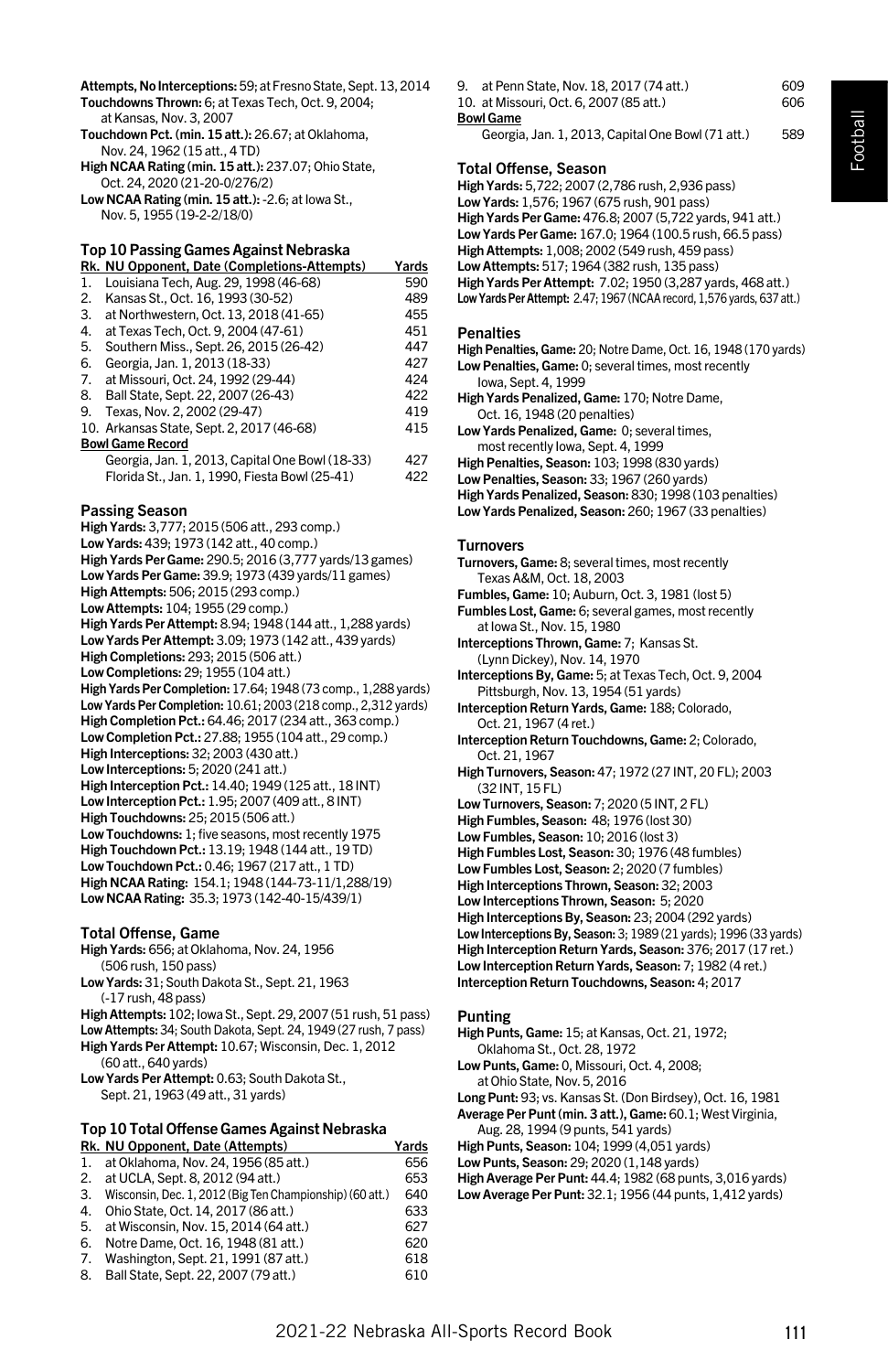Football

Attempts, No Interceptions: 59; at Fresno State, Sept. 13, 2014 Touchdowns Thrown: 6; at Texas Tech, Oct. 9, 2004;

- at Kansas, Nov. 3, 2007 Touchdown Pct. (min. 15 att.): 26.67; at Oklahoma, Nov. 24, 1962 (15 att., 4 TD)
- High NCAA Rating (min. 15 att.): 237.07; Ohio State, Oct. 24, 2020 (21-20-0/276/2)
- Low NCAA Rating (min. 15 att.): -2.6; at Iowa St., Nov. 5, 1955 (19-2-2/18/0)

## Top 10 Passing Games Against Nebraska

|    | Rk. NU Opponent, Date (Completions-Attempts)    | Yards |
|----|-------------------------------------------------|-------|
| 1. | Louisiana Tech, Aug. 29, 1998 (46-68)           | 590   |
| 2. | Kansas St., Oct. 16, 1993 (30-52)               | 489   |
| 3. | at Northwestern, Oct. 13, 2018 (41-65)          | 455   |
| 4. | at Texas Tech, Oct. 9, 2004 (47-61)             | 451   |
| 5. | Southern Miss., Sept. 26, 2015 (26-42)          | 447   |
| 6. | Georgia, Jan. 1, 2013 (18-33)                   | 427   |
| 7. | at Missouri, Oct. 24, 1992 (29-44)              | 424   |
| 8. | Ball State, Sept. 22, 2007 (26-43)              | 422   |
| 9. | Texas, Nov. 2, 2002 (29-47)                     | 419   |
|    | 10. Arkansas State, Sept. 2, 2017 (46-68)       | 415   |
|    | <b>Bowl Game Record</b>                         |       |
|    | Georgia, Jan. 1, 2013, Capital One Bowl (18-33) | 427   |
|    | Florida St., Jan. 1, 1990, Fiesta Bowl (25-41)  | 422   |
|    |                                                 |       |

#### Passing Season

High Yards: 3,777; 2015 (506 att., 293 comp.) Low Yards: 439; 1973 (142 att., 40 comp.) High Yards Per Game: 290.5; 2016 (3,777 yards/13 games) Low Yards Per Game: 39.9; 1973 (439 yards/11 games) High Attempts: 506; 2015 (293 comp.) Low Attempts: 104; 1955 (29 comp.) High Yards Per Attempt: 8.94; 1948 (144 att., 1,288 yards) Low Yards Per Attempt: 3.09; 1973 (142 att., 439 yards) High Completions: 293; 2015 (506 att.) Low Completions: 29; 1955 (104 att.) High Yards Per Completion: 17.64; 1948 (73 comp., 1,288 yards) Low Yards Per Completion: 10.61; 2003 (218 comp., 2,312 yards) High Completion Pct.: 64.46; 2017 (234 att., 363 comp.) Low Completion Pct.: 27.88; 1955 (104 att., 29 comp.) High Interceptions: 32; 2003 (430 att.) Low Interceptions: 5; 2020 (241 att.) High Interception Pct.: 14.40; 1949 (125 att., 18 INT) Low Interception Pct.: 1.95; 2007 (409 att., 8 INT) High Touchdowns: 25; 2015 (506 att.) Low Touchdowns: 1; five seasons, most recently 1975 High Touchdown Pct.: 13.19; 1948 (144 att., 19 TD) Low Touchdown Pct.: 0.46; 1967 (217 att., 1 TD) High NCAA Rating: 154.1; 1948 (144-73-11/1,288/19) Low NCAA Rating: 35.3; 1973 (142-40-15/439/1)

#### Total Offense, Game

High Yards: 656; at Oklahoma, Nov. 24, 1956 (506 rush, 150 pass) Low Yards: 31; South Dakota St., Sept. 21, 1963

(-17 rush, 48 pass) High Attempts: 102; Iowa St., Sept. 29, 2007 (51 rush, 51 pass)

Low Attempts: 34; South Dakota, Sept. 24, 1949 (27 rush, 7 pass)

- High Yards Per Attempt: 10.67; Wisconsin, Dec. 1, 2012 (60 att., 640 yards)
- Low Yards Per Attempt: 0.63; South Dakota St., Sept. 21, 1963 (49 att., 31 yards)

# Top 10 Total Offense Games Against Nebraska

|    | Rk. NU Opponent, Date (Attempts)                         | Yards |
|----|----------------------------------------------------------|-------|
|    | 1. at Oklahoma, Nov. 24, 1956 (85 att.)                  | 656   |
| 2. | at UCLA. Sept. 8, 2012 (94 att.)                         | 653   |
| 3. | Wisconsin, Dec. 1, 2012 (Big Ten Championship) (60 att.) | 640   |
| 4. | Ohio State, Oct. 14, 2017 (86 att.)                      | 633   |
| 5. | at Wisconsin, Nov. 15, 2014 (64 att.)                    | 627   |
| 6. | Notre Dame, Oct. 16, 1948 (81 att.)                      | 620   |
| 7. | Washington, Sept. 21, 1991 (87 att.)                     | 618   |
| 8. | Ball State, Sept. 22, 2007 (79 att.)                     | 610   |
|    |                                                          |       |

9. at Penn State, Nov. 18, 2017 (74 att.) 609 10. at Missouri, Oct. 6, 2007 (85 att.) 606 Bowl Game

Georgia, Jan. 1, 2013, Capital One Bowl (71 att.) 589

#### Total Offense, Season

High Yards: 5,722; 2007 (2,786 rush, 2,936 pass) Low Yards: 1,576; 1967 (675 rush, 901 pass) High Yards Per Game: 476.8; 2007 (5,722 yards, 941 att.) Low Yards Per Game: 167.0; 1964 (100.5 rush, 66.5 pass) High Attempts: 1,008; 2002 (549 rush, 459 pass) Low Attempts: 517; 1964 (382 rush, 135 pass) High Yards Per Attempt: 7.02; 1950 (3,287 yards, 468 att.) Low Yards Per Attempt: 2.47; 1967 (NCAA record, 1,576 yards, 637 att.)

#### **Penalties**

- High Penalties, Game: 20; Notre Dame, Oct. 16, 1948 (170 yards) Low Penalties, Game: 0; several times, most recently
- Iowa, Sept. 4, 1999 High Yards Penalized, Game: 170; Notre Dame, Oct. 16, 1948 (20 penalties)
- Low Yards Penalized, Game: 0; several times, most recently Iowa, Sept. 4, 1999
- High Penalties, Season: 103; 1998 (830 yards)
- Low Penalties, Season: 33; 1967 (260 yards)
- High Yards Penalized, Season: 830; 1998 (103 penalties)
- Low Yards Penalized, Season: 260; 1967 (33 penalties)

#### **Turnovers**

- Turnovers, Game: 8; several times, most recently Texas A&M, Oct. 18, 2003
- Fumbles, Game: 10; Auburn, Oct. 3, 1981 (lost 5)
- Fumbles Lost, Game: 6; several games, most recently at Iowa St., Nov. 15, 1980
- Interceptions Thrown, Game: 7; Kansas St. (Lynn Dickey), Nov. 14, 1970
- Interceptions By, Game: 5; at Texas Tech, Oct. 9, 2004 Pittsburgh, Nov. 13, 1954 (51 yards)
- Interception Return Yards, Game: 188; Colorado, Oct. 21, 1967 (4 ret.)
- Interception Return Touchdowns, Game: 2; Colorado, Oct. 21, 1967
- High Turnovers, Season: 47; 1972 (27 INT, 20 FL); 2003 (32 INT, 15 FL)
- Low Turnovers, Season: 7; 2020 (5 INT, 2 FL)
- High Fumbles, Season: 48; 1976 (lost 30)
- Low Fumbles, Season: 10; 2016 (lost 3)
- High Fumbles Lost, Season: 30; 1976 (48 fumbles)
- Low Fumbles Lost, Season: 2; 2020 (7 fumbles)
- High Interceptions Thrown, Season: 32; 2003
- Low Interceptions Thrown, Season: 5; 2020
- High Interceptions By, Season: 23; 2004 (292 yards)
- Low Interceptions By, Season: 3; 1989 (21 yards); 1996 (33 yards) High Interception Return Yards, Season: 376; 2017 (17 ret.)
- Low Interception Return Yards, Season: 7; 1982 (4 ret.)

Interception Return Touchdowns, Season: 4; 2017

#### Punting

- High Punts, Game: 15; at Kansas, Oct. 21, 1972; Oklahoma St., Oct. 28, 1972
- Low Punts, Game: 0, Missouri, Oct. 4, 2008;
- at Ohio State, Nov. 5, 2016
- Long Punt: 93; vs. Kansas St. (Don Birdsey), Oct. 16, 1981
- Average Per Punt (min. 3 att.), Game: 60.1; West Virginia,
- Aug. 28, 1994 (9 punts, 541 yards) High Punts, Season: 104; 1999 (4,051 yards)
- Low Punts, Season: 29; 2020 (1,148 yards)
- High Average Per Punt: 44.4; 1982 (68 punts, 3,016 yards)
- Low Average Per Punt: 32.1; 1956 (44 punts, 1,412 yards)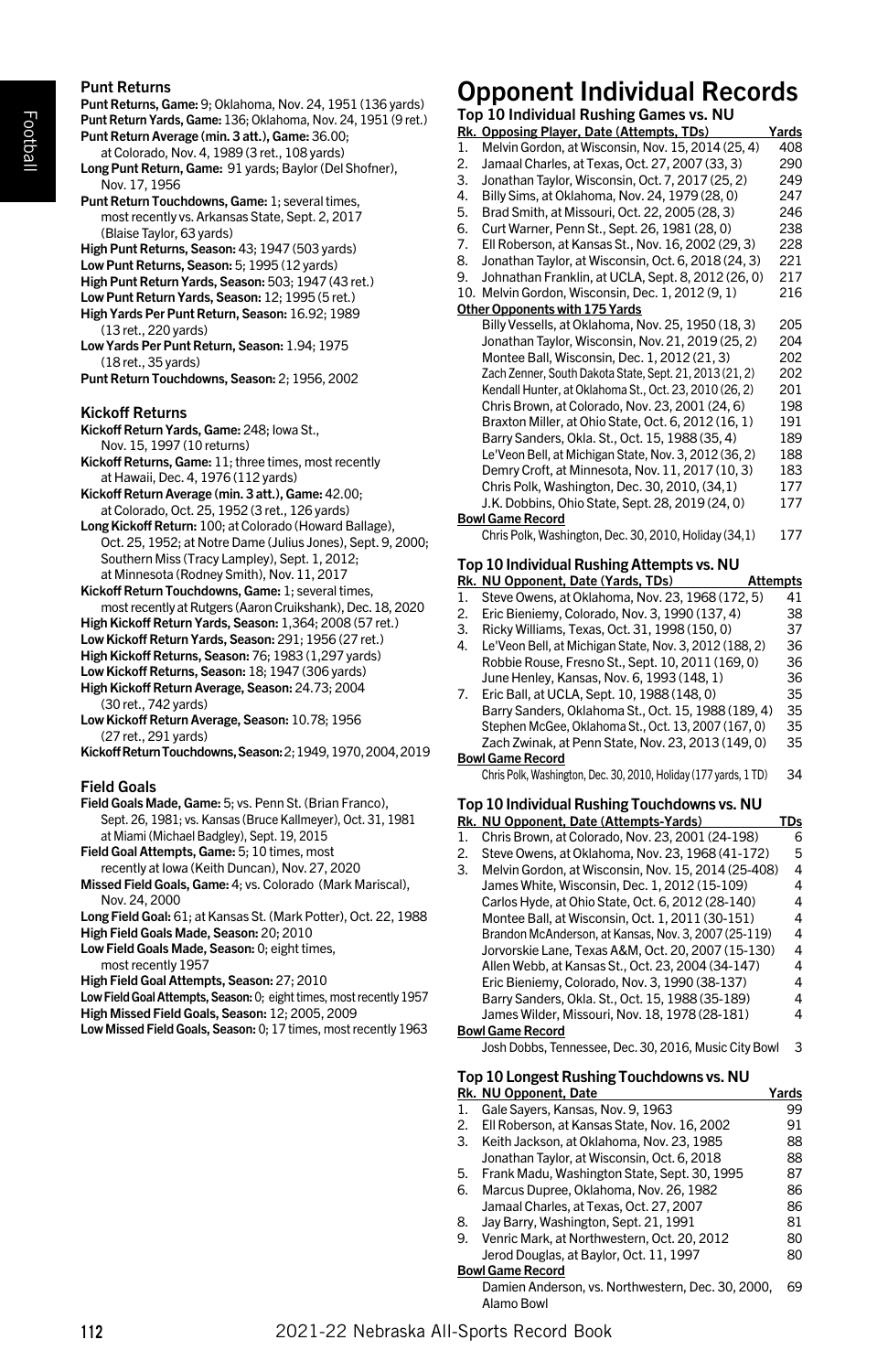#### Punt Returns

| Punt Returns<br>Punt Returns, Game: 9; Oklahoma, Nov. 24, 1951 (136 yards)<br>Punt Return Yards, Game: 136; Oklahoma, Nov. 24, 1951 (9 ret.)<br>Punt Return Average (min. 3 att.), Game: 36.00;<br>at Colorado, Nov. 4, 1989 (3 ret., 108 yards)<br>Long Punt Return, Game: 91 yards; Baylor (Del Shofner),<br>Nov. 17, 1956<br>Punt Return Touchdowns, Game: 1; several times,<br>most recently vs. Arkansas State, Sept. 2, 2017<br>(Blaise Taylor, 63 yards)<br>High Punt Returns, Season: 43; 1947 (503 yards)<br>Low Punt Returns, Season: 5; 1995 (12 yards)<br>High Punt Return Yards, Season: 503; 1947 (43 ret.)<br>Low Punt Return Yards, Season: 12; 1995 (5 ret.)<br>High Yards Per Punt Return, Season: 16.92; 1989<br>(13 ret., 220 yards)<br>Low Yards Per Punt Return, Season: 1.94; 1975<br>(18 ret., 35 yards)<br>Punt Return Touchdowns, Season: 2; 1956, 2002 | Opp<br>Top 10<br>Rk. Opp<br>Mel<br>1.<br>2.<br>Jam<br>3.<br>Jona<br>4.<br>Billy<br>5.<br><b>Brad</b><br>6.<br>Curt<br>7.<br>EII R<br>8.<br>Jona<br>9.<br>Johr<br>10. Mel<br>Other Op<br>Billy<br>Jona<br>Mor<br>Zach<br>Kend |
|-----------------------------------------------------------------------------------------------------------------------------------------------------------------------------------------------------------------------------------------------------------------------------------------------------------------------------------------------------------------------------------------------------------------------------------------------------------------------------------------------------------------------------------------------------------------------------------------------------------------------------------------------------------------------------------------------------------------------------------------------------------------------------------------------------------------------------------------------------------------------------------|------------------------------------------------------------------------------------------------------------------------------------------------------------------------------------------------------------------------------|
| Kickoff Returns<br>Kickoff Return Yards, Game: 248; lowa St.,<br>Nov. 15, 1997 (10 returns)<br>Kickoff Returns, Game: 11; three times, most recently                                                                                                                                                                                                                                                                                                                                                                                                                                                                                                                                                                                                                                                                                                                              | Chri<br>Brax<br>Barı<br>Le'V                                                                                                                                                                                                 |
| at Hawaii, Dec. 4, 1976 (112 yards)<br>Kickoff Return Average (min. 3 att.), Game: 42.00;<br>at Colorado, Oct. 25, 1952 (3 ret., 126 yards)<br>Long Kickoff Return: 100; at Colorado (Howard Ballage),                                                                                                                                                                                                                                                                                                                                                                                                                                                                                                                                                                                                                                                                            | Den<br>Chri<br>J.K.<br><b>Bowl Ga</b>                                                                                                                                                                                        |
| Oct. 25, 1952; at Notre Dame (Julius Jones), Sept. 9, 2000;<br>Southern Miss (Tracy Lampley), Sept. 1, 2012;<br>at Minnesota (Rodney Smith), Nov. 11, 2017<br>Kickoff Return Touchdowns, Game: 1; several times,<br>most recently at Rutgers (Aaron Cruikshank), Dec. 18, 2020<br>High Kickoff Return Yards, Season: 1,364; 2008 (57 ret.)<br>Low Kickoff Return Yards, Season: 291; 1956 (27 ret.)<br>High Kickoff Returns, Season: 76; 1983 (1,297 yards)<br>Low Kickoff Returns, Season: 18; 1947 (306 yards)<br>High Kickoff Return Average, Season: 24.73; 2004<br>(30 ret., 742 yards)<br>Low Kickoff Return Average, Season: 10.78; 1956<br>(27 ret., 291 yards)<br>Kickoff Return Touchdowns, Season: 2; 1949, 1970, 2004, 2019                                                                                                                                           | Chri:<br>Top 10<br><u>Rk. Nu</u><br>1.<br><b>Stev</b><br>2.<br>Eric<br>3.<br>Rick<br>4.<br>Le'V<br>Rob<br>Jun<br>7.<br>Eric<br>Barı<br>Step<br>Zacl<br><b>Bowl Ga</b>                                                        |
| Field Goals<br>Field Goals Made, Game: 5; vs. Penn St. (Brian Franco),<br>Sept. 26, 1981; vs. Kansas (Bruce Kallmeyer), Oct. 31, 1981<br>at Miami (Michael Badgley), Sept. 19, 2015<br>Field Goal Attempts, Game: 5; 10 times, most<br>recently at Iowa (Keith Duncan), Nov. 27, 2020<br>Missed Field Goals, Game: 4; vs. Colorado (Mark Mariscal),<br>Nov. 24, 2000<br>Long Field Goal: 61; at Kansas St. (Mark Potter), Oct. 22, 1988<br>High Field Goals Made, Season: 20; 2010<br>Low Field Goals Made, Season: 0; eight times,<br>most recently 1957<br>High Field Goal Attempts, Season: 27; 2010<br>Low Field Goal Attempts, Season: 0; eight times, most recently 1957<br>High Missed Field Goals, Season: 12; 2005, 2009<br>Low Missed Field Goals, Season: 0; 17 times, most recently 1963                                                                              | Chris<br>Top 10<br><u>Rk. Nu</u><br>1.<br>Chri<br>2.<br><b>Stev</b><br>3.<br>Mel<br>Jam<br>Carl<br>Mor<br><b>Brar</b><br>Jorv<br>Alle<br>Eric<br>Barı<br>Jam<br><b>Bowl Ga</b><br>Josh                                       |
|                                                                                                                                                                                                                                                                                                                                                                                                                                                                                                                                                                                                                                                                                                                                                                                                                                                                                   | Top 10                                                                                                                                                                                                                       |

# Opponent Individual Records

|     | י א<br>ш<br>ш<br>Top 10 Individual Rushing Games vs. NU          |            |
|-----|------------------------------------------------------------------|------------|
|     | Rk. Opposing Player, Date (Attempts, TDs)                        | Yards      |
| 1.  | Melvin Gordon, at Wisconsin, Nov. 15, 2014 (25, 4)               | 408        |
| 2.  | Jamaal Charles, at Texas, Oct. 27, 2007 (33, 3)                  | 290        |
| 3.  | Jonathan Taylor, Wisconsin, Oct. 7, 2017 (25, 2)                 | 249        |
| 4.  | Billy Sims, at Oklahoma, Nov. 24, 1979 (28, 0)                   | 247        |
| 5.  | Brad Smith, at Missouri, Oct. 22, 2005 (28, 3)                   | 246        |
| 6.  | Curt Warner, Penn St., Sept. 26, 1981 (28, 0)                    | 238        |
| 7.  | Ell Roberson, at Kansas St., Nov. 16, 2002 (29, 3)               | 228        |
| 8.  | Jonathan Taylor, at Wisconsin, Oct. 6, 2018 (24, 3)              | 221        |
| 9.  | Johnathan Franklin, at UCLA, Sept. 8, 2012 (26, 0)               | 217        |
| 10. | Melvin Gordon, Wisconsin, Dec. 1, 2012 (9, 1)                    | 216        |
|     | Other Opponents with 175 Yards                                   |            |
|     | Billy Vessells, at Oklahoma, Nov. 25, 1950 (18, 3)               | 205        |
|     | Jonathan Taylor, Wisconsin, Nov. 21, 2019 (25, 2)                | 204        |
|     | Montee Ball, Wisconsin, Dec. 1, 2012 (21, 3)                     | 202        |
|     | Zach Zenner, South Dakota State, Sept. 21, 2013 (21, 2)          | 202        |
|     | Kendall Hunter, at Oklahoma St., Oct. 23, 2010 (26, 2)           | 201        |
|     | Chris Brown, at Colorado, Nov. 23, 2001 (24, 6)                  | 198        |
|     | Braxton Miller, at Ohio State, Oct. 6, 2012 (16, 1)              | 191        |
|     | Barry Sanders, Okla. St., Oct. 15, 1988 (35, 4)                  | 189        |
|     | Le'Veon Bell, at Michigan State, Nov. 3, 2012 (36, 2)            | 188        |
|     | Demry Croft, at Minnesota, Nov. 11, 2017 (10, 3)                 | 183        |
|     | Chris Polk, Washington, Dec. 30, 2010, (34,1)                    | 177        |
|     | J.K. Dobbins, Ohio State, Sept. 28, 2019 (24, 0)                 | 177        |
|     | <b>Bowl Game Record</b>                                          |            |
|     | Chris Polk, Washington, Dec. 30, 2010, Holiday (34,1)            | 177        |
|     | Top 10 Individual Rushing Attempts vs. NU                        |            |
|     | Rk. NU Opponent, Date (Yards, TDs)<br><b>Attempts</b>            |            |
| 1.  | Steve Owens, at Oklahoma, Nov. 23, 1968 (172, 5)                 | 41         |
| 2.  | Eric Bieniemy, Colorado, Nov. 3, 1990 (137, 4)                   | 38         |
| 3.  | Ricky Williams, Texas, Oct. 31, 1998 (150, 0)                    | 37         |
| 4.  | Le'Veon Bell, at Michigan State, Nov. 3, 2012 (188, 2)           | 36         |
|     | Robbie Rouse, Fresno St., Sept. 10, 2011 (169, 0)                | 36         |
|     | June Henley, Kansas, Nov. 6, 1993 (148, 1)                       | 36         |
| 7.  | Eric Ball, at UCLA, Sept. 10, 1988 (148, 0)                      | 35         |
|     | Barry Sanders, Oklahoma St., Oct. 15, 1988 (189, 4)              | 35         |
|     | Stephen McGee, Oklahoma St., Oct. 13, 2007 (167, 0)              | 35         |
|     | Zach Zwinak, at Penn State, Nov. 23, 2013 (149, 0)               | 35         |
|     | <b>Bowl Game Record</b>                                          |            |
|     | Chris Polk, Washington, Dec. 30, 2010, Holiday (177 yards, 1 TD) | 34         |
|     |                                                                  |            |
|     | Top 10 Individual Rushing Touchdowns vs. NU                      |            |
|     | Rk. NU Opponent, Date (Attempts-Yards)                           | <u>TDs</u> |
| 1.  | Chris Brown, at Colorado, Nov. 23, 2001 (24-198)                 | 6          |
| 2.  | Steve Owens, at Oklahoma, Nov. 23, 1968 (41-172)                 | 5          |
| 3.  | Melvin Gordon, at Wisconsin, Nov. 15, 2014 (25-408)              | 4          |
|     | James White, Wisconsin, Dec. 1, 2012 (15-109)                    | 4          |
|     | Carlos Hyde, at Ohio State, Oct. 6, 2012 (28-140)                | 4          |
|     | Montee Ball, at Wisconsin, Oct. 1, 2011 (30-151)                 | 4          |
|     | Brandon McAnderson, at Kansas, Nov. 3, 2007 (25-119)             | 4          |
|     | Jorvorskie Lane, Texas A&M, Oct. 20, 2007 (15-130)               | 4          |
|     | Allen Webb, at Kansas St., Oct. 23, 2004 (34-147)                | 4          |
|     | Eric Bieniemy, Colorado, Nov. 3, 1990 (38-137)                   | 4          |
|     | Barry Sanders, Okla. St., Oct. 15, 1988 (35-189)                 | 4          |
|     | James Wilder, Missouri, Nov. 18, 1978 (28-181)                   | 4          |
|     | <b>Bowl Game Record</b>                                          |            |

Dobbs, Tennessee, Dec. 30, 2016, Music City Bowl 3

# Longest Rushing Touchdowns vs. NU

Rk. NU Opponent, Date Yards 1. Gale Sayers, Kansas, Nov. 9, 1963 99 2. Ell Roberson, at Kansas State, Nov. 16, 2002 91 3. Keith Jackson, at Oklahoma, Nov. 23, 1985 88 Jonathan Taylor, at Wisconsin, Oct. 6, 2018 88 5. Frank Madu, Washington State, Sept. 30, 1995 87<br>6. Marcus Dupree. Oklahoma. Nov. 26. 1982 86 6. Marcus Dupree, Oklahoma, Nov. 26, 1982<br>Jamaal Charles. at Texas. Oct. 27, 2007 86 Jamaal Charles, at Texas, Oct. 27, 2007 86<br>Jay Barry. Washington. Sept. 21, 1991 81 8. Jay Barry, Washington, Sept. 21, 1991 9. Venric Mark, at Northwestern, Oct. 20, 2012 80<br>Jerod Douglas. at Baylor. Oct. 11. 1997 80 Jerod Douglas, at Baylor, Oct. 11, 1997

#### Bowl Game Record

Damien Anderson, vs. Northwestern, Dec. 30, 2000, 69 Alamo Bowl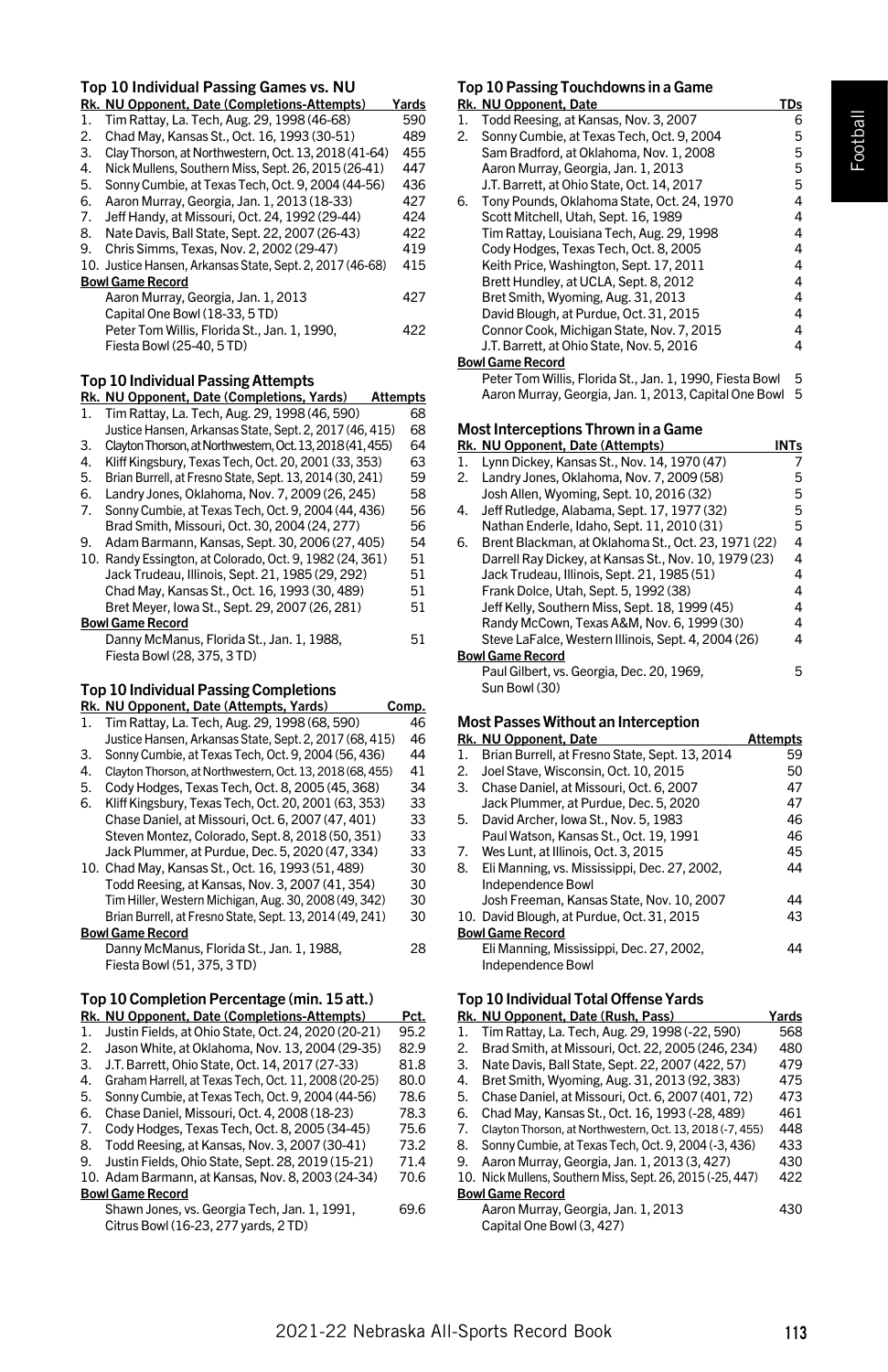# Top 10 Individual Passing Games vs. NU

| Top IV Individual Passing Games Vs. NU    |                                                           |                 |
|-------------------------------------------|-----------------------------------------------------------|-----------------|
|                                           | Rk. NU Opponent, Date (Completions-Attempts)              | Yards           |
| 1.                                        | Tim Rattay, La. Tech, Aug. 29, 1998 (46-68)               | 590             |
| 2.                                        | Chad May, Kansas St., Oct. 16, 1993 (30-51)               | 489             |
| 3.                                        | Clay Thorson, at Northwestern, Oct. 13, 2018 (41-64)      | 455             |
| 4.                                        | Nick Mullens, Southern Miss, Sept. 26, 2015 (26-41)       | 447             |
| 5.                                        | Sonny Cumbie, at Texas Tech, Oct. 9, 2004 (44-56)         | 436             |
| 6.                                        | Aaron Murray, Georgia, Jan. 1, 2013 (18-33)               | 427             |
| 7.                                        | Jeff Handy, at Missouri, Oct. 24, 1992 (29-44)            | 424             |
| 8.                                        | Nate Davis, Ball State, Sept. 22, 2007 (26-43)            | 422             |
| 9.                                        | Chris Simms, Texas, Nov. 2, 2002 (29-47)                  | 419             |
|                                           | 10. Justice Hansen, Arkansas State, Sept. 2, 2017 (46-68) | 415             |
|                                           | <b>Bowl Game Record</b>                                   |                 |
|                                           | Aaron Murray, Georgia, Jan. 1, 2013                       | 427             |
|                                           | Capital One Bowl (18-33, 5 TD)                            |                 |
|                                           | Peter Tom Willis, Florida St., Jan. 1, 1990,              | 422             |
|                                           | Fiesta Bowl (25-40, 5 TD)                                 |                 |
|                                           |                                                           |                 |
| <b>Top 10 Individual Passing Attempts</b> |                                                           |                 |
|                                           | Rk. NU Opponent, Date (Completions, Yards)                | <b>Attempts</b> |
| 1.                                        | Tim Rattay, La. Tech, Aug. 29, 1998 (46, 590)             | 68              |
|                                           | Justice Hansen, Arkansas State, Sept. 2, 2017 (46, 415)   | 68              |
| ີ                                         | Clayton Thorson at Northwestorn Oct 13 2018 (41 455)      | 61              |

- 3. Clayton Thorson, at Northwestern, Oct. 13, 2018 (41, 455) 64 4. Kliff Kingsbury, Texas Tech, Oct. 20, 2001 (33, 353) 63
- 
- 5. Brian Burrell, at Fresno State, Sept. 13, 2014 (30, 241) 59 6. Landry Jones, Oklahoma, Nov. 7, 2009 (26, 245) 58 7. Sonny Cumbie, at Texas Tech, Oct. 9, 2004 (44, 436) 56 Brad Smith, Missouri, Oct. 30, 2004 (24, 277) 56<br>Adam Barmann, Kansas, Sept. 30, 2006 (27, 405) 54 9. Adam Barmann, Kansas, Sept. 30, 2006 (27, 405) 54<br>10. Randy Essington. at Colorado. Oct. 9. 1982 (24. 361) 51 10. Randy Essington, at Colorado, Oct. 9, 1982 (24, 361) 51
- Jack Trudeau, Illinois, Sept. 21, 1985 (29, 292) 51 Chad May, Kansas St., Oct. 16, 1993 (30, 489) Bret Meyer, Iowa St., Sept. 29, 2007 (26, 281) 51 Bowl Game Record

| Danny McManus, Florida St., Jan. 1, 1988, | 51 |
|-------------------------------------------|----|
| Fiesta Bowl (28, 375, 3TD)                |    |

# Top 10 Individual Passing Completions

|     | .<br>Rk. NU Opponent, Date (Attempts, Yards)              | Comp. |
|-----|-----------------------------------------------------------|-------|
| 1.  | Tim Rattay, La. Tech, Aug. 29, 1998 (68, 590)             | 46    |
|     | Justice Hansen, Arkansas State, Sept. 2, 2017 (68, 415)   | 46    |
| 3.  | Sonny Cumbie, at Texas Tech, Oct. 9, 2004 (56, 436)       | 44    |
| 4.  | Clayton Thorson, at Northwestern, Oct, 13, 2018 (68, 455) | 41    |
| 5.  | Cody Hodges, Texas Tech, Oct. 8, 2005 (45, 368)           | 34    |
| 6.  | Kliff Kingsbury, Texas Tech, Oct. 20, 2001 (63, 353)      | 33    |
|     | Chase Daniel, at Missouri, Oct. 6, 2007 (47, 401)         | 33    |
|     | Steven Montez, Colorado, Sept. 8, 2018 (50, 351)          | 33    |
|     | Jack Plummer, at Purdue, Dec. 5, 2020 (47, 334)           | 33    |
|     | 10. Chad May, Kansas St., Oct. 16, 1993 (51, 489)         | 30    |
|     | Todd Reesing, at Kansas, Nov. 3, 2007 (41, 354)           | 30    |
|     | Tim Hiller, Western Michigan, Aug. 30, 2008 (49, 342)     | 30    |
|     | Brian Burrell, at Fresno State, Sept. 13, 2014 (49, 241)  | 30    |
|     | <b>Bowl Game Record</b>                                   |       |
|     | Danny McManus, Florida St., Jan. 1, 1988,                 | 28    |
|     | Fiesta Bowl (51, 375, 3TD)                                |       |
|     | Top 10 Completion Percentage (min. 15 att.)               |       |
|     | Rk. NU Opponent, Date (Completions-Attempts)              | Pct.  |
| 1.  | Justin Fields, at Ohio State, Oct. 24, 2020 (20-21)       | 95.2  |
| 2.  | Jason White, at Oklahoma, Nov. 13, 2004 (29-35)           | 82.9  |
| 3.  | J.T. Barrett, Ohio State, Oct. 14, 2017 (27-33)           | 81.8  |
| 4.  | Graham Harrell, at Texas Tech, Oct. 11, 2008 (20-25)      | 80.0  |
| 5.  | Sonny Cumbie, at Texas Tech, Oct. 9, 2004 (44-56)         | 78.6  |
| 6.  | Chase Daniel, Missouri, Oct. 4, 2008 (18-23)              | 78.3  |
| 7.  | Cody Hodges, Texas Tech, Oct. 8, 2005 (34-45)             | 75.6  |
| 8.  | Todd Reesing, at Kansas, Nov. 3, 2007 (30-41)             | 73.2  |
| 9.  | Justin Fields, Ohio State, Sept. 28, 2019 (15-21)         | 71.4  |
| 10. | Adam Barmann, at Kansas, Nov. 8, 2003 (24-34)             | 70.6  |
|     | <b>Bowl Game Record</b>                                   |       |

| .                                            |      |
|----------------------------------------------|------|
| Shawn Jones, vs. Georgia Tech, Jan. 1, 1991, | 69.6 |
| Citrus Bowl (16-23, 277 yards, 2TD)          |      |

# Top 10 Passing Touchdowns in a Game

|    | Rk. NU Opponent, Date                                    | <b>TDs</b>     |
|----|----------------------------------------------------------|----------------|
| 1. | Todd Reesing, at Kansas, Nov. 3, 2007                    | 6              |
| 2. | Sonny Cumbie, at Texas Tech, Oct. 9, 2004                | 5              |
|    | Sam Bradford, at Oklahoma, Nov. 1, 2008                  | 5              |
|    | Aaron Murray, Georgia, Jan. 1, 2013                      | 5              |
|    | J.T. Barrett, at Ohio State, Oct. 14, 2017               | 5              |
| 6. | Tony Pounds, Oklahoma State, Oct. 24, 1970               | 4              |
|    | Scott Mitchell, Utah, Sept. 16, 1989                     | 4              |
|    | Tim Rattay, Louisiana Tech, Aug. 29, 1998                | 4              |
|    | Cody Hodges, Texas Tech, Oct. 8, 2005                    | $\overline{4}$ |
|    | Keith Price, Washington, Sept. 17, 2011                  | $\overline{4}$ |
|    | Brett Hundley, at UCLA, Sept. 8, 2012                    | 4              |
|    | Bret Smith, Wyoming, Aug. 31, 2013                       | 4              |
|    | David Blough, at Purdue, Oct. 31, 2015                   | 4              |
|    | Connor Cook, Michigan State, Nov. 7, 2015                | 4              |
|    | J.T. Barrett, at Ohio State, Nov. 5, 2016                | $\overline{4}$ |
|    | <b>Bowl Game Record</b>                                  |                |
|    | Peter Tom Willis, Florida St., Jan. 1, 1990, Fiesta Bowl | 5              |
|    | Aaron Murray, Georgia, Jan. 1, 2013, Capital One Bowl    | 5              |
|    |                                                          |                |
|    | Most Interceptions Thrown in a Game                      |                |
|    | Rk. NU Opponent, Date (Attempts)                         | INTs           |
| 1. | Lynn Dickey, Kansas St., Nov. 14, 1970 (47)              | 7              |
| 2. | Landry Jones, Oklahoma, Nov. 7, 2009 (58)                | 5              |
|    | Josh Allen, Wyoming, Sept. 10, 2016 (32)                 | 5              |
| 4. | Jeff Rutledge, Alabama, Sept. 17, 1977 (32)              | 5              |
|    | Nathan Enderle, Idaho, Sept. 11, 2010 (31)               | 5              |
| 6. | Brent Blackman, at Oklahoma St., Oct. 23, 1971 (22)      | 4              |
|    | Darrell Ray Dickey, at Kansas St., Nov. 10, 1979 (23)    | 4              |
|    | Jack Trudeau, Illinois, Sept. 21, 1985 (51)              | 4              |
|    | Frank Dolce, Utah, Sept. 5, 1992 (38)                    | $\overline{4}$ |
|    | Jeff Kelly, Southern Miss, Sept. 18, 1999 (45)           | 4              |
|    | Randy McCown, Texas A&M, Nov. 6, 1999 (30)               | 4              |
|    | Steve LaFalce, Western Illinois, Sept. 4, 2004 (26)      | 4              |
|    | <b>Bowl Game Record</b>                                  |                |
|    | Paul Gilbert, vs. Georgia, Dec. 20, 1969,                | 5              |
|    | Sun Bowl (30)                                            |                |
|    |                                                          |                |

# Most Passes Without an Interception

|                         | Rk. NU Opponent. Date                          | Attempts |
|-------------------------|------------------------------------------------|----------|
| 1.                      | Brian Burrell, at Fresno State, Sept. 13, 2014 | 59       |
| 2.                      | Joel Stave, Wisconsin, Oct. 10, 2015           | 50       |
| 3.                      | Chase Daniel, at Missouri, Oct. 6, 2007        | 47       |
|                         | Jack Plummer, at Purdue, Dec. 5, 2020          | 47       |
| 5.                      | David Archer, Iowa St., Nov. 5, 1983           | 46       |
|                         | Paul Watson, Kansas St., Oct. 19, 1991         | 46       |
| 7.                      | Wes Lunt, at Illinois, Oct. 3, 2015            | 45       |
| 8.                      | Eli Manning, vs. Mississippi, Dec. 27, 2002,   | 44       |
|                         | Independence Bowl                              |          |
|                         | Josh Freeman, Kansas State, Nov. 10, 2007      | 44       |
|                         | 10. David Blough, at Purdue, Oct. 31, 2015     | 43       |
| <b>Bowl Game Record</b> |                                                |          |
|                         | Eli Manning, Mississippi, Dec. 27, 2002,       | 44       |
|                         | Independence Bowl                              |          |

# Top 10 Individual Total Offense Yards

|    | Rk. NU Opponent, Date (Rush, Pass)                         | Yards |
|----|------------------------------------------------------------|-------|
| 1. | Tim Rattay, La. Tech, Aug. 29, 1998 (-22, 590)             | 568   |
| 2. | Brad Smith, at Missouri, Oct. 22, 2005 (246, 234)          | 480   |
| 3. | Nate Davis, Ball State, Sept. 22, 2007 (422, 57)           | 479   |
| 4. | Bret Smith, Wyoming, Aug. 31, 2013 (92, 383)               | 475   |
| 5. | Chase Daniel, at Missouri, Oct. 6, 2007 (401, 72)          | 473   |
| 6. | Chad May, Kansas St., Oct. 16, 1993 (-28, 489)             | 461   |
| 7. | Clayton Thorson, at Northwestern, Oct. 13, 2018 (-7, 455)  | 448   |
| 8. | Sonny Cumbie, at Texas Tech, Oct. 9, 2004 (-3, 436)        | 433   |
| 9. | Aaron Murray, Georgia, Jan. 1, 2013 (3, 427)               | 430   |
|    | 10. Nick Mullens, Southern Miss, Sept. 26, 2015 (-25, 447) | 422   |
|    | <b>Bowl Game Record</b>                                    |       |
|    | Aaron Murray, Georgia, Jan. 1, 2013                        | 430   |
|    | Capital One Bowl (3, 427)                                  |       |
|    |                                                            |       |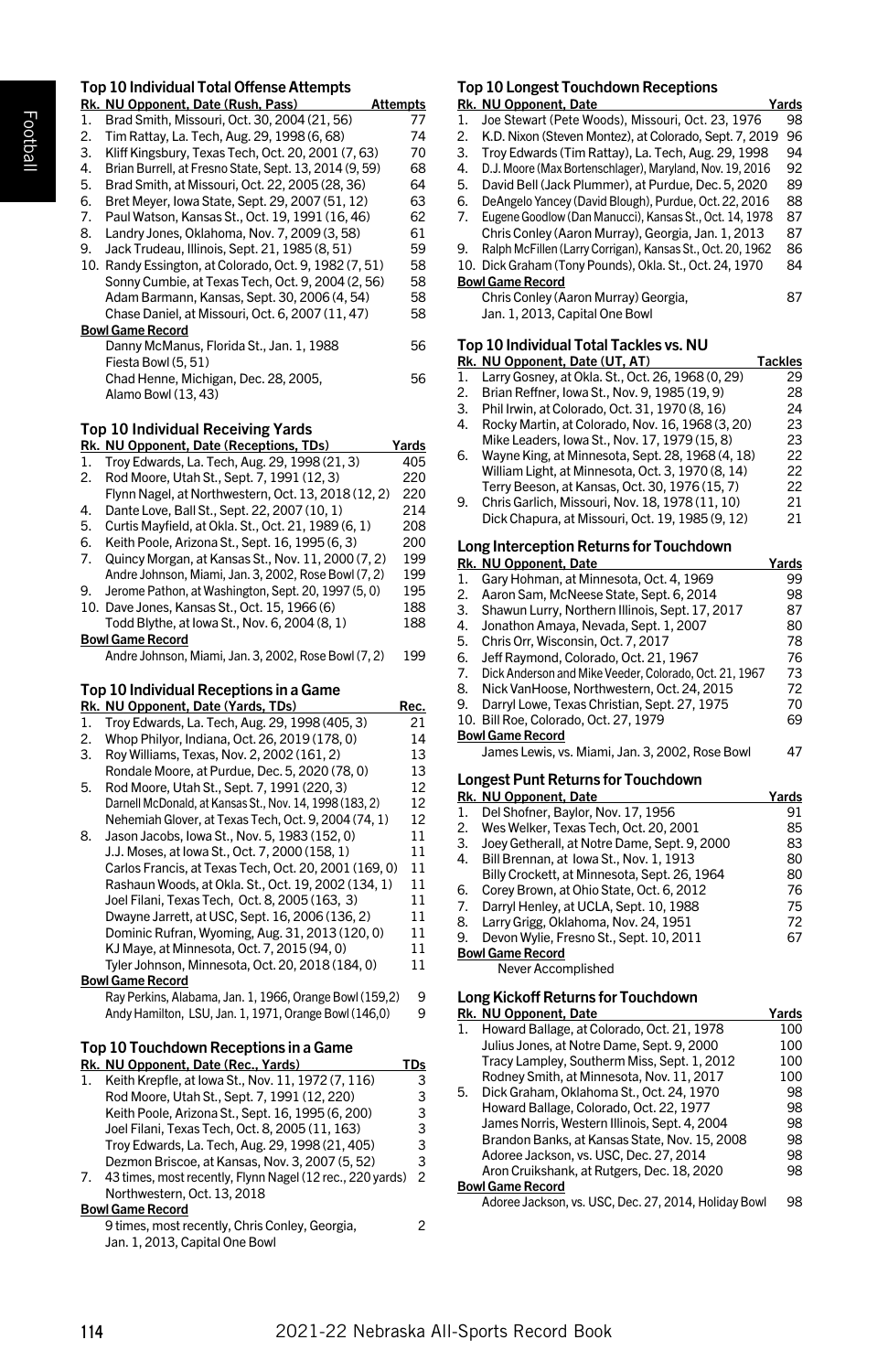# Top 10 Individual Total Offense Attempts

|     | Rk. NU Opponent, Date (Rush, Pass)                                                                      | <b>Attempts</b> |
|-----|---------------------------------------------------------------------------------------------------------|-----------------|
| 1.  | Brad Smith, Missouri, Oct. 30, 2004 (21, 56)                                                            | 77              |
| 2.  | Tim Rattay, La. Tech, Aug. 29, 1998 (6, 68)                                                             | 74              |
| 3.  | Kliff Kingsbury, Texas Tech, Oct. 20, 2001 (7, 63)                                                      | 70              |
| 4.  | Brian Burrell, at Fresno State, Sept. 13, 2014 (9, 59)                                                  | 68              |
| 5.  | Brad Smith, at Missouri, Oct. 22, 2005 (28, 36)                                                         | 64              |
| 6.  | Bret Meyer, Iowa State, Sept. 29, 2007 (51, 12)                                                         | 63              |
| 7.  | Paul Watson, Kansas St., Oct. 19, 1991 (16, 46)<br>Landry Jones, Oklahoma, Nov. 7, 2009 (3, 58)         | 62              |
| 8.  |                                                                                                         | 61              |
| 9.  | Jack Trudeau, Illinois, Sept. 21, 1985 (8, 51)                                                          | 59              |
|     | 10. Randy Essington, at Colorado, Oct. 9, 1982 (7, 51)                                                  | 58              |
|     | Sonny Cumbie, at Texas Tech, Oct. 9, 2004 (2, 56)                                                       | 58              |
|     | Adam Barmann, Kansas, Sept. 30, 2006 (4, 54)                                                            | 58              |
|     | Chase Daniel, at Missouri, Oct. 6, 2007 (11, 47)                                                        | 58              |
|     | <b>Bowl Game Record</b>                                                                                 |                 |
|     | Danny McManus, Florida St., Jan. 1, 1988                                                                | 56              |
|     | Fiesta Bowl (5, 51)                                                                                     |                 |
|     | Chad Henne, Michigan, Dec. 28, 2005,                                                                    | 56              |
|     | Alamo Bowl (13, 43)                                                                                     |                 |
|     | Top 10 Individual Receiving Yards                                                                       |                 |
|     | Rk. NU Opponent, Date (Receptions, TDs)                                                                 | <u>Yards</u>    |
| 1.  | Troy Edwards, La. Tech, Aug. 29, 1998 (21, 3)                                                           | 405             |
| 2.  | Rod Moore, Utah St., Sept. 7, 1991 (12, 3)                                                              | 220             |
|     | Flynn Nagel, at Northwestern, Oct. 13, 2018 (12, 2)                                                     | 220             |
| 4.  | Dante Love, Ball St., Sept. 22, 2007 (10, 1)                                                            | 214             |
| 5.  | Curtis Mayfield, at Okla. St., Oct. 21, 1989 (6, 1)                                                     | 208             |
| 6.  | Keith Poole, Arizona St., Sept. 16, 1995 (6, 3)                                                         | 200             |
| 7.  | Quincy Morgan, at Kansas St., Nov. 11, 2000 (7, 2)                                                      | 199             |
|     | Andre Johnson, Miami, Jan. 3, 2002, Rose Bowl (7, 2)                                                    | 199             |
| 9.  | Jerome Pathon, at Washington, Sept. 20, 1997 (5, 0)                                                     | 195             |
| 10. | Dave Jones, Kansas St., Oct. 15, 1966 (6)                                                               | 188             |
|     | Todd Blythe, at lowa St., Nov. 6, 2004 (8, 1)                                                           | 188             |
|     | <b>Bowl Game Record</b>                                                                                 |                 |
|     | Andre Johnson, Miami, Jan. 3, 2002, Rose Bowl (7, 2)                                                    | 199             |
|     |                                                                                                         |                 |
|     | Top 10 Individual Receptions in a Game                                                                  |                 |
|     | Rk. NU Opponent, Date (Yards, TDs)                                                                      | <u>Rec.</u>     |
| 1.  | Troy Edwards, La. Tech, Aug. 29, 1998 (405, 3)                                                          | 21              |
| 2.  | Whop Philyor, Indiana, Oct. 26, 2019 (178, 0)                                                           | 14              |
| 3.  | Roy Williams, Texas, Nov. 2, 2002 (161, 2)                                                              | 13              |
| 5.  | Rondale Moore, at Purdue, Dec. 5, 2020 (78, 0)                                                          | 13<br>12        |
|     | Rod Moore, Utah St., Sept. 7, 1991 (220, 3)<br>Darnell McDonald, at Kansas St., Nov. 14, 1998 (183, 2)  | 12              |
|     | Nehemiah Glover, at Texas Tech, Oct. 9, 2004 (74, 1)                                                    | 12              |
| 8.  | Jason Jacobs, Iowa St., Nov. 5, 1983 (152, 0)                                                           | 11              |
|     |                                                                                                         | 11              |
|     | J.J. Moses, at lowa St., Oct. 7, 2000 (158, 1)<br>Carlos Francis, at Texas Tech, Oct. 20, 2001 (169, 0) | 11              |
|     |                                                                                                         | 11              |
|     | Rashaun Woods, at Okla. St., Oct. 19, 2002 (134, 1)                                                     | 11              |
|     | Joel Filani, Texas Tech, Oct. 8, 2005 (163, 3)<br>Dwayne Jarrett, at USC, Sept. 16, 2006 (136, 2)       | 11              |
|     | Dominic Rufran, Wyoming, Aug. 31, 2013 (120, 0)                                                         | 11              |
|     | KJ Maye, at Minnesota, Oct. 7, 2015 (94, 0)                                                             | 11              |
|     | Tyler Johnson, Minnesota, Oct. 20, 2018 (184, 0)                                                        | 11              |
|     | <b>Bowl Game Record</b>                                                                                 |                 |
|     | Ray Perkins, Alabama, Jan. 1, 1966, Orange Bowl (159,2)                                                 | 9               |
|     | Andy Hamilton, LSU, Jan. 1, 1971, Orange Bowl (146,0)                                                   | 9               |
|     |                                                                                                         |                 |
|     | Top 10 Touchdown Receptions in a Game                                                                   |                 |
|     | Rk. NU Opponent, Date (Rec., Yards)                                                                     | <u>TDs</u>      |
| 1.  | Keith Krepfle, at lowa St., Nov. 11, 1972 (7, 116)<br>Rod Moore, Utah St., Sept. 7, 1991 (12, 220)      | 3<br>3          |
|     |                                                                                                         | 3               |
|     | Keith Poole, Arizona St., Sept. 16, 1995 (6, 200)                                                       | 3               |
|     | Joel Filani, Texas Tech, Oct. 8, 2005 (11, 163)<br>Troy Edwards, La. Tech, Aug. 29, 1998 (21, 405)      | 3               |
|     | Dezmon Briscoe, at Kansas, Nov. 3, 2007 (5, 52)                                                         | 3               |
| 7.  | 43 times, most recently, Flynn Nagel (12 rec., 220 yards)                                               | $\overline{c}$  |
|     | Northwestern, Oct. 13, 2018                                                                             |                 |
|     | <b>Bowl Game Record</b>                                                                                 |                 |
|     | 9 times, most recently, Chris Conley, Georgia,<br>Jan. 1, 2013, Capital One Bowl                        | 2               |

# Top 10 Longest Touchdown Receptions

| Rk. NU Opponent, Date<br>Yards                                   |    |
|------------------------------------------------------------------|----|
| Joe Stewart (Pete Woods), Missouri, Oct. 23, 1976<br>1.          | 98 |
| K.D. Nixon (Steven Montez), at Colorado, Sept. 7, 2019<br>2.     | 96 |
| Troy Edwards (Tim Rattay), La. Tech, Aug. 29, 1998<br>3.         | 94 |
| D.J. Moore (Max Bortenschlager), Maryland, Nov. 19, 2016<br>4.   | 92 |
| David Bell (Jack Plummer), at Purdue, Dec. 5, 2020<br>5.         | 89 |
| DeAngelo Yancey (David Blough), Purdue, Oct. 22, 2016<br>6.      | 88 |
| 7.<br>Eugene Goodlow (Dan Manucci), Kansas St., Oct. 14, 1978    | 87 |
| Chris Conley (Aaron Murray), Georgia, Jan. 1, 2013               | 87 |
| Ralph McFillen (Larry Corrigan), Kansas St., Oct. 20, 1962<br>9. | 86 |
| 10. Dick Graham (Tony Pounds), Okla, St., Oct. 24, 1970          | 84 |
| <b>Bowl Game Record</b>                                          |    |
| Chris Conley (Aaron Murray) Georgia.                             | 87 |
| Jan. 1. 2013. Capital One Bowl                                   |    |
| <b>In the distance of The Left The club company</b>              |    |

#### Top 10 Individual Total Tackles vs. NU

|    | Rk. NU Opponent, Date (UT, AT)                    | Tackles |
|----|---------------------------------------------------|---------|
|    | Larry Gosney, at Okla. St., Oct. 26, 1968 (0, 29) | 29      |
| 2. | Brian Reffner, Iowa St., Nov. 9, 1985 (19, 9)     | 28      |
| 3. | Phil Irwin, at Colorado, Oct. 31, 1970 (8, 16)    | 24      |
| 4. | Rocky Martin, at Colorado, Nov. 16, 1968 (3, 20)  | 23      |
|    | Mike Leaders, Iowa St., Nov. 17, 1979 (15, 8)     | 23      |
| 6. | Wayne King, at Minnesota, Sept. 28, 1968 (4, 18)  | 22      |
|    | William Light, at Minnesota, Oct. 3, 1970 (8, 14) | 22      |
|    | Terry Beeson, at Kansas, Oct. 30, 1976 (15, 7)    | 22      |
| 9. | Chris Garlich, Missouri, Nov. 18, 1978 (11, 10)   | 21      |
|    | Dick Chapura, at Missouri, Oct. 19, 1985 (9, 12)  | 21      |

# Long Interception Returns for Touchdown

|    | Rk. NU Opponent, Date                                  | Yards |
|----|--------------------------------------------------------|-------|
| 1. | Gary Hohman, at Minnesota, Oct. 4, 1969                | 99    |
| 2. | Aaron Sam, McNeese State, Sept. 6, 2014                | 98    |
| 3. | Shawun Lurry, Northern Illinois, Sept. 17, 2017        | 87    |
| 4. | Jonathon Amaya, Nevada, Sept. 1, 2007                  | 80    |
| 5. | Chris Orr. Wisconsin, Oct. 7, 2017                     | 78    |
| 6. | Jeff Raymond, Colorado, Oct. 21, 1967                  | 76    |
| 7. | Dick Anderson and Mike Veeder, Colorado, Oct. 21, 1967 | 73    |
| 8. | Nick VanHoose, Northwestern, Oct. 24, 2015             | 72    |
| 9. | Darryl Lowe, Texas Christian, Sept. 27, 1975           | 70    |
|    | 10. Bill Roe, Colorado, Oct. 27, 1979                  | 69    |
|    | <b>Bowl Game Record</b>                                |       |
|    | James Lewis, vs. Miami, Jan. 3, 2002, Rose Bowl        | 47    |
|    | <b>Longest Punt Returns for Touchdown</b>              |       |
|    | Rk. NU Opponent. Date                                  | Yards |
|    | Del Shofner, Baylor, Nov. 17, 1956                     | 91    |

|    | 1. Del Shofner, Bavior, Nov. 17, 1956        | ч  |
|----|----------------------------------------------|----|
| 2. | Wes Welker, Texas Tech, Oct. 20, 2001        | 85 |
| 3. | Joey Getherall, at Notre Dame, Sept. 9, 2000 | 83 |
| 4. | Bill Brennan, at Iowa St., Nov. 1, 1913      | 80 |
|    | Billy Crockett, at Minnesota, Sept. 26, 1964 | 80 |
| 6. | Corey Brown, at Ohio State, Oct. 6, 2012     | 76 |
| 7. | Darryl Henley, at UCLA, Sept. 10, 1988       | 75 |
| 8. | Larry Grigg, Oklahoma, Nov. 24, 1951         | 72 |
| 9. | Devon Wylie, Fresno St., Sept. 10, 2011      | 67 |
|    | <b>Bowl Game Record</b>                      |    |

Never Accomplished

# Long Kickoff Returns for Touchdown

|    | Rk. NU Opponent, Date                                | Yards |
|----|------------------------------------------------------|-------|
|    | Howard Ballage, at Colorado, Oct. 21, 1978           | 100   |
|    | Julius Jones, at Notre Dame, Sept. 9, 2000           | 100   |
|    | Tracy Lampley, Southerm Miss, Sept. 1, 2012          | 100   |
|    | Rodney Smith, at Minnesota, Nov. 11, 2017            | 100   |
| 5. | Dick Graham, Oklahoma St., Oct. 24, 1970             | 98    |
|    | Howard Ballage, Colorado, Oct. 22, 1977              | 98    |
|    | James Norris, Western Illinois, Sept. 4, 2004        | 98    |
|    | Brandon Banks, at Kansas State, Nov. 15, 2008        | 98    |
|    | Adoree Jackson, vs. USC, Dec. 27, 2014               | 98    |
|    | Aron Cruikshank, at Rutgers, Dec. 18, 2020           | 98    |
|    | <b>Bowl Game Record</b>                              |       |
|    | Adoree Jackson, vs. USC, Dec. 27, 2014, Holiday Bowl | 98    |
|    |                                                      |       |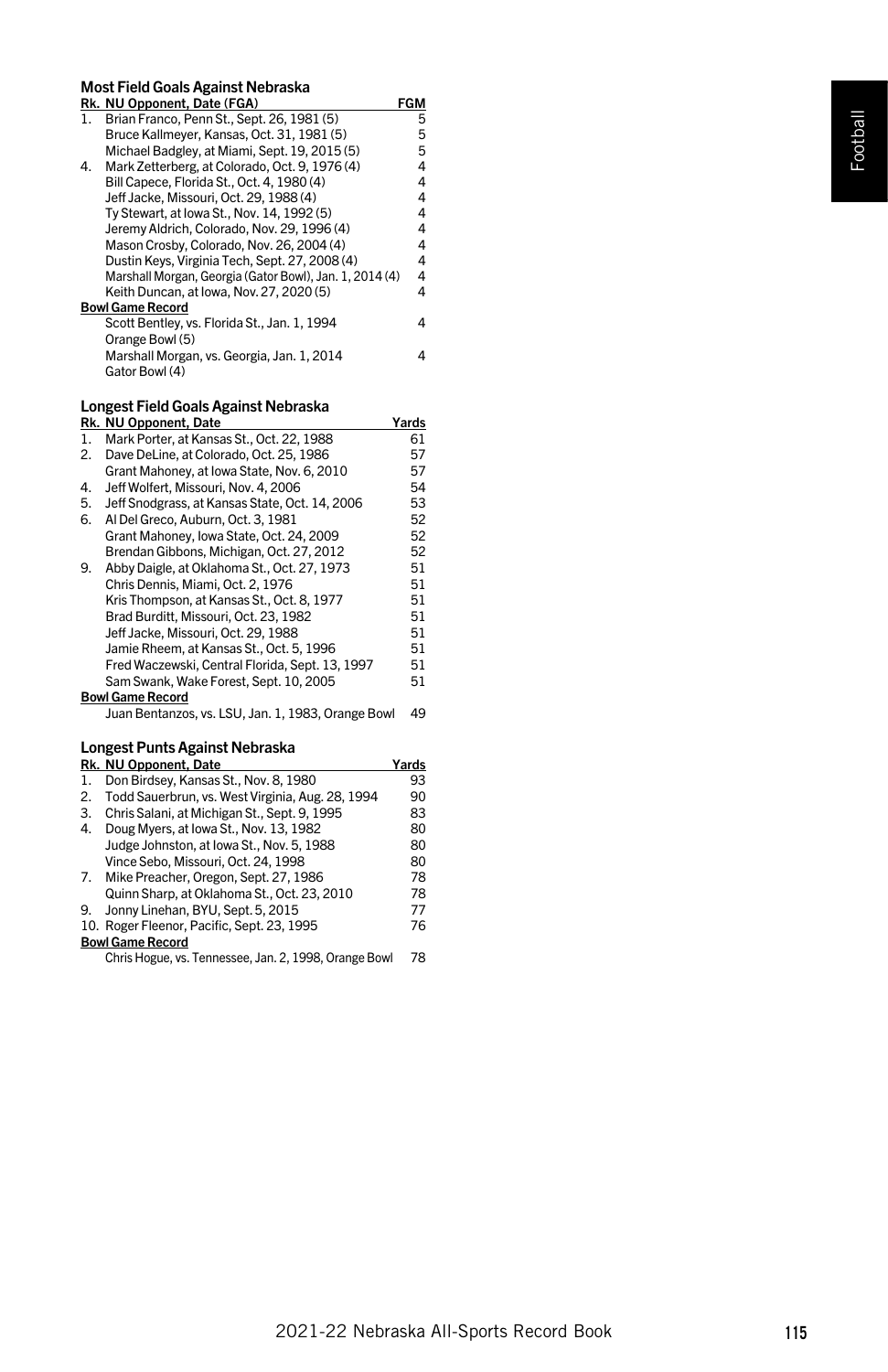# Most Field Goals Against Nebraska

|    | Rk. NU Opponent, Date (FGA)                             | FGM |
|----|---------------------------------------------------------|-----|
| 1. | Brian Franco, Penn St., Sept. 26, 1981 (5)              | 5   |
|    | Bruce Kallmeyer, Kansas, Oct. 31, 1981 (5)              | 5   |
|    | Michael Badgley, at Miami, Sept. 19, 2015 (5)           | 5   |
| 4. | Mark Zetterberg, at Colorado, Oct. 9, 1976 (4)          | 4   |
|    | Bill Capece, Florida St., Oct. 4, 1980 (4)              | 4   |
|    | Jeff Jacke, Missouri, Oct. 29, 1988 (4)                 | 4   |
|    | Tv Stewart, at Iowa St., Nov. 14, 1992 (5)              | 4   |
|    | Jeremy Aldrich, Colorado, Nov. 29, 1996 (4)             | 4   |
|    | Mason Crosby, Colorado, Nov. 26, 2004 (4)               | 4   |
|    | Dustin Keys, Virginia Tech, Sept. 27, 2008 (4)          | 4   |
|    | Marshall Morgan, Georgia (Gator Bowl), Jan. 1, 2014 (4) | 4   |
|    | Keith Duncan, at Iowa, Nov. 27, 2020 (5)                | 4   |
|    | <b>Bowl Game Record</b>                                 |     |
|    | Scott Bentley, vs. Florida St., Jan. 1, 1994            | 4   |
|    | Orange Bowl (5)                                         |     |
|    | Marshall Morgan, vs. Georgia, Jan. 1, 2014              | 4   |
|    | Gator Bowl (4)                                          |     |

# Longest Field Goals Against Nebraska

|    | Rk. NU Opponent, Date                              | Yards |
|----|----------------------------------------------------|-------|
| 1. | Mark Porter, at Kansas St., Oct. 22, 1988          | 61    |
| 2. | Dave DeLine, at Colorado, Oct. 25, 1986            | 57    |
|    | Grant Mahoney, at Iowa State, Nov. 6, 2010         | 57    |
| 4. | Jeff Wolfert, Missouri, Nov. 4, 2006               | 54    |
| 5. | Jeff Snodgrass, at Kansas State, Oct. 14, 2006     | 53    |
| 6. | Al Del Greco, Auburn, Oct. 3, 1981                 | 52    |
|    | Grant Mahoney, Iowa State, Oct. 24, 2009           | 52    |
|    | Brendan Gibbons, Michigan, Oct. 27, 2012           | 52    |
| 9. | Abby Daigle, at Oklahoma St., Oct. 27, 1973        | 51    |
|    | Chris Dennis, Miami, Oct. 2, 1976                  | 51    |
|    | Kris Thompson, at Kansas St., Oct. 8, 1977         | 51    |
|    | Brad Burditt, Missouri, Oct. 23, 1982              | 51    |
|    | Jeff Jacke, Missouri, Oct. 29, 1988                | 51    |
|    | Jamie Rheem, at Kansas St., Oct. 5, 1996           | 51    |
|    | Fred Waczewski, Central Florida, Sept. 13, 1997    | 51    |
|    | Sam Swank, Wake Forest, Sept. 10, 2005             | 51    |
|    | <b>Bowl Game Record</b>                            |       |
|    | Juan Bentanzos, vs. LSU, Jan. 1, 1983, Orange Bowl | 49    |
|    |                                                    |       |

# Longest Punts Against Nebraska

|    | Rk. NU Opponent, Date                                 | Yards |
|----|-------------------------------------------------------|-------|
| 1. | Don Birdsey, Kansas St., Nov. 8, 1980                 | 93    |
| 2. | Todd Sauerbrun, vs. West Virginia, Aug. 28, 1994      | 90    |
| 3. | Chris Salani, at Michigan St., Sept. 9, 1995          | 83    |
| 4. | Doug Myers, at Iowa St., Nov. 13, 1982                | 80    |
|    | Judge Johnston, at Iowa St., Nov. 5, 1988             | 80    |
|    | Vince Sebo, Missouri, Oct. 24, 1998                   | 80    |
|    | 7. Mike Preacher, Oregon, Sept. 27, 1986              | 78    |
|    | Quinn Sharp, at Oklahoma St., Oct. 23, 2010           | 78    |
| 9. | Jonny Linehan, BYU, Sept. 5, 2015                     | 77    |
|    | 10. Roger Fleenor, Pacific, Sept. 23, 1995            | 76    |
|    | <b>Bowl Game Record</b>                               |       |
|    | Chris Hogue, vs. Tennessee, Jan. 2, 1998, Orange Bowl | 78    |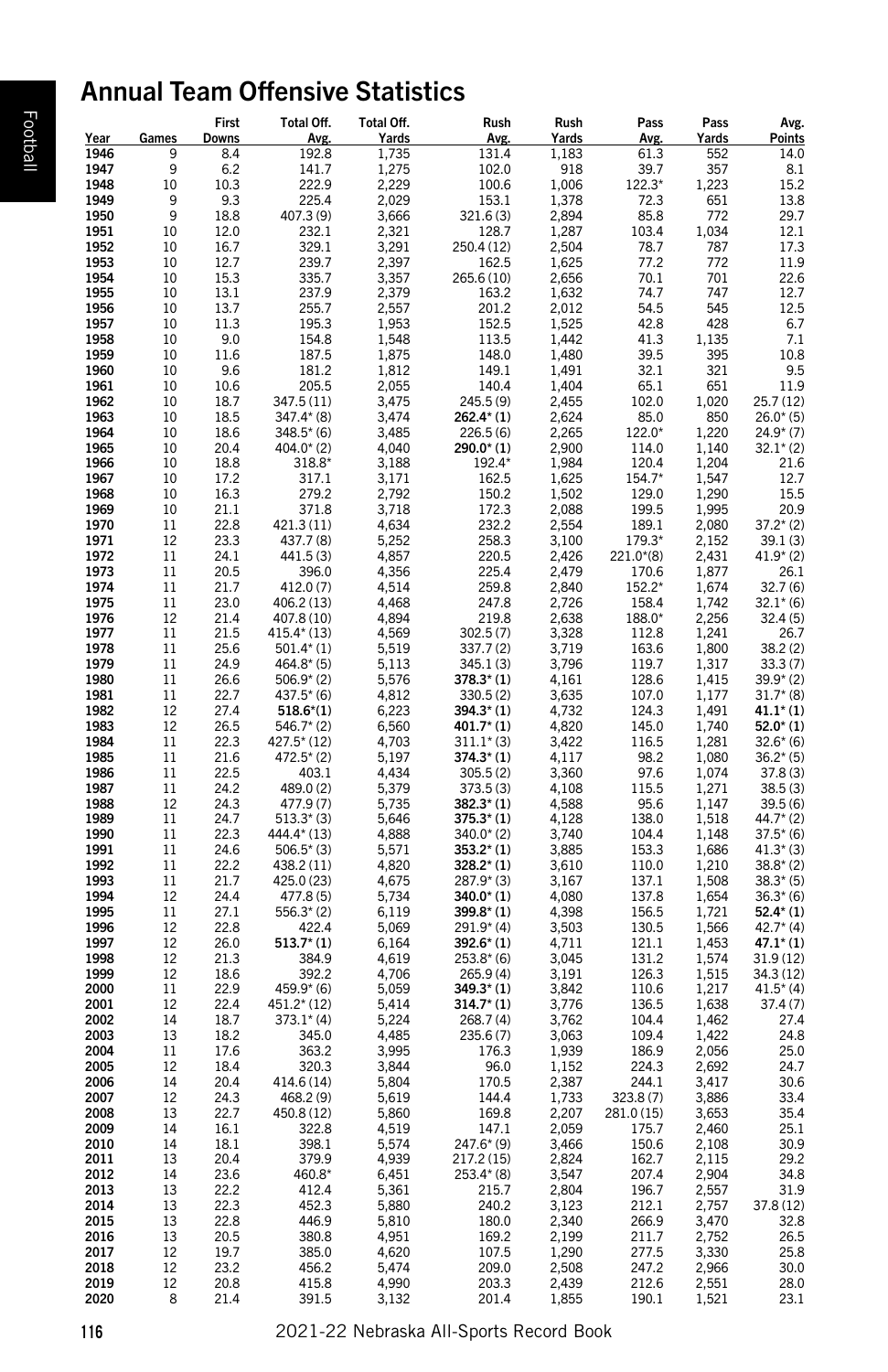# Annual Team Offensive Statistics

|                     |                     | First        | Total Off.              | Total Off.     | Rush                           | Rush           | Pass           | Pass           | Avg.                     |
|---------------------|---------------------|--------------|-------------------------|----------------|--------------------------------|----------------|----------------|----------------|--------------------------|
| <u>Year</u><br>1946 | <b>Games</b><br>9   | <u>Downs</u> | Avg.                    | <b>Yards</b>   | Avg.<br>131.4                  | Yards          | Avg.<br>61.3   | Yards<br>552   | <u>Points</u><br>14.0    |
| 1947                | 9                   | 8.4<br>6.2   | 192.8<br>141.7          | 1,735<br>1,275 | 102.0                          | 1,183<br>918   | 39.7           | 357            | 8.1                      |
| 1948                | 10                  | 10.3         | 222.9                   | 2,229          | 100.6                          | 1,006          | 122.3*         | 1,223          | 15.2                     |
| 1949                | 9                   | 9.3          | 225.4                   | 2,029          | 153.1                          | 1,378          | 72.3           | 651            | 13.8                     |
| 1950                | 9                   | 18.8         | 407.3 (9)               | 3,666          | 321.6(3)                       | 2,894          | 85.8           | 772            | 29.7                     |
| 1951                | 10                  | 12.0         | 232.1                   | 2,321          | 128.7                          | 1,287          | 103.4          | 1,034          | 12.1                     |
| 1952                | 10                  | 16.7         | 329.1                   | 3,291          | 250.4 (12)                     | 2,504          | 78.7           | 787            | 17.3                     |
| 1953                | 10<br>10            | 12.7         | 239.7                   | 2,397          | 162.5                          | 1,625          | 77.2           | 772            | 11.9                     |
| 1954<br>1955        | 10                  | 15.3<br>13.1 | 335.7<br>237.9          | 3,357<br>2,379 | 265.6 (10)                     | 2,656<br>1,632 | 70.1<br>74.7   | 701<br>747     | 22.6<br>12.7             |
| 1956                | 10                  | 13.7         | 255.7                   | 2,557          | 163.2<br>201.2                 | 2,012          | 54.5           | 545            | 12.5                     |
| 1957                | 10                  | 11.3         | 195.3                   | 1,953          | 152.5                          | 1,525          | 42.8           | 428            | 6.7                      |
| 1958                | 10                  | 9.0          | 154.8                   | 1,548          | 113.5                          | 1,442          | 41.3           | 1,135          | 7.1                      |
| 1959                | 10                  | 11.6         | 187.5                   | 1,875          | 148.0                          | 1,480          | 39.5           | 395            | 10.8                     |
| 1960                | 10                  | 9.6          | 181.2                   | 1,812          | 149.1                          | 1,491          | 32.1           | 321            | 9.5                      |
| 1961                | 10                  | 10.6         | 205.5                   | 2,055          | 140.4                          | 1,404          | 65.1           | 651            | 11.9                     |
| 1962                | 10                  | 18.7         | 347.5 (11)              | 3,475          | 245.5 (9)                      | 2,455          | 102.0          | 1,020          | 25.7(12)                 |
| 1963                | 10                  | 18.5         | $347.4*$ (8)            | 3,474          | $262.4*(1)$                    | 2,624          | 85.0           | 850            | $26.0*(5)$               |
| 1964                | 10                  | 18.6         | $348.5*(6)$             | 3,485          | 226.5(6)                       | 2,265          | 122.0*         | 1,220          | $24.9*(7)$               |
| 1965                | 10                  | 20.4         | $404.0*$ (2)            | 4,040          | $290.0*(1)$                    | 2,900          | 114.0          | 1,140          | $32.1*$ (2)              |
| 1966                | 10                  | 18.8         | 318.8*                  | 3,188          | 192.4*                         | 1,984          | 120.4          | 1,204          | 21.6                     |
| 1967                | 10                  | 17.2         | 317.1                   | 3,171          | 162.5                          | 1,625          | 154.7*         | 1,547          | 12.7                     |
| 1968                | 10                  | 16.3         | 279.2                   | 2,792          | 150.2                          | 1,502          | 129.0          | 1,290          | 15.5                     |
| 1969                | 10                  | 21.1         | 371.8                   | 3,718          | 172.3                          | 2,088          | 199.5          | 1,995          | 20.9                     |
| 1970                | 11                  | 22.8         | 421.3 (11)              | 4,634          | 232.2                          | 2,554          | 189.1          | 2,080          | $37.2*(2)$               |
| 1971                | 12                  | 23.3         | 437.7 (8)               | 5,252          | 258.3                          | 3,100          | 179.3*         | 2,152          | 39.1(3)                  |
| 1972                | 11                  | 24.1         | 441.5 (3)               | 4,857          | 220.5                          | 2,426          | $221.0*(8)$    | 2,431          | $41.9*(2)$               |
| 1973                | 11                  | 20.5         | 396.0                   | 4,356          | 225.4                          | 2,479          | 170.6          | 1,877          | 26.1                     |
| 1974                | 11                  | 21.7         | 412.0 (7)               | 4,514          | 259.8                          | 2,840          | 152.2*         | 1,674          | 32.7(6)                  |
| 1975                | 11                  | 23.0         | 406.2 (13)              | 4,468          | 247.8                          | 2,726          | 158.4          | 1,742          | $32.1* (6)$              |
| 1976                | 12                  | 21.4         | 407.8 (10)              | 4,894          | 219.8                          | 2,638          | 188.0*         | 2,256          | 32.4(5)                  |
| 1977                | 11                  | 21.5         | 415.4* (13)             | 4,569          | 302.5(7)                       | 3,328          | 112.8          | 1,241          | 26.7                     |
| 1978                | 11                  | 25.6         | $501.4*(1)$             | 5,519          | 337.7 (2)                      | 3,719          | 163.6          | 1,800          | 38.2(2)                  |
| 1979                | 11                  | 24.9         | $464.8*$ (5)            | 5,113          | 345.1 (3)                      | 3,796          | 119.7          | 1,317          | 33.3(7)                  |
| 1980                | 11                  | 26.6         | $506.9*$ (2)            | 5,576          | $378.3*$ (1)                   | 4,161          | 128.6          | 1,415          | $39.9*(2)$               |
| 1981                | 11                  | 22.7         | $437.5* (6)$            | 4,812          | 330.5(2)                       | 3,635          | 107.0          | 1,177          | $31.7* (8)$              |
| 1982                | 12                  | 27.4         | $518.6^{*}(1)$          | 6,223          | $394.3*(1)$                    | 4,732          | 124.3          | 1,491          | $41.1*$ (1)              |
| 1983                | 12                  | 26.5         | $546.7*$ (2)            | 6,560          | $401.7^{*}(1)$                 | 4,820          | 145.0          | 1,740          | $52.0^*$ (1)             |
| 1984                | 11                  | 22.3         | 427.5* (12)             | 4,703          | $311.1*$ (3)                   | 3,422          | 116.5          | 1,281          | $32.6*(6)$               |
| 1985                | 11                  | 21.6         | $472.5*$ (2)            | 5,197          | $374.3*(1)$                    | 4,117          | 98.2           | 1,080          | $36.2*(5)$               |
| 1986                | 11                  | 22.5         | 403.1                   | 4,434          | 305.5(2)                       | 3,360          | 97.6           | 1,074          | 37.8(3)                  |
| 1987                | 11                  | 24.2         | 489.0 (2)               | 5,379          | 373.5 (3)                      | 4,108          | 115.5          | 1,271          | 38.5(3)                  |
| 1988                | 12                  | 24.3         | 477.9 (7)               | 5,735          | $382.3*(1)$                    | 4,588          | 95.6           | 1,147          | 39.5(6)                  |
| 1989                | 11                  | 24.7         | $513.3*$ (3)            | 5,646          | $375.3*(1)$                    | 4,128          | 138.0          | 1,518          | $44.7*$ (2)              |
| 1990                | 11                  | 22.3         | 444.4* (13)             | 4,888          | $340.0^{*}$ (2)                | 3,740          | 104.4          | 1,148          | $37.5* (6)$              |
| 1991                | 11                  | 24.6         | $506.5*$ (3)            | 5,571          | $353.2*(1)$                    | 3,885          | 153.3          | 1,686          | $41.3*(3)$               |
| 1992                | 11                  | 22.2<br>21.7 | 438.2 (11)              | 4,820          | $328.2*(1)$                    | 3,610          | 110.0          | 1,210          | $38.8*$ (2)              |
| 1993<br>1994        | 11<br>12            | 24.4         | 425.0 (23)<br>477.8 (5) | 4,675          | $287.9*$ (3)<br>$340.0^{*}(1)$ | 3,167<br>4,080 | 137.1<br>137.8 | 1,508<br>1,654 | $38.3*(5)$<br>$36.3*(6)$ |
|                     | $11\,$              | 27.1         | $556.3*(2)$             | 5,734<br>6,119 |                                | 4,398          | 156.5          | 1,721          | $52.4*(1)$               |
| 1995<br>1996        | 12                  | 22.8         | 422.4                   | 5,069          | $399.8* (1)$<br>$291.9*(4)$    | 3,503          | 130.5          | 1,566          | $42.7^*(4)$              |
| 1997                | 12                  | 26.0         | $513.7^{*}(1)$          | 6,164          | $392.6*(1)$                    | 4,711          | 121.1          | 1,453          | $47.1*$ (1)              |
| 1998                | 12                  | 21.3         | 384.9                   | 4,619          | $253.8*(6)$                    | 3,045          | 131.2          | 1,574          | 31.9(12)                 |
| 1999                | 12                  | 18.6         | 392.2                   | 4,706          | 265.9 (4)                      | 3,191          | 126.3          | 1,515          | 34.3 (12)                |
| 2000                | 11                  | 22.9         | $459.9* (6)$            | 5,059          | $349.3*(1)$                    | 3,842          | 110.6          | 1,217          | $41.5*$ (4)              |
| 2001                | 12                  | 22.4         | 451.2* (12)             | 5,414          | $314.7*(1)$                    | 3,776          | 136.5          | 1,638          | 37.4(7)                  |
| 2002                | 14                  | 18.7         | $373.1*$ (4)            | 5,224          | 268.7 (4)                      | 3,762          | 104.4          | 1,462          | 27.4                     |
| 2003                | 13                  | 18.2         | 345.0                   | 4,485          | 235.6(7)                       | 3,063          | 109.4          | 1,422          | 24.8                     |
| 2004                | 11                  | 17.6         | 363.2                   | 3,995          | 176.3                          | 1,939          | 186.9          | 2,056          | 25.0                     |
| 2005                | 12                  | 18.4         | 320.3                   | 3,844          | 96.0                           | 1,152          | 224.3          | 2,692          | 24.7                     |
| 2006                | 14                  | 20.4         | 414.6 (14)              | 5,804          | 170.5                          | 2,387          | 244.1          | 3,417          | 30.6                     |
| 2007                | 12                  | 24.3         | 468.2 (9)               | 5,619          | 144.4                          | 1,733          | 323.8 (7)      | 3,886          | 33.4                     |
| 2008                | 13                  | 22.7         | 450.8 (12)              | 5,860          | 169.8                          | 2,207          | 281.0 (15)     | 3,653          | 35.4                     |
| 2009                | 14                  | 16.1         | 322.8                   | 4,519          | 147.1                          | 2,059          | 175.7          | 2,460          | 25.1                     |
| 2010                | 14                  | 18.1         | 398.1                   | 5,574          | $247.6*$ (9)                   | 3,466          | 150.6          | 2,108          | 30.9                     |
| 2011                | 13                  | 20.4         | 379.9                   | 4,939          | 217.2 (15)                     | 2,824          | 162.7          | 2,115          | 29.2                     |
| 2012                | 14                  | 23.6         | 460.8*                  |                | $253.4*$ (8)                   | 3,547          | 207.4          | 2,904          | 34.8                     |
|                     |                     |              |                         | 6,451          |                                |                |                |                | 31.9                     |
| 2013                | 13                  | 22.2         | 412.4                   | 5,361          | 215.7                          | 2,804          | 196.7          | 2,557          |                          |
| 2014                | 13                  | 22.3         | 452.3                   | 5,880          | 240.2                          | 3,123          | 212.1          | 2,757          | 37.8 (12)                |
| 2015                | 13<br>13            | 22.8<br>20.5 | 446.9<br>380.8          | 5,810          | 180.0<br>169.2                 | 2,340<br>2,199 | 266.9          | 3,470          | 32.8<br>26.5             |
| 2016<br>2017        | 12                  | 19.7         | 385.0                   | 4,951          | 107.5                          | 1,290          | 211.7<br>277.5 | 2,752<br>3,330 | 25.8                     |
| 2018                | 12                  | 23.2         | 456.2                   | 4,620<br>5,474 | 209.0                          | 2,508          | 247.2          | 2,966          | 30.0                     |
| 2019                |                     | 20.8         | 415.8                   | 4,990          | 203.3                          | 2,439          | 212.6          | 2,551          | 28.0                     |
| 2020                | $_{\rm 12}_{\rm 8}$ | 21.4         | 391.5                   | 3,132          | 201.4                          | 1,855          | 190.1          | 1,521          | 23.1                     |
|                     |                     |              |                         |                |                                |                |                |                |                          |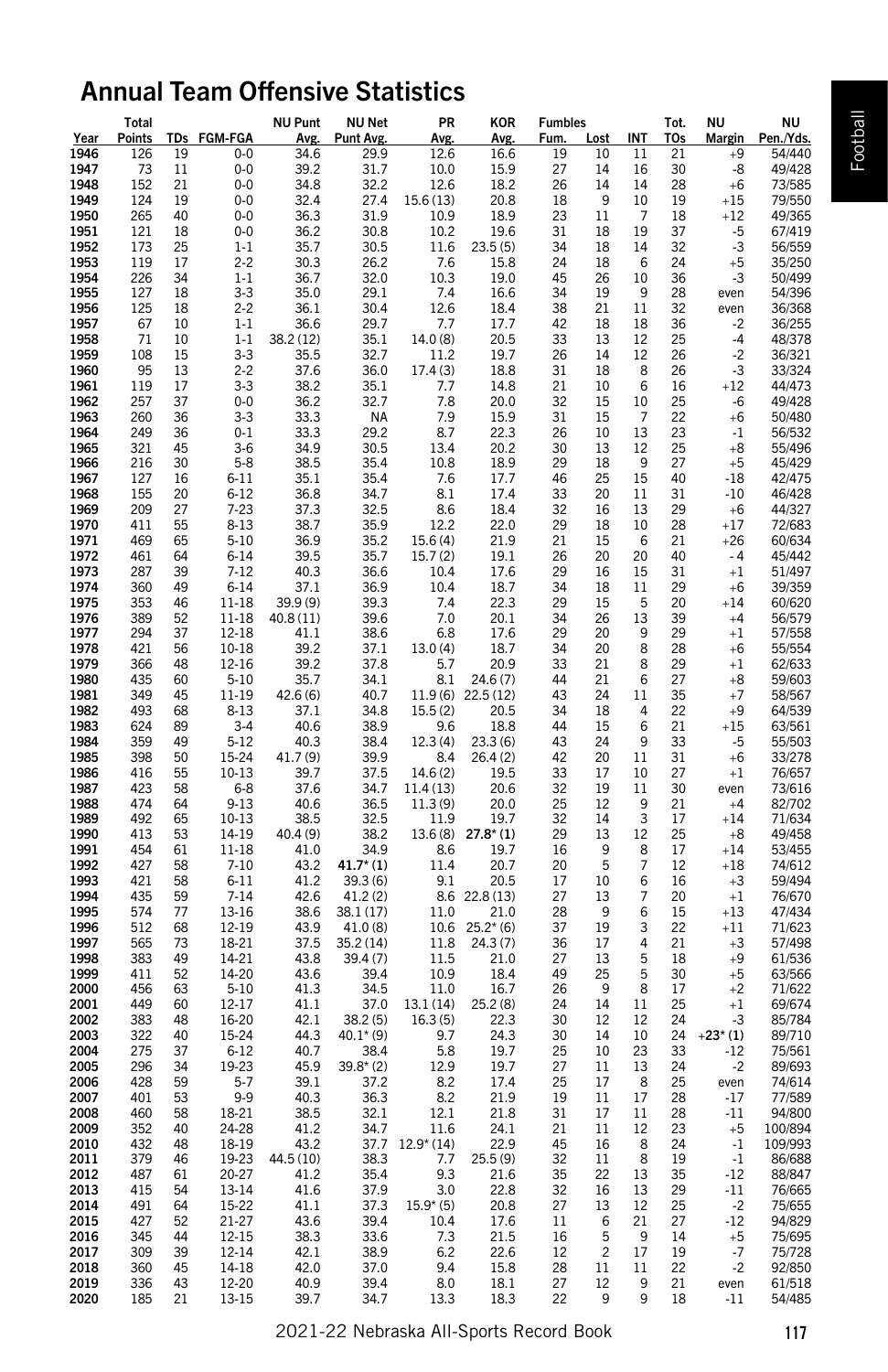# Annual Team Offensive Statistics

|                     | Total                                          |                                         |                      | <b>NU Punt</b>        | <b>NU Net</b>            | PR                              | KOR                | <b>Fumbles</b>                                                 |                                                                                                              | Tot.                                              | ΝU                                                    | ΝU                                 |
|---------------------|------------------------------------------------|-----------------------------------------|----------------------|-----------------------|--------------------------|---------------------------------|--------------------|----------------------------------------------------------------|--------------------------------------------------------------------------------------------------------------|---------------------------------------------------|-------------------------------------------------------|------------------------------------|
| <u>Year</u><br>1946 |                                                | Points TDs FGM-FGA<br>19                | $0-0$                | Avg.                  | <b>Punt Avg</b><br>29.9  | Avg<br>12.6                     | <u>Avg</u><br>16.6 | <u>Fum.</u>                                                    | Lost INT                                                                                                     | T0s<br>11                                         | <b>Margin</b><br>21                                   | Pen./Yds.<br>54/440<br>+9          |
| 1947                | $\frac{126}{73}$                               | 11                                      | $0-0$                | $\frac{34.6}{39.2}$   | 31.7                     | 10.0                            | 15.9               |                                                                | $\frac{10}{14}$                                                                                              | 16                                                | 30                                                    | 49/428<br>-8                       |
| 1948                | 152                                            | 21                                      | $0-0$                | 34.8                  | 32.2                     | 12.6                            | 18.2               |                                                                |                                                                                                              | 14                                                | 28<br>$+6$                                            | 73/585                             |
| 1949                | 124                                            | 19                                      | $0-0$                | 32.4                  | 27.4                     | 15.6 (13)                       | 20.8               | 19<br>27<br>26<br>18<br>23                                     | $\,9$                                                                                                        | 10                                                | 19<br>$+15$                                           | 79/550                             |
| 1950                | 265                                            | 40                                      | $0-0$<br>$0-0$       | 36.3<br>36.2          | 31.9<br>30.8             | 10.9<br>10.2                    | 18.9<br>19.6       |                                                                | $11\,$                                                                                                       | $\overline{7}$<br>19                              | 18<br>$+12$<br>37                                     | 49/365<br>$-5$<br>67/419           |
| 1951<br>1952        | $\frac{121}{173}$                              | $\begin{array}{c} 18 \\ 25 \end{array}$ | $1 - 1$              | 35.7                  | 30.5                     | 11.6                            | 23.5(5)            |                                                                | $\begin{array}{c} 18 \\ 18 \end{array}$                                                                      | 14                                                | 32                                                    | -3<br>56/559                       |
| 1953                | 119                                            | $17\,$                                  | $2 - 2$              | 30.3                  | 26.2                     | 7.6                             | 15.8               |                                                                |                                                                                                              | 6                                                 | 24<br>$+5$                                            | 35/250                             |
| 1954                | 226                                            | 34                                      | $1-1$                | 36.7                  | 32.0                     | 10.3                            | 19.0               |                                                                |                                                                                                              | $10\,$                                            | 36                                                    | 50/499<br>$-3$                     |
| 1955                | $\frac{1}{127}$                                | $18\,$                                  | $3 - 3$              | 35.0                  | 29.1                     | 7.4                             | 16.6               |                                                                |                                                                                                              | $\boldsymbol{9}$                                  | 28<br>even                                            | 54/396                             |
| 1956                | 125<br>67                                      | $\begin{array}{c} 18 \\ 10 \end{array}$ | $2 - 2$<br>1-1       | 36.1                  | 30.4                     | 12.6<br>7.7                     | 18.4<br>17.7       |                                                                |                                                                                                              | $\begin{array}{c} 11 \\ 18 \end{array}$           | 32<br>36<br>even                                      | 36/368                             |
| 1957<br>1958        |                                                |                                         | $1-1\,$              | 36.6<br>38.2 (12)     | 29.7<br>35.1             | 14.0(8)                         | 20.5               |                                                                |                                                                                                              | $12\,$                                            | 25                                                    | $-2$<br>36/255<br>48/378<br>$-4$   |
| 1959                | $\begin{array}{c} 71 \\ 108 \\ 95 \end{array}$ |                                         |                      | 35.5                  | 32.7                     | 11.2                            | 19.7               |                                                                |                                                                                                              |                                                   | 26                                                    | $-2$<br>36/321                     |
| 1960                |                                                | 10<br>15<br>13<br>17<br>17<br>37        | $3 - 3$<br>2-2       | 37.6                  | 36.0                     | 17.4(3)                         | 18.8               | 31 34 45 34 38 42 33 26 31 31 26 30 29 46                      |                                                                                                              | $_{\rm 12}_{\rm 8}$                               | 26                                                    | 33/324<br>-3                       |
| 1961                | 119<br>257                                     |                                         | $3 - 3$              | 38.2                  | 35.1                     | 7.7                             | 14.8               |                                                                |                                                                                                              | $\begin{array}{c} 6 \\ 10 \end{array}$            | 16<br>25<br>$^{\mathrm {+12}}$                        | 44/473                             |
| 1962<br>1963        | 260                                            |                                         | $0-0$                | 36.2                  | 32.7                     | 7.8                             | 20.0               |                                                                |                                                                                                              | $\overline{7}$                                    |                                                       | 49/428<br>-6                       |
|                     |                                                | 36<br>36                                | $3 - 3$<br>$0 - 1$   | 33.3<br>33.3          | <b>NA</b><br>29.2        | 7.9<br>8.7                      | 15.9<br>22.3       |                                                                |                                                                                                              | 13                                                | 22                                                    | $+6\,$<br>50/480<br>56/532<br>$-1$ |
| 1964<br>1965        | 249<br>321                                     | 45                                      | $3-6$                | 34.9                  | 30.5                     | 13.4                            | 20.2               |                                                                |                                                                                                              | 12                                                | 23<br>25<br>$+8$                                      | 55/496                             |
| 1966                | 216<br>127                                     | $\begin{array}{c} 30 \\ 16 \end{array}$ | $5 - 8$              | 38.5                  | 35.4                     | 10.8                            | 18.9               |                                                                |                                                                                                              | 9                                                 | 27<br>$+5$                                            | 45/429                             |
| 1967                |                                                |                                         | $6 - 11$             | 35.1                  | 35.4                     | 7.6                             | 17.7               |                                                                |                                                                                                              | $15\,$                                            | 40<br>$-18$                                           | 42/475                             |
| 1968                | 155                                            |                                         | $6 - 12$             | 36.8                  | 34.7                     | 8.1                             | 17.4               |                                                                |                                                                                                              | $11\,$                                            | 31<br>$-10$                                           | 46/428                             |
| 1969<br>1970        | 209<br>411                                     |                                         | $7 - 23$<br>$8 - 13$ | 37.3<br>38.7          | 32.5<br>35.9             | 8.6<br>12.2                     | 18.4<br>22.0       |                                                                |                                                                                                              | 13<br>10                                          | 29<br>$+6$<br>28<br>$+17$                             | 44/327<br>72/683                   |
| 1971                |                                                | 20<br>27<br>55<br>65<br>64              | $5 - 10$             | 36.9                  |                          | 15.6(4)                         | 21.9               |                                                                |                                                                                                              | 6                                                 | 21<br>$+26$                                           | 60/634                             |
| 1972                | 469<br>461                                     |                                         | $6 - 14$             | 39.5                  | 35.2<br>35.7             | 15.7(2)                         | 19.1               |                                                                |                                                                                                              | 20                                                | 40<br>$-4$                                            | 45/442                             |
| 1973                | 287                                            | 39                                      | $7 - 12$             | 40.3                  | 36.6                     | 10.4                            | 17.6               |                                                                |                                                                                                              | 15                                                | 31<br>$+1$                                            | 51/497                             |
| 1974                | 360                                            | 49<br>46<br>52<br>37                    | $6 - 14$             | 37.1                  | 36.9                     | 10.4                            | 18.7               | 3329126934923429                                               |                                                                                                              | 11                                                | 29                                                    | 39/359<br>$+6$                     |
| 1975<br>1976        |                                                |                                         | 11-18<br>$11 - 18$   | 39.9 (9)<br>40.8 (11) | 39.3<br>39.6             | 7.4<br>7.0                      | 22.3<br>20.1       |                                                                |                                                                                                              | 5                                                 | 20<br>$+14$<br>$+4$                                   | 60/620<br>56/579                   |
| 1977                |                                                |                                         | 12-18                | 41.1                  | 38.6                     | 6.8                             | 17.6               |                                                                |                                                                                                              | $\begin{array}{c} 13 \\ 9 \end{array}$            | 39<br>29<br>$+1$                                      | 57/558                             |
| 1978                | 353<br>389<br>294<br>421<br>366<br>435         |                                         | 10-18                | 39.2                  | 37.1                     | 13.0(4)                         | 18.7               |                                                                |                                                                                                              | 8                                                 | 28<br>$+6$                                            | 55/554                             |
| 1979                |                                                | 56<br>48<br>60                          | 12-16                | 39.2                  | 37.8                     | 5.7                             | 20.9               | 34<br>33<br>44<br>33<br>44<br>43<br>33<br>32<br>25<br>32<br>29 | 20<br>21<br>21<br>24<br>3<br>24<br>20<br>7<br>21<br>24<br>20<br>21<br>24<br>20<br>21<br>24<br>20<br>21<br>24 | $^8$ 6                                            | 29<br>27<br>$+1$                                      | 62/633                             |
| 1980                |                                                |                                         | $5 - 10$             | 35.7                  | 34.1                     | 8.1                             | 24.6(7)            |                                                                |                                                                                                              |                                                   | $+8$                                                  | 59/603                             |
| 1981<br>1982        | 349<br>493                                     | 45<br>68                                | 11-19<br>$8 - 13$    | 42.6 (6)<br>37.1      | 40.7<br>34.8             | $11.9\left(6\right)$<br>15.5(2) | 22.5(12)<br>20.5   |                                                                |                                                                                                              | $11\,$<br>4                                       | 35<br>22<br>$+7$<br>$+9$                              | 58/567<br>64/539                   |
| 1983                |                                                | 89                                      | $3-4$                | 40.6                  | 38.9                     | 9.6                             | 18.8               |                                                                |                                                                                                              | $\,$ 6 $\,$                                       | 21<br>$+15\,$                                         | 63/561                             |
| 1984                | $624$<br>$359$<br>$398$<br>$416$               |                                         | $5 - 12$             | 40.3                  | 38.4                     | 12.3(4)                         | 23.3(6)            |                                                                |                                                                                                              | 9                                                 | 33                                                    | $-5$<br>55/503                     |
| 1985                |                                                | 49<br>50<br>55<br>58                    | 15-24                | 41.7(9)               | 39.9                     | 8.4                             | 26.4(2)            |                                                                |                                                                                                              | 11                                                | 31                                                    | 33/278<br>$+6$                     |
| 1986                | 423                                            |                                         | $10 - 13$<br>$6 - 8$ | 39.7<br>37.6          | 37.5                     | 14.6(2)                         | 19.5               |                                                                |                                                                                                              | 10<br>11                                          | $\frac{27}{30}$<br>$+1$                               | 76/657                             |
| 1987<br>1988        | 474                                            |                                         | $9 - 13$             | 40.6                  | 34.7<br>36.5             | 11.4 (13)<br>11.3(9)            | 20.6<br>20.0       |                                                                |                                                                                                              |                                                   | even<br>21<br>$+4$                                    | 73/616<br>82/702                   |
| 1989                |                                                |                                         | 10-13                | 38.5                  | 32.5                     | 11.9                            | 19.7               |                                                                |                                                                                                              | $\begin{array}{c} 9 \\ 3 \\ 12 \end{array}$       | 17<br>$+14$                                           | 71/634                             |
| 1990                |                                                |                                         | $14-19$              | 40.4 (9)              | 38.2                     | 13.6 (8)                        | $27.8*$ (1)        |                                                                |                                                                                                              |                                                   | 25<br>$+8$                                            | 49/458                             |
| 1991                | $492$<br>$413$<br>$454$<br>$427$               | 64<br>65<br>53<br>61<br>58<br>58        | $11 - 18$            | 41.0                  | 34.9                     | 8.6                             | 19.7               | 16<br>20                                                       | $\,9$                                                                                                        | $\begin{array}{c} 8 \\ 7 \end{array}$             | $\begin{array}{c} 17 \\ 12 \end{array}$<br>$+14$      | 53/455                             |
| 1992<br>1993        | 421                                            |                                         | $7-10$<br>$6 - 11$   | 43.2<br>41.2          | $41.7^{*}(1)$<br>39.3(6) | 11.4<br>9.1                     | 20.7<br>20.5       | 17                                                             | 5<br>10                                                                                                      |                                                   | $+18$<br>16<br>$+3$                                   | 74/612<br>59/494                   |
|                     | 435                                            |                                         | $7 - 14$             | 42.6                  | 41.2(2)                  |                                 | 8.6 22.8 (13)      |                                                                | 13                                                                                                           | 6<br>7<br>6                                       | 20<br>$+1$                                            | 76/670                             |
| 1994<br>1995        | 574                                            | 59<br>77                                | $13-16$              | 38.6                  | 38.1 (17)                | 11.0                            | 21.0               | 27<br>28                                                       | $\boldsymbol{9}$                                                                                             |                                                   | 15<br>$+13$                                           | 47/434                             |
| 1996                | 512<br>565                                     | 68<br>73                                | 12-19                | 43.9                  | 41.0(8)                  | 10.6                            | $25.2*(6)$         | 37<br>36                                                       | $\begin{array}{c} 19 \\ 17 \end{array}$                                                                      | 3                                                 | $\begin{array}{c} 22 \\ 21 \end{array}$<br>$+11$      | 71/623                             |
| 1997<br>1998        |                                                | 49                                      | 18-21<br>14-21       | 37.5<br>43.8          | 35.2 (14)<br>39.4(7)     | 11.8<br>11.5                    | 24.3(7)<br>21.0    | 27                                                             |                                                                                                              | $\overline{4}$<br>5                               | $+3$<br>18                                            | 57/498<br>61/536<br>$+9$           |
| 1999                |                                                |                                         | 14-20                | 43.6                  | 39.4                     | 10.9                            | 18.4               |                                                                |                                                                                                              | 5                                                 | 30<br>$+5$                                            | 63/566                             |
| 2000                | 383<br>411<br>456                              | 52<br>63                                | $5 - 10$             | 41.3                  | 34.5                     | 11.0                            | 16.7               | 49<br>26                                                       | 13<br>25<br>9                                                                                                | $\bf 8$                                           | $17\,$<br>$+2$                                        | 71/622                             |
| 2001                | 449<br>383                                     |                                         | 12-17                | 41.1                  | 37.0                     | 13.1 (14)                       | 25.2 (8)           |                                                                |                                                                                                              | $11\,$                                            | $\frac{25}{24}$<br>$+1$                               | 69/674                             |
| 2002<br>2003        | 322                                            | 60<br>48<br>40                          | 16-20<br>15-24       | 42.1<br>44.3          | 38.2(5)<br>40.1* (9)     | 16.3(5)<br>9.7                  | 22.3<br>24.3       | $\frac{24}{30}$                                                | $\frac{14}{12}$                                                                                              | 12<br>10                                          | 24<br>$-23*(1)$                                       | 85/784<br>$-3$<br>89/710           |
| 2004                | 275                                            | 37                                      | $6 - 12$             | 40.7                  | 38.4                     | 5.8                             | 19.7               |                                                                | 10                                                                                                           | 23                                                | 33<br>$-12$                                           | 75/561                             |
| 2005                | 296                                            | 34                                      | 19-23                | 45.9                  | $39.8*$ (2)              | 12.9                            | 19.7               | 25<br>27                                                       | 11                                                                                                           | 13                                                | 24                                                    | $-2$<br>89/693                     |
| 2006                | 428                                            | 59<br>53                                | $5 - 7$              | 39.1                  | 37.2                     | 8.2                             | 17.4               | 25                                                             | 17                                                                                                           | 8                                                 | 25<br>even                                            | 74/614                             |
| 2007                | 401                                            |                                         | $9 - 9$              | 40.3                  | 36.3                     | 8.2                             | 21.9               | 19                                                             | 11                                                                                                           | 17                                                | 28<br>$-17$                                           | 77/589                             |
| 2008                | 460                                            | 58                                      | 18-21                | 38.5<br>41.2          | 32.1                     | 12.1                            | 21.8               | 31                                                             | 17                                                                                                           | 11                                                | 28<br>$-11$                                           | 94/800<br>100/894                  |
| 2009<br>2010        | 352<br>432                                     | 40<br>48                                | 24-28<br>18-19       | 43.2                  | 34.7                     | 11.6<br>37.7 12.9* (14)         | 24.1<br>22.9       |                                                                | 11<br>16<br>11<br>22<br>16<br>13<br>6                                                                        | $\begin{array}{c} 12 \\ 8 \\ 8 \\ 13 \end{array}$ | 23<br>24                                              | $+5$<br>$-1$<br>109/993            |
| 2011                | 379<br>487                                     | $\begin{array}{c} 46 \\ 61 \end{array}$ | 19-23                | 44.5 (10)             | 38.3                     | $7.7$<br>9.3                    | 25.5(9)            |                                                                |                                                                                                              |                                                   | $-1$                                                  | 86/688<br>88/847                   |
| 2012                |                                                |                                         | 20-27                | 41.2                  | 35.4                     |                                 | 21.6               |                                                                |                                                                                                              |                                                   | 19<br>35<br>29<br>25<br>27<br>$-12$                   |                                    |
| 2013                | 415                                            | 54                                      | 13-14                | 41.6                  | 37.9                     | 3.0                             | 22.8               |                                                                |                                                                                                              | $13\,$                                            | $-11$                                                 | 76/665                             |
| 2014                | 491<br>427                                     |                                         | 15-22                | 41.1                  | 37.3                     | $15.9*(5)$                      | 20.8               |                                                                |                                                                                                              |                                                   |                                                       | 75/655<br>$-2$                     |
| 2015<br>2016        |                                                | 64<br>52<br>44<br>39                    | 21-27<br>12-15       | 43.6<br>38.3          | 39.4<br>33.6             | 10.4<br>7.3                     | 17.6<br>21.5       |                                                                |                                                                                                              | $\frac{12}{21}$<br>9<br>17                        | $-12$                                                 | 94/829<br>75/695<br>$+5$           |
| 2017                | 345<br>309                                     |                                         | 12-14                | 42.1                  | 38.9                     | 6.2                             | 22.6               |                                                                | $\frac{5}{2}$                                                                                                |                                                   | $\begin{array}{c} 14 \\ 19 \end{array}$               | 75/728<br>$-7$                     |
| 2018                | 360                                            | 45                                      | 14-18                | 42.0                  | 37.0                     | 9.4                             | 15.8               |                                                                |                                                                                                              | 11                                                |                                                       | $-2$<br>92/850                     |
| 2019                | 336<br>185                                     | 43                                      | 12-20                | 40.9                  | 39.4                     | 8.0                             | 18.1               |                                                                | $\begin{array}{c} 11 \\ 12 \\ 9 \end{array}$                                                                 | $^9$ 9                                            | $\begin{array}{c} 22 \\ 21 \\ 18 \end{array}$<br>even | 61/518                             |
| 2020                |                                                | 21                                      | 13-15                | 39.7                  | 34.7                     | 13.3                            | 18.3               |                                                                |                                                                                                              |                                                   | $-11$                                                 | 54/485                             |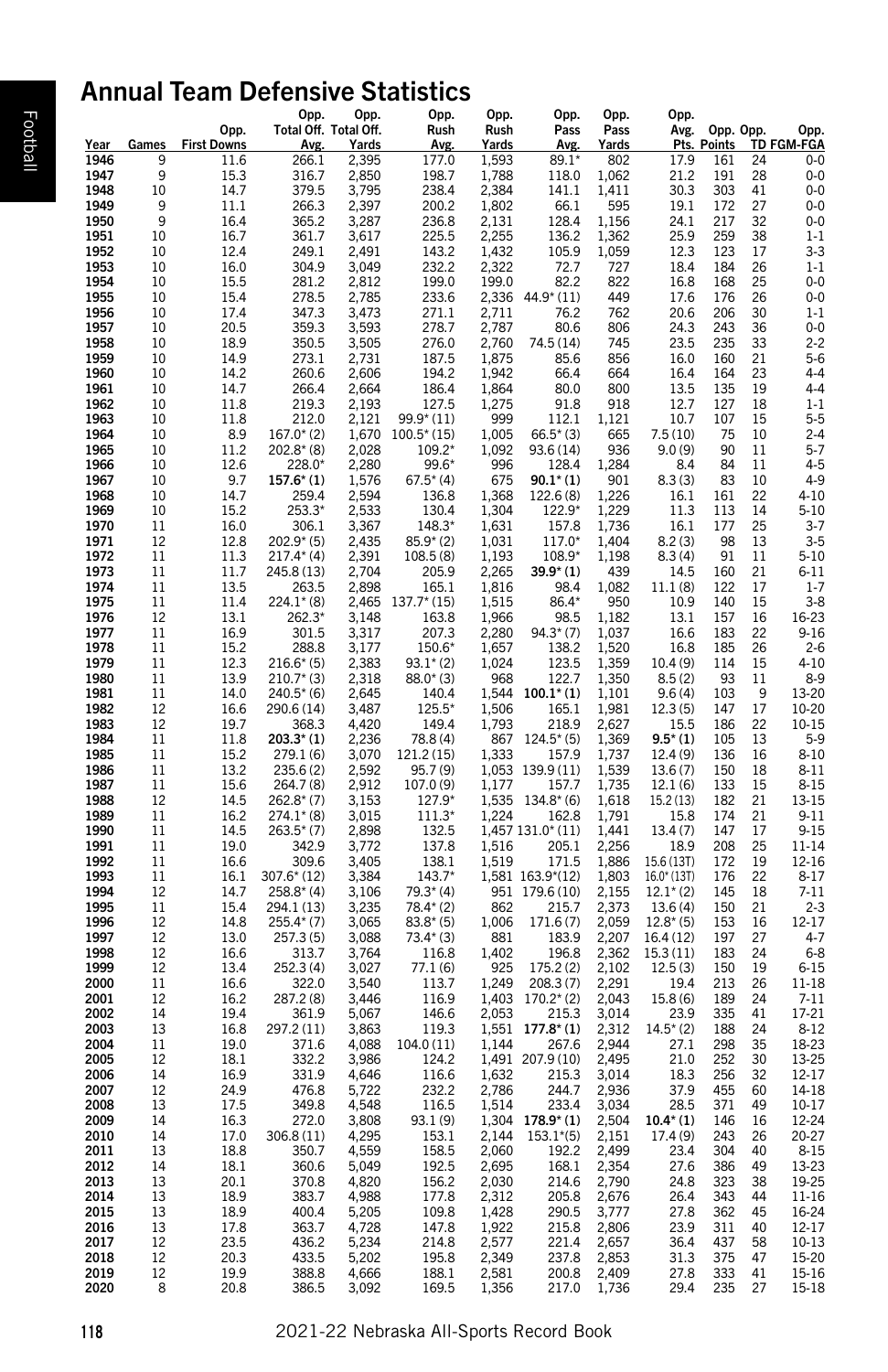# Annual Team Defensive Statistics

|              |          | Opp.                     | Opp.<br>Total Off. Total Off.  | Opp.           | Opp.<br>Rush              | Opp.<br>Rush   | Opp.<br>Pass                      | Opp.<br>Pass   | Opp.                   | Avg. Opp. Opp.         |            | Opp.                 |  |
|--------------|----------|--------------------------|--------------------------------|----------------|---------------------------|----------------|-----------------------------------|----------------|------------------------|------------------------|------------|----------------------|--|
| Year         |          | <b>Games</b> First Downs | Avg.                           | <u>Yards</u>   | <u>Avg</u>                | <u>Yards</u>   | Avg.                              | <u>Yards</u>   |                        | Pts. Points TD FGM-FGA |            |                      |  |
| 1946<br>1947 | 9<br>9   | 11.6                     | 266.1<br>316.7                 | 2,395<br>2,850 | 177.0<br>198.7            | 1,593<br>1,788 | $89.1*$                           | 802            | 17.9<br>21.2           | 161                    | 24<br>28   | $0-0$<br>$0-0$       |  |
| 1948         | 10       | 15.3<br>14.7             | 379.5                          | 3,795          | 238.4                     | 2,384          | 118.0<br>141.1                    | 1,062<br>1,411 | 30.3                   | 191<br>303             | 41         | $0-0$                |  |
| 1949         | 9        | 11.1                     | 266.3                          | 2,397          | 200.2                     | 1,802          | 66.1                              | 595            | 19.1                   | 172                    | 27         | $0-0$                |  |
| 1950<br>1951 | 9<br>10  | 16.4                     | 365.2                          | 3,287          | 236.8                     | 2,131          | 128.4                             | 1,156          | 24.1                   | 217<br>259             | 32         | $0-0$<br>$1 - 1$     |  |
| 1952         | 10       | 16.7<br>12.4             | 361.7<br>249.1                 | 3,617<br>2,491 | 225.5<br>143.2            | 2,255<br>1,432 | 136.2<br>105.9                    | 1,362<br>1,059 | 25.9<br>12.3           | 123                    | 38<br>17   | $3 - 3$              |  |
| 1953         | 10       | 16.0                     | 304.9                          | 3,049          | 232.2                     | 2,322          | 72.7                              | 727            | 18.4                   | 184                    | 26         | $1-1$                |  |
| 1954         | 10       | 15.5                     | 281.2                          | 2,812          | 199.0                     | 199.0          | 82.2                              | 822            | 16.8                   | 168                    | 25         | $0-0$                |  |
| 1955<br>1956 | 10<br>10 | 15.4<br>17.4             | 278.5<br>347.3                 | 2,785<br>3,473 | 233.6<br>271.1            | 2,336<br>2,711 | 44.9* (11)<br>76.2                | 449<br>762     | 17.6<br>20.6           | 176<br>206             | 26<br>30   | $0-0$<br>$1 - 1$     |  |
| 1957         | 10       | 20.5                     | 359.3                          | 3,593          | 278.7                     | 2,787          | 80.6                              | 806            | 24.3                   | 243                    | 36         | $0-0$                |  |
| 1958         | 10       | 18.9                     | 350.5                          | 3,505          | 276.0                     | 2,760          | 74.5 (14)                         | 745            | 23.5                   | 235                    | 33         | $2 - 2$              |  |
| 1959<br>1960 | 10<br>10 | 14.9<br>14.2             | 273.1<br>260.6                 | 2,731<br>2,606 | 187.5<br>194.2            | 1,875<br>1,942 | 85.6<br>66.4                      | 856<br>664     | 16.0<br>16.4           | 160<br>164             | 21<br>23   | $5-6$<br>$4 - 4$     |  |
| 1961         | 10       | 14.7                     | 266.4                          | 2,664          | 186.4                     | 1,864          | 80.0                              | 800            | 13.5                   | 135                    | 19         | $4 - 4$              |  |
| 1962         | 10       | 11.8                     | 219.3                          | 2,193          | 127.5                     | 1,275          | 91.8                              | 918            | 12.7                   | 127                    | 18         | $1 - 1$              |  |
| 1963<br>1964 | 10       | 11.8                     | 212.0                          | 2,121          | 99.9* (11)                | 999            | 112.1                             | 1,121          | 10.7                   | 107                    | 15         | $5 - 5$              |  |
| 1965         | 10<br>10 | 8.9<br>11.2              | $167.0^{*}(2)$<br>$202.8* (8)$ | 1,670<br>2,028 | $100.5^*(15)$<br>109.2*   | 1,005<br>1,092 | $66.5*(3)$<br>93.6 (14)           | 665<br>936     | 7.5 (10)<br>9.0(9)     | 75<br>90               | 10<br>11   | $2 - 4$<br>$5 - 7$   |  |
| 1966         | 10       | 12.6                     | 228.0*                         | 2,280          | 99.6*                     | 996            | 128.4                             | 1,284          | 8.4                    | 84                     | 11         | $4 - 5$              |  |
| 1967         | 10       | 9.7                      | $157.6*$ (1)                   | 1,576          | $67.5^{*}(4)$             | 675            | $90.1^*(1)$                       | 901            | 8.3(3)                 | 83                     | 10         | $4-9$                |  |
| 1968<br>1969 | 10<br>10 | 14.7<br>15.2             | 259.4<br>$253.3*$              | 2,594<br>2,533 | 136.8<br>130.4            | 1,368<br>1,304 | 122.6 (8)<br>122.9*               | 1,226<br>1,229 | 16.1<br>11.3           | 161<br>113             | 22<br>14   | 4-10<br>$5 - 10$     |  |
| 1970         | 11       | 16.0                     | 306.1                          | 3,367          | 148.3*                    | 1,631          | 157.8                             | 1,736          | 16.1                   | 177                    | 25         | $3 - 7$              |  |
| 1971         | 12       | 12.8                     | $202.9*$ (5)                   | 2,435          | $85.9*(2)$                | 1,031          | 117.0*                            | 1,404          | 8.2(3)                 | 98                     | 13         | $3 - 5$              |  |
| 1972<br>1973 | 11<br>11 | 11.3<br>11.7             | $217.4*$ (4)<br>245.8 (13)     | 2,391<br>2,704 | 108.5 (8)<br>205.9        | 1,193<br>2,265 | 108.9*<br>$39.9*(1)$              | 1,198<br>439   | 8.3(4)<br>14.5         | 91<br>160              | 11<br>21   | $5 - 10$<br>$6 - 11$ |  |
| 1974         | 11       | 13.5                     | 263.5                          | 2,898          | 165.1                     | 1,816          | 98.4                              | 1,082          | 11.1(8)                | 122                    | 17         | $1 - 7$              |  |
| 1975         | 11       | 11.4                     | $224.1*$ (8)                   | 2,465          | $137.7*$ (15)             | 1,515          | 86.4*                             | 950            | 10.9                   | 140                    | 15         | $3-8$                |  |
| 1976         | 12       | 13.1                     | 262.3*                         | 3,148          | 163.8                     | 1,966          | 98.5                              | 1,182          | 13.1                   | 157                    | 16         | 16-23                |  |
| 1977<br>1978 | 11<br>11 | 16.9<br>15.2             | 301.5<br>288.8                 | 3,317<br>3,177 | 207.3<br>150.6*           | 2,280<br>1,657 | $94.3^*(7)$<br>138.2              | 1,037<br>1,520 | 16.6<br>16.8           | 183<br>185             | 22<br>26   | $9 - 16$<br>$2 - 6$  |  |
| 1979         | 11       | 12.3                     | $216.6*(5)$                    | 2,383          | $93.1*(2)$                | 1,024          | 123.5                             | 1,359          | 10.4 (9)               | 114                    | 15         | $4 - 10$             |  |
| 1980         | 11       | 13.9                     | $210.7*$ (3)                   | 2,318          | $88.0*(3)$                | 968            | 122.7                             | 1,350          | 8.5(2)                 | 93                     | 11         | 8-9                  |  |
| 1981<br>1982 | 11<br>12 | 14.0                     | $240.5*$ (6)                   | 2,645<br>3,487 | 140.4<br>125.5*           | 1,544<br>1,506 | $100.1^*$ (1)                     | 1,101          | 9.6(4)                 | 103<br>147             | -9<br>17   | 13-20                |  |
| 1983         | 12       | 16.6<br>19.7             | 290.6 (14)<br>368.3            | 4,420          | 149.4                     | 1,793          | 165.1<br>218.9                    | 1,981<br>2,627 | 12.3(5)<br>15.5        | 186                    | 22         | 10-20<br>10-15       |  |
| 1984         | 11       | 11.8                     | $203.3*$ (1)                   | 2,236          | 78.8 (4)                  | 867            | $124.5^{*}(5)$                    | 1,369          | $9.5*(1)$              | 105                    | 13         | $5-9$                |  |
| 1985         | 11       | 15.2                     | 279.1 (6)                      | 3,070          | 121.2 (15)                | 1,333          | 157.9                             | 1,737          | 12.4 (9)               | 136                    | 16         | $8 - 10$             |  |
| 1986<br>1987 | 11<br>11 | 13.2<br>15.6             | 235.6 (2)<br>264.7 (8)         | 2,592<br>2,912 | 95.7 (9)<br>107.0 (9)     | 1,053<br>1,177 | 139.9 (11)<br>157.7               | 1,539<br>1,735 | 13.6(7)<br>12.1(6)     | 150<br>133             | 18<br>15   | 8-11<br>$8 - 15$     |  |
| 1988         | 12       | 14.5                     | $262.8*(7)$                    | 3,153          | 127.9*                    | 1,535          | $134.8*(6)$                       | 1,618          | 15.2 (13)              | 182                    | 21         | 13-15                |  |
| 1989         | 11       | 16.2                     | $274.1*$ (8)                   | 3,015          | 111.3'                    | 1,224          | 162.8                             | 1,791          | 15.8                   | 174                    | 21         | $9 - 11$             |  |
| 1990<br>1991 | 11<br>11 | 14.5<br>19.0             | $263.5*(7)$<br>342.9           | 2,898<br>3,772 | 132.5<br>137.8            | 1,516          | 1,457 131.0* (11)<br>205.1        | 1,441<br>2,256 | 13.4 (7)<br>18.9       | 147<br>208             | 17<br>25   | $9 - 15$             |  |
| 1992         | 11       | 16.6                     | 309.6                          | 3,405          | 138.1                     | 1,519          | 171.5                             | 1,886          | 15.6 (13T)             | 172                    | 19         | 11-14<br>12-16       |  |
| 1993         | 11       | 16.1                     | 307.6* (12)                    | 3,384          | $143.7*$                  |                | 1,581 163.9*(12)                  | 1,803          | $16.0*$ (13T)          | 176                    | 22         | $8 - 17$             |  |
| 1994         | 12       | 14.7                     | $258.8*(4)$                    | 3,106          | $79.3*(4)$                | 951            | 179.6 (10)                        | 2,155          | $12.1^{\star}$ (2)     | 145                    | 18         | $7 - 11$             |  |
| 1995<br>1996 | 11<br>12 | 15.4<br>14.8             | 294.1 (13)<br>$255.4*(7)$      | 3,235<br>3,065 | $78.4*$ (2)<br>$83.8*(5)$ | 862<br>1,006   | 215.7<br>171.6 (7)                | 2,373<br>2,059 | 13.6(4)<br>$12.8^*(5)$ | 150<br>153             | 21<br>16   | $2 - 3$<br>12-17     |  |
| 1997         | 12       | 13.0                     | 257.3(5)                       | 3,088          | $73.4*(3)$                | 881            | 183.9                             | 2,207          | 16.4 (12)              | 197                    | 27         | $4-7$                |  |
| 1998         | 12       | 16.6                     | 313.7                          | 3,764          | 116.8                     | 1,402          | 196.8                             | 2,362          | 15.3(11)               | 183                    | 24         | $6 - 8$              |  |
| 1999<br>2000 | 12<br>11 | 13.4<br>16.6             | 252.3 (4)<br>322.0             | 3,027<br>3,540 | 77.1 (6)<br>113.7         | 925<br>1,249   | 175.2 (2)<br>208.3 (7)            | 2,102<br>2,291 | 12.5(3)<br>19.4        | 150<br>213             | 19<br>26   | $6 - 15$<br>11-18    |  |
| 2001         | 12       | 16.2                     | 287.2 (8)                      | 3,446          | 116.9                     | 1,403          | $170.2^{*}(2)$                    | 2,043          | 15.8 (6)               | 189                    | 24         | $7 - 11$             |  |
| 2002         | 14       | 19.4                     | 361.9                          | 5,067          | 146.6                     | 2,053          | 215.3                             | 3,014          | 23.9                   | 335                    | 41         | 17-21                |  |
| 2003<br>2004 | 13       | 16.8                     | 297.2 (11)                     | 3,863          | 119.3                     | 1,551          | $177.8^{*}(1)$<br>267.6           | 2,312          | $14.5^{*}(2)$<br>27.1  | 188<br>298             | 24<br>35   | $8 - 12$             |  |
| 2005         | 11<br>12 | 19.0<br>18.1             | 371.6<br>332.2                 | 4,088<br>3,986 | 104.0 (11)<br>124.2       | 1,144          | 1,491 207.9 (10)                  | 2,944<br>2,495 | 21.0                   | 252                    | 30         | 18-23<br>13-25       |  |
| 2006         | 14       | 16.9                     | 331.9                          | 4,646          | 116.6                     | 1,632          | 215.3                             | 3,014          | 18.3                   | 256                    | 32         | 12-17                |  |
| 2007         | 12       | 24.9                     | 476.8                          | 5,722          | 232.2                     | 2,786          | 244.7                             | 2,936          | 37.9                   | 455                    | 60         | 14-18                |  |
| 2008<br>2009 | 13<br>14 | 17.5<br>16.3             | 349.8<br>272.0                 | 4,548<br>3,808 | 116.5<br>93.1 (9)         | 1,514          | 233.4<br>$1,304$ 178.9* (1) 2,504 | 3,034          | 28.5<br>$10.4*$ (1)    | 371<br>146             | 49<br>- 16 | 10-17<br>12-24       |  |
| 2010         | 14       | 17.0                     | 306.8 (11)                     | 4,295          | 153.1                     | 2,144          | $153.1*(5)$                       | 2,151          | 17.4 (9)               | 243                    | 26         | 20-27                |  |
| 2011         | 13       | 18.8                     | 350.7                          | 4,559          | 158.5                     | 2,060          | 192.2                             | 2,499          | 23.4                   | 304                    | 40         | $8 - 15$             |  |
| 2012<br>2013 | 14<br>13 | 18.1                     | 360.6                          | 5,049          | 192.5                     | 2,695          | 168.1<br>214.6 2,790              | 2,354          | 27.6                   | 386<br>323             | 49<br>38   | 13-23                |  |
| 2014         | 13       | 20.1<br>18.9             | 370.8<br>383.7                 | 4,820<br>4,988 | 156.2<br>177.8            | 2,030<br>2,312 | 205.8                             | 2,676          | 24.8<br>26.4           | 343                    | 44         | 19-25<br>11-16       |  |
| 2015         | 13       | 18.9                     | 400.4                          | 5,205          | 109.8                     | 1,428          | 290.5 3,777                       |                | 27.8                   | 362 45                 |            | 16-24                |  |
| 2016         | 13       | 17.8                     | 363.7                          | 4,728          | 147.8                     | 1,922          | 215.8                             | 2,806          | 23.9                   | 311 40                 |            | 12-17                |  |
| 2017<br>2018 | 12<br>12 | 23.5<br>20.3             | 436.2<br>433.5                 | 5,234<br>5,202 | 214.8<br>195.8            | 2,577<br>2,349 | 221.4<br>237.8                    | 2,657<br>2,853 | 36.4<br>31.3           | 437<br>375 47          | 58         | 10-13<br>15-20       |  |
| 2019         | 12       | 19.9                     | 388.8                          | 4,666          | 188.1                     | 2,581          | 200.8 2,409                       |                | 27.8                   | 333                    | 41         | 15-16                |  |
| 2020         | 8        | 20.8                     | 386.5                          | 3,092          | 169.5                     | 1,356          | 217.0 1,736                       |                | 29.4                   | 235 27                 |            | 15-18                |  |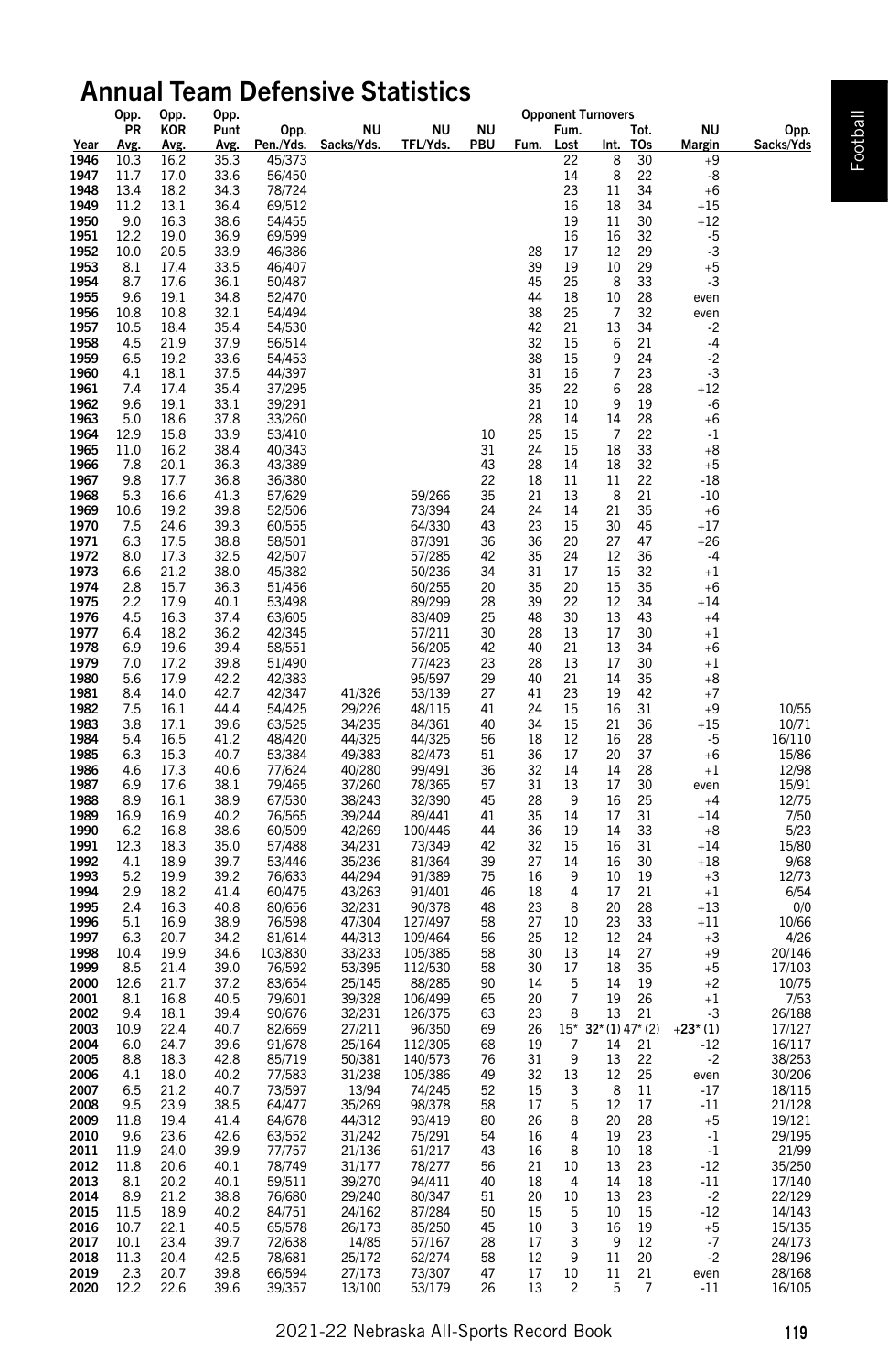# Annual Team Defensive Statistics <sub>Opponent Turnovers</sub>

|                                                | opp.<br>PR                                  | Upp.<br>KOR  | Upp.<br>Punt | Opp.             | <b>NU</b>        | NU                 | NU                                      | Opponent Turnovers<br>Fum.                                                                  | Tot.                                                                                     | ΝU              | Opp.             |
|------------------------------------------------|---------------------------------------------|--------------|--------------|------------------|------------------|--------------------|-----------------------------------------|---------------------------------------------------------------------------------------------|------------------------------------------------------------------------------------------|-----------------|------------------|
|                                                | Avg.                                        | Avg.         | Avg.         | Pen./Yds.        | Sacks/Yds.       | TFL/Yds.           | PBU                                     | Fum.<br>Lost                                                                                | T <sub>Os</sub><br>Int.                                                                  | <b>Margin</b>   | Sacks/Yds        |
| $\frac{Year}{1946}$                            | 10.3                                        | 16.2         | 35.3         | 45/373           |                  |                    |                                         | 22                                                                                          | 8<br>30                                                                                  | $+9$            |                  |
| 1947                                           | 11.7                                        | 17.0         | 33.6         | 56/450           |                  |                    |                                         | 14                                                                                          | $\bf 8$<br>22                                                                            | -8              |                  |
| 1948                                           | 13.4                                        | 18.2         | 34.3         | 78/724           |                  |                    |                                         | 23                                                                                          | $11\,$<br>34                                                                             | $+6$            |                  |
| 1949                                           | 11.2                                        | 13.1         | 36.4         | 69/512           |                  |                    |                                         | 16                                                                                          | 18<br>34                                                                                 | $+15$           |                  |
| 1950                                           | 9.0                                         | 16.3         | 38.6         | 54/455           |                  |                    |                                         | 19                                                                                          | $11\,$<br>30                                                                             | $+12\,$         |                  |
| 1951                                           | 12.2                                        | 19.0         | 36.9         | 69/599           |                  |                    |                                         | $\frac{16}{17}$                                                                             | 16<br>32<br>29                                                                           | $-5$<br>$-3$    |                  |
| 1952                                           | 10.0                                        | 20.5         | 33.9         | 46/386           |                  |                    |                                         | 28                                                                                          | $12\,$                                                                                   |                 |                  |
| 1953<br>1954                                   | 8.1<br>8.7                                  | 17.4<br>17.6 | 33.5<br>36.1 | 46/407<br>50/487 |                  |                    |                                         | 39<br>45<br>44<br>38<br>42<br>32<br>19<br>25<br>18<br>25<br>21<br>5<br>15<br>16<br>22<br>10 | $\frac{10}{8}$<br>$\frac{8}{10}$<br>7<br>29<br>33                                        | +5<br>$-3$      |                  |
| 1955                                           | 9.6                                         | 19.1         | 34.8         | 52/470           |                  |                    |                                         |                                                                                             |                                                                                          | even            |                  |
| 1956                                           | 10.8                                        | 10.8         | 32.1         | 54/494           |                  |                    |                                         |                                                                                             | 28<br>32                                                                                 | even            |                  |
|                                                | $10.5\,$                                    | 18.4         | 35.4         | 54/530           |                  |                    |                                         |                                                                                             |                                                                                          | $-2$            |                  |
| 1957<br>1958                                   | 4.5                                         | 21.9         | 37.9         | 56/514           |                  |                    |                                         |                                                                                             | $\begin{array}{c} 13 \\ 6 \end{array}$<br>$\frac{34}{21}$                                | -4              |                  |
| 1959<br>1960                                   | 6.5                                         | 19.2         | 33.6         | 54/453           |                  |                    |                                         | 38<br>31                                                                                    | $\begin{array}{c} 9 \\ 7 \end{array}$<br>$\frac{24}{23}$                                 | $-2$            |                  |
|                                                | 4.1                                         | 18.1         | 37.5         | 44/397           |                  |                    |                                         |                                                                                             |                                                                                          | -3              |                  |
| 1961                                           | $\frac{7.4}{9.6}$                           | 17.4         | 35.4         | 37/295           |                  |                    |                                         | 35<br>21                                                                                    | $\,6\,$<br>28                                                                            | $+12$           |                  |
| 1962                                           |                                             | 19.1         | 33.1         | 39/291           |                  |                    |                                         |                                                                                             | 9<br>19                                                                                  | $-6$            |                  |
| 1963                                           | 5.0                                         | 18.6         | 37.8         | 33/260           |                  |                    |                                         | 28<br>25<br>14                                                                              | $\begin{array}{c} 14 \\ 7 \end{array}$<br>28                                             | +6              |                  |
| 1964<br>1965                                   | 12.9<br>11.0                                | 15.8<br>16.2 | 33.9<br>38.4 | 53/410<br>40/343 |                  |                    | 10<br>31                                | $\begin{array}{c} 15 \\ 15 \end{array}$<br>24                                               | 22<br>$18\,$<br>33                                                                       | $-1$<br>$+8$    |                  |
| 1966                                           | 7.8                                         | 20.1         | 36.3         | 43/389           |                  |                    |                                         |                                                                                             |                                                                                          | $+5$            |                  |
| 1967                                           | 9.8                                         | 17.7         | 36.8         | 36/380           |                  |                    | 43<br>22                                | $\begin{array}{c} 14 \\ 11 \end{array}$<br>28<br>18                                         | $\begin{array}{c} 18 \\ 11 \end{array}$<br>32<br>22                                      | $-18$           |                  |
| 1968                                           | 5.3                                         | 16.6         | 41.3         | 57/629           |                  | 59/266             |                                         | 21                                                                                          | 8<br>21                                                                                  | $-10$           |                  |
| 1969                                           | 10.6                                        | 19.2         | 39.8         | 52/506           |                  | 73/394             |                                         |                                                                                             | 21<br>35                                                                                 | $+6$            |                  |
| 1970                                           | 7.5                                         | 24.6         | 39.3         | 60/555           |                  | 64/330             | 35<br>24<br>43<br>36                    | 13<br>14<br>15<br>20<br>$\begin{array}{c} 24 \\ 23 \\ 36 \end{array}$                       | 30<br>45                                                                                 | $+17$           |                  |
| 1971                                           | 6.3                                         | 17.5         | 38.8         | 58/501           |                  | 87/391             |                                         |                                                                                             | 27<br>47                                                                                 | $+26$           |                  |
| 1972                                           | 8.0                                         | 17.3         | 32.5         | 42/507           |                  | 57/285             | 42<br>34                                | 35<br>31<br>$^{24}_{17}$                                                                    |                                                                                          | $-4$            |                  |
| 1973                                           | 6.6                                         | 21.2         | 38.0         | 45/382           |                  | 50/236             |                                         |                                                                                             | 36<br>32<br>35                                                                           | $+1$            |                  |
| 1974                                           | 2.8                                         | 15.7         | 36.3         | 51/456           |                  | 60/255             | $\begin{array}{c} 20 \\ 28 \end{array}$ | 35<br>39<br>$\begin{array}{c} 20 \\ 22 \end{array}$                                         | $\begin{array}{c} 12 \\ 15 \\ 12 \\ 13 \\ 17 \end{array}$                                | $+6$            |                  |
| 1975<br>1976                                   | 2.2<br>4.5                                  | 17.9<br>16.3 | 40.1<br>37.4 | 53/498<br>63/605 |                  | 89/299<br>83/409   |                                         |                                                                                             | 34<br>43                                                                                 | $+14$<br>$+4$   |                  |
| 1977                                           | 6.4                                         | 18.2         | 36.2         | 42/345           |                  | 57/211             | $\begin{array}{c} 25 \\ 30 \end{array}$ | 48<br>28<br>$\begin{array}{c} 30 \\ 13 \end{array}$                                         | 30                                                                                       | $+1$            |                  |
| 1978                                           | 6.9                                         | 19.6         | 39.4         | 58/551           |                  | 56/205             | 42                                      | 40<br>$21\,$                                                                                | $13\,$<br>34                                                                             | $+6$            |                  |
| 1979                                           | 7.0                                         | 17.2         | 39.8         | 51/490           |                  | 77/423             |                                         | 28                                                                                          | 17<br>30                                                                                 | $+1$            |                  |
| 1980                                           | 5.6                                         | 17.9         | 42.2         | 42/383           |                  | 95/597             | 23<br>29                                | $\begin{array}{c} 13 \\ 21 \end{array}$<br>40                                               | $35\,$<br>$14\,$                                                                         | $^{\rm +8}$     |                  |
| 1981                                           | 8.4                                         | 14.0         | 42.7         | 42/347           | 41/326           | 53/139             |                                         | 41                                                                                          |                                                                                          | $+7$            |                  |
| 1982                                           | 7.5                                         | 16.1         | 44.4         | 54/425           | 29/226           | 48/115             | $\begin{array}{c} 27 \\ 41 \end{array}$ | 23<br>15<br>15<br>12<br>17<br>24                                                            | $\begin{array}{c} 19 \\ 16 \end{array}$<br>$\begin{array}{c} 42 \\ 31 \end{array}$       | $+9$            | 10/55            |
| 1983                                           | 3.8                                         | 17.1         | 39.6         | 63/525           | 34/235           | 84/361             | 40                                      | 34                                                                                          | $\begin{array}{c} 21 \\ 16 \end{array}$<br>36                                            | $+15$           | 10/71            |
| 1984                                           | 5.4                                         | 16.5         | 41.2         | 48/420           | 44/325           | 44/325             | 56                                      | 18                                                                                          | 28                                                                                       | $-5$            | 16/110           |
| 1985                                           | 6.3                                         | 15.3         | 40.7         | 53/384           | 49/383           | 82/473             | $51\,$                                  | 36                                                                                          | 20<br>37                                                                                 | $+6$            | 15/86            |
| 1986                                           | 4.6                                         | 17.3         | 40.6         | 77/624           | 40/280           | 99/491             | 36                                      | 32<br>14                                                                                    | 14<br>28                                                                                 | $+1$            | 12/98            |
| 1987<br>1988                                   | 6.9<br>8.9                                  | 17.6         | 38.1         | 79/465           | 37/260           | 78/365             | 57<br>45                                | $\begin{array}{c} 13 \\ 9 \end{array}$<br>31<br>28                                          | $17\,$<br>$\frac{30}{25}$                                                                | even            | 15/91            |
| 1989                                           | 16.9                                        | 16.1<br>16.9 | 38.9<br>40.2 | 67/530<br>76/565 | 38/243<br>39/244 | 32/390<br>89/441   | 41                                      |                                                                                             | 16<br>$17\,$<br>31                                                                       | $+4$<br>$+14$   | 12/75<br>7/50    |
| 1990                                           | 6.2                                         | 16.8         | 38.6         | 60/509           | 42/269           | 100/446            | 44                                      | 35<br>36<br>$\begin{array}{c} 14 \\ 19 \end{array}$                                         | 33<br>14                                                                                 | $+8$            | 5/23             |
| 1991                                           |                                             | 18.3         | 35.0         | 57/488           | 34/231           | 73/349             |                                         |                                                                                             | 31                                                                                       | $+14$           | 15/80            |
| 1992                                           | $\underset{4.1}{^{12.3}}$                   | 18.9         | 39.7         | 53/446           | 35/236           | 81/364             | 42<br>39<br>75                          | 32<br>27<br>$15$<br>$14$<br>$9$<br>$4$                                                      | $\begin{array}{c} 16 \\ 16 \end{array}$<br>30                                            | $+18$           | 9/68             |
| 1993                                           | 5.2                                         | 19.9         | 39.2         | 76/633           | 44/294           | 91/389             |                                         | 16                                                                                          | $10\,$<br>19                                                                             | $+3$            | 12/73            |
| 1994                                           | 2.9                                         | 18.2         | 41.4         | 60/475           | 43/263           | 91/401             | 46                                      | 18<br>23                                                                                    | 17<br>21                                                                                 | $+1$            | 6/54             |
| 1995                                           | 2.4                                         | 16.3         | 40.8         | 80/656           | 32/231           | 90/378             | 48                                      | 8                                                                                           | $20\,$<br>28                                                                             | $+13$           | 0/0              |
| 1996<br>1997                                   | $\begin{array}{c} 5.1 \\ 6.3 \end{array}$   | 16.9<br>20.7 | 38.9<br>34.2 | 76/598<br>81/614 | 47/304<br>44/313 | 127/497<br>109/464 | 58<br>56                                | $\begin{array}{c} 10 \\ 12 \end{array}$<br>27<br>25                                         | $\begin{array}{c} 23 \\ 12 \end{array}$<br>33<br>24                                      | $+11$           | 10/66            |
| 1998                                           | 10.4                                        | 19.9         | 34.6         | 103/830          | 33/233           | 105/385            |                                         | 30                                                                                          | 27                                                                                       | $+3$<br>$+9$    | 4/26<br>20/146   |
| 1999                                           | 8.5                                         | 21.4         | 39.0         | 76/592           | 53/395           | 112/530            | 58<br>58                                | 30                                                                                          | $\begin{array}{c} 14 \\ 18 \end{array}$<br>35                                            | $+5$            | 17/103           |
| 2000                                           | 12.6                                        | 21.7         | 37.2         | 83/654           | 25/145           | 88/285             | 90                                      | 14                                                                                          | 14<br>19                                                                                 | $+2$            | 10/75            |
| 2001                                           | 8.1                                         | 16.8         | 40.5         | 79/601           | 39/328           | 106/499            | 65                                      | $\frac{13}{17}$<br>5<br>7<br>20                                                             | 26                                                                                       | $+1$            | 7/53             |
| 2002                                           | 9.4                                         | 18.1         | 39.4         | 90/676           | 32/231           | 126/375            | 63<br>69                                | $\,8\,$<br>23<br>26                                                                         | 19<br>13<br>21                                                                           | -3              | 26/188           |
| 2003                                           | 10.9                                        | 22.4         | 40.7         | 82/669           | 27/211           | 96/350             |                                         |                                                                                             | $15^* \t32^* (1) 47^* (2)7 \t14 \t219 \t13 \t2213 \t12 \t253 \t8 \t11$                   | +23* (1)        | 17/127           |
| 2004                                           | 6.0                                         | 24.7         | 39.6         | 91/678           | 25/164           | 112/305            | 68<br>76                                | 19                                                                                          |                                                                                          | $-12$           | 16/117           |
| 2005                                           | 8.8                                         | 18.3         | 42.8         | 85/719           | 50/381           | 140/573            |                                         | 31                                                                                          |                                                                                          | $-2$            | 38/253           |
| 2006<br>2007                                   | $\begin{array}{c} 4.1 \\ 6.5 \end{array}$   | 18.0<br>21.2 | 40.2<br>40.7 | 77/583<br>73/597 | 31/238<br>13/94  | 105/386<br>74/245  | 49<br>52                                | $\begin{array}{c} 13 \\ 3 \\ 5 \end{array}$<br>32<br>15                                     |                                                                                          | even<br>$-17$   | 30/206<br>18/115 |
| 2008                                           | 9.5                                         | 23.9         | 38.5         | 64/477           | 35/269           | 98/378             | 58                                      | 17                                                                                          | 12<br>17                                                                                 | $-11$           | 21/128           |
| 2009 11.8                                      |                                             | 19.4         | 41.4         | 84/678           | 44/312           | 93/419             | 80                                      | 8<br>26                                                                                     | 20<br>28                                                                                 | $+5$            | 19/121           |
| 2010                                           | 9.6                                         | 23.6         | 42.6         | 63/552           | 31/242           | 75/291             | 54                                      | 16<br>$\overline{a}$                                                                        | 19<br>23                                                                                 | $-1$            | 29/195           |
|                                                |                                             |              | 39.9         | 77/757           | 21/136           | 61/217             |                                         |                                                                                             |                                                                                          | $-1$            | 21/99            |
| 2011 11.9<br>2012 11.8<br>2013 8.1<br>2014 8.9 |                                             | 24.0<br>20.6 | 40.1         | 78/749           | 31/177           | 78/277             | 43<br>56                                | $\begin{array}{c} 16 \\ 21 \end{array}$                                                     | $\begin{array}{c} 10 \\ 13 \end{array}$<br>$\begin{array}{c} 18 \\ 23 \\ 18 \end{array}$ | $-12$           | 35/250           |
|                                                |                                             | 20.2         | 40.1         | 59/511           | 39/270           | 94/411             | $\begin{array}{c} 40 \\ 51 \end{array}$ | 18<br>20                                                                                    | $\begin{array}{c} 14 \\ 13 \end{array}$                                                  | $\frac{-11}{2}$ | 17/140           |
|                                                |                                             | 21.2         | 38.8         | 76/680           | 29/240           | 80/347             |                                         |                                                                                             | 23                                                                                       |                 | 22/129           |
| 2015                                           | $\begin{array}{c} 11.5 \\ 10.7 \end{array}$ | 18.9         | 40.2         | 84/751           | 24/162           | 87/284             |                                         | $\begin{array}{c} 15 \\ 10 \end{array}$                                                     | $\begin{array}{c} 15 \\ 19 \end{array}$<br>$\begin{array}{c} 10 \\ 16 \end{array}$       | $-12$<br>+5     | 14/143           |
| 2016                                           |                                             | 22.1         | 40.5         | 65/578           | 26/173           | 85/250             | 50<br>45<br>28<br>58<br>47<br>26        | 8<br>10<br>4<br>10<br>5<br>3<br>3<br>9<br>10<br>2                                           |                                                                                          |                 | 15/135           |
| 2017                                           | $10.1\,$                                    | 23.4         | 39.7         | 72/638           | 14/85            | 57/167             |                                         | $\frac{17}{12}$<br>$\frac{17}{13}$                                                          | $\frac{1}{9}$<br>11<br>11<br>5<br>$\begin{array}{c} 12 \\ 20 \end{array}$                | $-7$            | 24/173           |
| 2018                                           | 11.3                                        | 20.4         | 42.5         | 78/681           | 25/172           | 62/274             |                                         |                                                                                             |                                                                                          | $-2$            | 28/196           |
| 2019 2.3<br>2020 12.2                          |                                             | 20.7<br>22.6 | 39.8         | 66/594           | 27/173           | 73/307             |                                         |                                                                                             | $\begin{array}{c} 21 \\ 7 \end{array}$                                                   | even<br>$-11$   | 28/168<br>16/105 |
|                                                |                                             |              | 39.6         | 39/357           | 13/100           | 53/179             |                                         |                                                                                             |                                                                                          |                 |                  |

Football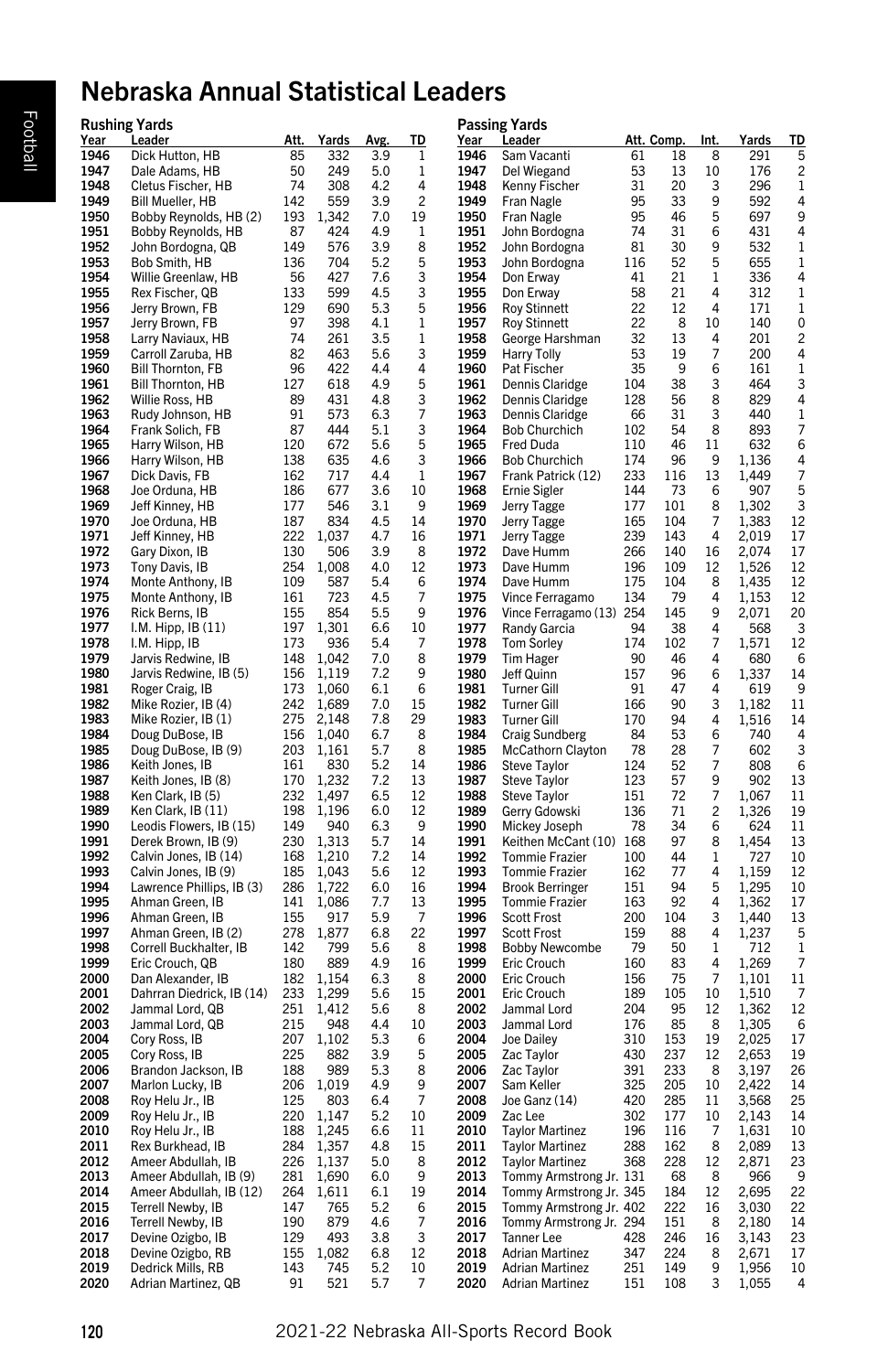# Nebraska Annual Statistical Leaders

| Year         | <b>Rushing Yards</b><br><u>Leader</u>        | <u>Att.     </u> | <u>Yards</u>       | <u>Avg.</u> | <u>TD</u>      | Year         | <b>Passing Yards</b><br><u>Leader</u>            |            | <u>Att. Comp.</u> | <u>Int.</u> | Yards          | <u>TD</u> |
|--------------|----------------------------------------------|------------------|--------------------|-------------|----------------|--------------|--------------------------------------------------|------------|-------------------|-------------|----------------|-----------|
| 1946         | Dick Hutton, HB                              | 85               | 332                | 3.9         | 1              | 1946         | Sam Vacanti                                      | 61         | 18                | 8           | 291            | 5         |
| 1947         | Dale Adams, HB                               | 50               | 249                | 5.0         | 1              | 1947         | Del Wiegand                                      | 53         | 13                | 10          | 176            | 2         |
| 1948         | Cletus Fischer, HB                           | 74               | 308                | 4.2         | 4              | 1948         | Kenny Fischer                                    | 31         | 20                | 3           | 296            | 1         |
| 1949         | Bill Mueller, HB                             | 142              | 559                | 3.9         | $\overline{c}$ | 1949         | Fran Nagle                                       | 95         | 33                | 9           | 592            | 4         |
| 1950<br>1951 | Bobby Reynolds, HB (2)                       | 193              | 1,342              | 7.0         | 19             | 1950         | Fran Nagle                                       | 95         | 46                | 5           | 697            | 9         |
|              | Bobby Reynolds, HB                           | 87<br>149        | 424<br>576         | 4.9         | 1              | 1951<br>1952 | John Bordogna                                    | 74         | 31<br>30          | 6<br>9      | 431<br>532     | 4         |
| 1952<br>1953 | John Bordogna, QB<br>Bob Smith, HB           | 136              | 704                | 3.9<br>5.2  | 8<br>5         | 1953         | John Bordogna<br>John Bordogna                   | 81<br>116  | 52                | 5           | 655            | 1<br>1    |
| 1954         | Willie Greenlaw, HB                          | 56               | 427                | 7.6         | 3              | 1954         | Don Erway                                        | 41         | 21                | 1           | 336            | 4         |
| 1955         | Rex Fischer, QB                              | 133              | 599                | 4.5         | 3              | 1955         | Don Erway                                        | 58         | 21                | 4           | 312            | 1         |
| 1956         | Jerry Brown, FB                              | 129              | 690                | 5.3         | 5              | 1956         | <b>Roy Stinnett</b>                              | 22         | 12                | 4           | 171            | 1         |
| 1957         | Jerry Brown, FB                              | 97               | 398                | 4.1         | 1              | 1957         | <b>Roy Stinnett</b>                              | 22         | 8                 | 10          | 140            | 0         |
| 1958         | Larry Naviaux, HB                            | 74               | 261                | 3.5         | $\,1$          | 1958         | George Harshman                                  | 32         | 13                | 4           | 201            | 2         |
| 1959         | Carroll Zaruba, HB                           | 82               | 463                | 5.6         | 3              | 1959         | <b>Harry Tolly</b>                               | 53         | 19                | 7           | 200            | 4         |
| 1960         | <b>Bill Thornton, FB</b>                     | 96               | 422                | 4.4         | 4              | 1960         | Pat Fischer                                      | 35         | 9                 | 6           | 161            | 1         |
| 1961<br>1962 | <b>Bill Thornton, HB</b><br>Willie Ross, HB  | 127<br>89        | 618<br>431         | 4.9<br>4.8  | 5<br>3         | 1961<br>1962 | Dennis Claridge<br>Dennis Claridge               | 104<br>128 | 38<br>56          | 3<br>8      | 464<br>829     | 3<br>4    |
| 1963         | Rudy Johnson, HB                             | 91               | 573                | 6.3         | 7              | 1963         | Dennis Claridge                                  | 66         | 31                | 3           | 440            | 1         |
| 1964         | Frank Solich, FB                             | 87               | 444                | 5.1         | 3              | 1964         | <b>Bob Churchich</b>                             | 102        | 54                | 8           | 893            | 7         |
| 1965         | Harry Wilson, HB                             | 120              | 672                | 5.6         | 5              | 1965         | Fred Duda                                        | 110        | 46                | 11          | 632            | 6         |
| 1966         | Harry Wilson, HB                             | 138              | 635                | 4.6         | 3              | 1966         | <b>Bob Churchich</b>                             | 174        | 96                | 9           | 1,136          | 4         |
| 1967         | Dick Davis, FB                               | 162              | 717                | 4.4         | 1              | 1967         | Frank Patrick (12)                               | 233        | 116               | 13          | 1,449          | 7         |
| 1968         | Joe Orduna, HB                               | 186              | 677                | 3.6         | 10             | 1968         | <b>Ernie Sigler</b>                              | 144        | 73                | 6           | 907            | 5         |
| 1969<br>1970 | Jeff Kinney, HB                              | 177              | 546<br>834         | 3.1<br>4.5  | 9<br>14        | 1969<br>1970 | Jerry Tagge                                      | 177        | 101<br>104        | 8<br>7      | 1,302          | 3         |
| 1971         | Joe Orduna, HB<br>Jeff Kinney, HB            | 187<br>222       | 1,037              | 4.7         | 16             | 1971         | Jerry Tagge<br>Jerry Tagge                       | 165<br>239 | 143               | 4           | 1,383<br>2,019 | 12<br>17  |
| 1972         | Gary Dixon, IB                               | 130              | 506                | 3.9         | 8              | 1972         | Dave Humm                                        | 266        | 140               | 16          | 2,074          | 17        |
| 1973         | Tony Davis, IB                               | 254              | 1,008              | 4.0         | 12             | 1973         | Dave Humm                                        | 196        | 109               | 12          | 1,526          | 12        |
| 1974         | Monte Anthony, IB                            | 109              | 587                | 5.4         | 6              | 1974         | Dave Humm                                        | 175        | 104               | 8           | 1,435          | 12        |
| 1975         | Monte Anthony, IB                            | 161              | 723                | 4.5         | 7              | 1975         | Vince Ferragamo                                  | 134        | 79                | 4           | 1,153          | 12        |
| 1976         | Rick Berns, IB                               | 155              | 854                | 5.5         | 9              | 1976         | Vince Ferragamo (13) 254                         |            | 145               | 9           | 2,071          | 20        |
| 1977         | I.M. Hipp, $IB(11)$                          | 197              | 1,301              | 6.6         | 10             | 1977         | Randy Garcia                                     | 94         | 38                | 4           | 568            | 3         |
| 1978<br>1979 | I.M. Hipp, IB<br>Jarvis Redwine, IB          | 173<br>148       | 936<br>1,042       | 5.4<br>7.0  | 7<br>8         | 1978<br>1979 | <b>Tom Sorley</b><br>Tim Hager                   | 174<br>90  | 102<br>46         | 7<br>4      | 1,571<br>680   | 12<br>6   |
| 1980         | Jarvis Redwine, IB (5)                       | 156              | 1,119              | 7.2         | 9              | 1980         | Jeff Quinn                                       | 157        | 96                | 6           | 1,337          | 14        |
| 1981         | Roger Craig, IB                              | 173              | 1,060              | 6.1         | 6              | 1981         | <b>Turner Gill</b>                               | 91         | 47                | 4           | 619            | 9         |
| 1982         | Mike Rozier, IB (4)                          | 242              | 1,689              | 7.0         | 15             | 1982         | <b>Turner Gill</b>                               | 166        | 90                | 3           | 1,182          | 11        |
| 1983         | Mike Rozier, IB (1)                          | 275              | 2,148              | 7.8         | 29             | 1983         | Turner Gill                                      | 170        | 94                | 4           | 1,516          | 14        |
| 1984         | Doug DuBose, IB                              | 156              | 1,040              | 6.7         | 8              | 1984         | <b>Craig Sundberg</b>                            | 84         | 53                | 6           | 740            | 4         |
| 1985<br>1986 | Doug DuBose, IB (9)                          | 203              | 1,161              | 5.7         | 8              | 1985         | <b>McCathorn Clayton</b>                         | 78         | 28                | 7<br>7      | 602<br>808     | 3         |
| 1987         | Keith Jones, IB<br>Keith Jones, IB (8)       | 161<br>170       | 830<br>1,232       | 5.2<br>7.2  | 14<br>13       | 1986<br>1987 | Steve Taylor<br>Steve Taylor                     | 124<br>123 | 52<br>57          | 9           | 902            | 6<br>13   |
| 1988         | Ken Clark, IB (5)                            | 232              | 1,497              | 6.5         | 12             | 1988         | Steve Taylor                                     | 151        | 72                | 7           | 1,067          | 11        |
| 1989         | Ken Clark, IB (11)                           | 198              | 1,196              | 6.0         | 12             | 1989         | Gerry Gdowski                                    | 136        | 71                | 2           | 1,326          | 19        |
| 1990         | Leodis Flowers, IB (15)                      | 149              | 940                | 6.3         | 9              | 1990         | Mickey Joseph                                    | 78         | 34                | 6           | 624            | 11        |
| 1991         | Derek Brown, IB (9)                          | 230              | 1,313              | 5.7         | 14             | 1991         | Keithen McCant (10) 168                          |            | 97                | 8           | 1,454          | 13        |
| 1992         | Calvin Jones, IB (14)                        | 168              | 1,210              | 7.2         | 14             | 1992         | <b>Tommie Frazier</b>                            | 100        | 44                | 1           | 727            | 10        |
| 1993         | Calvin Jones, IB (9)                         | 185              | 1,043              | 5.6         | 12             | 1993         | <b>Tommie Frazier</b>                            | 162        | 77                | 4           | 1,159          | 12        |
| 1994<br>1995 | Lawrence Phillips, IB (3)<br>Ahman Green, IB | 286<br>141       | 1,722<br>1,086     | 6.0<br>7.7  | 16<br>13       | 1994<br>1995 | <b>Brook Berringer</b><br><b>Tommie Frazier</b>  | 151<br>163 | 94<br>92          | 5<br>4      | 1,295<br>1,362 | 10<br>17  |
| 1996         | Ahman Green, IB                              | 155              | 917                | 5.9         | 7              | 1996         | <b>Scott Frost</b>                               | 200        | 104               | 3           | 1,440          | 13        |
| 1997         | Ahman Green, IB (2)                          | 278              | 1,877              | 6.8         | 22             | 1997         | <b>Scott Frost</b>                               | 159        | 88                | 4           | 1,237          | 5         |
| 1998         | Correll Buckhalter, IB                       | 142              | 799                | 5.6         | 8              | 1998         | <b>Bobby Newcombe</b>                            | 79         | 50                | 1           | 712            | 1         |
| 1999         | Eric Crouch, QB                              | 180              | 889                | 4.9         | 16             | 1999         | Eric Crouch                                      | 160        | 83                | 4           | 1,269          | 7         |
| 2000         | Dan Alexander, IB                            | 182              | 1,154              | 6.3         | 8              | 2000         | Eric Crouch                                      | 156        | 75                | 7           | 1,101          | 11        |
| 2001         | Dahrran Diedrick, IB (14)                    | 233              | 1,299              | 5.6         | 15             | 2001         | Eric Crouch                                      | 189        | 105               | 10          | 1,510          | 7         |
| 2002<br>2003 | Jammal Lord, QB<br>Jammal Lord, QB           | 251<br>215       | 1,412<br>948       | 5.6<br>4.4  | 8<br>10        | 2002<br>2003 | Jammal Lord<br>Jammal Lord                       | 204<br>176 | 95<br>85          | 12<br>8     | 1,362<br>1,305 | 12<br>6   |
| 2004         | Cory Ross, IB                                | 207              | 1,102              | 5.3         | 6              | 2004         | Joe Dailey                                       | 310        | 153               | 19          | 2,025          | 17        |
| 2005         | Cory Ross, IB                                | 225              | 882                | 3.9         | 5              | 2005         | Zac Tavlor                                       | 430        | 237               | 12          | 2,653          | 19        |
| 2006         | Brandon Jackson, IB                          | 188              | 989                | 5.3         | 8              | 2006         | Zac Taylor                                       | 391        | 233               | 8           | 3,197          | 26        |
| 2007         | Marlon Lucky, IB                             | 206              | 1,019              | 4.9         | 9              | 2007         | Sam Keller                                       | 325        | 205               | 10          | 2,422          | 14        |
| 2008         | Roy Helu Jr., IB                             | 125              | 803                | 6.4         | 7              | 2008         | Joe Ganz (14)                                    | 420        | 285               | 11          | 3,568          | 25        |
| 2009         | Roy Helu Jr., IB                             | 220              | 1,147              | 5.2         | 10             | 2009         | Zac Lee                                          | 302        | 177               | 10          | 2,143          | 14        |
| 2010<br>2011 | Roy Helu Jr., IB<br>Rex Burkhead, IB         |                  | 188 1,245<br>1,357 | 6.6<br>4.8  | 11<br>15       | 2010<br>2011 | <b>Taylor Martinez</b>                           | 196        | 116<br>162        | 7<br>8      | 1,631<br>2,089 | 10<br>13  |
| 2012         | Ameer Abdullah, IB                           | 284<br>226       | 1,137              | 5.0         | 8              | 2012         | <b>Taylor Martinez</b><br><b>Taylor Martinez</b> | 288<br>368 | 228               | 12          | 2,871          | 23        |
| 2013         | Ameer Abdullah, IB (9)                       | 281              | 1,690              | 6.0         | 9              | 2013         | Tommy Armstrong Jr. 131                          |            | 68                | 8           | 966            | 9         |
| 2014         | Ameer Abdullah, IB (12)                      | 264              | 1,611              | 6.1         | 19             | 2014         | Tommy Armstrong Jr. 345                          |            | 184               | 12          | 2,695          | 22        |
| 2015         | Terrell Newby, IB                            | 147              | 765                | 5.2         | 6              | 2015         | Tommy Armstrong Jr. 402                          |            | 222               | 16          | 3,030          | 22        |
| 2016         | Terrell Newby, IB                            | 190              | 879                | 4.6         | 7              | 2016         | Tommy Armstrong Jr. 294                          |            | 151               | 8           | 2,180          | 14        |
| 2017         | Devine Ozigbo, IB                            | 129              | 493                | 3.8         | 3              | 2017         | Tanner Lee                                       | 428        | 246               | 16          | 3,143          | 23        |
| 2018<br>2019 | Devine Ozigbo, RB<br>Dedrick Mills, RB       | 155<br>143       | 1,082<br>745       | 6.8<br>5.2  | 12<br>10       | 2018<br>2019 | <b>Adrian Martinez</b><br><b>Adrian Martinez</b> | 347<br>251 | 224<br>149        | 8<br>9      | 2,671<br>1,956 | 17<br>10  |
| 2020         | Adrian Martinez, QB                          | 91               | 521                | 5.7         | 7              | 2020         | <b>Adrian Martinez</b>                           | 151        | 108               | 3           | 1,055          | 4         |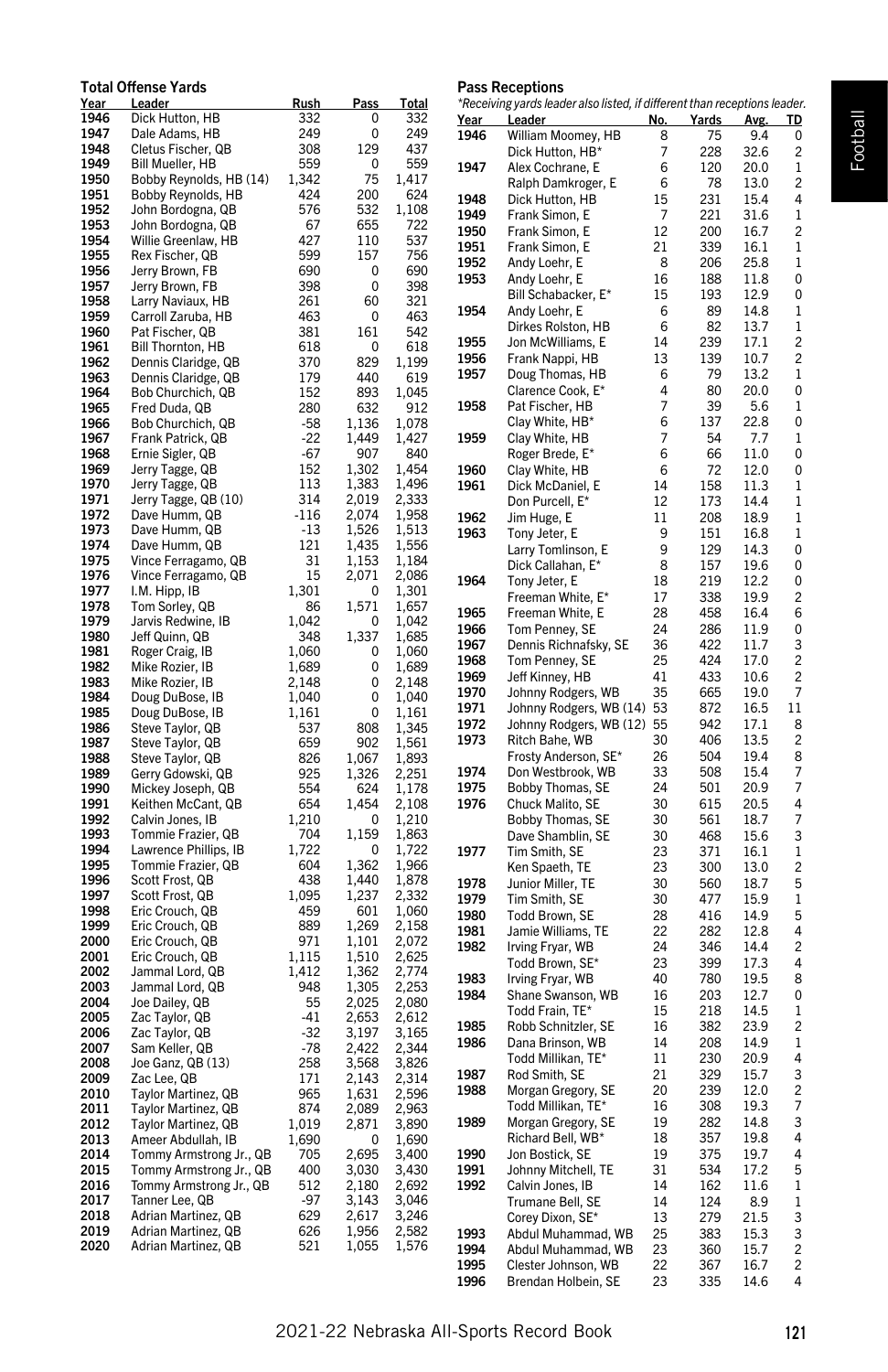#### Total Offense Yards Year Leader **Rush Pass Total**<br>1946 Dick-Hutton HB 332 0 33 1946 Dick Hutton, HB 332 0 3<br>1947 Dale Adams. HB 249 0 2 1947 Dale Adams, HB 249 0 249 1948 Cletus Fischer, QB 308 129 4:<br>1949 Bill Mueller, HB 559 0 5 1949 Bill Mueller, HB 559<br>1950 Bobby Reynolds, HB (14) 1,342 1950 Bobby Reynolds, HB (14) 1,342 75 1,4<br>1951 Bobby Reynolds, HB 424 200 6 Bobby Reynolds, HB 424 200 6 **1952** John Bordogna, QB 576 532 1,10<br>**1953** John Bordogna, QB 67 655 72 John Bordogna, QB 67 655 72 1954 Willie Greenlaw, HB 427 110 537 1955 Rex Fischer, QB 599 157 75<br>1956 Jerry Brown, FB 690 0 69 1956 Jerry Brown, FB 690 0 690<br>1957 Jerry Brown, FB 398 0 39 **1957** Jerry Brown, FB 398 0 398<br>**1958** Larry Naviaux. HB 261 60 32 1958 Larry Naviaux, HB 261 60 33<br>1959 Carroll Zaruba, HB 463 0 4 1959 Carroll Zaruba, HB 463 0 44<br>1960 Pat Fischer OB 381 161 54 1960 Pat Fischer, QB 381 161 5<br>1961 Bill Thornton, HB 618 0 6 **1961** Bill Thornton, HB 618 0 61<br>**1962** Dennis Claridge, QB 370 829 1.19 1962 Dennis Claridge, QB 370 829<br>1963 Dennis Claridge, QB 179 440 1963 Dennis Claridge, QB 179 440 6<br>1964 Bob Churchich, QB 152 893 1,0 1964 Bob Churchich, QB 152 893 1,0<br>1965 Fred Duda, QB 280 632 9 Fred Duda, QB 280 632<br>
Bob Churchich, QB 358 1,136 1966 Bob Churchich, QB -58 1,136 1,07 1967 Frank Patrick, QB -22 1,449 1,4:<br>1968 Ernie Sigler. QB -67 907 8 Ernie Sigler, QB -67 907 8 1969 Jerry Tagge, QB 152 1,302 1,45<br>1970 Jerry Tagge, QB 113 1.383 1.49 1970 Jerry Tagge, QB 113 1,383 1,49<br>1971 Jerry Tagge, QB (10) 314 2.019 2.33 1971 Jerry Tagge, QB (10) 314 2,019 2,33<br>1972 Dave Humm, QB -116 2,074 1,99 1972 Dave Humm, QB -116 2,074 1,9<br>1973 Dave Humm QB -13 1.526 1.5 1973 Dave Humm, QB -13 1,526 1,514<br>1974 Dave Humm, QB - 121 1.435 1.51 1974 Dave Humm, QB 121 1,435 1,55<br>1975 Vince Ferragamo, QB 31 1.153 1.18 1975 Vince Ferragamo, QB 31 1, 153 1, 153<br>1976 Vince Ferragamo, QB 15 2, 071 2, 08 1976 Vince Ferragamo, QB 15 2,071 2,086<br>1977 L.M. Hipp. IB 1.301 0 1.36 1977 I.M. Hipp, IB 1,301 0 1,31<br>1978 Tom Sorley OB 86 1.571 1.6 1978 Tom Sorley, QB 66 1,571 1,69<br>1979 Jarvis Redwine, IB 1,042 0 1,0 1979 Jarvis Redwine, IB 1,042 0 1,04<br>1980 Jeff Quinn, QB 348 1,337 1,68 Jeff Quinn, QB 1981 Roger Craig, IB 1,060 0 1,06 1982 Mike Rozier, IB 1,689 0 1,68<br>1983 Mike Rozier, IB 2,148 0 2,14 1983 Mike Rozier, IB 2,148<br>1984 Doug DuBose, IB 1.040 Doug DuBose, IB 1,040 0 1,040 1985 Doug DuBose, IB 1,161 0 1,16<br>1986 Steve Taylor. QB 537 808 1.34 1986 Steve Taylor, QB 537 808 1,34<br>1987 Steve Taylor QB 659 902 1.54 1987 Steve Taylor, QB 659 902 1,51<br>1988 Steve Taylor, QB 826 1.067 1.81 1988 Steve Taylor, QB 826 1,067 1,89<br>1989 Gerry Gdowski, QB 925 1,326 2,29 1989 Gerry Gdowski, QB 925 1,326 2,2<br>1990 Mickey Joseph QB 554 624 1.1 1990 Mickey Joseph, QB 554 624 1,17<br>1991 Keithen McCant, QB 654 1,454 2,10 **1991** Keithen McCant, QB 654 1,454 2,1<br> **1992** Calvin Jones IB 1.210 0 1.2 1992 Calvin Jones, IB 1,210 0 1,21<br>1993 Tommie Frazier OB 704 1.159 1.8 1993 Tommie Frazier, QB<br>1994 Lawrence Phillips, IB 1, 704 1, 159 1, 86 1994 Lawrence Phillips, IB 1,722 0 1,7<br>1995 Tommie Frazier, QB 604 1,362 1,9 1,962 Tommie Frazier, QB<br>
1,962 1,965 Scott Frost, QB<br>
1,862 1,440 1,866 1996 Scott Frost, QB 1997 Scott Frost, QB 1,095 1,237 2,32<br>1998 Eric Crouch, QB 459 601 1,0 Eric Crouch, QB 459 1999 Eric Crouch, QB 889 1,269 2,1 2000 Eric Crouch, QB 971 1,101 2,07<br>2001 Eric Crouch. QB 1.115 1.510 2.67 2001 Eric Crouch, QB 1,115 1,510 2,62<br>2002 Jammal Lord, QB 1,412 1,362 2,7 2002 Jammal Lord, QB 1,412 1,362 2,77<br>2003 Jammal Lord. QB 948 1.305 2.21 2003 Jammal Lord, QB 948 1,305 2,25<br>2004 Joe Dailey, QB 55 2,025 2,03 2004 Joe Dailey, QB 55 2,025 2,0<br>2005 Zac Tavlor. QB 541 2.653 2.6 2005 Zac Taylor, QB -41 2,653 2,61<br>2006 Zac Taylor, QB -32 3,197 3,16 2006 Zac Taylor, QB -32 3,197 3,16<br>2007 Sam Keller, QB -78 2.422 2.36 2007 Sam Keller, QB -78 2,422 2,34<br>2008 Joe Ganz, QB (13) - 258 3,568 3,83 2008 Joe Ganz, QB (13) 258 3,568 3,83<br>2009 Zac Lee, QB 207 171 2,143 2,3 2009 Zac Lee, QB 171 2,143 2,3<br>2010 Taylor Martinez, QB 965 1,631 2,51 Taylor Martinez, QB 965 1,631<br>Taylor Martinez, QB 874 2.089 2011 Taylor Martinez, QB 874 2,089 2,96 2012 Taylor Martinez, QB 1,019 2,871 3,89<br>2013 Ameer Abdullah, IB 1,690 0 1,69 2,690 Ameer Abdullah, IB 1,690 0<br>2,695 Tommy Armstrong Jr., QB 705 2014 Tommy Armstrong Jr., QB 705 2,695 3,40 2015 Tommy Armstrong Jr., QB 400 3,030 3,43 2016 Tommy Armstrong Jr., QB 512 2,180 2,69<br>2017 Tanner Lee, QB -97 3,143 3,04 2017 Tanner Lee, QB -97 3,143 3,04<br>2018 Adrian Martinez, QB 629 2,617 3,24

2018 Adrian Martinez, QB 629 2,617 3,24<br>2019 Adrian Martinez, QB 626 1,956 2,54 2019 Adrian Martinez, QB 626 1,956 2,5<br>2020 Adrian Martinez, QB 521 1,055 1.5

Adrian Martinez, QB

# Pass Receptions

|                     | *Receiving yards leader also listed, if different than receptions leader. |          |             |              |                         |
|---------------------|---------------------------------------------------------------------------|----------|-------------|--------------|-------------------------|
| <u>Year</u><br>1946 | <b>Leader</b>                                                             | No.<br>8 | Yards<br>75 | Avg.<br>9.4  | <u>TD</u><br>0          |
|                     | William Moomey, HB<br>Dick Hutton, HB*                                    | 7        | 228         | 32.6         | 2                       |
| 1947                | Alex Cochrane, E                                                          | 6        | 120         | 20.0         | 1                       |
|                     | Ralph Damkroger, E                                                        | 6        | 78          | 13.0         | 2                       |
| 1948                | Dick Hutton, HB                                                           | 15       | 231         | 15.4         | 4                       |
| 1949                | Frank Simon, E                                                            | 7        | 221         | 31.6         | 1                       |
| 1950                | Frank Simon, E                                                            | 12       | 200         | 16.7         | 2                       |
| 1951                | Frank Simon, E                                                            | 21       | 339         | 16.1         | 1                       |
| 1952                | Andy Loehr, E                                                             | 8        | 206         | 25.8         | 1                       |
| 1953                | Andy Loehr, E                                                             | 16       | 188         | 11.8         | 0                       |
|                     | Bill Schabacker, E*                                                       | 15       | 193         | 12.9         | 0                       |
| 1954                | Andy Loehr, E                                                             | 6        | 89          | 14.8         | 1                       |
|                     | Dirkes Rolston, HB                                                        | 6        | 82          | 13.7         | 1                       |
| 1955                | Jon McWilliams, E                                                         | 14       | 239         | 17.1         | 2                       |
| 1956                | Frank Nappi, HB                                                           | 13       | 139         | 10.7         | $\overline{c}$          |
| 1957                | Doug Thomas, HB                                                           | 6        | 79          | 13.2         | 1                       |
|                     | Clarence Cook, E*                                                         | 4        | 80          | 20.0         | 0                       |
| 1958                | Pat Fischer, HB                                                           | 7        | 39          | 5.6          | 1                       |
|                     | Clay White, HB*                                                           | 6        | 137         | 22.8         | 0                       |
| 1959                | Clay White, HB                                                            | 7        | 54          | 7.7          | 1                       |
|                     | Roger Brede, E*                                                           | 6        | 66          | 11.0         | 0                       |
| 1960                | Clay White, HB                                                            | 6        | 72          | 12.0         | 0                       |
| 1961                | Dick McDaniel, E                                                          | 14       | 158         | 11.3         | 1                       |
|                     | Don Purcell, E*                                                           | 12       | 173         | 14.4         | 1                       |
| 1962                | Jim Huge, E                                                               | 11<br>9  | 208         | 18.9         | 1                       |
| 1963                | Tony Jeter, E                                                             |          | 151         | 16.8         | 1                       |
|                     | Larry Tomlinson, E                                                        | 9        | 129         | 14.3         | 0                       |
|                     | Dick Callahan, E*                                                         | 8<br>18  | 157<br>219  | 19.6<br>12.2 | 0                       |
| 1964                | Tony Jeter, E<br>Freeman White, E*                                        | 17       | 338         | 19.9         | 0<br>2                  |
| 1965                | Freeman White, E                                                          | 28       | 458         | 16.4         | 6                       |
| 1966                | Tom Penney, SE                                                            | 24       | 286         | 11.9         | 0                       |
| 1967                | Dennis Richnafsky, SE                                                     | 36       | 422         | 11.7         | 3                       |
| 1968                | Tom Penney, SE                                                            | 25       | 424         | 17.0         | 2                       |
| 1969                | Jeff Kinney, HB                                                           | 41       | 433         | 10.6         | 2                       |
| 1970                | Johnny Rodgers, WB                                                        | 35       | 665         | 19.0         | 7                       |
| 1971                | Johnny Rodgers, WB (14)                                                   | 53       | 872         | 16.5         | 11                      |
| 1972                | Johnny Rodgers, WB (12) 55                                                |          | 942         | 17.1         | 8                       |
| 1973                | Ritch Bahe, WB                                                            | 30       | 406         | 13.5         | 2                       |
|                     | Frosty Anderson, SE*                                                      | 26       | 504         | 19.4         | 8                       |
| 1974                | Don Westbrook, WB                                                         | 33       | 508         | 15.4         | 7                       |
| 1975                | Bobby Thomas, SE                                                          | 24       | 501         | 20.9         | 7                       |
| 1976                | Chuck Malito, SE                                                          | 30       | 615         | 20.5         | 4                       |
|                     | Bobby Thomas, SE                                                          | 30       | 561         | 18.7         | 7                       |
|                     | Dave Shamblin, SE                                                         | 30       | 468         | 15.6         | 3                       |
| 1977                | Tim Smith, SE                                                             | 23       | 371         | 16.1         | 1                       |
|                     | Ken Spaeth, TE                                                            | 23       | 300         | 13.0         | 2                       |
| 1978                | Junior Miller, TE                                                         | 30       | 560         | 18.7         | 5                       |
| 1979                | Tim Smith, SE                                                             | 30       | 477         | 15.9         | 1                       |
| 1980                | Todd Brown, SE                                                            | 28       | 416         | 14.9         | 5                       |
| 1981                | Jamie Williams, TE                                                        | 22       | 282         | 12.8         | 4                       |
| 1982                | Irving Fryar, WB                                                          | 24       | 346         | 14.4         | 2                       |
|                     | Todd Brown, SE*                                                           | 23       | 399         | 17.3         | 4                       |
| 1983                | Irving Fryar, WB                                                          | 40       | 780         | 19.5         | 8                       |
| 1984                | Shane Swanson, WB                                                         | 16       | 203         | 12.7         | 0                       |
|                     | Todd Frain, TE*                                                           | 15       | 218         | 14.5         | 1                       |
| 1985                | Robb Schnitzler, SE                                                       | 16       | 382         | 23.9         | 2                       |
| 1986                | Dana Brinson, WB                                                          | 14       | 208         | 14.9         | 1                       |
|                     | Todd Millikan, TE*                                                        | 11       | 230         | 20.9         | 4                       |
| 1987<br>1988        | Rod Smith, SE                                                             | 21       | 329         | 15.7         | 3<br>2                  |
|                     | Morgan Gregory, SE<br>Todd Millikan, TE <sup>.</sup>                      | 20       | 239         | 12.0         |                         |
| 1989                |                                                                           | 16<br>19 | 308<br>282  | 19.3<br>14.8 | 7<br>3                  |
|                     | Morgan Gregory, SE<br>Richard Bell, WB*                                   | 18       | 357         | 19.8         | 4                       |
| 1990                | Jon Bostick, SE                                                           | 19       | 375         | 19.7         | 4                       |
| 1991                | Johnny Mitchell, TE                                                       | 31       | 534         | 17.2         | 5                       |
| 1992                | Calvin Jones, IB                                                          | 14       | 162         | 11.6         | 1                       |
|                     | Trumane Bell, SE                                                          | 14       | 124         | 8.9          | 1                       |
|                     | Corey Dixon, SE*                                                          | 13       | 279         | 21.5         | 3                       |
| 1993                | Abdul Muhammad, WB                                                        | 25       | 383         | 15.3         | 3                       |
| 1994                | Abdul Muhammad, WB                                                        | 23       | 360         | 15.7         | $\overline{\mathbf{c}}$ |
| 1995                | Clester Johnson, WB                                                       | 22       | 367         | 16.7         | 2                       |
| 1996                | Brendan Holbein, SE                                                       | 23       | 335         | 14.6         | 4                       |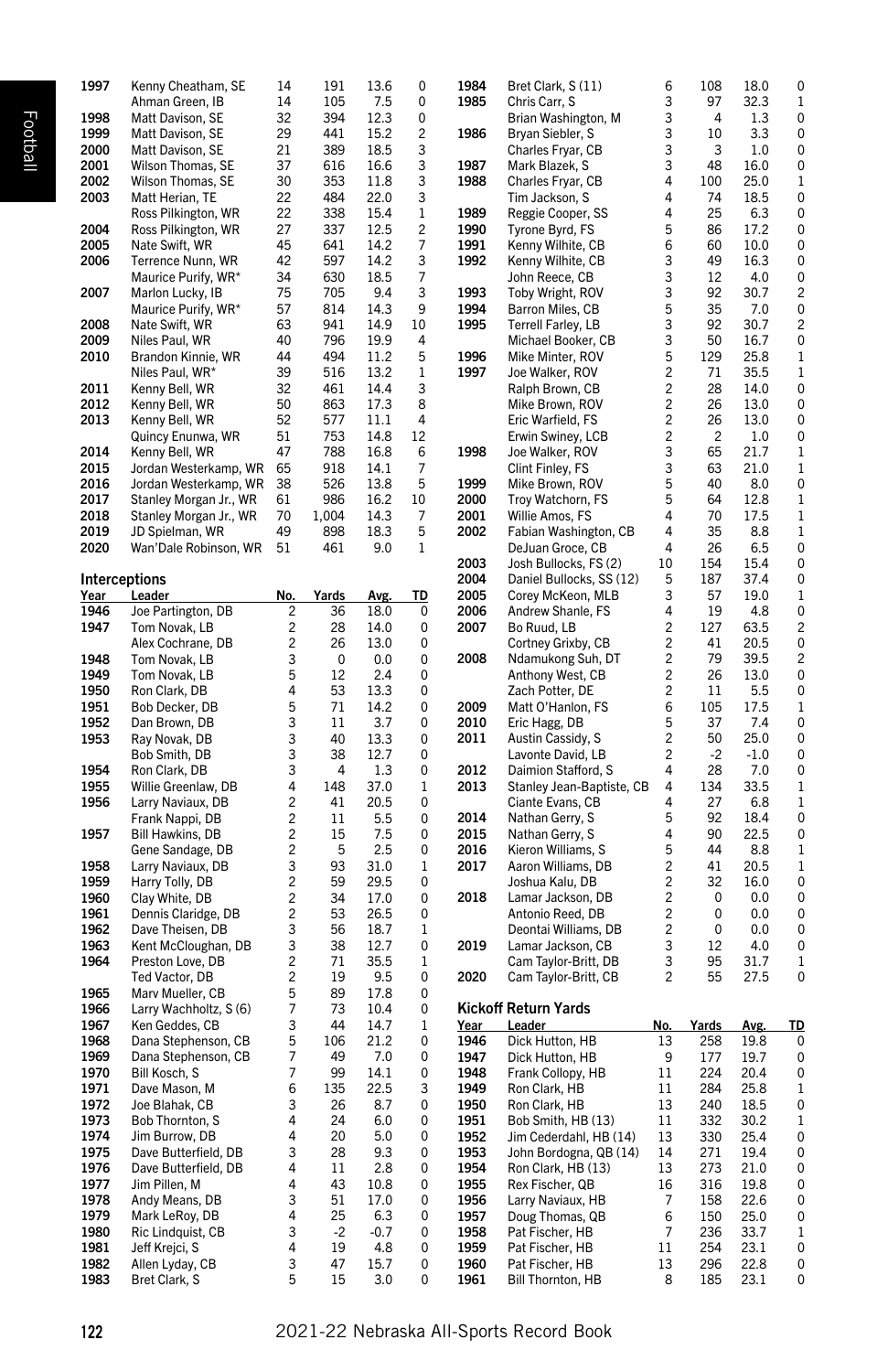| 1997         |                                  |        |          |             |                         |              |                                      |         |                         |              |                |
|--------------|----------------------------------|--------|----------|-------------|-------------------------|--------------|--------------------------------------|---------|-------------------------|--------------|----------------|
|              | Kenny Cheatham, SE               | 14     | 191      | 13.6        | 0                       | 1984         | Bret Clark, S(11)                    | 6       | 108                     | 18.0         | 0              |
|              | Ahman Green, IB                  | 14     | 105      | 7.5         | 0                       | 1985         | Chris Carr, S                        | 3       | 97                      | 32.3         | 1              |
| 1998         | Matt Davison, SE                 | 32     | 394      | 12.3        | 0                       |              | Brian Washington, M                  | 3       | 4                       | 1.3          | 0              |
| 1999         | Matt Davison, SE                 | 29     | 441      | 15.2        | $\overline{\mathbf{c}}$ | 1986         | Bryan Siebler, S                     | 3       | 10                      | 3.3          | 0              |
| 2000         | Matt Davison, SE                 | 21     | 389      | 18.5        | 3                       |              | Charles Fryar, CB                    | 3       | 3                       | 1.0          | 0              |
|              |                                  |        |          |             |                         |              |                                      |         |                         |              |                |
| 2001         | Wilson Thomas, SE                | 37     | 616      | 16.6        | 3                       | 1987         | Mark Blazek, S                       | 3       | 48                      | 16.0         | 0              |
| 2002         | Wilson Thomas, SE                | 30     | 353      | 11.8        | 3                       | 1988         | Charles Fryar, CB                    | 4       | 100                     | 25.0         | 1              |
| 2003         | Matt Herian, TE                  | 22     | 484      | 22.0        | 3                       |              | Tim Jackson, S                       | 4       | 74                      | 18.5         | 0              |
|              | Ross Pilkington, WR              | 22     | 338      | 15.4        | 1                       | 1989         | Reggie Cooper, SS                    | 4       | 25                      | 6.3          | 0              |
| 2004         | Ross Pilkington, WR              | 27     | 337      | 12.5        | $\overline{c}$          | 1990         | Tyrone Byrd, FS                      | 5       | 86                      | 17.2         | 0              |
| 2005         | Nate Swift, WR                   | 45     | 641      | 14.2        | 7                       | 1991         | Kenny Wilhite, CB                    | 6       | 60                      | 10.0         | 0              |
| 2006         | Terrence Nunn, WR                | 42     | 597      | 14.2        | 3                       | 1992         | Kenny Wilhite, CB                    | 3       | 49                      | 16.3         | 0              |
|              | Maurice Purify, WR*              | 34     | 630      | 18.5        | 7                       |              | John Reece, CB                       | 3       | 12                      | 4.0          | 0              |
| 2007         | Marlon Lucky, IB                 | 75     | 705      | 9.4         | 3                       | 1993         | Toby Wright, ROV                     | 3       | 92                      | 30.7         | 2              |
|              | Maurice Purify, WR*              | 57     |          | 14.3        | 9                       | 1994         |                                      | 5       | 35                      |              | 0              |
|              |                                  |        | 814      |             |                         |              | Barron Miles, CB                     |         |                         | 7.0          |                |
| 2008         | Nate Swift, WR                   | 63     | 941      | 14.9        | 10                      | 1995         | Terrell Farley, LB                   | 3       | 92                      | 30.7         | $\overline{c}$ |
| 2009         | Niles Paul, WR                   | 40     | 796      | 19.9        | 4                       |              | Michael Booker, CB                   | 3       | 50                      | 16.7         | 0              |
| 2010         | Brandon Kinnie, WR               | 44     | 494      | 11.2        | 5                       | 1996         | Mike Minter, ROV                     | 5       | 129                     | 25.8         | 1              |
|              | Niles Paul, WR*                  | 39     | 516      | 13.2        | 1                       | 1997         | Joe Walker, ROV                      | 2       | 71                      | 35.5         | 1              |
| 2011         | Kenny Bell, WR                   | 32     | 461      | 14.4        | 3                       |              | Ralph Brown, CB                      | 2       | 28                      | 14.0         | 0              |
| 2012         | Kenny Bell, WR                   | 50     | 863      | 17.3        | 8                       |              | Mike Brown, ROV                      | 2       | 26                      | 13.0         | 0              |
| 2013         | Kenny Bell, WR                   | 52     | 577      | 11.1        | 4                       |              | Eric Warfield, FS                    | 2       | 26                      | 13.0         | 0              |
|              |                                  | 51     | 753      | 14.8        | 12                      |              |                                      | 2       | $\overline{\mathbf{c}}$ |              | 0              |
|              | Quincy Enunwa, WR                |        |          |             |                         |              | Erwin Swiney, LCB                    |         |                         | 1.0          |                |
| 2014         | Kenny Bell, WR                   | 47     | 788      | 16.8        | 6                       | 1998         | Joe Walker, ROV                      | 3       | 65                      | 21.7         | 1              |
| 2015         | Jordan Westerkamp, WR            | 65     | 918      | 14.1        | 7                       |              | Clint Finley, FS                     | 3       | 63                      | 21.0         | 1              |
| 2016         | Jordan Westerkamp, WR            | 38     | 526      | 13.8        | 5                       | 1999         | Mike Brown, ROV                      | 5       | 40                      | 8.0          | 0              |
| 2017         | Stanley Morgan Jr., WR           | 61     | 986      | 16.2        | 10                      | 2000         | Troy Watchorn, FS                    | 5       | 64                      | 12.8         | 1              |
| 2018         | Stanley Morgan Jr., WR           | 70     | 1,004    | 14.3        | 7                       | 2001         | Willie Amos, FS                      | 4       | 70                      | 17.5         | 1              |
| 2019         | JD Spielman, WR                  | 49     | 898      | 18.3        | 5                       | 2002         | Fabian Washington, CB                | 4       | 35                      | 8.8          | 1              |
| 2020         | Wan'Dale Robinson, WR            | 51     | 461      | 9.0         | 1                       |              | DeJuan Groce, CB                     | 4       | 26                      | 6.5          | 0              |
|              |                                  |        |          |             |                         | 2003         | Josh Bullocks, FS (2)                | 10      | 154                     | 15.4         | 0              |
|              | <b>Interceptions</b>             |        |          |             |                         | 2004         | Daniel Bullocks, SS (12)             | 5       | 187                     | 37.4         | 0              |
|              |                                  |        |          |             |                         |              |                                      |         |                         |              |                |
| Year         | Leader                           | No.    | Yards    | Avg.        | TD                      | 2005         | Corey McKeon, MLB                    | 3       | 57                      | 19.0         | 1              |
| 1946         | Joe Partington, DB               | 2      | 36       | 18.0        | 0                       | 2006         | Andrew Shanle, FS                    | 4       | 19                      | 4.8          | 0              |
| 1947         | Tom Novak, LB                    | 2      | 28       | 14.0        | 0                       | 2007         | Bo Ruud, LB                          | 2       | 127                     | 63.5         | 2              |
|              | Alex Cochrane, DB                | 2      | 26       | 13.0        | 0                       |              | Cortney Grixby, CB                   | 2       | 41                      | 20.5         | 0              |
| 1948         | Tom Novak, LB                    | 3      | 0        | 0.0         | 0                       | 2008         | Ndamukong Suh, DT                    | 2       | 79                      | 39.5         | 2              |
| 1949         | Tom Novak, LB                    | 5      | 12       | 2.4         | 0                       |              | Anthony West, CB                     | 2       | 26                      | 13.0         | 0              |
| 1950         | Ron Clark, DB                    | 4      | 53       | 13.3        | 0                       |              | Zach Potter, DE                      | 2       | 11                      | 5.5          | 0              |
| 1951         | Bob Decker, DB                   | 5      | 71       | 14.2        | 0                       | 2009         | Matt O'Hanlon, FS                    | 6       | 105                     | 17.5         | 1              |
|              |                                  |        |          |             |                         |              |                                      | 5       |                         |              |                |
| 1952         | Dan Brown, DB                    | 3      | 11       | 3.7         | 0                       | 2010         | Eric Hagg, DB                        |         | 37                      | 7.4          | 0              |
| 1953         | Ray Novak, DB                    | 3      | 40       | 13.3        | 0                       | 2011         | Austin Cassidy, S                    | 2       | 50                      | 25.0         | 0              |
|              | Bob Smith, DB                    | 3      | 38       | 12.7        | 0                       |              | Lavonte David, LB                    | 2       | $-2$                    | $-1.0$       | 0              |
| 1954         |                                  |        |          | 1.3         | 0                       | 2012         | Daimion Stafford, S                  | 4       | 28                      | 7.0          | 0              |
|              | Ron Clark, DB                    | 3      | 4        |             |                         |              | Stanley Jean-Baptiste, CB            |         |                         | 33.5         | 1              |
| 1955         | Willie Greenlaw, DB              | 4      | 148      | 37.0        | 1                       | 2013         |                                      | 4       | 134                     |              |                |
| 1956         | Larry Naviaux, DB                | 2      | 41       | 20.5        | 0                       |              | Ciante Evans, CB                     | 4       | 27                      | 6.8          | 1              |
|              |                                  |        |          |             |                         |              |                                      |         |                         |              |                |
|              | Frank Nappi, DB                  | 2      | 11       | 5.5         | 0                       | 2014         | Nathan Gerry, S                      | 5       | 92                      | 18.4         | 0              |
| 1957         | Bill Hawkins, DB                 | 2      | 15       | 7.5         | 0                       | 2015         | Nathan Gerry, S                      | 4       | 90                      | 22.5         | 0              |
|              | Gene Sandage, DB                 | 2      | 5        | 2.5         | 0                       | 2016         | Kieron Williams, S                   | 5       | 44                      | 8.8          | 1              |
| 1958         | Larry Naviaux, DB                | 3      | 93       | 31.0        | 1                       | 2017         | Aaron Williams, DB                   | 2       | 41                      | 20.5         | 1              |
| 1959         | Harry Tolly, DB                  | 2      | 59       | 29.5        | 0                       |              | Joshua Kalu, DB                      | 2       | 32                      | 16.0         | 0              |
| 1960         | Clay White, DB                   | 2      | 34       | 17.0        | 0                       | 2018         | Lamar Jackson, DB                    | 2       | 0                       | 0.0          | 0              |
| 1961         | Dennis Claridge, DB              | 2      | 53       | 26.5        | 0                       |              | Antonio Reed, DB                     | 2       | 0                       | 0.0          | 0              |
| 1962         | Dave Theisen, DB                 | 3      | 56       | 18.7        | 1                       |              | Deontai Williams, DB                 | 2       | 0                       | 0.0          | 0              |
| 1963         | Kent McCloughan, DB              | 3      | 38       | 12.7        | 0                       | 2019         | Lamar Jackson, CB                    | 3       | 12                      | 4.0          | 0              |
|              |                                  |        |          |             |                         |              |                                      |         |                         |              |                |
| 1964         | Preston Love, DB                 | 2      | 71       | 35.5        | 1                       |              | Cam Taylor-Britt, DB                 | 3       | 95                      | 31.7         | 1              |
|              | Ted Vactor, DB                   | 2      | 19       | 9.5         | 0                       | 2020         | Cam Taylor-Britt, CB                 | 2       | 55                      | 27.5         | 0              |
| 1965         | Marv Mueller, CB                 | 5      | 89       | 17.8        | 0                       |              |                                      |         |                         |              |                |
| 1966         | Larry Wachholtz, S(6)            | 7      | 73       | 10.4        | 0                       |              | Kickoff Return Yards                 |         |                         |              |                |
| 1967         | Ken Geddes, CB                   | 3      | 44       | 14.7        | 1                       | Year         | Leader                               | No.     | Yards                   | Avg.         | <u>TD</u>      |
| 1968         | Dana Stephenson, CB              | 5      | 106      | 21.2        | 0                       | 1946         | Dick Hutton, HB                      | 13      | 258                     | 19.8         | 0              |
| 1969         | Dana Stephenson, CB              | 7      | 49       | 7.0         | 0                       | 1947         | Dick Hutton, HB                      | 9       | 177                     | 19.7         | 0              |
| 1970         | Bill Kosch, S                    | 7      | 99       | 14.1        | 0                       | 1948         | Frank Collopy, HB                    | 11      | 224                     | 20.4         | 0              |
|              |                                  |        |          |             |                         |              |                                      |         |                         |              |                |
| 1971         | Dave Mason, M                    | 6      | 135      | 22.5        | 3                       | 1949         | Ron Clark, HB                        | $11\,$  | 284                     | 25.8         | 1              |
| 1972         | Joe Blahak, CB                   | 3      | 26       | 8.7         | 0                       | 1950         | Ron Clark, HB                        | 13      | 240                     | 18.5         | 0              |
| 1973         | Bob Thornton, S                  | 4      | 24       | 6.0         | 0                       | 1951         | Bob Smith, HB (13)                   | 11      | 332                     | 30.2         | 1              |
| 1974         | Jim Burrow, DB                   | 4      | 20       | 5.0         | 0                       | 1952         | Jim Cederdahl, HB (14)               | 13      | 330                     | 25.4         | 0              |
| 1975         | Dave Butterfield, DB             | 3      | 28       | 9.3         | 0                       | 1953         | John Bordogna, QB (14)               | 14      | 271                     | 19.4         | 0              |
| 1976         | Dave Butterfield, DB             | 4      | 11       | 2.8         | 0                       | 1954         | Ron Clark, HB (13)                   | 13      | 273                     | 21.0         | 0              |
| 1977         | Jim Pillen, M                    | 4      | 43       | 10.8        | 0                       | 1955         | Rex Fischer, QB                      | 16      | 316                     | 19.8         | 0              |
| 1978         | Andy Means, DB                   | 3      | 51       | 17.0        | 0                       | 1956         | Larry Naviaux, HB                    | 7       | 158                     | 22.6         | 0              |
|              |                                  | 4      |          |             |                         |              |                                      |         |                         |              |                |
| 1979         | Mark LeRoy, DB                   |        | 25       | 6.3         | 0                       | 1957         | Doug Thomas, QB                      | 6       | 150                     | 25.0         | 0              |
| 1980         | Ric Lindquist, CB                | 3      | $-2$     | $-0.7$      | 0                       | 1958         | Pat Fischer, HB                      | 7       | 236                     | 33.7         | 1              |
| 1981         | Jeff Krejci, S                   | 4      | 19       | 4.8         | 0                       | 1959         | Pat Fischer, HB                      | 11      | 254                     | 23.1         | 0              |
| 1982<br>1983 | Allen Lyday, CB<br>Bret Clark, S | 3<br>5 | 47<br>15 | 15.7<br>3.0 | 0<br>0                  | 1960<br>1961 | Pat Fischer, HB<br>Bill Thornton, HB | 13<br>8 | 296<br>185              | 22.8<br>23.1 | 0<br>0         |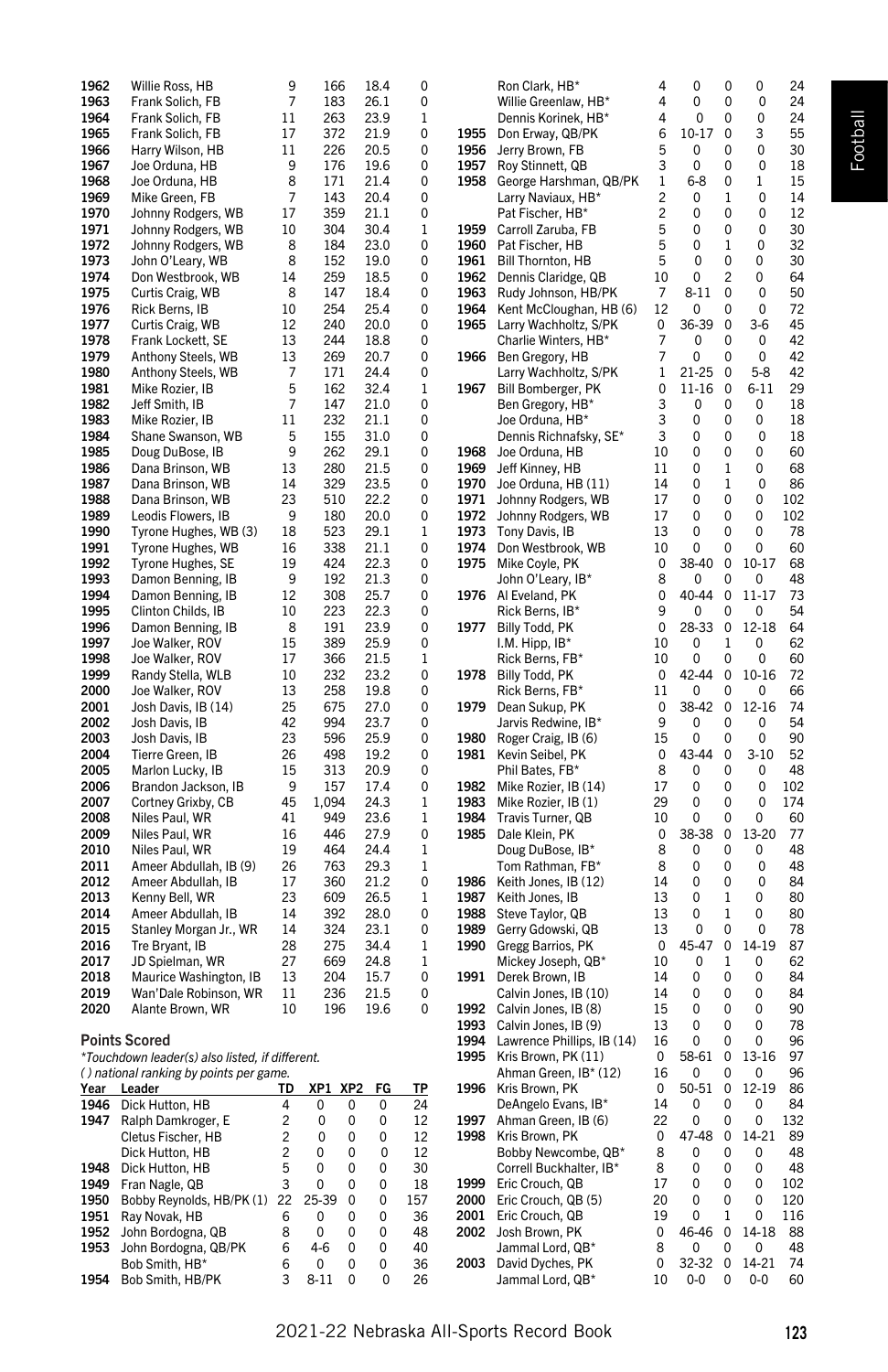| 1962         | Willie Ross, HB                                 | 9              | 166                           | 18.4         | 0           |              | Ron Clark, HB*             | 4              | 0                | 0           | 0           | 24        |
|--------------|-------------------------------------------------|----------------|-------------------------------|--------------|-------------|--------------|----------------------------|----------------|------------------|-------------|-------------|-----------|
| 1963         | Frank Solich, FB                                | $\overline{7}$ | 183                           | 26.1         | 0           |              | Willie Greenlaw, HB*       | 4              | 0                | 0           | 0           | 24        |
| 1964         | Frank Solich, FB                                | 11             | 263                           | 23.9         | 1           |              | Dennis Korinek, HB*        | 4              | 0                | 0           | 0           | 24        |
| 1965         | Frank Solich, FB                                | 17             | 372                           | 21.9         | 0           | 1955         | Don Erway, QB/PK           | 6              | $10 - 17$        | 0           | 3           | 55        |
| 1966         | Harry Wilson, HB                                | 11             | 226                           | 20.5         | 0           | 1956         | Jerry Brown, FB            | 5              | 0                | 0           | 0           | 30        |
| 1967         | Joe Orduna, HB                                  | 9              | 176                           | 19.6         | 0           | 1957         | Roy Stinnett, QB           | 3              | 0                | 0           | $\mathbf 0$ | 18        |
| 1968         | Joe Orduna, HB                                  | 8              | 171                           | 21.4         | 0           | 1958         | George Harshman, QB/PK     | $\,1$          | $6 - 8$          | 0           | $\mathbf 1$ | 15        |
| 1969         | Mike Green, FB                                  | 7              | 143                           | 20.4         | 0           |              | Larry Naviaux, HB*         | $\overline{c}$ | 0                | 1           | 0           | 14        |
| 1970         | Johnny Rodgers, WB                              | 17             | 359                           | 21.1         | 0           |              | Pat Fischer, HB*           | $\overline{c}$ | 0                | 0           | 0           | 12        |
| 1971         | Johnny Rodgers, WB                              | 10             | 304                           | 30.4         | 1           | 1959         | Carroll Zaruba, FB         | 5              | 0                | 0           | 0           | 30        |
| 1972         | Johnny Rodgers, WB                              | 8              | 184                           | 23.0         | 0           | 1960         | Pat Fischer, HB            | 5              | 0                | 1           | 0           | 32        |
| 1973         | John O'Leary, WB                                | 8              | 152                           | 19.0         | 0           | 1961         | Bill Thornton, HB          | 5              | 0                | 0           | 0           | 30        |
| 1974         | Don Westbrook, WB                               | 14             | 259                           | 18.5         | 0           | 1962         | Dennis Claridge, QB        | 10             | 0                | 2           | 0           | 64        |
| 1975         | Curtis Craig, WB                                | 8              | 147                           | 18.4         | 0           | 1963         | Rudy Johnson, HB/PK        | 7              | $8 - 11$         | 0           | 0           | 50        |
| 1976         | Rick Berns, IB                                  | 10             | 254                           | 25.4         | 0           | 1964         | Kent McCloughan, HB (6)    | 12             | 0                | 0           | 0           | 72        |
| 1977         | Curtis Craig, WB                                | 12             | 240                           | 20.0         | 0           | 1965         | Larry Wachholtz, S/PK      | 0              | 36-39            | $\pmb{0}$   | $3-6$       | 45        |
| 1978         | Frank Lockett, SE                               | 13             | 244                           | 18.8         | 0           |              | Charlie Winters, HB*       | 7              | 0                | 0           | 0           | 42        |
| 1979         | Anthony Steels, WB                              | 13             | 269                           | 20.7         | 0           | 1966         | Ben Gregory, HB            | 7              | 0                | 0           | 0           | 42        |
| 1980         | Anthony Steels, WB                              | 7              | 171                           | 24.4         | 0           |              | Larry Wachholtz, S/PK      | 1              | 21-25            | 0           | $5 - 8$     | 42        |
| 1981         | Mike Rozier, IB                                 | 5              | 162                           | 32.4         | 1           | 1967         | Bill Bomberger, PK         | 0              | 11-16            | 0           | $6 - 11$    | 29        |
| 1982         | Jeff Smith, IB                                  | 7              | 147                           | 21.0         | 0           |              | Ben Gregory, HB*           | 3              | 0                | 0           | 0           | 18        |
| 1983         | Mike Rozier, IB                                 | 11             | 232                           | 21.1         | 0           |              | Joe Orduna, HB*            | 3              | 0                | 0           | 0           | 18        |
| 1984         | Shane Swanson, WB                               | 5              | 155                           | 31.0         | 0           |              | Dennis Richnafsky, SE*     | 3              | 0                | 0           | $\mathbf 0$ | 18        |
| 1985         | Doug DuBose, IB                                 | 9              | 262                           | 29.1         | 0           | 1968         | Joe Orduna, HB             | 10             | 0                | 0           | 0           | 60        |
| 1986         | Dana Brinson, WB                                | 13             | 280                           | 21.5         | 0           | 1969         | Jeff Kinney, HB            | 11             | 0                | 1           | 0           | 68        |
|              |                                                 |                |                               |              |             |              |                            |                |                  |             |             |           |
| 1987<br>1988 | Dana Brinson, WB                                | 14<br>23       | 329<br>510                    | 23.5<br>22.2 | 0<br>0      | 1970<br>1971 | Joe Orduna, HB (11)        | 14<br>17       | 0<br>$\mathbf 0$ | 1<br>0      | 0<br>0      | 86<br>102 |
| 1989         | Dana Brinson, WB                                | 9              | 180                           | 20.0         |             | 1972         | Johnny Rodgers, WB         | 17             | 0                | 0           | 0           | 102       |
|              | Leodis Flowers, IB                              |                |                               |              | 0           |              | Johnny Rodgers, WB         |                |                  |             |             |           |
| 1990         | Tyrone Hughes, WB (3)                           | 18             | 523                           | 29.1         | 1           |              | 1973 Tony Davis, IB        | 13             | 0                | 0           | 0           | 78        |
| 1991         | Tyrone Hughes, WB                               | 16             | 338                           | 21.1         | 0           | 1974         | Don Westbrook, WB          | 10             | 0<br>38-40       | 0           | 0           | 60        |
| 1992         | Tyrone Hughes, SE                               | 19             | 424                           | 22.3         | 0           | 1975         | Mike Coyle, PK             | 0              |                  | 0           | $10 - 17$   | 68        |
| 1993         | Damon Benning, IB                               | 9              | 192                           | 21.3         | 0           |              | John O'Leary, IB*          | 8              | 0<br>40-44       | 0           | 0           | 48        |
| 1994         | Damon Benning, IB                               | 12             | 308                           | 25.7         | 0           |              | 1976 Al Eveland, PK        | 0              |                  | 0           | 11-17       | 73        |
| 1995         | Clinton Childs, IB                              | 10             | 223                           | 22.3         | 0           |              | Rick Berns, IB*            | 9              | 0                | 0           | 0           | 54        |
| 1996         | Damon Benning, IB                               | 8              | 191                           | 23.9         | 0           | 1977         | Billy Todd, PK             | 0              | 28-33            | 0           | $12 - 18$   | 64        |
| 1997         | Joe Walker, ROV                                 | 15             | 389                           | 25.9         | 0           |              | I.M. Hipp, IB*             | 10             | 0                | 1           | 0           | 62        |
| 1998         | Joe Walker, ROV                                 | 17             | 366                           | 21.5         | 1           |              | Rick Berns, FB*            | 10             | 0                | 0           | 0           | 60        |
| 1999         | Randy Stella, WLB                               | 10             | 232                           | 23.2         | 0           | 1978         | Billy Todd, PK             | 0              | 42-44            | 0           | 10-16       | 72        |
| 2000         | Joe Walker, ROV                                 | 13             | 258                           | 19.8         | 0           |              | Rick Berns, FB*            | 11             | 0                | 0           | 0           | 66        |
| 2001         | Josh Davis, IB (14)                             | 25             | 675                           | 27.0         | $\mathbf 0$ | 1979         | Dean Sukup, PK             | 0              | 38-42            | $\mathbf 0$ | 12-16       | 74        |
| 2002         | Josh Davis, IB                                  | 42             | 994                           | 23.7         | $\mathbf 0$ |              | Jarvis Redwine, IB*        | 9              | 0                | 0           | 0           | 54        |
| 2003         | Josh Davis, IB                                  | 23             | 596                           | 25.9         | 0           | 1980         | Roger Craig, IB (6)        | 15             | 0                | 0           | 0           | 90        |
| 2004         | Tierre Green, IB                                | 26             | 498                           | 19.2         | 0           | 1981         | Kevin Seibel, PK           | 0              | 43-44            | $\mathbf 0$ | $3 - 10$    | 52        |
| 2005         | Marlon Lucky, IB                                | 15             | 313                           | 20.9         | 0           |              | Phil Bates, FB*            | 8              | 0                | 0           | 0           | 48        |
| 2006         | Brandon Jackson, IB                             | 9              | 157                           | 17.4         | 0           | 1982         | Mike Rozier, IB (14)       | 17             | 0                | 0           | 0           | 102       |
| 2007         | Cortney Grixby, CB                              | 45             | 1,094                         | 24.3         | 1           | 1983         | Mike Rozier, IB (1)        | 29             | 0                | 0           | 0           | 174       |
| 2008         | Niles Paul, WR                                  | 41             | 949                           | 23.6         | 1           | 1984         | Travis Turner, QB          | 10             | 0                | 0           | 0           | 60        |
| 2009         | Niles Paul, WR                                  | 16             | 446                           | 27.9         | 0           | 1985         | Dale Klein, PK             | 0              | 38-38            | 0           | 13-20       | 77        |
| 2010         | Niles Paul, WR                                  | 19             | 464                           | 24.4         | 1           |              | Doug DuBose, IB*           | 8              | 0                | 0           | 0           | 48        |
| 2011         | Ameer Abdullah, IB (9)                          | 26             | 763                           | 29.3         | 1           |              | Tom Rathman, FB*           | 8              | 0                | 0           | 0           | 48        |
| 2012         | Ameer Abdullah, IB                              | 17             | 360                           | 21.2         | 0           | 1986         | Keith Jones, IB (12)       | 14             | 0                | 0           | 0           | 84        |
| 2013         | Kenny Bell, WR                                  | 23             | 609                           | 26.5         | 1           | 1987         | Keith Jones, IB            | 13             | 0                | 1           | 0           | 80        |
| 2014         | Ameer Abdullah, IB                              | 14             | 392                           | 28.0         | 0           | 1988         | Steve Taylor, QB           | 13             | 0                | 1           | 0           | 80        |
| 2015         | Stanley Morgan Jr., WR                          | 14             | 324                           | 23.1         | 0           | 1989         | Gerry Gdowski, QB          | 13             | 0                | 0           | 0           | 78        |
| 2016         | Tre Bryant, IB                                  | 28             | 275                           | 34.4         | 1           | 1990         | Gregg Barrios, PK          | 0              | 45-47            | 0           | 14-19       | 87        |
| 2017         | JD Spielman, WR                                 | 27             | 669                           | 24.8         | 1           |              | Mickey Joseph, QB*         | 10             | 0                | 1           | 0           | 62        |
| 2018         | Maurice Washington, IB                          | 13             | 204                           | 15.7         | 0           | 1991         | Derek Brown, IB            | 14             | 0                | 0           | 0           | 84        |
| 2019         | Wan'Dale Robinson, WR                           | 11             | 236                           | 21.5         | 0           |              | Calvin Jones, IB (10)      | 14             | 0                | 0           | 0           | 84        |
| 2020         | Alante Brown, WR                                | 10             | 196                           | 19.6         | 0           | 1992         | Calvin Jones, IB (8)       | 15             | $\mathbf 0$      | 0           | 0           | 90        |
|              |                                                 |                |                               |              |             | 1993         | Calvin Jones, IB (9)       | 13             | 0                | 0           | 0           | 78        |
|              | <b>Points Scored</b>                            |                |                               |              |             | 1994         | Lawrence Phillips, IB (14) | 16             | 0                | 0           | 0           | 96        |
|              | *Touchdown leader(s) also listed, if different. |                |                               |              |             | 1995         | Kris Brown, PK (11)        | 0              | 58-61            | $\mathbf 0$ | 13-16       | 97        |
|              | () national ranking by points per game.         |                |                               |              |             |              | Ahman Green, IB* (12)      | 16             | 0                | 0           | 0           | 96        |
| Year         | <u>Leader</u>                                   | <u>TD</u>      | <u>XP1</u><br>XP <sub>2</sub> | <u>FG</u>    | <u>TP</u>   |              | 1996 Kris Brown, PK        | 0              | 50-51            | 0           | 12-19       | 86        |
| 1946         | Dick Hutton, HB                                 | 4              | 0<br>0                        | 0            | 24          |              | DeAngelo Evans, IB*        | 14             | 0                | 0           | 0           | 84        |
| 1947         | Ralph Damkroger, E                              | 2              | 0<br>0                        | 0            | 12          | 1997         | Ahman Green, IB (6)        | 22             | 0                | 0           | 0           | 132       |
|              | Cletus Fischer, HB                              | 2              | 0<br>0                        | 0            | 12          | 1998         | Kris Brown, PK             | 0              | 47-48            | 0           | 14-21       | 89        |
|              | Dick Hutton, HB                                 | 2              | 0<br>0                        | 0            | 12          |              | Bobby Newcombe, QB*        | 8              | 0                | 0           | 0           | 48        |
| 1948         | Dick Hutton, HB                                 | 5              | 0<br>0                        | 0            | 30          |              | Correll Buckhalter, IB*    | 8              | 0                | 0           | 0           | 48        |
| 1949         | Fran Nagle, QB                                  | 3              | 0<br>0                        | 0            | 18          | 1999         | Eric Crouch, QB            | 17             | 0                | 0           | 0           | 102       |
| 1950         | Bobby Reynolds, HB/PK (1) 22                    |                | 25-39<br>0                    | 0            | 157         |              | 2000 Eric Crouch, QB (5)   | 20             | 0                | 0           | 0           | 120       |
| 1951         | Ray Novak, HB                                   |                | 0<br>0                        | 0            | 36          | 2001         | Eric Crouch, QB            | 19             | 0                | 1           | 0           | 116       |
| 1952         | John Bordogna, QB                               | 8              | 0<br>0                        | 0            | 48          | 2002         | Josh Brown, PK             | 0              | 46-46 0          |             | 14-18       | 88        |

1952 John Bordogna, QB 8 0 0 0 48<br>1953 John Bordogna, QB/PK 6 4-6 0 0 40 1953 John Bordogna, QB/PK 6 4-6 0 0 40<br>Bob Smith, HB<sup>\*</sup> 6 0 0 0 36<br>1954 Bob Smith, HB/PK 3 8-11 0 0 26 Bob Smith, HB<sup>\*</sup> 6 0 0<br>Bob Smith, HB/PK 3 8-11 0 1954 Bob Smith, HB/PK 3 8-11 0 0

 Josh Brown, PK 0 46-46 0 14-18 88 Jammal Lord, QB\* 8 0 0 0 48 David Dyches, PK 0 32-32 0 14-21 74 Jammal Lord, QB\* 10 0-0 0 0-0 60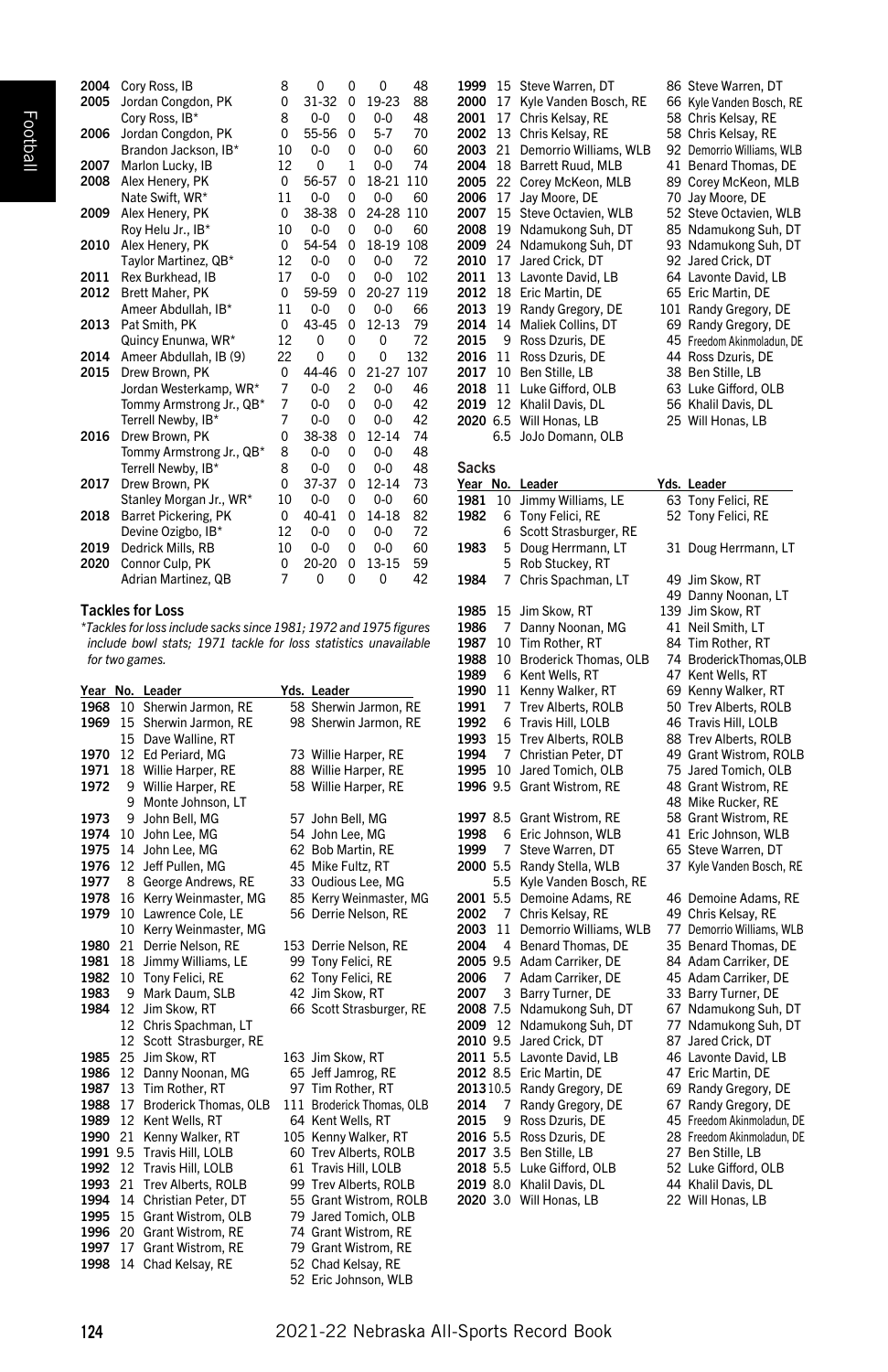| 2004 | Cory Ross, IB            | 8        | $\Omega$  | 0              | 0         | 48  |
|------|--------------------------|----------|-----------|----------------|-----------|-----|
| 2005 | Jordan Congdon, PK       | $\Omega$ | 31-32     | $\Omega$       | 19-23     | 88  |
|      | Corv Ross. IB*           | 8        | $0 - 0$   | $\Omega$       | $0 - 0$   | 48  |
| 2006 | Jordan Congdon, PK       | $\Omega$ | 55-56     | 0              | $5 - 7$   | 70  |
|      | Brandon Jackson, IB*     | 10       | $0 - 0$   | 0              | $0 - 0$   | 60  |
| 2007 | Marlon Lucky, IB         | 12       | 0         | $\mathbf{1}$   | $0 - 0$   | 74  |
| 2008 | Alex Henery, PK          | $\Omega$ | 56-57     | 0              | 18-21     | 110 |
|      | Nate Swift, WR*          | 11       | $0 - 0$   | $\Omega$       | $0 - 0$   | 60  |
| 2009 | Alex Henery, PK          | $\Omega$ | 38-38     | $\Omega$       | 24-28     | 110 |
|      | Roy Helu Jr., IB*        | 10       | $0 - 0$   | $\Omega$       | $0 - 0$   | 60  |
| 2010 | Alex Henery, PK          | $\Omega$ | 54-54     | 0              | 18-19     | 108 |
|      | Tavlor Martinez, QB*     | 12       | $0 - 0$   | 0              | $0 - 0$   | 72  |
| 2011 | Rex Burkhead. IB         | 17       | $0 - 0$   | $\Omega$       | $0 - 0$   | 102 |
| 2012 | Brett Maher, PK          | $\Omega$ | 59-59     | $\Omega$       | 20-27     | 119 |
|      | Ameer Abdullah. IB*      | 11       | $0 - 0$   | 0              | $0 - 0$   | 66  |
| 2013 | Pat Smith, PK            | $\Omega$ | 43-45     | 0              | $12 - 13$ | 79  |
|      | Quincy Enunwa, WR*       | 12       | 0         | $\Omega$       | 0         | 72  |
| 2014 | Ameer Abdullah, IB (9)   | 22       | O         | $\Omega$       | 0         | 132 |
| 2015 | Drew Brown, PK           | 0        | 44-46     | $\Omega$       | 21-27     | 107 |
|      | Jordan Westerkamp, WR*   | 7        | $0 - 0$   | $\overline{c}$ | $0 - 0$   | 46  |
|      | Tommy Armstrong Jr., QB* | 7        | $0 - 0$   | $\Omega$       | $0 - 0$   | 42  |
|      | Terrell Newby, IB*       | 7        | $0 - 0$   | $\Omega$       | $0 - 0$   | 42  |
| 2016 | Drew Brown, PK           | $\Omega$ | 38-38     | $\Omega$       | $12 - 14$ | 74  |
|      | Tommy Armstrong Jr., QB* | 8        | $0 - 0$   | $\Omega$       | $0 - 0$   | 48  |
|      | Terrell Newby, IB*       | 8        | $0 - 0$   | $\Omega$       | $0 - 0$   | 48  |
| 2017 | Drew Brown, PK           | $\Omega$ | 37-37     | $\Omega$       | $12 - 14$ | 73  |
|      | Stanley Morgan Jr., WR*  | 10       | 0-0       | $\Omega$       | $0-0$     | 60  |
| 2018 | Barret Pickering, PK     | $\Omega$ | $40 - 41$ | $\Omega$       | 14-18     | 82  |
|      | Devine Ozigbo, IB*       | 12       | $0 - 0$   | 0              | $0 - 0$   | 72  |
| 2019 | Dedrick Mills, RB        | 10       | $0 - 0$   | $\Omega$       | $0 - 0$   | 60  |
| 2020 | Connor Culp, PK          | $\Omega$ | $20 - 20$ | $\Omega$       | 13-15     | 59  |
|      | Adrian Martinez, QB      | 7        | 0         | 0              | 0         | 42  |

# Tackles for Loss

*\*Tackles for loss include sacks since 1981; 1972 and 1975 figures include bowl stats; 1971 tackle for loss statistics unavailable for two games.*

|      |     | Year No. Leader       |     | Yds. Leader                  |
|------|-----|-----------------------|-----|------------------------------|
| 1968 | 10  | Sherwin Jarmon, RE    |     | 58 Sherwin Jarmon, RE        |
| 1969 | 15  | Sherwin Jarmon, RE    |     | 98 Sherwin Jarmon, RE        |
|      | 15  | Dave Walline, RT      |     |                              |
| 1970 | 12  | Ed Periard, MG        |     | 73 Willie Harper, RE         |
| 1971 | 18  | Willie Harper, RE     |     | 88 Willie Harper, RE         |
| 1972 | 9   | Willie Harper, RE     |     | 58 Willie Harper, RE         |
|      | 9   | Monte Johnson, LT     |     |                              |
| 1973 | 9   | John Bell, MG         |     | 57 John Bell, MG             |
| 1974 | 10  | John Lee, MG          |     | 54 John Lee, MG              |
| 1975 | 14  | John Lee, MG          |     | 62 Bob Martin, RE            |
| 1976 | 12  | Jeff Pullen, MG       |     | 45 Mike Fultz, RT            |
| 1977 | 8   | George Andrews, RE    |     | 33 Oudious Lee, MG           |
| 1978 | 16  | Kerry Weinmaster, MG  |     | 85 Kerry Weinmaster, MG      |
| 1979 | 10  | Lawrence Cole, LE     |     | 56 Derrie Nelson, RE         |
|      | 10  | Kerry Weinmaster, MG  |     |                              |
| 1980 | 21  | Derrie Nelson, RE     |     | 153 Derrie Nelson, RE        |
| 1981 | 18  | Jimmy Williams, LE    |     | 99 Tony Felici, RE           |
| 1982 | 10  | Tony Felici, RE       |     | 62 Tony Felici, RE           |
| 1983 | 9   | Mark Daum, SLB        |     | 42 Jim Skow, RT              |
| 1984 | 12  | Jim Skow, RT          |     | 66 Scott Strasburger, RE     |
|      | 12  | Chris Spachman, LT    |     |                              |
|      | 12  | Scott Strasburger, RE |     |                              |
| 1985 | 25  | Jim Skow, RT          |     | 163 Jim Skow, RT             |
| 1986 | 12  | Danny Noonan, MG      |     | 65 Jeff Jamrog, RE           |
| 1987 | 13  | Tim Rother, RT        |     | 97 Tim Rother, RT            |
| 1988 | 17  | Broderick Thomas, OLB | 111 | <b>Broderick Thomas, OLB</b> |
| 1989 | 12  | Kent Wells, RT        |     | 64 Kent Wells, RT            |
| 1990 | 21  | Kenny Walker, RT      |     | 105 Kenny Walker, RT         |
| 1991 | 9.5 | Travis Hill, LOLB     |     | 60 Trev Alberts, ROLB        |
| 1992 | 12  | Travis Hill, LOLB     |     | 61 Travis Hill, LOLB         |
| 1993 | 21  | Trev Alberts, ROLB    |     | 99 Trev Alberts, ROLB        |
| 1994 | 14  | Christian Peter, DT   |     | 55 Grant Wistrom, ROLB       |
| 1995 | 15  | Grant Wistrom, OLB    |     | 79 Jared Tomich, OLB         |
| 1996 | 20  | Grant Wistrom, RE     |     | 74 Grant Wistrom, RE         |
| 1997 | 17  | Grant Wistrom, RE     |     | 79 Grant Wistrom, RE         |
| 1998 | 14  | Chad Kelsay, RE       |     | 52 Chad Kelsay, RE           |
|      |     |                       |     | 52 Eric Johnson, WLB         |

| 1999 |    | 15 Steve Warren, DT     | 86 Steve Warren, DT        |
|------|----|-------------------------|----------------------------|
| 2000 | 17 | Kyle Vanden Bosch, RE   | 66 Kyle Vanden Bosch, RE   |
| 2001 | 17 | Chris Kelsay, RE        | 58 Chris Kelsay, RE        |
| 2002 | 13 | Chris Kelsay, RE        | 58 Chris Kelsay, RE        |
| 2003 | 21 | Demorrio Williams, WLB  | 92 Demorrio Williams, WLB  |
| 2004 | 18 | Barrett Ruud, MLB       | 41 Benard Thomas, DE       |
| 2005 | 22 | Corey McKeon, MLB       | 89 Corey McKeon, MLB       |
| 2006 | 17 | Jay Moore, DE           | 70 Jay Moore, DE           |
| 2007 | 15 | Steve Octavien, WLB     | 52 Steve Octavien, WLB     |
| 2008 | 19 | Ndamukong Suh, DT       | 85 Ndamukong Suh, DT       |
| 2009 | 24 | Ndamukong Suh, DT       | 93 Ndamukong Suh, DT       |
| 2010 | 17 | Jared Crick, DT         | 92 Jared Crick, DT         |
| 2011 | 13 | Lavonte David, LB       | 64 Lavonte David, LB       |
| 2012 | 18 | Eric Martin, DE         | 65 Eric Martin, DE         |
| 2013 | 19 | Randy Gregory, DE       | 101 Randy Gregory, DE      |
| 2014 | 14 | Maliek Collins, DT      | 69 Randy Gregory, DE       |
| 2015 | 9  | Ross Dzuris, DE         | 45 Freedom Akinmoladun, DE |
| 2016 | 11 | Ross Dzuris, DE         | 44 Ross Dzuris, DE         |
| 2017 | 10 | Ben Stille, LB          | 38 Ben Stille, LB          |
| 2018 | 11 | Luke Gifford, OLB       | 63 Luke Gifford, OLB       |
| 2019 | 12 | Khalil Davis, DL        | 56 Khalil Davis, DL        |
|      |    | 2020 6.5 Will Honas, LB | 25 Will Honas, LB          |
|      |    | 6.5 JoJo Domann, OLB    |                            |

# Sacks

| Year No.     |        | Leader                                | Yds. Leader                                 |
|--------------|--------|---------------------------------------|---------------------------------------------|
| 1981         | 10     | Jimmy Williams, LE                    | 63 Tony Felici, RE                          |
| 1982         | 6      | Tony Felici, RE                       | 52 Tony Felici, RE                          |
|              | 6      | Scott Strasburger, RE                 |                                             |
| 1983         | 5      | Doug Herrmann, LT                     | 31 Doug Herrmann, LT                        |
|              | 5      | Rob Stuckey, RT                       |                                             |
| 1984         | 7      | Chris Spachman, LT                    | 49 Jim Skow, RT                             |
|              |        |                                       | 49 Danny Noonan, LT                         |
| 1985         | 15     | Jim Skow, RT                          | 139 Jim Skow, RT                            |
| 1986         | 7      | Danny Noonan, MG                      | 41 Neil Smith, LT                           |
| 1987         | 10     | Tim Rother, RT                        | 84 Tim Rother, RT                           |
| 1988         | 10     | Broderick Thomas, OLB                 | 74 BroderickThomas, OLB                     |
| 1989         | 6      | Kent Wells, RT                        | 47 Kent Wells, RT                           |
| 1990         | 11     | Kenny Walker, RT                      | 69 Kenny Walker, RT                         |
| 1991         | 7      | Trev Alberts, ROLB                    | 50 Trev Alberts, ROLB                       |
| 1992         | 6      | Travis Hill, LOLB                     | 46 Travis Hill, LOLB                        |
| 1993         | 15     | Trev Alberts, ROLB                    | 88 Trev Alberts, ROLB                       |
| 1994         | 7      | Christian Peter, DT                   | 49 Grant Wistrom, ROLB                      |
| 1995         | 10     | Jared Tomich, OLB                     | 75 Jared Tomich, OLB                        |
| 1996 9.5     |        | Grant Wistrom, RE                     | 48 Grant Wistrom, RE                        |
|              |        |                                       | 48 Mike Rucker, RE                          |
| 1997 8.5     |        | Grant Wistrom, RE                     | 58 Grant Wistrom, RE                        |
| 1998         | 6      | Eric Johnson, WLB                     | 41 Eric Johnson, WLB                        |
| 1999         | 7      | Steve Warren, DT                      | 65 Steve Warren, DT                         |
| 2000 5.5     |        | Randy Stella, WLB                     | 37 Kyle Vanden Bosch, RE                    |
|              | 5.5    | Kyle Vanden Bosch, RE                 |                                             |
| 2001         | 5.5    | Demoine Adams, RE                     | 46 Demoine Adams, RE                        |
| 2002         | 7      | Chris Kelsay, RE                      | 49 Chris Kelsay, RE                         |
| 2003         | 11     | Demorrio Williams, WLB                | 77 Demorrio Williams, WLB                   |
| 2004         | 4      | Benard Thomas, DE                     | 35 Benard Thomas, DE                        |
| 2005 9.5     |        | Adam Carriker, DE                     | 84 Adam Carriker, DE                        |
| 2006<br>2007 | 7<br>3 | Adam Carriker, DE                     | 45 Adam Carriker, DE                        |
| 2008 7.5     |        | Barry Turner, DE<br>Ndamukong Suh, DT | 33 Barry Turner, DE<br>67 Ndamukong Suh, DT |
| 2009         | 12     | Ndamukong Suh, DT                     | 77 Ndamukong Suh, DT                        |
| 2010 9.5     |        | Jared Crick, DT                       | 87 Jared Crick, DT                          |
| 2011 5.5     |        | Lavonte David, LB                     | 46 Lavonte David, LB                        |
| 2012 8.5     |        | Eric Martin, DE                       | 47 Eric Martin, DE                          |
| 201310.5     |        | Randy Gregory, DE                     | 69 Randy Gregory, DE                        |
| 2014         | 7      | Randy Gregory, DE                     | 67 Randy Gregory, DE                        |
| 2015         | 9      | Ross Dzuris, DE                       | 45 Freedom Akinmoladun, DE                  |
| 2016 5.5     |        | Ross Dzuris, DE                       | 28 Freedom Akinmoladun, DE                  |
| 2017 3.5     |        | Ben Stille, LB                        | 27 Ben Stille, LB                           |
| 2018 5.5     |        | Luke Gifford, OLB                     | 52 Luke Gifford, OLB                        |
| 2019 8.0     |        | Khalil Davis, DL                      | 44 Khalil Davis, DL                         |
| 2020 3.0     |        | Will Honas, LB                        | 22 Will Honas, LB                           |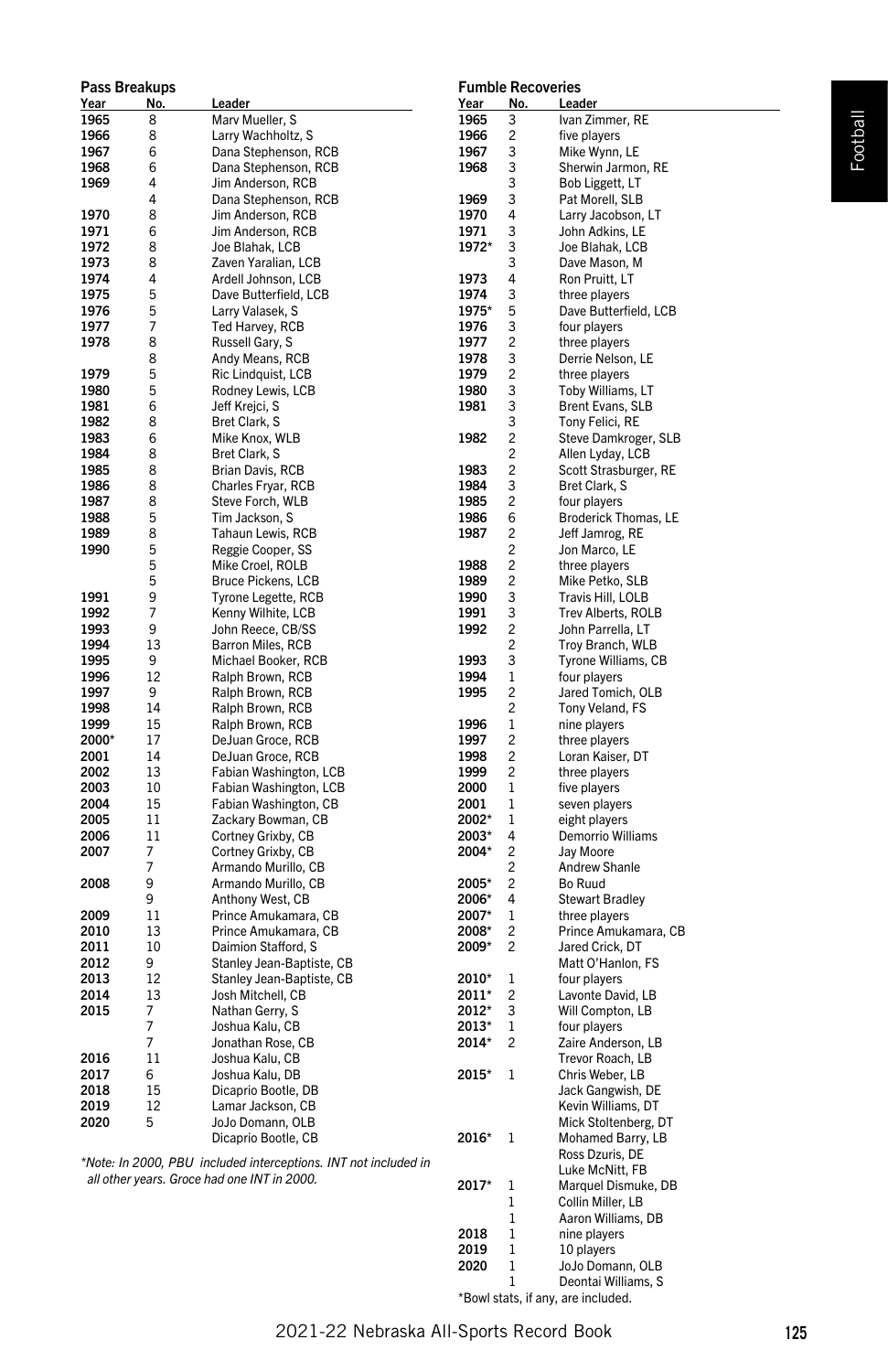|       | Pass Breakups  |                                                                 |       |                         | <b>Fumble Recoveries</b> |
|-------|----------------|-----------------------------------------------------------------|-------|-------------------------|--------------------------|
| Year  | No.            | Leader                                                          | Year  | No.                     | Leader                   |
| 1965  | 8              | Marv Mueller, S                                                 | 1965  | 3                       | Ivan Zimmer, RE          |
| 1966  | 8              | Larry Wachholtz, S                                              | 1966  | $\overline{2}$          | five players             |
| 1967  | 6              | Dana Stephenson, RCB                                            | 1967  | 3                       | Mike Wynn, LE            |
| 1968  | 6              | Dana Stephenson, RCB                                            | 1968  | 3                       | Sherwin Jarmon, RE       |
| 1969  | 4              | Jim Anderson, RCB                                               |       | 3                       | Bob Liggett, LT          |
|       | 4              | Dana Stephenson, RCB                                            | 1969  | 3                       | Pat Morell, SLB          |
| 1970  | 8              | Jim Anderson, RCB                                               | 1970  | 4                       | Larry Jacobson, LT       |
| 1971  | 6              | Jim Anderson, RCB                                               | 1971  | 3                       | John Adkins, LE          |
| 1972  | 8              | Joe Blahak, LCB                                                 | 1972* | 3                       | Joe Blahak, LCB          |
| 1973  | 8              | Zaven Yaralian, LCB                                             |       | 3                       | Dave Mason, M            |
| 1974  | 4              | Ardell Johnson, LCB                                             | 1973  | 4                       | Ron Pruitt, LT           |
| 1975  | 5              | Dave Butterfield, LCB                                           | 1974  | 3                       | three players            |
| 1976  | 5              | Larry Valasek, S                                                | 1975* | 5                       | Dave Butterfield, LCB    |
| 1977  | 7              | Ted Harvey, RCB                                                 | 1976  | 3                       | four players             |
| 1978  | 8              | Russell Gary, S                                                 | 1977  | $\overline{c}$          | three players            |
|       | 8              | Andy Means, RCB                                                 | 1978  | 3                       | Derrie Nelson, LE        |
| 1979  | 5              | Ric Lindquist, LCB                                              | 1979  | $\overline{c}$          | three players            |
| 1980  | 5              | Rodney Lewis, LCB                                               | 1980  | 3                       | Toby Williams, LT        |
| 1981  | 6              | Jeff Krejci, S                                                  | 1981  | 3                       | Brent Evans, SLB         |
| 1982  | 8              | Bret Clark, S                                                   |       | 3                       | Tony Felici, RE          |
| 1983  | 6              | Mike Knox, WLB                                                  | 1982  | $\overline{2}$          | Steve Damkroger, SLB     |
| 1984  | 8              | Bret Clark, S                                                   |       | $\overline{c}$          |                          |
|       |                |                                                                 |       |                         | Allen Lyday, LCB         |
| 1985  | 8              | Brian Davis, RCB                                                | 1983  | $\overline{c}$          | Scott Strasburger, RE    |
| 1986  | 8              | Charles Fryar, RCB                                              | 1984  | 3                       | Bret Clark, S            |
| 1987  | 8              | Steve Forch, WLB                                                | 1985  | $\overline{c}$          | four players             |
| 1988  | 5              | Tim Jackson, S                                                  | 1986  | 6                       | Broderick Thomas, LE     |
| 1989  | 8              | Tahaun Lewis, RCB                                               | 1987  | $\overline{c}$          | Jeff Jamrog, RE          |
| 1990  | 5              | Reggie Cooper, SS                                               |       | $\overline{c}$          | Jon Marco, LE            |
|       | 5              | Mike Croel, ROLB                                                | 1988  | $\overline{c}$          | three players            |
|       | 5              | Bruce Pickens, LCB                                              | 1989  | $\overline{c}$          | Mike Petko, SLB          |
| 1991  | 9              | Tyrone Legette, RCB                                             | 1990  | 3                       | Travis Hill, LOLB        |
| 1992  | $\overline{7}$ | Kenny Wilhite, LCB                                              | 1991  | 3                       | Trev Alberts, ROLB       |
| 1993  | 9              | John Reece, CB/SS                                               | 1992  | $\overline{c}$          | John Parrella, LT        |
| 1994  | 13             | Barron Miles, RCB                                               |       | $\overline{2}$          | Troy Branch, WLB         |
| 1995  | 9              | Michael Booker, RCB                                             | 1993  | 3                       | Tyrone Williams, CB      |
| 1996  | 12             | Ralph Brown, RCB                                                | 1994  | $\mathbf{1}$            | four players             |
| 1997  | 9              | Ralph Brown, RCB                                                | 1995  | $\overline{c}$          | Jared Tomich, OLB        |
| 1998  | 14             | Ralph Brown, RCB                                                |       | $\overline{2}$          | Tony Veland, FS          |
| 1999  | 15             | Ralph Brown, RCB                                                | 1996  | 1                       | nine plavers             |
| 2000* | 17             | DeJuan Groce, RCB                                               | 1997  | 2                       | three players            |
| 2001  | 14             | DeJuan Groce, RCB                                               | 1998  | $\overline{c}$          | Loran Kaiser, DT         |
| 2002  | 13             |                                                                 | 1999  | $\overline{c}$          |                          |
|       | 10             | Fabian Washington, LCB                                          |       |                         | three players            |
| 2003  |                | Fabian Washington, LCB                                          | 2000  | 1                       | five players             |
| 2004  | 15             | Fabian Washington, CB                                           | 2001  | 1                       | seven players            |
| 2005  | 11             | Zackary Bowman, CB                                              | 2002* | $\mathbf{1}$            | eight players            |
| 2006  | 11             | Cortney Grixby, CB                                              | 2003* | 4                       | Demorrio Williams        |
| 2007  | 7              | Cortney Grixby, CB                                              | 2004* | 2                       | Jay Moore                |
|       | $\overline{7}$ | Armando Murillo, CB                                             |       | $\overline{c}$          | Andrew Shanle            |
| 2008  | 9              | Armando Murillo, CB                                             | 2005* | $\overline{c}$          | Bo Ruud                  |
|       | 9              | Anthony West, CB                                                | 2006* | 4                       | <b>Stewart Bradley</b>   |
| 2009  | 11             | Prince Amukamara, CB                                            | 2007* | $\mathbf{1}$            | three players            |
| 2010  | 13             | Prince Amukamara, CB                                            | 2008* | $\overline{c}$          | Prince Amukamara, CB     |
| 2011  | 10             | Daimion Stafford, S                                             | 2009* | $\overline{\mathbf{c}}$ | Jared Crick, DT          |
| 2012  | 9              | Stanley Jean-Baptiste, CB                                       |       |                         | Matt O'Hanlon, FS        |
| 2013  | 12             | Stanley Jean-Baptiste, CB                                       | 2010* | $\mathbf{1}$            | four players             |
| 2014  | 13             | Josh Mitchell, CB                                               | 2011* | 2                       | Lavonte David, LB        |
| 2015  | 7              | Nathan Gerry, S                                                 | 2012* | 3                       | Will Compton, LB         |
|       | $\overline{7}$ | Joshua Kalu, CB                                                 | 2013* | $\mathbf{1}$            | four players             |
|       | $\overline{7}$ | Jonathan Rose, CB                                               | 2014* | $\overline{c}$          | Zaire Anderson, LB       |
| 2016  | 11             | Joshua Kalu, CB                                                 |       |                         | Trevor Roach, LB         |
| 2017  | 6              | Joshua Kalu, DB                                                 |       | $\mathbf{1}$            |                          |
| 2018  | 15             |                                                                 | 2015* |                         | Chris Weber, LB          |
|       |                | Dicaprio Bootle, DB                                             |       |                         | Jack Gangwish, DE        |
| 2019  | 12             | Lamar Jackson, CB                                               |       |                         | Kevin Williams, DT       |
| 2020  | 5              | JoJo Domann, OLB                                                |       |                         | Mick Stoltenberg, DT     |
|       |                | Dicaprio Bootle, CB                                             | 2016* | $\mathbf{1}$            | Mohamed Barry, LB        |
|       |                | *Note: In 2000, PBU included interceptions. INT not included in |       |                         | Ross Dzuris, DE          |
|       |                | all other years. Groce had one INT in 2000.                     |       |                         | Luke McNitt, FB          |
|       |                |                                                                 | 2017* | 1                       | Marquel Dismuke, DB      |
|       |                |                                                                 |       | $\mathbf{1}$            | Collin Miller, LB        |
|       |                |                                                                 |       | 1                       | Aaron Williams, DB       |

# Fumble Recoveries

\*Bowl stats, if any, are included.

1 JoJo Domann, OLB<br>1 Deontai Williams. S Deontai Williams, S

2018 1 nine players<br>2019 1 10 players **2019** 1 10 players<br>**2020** 1 JoJo Doma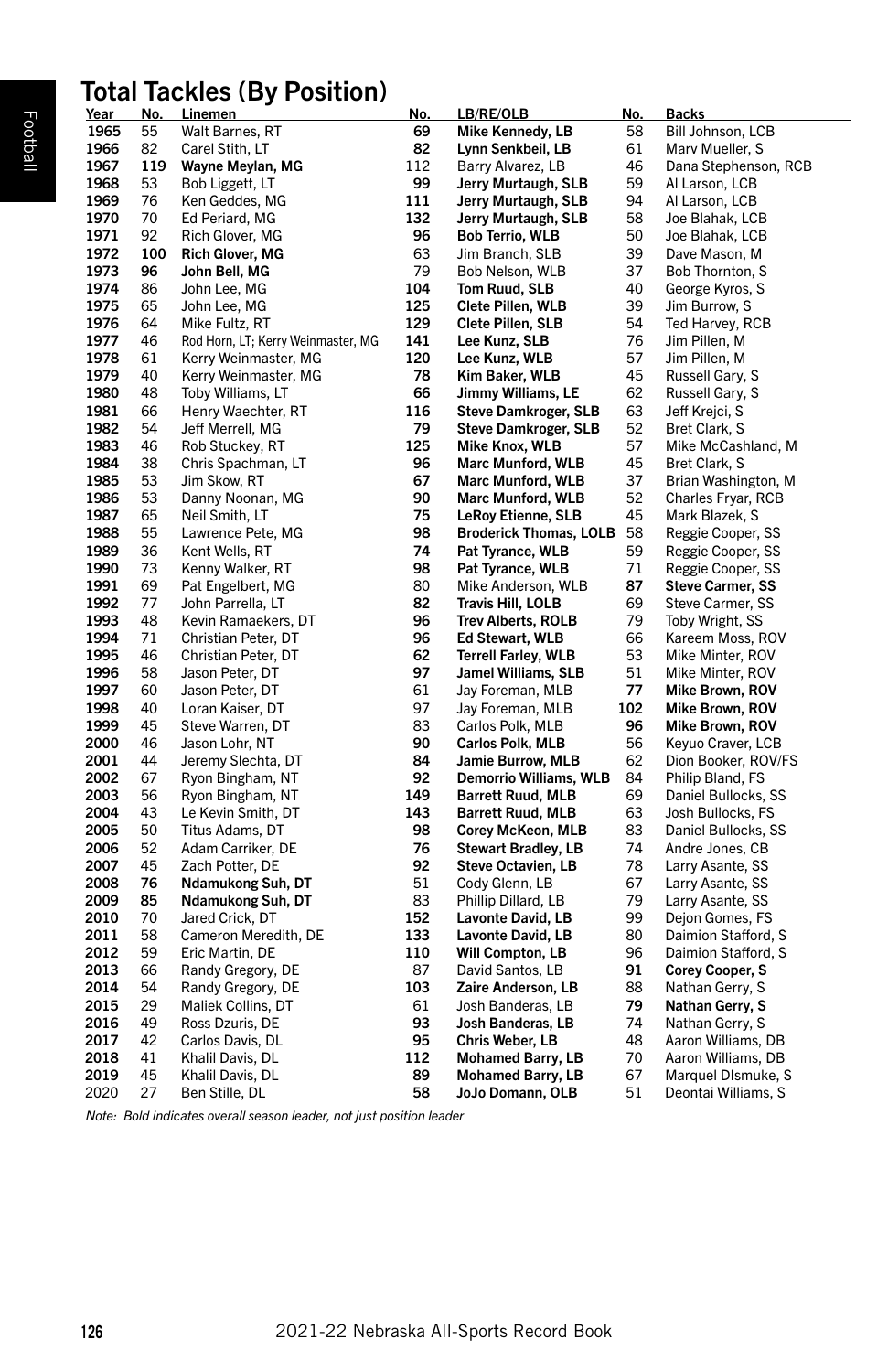# Total Tackles (By Position)

|      |            | <b>IULAI TACNIES (DY FUSILIUII)</b> |            |                               |            |                         |
|------|------------|-------------------------------------|------------|-------------------------------|------------|-------------------------|
| Year | <u>No.</u> | <b>Linemen</b>                      | <u>No.</u> | <u>LB/RE/OLB</u>              | <u>No.</u> | <b>Backs</b>            |
| 1965 | 55         | Walt Barnes, RT                     | 69         | Mike Kennedy, LB              | 58         | Bill Johnson, LCB       |
| 1966 | 82         | Carel Stith, LT                     | 82         | Lynn Senkbeil, LB             | 61         | Marv Mueller, S         |
| 1967 | 119        | Wayne Meylan, MG                    | 112        | Barry Alvarez, LB             | 46         | Dana Stephenson, RCB    |
| 1968 | 53         | Bob Liggett, LT                     | 99         | Jerry Murtaugh, SLB           | 59         | Al Larson, LCB          |
| 1969 | 76         | Ken Geddes, MG                      | 111        | Jerry Murtaugh, SLB           | 94         | Al Larson, LCB          |
| 1970 | 70         | Ed Periard, MG                      | 132        | Jerry Murtaugh, SLB           | 58         | Joe Blahak, LCB         |
| 1971 | 92         | Rich Glover, MG                     | 96         | <b>Bob Terrio, WLB</b>        | 50         | Joe Blahak, LCB         |
| 1972 | 100        | <b>Rich Glover, MG</b>              | 63         | Jim Branch, SLB               | 39         | Dave Mason, M           |
| 1973 | 96         | John Bell, MG                       | 79         | Bob Nelson, WLB               | 37         | Bob Thornton, S         |
| 1974 | 86         | John Lee, MG                        | 104        | Tom Ruud, SLB                 | 40         | George Kyros, S         |
| 1975 | 65         | John Lee, MG                        | 125        | Clete Pillen, WLB             | 39         | Jim Burrow, S           |
| 1976 | 64         | Mike Fultz, RT                      | 129        | Clete Pillen, SLB             | 54         | Ted Harvey, RCB         |
| 1977 | 46         | Rod Horn, LT; Kerry Weinmaster, MG  | 141        | Lee Kunz, SLB                 | 76         | Jim Pillen, M           |
| 1978 | 61         | Kerry Weinmaster, MG                | 120        | Lee Kunz, WLB                 | 57         | Jim Pillen, M           |
| 1979 | 40         | Kerry Weinmaster, MG                | 78         | Kim Baker, WLB                | 45         | Russell Gary, S         |
| 1980 | 48         | Toby Williams, LT                   | 66         | Jimmy Williams, LE            | 62         | Russell Gary, S         |
| 1981 | 66         | Henry Waechter, RT                  | 116        | <b>Steve Damkroger, SLB</b>   | 63         | Jeff Krejci, S          |
| 1982 | 54         | Jeff Merrell, MG                    | 79         | Steve Damkroger, SLB          | 52         | Bret Clark, S           |
| 1983 | 46         | Rob Stuckey, RT                     | 125        | Mike Knox, WLB                | 57         | Mike McCashland, M      |
| 1984 | 38         | Chris Spachman, LT                  | 96         | <b>Marc Munford, WLB</b>      | 45         | Bret Clark, S           |
| 1985 | 53         | Jim Skow, RT                        | 67         | <b>Marc Munford, WLB</b>      | 37         | Brian Washington, M     |
| 1986 | 53         | Danny Noonan, MG                    | 90         | <b>Marc Munford, WLB</b>      | 52         | Charles Fryar, RCB      |
| 1987 | 65         | Neil Smith, LT                      | 75         | <b>LeRoy Etienne, SLB</b>     | 45         | Mark Blazek, S          |
| 1988 | 55         | Lawrence Pete, MG                   | 98         | <b>Broderick Thomas, LOLB</b> | 58         | Reggie Cooper, SS       |
| 1989 | 36         | Kent Wells, RT                      | 74         | Pat Tyrance, WLB              | 59         | Reggie Cooper, SS       |
| 1990 | 73         | Kenny Walker, RT                    | 98         | Pat Tyrance, WLB              | 71         | Reggie Cooper, SS       |
| 1991 | 69         | Pat Engelbert, MG                   | 80         | Mike Anderson, WLB            | 87         | <b>Steve Carmer, SS</b> |
| 1992 | 77         | John Parrella, LT                   | 82         | Travis Hill, LOLB             | 69         | Steve Carmer, SS        |
| 1993 | 48         | Kevin Ramaekers, DT                 | 96         | <b>Trev Alberts, ROLB</b>     | 79         | Toby Wright, SS         |
| 1994 | 71         | Christian Peter, DT                 | 96         | Ed Stewart, WLB               | 66         | Kareem Moss, ROV        |
| 1995 | 46         | Christian Peter, DT                 | 62         | <b>Terrell Farley, WLB</b>    | 53         | Mike Minter, ROV        |
| 1996 | 58         | Jason Peter, DT                     | 97         | Jamel Williams, SLB           | 51         | Mike Minter, ROV        |
| 1997 | 60         | Jason Peter, DT                     | 61         | Jay Foreman, MLB              | 77         | Mike Brown, ROV         |
| 1998 | 40         | Loran Kaiser, DT                    | 97         | Jay Foreman, MLB              | 102        | Mike Brown, ROV         |
| 1999 | 45         | Steve Warren, DT                    | 83         | Carlos Polk, MLB              | 96         | Mike Brown, ROV         |
| 2000 | 46         | Jason Lohr, NT                      | 90         | Carlos Polk, MLB              | 56         | Keyuo Craver, LCB       |
| 2001 | 44         | Jeremy Slechta, DT                  | 84         | <b>Jamie Burrow, MLB</b>      | 62         | Dion Booker, ROV/FS     |
| 2002 | 67         | Ryon Bingham, NT                    | 92         | <b>Demorrio Williams, WLB</b> | 84         | Philip Bland, FS        |
| 2003 | 56         | Ryon Bingham, NT                    | 149        | <b>Barrett Ruud, MLB</b>      | 69         | Daniel Bullocks, SS     |
| 2004 | 43         | Le Kevin Smith, DT                  | 143        | <b>Barrett Ruud, MLB</b>      | 63         | Josh Bullocks, FS       |
| 2005 | 50         | Titus Adams, DT                     | 98         | <b>Corey McKeon, MLB</b>      | 83         | Daniel Bullocks, SS     |
| 2006 | 52         | Adam Carriker, DE                   | 76         | <b>Stewart Bradley, LB</b>    | 74         | Andre Jones, CB         |
| 2007 | 45         | Zach Potter, DE                     | 92         | Steve Octavien, LB            | 78         | Larry Asante, SS        |
| 2008 | 76         | Ndamukong Suh, DT                   | 51         | Cody Glenn, LB                | 67         | Larry Asante, SS        |
| 2009 | 85         | Ndamukong Suh, DT                   | 83         | Phillip Dillard, LB           | 79         | Larry Asante, SS        |
| 2010 | 70         | Jared Crick, DT                     | 152        | Lavonte David, LB             | 99         | Dejon Gomes, FS         |
| 2011 | 58         | Cameron Meredith, DE                | 133        | Lavonte David, LB             | 80         | Daimion Stafford, S     |
| 2012 | 59         | Eric Martin, DE                     | 110        | Will Compton, LB              | 96         | Daimion Stafford, S     |
| 2013 | 66         | Randy Gregory, DE                   | 87         | David Santos, LB              | 91         | Corey Cooper, S         |
| 2014 | 54         | Randy Gregory, DE                   | 103        | Zaire Anderson, LB            | 88         | Nathan Gerry, S         |
| 2015 | 29         | Maliek Collins, DT                  | 61         | Josh Banderas, LB             | 79         | Nathan Gerry, S         |
| 2016 | 49         | Ross Dzuris, DE                     | 93         | Josh Banderas, LB             | 74         | Nathan Gerry, S         |
| 2017 | 42         | Carlos Davis, DL                    | 95         | Chris Weber, LB               | 48         | Aaron Williams, DB      |
| 2018 | 41         | Khalil Davis, DL                    | 112        | <b>Mohamed Barry, LB</b>      | 70         | Aaron Williams, DB      |
| 2019 | 45         | Khalil Davis, DL                    | 89         | <b>Mohamed Barry, LB</b>      | 67         | Marquel DIsmuke, S      |
| 2020 | 27         | Ben Stille, DL                      | 58         | JoJo Domann, OLB              | 51         | Deontai Williams, S     |
|      |            |                                     |            |                               |            |                         |

*Note: Bold indicates overall season leader, not just position leader*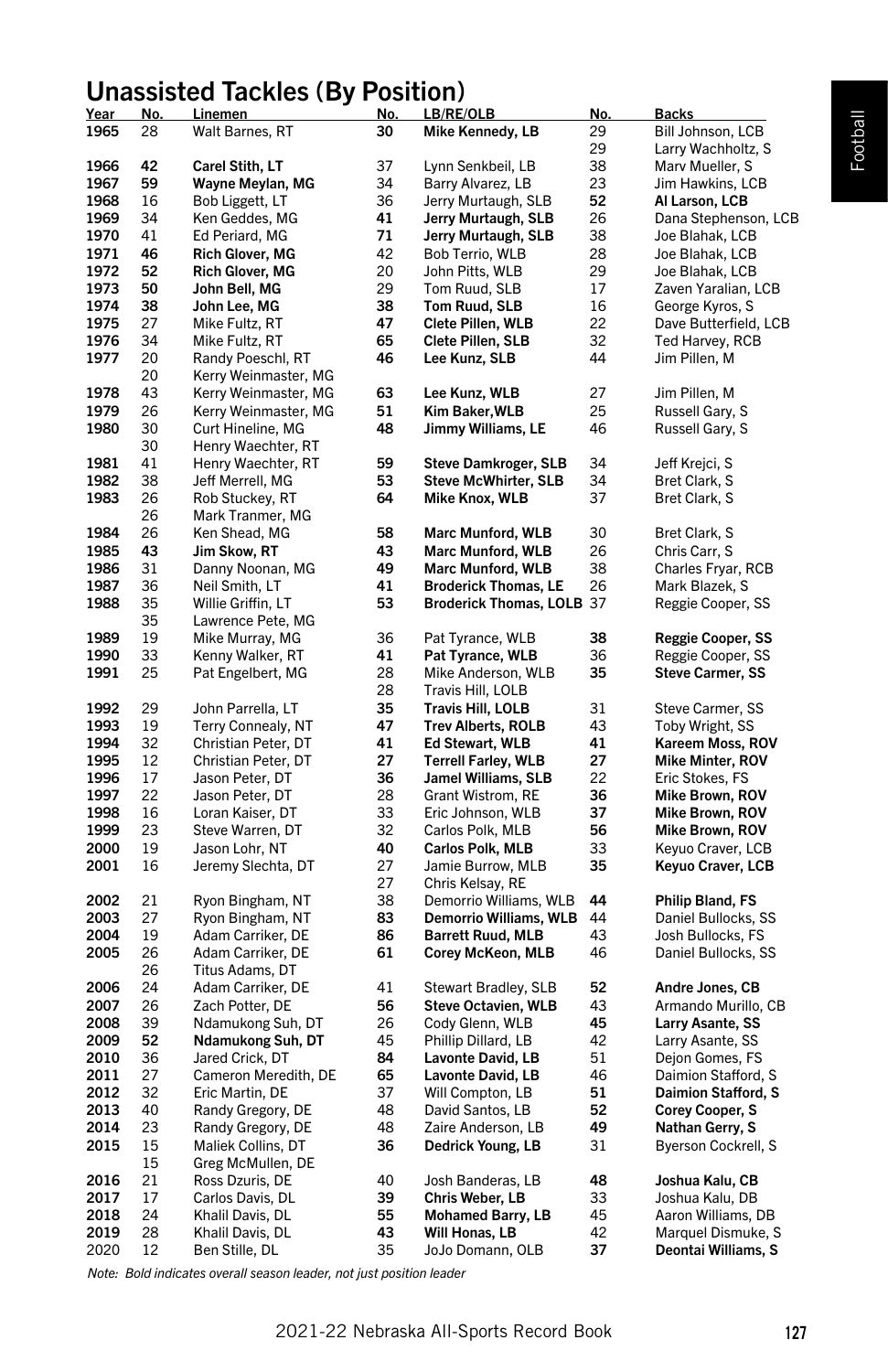# Unassisted Tackles (By Position) Year No. Linemen No. LB/RE/OLB No. Backs

| <u>Year</u> | <u>No.</u> | <u>.ınemen</u>         | <u>No.</u> | <u>LB/RE/OLB</u>            | <u>No.</u> | <u>Backs</u>            |
|-------------|------------|------------------------|------------|-----------------------------|------------|-------------------------|
| 1965        | 28         | Walt Barnes, RT        | 30         | Mike Kennedy, LB            | 29         | Bill Johnson, LCB       |
|             |            |                        |            |                             | 29         | Larry Wachholtz, S      |
| 1966        | 42         | Carel Stith, LT        | 37         | Lynn Senkbeil, LB           | 38         | Marv Mueller, S         |
| 1967        | 59         | Wayne Meylan, MG       | 34         | Barry Alvarez, LB           | 23         | Jim Hawkins, LCB        |
| 1968        | 16         | Bob Liggett, LT        | 36         | Jerry Murtaugh, SLB         | 52         | Al Larson, LCB          |
| 1969        | 34         | Ken Geddes, MG         | 41         | Jerry Murtaugh, SLB         | 26         | Dana Stephenson, LCB    |
| 1970        | 41         | Ed Periard, MG         | 71         | Jerry Murtaugh, SLB         | 38         | Joe Blahak, LCB         |
| 1971        | 46         | <b>Rich Glover, MG</b> | 42         | Bob Terrio, WLB             | 28         | Joe Blahak, LCB         |
| 1972        | 52         | <b>Rich Glover, MG</b> | 20         | John Pitts, WLB             | 29         | Joe Blahak, LCB         |
| 1973        | 50         | John Bell, MG          | 29         | Tom Ruud, SLB               | 17         | Zaven Yaralian, LCB     |
| 1974        | 38         | John Lee, MG           | 38         | Tom Ruud, SLB               | 16         | George Kyros, S         |
| 1975        | 27         | Mike Fultz, RT         | 47         | Clete Pillen, WLB           | 22         | Dave Butterfield, LCB   |
| 1976        | 34         | Mike Fultz, RT         | 65         | Clete Pillen, SLB           | 32         | Ted Harvey, RCB         |
| 1977        | 20         | Randy Poeschl, RT      | 46         | Lee Kunz, SLB               | 44         | Jim Pillen, M           |
|             | 20         | Kerry Weinmaster, MG   |            |                             |            |                         |
| 1978        | 43         | Kerry Weinmaster, MG   | 63         | Lee Kunz, WLB               | 27         | Jim Pillen, M           |
| 1979        | 26         | Kerry Weinmaster, MG   | 51         | Kim Baker, WLB              | 25         | Russell Gary, S         |
| 1980        | 30         | Curt Hineline, MG      | 48         | Jimmy Williams, LE          | 46         | Russell Gary, S         |
|             | 30         | Henry Waechter, RT     |            |                             |            |                         |
| 1981        | 41         | Henry Waechter, RT     | 59         | <b>Steve Damkroger, SLB</b> | 34         | Jeff Krejci, S          |
| 1982        | 38         |                        | 53         | <b>Steve McWhirter, SLB</b> | 34         | Bret Clark, S           |
|             |            | Jeff Merrell, MG       |            |                             |            |                         |
| 1983        | 26         | Rob Stuckey, RT        | 64         | Mike Knox, WLB              | 37         | Bret Clark, S           |
|             | 26         | Mark Tranmer, MG       |            |                             |            |                         |
| 1984        | 26         | Ken Shead, MG          | 58         | <b>Marc Munford, WLB</b>    | 30         | Bret Clark, S           |
| 1985        | 43         | Jim Skow, RT           | 43         | <b>Marc Munford, WLB</b>    | 26         | Chris Carr, S           |
| 1986        | 31         | Danny Noonan, MG       | 49         | <b>Marc Munford, WLB</b>    | 38         | Charles Fryar, RCB      |
| 1987        | 36         | Neil Smith, LT         | 41         | <b>Broderick Thomas, LE</b> | 26         | Mark Blazek, S          |
| 1988        | 35         | Willie Griffin, LT     | 53         | Broderick Thomas, LOLB 37   |            | Reggie Cooper, SS       |
|             | 35         | Lawrence Pete, MG      |            |                             |            |                         |
| 1989        | 19         | Mike Murray, MG        | 36         | Pat Tyrance, WLB            | 38         | Reggie Cooper, SS       |
| 1990        | 33         | Kenny Walker, RT       | 41         | Pat Tyrance, WLB            | 36         | Reggie Cooper, SS       |
| 1991        | 25         | Pat Engelbert, MG      | 28         | Mike Anderson, WLB          | 35         | <b>Steve Carmer, SS</b> |
|             |            |                        | 28         | Travis Hill, LOLB           |            |                         |
| 1992        | 29         | John Parrella, LT      | 35         | Travis Hill, LOLB           | 31         | Steve Carmer, SS        |
| 1993        | 19         | Terry Connealy, NT     | 47         | <b>Trev Alberts, ROLB</b>   | 43         | Toby Wright, SS         |
| 1994        | 32         | Christian Peter, DT    | 41         | Ed Stewart, WLB             | 41         | Kareem Moss, ROV        |
| 1995        | 12         | Christian Peter, DT    | 27         | <b>Terrell Farley, WLB</b>  | 27         | <b>Mike Minter, ROV</b> |
| 1996        | 17         | Jason Peter, DT        | 36         | Jamel Williams, SLB         | 22         | Eric Stokes, FS         |
| 1997        | 22         | Jason Peter, DT        | 28         | Grant Wistrom, RE           | 36         | Mike Brown, ROV         |
| 1998        | 16         | Loran Kaiser, DT       | 33         | Eric Johnson, WLB           | 37         | Mike Brown, ROV         |
| 1999        | 23         | Steve Warren, DT       | 32         | Carlos Polk, MLB            | 56         | Mike Brown, ROV         |
| 2000        | 19         | Jason Lohr, NT         | 40         | Carlos Polk, MLB            | 33         | Keyuo Craver, LCB       |
| 2001        | 16         | Jeremy Slechta, DT     | 27         | Jamie Burrow, MLB           | 35         | Keyuo Craver, LCB       |
|             |            |                        | 27         | Chris Kelsay, RE            |            |                         |
| 2002        | 21         | Ryon Bingham, NT       | 38         | Demorrio Williams, WLB      | 44         | Philip Bland, FS        |
| 2003        | 27         | Ryon Bingham, NT       | 83         | Demorrio Williams, WLB      | 44         | Daniel Bullocks, SS     |
| 2004        | 19         | Adam Carriker, DE      | 86         | <b>Barrett Ruud, MLB</b>    | 43         | Josh Bullocks, FS       |
| 2005        | 26         | Adam Carriker, DE      | 61         | Corey McKeon, MLB           | 46         | Daniel Bullocks, SS     |
|             | 26         | Titus Adams, DT        |            |                             |            |                         |
| 2006        | 24         | Adam Carriker, DE      | 41         | Stewart Bradley, SLB        | 52         | Andre Jones, CB         |
| 2007        | 26         | Zach Potter, DE        | 56         | <b>Steve Octavien, WLB</b>  | 43         | Armando Murillo, CB     |
| 2008        | 39         | Ndamukong Suh, DT      | 26         | Cody Glenn, WLB             | 45         | Larry Asante, SS        |
| 2009        | 52         | Ndamukong Suh, DT      | 45         | Phillip Dillard, LB         | 42         | Larry Asante, SS        |
| 2010        | 36         | Jared Crick, DT        | 84         | Lavonte David, LB           | 51         | Dejon Gomes, FS         |
| 2011        | 27         |                        | 65         | Lavonte David, LB           | 46         | Daimion Stafford, S     |
| 2012        | 32         | Cameron Meredith, DE   | 37         |                             |            |                         |
|             | 40         | Eric Martin, DE        | 48         | Will Compton, LB            | 51<br>52   | Daimion Stafford, S     |
| 2013        |            | Randy Gregory, DE      |            | David Santos, LB            |            | <b>Corey Cooper, S</b>  |
| 2014        | 23         | Randy Gregory, DE      | 48         | Zaire Anderson, LB          | 49         | Nathan Gerry, S         |
| 2015        | 15         | Maliek Collins, DT     | 36         | Dedrick Young, LB           | 31         | Byerson Cockrell, S     |
|             | 15         | Greg McMullen, DE      |            |                             |            |                         |
| 2016        | 21         | Ross Dzuris, DE        | 40         | Josh Banderas, LB           | 48         | Joshua Kalu, CB         |
| 2017        | 17         | Carlos Davis, DL       | 39         | Chris Weber, LB             | 33         | Joshua Kalu, DB         |
| 2018        | 24         | Khalil Davis, DL       | 55         | <b>Mohamed Barry, LB</b>    | 45         | Aaron Williams, DB      |
| 2019        | 28         | Khalil Davis, DL       | 43         | Will Honas, LB              | 42         | Marquel Dismuke, S      |
| 2020        | 12         | Ben Stille, DL         | 35         | JoJo Domann, OLB            | 37         | Deontai Williams, S     |
|             |            |                        |            |                             |            |                         |

*Note: Bold indicates overall season leader, not just position leader*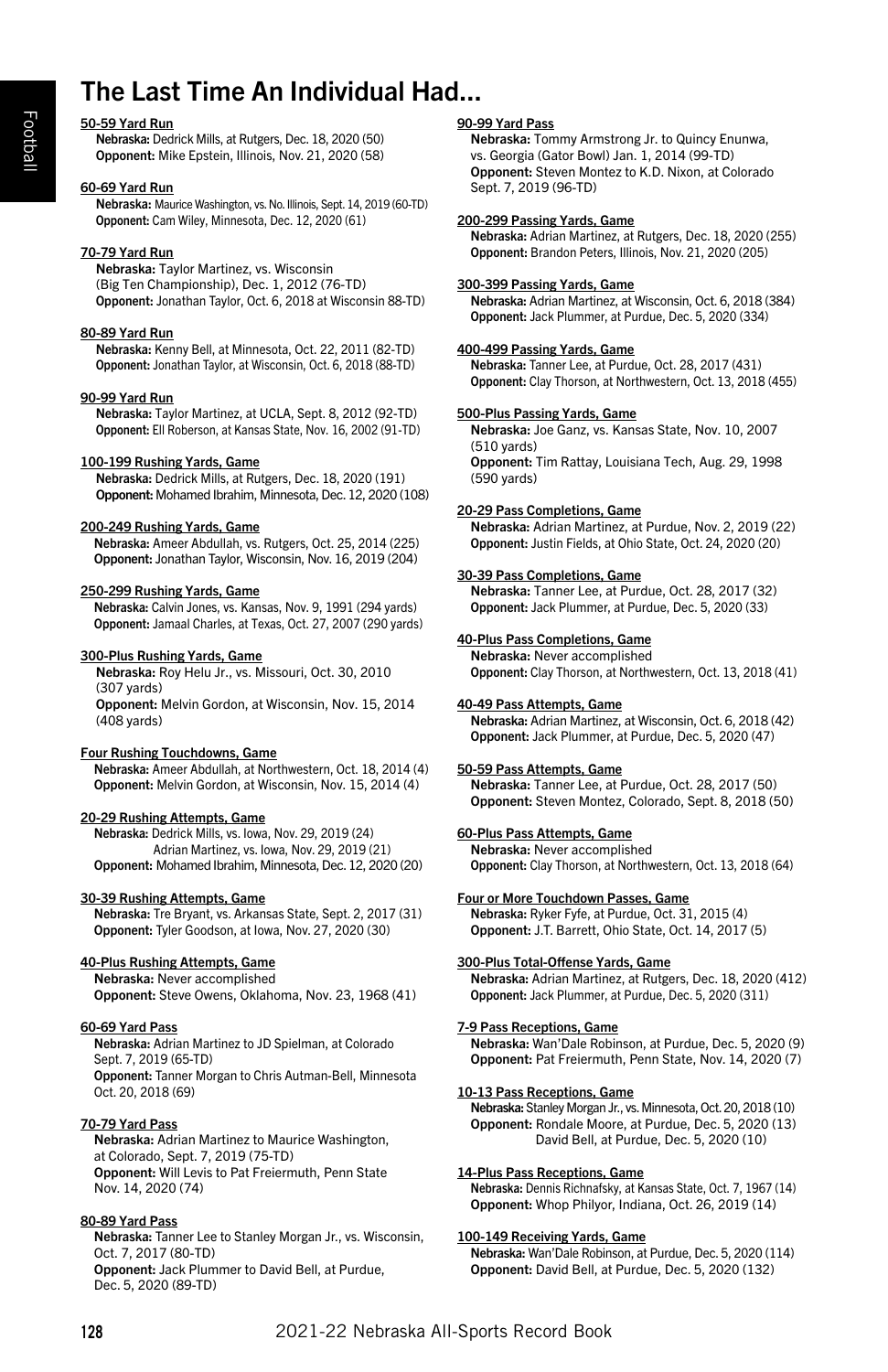# The Last Time An Individual Had...

#### 50-59 Yard Run

Nebraska: Dedrick Mills, at Rutgers, Dec. 18, 2020 (50) Opponent: Mike Epstein, Illinois, Nov. 21, 2020 (58)

#### 60-69 Yard Run

Nebraska: Maurice Washington, vs. No. Illinois, Sept. 14, 2019 (60-TD) Opponent: Cam Wiley, Minnesota, Dec. 12, 2020 (61)

#### 70-79 Yard Run

Nebraska: Taylor Martinez, vs. Wisconsin (Big Ten Championship), Dec. 1, 2012 (76-TD) Opponent: Jonathan Taylor, Oct. 6, 2018 at Wisconsin 88-TD)

#### 80-89 Yard Run

Nebraska: Kenny Bell, at Minnesota, Oct. 22, 2011 (82-TD) Opponent: Jonathan Taylor, at Wisconsin, Oct. 6, 2018 (88-TD)

#### 90-99 Yard Run

Nebraska: Taylor Martinez, at UCLA, Sept. 8, 2012 (92-TD) Opponent: Ell Roberson, at Kansas State, Nov. 16, 2002 (91-TD)

#### 100-199 Rushing Yards, Game

Nebraska: Dedrick Mills, at Rutgers, Dec. 18, 2020 (191) Opponent: Mohamed Ibrahim, Minnesota, Dec. 12, 2020 (108)

#### 200-249 Rushing Yards, Game

Nebraska: Ameer Abdullah, vs. Rutgers, Oct. 25, 2014 (225) Opponent: Jonathan Taylor, Wisconsin, Nov. 16, 2019 (204)

#### 250-299 Rushing Yards, Game

Nebraska: Calvin Jones, vs. Kansas, Nov. 9, 1991 (294 yards) Opponent: Jamaal Charles, at Texas, Oct. 27, 2007 (290 yards)

#### 300-Plus Rushing Yards, Game

Nebraska: Roy Helu Jr., vs. Missouri, Oct. 30, 2010 (307 yards) Opponent: Melvin Gordon, at Wisconsin, Nov. 15, 2014 (408 yards)

#### Four Rushing Touchdowns, Game

Nebraska: Ameer Abdullah, at Northwestern, Oct. 18, 2014 (4) Opponent: Melvin Gordon, at Wisconsin, Nov. 15, 2014 (4)

#### 20-29 Rushing Attempts, Game

Nebraska: Dedrick Mills, vs. Iowa, Nov. 29, 2019 (24) Adrian Martinez, vs. Iowa, Nov. 29, 2019 (21) Opponent: Mohamed Ibrahim, Minnesota, Dec. 12, 2020 (20)

#### 30-39 Rushing Attempts, Game

Nebraska: Tre Bryant, vs. Arkansas State, Sept. 2, 2017 (31) Opponent: Tyler Goodson, at Iowa, Nov. 27, 2020 (30)

#### 40-Plus Rushing Attempts, Game

Nebraska: Never accomplished Opponent: Steve Owens, Oklahoma, Nov. 23, 1968 (41)

#### 60-69 Yard Pass

Nebraska: Adrian Martinez to JD Spielman, at Colorado Sept. 7, 2019 (65-TD) Opponent: Tanner Morgan to Chris Autman-Bell, Minnesota Oct. 20, 2018 (69)

#### 70-79 Yard Pass

Nebraska: Adrian Martinez to Maurice Washington, at Colorado, Sept. 7, 2019 (75-TD) Opponent: Will Levis to Pat Freiermuth, Penn State Nov. 14, 2020 (74)

#### 80-89 Yard Pass

Nebraska: Tanner Lee to Stanley Morgan Jr., vs. Wisconsin, Oct. 7, 2017 (80-TD) Opponent: Jack Plummer to David Bell, at Purdue, Dec. 5, 2020 (89-TD)

#### 90-99 Yard Pass

Nebraska: Tommy Armstrong Jr. to Quincy Enunwa, vs. Georgia (Gator Bowl) Jan. 1, 2014 (99-TD) Opponent: Steven Montez to K.D. Nixon, at Colorado Sept. 7, 2019 (96-TD)

#### 200-299 Passing Yards, Game

Nebraska: Adrian Martinez, at Rutgers, Dec. 18, 2020 (255) Opponent: Brandon Peters, Illinois, Nov. 21, 2020 (205)

#### 300-399 Passing Yards, Game

Nebraska: Adrian Martinez, at Wisconsin, Oct. 6, 2018 (384) Opponent: Jack Plummer, at Purdue, Dec. 5, 2020 (334)

#### 400-499 Passing Yards, Game

Nebraska: Tanner Lee, at Purdue, Oct. 28, 2017 (431) Opponent: Clay Thorson, at Northwestern, Oct. 13, 2018 (455)

#### 500-Plus Passing Yards, Game

Nebraska: Joe Ganz, vs. Kansas State, Nov. 10, 2007 (510 yards) Opponent: Tim Rattay, Louisiana Tech, Aug. 29, 1998 (590 yards)

#### 20-29 Pass Completions, Game

Nebraska: Adrian Martinez, at Purdue, Nov. 2, 2019 (22) Opponent: Justin Fields, at Ohio State, Oct. 24, 2020 (20)

#### 30-39 Pass Completions, Game

Nebraska: Tanner Lee, at Purdue, Oct. 28, 2017 (32) Opponent: Jack Plummer, at Purdue, Dec. 5, 2020 (33)

#### 40-Plus Pass Completions, Game

Nebraska: Never accomplished Opponent: Clay Thorson, at Northwestern, Oct. 13, 2018 (41)

#### 40-49 Pass Attempts, Game

Nebraska: Adrian Martinez, at Wisconsin, Oct. 6, 2018 (42) Opponent: Jack Plummer, at Purdue, Dec. 5, 2020 (47)

#### 50-59 Pass Attempts, Game

Nebraska: Tanner Lee, at Purdue, Oct. 28, 2017 (50) Opponent: Steven Montez, Colorado, Sept. 8, 2018 (50)

#### 60-Plus Pass Attempts, Game

Nebraska: Never accomplished Opponent: Clay Thorson, at Northwestern, Oct. 13, 2018 (64)

#### Four or More Touchdown Passes, Game

Nebraska: Ryker Fyfe, at Purdue, Oct. 31, 2015 (4) Opponent: J.T. Barrett, Ohio State, Oct. 14, 2017 (5)

#### 300-Plus Total-Offense Yards, Game

Nebraska: Adrian Martinez, at Rutgers, Dec. 18, 2020 (412) Opponent: Jack Plummer, at Purdue, Dec. 5, 2020 (311)

#### 7-9 Pass Receptions, Game

Nebraska: Wan'Dale Robinson, at Purdue, Dec. 5, 2020 (9) Opponent: Pat Freiermuth, Penn State, Nov. 14, 2020 (7)

#### 10-13 Pass Receptions, Game

Nebraska: Stanley Morgan Jr., vs. Minnesota, Oct. 20, 2018 (10) Opponent: Rondale Moore, at Purdue, Dec. 5, 2020 (13) David Bell, at Purdue, Dec. 5, 2020 (10)

#### 14-Plus Pass Receptions, Game

Nebraska: Dennis Richnafsky, at Kansas State, Oct. 7, 1967 (14) Opponent: Whop Philyor, Indiana, Oct. 26, 2019 (14)

#### 100-149 Receiving Yards, Game

Nebraska: Wan'Dale Robinson, at Purdue, Dec. 5, 2020 (114) Opponent: David Bell, at Purdue, Dec. 5, 2020 (132)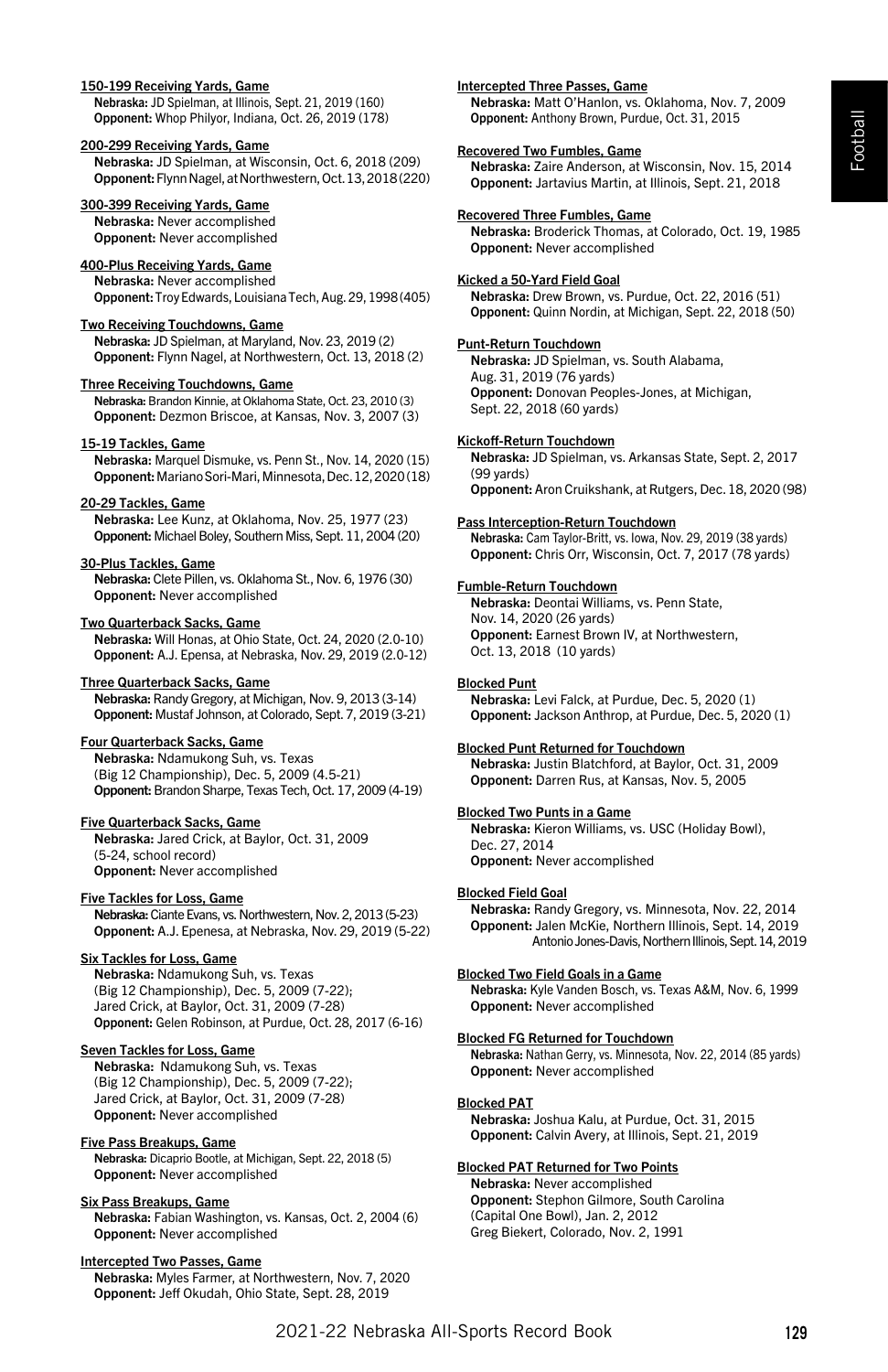# Football

#### 150-199 Receiving Yards, Game

Nebraska: JD Spielman, at Illinois, Sept. 21, 2019 (160) Opponent: Whop Philyor, Indiana, Oct. 26, 2019 (178)

#### 200-299 Receiving Yards, Game

Nebraska: JD Spielman, at Wisconsin, Oct. 6, 2018 (209) Opponent:Flynn Nagel, at Northwestern, Oct. 13, 2018 (220)

#### 300-399 Receiving Yards, Game

Nebraska: Never accomplished Opponent: Never accomplished

#### 400-Plus Receiving Yards, Game

Nebraska: Never accomplished Opponent: Troy Edwards, Louisiana Tech, Aug. 29, 1998 (405)

#### Two Receiving Touchdowns, Game

Nebraska: JD Spielman, at Maryland, Nov. 23, 2019 (2) Opponent: Flynn Nagel, at Northwestern, Oct. 13, 2018 (2)

#### Three Receiving Touchdowns, Game

Nebraska: Brandon Kinnie, at Oklahoma State, Oct. 23, 2010 (3) Opponent: Dezmon Briscoe, at Kansas, Nov. 3, 2007 (3)

#### 15-19 Tackles, Game

Nebraska: Marquel Dismuke, vs. Penn St., Nov. 14, 2020 (15) Opponent: Mariano Sori-Mari, Minnesota, Dec. 12, 2020 (18)

#### 20-29 Tackles, Game

Nebraska: Lee Kunz, at Oklahoma, Nov. 25, 1977 (23) Opponent: Michael Boley, Southern Miss, Sept. 11, 2004 (20)

#### 30-Plus Tackles, Game

Nebraska: Clete Pillen, vs. Oklahoma St., Nov. 6, 1976 (30) Opponent: Never accomplished

#### Two Quarterback Sacks, Game

Nebraska: Will Honas, at Ohio State, Oct. 24, 2020 (2.0-10) Opponent: A.J. Epensa, at Nebraska, Nov. 29, 2019 (2.0-12)

## Three Quarterback Sacks, Game

Nebraska: Randy Gregory, at Michigan, Nov. 9, 2013 (3-14) Opponent: Mustaf Johnson, at Colorado, Sept. 7, 2019 (3-21)

# Four Quarterback Sacks, Game

Nebraska: Ndamukong Suh, vs. Texas (Big 12 Championship), Dec. 5, 2009 (4.5-21) Opponent: Brandon Sharpe, Texas Tech, Oct. 17, 2009 (4-19)

#### Five Quarterback Sacks, Game

Nebraska: Jared Crick, at Baylor, Oct. 31, 2009 (5-24, school record) Opponent: Never accomplished

#### Five Tackles for Loss, Game

Nebraska: Ciante Evans, vs. Northwestern, Nov. 2, 2013 (5-23) Opponent: A.J. Epenesa, at Nebraska, Nov. 29, 2019 (5-22)

#### Six Tackles for Loss, Game

Nebraska: Ndamukong Suh, vs. Texas (Big 12 Championship), Dec. 5, 2009 (7-22); Jared Crick, at Baylor, Oct. 31, 2009 (7-28) Opponent: Gelen Robinson, at Purdue, Oct. 28, 2017 (6-16)

#### Seven Tackles for Loss, Game

Nebraska: Ndamukong Suh, vs. Texas (Big 12 Championship), Dec. 5, 2009 (7-22); Jared Crick, at Baylor, Oct. 31, 2009 (7-28) Opponent: Never accomplished

#### Five Pass Breakups, Game

Nebraska: Dicaprio Bootle, at Michigan, Sept. 22, 2018 (5) Opponent: Never accomplished

#### Six Pass Breakups, Game

Nebraska: Fabian Washington, vs. Kansas, Oct. 2, 2004 (6) Opponent: Never accomplished

#### Intercepted Two Passes, Game

Nebraska: Myles Farmer, at Northwestern, Nov. 7, 2020 Opponent: Jeff Okudah, Ohio State, Sept. 28, 2019

## Intercepted Three Passes, Game

Nebraska: Matt O'Hanlon, vs. Oklahoma, Nov. 7, 2009 Opponent: Anthony Brown, Purdue, Oct. 31, 2015

#### Recovered Two Fumbles, Game

Nebraska: Zaire Anderson, at Wisconsin, Nov. 15, 2014 Opponent: Jartavius Martin, at Illinois, Sept. 21, 2018

#### Recovered Three Fumbles, Game

Nebraska: Broderick Thomas, at Colorado, Oct. 19, 1985 Opponent: Never accomplished

#### Kicked a 50-Yard Field Goal

Nebraska: Drew Brown, vs. Purdue, Oct. 22, 2016 (51) Opponent: Quinn Nordin, at Michigan, Sept. 22, 2018 (50)

# Punt-Return Touchdown

Nebraska: JD Spielman, vs. South Alabama, Aug. 31, 2019 (76 yards) Opponent: Donovan Peoples-Jones, at Michigan, Sept. 22, 2018 (60 yards)

#### Kickoff-Return Touchdown

Nebraska: JD Spielman, vs. Arkansas State, Sept. 2, 2017 (99 yards) Opponent:Aron Cruikshank, at Rutgers, Dec. 18, 2020 (98)

#### Pass Interception-Return Touchdown

Nebraska: Cam Taylor-Britt, vs. Iowa, Nov. 29, 2019 (38 yards) Opponent: Chris Orr, Wisconsin, Oct. 7, 2017 (78 yards)

#### Fumble-Return Touchdown

Nebraska: Deontai Williams, vs. Penn State, Nov. 14, 2020 (26 yards) Opponent: Earnest Brown IV, at Northwestern, Oct. 13, 2018 (10 yards)

#### Blocked Punt

Nebraska: Levi Falck, at Purdue, Dec. 5, 2020 (1) Opponent: Jackson Anthrop, at Purdue, Dec. 5, 2020 (1)

#### Blocked Punt Returned for Touchdown

Nebraska: Justin Blatchford, at Baylor, Oct. 31, 2009 Opponent: Darren Rus, at Kansas, Nov. 5, 2005

#### Blocked Two Punts in a Game

Nebraska: Kieron Williams, vs. USC (Holiday Bowl), Dec. 27, 2014 Opponent: Never accomplished

#### Blocked Field Goal

Nebraska: Randy Gregory, vs. Minnesota, Nov. 22, 2014 Opponent: Jalen McKie, Northern Illinois, Sept. 14, 2019 Antonio Jones-Davis, Northern Illinois, Sept. 14, 2019

#### Blocked Two Field Goals in a Game

Nebraska: Kyle Vanden Bosch, vs. Texas A&M, Nov. 6, 1999 Opponent: Never accomplished

#### Blocked FG Returned for Touchdown

Nebraska: Nathan Gerry, vs. Minnesota, Nov. 22, 2014 (85 yards) Opponent: Never accomplished

#### Blocked PAT

Nebraska: Joshua Kalu, at Purdue, Oct. 31, 2015 Opponent: Calvin Avery, at Illinois, Sept. 21, 2019

#### Blocked PAT Returned for Two Points

Nebraska: Never accomplished Opponent: Stephon Gilmore, South Carolina (Capital One Bowl), Jan. 2, 2012 Greg Biekert, Colorado, Nov. 2, 1991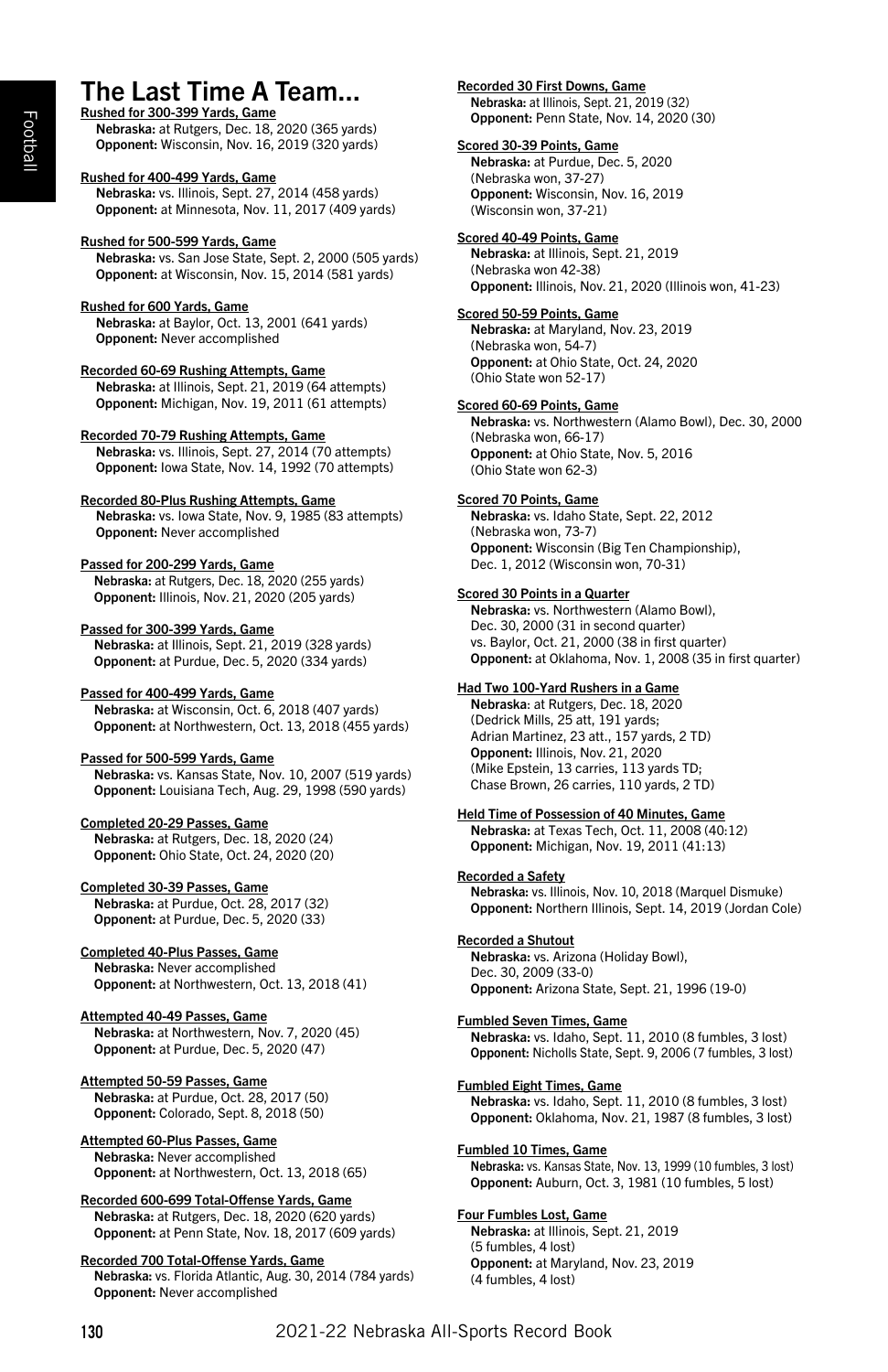# The Last Time A Team... Rushed for 300-399 Yards, Game

Nebraska: at Rutgers, Dec. 18, 2020 (365 yards) Opponent: Wisconsin, Nov. 16, 2019 (320 yards)

Rushed for 400-499 Yards, Game Nebraska: vs. Illinois, Sept. 27, 2014 (458 yards) Opponent: at Minnesota, Nov. 11, 2017 (409 yards)

#### Rushed for 500-599 Yards, Game

Nebraska: vs. San Jose State, Sept. 2, 2000 (505 yards) Opponent: at Wisconsin, Nov. 15, 2014 (581 yards)

#### Rushed for 600 Yards, Game

Nebraska: at Baylor, Oct. 13, 2001 (641 yards) Opponent: Never accomplished

# Recorded 60-69 Rushing Attempts, Game

Nebraska: at Illinois, Sept. 21, 2019 (64 attempts) Opponent: Michigan, Nov. 19, 2011 (61 attempts)

#### Recorded 70-79 Rushing Attempts, Game

Nebraska: vs. Illinois, Sept. 27, 2014 (70 attempts) Opponent: Iowa State, Nov. 14, 1992 (70 attempts)

#### Recorded 80-Plus Rushing Attempts, Game

Nebraska: vs. Iowa State, Nov. 9, 1985 (83 attempts) Opponent: Never accomplished

### Passed for 200-299 Yards, Game

Nebraska: at Rutgers, Dec. 18, 2020 (255 yards) Opponent: Illinois, Nov. 21, 2020 (205 yards)

#### Passed for 300-399 Yards, Game

Nebraska: at Illinois, Sept. 21, 2019 (328 yards) Opponent: at Purdue, Dec. 5, 2020 (334 yards)

#### Passed for 400-499 Yards, Game

Nebraska: at Wisconsin, Oct. 6, 2018 (407 yards) Opponent: at Northwestern, Oct. 13, 2018 (455 yards)

#### Passed for 500-599 Yards, Game

Nebraska: vs. Kansas State, Nov. 10, 2007 (519 yards) Opponent: Louisiana Tech, Aug. 29, 1998 (590 yards)

#### Completed 20-29 Passes, Game

Nebraska: at Rutgers, Dec. 18, 2020 (24) Opponent: Ohio State, Oct. 24, 2020 (20)

#### Completed 30-39 Passes, Game

Nebraska: at Purdue, Oct. 28, 2017 (32) Opponent: at Purdue, Dec. 5, 2020 (33)

#### Completed 40-Plus Passes, Game

Nebraska: Never accomplished Opponent: at Northwestern, Oct. 13, 2018 (41)

#### Attempted 40-49 Passes, Game

Nebraska: at Northwestern, Nov. 7, 2020 (45) Opponent: at Purdue, Dec. 5, 2020 (47)

## Attempted 50-59 Passes, Game

Nebraska: at Purdue, Oct. 28, 2017 (50) Opponent: Colorado, Sept. 8, 2018 (50)

#### Attempted 60-Plus Passes, Game Nebraska: Never accomplished Opponent: at Northwestern, Oct. 13, 2018 (65)

Recorded 600-699 Total-Offense Yards, Game Nebraska: at Rutgers, Dec. 18, 2020 (620 yards) Opponent: at Penn State, Nov. 18, 2017 (609 yards)

#### Recorded 700 Total-Offense Yards, Game

Nebraska: vs. Florida Atlantic, Aug. 30, 2014 (784 yards) Opponent: Never accomplished

Recorded 30 First Downs, Game Nebraska: at Illinois, Sept. 21, 2019 (32) Opponent: Penn State, Nov. 14, 2020 (30)

#### Scored 30-39 Points, Game Nebraska: at Purdue, Dec. 5, 2020 (Nebraska won, 37-27) Opponent: Wisconsin, Nov. 16, 2019 (Wisconsin won, 37-21)

#### Scored 40-49 Points, Game

Nebraska: at Illinois, Sept. 21, 2019 (Nebraska won 42-38) Opponent: Illinois, Nov. 21, 2020 (Illinois won, 41-23)

#### Scored 50-59 Points, Game Nebraska: at Maryland, Nov. 23, 2019

(Nebraska won, 54-7) Opponent: at Ohio State, Oct. 24, 2020 (Ohio State won 52-17)

#### Scored 60-69 Points, Game

Nebraska: vs. Northwestern (Alamo Bowl), Dec. 30, 2000 (Nebraska won, 66-17) Opponent: at Ohio State, Nov. 5, 2016 (Ohio State won 62-3)

#### Scored 70 Points, Game

Nebraska: vs. Idaho State, Sept. 22, 2012 (Nebraska won, 73-7) Opponent: Wisconsin (Big Ten Championship), Dec. 1, 2012 (Wisconsin won, 70-31)

#### Scored 30 Points in a Quarter

Nebraska: vs. Northwestern (Alamo Bowl), Dec. 30, 2000 (31 in second quarter) vs. Baylor, Oct. 21, 2000 (38 in first quarter) Opponent: at Oklahoma, Nov. 1, 2008 (35 in first quarter)

#### Had Two 100-Yard Rushers in a Game

Nebraska: at Rutgers, Dec. 18, 2020 (Dedrick Mills, 25 att, 191 yards; Adrian Martinez, 23 att., 157 yards, 2 TD) Opponent: Illinois, Nov. 21, 2020 (Mike Epstein, 13 carries, 113 yards TD; Chase Brown, 26 carries, 110 yards, 2 TD)

#### Held Time of Possession of 40 Minutes, Game

Nebraska: at Texas Tech, Oct. 11, 2008 (40:12) Opponent: Michigan, Nov. 19, 2011 (41:13)

#### Recorded a Safety

Nebraska: vs. Illinois, Nov. 10, 2018 (Marquel Dismuke) Opponent: Northern Illinois, Sept. 14, 2019 (Jordan Cole)

#### Recorded a Shutout

Nebraska: vs. Arizona (Holiday Bowl), Dec. 30, 2009 (33-0) Opponent: Arizona State, Sept. 21, 1996 (19-0)

#### Fumbled Seven Times, Game

Nebraska: vs. Idaho, Sept. 11, 2010 (8 fumbles, 3 lost) Opponent: Nicholls State, Sept. 9, 2006 (7 fumbles, 3 lost)

#### Fumbled Eight Times, Game

Nebraska: vs. Idaho, Sept. 11, 2010 (8 fumbles, 3 lost) Opponent: Oklahoma, Nov. 21, 1987 (8 fumbles, 3 lost)

#### Fumbled 10 Times, Game

Nebraska: vs. Kansas State, Nov. 13, 1999 (10 fumbles, 3 lost) Opponent: Auburn, Oct. 3, 1981 (10 fumbles, 5 lost)

#### Four Fumbles Lost, Game

Nebraska: at Illinois, Sept. 21, 2019 (5 fumbles, 4 lost) Opponent: at Maryland, Nov. 23, 2019 (4 fumbles, 4 lost)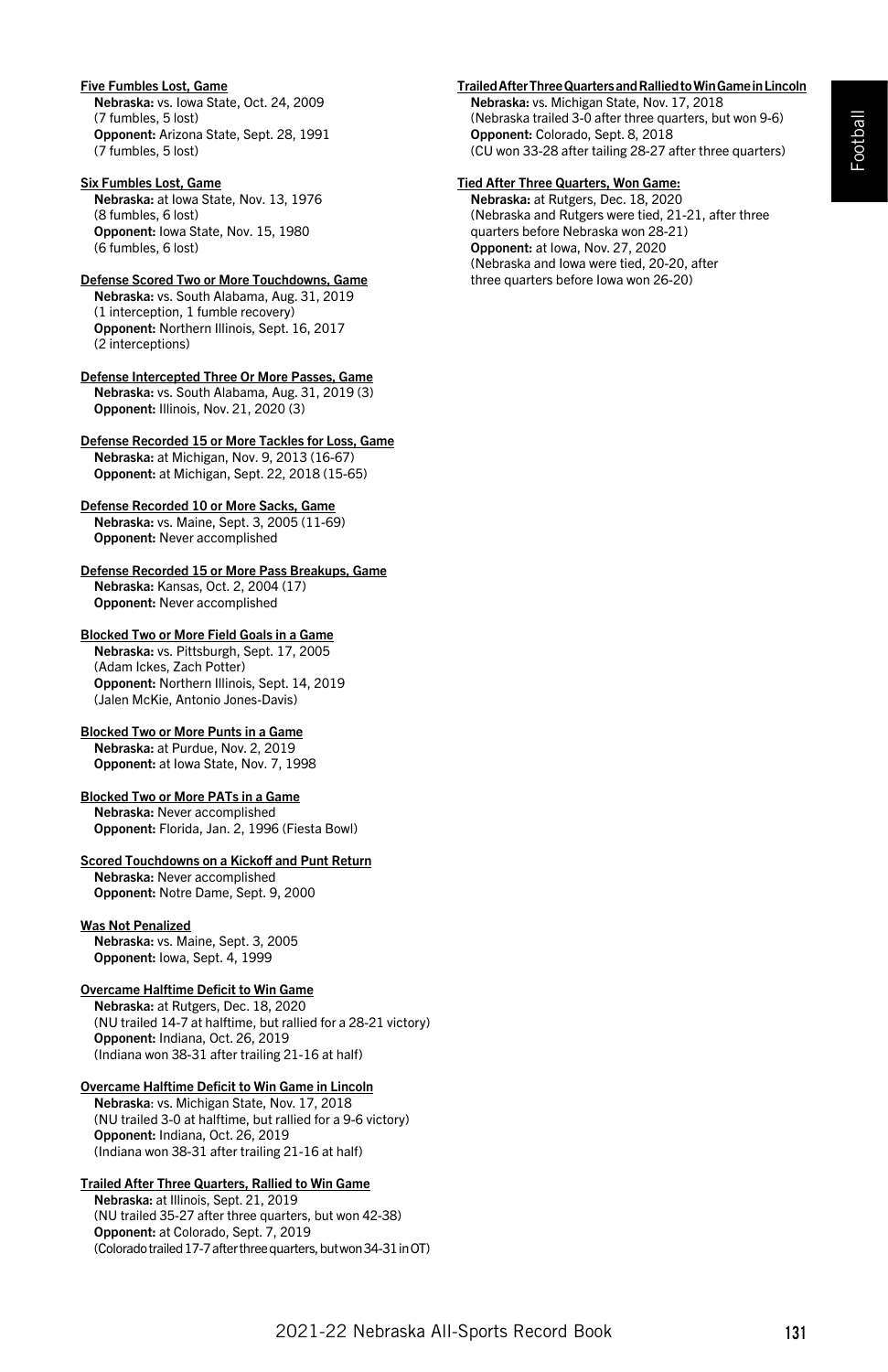# Football

#### Five Fumbles Lost, Game

Nebraska: vs. Iowa State, Oct. 24, 2009 (7 fumbles, 5 lost) Opponent: Arizona State, Sept. 28, 1991 (7 fumbles, 5 lost)

#### Six Fumbles Lost, Game

Nebraska: at Iowa State, Nov. 13, 1976 (8 fumbles, 6 lost) Opponent: Iowa State, Nov. 15, 1980 (6 fumbles, 6 lost)

# Defense Scored Two or More Touchdowns, Game

Nebraska: vs. South Alabama, Aug. 31, 2019 (1 interception, 1 fumble recovery) Opponent: Northern Illinois, Sept. 16, 2017 (2 interceptions)

Defense Intercepted Three Or More Passes, Game Nebraska: vs. South Alabama, Aug. 31, 2019 (3) Opponent: Illinois, Nov. 21, 2020 (3)

Defense Recorded 15 or More Tackles for Loss, Game Nebraska: at Michigan, Nov. 9, 2013 (16-67) Opponent: at Michigan, Sept. 22, 2018 (15-65)

#### Defense Recorded 10 or More Sacks, Game

Nebraska: vs. Maine, Sept. 3, 2005 (11-69) Opponent: Never accomplished

Defense Recorded 15 or More Pass Breakups, Game Nebraska: Kansas, Oct. 2, 2004 (17) Opponent: Never accomplished

#### Blocked Two or More Field Goals in a Game Nebraska: vs. Pittsburgh, Sept. 17, 2005

(Adam Ickes, Zach Potter) Opponent: Northern Illinois, Sept. 14, 2019 (Jalen McKie, Antonio Jones-Davis)

# Blocked Two or More Punts in a Game

Nebraska: at Purdue, Nov. 2, 2019 Opponent: at Iowa State, Nov. 7, 1998

## Blocked Two or More PATs in a Game

Nebraska: Never accomplished Opponent: Florida, Jan. 2, 1996 (Fiesta Bowl)

#### Scored Touchdowns on a Kickoff and Punt Return

Nebraska: Never accomplished Opponent: Notre Dame, Sept. 9, 2000

## Was Not Penalized

Nebraska: vs. Maine, Sept. 3, 2005 Opponent: Iowa, Sept. 4, 1999

# Overcame Halftime Deficit to Win Game

Nebraska: at Rutgers, Dec. 18, 2020 (NU trailed 14-7 at halftime, but rallied for a 28-21 victory) Opponent: Indiana, Oct. 26, 2019 (Indiana won 38-31 after trailing 21-16 at half)

### Overcame Halftime Deficit to Win Game in Lincoln

Nebraska: vs. Michigan State, Nov. 17, 2018 (NU trailed 3-0 at halftime, but rallied for a 9-6 victory) Opponent: Indiana, Oct. 26, 2019 (Indiana won 38-31 after trailing 21-16 at half)

#### Trailed After Three Quarters, Rallied to Win Game

Nebraska: at Illinois, Sept. 21, 2019 (NU trailed 35-27 after three quarters, but won 42-38) Opponent: at Colorado, Sept. 7, 2019 (Colorado trailed 17-7 after three quarters, but won 34-31 in OT)

## Trailed After Three Quarters and Rallied to Win Game in Lincoln

Nebraska: vs. Michigan State, Nov. 17, 2018 (Nebraska trailed 3-0 after three quarters, but won 9-6) Opponent: Colorado, Sept. 8, 2018 (CU won 33-28 after tailing 28-27 after three quarters)

# Tied After Three Quarters, Won Game:

Nebraska: at Rutgers, Dec. 18, 2020 (Nebraska and Rutgers were tied, 21-21, after three quarters before Nebraska won 28-21) Opponent: at Iowa, Nov. 27, 2020 (Nebraska and Iowa were tied, 20-20, after three quarters before Iowa won 26-20)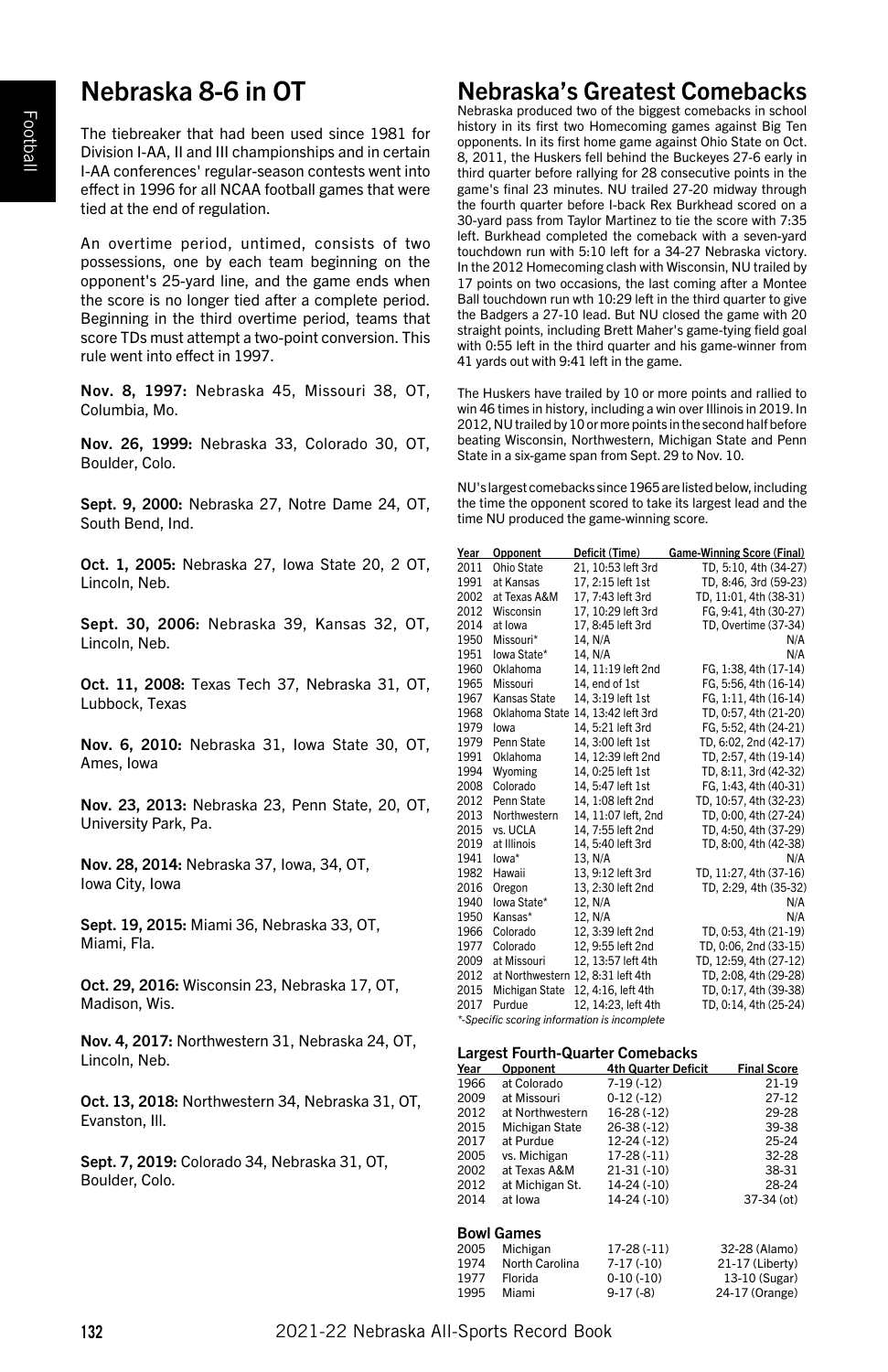# Nebraska 8-6 in OT

The tiebreaker that had been used since 1981 for Division I-AA, II and III championships and in certain I-AA conferences' regular-season contests went into effect in 1996 for all NCAA football games that were tied at the end of regulation.

An overtime period, untimed, consists of two possessions, one by each team beginning on the opponent's 25-yard line, and the game ends when the score is no longer tied after a complete period. Beginning in the third overtime period, teams that score TDs must attempt a two-point conversion. This rule went into effect in 1997.

Nov. 8, 1997: Nebraska 45, Missouri 38, OT, Columbia, Mo.

Nov. 26, 1999: Nebraska 33, Colorado 30, OT, Boulder, Colo.

Sept. 9, 2000: Nebraska 27, Notre Dame 24, OT, South Bend, Ind.

Oct. 1, 2005: Nebraska 27, Iowa State 20, 2 OT, Lincoln, Neb.

Sept. 30, 2006: Nebraska 39, Kansas 32, OT, Lincoln, Neb.

Oct. 11, 2008: Texas Tech 37, Nebraska 31, OT, Lubbock, Texas

Nov. 6, 2010: Nebraska 31, Iowa State 30, OT, Ames, Iowa

Nov. 23, 2013: Nebraska 23, Penn State, 20, OT, University Park, Pa.

Nov. 28, 2014: Nebraska 37, Iowa, 34, OT, Iowa City, Iowa

Sept. 19, 2015: Miami 36, Nebraska 33, OT, Miami, Fla.

Oct. 29, 2016: Wisconsin 23, Nebraska 17, OT, Madison, Wis.

Nov. 4, 2017: Northwestern 31, Nebraska 24, OT, Lincoln, Neb.

Oct. 13, 2018: Northwestern 34, Nebraska 31, OT, Evanston, Ill.

Sept. 7, 2019: Colorado 34, Nebraska 31, OT, Boulder, Colo.

# Nebraska's Greatest Comebacks

Nebraska produced two of the biggest comebacks in school history in its first two Homecoming games against Big Ten opponents. In its first home game against Ohio State on Oct. 8, 2011, the Huskers fell behind the Buckeyes 27-6 early in third quarter before rallying for 28 consecutive points in the game's final 23 minutes. NU trailed 27-20 midway through the fourth quarter before I-back Rex Burkhead scored on a 30-yard pass from Taylor Martinez to tie the score with 7:35 left. Burkhead completed the comeback with a seven-yard touchdown run with 5:10 left for a 34-27 Nebraska victory. In the 2012 Homecoming clash with Wisconsin, NU trailed by 17 points on two occasions, the last coming after a Montee Ball touchdown run wth 10:29 left in the third quarter to give the Badgers a 27-10 lead. But NU closed the game with 20 straight points, including Brett Maher's game-tying field goal with 0:55 left in the third quarter and his game-winner from 41 yards out with 9:41 left in the game.

The Huskers have trailed by 10 or more points and rallied to win 46 times in history, including a win over Illinois in 2019. In 2012, NU trailed by 10 or more points in the second half before beating Wisconsin, Northwestern, Michigan State and Penn State in a six-game span from Sept. 29 to Nov. 10.

NU's largest comebacks since 1965 are listed below, including the time the opponent scored to take its largest lead and the time NU produced the game-winning score.

| Year | Opponent       | Deficit (Time)                               | <b>Game-Winning Score (Final)</b> |
|------|----------------|----------------------------------------------|-----------------------------------|
| 2011 | Ohio State     | 21, 10:53 left 3rd                           | TD. 5:10. 4th (34-27)             |
| 1991 | at Kansas      | 17.2:15 left 1st                             | TD, 8:46, 3rd (59-23)             |
| 2002 | at Texas A&M   | 17, 7:43 left 3rd                            | TD, 11:01, 4th (38-31)            |
| 2012 | Wisconsin      | 17, 10:29 left 3rd                           | FG, 9:41, 4th (30-27)             |
| 2014 | at Iowa        | 17, 8:45 left 3rd                            | TD, Overtime (37-34)              |
| 1950 | Missouri*      | 14. N/A                                      | N/A                               |
| 1951 | lowa State*    | 14. N/A                                      | N/A                               |
| 1960 | Oklahoma       | 14, 11:19 left 2nd                           | FG, 1:38, 4th (17-14)             |
| 1965 | Missouri       | 14, end of 1st                               | FG, 5:56, 4th (16-14)             |
| 1967 | Kansas State   | 14, 3:19 left 1st                            | FG, 1:11, 4th (16-14)             |
| 1968 | Oklahoma State | 14. 13:42 left 3rd                           | TD, 0:57, 4th (21-20)             |
| 1979 | lowa           | 14.5:21 left 3rd                             | FG, 5:52, 4th (24-21)             |
| 1979 | Penn State     | 14, 3:00 left 1st                            | TD, 6:02, 2nd (42-17)             |
| 1991 | Oklahoma       | 14. 12:39 left 2nd                           | TD. 2:57. 4th (19-14)             |
| 1994 | Wyoming        | 14, 0:25 left 1st                            | TD, 8:11, 3rd (42-32)             |
| 2008 | Colorado       | 14, 5:47 left 1st                            | FG, 1:43, 4th (40-31)             |
| 2012 | Penn State     | 14. 1:08 left 2nd                            | TD. 10:57. 4th (32-23)            |
| 2013 | Northwestern   | 14, 11:07 left, 2nd                          | TD, 0:00, 4th (27-24)             |
| 2015 | vs. UCLA       | 14, 7:55 left 2nd                            | TD, 4:50, 4th (37-29)             |
| 2019 | at Illinois    | 14.5:40 left 3rd                             | TD. 8:00. 4th (42-38)             |
| 1941 | $Iowa*$        | 13, N/A                                      | N/A                               |
| 1982 | Hawaii         | 13. 9:12 left 3rd                            | TD, 11:27, 4th (37-16)            |
| 2016 | Oregon         | 13. 2:30 left 2nd                            | TD, 2:29, 4th (35-32)             |
| 1940 | Iowa State*    | 12, N/A                                      | N/A                               |
| 1950 | Kansas*        | 12. N/A                                      | N/A                               |
| 1966 | Colorado       | 12. 3:39 left 2nd                            | TD, 0:53, 4th (21-19)             |
| 1977 | Colorado       | 12, 9:55 left 2nd                            | TD, 0:06, 2nd (33-15)             |
| 2009 | at Missouri    | 12, 13:57 left 4th                           | TD, 12:59, 4th (27-12)            |
| 2012 |                | at Northwestern 12, 8:31 left 4th            | TD. 2:08. 4th (29-28)             |
| 2015 | Michigan State | 12, 4:16, left 4th                           | TD. 0:17. 4th (39-38)             |
| 2017 | Purdue         | 12, 14:23, left 4th                          | TD, 0:14, 4th (25-24)             |
|      |                | *-Specific scoring information is incomplete |                                   |

#### Largest Fourth-Quarter Comebacks

| Year | Opponent        | <b>4th Quarter Deficit</b> | <b>Final Score</b> |
|------|-----------------|----------------------------|--------------------|
| 1966 | at Colorado     | $7-19(-12)$                | $21 - 19$          |
| 2009 | at Missouri     | $0-12(-12)$                | $27 - 12$          |
| 2012 | at Northwestern | $16-28(-12)$               | 29-28              |
| 2015 | Michigan State  | 26-38 (-12)                | 39-38              |
| 2017 | at Purdue       | $12-24(-12)$               | $25 - 24$          |
| 2005 | vs. Michigan    | $17-28(-11)$               | 32-28              |
| 2002 | at Texas A&M    | $21-31(-10)$               | 38-31              |
| 2012 | at Michigan St. | 14-24 (-10)                | 28-24              |
| 2014 | at Iowa         | 14-24 (-10)                | 37-34 (ot)         |
|      |                 |                            |                    |

### Bowl Games

| 2005 | Michigan       | $17-28(-11)$ | 32-28 (Alamo)   |
|------|----------------|--------------|-----------------|
|      |                |              |                 |
| 1974 | North Carolina | $7-17(-10)$  | 21-17 (Liberty) |
| 1977 | Florida        | $0-10(-10)$  | 13-10 (Sugar)   |
| 1995 | Miami          | $9-17(-8)$   | 24-17 (Orange)  |
|      |                |              |                 |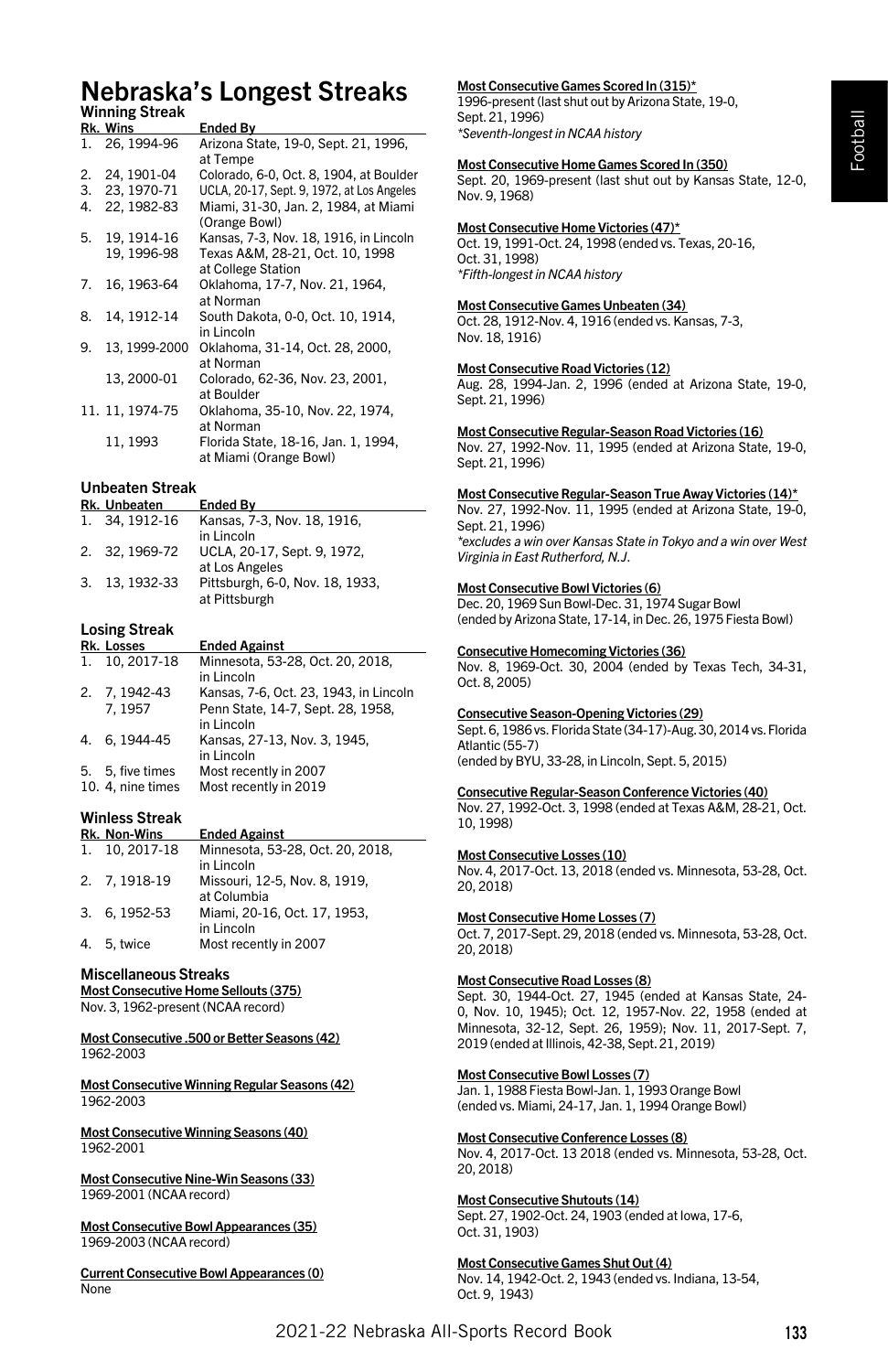# Football

# Nebraska's Longest Streaks Winning Streak

|    | www.com         |                                                               |
|----|-----------------|---------------------------------------------------------------|
|    | Rk. Wins        | Ended By                                                      |
| 1. | 26, 1994-96     | Arizona State, 19-0, Sept. 21, 1996,<br>at Tempe              |
| 2. | 24, 1901-04     | Colorado, 6-0, Oct. 8, 1904, at Boulder                       |
| 3. | 23.1970-71      | UCLA, 20-17, Sept. 9, 1972, at Los Angeles                    |
| 4. | 22, 1982-83     | Miami, 31-30, Jan. 2, 1984, at Miami<br>(Orange Bowl)         |
| 5. | 19, 1914-16     | Kansas, 7-3, Nov. 18, 1916, in Lincoln                        |
|    | 19, 1996-98     | Texas A&M, 28-21, Oct. 10, 1998<br>at College Station         |
| 7. | 16, 1963-64     | Oklahoma, 17-7, Nov. 21, 1964,<br>at Norman                   |
| 8. | 14, 1912-14     | South Dakota, 0-0, Oct. 10, 1914,<br>in Lincoln               |
| 9. | 13, 1999-2000   | Oklahoma, 31-14, Oct. 28, 2000,<br>at Norman                  |
|    | 13, 2000-01     | Colorado, 62-36, Nov. 23, 2001,<br>at Boulder                 |
|    | 11. 11, 1974-75 | Oklahoma, 35-10, Nov. 22, 1974,<br>at Norman                  |
|    | 11, 1993        | Florida State, 18-16, Jan. 1, 1994,<br>at Miami (Orange Bowl) |

#### Unbeaten Streak

| Rk. Unbeaten   | <b>Ended Bv</b>                                  |
|----------------|--------------------------------------------------|
| 1. 34.1912-16  | Kansas, 7-3, Nov. 18, 1916,<br>in Lincoln        |
| 2. 32.1969-72  | UCLA, 20-17, Sept. 9, 1972,<br>at Los Angeles    |
| 3. 13, 1932-33 | Pittsburgh, 6-0, Nov. 18, 1933,<br>at Pittsburgh |

# Losing Streak

|    | Rk. Losses        | <b>Ended Against</b>                            |
|----|-------------------|-------------------------------------------------|
| 1. | 10.2017-18        | Minnesota, 53-28, Oct. 20, 2018,<br>in Lincoln  |
|    | 2. 7.1942-43      | Kansas, 7-6, Oct. 23, 1943, in Lincoln          |
|    | 7, 1957           | Penn State, 14-7, Sept. 28, 1958,<br>in Lincoln |
| 4. | 6.1944-45         | Kansas, 27-13, Nov. 3, 1945,<br>in Lincoln      |
|    | 5. 5, five times  | Most recently in 2007                           |
|    | 10. 4, nine times | Most recently in 2019                           |

#### Winless Streak

|    | <b>Rk. Non-Wins</b> | <b>Ended Against</b>                           |
|----|---------------------|------------------------------------------------|
| 1. | 10.2017-18          | Minnesota, 53-28, Oct. 20, 2018,<br>in Lincoln |
|    | 2. 7, 1918-19       | Missouri, 12-5, Nov. 8, 1919,<br>at Columbia   |
|    | 3. 6.1952-53        | Miami, 20-16, Oct. 17, 1953,<br>in Lincoln     |
|    | 4. 5, twice         | Most recently in 2007                          |

#### Miscellaneous Streaks

Most Consecutive Home Sellouts (375) Nov. 3, 1962-present (NCAA record)

Most Consecutive .500 or Better Seasons (42) 1962-2003

Most Consecutive Winning Regular Seasons (42) 1962-2003

Most Consecutive Winning Seasons (40) 1962-2001

Most Consecutive Nine-Win Seasons (33) 1969-2001 (NCAA record)

Most Consecutive Bowl Appearances (35) 1969-2003 (NCAA record)

Current Consecutive Bowl Appearances (0) None

#### Most Consecutive Games Scored In (315)\*

1996-present (last shut out by Arizona State, 19-0, Sept. 21, 1996)

*\*Seventh-longest in NCAA history*

# Most Consecutive Home Games Scored In (350)

Sept. 20, 1969-present (last shut out by Kansas State, 12-0, Nov. 9, 1968)

#### Most Consecutive Home Victories (47)\*

Oct. 19, 1991-Oct. 24, 1998 (ended vs. Texas, 20-16, Oct. 31, 1998) *\*Fifth-longest in NCAA history*

#### Most Consecutive Games Unbeaten (34)

Oct. 28, 1912-Nov. 4, 1916 (ended vs. Kansas, 7-3, Nov. 18, 1916)

#### Most Consecutive Road Victories (12)

Aug. 28, 1994-Jan. 2, 1996 (ended at Arizona State, 19-0, Sept. 21, 1996)

#### Most Consecutive Regular-Season Road Victories (16)

Nov. 27, 1992-Nov. 11, 1995 (ended at Arizona State, 19-0, Sept. 21, 1996)

### Most Consecutive Regular-Season True Away Victories (14)\*

Nov. 27, 1992-Nov. 11, 1995 (ended at Arizona State, 19-0, Sept. 21, 1996) *\*excludes a win over Kansas State in Tokyo and a win over West* 

*Virginia in East Rutherford, N.J*.

#### Most Consecutive Bowl Victories (6)

Dec. 20, 1969 Sun Bowl-Dec. 31, 1974 Sugar Bowl (ended by Arizona State, 17-14, in Dec. 26, 1975 Fiesta Bowl)

#### Consecutive Homecoming Victories (36)

Nov. 8, 1969-Oct. 30, 2004 (ended by Texas Tech, 34-31, Oct. 8, 2005)

#### Consecutive Season-Opening Victories (29)

Sept. 6, 1986 vs. Florida State (34-17)-Aug. 30, 2014 vs. Florida Atlantic (55-7)

(ended by BYU, 33-28, in Lincoln, Sept. 5, 2015)

#### Consecutive Regular-Season Conference Victories (40)

Nov. 27, 1992-Oct. 3, 1998 (ended at Texas A&M, 28-21, Oct. 10, 1998)

#### Most Consecutive Losses (10)

Nov. 4, 2017-Oct. 13, 2018 (ended vs. Minnesota, 53-28, Oct. 20, 2018)

Most Consecutive Home Losses (7)

Oct. 7, 2017-Sept. 29, 2018 (ended vs. Minnesota, 53-28, Oct. 20, 2018)

#### Most Consecutive Road Losses (8)

Sept. 30, 1944-Oct. 27, 1945 (ended at Kansas State, 24- 0, Nov. 10, 1945); Oct. 12, 1957-Nov. 22, 1958 (ended at Minnesota, 32-12, Sept. 26, 1959); Nov. 11, 2017-Sept. 7, 2019 (ended at Illinois, 42-38, Sept. 21, 2019)

#### Most Consecutive Bowl Losses (7)

Jan. 1, 1988 Fiesta Bowl-Jan. 1, 1993 Orange Bowl (ended vs. Miami, 24-17, Jan. 1, 1994 Orange Bowl)

Most Consecutive Conference Losses (8)

Nov. 4, 2017-Oct. 13 2018 (ended vs. Minnesota, 53-28, Oct. 20, 2018)

Most Consecutive Shutouts (14) Sept. 27, 1902-Oct. 24, 1903 (ended at Iowa, 17-6, Oct. 31, 1903)

Most Consecutive Games Shut Out (4) Nov. 14, 1942-Oct. 2, 1943 (ended vs. Indiana, 13-54, Oct. 9, 1943)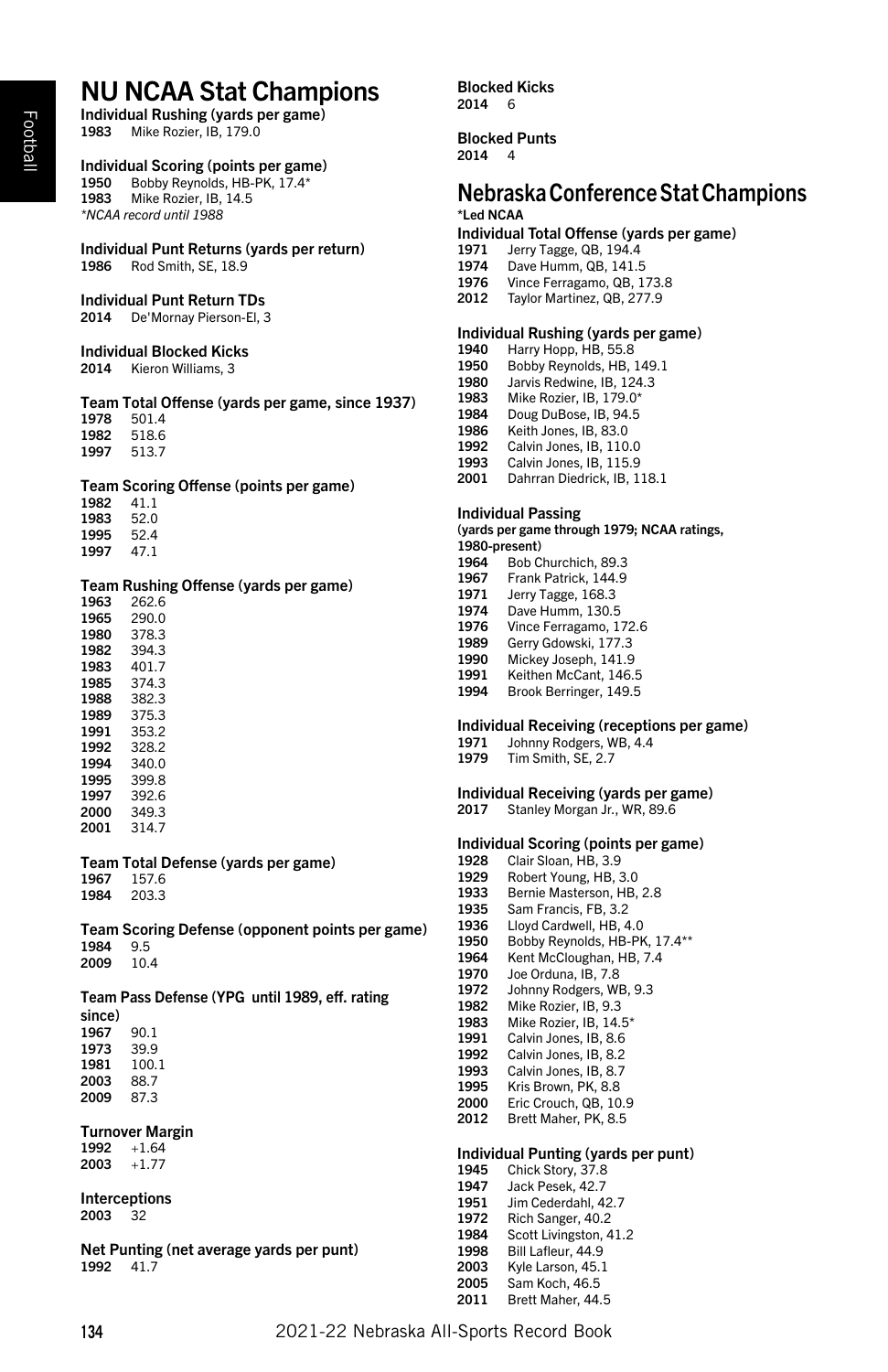# NU NCAA Stat Champions

Individual Rushing (yards per game)<br>1983 Mike Rozier JB 179.0 Mike Rozier, IB, 179.0

# Individual Scoring (points per game)

 Bobby Reynolds, HB-PK, 17.4\* Mike Rozier, IB, 14.5 *\*NCAA record until 1988*

#### Individual Punt Returns (yards per return) Rod Smith, SE, 18.9

Individual Punt Return TDs

De'Mornay Pierson-El, 3

#### Individual Blocked Kicks

Kieron Williams, 3

#### Team Total Offense (yards per game, since 1937) 501.4 518.6 513.7

#### Team Scoring Offense (points per game)

 41.1 52.0 52.4 47.1

#### Team Rushing Offense (yards per game)

| 1963 | 262.6 |
|------|-------|
| 1965 | 290 O |
| 1980 | 378.3 |
| 1982 | 394.3 |
| 1983 | 401.7 |
| 1985 | 374.3 |
| 1988 | 382.3 |
| 1989 | 375.3 |
| 1991 | 353.2 |
| 1992 | 328.2 |
| 1994 | 340.0 |
| 1995 | 3998  |
| 1997 | 392.6 |
| 2000 | 349.3 |
| 2001 | 314.7 |

# Team Total Defense (yards per game)

 157.6 203.3

Team Scoring Defense (opponent points per game) 9.5 10.4

Team Pass Defense (YPG until 1989, eff. rating since) 90.1

 39.9 100.1 88.7 2009 87.3

## Turnover Margin

 +1.64 +1.77

Interceptions 32

Net Punting (net average yards per punt) 41.7

Blocked Kicks 6

Blocked Punts 4

# Nebraska Conference Stat Champions \*Led NCAA

### Individual Total Offense (yards per game)

- 1971 Jerry Tagge, QB, 194.4<br>1974 Dave Humm, QB, 141.5
- Dave Humm, QB, 141.5
- Vince Ferragamo, QB, 173.8
- Taylor Martinez, QB, 277.9

#### Individual Rushing (yards per game)

- Harry Hopp, HB, 55.8
- Bobby Reynolds, HB, 149.1
- Jarvis Redwine, IB, 124.3
- Mike Rozier, IB, 179.0\*
- Doug DuBose, IB, 94.5
- Keith Jones, IB, 83.0
- Calvin Jones, IB, 110.0 1993 Calvin Jones, IB, 115.9
- 
- Dahrran Diedrick, IB, 118.1

## Individual Passing

(yards per game through 1979; NCAA ratings, 1980-present)

- Bob Churchich, 89.3
- Frank Patrick, 144.9
- Jerry Tagge, 168.3 1974 Dave Humm, 130.5
- 
- Vince Ferragamo, 172.6
- Gerry Gdowski, 177.3
- Mickey Joseph, 141.9 1991 Keithen McCant, 146.5
- Brook Berringer, 149.5
- 

# Individual Receiving (receptions per game)<br>1971 Johnny Rodgers, WB, 4.4

- Johnny Rodgers, WB, 4.4
- Tim Smith, SE, 2.7

# Individual Receiving (yards per game)

Stanley Morgan Jr., WR, 89.6

#### Individual Scoring (points per game)

- Clair Sloan, HB, 3.9
- Robert Young, HB, 3.0
- Bernie Masterson, HB, 2.8
- 1935 Sam Francis, FB, 3.2<br>1936 Lloyd Cardwell HB 4
- 1936 Lloyd Cardwell, HB, 4.0<br>1950 Bobby Reynolds, HB-Pl
- 1950 Bobby Reynolds, HB-PK, 17.4\*\*<br>1964 Kent McCloughan, HB. 7.4 Kent McCloughan, HB, 7.4
- Joe Orduna, IB, 7.8
- 1972 Johnny Rodgers, WB, 9.3<br>1982 Mike Rozier, IB, 9.3
- Mike Rozier, IB, 9.3
- 1983 Mike Rozier, IB, 14.5\*
- Calvin Jones, IB, 8.6
- Calvin Jones, IB, 8.2
- 1993 Calvin Jones, IB, 8.7<br>1995 Kris Brown PK 8.8 Kris Brown, PK, 8.8
- Eric Crouch, QB, 10.9
- Brett Maher, PK, 8.5

#### Individual Punting (yards per punt)

- 1945 Chick Story, 37.8<br>1947 Jack Pesek, 42.7
- Jack Pesek, 42.7
- Jim Cederdahl, 42.7
- 1972 Rich Sanger,  $40.2$ <br>1984 Soott Liderate
- Scott Livingston, 41.2 1998 Bill Lafleur, 44.9
- Kyle Larson, 45.1
- Sam Koch, 46.5
- Brett Maher, 44.5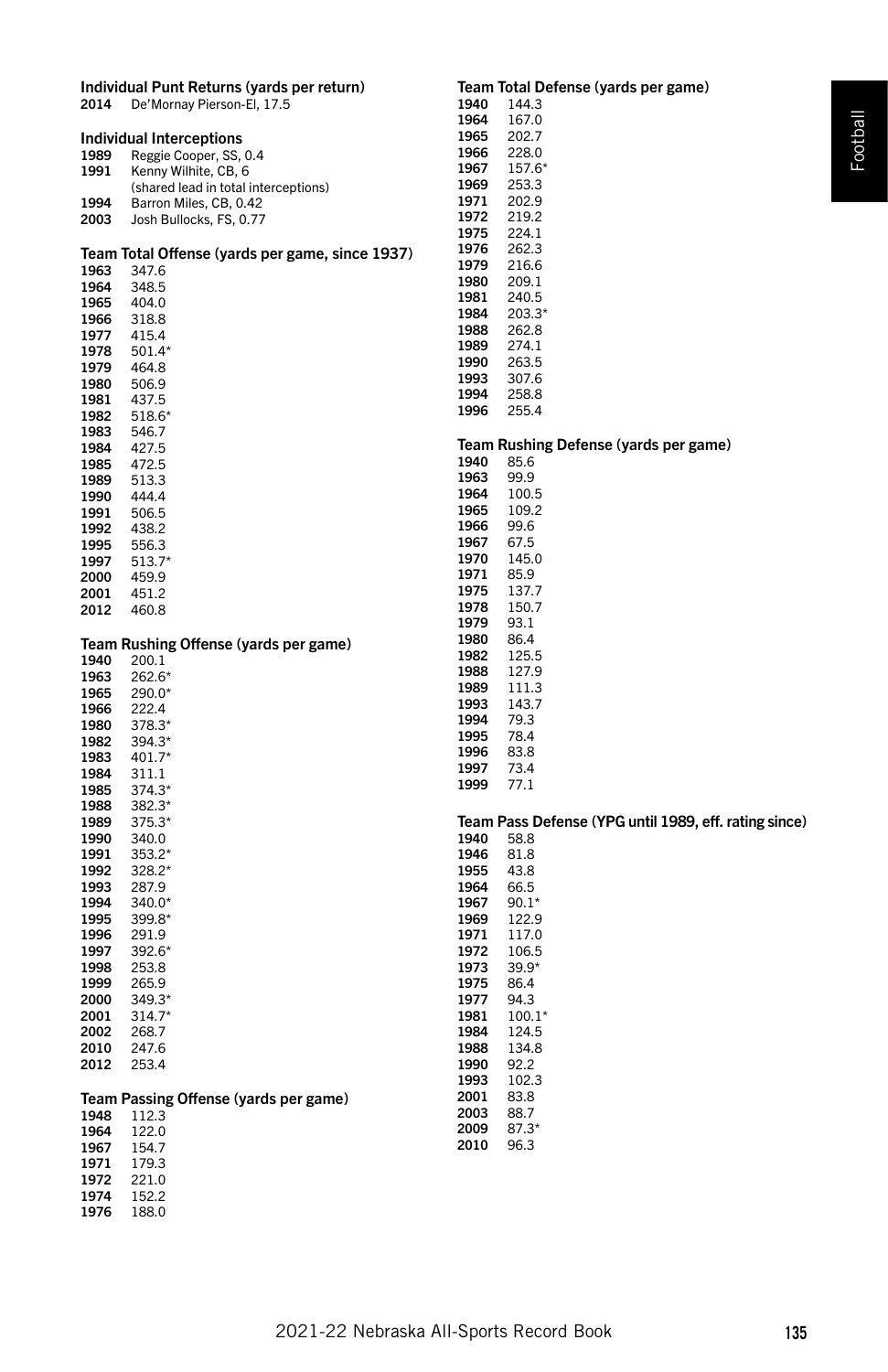|              | Individual Punt Returns (yards per return)      |              | Team Total Defense (yards per game)                   |
|--------------|-------------------------------------------------|--------------|-------------------------------------------------------|
| 2014         | De'Mornay Pierson-El, 17.5                      | 1940         | 144.3                                                 |
|              |                                                 | 1964         | 167.0                                                 |
|              | Individual Interceptions                        | 1965         | 202.7                                                 |
| 1989         | Reggie Cooper, SS, 0.4                          | 1966         | 228.0                                                 |
| 1991         | Kenny Wilhite, CB, 6                            | 1967         | 157.6*                                                |
|              | (shared lead in total interceptions)            | 1969         | 253.3                                                 |
| 1994         | Barron Miles, CB, 0.42                          | 1971         | 202.9                                                 |
| 2003         | Josh Bullocks, FS, 0.77                         | 1972         | 219.2                                                 |
|              |                                                 | 1975         | 224.1                                                 |
|              | Team Total Offense (yards per game, since 1937) | 1976         | 262.3                                                 |
| 1963         | 347.6                                           | 1979         | 216.6                                                 |
| 1964         | 348.5                                           | 1980         | 209.1                                                 |
| 1965         | 404.0                                           | 1981         | 240.5                                                 |
| 1966         | 318.8                                           | 1984         | $203.3*$                                              |
| 1977         | 415.4                                           | 1988         | 262.8                                                 |
| 1978         | 501.4*                                          | 1989<br>1990 | 274.1<br>263.5                                        |
| 1979         | 464.8                                           | 1993         | 307.6                                                 |
| 1980         | 506.9                                           | 1994         | 258.8                                                 |
| 1981         | 437.5                                           | 1996         | 255.4                                                 |
| 1982         | 518.6*                                          |              |                                                       |
| 1983         | 546.7                                           |              | Team Rushing Defense (yards per game)                 |
| 1984         | 427.5                                           | 1940         | 85.6                                                  |
| 1985         | 472.5                                           | 1963         | 99.9                                                  |
| 1989         | 513.3                                           | 1964         | 100.5                                                 |
| 1990         | 444.4                                           | 1965         | 109.2                                                 |
| 1991         | 506.5                                           | 1966         | 99.6                                                  |
| 1992<br>1995 | 438.2                                           | 1967         | 67.5                                                  |
| 1997         | 556.3<br>$513.7*$                               | 1970         | 145.0                                                 |
| 2000         | 459.9                                           | 1971         | 85.9                                                  |
| 2001         | 451.2                                           | 1975         | 137.7                                                 |
| 2012         | 460.8                                           | 1978         | 150.7                                                 |
|              |                                                 | 1979         | 93.1                                                  |
|              | Team Rushing Offense (yards per game)           | 1980         | 86.4                                                  |
| 1940         | 200.1                                           | 1982         | 125.5                                                 |
| 1963         | 262.6*                                          | 1988         | 127.9                                                 |
| 1965         | $290.0*$                                        | 1989         | 111.3                                                 |
| 1966         | 222.4                                           | 1993         | 143.7                                                 |
| 1980         | 378.3*                                          | 1994         | 79.3                                                  |
| 1982         | 394.3*                                          | 1995         | 78.4                                                  |
| 1983         | 401.7*                                          | 1996         | 83.8                                                  |
| 1984         | 311.1                                           | 1997         | 73.4                                                  |
| 1985         | 374.3*                                          | 1999         | 77.1                                                  |
| 1988         | 382.3*                                          |              |                                                       |
| 1989         | $375.3*$                                        |              | Team Pass Defense (YPG until 1989, eff. rating since) |
| 1990         | 340.0                                           | 1940         | 58.8                                                  |
| 1991<br>1992 | 353.2*                                          | 1946<br>1955 | 81.8                                                  |
|              | 328.2*                                          |              | 43.8                                                  |
| 1993<br>1994 | 287.9<br>$340.0*$                               | 1964<br>1967 | 66.5<br>$90.1*$                                       |
| 1995         | 399.8*                                          | 1969         | 122.9                                                 |
| 1996         | 291.9                                           | 1971         | 117.0                                                 |
| 1997         | 392.6*                                          | 1972         | 106.5                                                 |
| 1998         | 253.8                                           | 1973         | $39.9*$                                               |
| 1999         | 265.9                                           | 1975         | 86.4                                                  |
| 2000         | $349.3*$                                        | 1977         | 94.3                                                  |
| 2001         | $314.7*$                                        | 1981         | $100.1*$                                              |
| 2002         |                                                 |              |                                                       |
| 2010         | 268.7                                           | 1984         | 124.5                                                 |
|              | 247.6                                           | 1988         | 134.8                                                 |
| 2012         | 253.4                                           | 1990         | 92.2                                                  |
|              |                                                 | 1993         | 102.3                                                 |
|              | Team Passing Offense (yards per game)           | 2001         | 83.8                                                  |
| 1948         | 112.3                                           | 2003         | 88.7                                                  |
| 1964         | 122.0                                           | 2009         | $87.3*$                                               |
| 1967         | 154.7                                           | 2010         | 96.3                                                  |
| 1971         | 179.3                                           |              |                                                       |
| 1972         | 221.0                                           |              |                                                       |
| 1974<br>1976 | 152.2<br>188.0                                  |              |                                                       |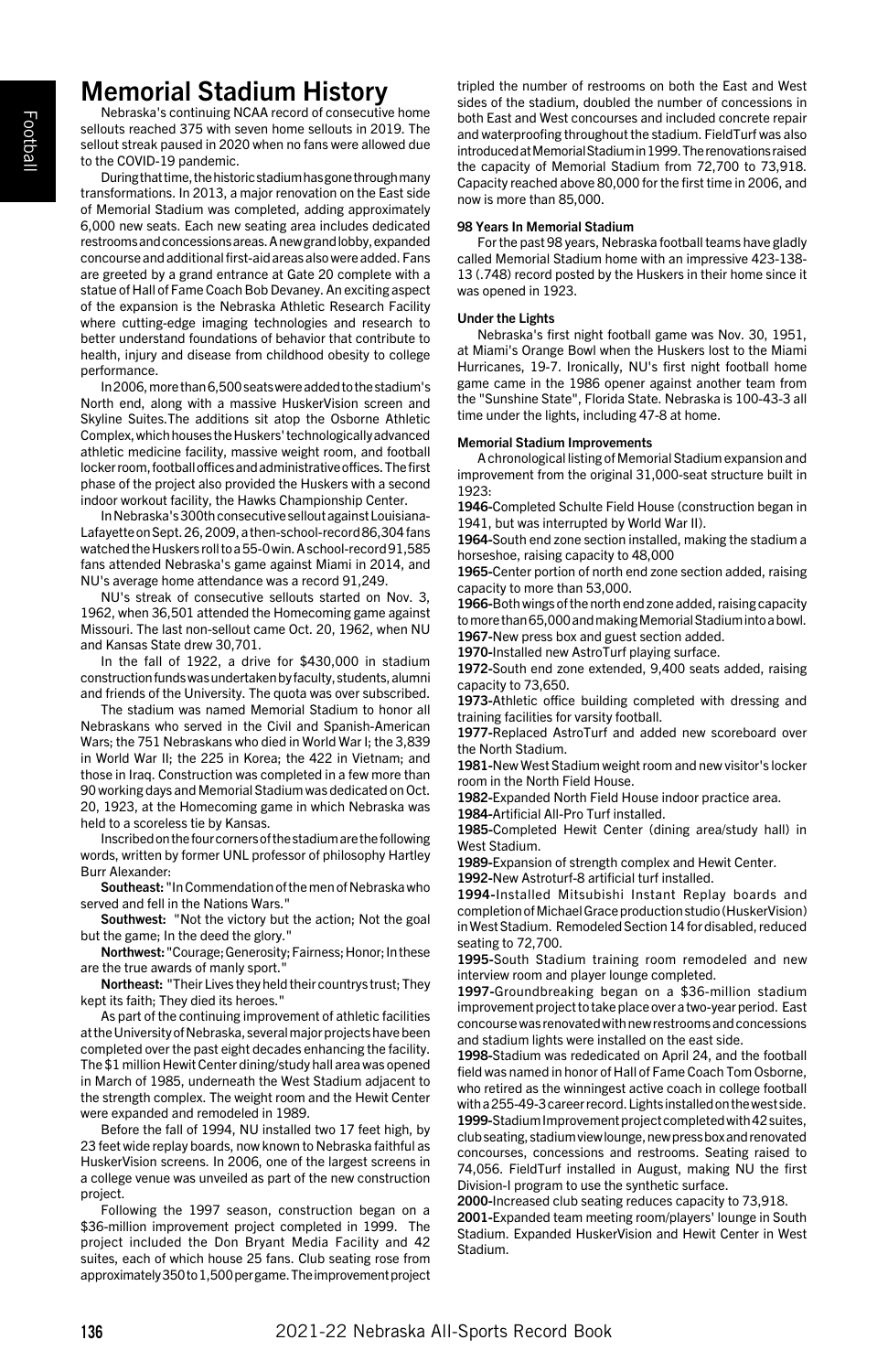# Memorial Stadium History

Nebraska's continuing NCAA record of consecutive home sellouts reached 375 with seven home sellouts in 2019. The sellout streak paused in 2020 when no fans were allowed due to the COVID-19 pandemic.

During that time, the historic stadium has gone through many transformations. In 2013, a major renovation on the East side of Memorial Stadium was completed, adding approximately 6,000 new seats. Each new seating area includes dedicated restrooms and concessions areas. A new grand lobby, expanded concourse and additional first-aid areas also were added. Fans are greeted by a grand entrance at Gate 20 complete with a statue of Hall of Fame Coach Bob Devaney. An exciting aspect of the expansion is the Nebraska Athletic Research Facility where cutting-edge imaging technologies and research to better understand foundations of behavior that contribute to health, injury and disease from childhood obesity to college performance.

In 2006, more than 6,500 seats were added to the stadium's North end, along with a massive HuskerVision screen and Skyline Suites.The additions sit atop the Osborne Athletic Complex, which houses the Huskers' technologically advanced athletic medicine facility, massive weight room, and football locker room, football offices and administrative offices. The first phase of the project also provided the Huskers with a second indoor workout facility, the Hawks Championship Center.

In Nebraska's 300th consecutive sellout against Louisiana-Lafayette on Sept. 26, 2009, a then-school-record 86,304 fans watched the Huskers roll to a 55-0 win. A school-record 91,585 fans attended Nebraska's game against Miami in 2014, and NU's average home attendance was a record 91,249.

NU's streak of consecutive sellouts started on Nov. 3, 1962, when 36,501 attended the Homecoming game against Missouri. The last non-sellout came Oct. 20, 1962, when NU and Kansas State drew 30,701.

In the fall of 1922, a drive for \$430,000 in stadium construction funds was undertaken by faculty, students, alumni and friends of the University. The quota was over subscribed.

The stadium was named Memorial Stadium to honor all Nebraskans who served in the Civil and Spanish-American Wars; the 751 Nebraskans who died in World War I; the 3,839 in World War II; the 225 in Korea; the 422 in Vietnam; and those in Iraq. Construction was completed in a few more than 90 working days and Memorial Stadium was dedicated on Oct. 20, 1923, at the Homecoming game in which Nebraska was held to a scoreless tie by Kansas.

Inscribed on the four corners of the stadium are the following words, written by former UNL professor of philosophy Hartley Burr Alexander:

Southeast: "In Commendation of the men of Nebraska who served and fell in the Nations Wars."

Southwest: "Not the victory but the action; Not the goal but the game; In the deed the glory.'

Northwest: "Courage; Generosity; Fairness; Honor; In these are the true awards of manly sport."

Northeast: "Their Lives they held their countrys trust; They kept its faith; They died its heroes."

As part of the continuing improvement of athletic facilities at the University of Nebraska, several major projects have been completed over the past eight decades enhancing the facility. The \$1 million Hewit Center dining/study hall area was opened in March of 1985, underneath the West Stadium adjacent to the strength complex. The weight room and the Hewit Center were expanded and remodeled in 1989.

Before the fall of 1994, NU installed two 17 feet high, by 23 feet wide replay boards, now known to Nebraska faithful as HuskerVision screens. In 2006, one of the largest screens in a college venue was unveiled as part of the new construction project.

Following the 1997 season, construction began on a \$36-million improvement project completed in 1999. The project included the Don Bryant Media Facility and 42 suites, each of which house 25 fans. Club seating rose from approximately 350 to 1,500 per game. The improvement project tripled the number of restrooms on both the East and West sides of the stadium, doubled the number of concessions in both East and West concourses and included concrete repair and waterproofing throughout the stadium. FieldTurf was also introduced at Memorial Stadium in 1999. The renovations raised the capacity of Memorial Stadium from 72,700 to 73,918. Capacity reached above 80,000 for the first time in 2006, and now is more than 85,000.

#### 98 Years In Memorial Stadium

For the past 98 years, Nebraska football teams have gladly called Memorial Stadium home with an impressive 423-138- 13 (.748) record posted by the Huskers in their home since it was opened in 1923.

#### Under the Lights

Nebraska's first night football game was Nov. 30, 1951, at Miami's Orange Bowl when the Huskers lost to the Miami Hurricanes, 19-7. Ironically, NU's first night football home game came in the 1986 opener against another team from the "Sunshine State", Florida State. Nebraska is 100-43-3 all time under the lights, including 47-8 at home.

#### Memorial Stadium Improvements

A chronological listing of Memorial Stadium expansion and improvement from the original 31,000-seat structure built in 1923:

1946-Completed Schulte Field House (construction began in 1941, but was interrupted by World War II).

1964-South end zone section installed, making the stadium a horseshoe, raising capacity to 48,000

1965-Center portion of north end zone section added, raising capacity to more than 53,000.

1966-Both wings of the north end zone added, raising capacity to more than 65,000 and making Memorial Stadium into a bowl. 1967-New press box and guest section added.

1970-Installed new AstroTurf playing surface.

1972-South end zone extended, 9,400 seats added, raising capacity to 73,650.

1973-Athletic office building completed with dressing and training facilities for varsity football.

1977-Replaced AstroTurf and added new scoreboard over the North Stadium.

1981-New West Stadium weight room and new visitor's locker room in the North Field House.

1982-Expanded North Field House indoor practice area.

1984-Artificial All-Pro Turf installed.

1985-Completed Hewit Center (dining area/study hall) in West Stadium.

1989-Expansion of strength complex and Hewit Center.

1992-New Astroturf-8 artificial turf installed.

1994-Installed Mitsubishi Instant Replay boards and completion of Michael Grace production studio (HuskerVision) in West Stadium. Remodeled Section 14 for disabled, reduced seating to 72,700.

1995-South Stadium training room remodeled and new interview room and player lounge completed.

1997-Groundbreaking began on a \$36-million stadium improvement project to take place over a two-year period. East concourse was renovated with new restrooms and concessions and stadium lights were installed on the east side.

1998-Stadium was rededicated on April 24, and the football field was named in honor of Hall of Fame Coach Tom Osborne, who retired as the winningest active coach in college football with a 255-49-3 career record. Lights installed on the west side.

1999-Stadium Improvement project completed with 42 suites, club seating, stadium view lounge, new press box and renovated concourses, concessions and restrooms. Seating raised to 74,056. FieldTurf installed in August, making NU the first Division-I program to use the synthetic surface.

2000-Increased club seating reduces capacity to 73,918.

2001-Expanded team meeting room/players' lounge in South Stadium. Expanded HuskerVision and Hewit Center in West Stadium.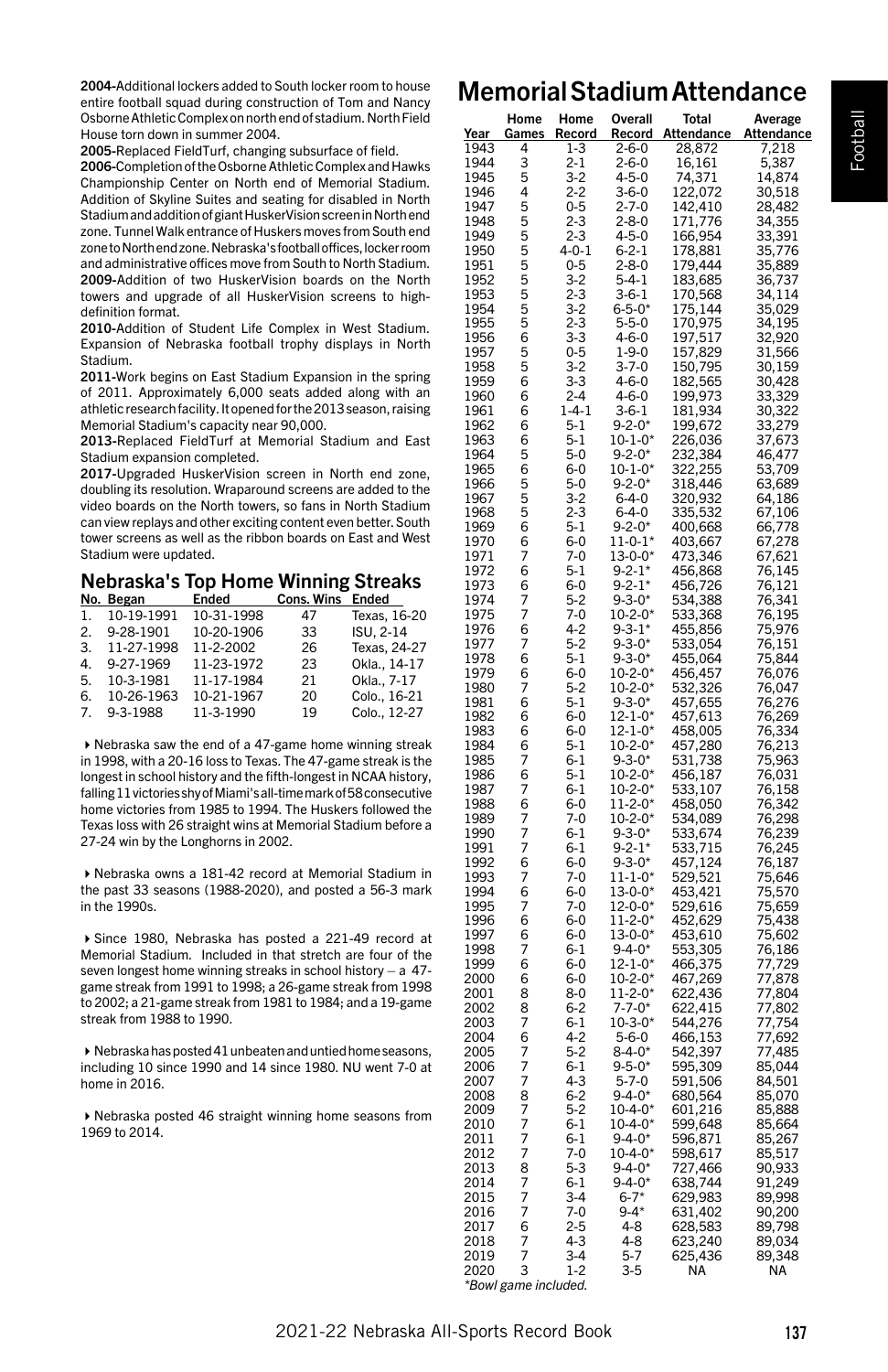2004-Additional lockers added to South locker room to house entire football squad during construction of Tom and Nancy Osborne Athletic Complex on north end of stadium. North Field House torn down in summer 2004.

2005-Replaced FieldTurf, changing subsurface of field.

2006-Completion of the Osborne Athletic Complex and Hawks Championship Center on North end of Memorial Stadium. Addition of Skyline Suites and seating for disabled in North Stadium and addition of giant HuskerVision screen in North end zone. Tunnel Walk entrance of Huskers moves from South end zone to North end zone. Nebraska's football offices, locker room and administrative offices move from South to North Stadium. 2009-Addition of two HuskerVision boards on the North towers and upgrade of all HuskerVision screens to highdefinition format.

2010-Addition of Student Life Complex in West Stadium. Expansion of Nebraska football trophy displays in North Stadium.

2011-Work begins on East Stadium Expansion in the spring of 2011. Approximately 6,000 seats added along with an athletic research facility. It opened for the 2013 season, raising Memorial Stadium's capacity near 90,000.

2013-Replaced FieldTurf at Memorial Stadium and East Stadium expansion completed.

2017-Upgraded HuskerVision screen in North end zone, doubling its resolution. Wraparound screens are added to the video boards on the North towers, so fans in North Stadium can view replays and other exciting content even better. South tower screens as well as the ribbon boards on East and West Stadium were updated.

#### Nebraska's Top Home Winning Streaks No. Began

|    | IVU. DEKAII   | ciiudu     | <b>COID. WILD ENGEL</b> |              |
|----|---------------|------------|-------------------------|--------------|
|    | 1. 10-19-1991 | 10-31-1998 | 47                      | Texas, 16-20 |
|    | 2. 9-28-1901  | 10-20-1906 | 33                      | ISU. 2-14    |
| 3. | 11-27-1998    | 11-2-2002  | 26                      | Texas, 24-27 |
| 4  | 9-27-1969     | 11-23-1972 | 23                      | Okla., 14-17 |
| 5. | 10-3-1981     | 11-17-1984 | 21                      | Okla., 7-17  |
| 6. | 10-26-1963    | 10-21-1967 | 20                      | Colo., 16-21 |
|    | 7. 9-3-1988   | 11-3-1990  | 19                      | Colo., 12-27 |

4Nebraska saw the end of a 47-game home winning streak in 1998, with a 20-16 loss to Texas. The 47-game streak is the longest in school history and the fifth-longest in NCAA history, falling 11 victories shy of Miami's all-time mark of 58 consecutive home victories from 1985 to 1994. The Huskers followed the Texas loss with 26 straight wins at Memorial Stadium before a 27-24 win by the Longhorns in 2002.

4Nebraska owns a 181-42 record at Memorial Stadium in the past 33 seasons (1988-2020), and posted a 56-3 mark in the 1990s.

4Since 1980, Nebraska has posted a 221-49 record at Memorial Stadium. Included in that stretch are four of the seven longest home winning streaks in school history – a 47 game streak from 1991 to 1998; a 26-game streak from 1998 to 2002; a 21-game streak from 1981 to 1984; and a 19-game streak from 1988 to 1990.

 $\blacktriangleright$  Nebraska has posted 41 unbeaten and untied home seasons, including 10 since 1990 and 14 since 1980. NU went 7-0 at home in 2016.

4Nebraska posted 46 straight winning home seasons from 1969 to 2014.

# Memorial Stadium Attendance

| <u>Year</u>  | Home<br><u>Games</u> | Home<br><u>Record</u>    | Overall<br><u>Record</u>       | Total<br><b>Attendance</b>    | Average<br><u>Attendance</u>                                       |
|--------------|----------------------|--------------------------|--------------------------------|-------------------------------|--------------------------------------------------------------------|
| 1943         | 4                    | 1-3                      | 2-6-0                          | 28,872                        | 7,218                                                              |
| 1944         | 3                    | $2 - 1$                  | $2 - 6 - 0$                    | 16,161                        | 5<br>387                                                           |
| 1945         | 5                    | $3-2$                    | 4-5-0                          | 74,371                        | 14,874                                                             |
| 1946         | 4<br>5               | $2 - 2$                  | $3 - 6 - 0$<br>$2 - 7 - 0$     | 122,072                       | 30,518                                                             |
| 1947<br>1948 | 5                    | $0 - 5$<br><br>2-3       | $2 - 8 - 0$                    | 142,410<br>171,776            | $28,482$<br>34,355<br>33,391<br>35,776                             |
| 1949         | 5                    | $2 - 3$                  |                                |                               |                                                                    |
| 1950         | 5                    |                          | 4-5-0<br>6-2-1                 | 166,954<br>178,881            |                                                                    |
| 1951         |                      |                          | $2 - 8 - 0$                    | 179,444                       | 35,889                                                             |
| 1952         |                      | $4-0-1$<br>0-5<br>3-2    | $5 - 4 - 1$                    | 183,685                       | 36,737                                                             |
| 1953         | 555                  |                          | $3 - 6 - 1$                    | 170,568                       | 34,114                                                             |
| 1954         | 5                    | $2 - 3$<br>3-2           | $6 - 5 - 0*$                   | 175,144                       | 35,029                                                             |
| 1955         | 5                    | 2-3<br>3-3               | $5 - 5 - 0$                    |                               | 34,195                                                             |
| 1956         | 6                    |                          | 4-6-0                          | 170,975<br>197,517<br>157,829 | 32,920                                                             |
| 1957         | 5                    | $0 - 5$                  | $1 - 9 - 0$                    |                               | 31,566                                                             |
| 1958         | 5                    | $3-2$                    | $3 - 7 - 0$                    | 150,795                       | 30,159                                                             |
| 1959<br>1960 | 6<br>6               | 3-3<br>$2 - 4$           | $4 - 6 - 0$<br>4-6-0           | 182,565<br>199,973            | 30,428                                                             |
| 1961         | 6                    | $1 - 4 - 1$              | $3-6-1$                        | 181,934                       |                                                                    |
| 1962         | 6                    |                          | $9 - 2 - 0*$                   | 199,672                       | 30,322                                                             |
| 1963         | 6                    | 5-1<br>5-1               | $10 - 1 - 0*$                  | 226,036                       | 33,279<br>37,673<br>46,477                                         |
| 1964         | 5                    | $5-0$                    | $9 - 2 - 0*$                   | 232,384                       |                                                                    |
| 1965         | 6                    | $6-0$                    | $10-1-0*$<br>9-2-0*            | 322,255                       | 53,709                                                             |
| 1966         | 5                    | 5-0                      |                                | 318,446                       | 63,689                                                             |
| 1967         | 5                    | $3-2$                    | $6 - 4 - 0$                    | 320,932                       | 64,186                                                             |
| 1968         | 5                    | 2-3                      | $6 - 4 - 0$                    | 335,532                       | 67,106                                                             |
| 1969         | 6                    | $5-1$                    | $9 - 2 - 0*$                   | 400,668                       | 66,778                                                             |
| 1970         | 6<br>7               | $6 - 0$                  | $11 - 0 - 1*$<br>$13 - 0 - 0*$ | 403,667                       | 67,278                                                             |
| 1971<br>1972 | 6                    | 7-0<br>$5-1$             | $9 - 2 - 1*$                   | 473,346<br>456,868            | 67,621<br>76,145                                                   |
| 1973         | 6                    | 6-0                      | $9 - 2 - 1*$                   | 456,726                       | 76,121                                                             |
| 1974         |                      | $5-2$                    | $9 - 3 - 0*$                   | 534,388                       | 76,341                                                             |
| 1975         | 7<br>7               | 7-0                      | $10 - 2 - 0*$                  | 533,368                       | 76,195                                                             |
| 1976         | 6                    | $4 - 2$                  | $9 - 3 - 1*$                   | 455,856                       | 75,976                                                             |
| 1977         | 7                    | $5-2$<br>$5-1$           | $9 - 3 - 0*$<br>9-3-0*         | 533,054                       | 76,151                                                             |
| 1978         | 6                    |                          |                                | 455,064                       | 75,844                                                             |
| 1979         | 6<br>7               | 6-0                      | $10 - 2 - 0*$                  | 456,457                       | 76,076                                                             |
| 1980<br>1981 | 6                    | $5-2$<br>$5-1$           | $10 - 2 - 0*$<br>$9 - 3 - 0*$  | 532,326<br>457,655            | 76,047<br>76,276                                                   |
| 1982         | 6                    | $6-0$                    | $12 - 1 - 0*$                  | 457,613                       | 76,269                                                             |
| 1983         | 6                    | $6 - 0$                  | $12 - 1 - 0*$                  | 458,005                       | 76,334                                                             |
| 1984         | 6                    | 5-1<br>6-1               | $10 - 2 - 0*$                  |                               | 76,213                                                             |
| 1985         | 7                    |                          | $9 - 3 - 0*$                   | 457,280<br>531,738<br>456,197 | 75,963                                                             |
| 1986         | 6                    | $5-1$                    | $10 - 2 - 0*$                  | 456,187                       | 76,031                                                             |
| 1987         | 7                    | $6 - 1$                  | $10 - 2 - 0*$                  | 533,107                       | 76,158                                                             |
| 1988<br>1989 | 6                    | $6 - 0$<br>$7-0$         | $11 - 2 - 0*$<br>$10 - 2 - 0*$ | 458,050                       | 76,342                                                             |
| 1990         | 7<br>7               | $6 - 1$                  | $9 - 3 - 0^*$                  | 534,089<br>533,674            | 76,298<br>76,239                                                   |
| 1991         | 7                    | $6-1$                    | $9 - 2 - 1*$                   | 533,715                       | 76,245                                                             |
| 1992         |                      | 6-0<br>6-0<br>7-0<br>6-0 | $9 - 3 - 0*$                   |                               | 76,187                                                             |
| 1993         | 6<br>7               |                          | $11 - 1 - 0*$                  | 457,124<br>529,521            | 75,646                                                             |
| 1994         | 6                    |                          | $13 - 0 - 0*$                  | 453,421                       | 75,570                                                             |
| 1995         | 7                    | 7-0<br>6-0               | $12 - 0 - 0*$                  | 529,616                       | 75,659                                                             |
| 1996         | 6                    |                          | $11 - 2 - 0*$                  | 452,629                       | 75,438                                                             |
| 1997<br>1998 | 6                    | $6-0$                    | $13 - 0 - 0*$<br>$9 - 4 - 0*$  | 453,610                       | 75,602                                                             |
| 1999         | 7<br>6               | 6-1<br>6-0               | $12 - 1 - 0*$                  | 553,305<br>466,375<br>467,269 | 76,186                                                             |
| 2000         | 6                    | $\overline{6}$ -0        | $10 - 2 - 0*$                  |                               |                                                                    |
| 2001         | 8                    | 8-0                      | $11 - 2 - 0$ *                 | 622,436                       | 77,729<br>77,729<br>77,878<br>77,802<br>77,754<br>77,692<br>77,485 |
| 2002         | 8                    | 6-2                      | $7 - 7 - 0*$                   | 622,415                       |                                                                    |
| 2003         | 7                    | $6 - 1$                  | $10 - 3 - 0*$                  | 544,276                       |                                                                    |
| 2004         |                      | 4-2                      | $5 - 6 - 0$                    | 466,153                       |                                                                    |
| 2005         |                      | $5-2$                    | $8 - 4 - 0*$                   | 542,397<br>595,309            | 77,485                                                             |
| 2006         |                      | 6-1                      | $9 - 5 - 0*$                   |                               | 85,044                                                             |
| 2007<br>2008 |                      | 4-3<br>6-2               | $5 - 7 - 0$<br>$9 - 4 - 0*$    | 591,506<br>680,564<br>601,216 | 84,501                                                             |
| 2009         |                      | $5-2$                    | $10 - 4 - 0*$                  |                               | 85,070<br>85,888                                                   |
| 2010         | 677787777            | $6 - 1$                  | $10 - 4 - 0*$                  | 599,648                       | 85,664                                                             |
| 2011         |                      | $\overline{6}$ -1        | $9 - 4 - 0*$                   | 596,871                       | 85,267                                                             |
| 2012         |                      | $7-0$                    | $10 - 4 - 0*$                  | 598,617                       | 85,517                                                             |
| 2013         |                      | 5-3                      | $9 - 4 - 0*$                   |                               | 90,933                                                             |
| 2014         |                      | 6-1                      | $9-4-0*$<br>6-7*               | 727,466<br>638,744<br>629,983 | 91,249                                                             |
| 2015         | 8777                 | $3-4$                    |                                |                               | 89,998                                                             |
| 2016<br>2017 |                      | $7-0$                    | $9 - 4*$<br>$4 - 8$            | 631,402<br>628,583            | 90,200<br>89,798                                                   |
| 2018         | 6773                 | 2-5<br>4-3               | 4-8                            | 623,240                       | 89,034                                                             |
| 2019         |                      | 3<br>-4                  | $5 - 7$                        | 625,436                       | 89,348                                                             |
| 2020         |                      | $1-2$                    | $3-5$                          | ŃA                            | ŃA                                                                 |

*\*Bowl game included.*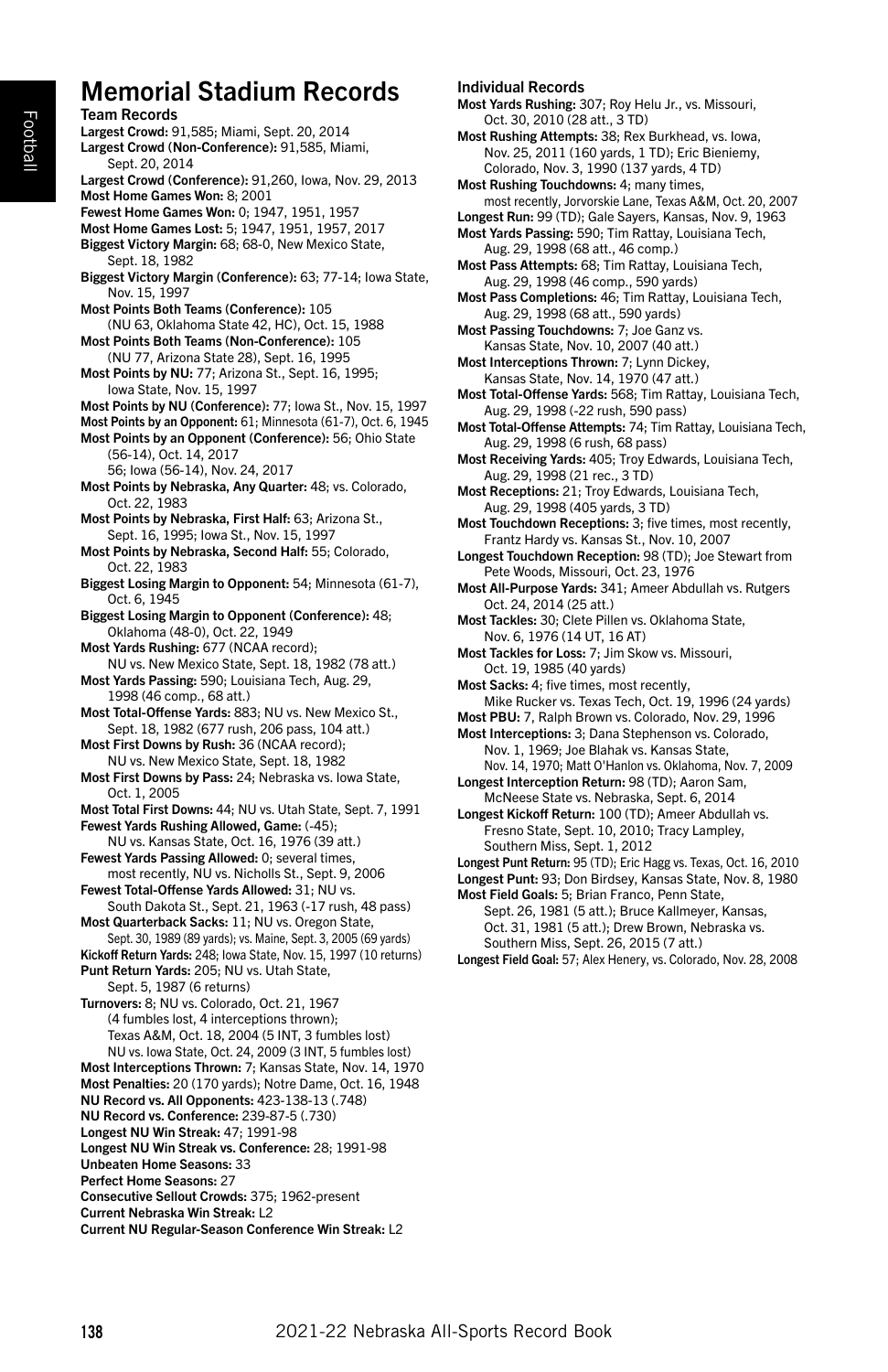# Memorial Stadium Records

Team Records Largest Crowd: 91,585; Miami, Sept. 20, 2014 Largest Crowd (Non-Conference): 91,585, Miami, Sept. 20, 2014 Largest Crowd (Conference): 91,260, Iowa, Nov. 29, 2013 Most Home Games Won: 8; 2001 Fewest Home Games Won: 0; 1947, 1951, 1957 Most Home Games Lost: 5; 1947, 1951, 1957, 2017 Biggest Victory Margin: 68; 68-0, New Mexico State, Sept. 18, 1982 Biggest Victory Margin (Conference): 63; 77-14; Iowa State, Nov. 15, 1997 Most Points Both Teams (Conference): 105 (NU 63, Oklahoma State 42, HC), Oct. 15, 1988 Most Points Both Teams (Non-Conference): 105 (NU 77, Arizona State 28), Sept. 16, 1995 Most Points by NU: 77; Arizona St., Sept. 16, 1995; Iowa State, Nov. 15, 1997 Most Points by NU (Conference): 77; Iowa St., Nov. 15, 1997 Most Points by an Opponent: 61; Minnesota (61-7), Oct. 6, 1945 Most Points by an Opponent (Conference): 56; Ohio State (56-14), Oct. 14, 2017 56; Iowa (56-14), Nov. 24, 2017 Most Points by Nebraska, Any Quarter: 48; vs. Colorado, Oct. 22, 1983 Most Points by Nebraska, First Half: 63; Arizona St., Sept. 16, 1995; Iowa St., Nov. 15, 1997 Most Points by Nebraska, Second Half: 55; Colorado, Oct. 22, 1983 Biggest Losing Margin to Opponent: 54; Minnesota (61-7), Oct. 6, 1945 Biggest Losing Margin to Opponent (Conference): 48; Oklahoma (48-0), Oct. 22, 1949 Most Yards Rushing: 677 (NCAA record); NU vs. New Mexico State, Sept. 18, 1982 (78 att.) Most Yards Passing: 590; Louisiana Tech, Aug. 29, 1998 (46 comp., 68 att.) Most Total-Offense Yards: 883; NU vs. New Mexico St., Sept. 18, 1982 (677 rush, 206 pass, 104 att.) Most First Downs by Rush: 36 (NCAA record); NU vs. New Mexico State, Sept. 18, 1982 Most First Downs by Pass: 24; Nebraska vs. Iowa State, Oct. 1, 2005 Most Total First Downs: 44; NU vs. Utah State, Sept. 7, 1991 Fewest Yards Rushing Allowed, Game: (-45); NU vs. Kansas State, Oct. 16, 1976 (39 att.) Fewest Yards Passing Allowed: 0; several times, most recently, NU vs. Nicholls St., Sept. 9, 2006 Fewest Total-Offense Yards Allowed: 31; NU vs. South Dakota St., Sept. 21, 1963 (-17 rush, 48 pass) Most Quarterback Sacks: 11; NU vs. Oregon State, Sept. 30, 1989 (89 yards); vs. Maine, Sept. 3, 2005 (69 yards) Kickoff Return Yards: 248; Iowa State, Nov. 15, 1997 (10 returns) Punt Return Yards: 205; NU vs. Utah State, Sept. 5, 1987 (6 returns) Turnovers: 8; NU vs. Colorado, Oct. 21, 1967 (4 fumbles lost, 4 interceptions thrown); Texas A&M, Oct. 18, 2004 (5 INT, 3 fumbles lost) NU vs. Iowa State, Oct. 24, 2009 (3 INT, 5 fumbles lost) Most Interceptions Thrown: 7; Kansas State, Nov. 14, 1970 Most Penalties: 20 (170 yards); Notre Dame, Oct. 16, 1948 NU Record vs. All Opponents: 423-138-13 (.748) NU Record vs. Conference: 239-87-5 (.730) Longest NU Win Streak: 47; 1991-98 Longest NU Win Streak vs. Conference: 28; 1991-98 Unbeaten Home Seasons: 33 Perfect Home Seasons: 27 Consecutive Sellout Crowds: 375; 1962-present Current Nebraska Win Streak: L2 Current NU Regular-Season Conference Win Streak: L2

#### Individual Records

Most Yards Rushing: 307; Roy Helu Jr., vs. Missouri, Oct. 30, 2010 (28 att., 3 TD)

Most Rushing Attempts: 38; Rex Burkhead, vs. Iowa, Nov. 25, 2011 (160 yards, 1 TD); Eric Bieniemy, Colorado, Nov. 3, 1990 (137 yards, 4 TD)

Most Rushing Touchdowns: 4; many times, most recently, Jorvorskie Lane, Texas A&M, Oct. 20, 2007

Longest Run: 99 (TD); Gale Sayers, Kansas, Nov. 9, 1963 Most Yards Passing: 590; Tim Rattay, Louisiana Tech, Aug. 29, 1998 (68 att., 46 comp.)

Most Pass Attempts: 68; Tim Rattay, Louisiana Tech, Aug. 29, 1998 (46 comp., 590 yards)

Most Pass Completions: 46; Tim Rattay, Louisiana Tech, Aug. 29, 1998 (68 att., 590 yards)

Most Passing Touchdowns: 7; Joe Ganz vs. Kansas State, Nov. 10, 2007 (40 att.)

Most Interceptions Thrown: 7; Lynn Dickey, Kansas State, Nov. 14, 1970 (47 att.)

Most Total-Offense Yards: 568; Tim Rattay, Louisiana Tech, Aug. 29, 1998 (-22 rush, 590 pass)

Most Total-Offense Attempts: 74; Tim Rattay, Louisiana Tech, Aug. 29, 1998 (6 rush, 68 pass)

Most Receiving Yards: 405; Troy Edwards, Louisiana Tech, Aug. 29, 1998 (21 rec., 3 TD)

Most Receptions: 21; Troy Edwards, Louisiana Tech, Aug. 29, 1998 (405 yards, 3 TD)

Most Touchdown Receptions: 3; five times, most recently, Frantz Hardy vs. Kansas St., Nov. 10, 2007

Longest Touchdown Reception: 98 (TD); Joe Stewart from Pete Woods, Missouri, Oct. 23, 1976

Most All-Purpose Yards: 341; Ameer Abdullah vs. Rutgers Oct. 24, 2014 (25 att.)

Most Tackles: 30; Clete Pillen vs. Oklahoma State, Nov. 6, 1976 (14 UT, 16 AT)

Most Tackles for Loss: 7; Jim Skow vs. Missouri, Oct. 19, 1985 (40 yards)

Most Sacks: 4; five times, most recently, Mike Rucker vs. Texas Tech, Oct. 19, 1996 (24 yards)

Most PBU: 7, Ralph Brown vs. Colorado, Nov. 29, 1996

Most Interceptions: 3; Dana Stephenson vs. Colorado, Nov. 1, 1969; Joe Blahak vs. Kansas State, Nov. 14, 1970; Matt O'Hanlon vs. Oklahoma, Nov. 7, 2009

Longest Interception Return: 98 (TD); Aaron Sam, McNeese State vs. Nebraska, Sept. 6, 2014

Longest Kickoff Return: 100 (TD); Ameer Abdullah vs. Fresno State, Sept. 10, 2010; Tracy Lampley, Southern Miss, Sept. 1, 2012

Longest Punt Return: 95 (TD); Eric Hagg vs. Texas, Oct. 16, 2010

Longest Punt: 93; Don Birdsey, Kansas State, Nov. 8, 1980

Most Field Goals: 5; Brian Franco, Penn State, Sept. 26, 1981 (5 att.); Bruce Kallmeyer, Kansas, Oct. 31, 1981 (5 att.); Drew Brown, Nebraska vs. Southern Miss, Sept. 26, 2015 (7 att.)

Longest Field Goal: 57; Alex Henery, vs. Colorado, Nov. 28, 2008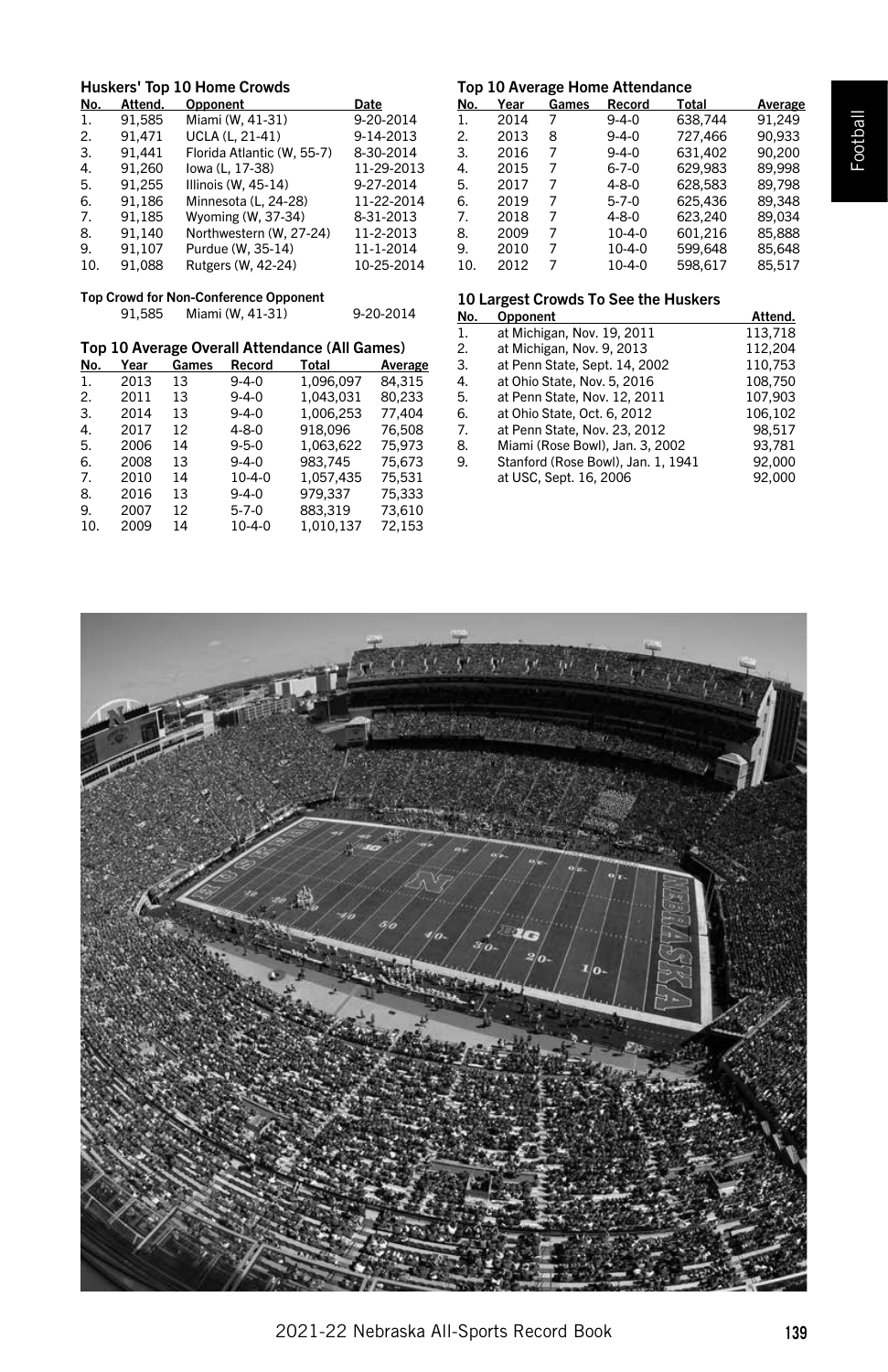# Huskers' Top 10 Home Crowds

| No. | Attend. | Opponent                   | Date       |
|-----|---------|----------------------------|------------|
| 1.  | 91.585  | Miami (W, 41-31)           | 9-20-2014  |
| 2.  | 91.471  | <b>UCLA (L. 21-41)</b>     | 9-14-2013  |
| 3.  | 91.441  | Florida Atlantic (W. 55-7) | 8-30-2014  |
| 4.  | 91,260  | lowa (L, 17-38)            | 11-29-2013 |
| 5.  | 91.255  | Illinois (W, 45-14)        | 9-27-2014  |
| 6.  | 91.186  | Minnesota (L. 24-28)       | 11-22-2014 |
| 7.  | 91.185  | Wyoming (W. 37-34)         | 8-31-2013  |
| 8.  | 91.140  | Northwestern (W. 27-24)    | 11-2-2013  |
| 9.  | 91.107  | Purdue (W, 35-14)          | 11-1-2014  |
| 10. | 91.088  | Rutgers (W, 42-24)         | 10-25-2014 |

# Top Crowd for Non-Conference Opponent 91,585 Miami (W, 41-31) 9-20-2014

## Top 10 Average Overall Attendance (All Games)

| No. | Year | Games | Record       | Total     | Average |
|-----|------|-------|--------------|-----------|---------|
| 1.  | 2013 | 13    | $9 - 4 - 0$  | 1.096.097 | 84.315  |
| 2.  | 2011 | 13    | $9 - 4 - 0$  | 1,043,031 | 80,233  |
| 3.  | 2014 | 13    | $9 - 4 - 0$  | 1,006,253 | 77.404  |
| 4.  | 2017 | 12    | $4 - 8 - 0$  | 918.096   | 76.508  |
| 5.  | 2006 | 14    | $9 - 5 - 0$  | 1.063.622 | 75.973  |
| 6.  | 2008 | 13    | $9 - 4 - 0$  | 983.745   | 75.673  |
| 7.  | 2010 | 14    | $10 - 4 - 0$ | 1.057.435 | 75.531  |
| 8.  | 2016 | 13    | $9 - 4 - 0$  | 979.337   | 75.333  |
| 9.  | 2007 | 12    | $5 - 7 - 0$  | 883.319   | 73.610  |
| 10. | 2009 | 14    | $10 - 4 - 0$ | 1.010.137 | 72,153  |
|     |      |       |              |           |         |

# Top 10 Average Home Attendance

| No. | Year | Games | Record       | Total   | Average |
|-----|------|-------|--------------|---------|---------|
| 1.  | 2014 | 7     | $9 - 4 - 0$  | 638.744 | 91,249  |
| 2.  | 2013 | 8     | $9 - 4 - 0$  | 727.466 | 90.933  |
| 3.  | 2016 | 7     | $9 - 4 - 0$  | 631.402 | 90.200  |
| 4.  | 2015 | 7     | $6 - 7 - 0$  | 629,983 | 89,998  |
| 5.  | 2017 | 7     | $4 - 8 - 0$  | 628,583 | 89.798  |
| 6.  | 2019 | 7     | $5 - 7 - 0$  | 625.436 | 89.348  |
| 7.  | 2018 | 7     | $4 - 8 - 0$  | 623.240 | 89.034  |
| 8.  | 2009 | 7     | $10 - 4 - 0$ | 601.216 | 85,888  |
| 9.  | 2010 | 7     | $10 - 4 - 0$ | 599.648 | 85,648  |
| 10. | 2012 | 7     | $10 - 4 - 0$ | 598.617 | 85.517  |

# 10 Largest Crowds To See the Huskers

| No. | Opponent                           | Attend. |
|-----|------------------------------------|---------|
| 1.  | at Michigan, Nov. 19, 2011         | 113.718 |
| 2.  | at Michigan, Nov. 9, 2013          | 112,204 |
| 3.  | at Penn State, Sept. 14, 2002      | 110.753 |
| 4.  | at Ohio State, Nov. 5, 2016        | 108.750 |
| 5.  | at Penn State, Nov. 12, 2011       | 107,903 |
| 6.  | at Ohio State, Oct. 6, 2012        | 106,102 |
| 7.  | at Penn State. Nov. 23, 2012       | 98.517  |
| 8.  | Miami (Rose Bowl), Jan. 3, 2002    | 93.781  |
| 9.  | Stanford (Rose Bowl), Jan. 1, 1941 | 92.000  |
|     | at USC, Sept. 16, 2006             | 92.000  |
|     |                                    |         |

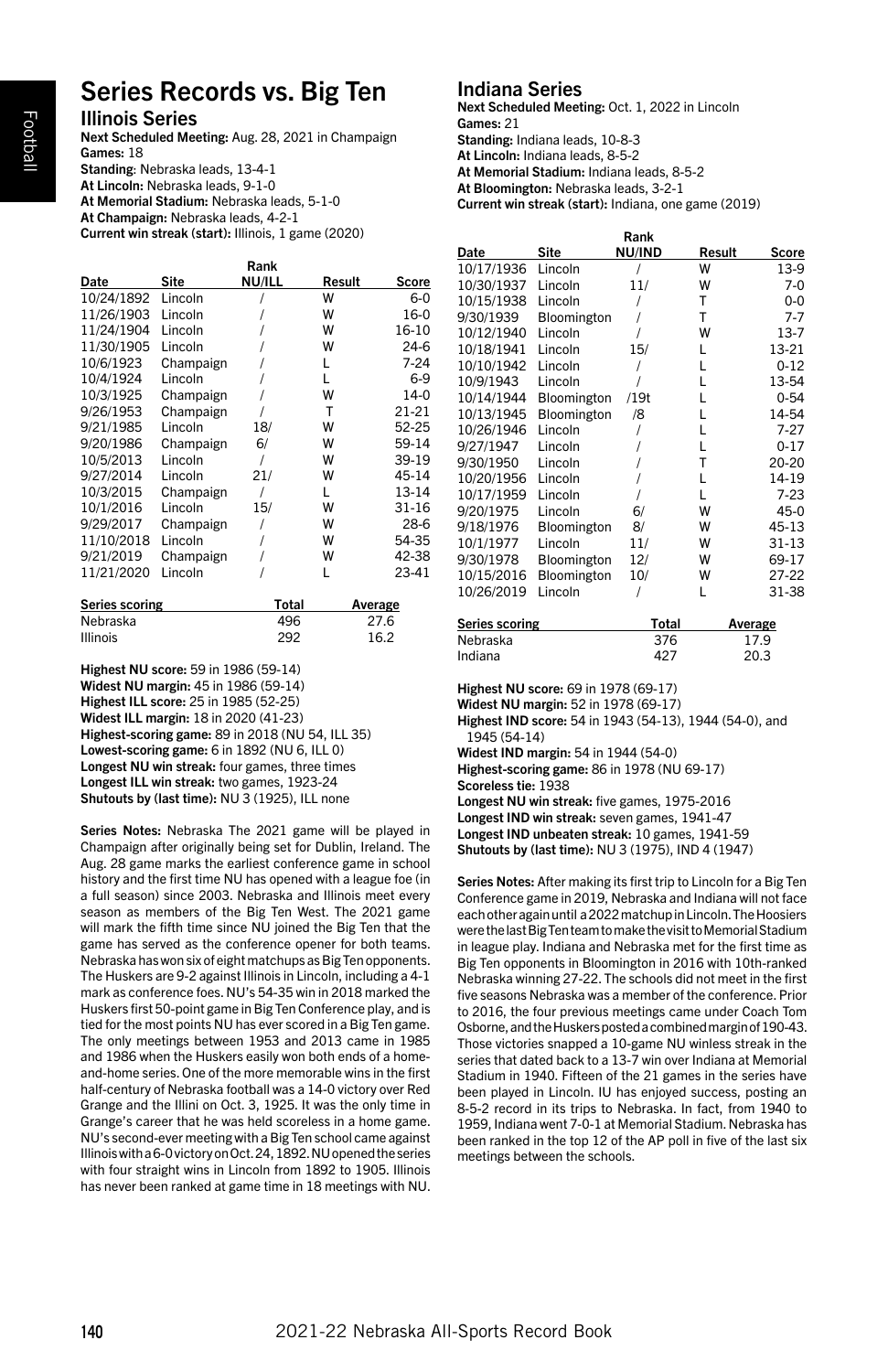# Series Records vs. Big Ten

Illinois Series

Next Scheduled Meeting: Aug. 28, 2021 in Champaign Games: 18 Standing: Nebraska leads, 13-4-1 At Lincoln: Nebraska leads, 9-1-0 At Memorial Stadium: Nebraska leads, 5-1-0 At Champaign: Nebraska leads, 4-2-1

Current win streak (start): Illinois, 1 game (2020)

| Rank       |           |        |        |          |  |
|------------|-----------|--------|--------|----------|--|
| Date       | Site      | NU/ILL | Result | Score    |  |
| 10/24/1892 | Lincoln   |        | W      | $6 - 0$  |  |
| 11/26/1903 | Lincoln   |        | W      | 16-0     |  |
| 11/24/1904 | Lincoln   |        | W      | 16-10    |  |
| 11/30/1905 | Lincoln   |        | W      | $24-6$   |  |
| 10/6/1923  | Champaign |        | L      | $7 - 24$ |  |
| 10/4/1924  | Lincoln   |        | L      | $6-9$    |  |
| 10/3/1925  | Champaign |        | W      | $14-0$   |  |
| 9/26/1953  | Champaign |        | т      | 21-21    |  |
| 9/21/1985  | Lincoln   | 18/    | W      | 52-25    |  |
| 9/20/1986  | Champaign | 6/     | W      | 59-14    |  |
| 10/5/2013  | Lincoln   | I      | W      | 39-19    |  |
| 9/27/2014  | Lincoln   | 21/    | W      | 45-14    |  |
| 10/3/2015  | Champaign | 1      | L      | 13-14    |  |
| 10/1/2016  | Lincoln   | 15/    | w      | 31-16    |  |
| 9/29/2017  | Champaign |        | W      | $28-6$   |  |
| 11/10/2018 | Lincoln   |        | W      | 54-35    |  |
| 9/21/2019  | Champaign |        | W      | 42-38    |  |
| 11/21/2020 | Lincoln   |        | L      | 23-41    |  |
|            |           |        |        |          |  |

| <b>Series scoring</b> | Total | Average |
|-----------------------|-------|---------|
| Nebraska              | 496   | 27.6    |
| <b>Illinois</b>       | 292   | 16.2    |

Highest NU score: 59 in 1986 (59-14) Widest NU margin: 45 in 1986 (59-14) Highest ILL score: 25 in 1985 (52-25) Widest ILL margin: 18 in 2020 (41-23) Highest-scoring game: 89 in 2018 (NU 54, ILL 35) Lowest-scoring game: 6 in 1892 (NU 6, ILL 0) Longest NU win streak: four games, three times Longest ILL win streak: two games, 1923-24 Shutouts by (last time): NU 3 (1925), ILL none

Series Notes: Nebraska The 2021 game will be played in Champaign after originally being set for Dublin, Ireland. The Aug. 28 game marks the earliest conference game in school history and the first time NU has opened with a league foe (in a full season) since 2003. Nebraska and Illinois meet every season as members of the Big Ten West. The 2021 game will mark the fifth time since NU joined the Big Ten that the game has served as the conference opener for both teams. Nebraska has won six of eight matchups as Big Ten opponents. The Huskers are 9-2 against Illinois in Lincoln, including a 4-1 mark as conference foes. NU's 54-35 win in 2018 marked the Huskers first 50-point game in Big Ten Conference play, and is tied for the most points NU has ever scored in a Big Ten game. The only meetings between 1953 and 2013 came in 1985 and 1986 when the Huskers easily won both ends of a homeand-home series. One of the more memorable wins in the first half-century of Nebraska football was a 14-0 victory over Red Grange and the Illini on Oct. 3, 1925. It was the only time in Grange's career that he was held scoreless in a home game. NU's second-ever meeting with a Big Ten school came against Illinois with a 6-0 victory on Oct. 24, 1892. NU opened the series with four straight wins in Lincoln from 1892 to 1905. Illinois has never been ranked at game time in 18 meetings with NU.

# Indiana Series

Next Scheduled Meeting: Oct. 1, 2022 in Lincoln Games: 21

Standing: Indiana leads, 10-8-3 At Lincoln: Indiana leads, 8-5-2

At Memorial Stadium: Indiana leads, 8-5-2

At Bloomington: Nebraska leads, 3-2-1

Current win streak (start): Indiana, one game (2019)

| Rank       |             |        |        |              |  |
|------------|-------------|--------|--------|--------------|--|
| Date       | Site        | NU/IND | Result | <b>Score</b> |  |
| 10/17/1936 | Lincoln     |        | W      | 13-9         |  |
| 10/30/1937 | Lincoln     | 11/    | W      | $7-0$        |  |
| 10/15/1938 | Lincoln     |        | T      | $0-0$        |  |
| 9/30/1939  | Bloomington |        | T      | $7 - 7$      |  |
| 10/12/1940 | Lincoln     |        | W      | $13 - 7$     |  |
| 10/18/1941 | Lincoln     | 15/    | L      | 13-21        |  |
| 10/10/1942 | Lincoln     |        | L      | $0 - 12$     |  |
| 10/9/1943  | Lincoln     |        | L      | 13-54        |  |
| 10/14/1944 | Bloomington | /19t   | L      | $0 - 54$     |  |
| 10/13/1945 | Bloomington | /8     | L      | 14-54        |  |
| 10/26/1946 | Lincoln     |        | L      | $7 - 27$     |  |
| 9/27/1947  | Lincoln     |        | L      | $0 - 17$     |  |
| 9/30/1950  | Lincoln     |        | Т      | 20-20        |  |
| 10/20/1956 | Lincoln     |        | L      | 14-19        |  |
| 10/17/1959 | Lincoln     |        | L      | $7-23$       |  |
| 9/20/1975  | Lincoln     | 6/     | W      | 45-0         |  |
| 9/18/1976  | Bloomington | 8/     | W      | 45-13        |  |
| 10/1/1977  | Lincoln     | 11/    | W      | $31 - 13$    |  |
| 9/30/1978  | Bloomington | 12/    | W      | 69-17        |  |
| 10/15/2016 | Bloomington | 10/    | W      | 27-22        |  |
| 10/26/2019 | Lincoln     |        | L      | 31-38        |  |
|            |             |        |        |              |  |

| Series scoring | Total | Average |
|----------------|-------|---------|
| Nebraska       | 376   | 17.9    |
| Indiana        | 427   | 20.3    |

Highest NU score: 69 in 1978 (69-17)

Widest NU margin: 52 in 1978 (69-17)

Highest IND score: 54 in 1943 (54-13), 1944 (54-0), and 1945 (54-14)

Widest IND margin: 54 in 1944 (54-0)

Highest-scoring game: 86 in 1978 (NU 69-17)

Scoreless tie: 1938

Longest NU win streak: five games, 1975-2016

Longest IND win streak: seven games, 1941-47

Longest IND unbeaten streak: 10 games, 1941-59

Shutouts by (last time): NU 3 (1975), IND 4 (1947)

Series Notes: After making its first trip to Lincoln for a Big Ten Conference game in 2019, Nebraska and Indiana will not face each other again until a 2022 matchup in Lincoln. The Hoosiers were the last Big Ten team to make the visit to Memorial Stadium in league play. Indiana and Nebraska met for the first time as Big Ten opponents in Bloomington in 2016 with 10th-ranked Nebraska winning 27-22. The schools did not meet in the first five seasons Nebraska was a member of the conference. Prior to 2016, the four previous meetings came under Coach Tom Osborne, and the Huskers posted a combined margin of 190-43. Those victories snapped a 10-game NU winless streak in the series that dated back to a 13-7 win over Indiana at Memorial Stadium in 1940. Fifteen of the 21 games in the series have been played in Lincoln. IU has enjoyed success, posting an 8-5-2 record in its trips to Nebraska. In fact, from 1940 to 1959, Indiana went 7-0-1 at Memorial Stadium. Nebraska has been ranked in the top 12 of the AP poll in five of the last six meetings between the schools.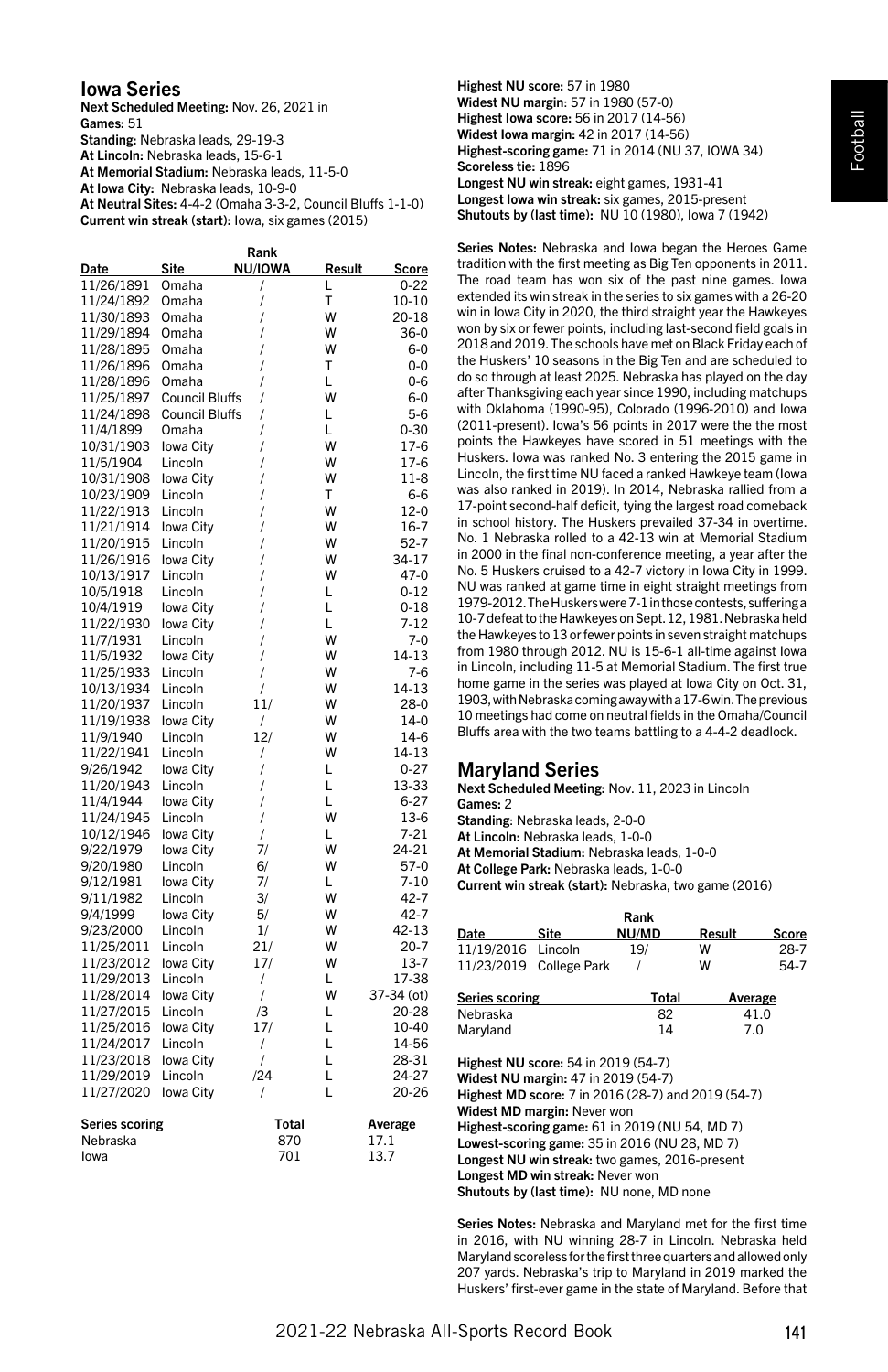## Iowa Series

Next Scheduled Meeting: Nov. 26, 2021 in Games: 51 Standing: Nebraska leads, 29-19-3 At Lincoln: Nebraska leads, 15-6-1 At Memorial Stadium: Nebraska leads, 11-5-0 At Iowa City: Nebraska leads, 10-9-0 At Neutral Sites: 4-4-2 (Omaha 3-3-2, Council Bluffs 1-1-0) Current win streak (start): Iowa, six games (2015)

| Rank                  |                       |                |        |            |
|-----------------------|-----------------------|----------------|--------|------------|
| Date                  | Site                  | <b>NU/IOWA</b> | Result | Score      |
| 11/26/1891            | Omaha                 | 1              | L      | $0 - 22$   |
| 11/24/1892            | Omaha                 | I              | T      | 10-10      |
| 11/30/1893            | Omaha                 | 1              | W      | 20-18      |
| 11/29/1894            | Omaha                 | 1              | W      | $36-0$     |
| 11/28/1895            | Omaha                 | 1              | W      | $6-0$      |
| 11/26/1896            | Omaha                 | 1              | T      | 0-0        |
| 11/28/1896            | Omaha                 | 1              | L      | $0 - 6$    |
| 11/25/1897            | <b>Council Bluffs</b> | 1              | W      | $6-0$      |
| 11/24/1898            | <b>Council Bluffs</b> | 1              | Г      | $5-6$      |
| 11/4/1899             | Omaha                 | 1              | Г      | $0 - 30$   |
| 10/31/1903            | Iowa City             | 1              | W      | 17-6       |
| 11/5/1904             | Lincoln               | 1              | W      | 17-6       |
| 10/31/1908            | Iowa City             | 1              | W      | $11-8$     |
| 10/23/1909            | Lincoln               |                | T      | 6-6        |
|                       |                       | 1              |        |            |
| 11/22/1913            | Lincoln               | 1              | W<br>W | $12-0$     |
| 11/21/1914            | Iowa City             | 1              |        | $16-7$     |
| 11/20/1915            | Lincoln               | 1              | W      | $52-7$     |
| 11/26/1916            | Iowa City             | 1              | W      | 34-17      |
| 10/13/1917            | Lincoln               | I              | W      | $47-0$     |
| 10/5/1918             | Lincoln               | 1              | Г      | $0 - 12$   |
| 10/4/1919             | Iowa City             | 1              | L      | $0 - 18$   |
| 11/22/1930            | Iowa City             | 1              | L      | 7-12       |
| 11/7/1931             | Lincoln               | 1              | W      | 7-0        |
| 11/5/1932             | Iowa City             | 1              | W      | 14-13      |
| 11/25/1933            | Lincoln               | 1              | W      | 7-6        |
| 10/13/1934            | Lincoln               | 1              | W      | 14-13      |
| 11/20/1937            | Lincoln               | 11/            | W      | $28-0$     |
| 11/19/1938            | Iowa City             | 1              | W      | $14-0$     |
| 11/9/1940             | Lincoln               | 12/            | W      | 14-6       |
| 11/22/1941            | Lincoln               | 1              | W      | 14-13      |
| 9/26/1942             | Iowa City             | I              | L      | $0 - 27$   |
| 11/20/1943            | Lincoln               | 1              | L      | 13-33      |
| 11/4/1944             | Iowa City             | 1              | L      | $6 - 27$   |
| 11/24/1945            | Lincoln               | 1              | W      | $13-6$     |
| 10/12/1946            | Iowa City             | 1              | L      | $7 - 21$   |
| 9/22/1979             | Iowa City             | 7/             | W      | 24-21      |
| 9/20/1980             | Lincoln               | 6/             | w      | $57-0$     |
| 9/12/1981             | Iowa City             | 71             | L      | $7 - 10$   |
| 9/11/1982             | Lincoln               | 3/             | W      | 42-7       |
| 9/4/1999              | Iowa City             | 5/             | W      | $42 - 7$   |
| 9/23/2000             | Lincoln               | 1/             | W      | 42-13      |
| 11/25/2011            | Lincoln               | 21/            | W      | $20 - 7$   |
| 11/23/2012            | Iowa City             | 17/            | W      | $13-7$     |
| 11/29/2013            | Lincoln               | 1              | Г      | 17-38      |
| 11/28/2014            | Iowa City             | 1              | W      | 37-34 (ot) |
| 11/27/2015            | Lincoln               | /3             | L      | 20-28      |
| 11/25/2016            | Iowa City             | 17/            | L      | 10-40      |
| 11/24/2017            | Lincoln               | 1              | L      | 14-56      |
| 11/23/2018            | Iowa City             | 1              | L      | 28-31      |
| 11/29/2019            | Lincoln               | /24            | L      | 24-27      |
| 11/27/2020            | Iowa City             | I              | L      | 20-26      |
| <b>Series scoring</b> |                       | Total          |        | Average    |
| Nebraska              |                       | 870            |        | 17.1       |

| Nebraska | 870 | 17.1 |
|----------|-----|------|
| lowa     | 701 | 13.7 |

Highest NU score: 57 in 1980 Widest NU margin: 57 in 1980 (57-0) Highest Iowa score: 56 in 2017 (14-56) Widest Iowa margin: 42 in 2017 (14-56) Highest-scoring game: 71 in 2014 (NU 37, IOWA 34) Scoreless tie: 1896 Longest NU win streak: eight games, 1931-41 Longest Iowa win streak: six games, 2015-present Shutouts by (last time): NU 10 (1980), Iowa 7 (1942)

Series Notes: Nebraska and Iowa began the Heroes Game tradition with the first meeting as Big Ten opponents in 2011. The road team has won six of the past nine games. Iowa extended its win streak in the series to six games with a 26-20 win in Iowa City in 2020, the third straight year the Hawkeyes won by six or fewer points, including last-second field goals in 2018 and 2019. The schools have met on Black Friday each of the Huskers' 10 seasons in the Big Ten and are scheduled to do so through at least 2025. Nebraska has played on the day after Thanksgiving each year since 1990, including matchups with Oklahoma (1990-95), Colorado (1996-2010) and Iowa (2011-present). Iowa's 56 points in 2017 were the the most points the Hawkeyes have scored in 51 meetings with the Huskers. Iowa was ranked No. 3 entering the 2015 game in Lincoln, the first time NU faced a ranked Hawkeye team (Iowa was also ranked in 2019). In 2014, Nebraska rallied from a 17-point second-half deficit, tying the largest road comeback in school history. The Huskers prevailed 37-34 in overtime. No. 1 Nebraska rolled to a 42-13 win at Memorial Stadium in 2000 in the final non-conference meeting, a year after the No. 5 Huskers cruised to a 42-7 victory in Iowa City in 1999. NU was ranked at game time in eight straight meetings from 1979-2012. The Huskers were 7-1 in those contests, suffering a 10-7 defeat to the Hawkeyes on Sept. 12, 1981. Nebraska held the Hawkeyes to 13 or fewer points in seven straight matchups from 1980 through 2012. NU is 15-6-1 all-time against Iowa in Lincoln, including 11-5 at Memorial Stadium. The first true home game in the series was played at Iowa City on Oct. 31, 1903, with Nebraska coming away with a 17-6 win. The previous 10 meetings had come on neutral fields in the Omaha/Council Bluffs area with the two teams battling to a 4-4-2 deadlock.

# Maryland Series

Next Scheduled Meeting: Nov. 11, 2023 in Lincoln Games: 2

Standing: Nebraska leads, 2-0-0

At Lincoln: Nebraska leads, 1-0-0

At Memorial Stadium: Nebraska leads, 1-0-0

At College Park: Nebraska leads, 1-0-0

Current win streak (start): Nebraska, two game (2016)

| Rank               |                         |       |        |       |  |
|--------------------|-------------------------|-------|--------|-------|--|
| Date               | Site                    | NU/MD | Result | Score |  |
| 11/19/2016 Lincoln |                         | 19/   | w      | 28-7  |  |
|                    | 11/23/2019 College Park |       | w      | 54-7  |  |

| Series scoring | Total | Average |
|----------------|-------|---------|
| Nebraska       | 82    | 41.0    |
| Maryland       | 14    | 7.0     |

Highest NU score: 54 in 2019 (54-7)

Widest NU margin: 47 in 2019 (54-7) Highest MD score: 7 in 2016 (28-7) and 2019 (54-7) Widest MD margin: Never won Highest-scoring game: 61 in 2019 (NU 54, MD 7) Lowest-scoring game: 35 in 2016 (NU 28, MD 7) Longest NU win streak: two games, 2016-present Longest MD win streak: Never won

Shutouts by (last time): NU none, MD none

Series Notes: Nebraska and Maryland met for the first time in 2016, with NU winning 28-7 in Lincoln. Nebraska held Maryland scoreless for the first three quarters and allowed only 207 yards. Nebraska's trip to Maryland in 2019 marked the Huskers' first-ever game in the state of Maryland. Before that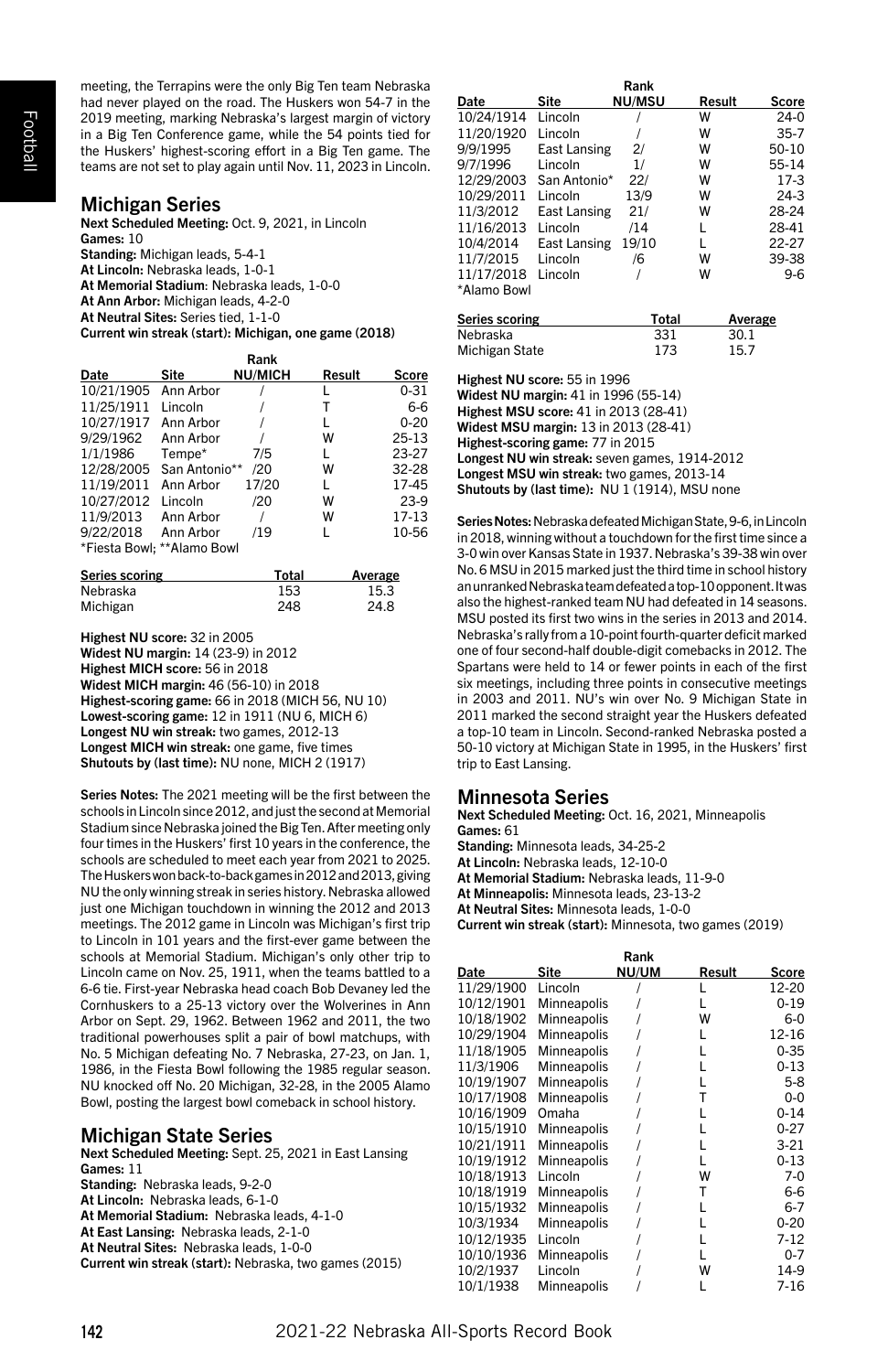Football

meeting, the Terrapins were the only Big Ten team Nebraska had never played on the road. The Huskers won 54-7 in the 2019 meeting, marking Nebraska's largest margin of victory in a Big Ten Conference game, while the 54 points tied for the Huskers' highest-scoring effort in a Big Ten game. The teams are not set to play again until Nov. 11, 2023 in Lincoln.

# Michigan Series

Next Scheduled Meeting: Oct. 9, 2021, in Lincoln Games: 10 Standing: Michigan leads, 5-4-1 At Lincoln: Nebraska leads, 1-0-1 At Memorial Stadium: Nebraska leads, 1-0-0 At Ann Arbor: Michigan leads, 4-2-0 At Neutral Sites: Series tied, 1-1-0 Current win streak (start): Michigan, one game (2018)

|            |                            | Rank           |        |           |
|------------|----------------------------|----------------|--------|-----------|
| Date       | Site                       | <b>NU/MICH</b> | Result | Score     |
| 10/21/1905 | Ann Arbor                  |                |        | $0 - 31$  |
| 11/25/1911 | Lincoln                    |                | т      | $6-6$     |
| 10/27/1917 | Ann Arbor                  |                | L      | $0 - 20$  |
| 9/29/1962  | Ann Arbor                  |                | W      | $25 - 13$ |
| 1/1/1986   | Tempe*                     | 7/5            | L      | 23-27     |
| 12/28/2005 | San Antonio**              | /20            | W      | 32-28     |
| 11/19/2011 | Ann Arbor                  | 17/20          | L      | 17-45     |
| 10/27/2012 | Lincoln                    | /20            | W      | $23-9$    |
| 11/9/2013  | Ann Arbor                  |                | W      | 17-13     |
| 9/22/2018  | Ann Arbor                  | /19            | L      | 10-56     |
|            | *Fiesta Bowl: **Alamo Bowl |                |        |           |

| Series scoring | Total | Average |
|----------------|-------|---------|
| Nebraska       | 153   | 15.3    |
| Michigan       | 248   | 24.8    |

Highest NU score: 32 in 2005

Widest NU margin: 14 (23-9) in 2012 Highest MICH score: 56 in 2018 Widest MICH margin: 46 (56-10) in 2018 Highest-scoring game: 66 in 2018 (MICH 56, NU 10) Lowest-scoring game: 12 in 1911 (NU 6, MICH 6) Longest NU win streak: two games, 2012-13 Longest MICH win streak: one game, five times Shutouts by (last time): NU none, MICH 2 (1917)

Series Notes: The 2021 meeting will be the first between the schools in Lincoln since 2012, and just the second at Memorial Stadium since Nebraska joined the Big Ten. After meeting only four times in the Huskers' first 10 years in the conference, the schools are scheduled to meet each year from 2021 to 2025. The Huskers won back-to-back games in 2012 and 2013, giving NU the only winning streak in series history. Nebraska allowed just one Michigan touchdown in winning the 2012 and 2013 meetings. The 2012 game in Lincoln was Michigan's first trip to Lincoln in 101 years and the first-ever game between the schools at Memorial Stadium. Michigan's only other trip to Lincoln came on Nov. 25, 1911, when the teams battled to a 6-6 tie. First-year Nebraska head coach Bob Devaney led the Cornhuskers to a 25-13 victory over the Wolverines in Ann Arbor on Sept. 29, 1962. Between 1962 and 2011, the two traditional powerhouses split a pair of bowl matchups, with No. 5 Michigan defeating No. 7 Nebraska, 27-23, on Jan. 1, 1986, in the Fiesta Bowl following the 1985 regular season. NU knocked off No. 20 Michigan, 32-28, in the 2005 Alamo Bowl, posting the largest bowl comeback in school history.

# Michigan State Series

Next Scheduled Meeting: Sept. 25, 2021 in East Lansing Games: 11 Standing: Nebraska leads, 9-2-0 At Lincoln: Nebraska leads, 6-1-0 At Memorial Stadium: Nebraska leads, 4-1-0 At East Lansing: Nebraska leads, 2-1-0 At Neutral Sites: Nebraska leads, 1-0-0 Current win streak (start): Nebraska, two games (2015)

|             |              | Rank          |        |          |
|-------------|--------------|---------------|--------|----------|
| Date        | Site         | <b>NU/MSU</b> | Result | Score    |
| 10/24/1914  | Lincoln      |               | w      | $24-0$   |
| 11/20/1920  | Lincoln      |               | w      | $35 - 7$ |
| 9/9/1995    | East Lansing | 2/            | w      | 50-10    |
| 9/7/1996    | Lincoln      | 1/            | w      | 55-14    |
| 12/29/2003  | San Antonio* | 221           | w      | $17-3$   |
| 10/29/2011  | Lincoln      | 13/9          | w      | $24-3$   |
| 11/3/2012   | East Lansing | 21/           | w      | 28-24    |
| 11/16/2013  | Lincoln      | /14           | L      | 28-41    |
| 10/4/2014   | East Lansing | 19/10         | L      | 22-27    |
| 11/7/2015   | Lincoln      | /6            | w      | 39-38    |
| 11/17/2018  | Lincoln      |               | w      | $9-6$    |
| *Alamo Bowl |              |               |        |          |

| Series scoring | Total | Average |
|----------------|-------|---------|
| Nebraska       | 331   | 30.1    |
| Michigan State | 173   | 15.7    |

Highest NU score: 55 in 1996

Widest NU margin: 41 in 1996 (55-14) Highest MSU score: 41 in 2013 (28-41) Widest MSU margin: 13 in 2013 (28-41) Highest-scoring game: 77 in 2015

Longest NU win streak: seven games, 1914-2012 Longest MSU win streak: two games, 2013-14

Shutouts by (last time): NU 1 (1914), MSU none

Series Notes: Nebraska defeated Michigan State, 9-6, in Lincoln in 2018, winning without a touchdown for the first time since a 3-0 win over Kansas State in 1937. Nebraska's 39-38 win over No. 6 MSU in 2015 marked just the third time in school history an unranked Nebraska team defeated a top-10 opponent. It was also the highest-ranked team NU had defeated in 14 seasons. MSU posted its first two wins in the series in 2013 and 2014. Nebraska's rally from a 10-point fourth-quarter deficit marked one of four second-half double-digit comebacks in 2012. The Spartans were held to 14 or fewer points in each of the first six meetings, including three points in consecutive meetings in 2003 and 2011. NU's win over No. 9 Michigan State in 2011 marked the second straight year the Huskers defeated a top-10 team in Lincoln. Second-ranked Nebraska posted a 50-10 victory at Michigan State in 1995, in the Huskers' first trip to East Lansing.

# Minnesota Series

Next Scheduled Meeting: Oct. 16, 2021, Minneapolis Games: 61 Standing: Minnesota leads, 34-25-2 At Lincoln: Nebraska leads, 12-10-0

At Memorial Stadium: Nebraska leads, 11-9-0

At Minneapolis: Minnesota leads, 23-13-2

At Neutral Sites: Minnesota leads, 1-0-0

Current win streak (start): Minnesota, two games (2019)

| Rank       |             |       |        |          |  |
|------------|-------------|-------|--------|----------|--|
| Date       | Site        | NU/UM | Result | Score    |  |
| 11/29/1900 | Lincoln     |       |        | 12-20    |  |
| 10/12/1901 | Minneapolis |       |        | $0 - 19$ |  |
| 10/18/1902 | Minneapolis |       | w      | $6-0$    |  |
| 10/29/1904 | Minneapolis |       | L      | 12-16    |  |
| 11/18/1905 | Minneapolis |       |        | $0 - 35$ |  |
| 11/3/1906  | Minneapolis |       |        | $0 - 13$ |  |
| 10/19/1907 | Minneapolis |       |        | $5-8$    |  |
| 10/17/1908 | Minneapolis |       | т      | $0 - 0$  |  |
| 10/16/1909 | Omaha       |       |        | $0 - 14$ |  |
| 10/15/1910 | Minneapolis |       |        | $0 - 27$ |  |
| 10/21/1911 | Minneapolis |       |        | $3-21$   |  |
| 10/19/1912 | Minneapolis |       |        | $0 - 13$ |  |
| 10/18/1913 | Lincoln     |       | w      | $7-0$    |  |
| 10/18/1919 | Minneapolis |       | т      | 6-6      |  |
| 10/15/1932 | Minneapolis |       |        | $6 - 7$  |  |
| 10/3/1934  | Minneapolis |       |        | $0 - 20$ |  |
| 10/12/1935 | Lincoln     |       |        | $7 - 12$ |  |
| 10/10/1936 | Minneapolis |       |        | $0 - 7$  |  |
| 10/2/1937  | Lincoln     |       | w      | 14-9     |  |
| 10/1/1938  | Minneapolis |       |        | $7 - 16$ |  |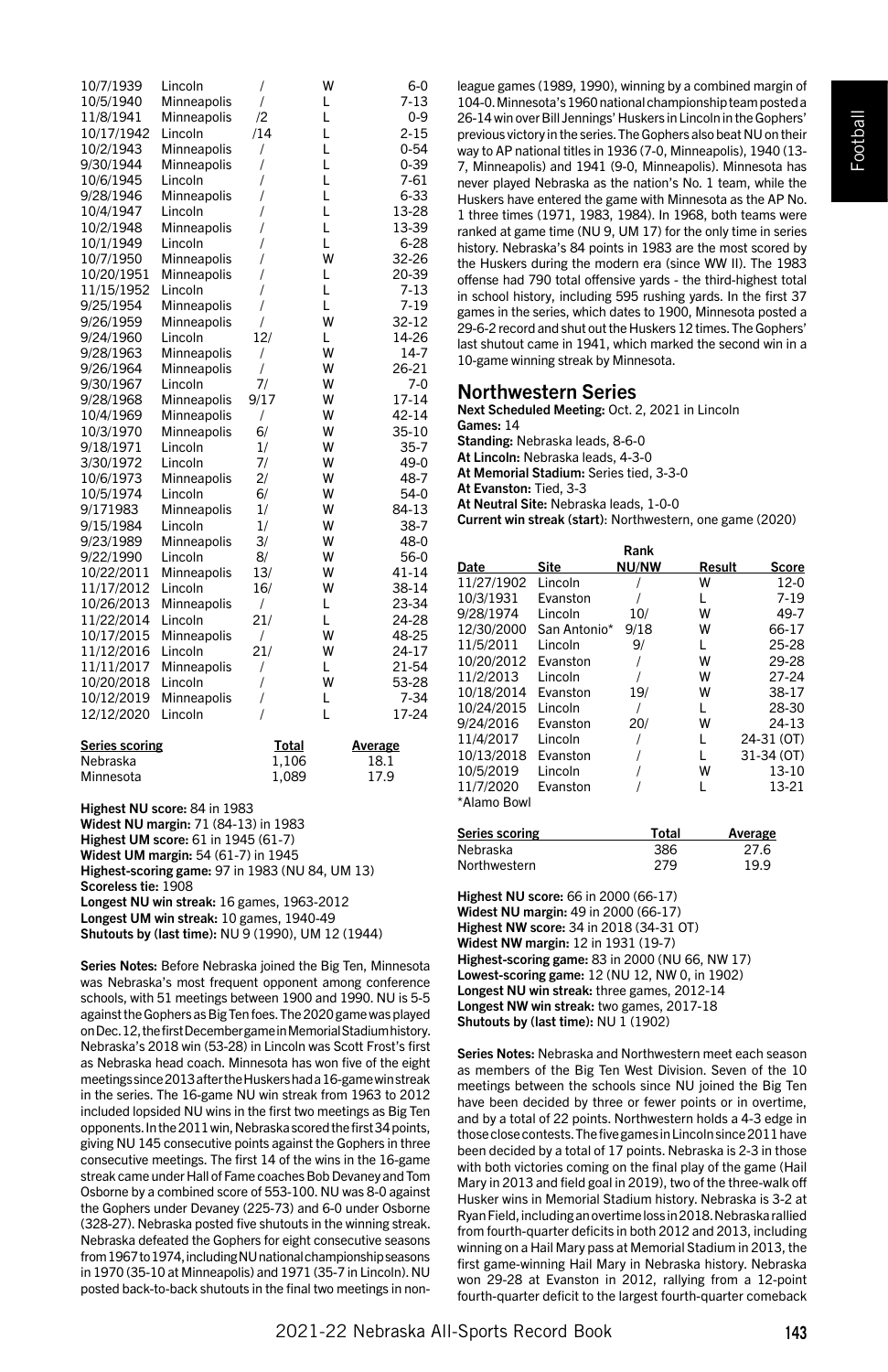| 10/7/1939             | Lincoln     | $\overline{1}$ | w | $6-0$     |
|-----------------------|-------------|----------------|---|-----------|
| 10/5/1940             | Minneapolis | $\overline{1}$ | L | $7 - 13$  |
| 11/8/1941             | Minneapolis | $\overline{2}$ | L | $0 - 9$   |
| 10/17/1942            | Lincoln     | /14            | L | $2 - 15$  |
| 10/2/1943             | Minneapolis | $\overline{1}$ | L | $0 - 54$  |
| 9/30/1944             | Minneapolis | 1              | L | $0 - 39$  |
| 10/6/1945             | Lincoln     | 1              | L | $7 - 61$  |
| 9/28/1946             | Minneapolis | 1              | L | $6 - 33$  |
| 10/4/1947             | Lincoln     | I              | L | 13-28     |
| 10/2/1948             | Minneapolis | 1              | L | 13-39     |
| 10/1/1949             | Lincoln     | 1              | L | $6 - 28$  |
| 10/7/1950             | Minneapolis | I              | W | 32-26     |
| 10/20/1951            | Minneapolis | $\overline{I}$ | L | 20-39     |
| 11/15/1952            | Lincoln     | $\overline{I}$ | L | $7 - 13$  |
| 9/25/1954             | Minneapolis | 1              | L | $7 - 19$  |
| 9/26/1959             | Minneapolis | $\sqrt{ }$     | W | 32-12     |
| 9/24/1960             | Lincoln     | 12/            | L | 14-26     |
| 9/28/1963             | Minneapolis | $\prime$       | W | $14-7$    |
| 9/26/1964             | Minneapolis | $\overline{1}$ | W | 26-21     |
| 9/30/1967             | Lincoln     | 7/             | W | $7-0$     |
| 9/28/1968             | Minneapolis | 9/17           | W | 17-14     |
| 10/4/1969             | Minneapolis | $\prime$       | W | 42-14     |
| 10/3/1970             | Minneapolis | 6/             | W | 35-10     |
| 9/18/1971             | Lincoln     | 1/             | W | $35 - 7$  |
| 3/30/1972             | Lincoln     | 7/             | W | 49-0      |
| 10/6/1973             | Minneapolis | 2/             | W | 48-7      |
| 10/5/1974             | Lincoln     | 6/             | W | $54-0$    |
| 9/171983              | Minneapolis | 1/             | W | 84-13     |
| 9/15/1984             | Lincoln     | 1/             | W | $38-7$    |
| 9/23/1989             | Minneapolis | 3/             | W | 48-0      |
| 9/22/1990             | Lincoln     | 8/             | W | $56-0$    |
| 10/22/2011            | Minneapolis | 13/            | W | $41 - 14$ |
| 11/17/2012            | Lincoln     | 16/            | W | 38-14     |
| 10/26/2013            | Minneapolis | $\prime$       | L | 23-34     |
| 11/22/2014            | Lincoln     | 21/            | L | 24-28     |
| 10/17/2015            | Minneapolis | $\prime$       | W | 48-25     |
| 11/12/2016            | Lincoln     | 21/            | W | 24-17     |
| 11/11/2017            | Minneapolis | $\overline{1}$ | L | 21-54     |
| 10/20/2018            | Lincoln     | $\overline{I}$ | W | 53-28     |
| 10/12/2019            | Minneapolis | $\overline{1}$ | L | $7 - 34$  |
| 12/12/2020            | Lincoln     | $\prime$       | L | 17-24     |
| <b>Series scoring</b> |             | <b>Total</b>   |   | Average   |
| Nebraska              |             | 1,106          |   | 18.1      |
| Minnesota             |             | 1,089          |   | 17.9      |

Highest NU score: 84 in 1983 Widest NU margin: 71 (84-13) in 1983 Highest UM score: 61 in 1945 (61-7) Widest UM margin: 54 (61-7) in 1945 Highest-scoring game: 97 in 1983 (NU 84, UM 13) Scoreless tie: 1908

Longest NU win streak: 16 games, 1963-2012 Longest UM win streak: 10 games, 1940-49

Shutouts by (last time): NU 9 (1990), UM 12 (1944)

Series Notes: Before Nebraska joined the Big Ten, Minnesota was Nebraska's most frequent opponent among conference schools, with 51 meetings between 1900 and 1990. NU is 5-5 against the Gophers as Big Ten foes. The 2020 game was played on Dec. 12, the first December game in Memorial Stadium history. Nebraska's 2018 win (53-28) in Lincoln was Scott Frost's first as Nebraska head coach. Minnesota has won five of the eight meetings since 2013 after the Huskers had a 16-game win streak in the series. The 16-game NU win streak from 1963 to 2012 included lopsided NU wins in the first two meetings as Big Ten opponents. In the 2011 win, Nebraska scored the first 34 points, giving NU 145 consecutive points against the Gophers in three consecutive meetings. The first 14 of the wins in the 16-game streak came under Hall of Fame coaches Bob Devaney and Tom Osborne by a combined score of 553-100. NU was 8-0 against the Gophers under Devaney (225-73) and 6-0 under Osborne (328-27). Nebraska posted five shutouts in the winning streak. Nebraska defeated the Gophers for eight consecutive seasons from 1967 to 1974, including NU national championship seasons in 1970 (35-10 at Minneapolis) and 1971 (35-7 in Lincoln). NU posted back-to-back shutouts in the final two meetings in non-

league games (1989, 1990), winning by a combined margin of 104-0. Minnesota's 1960 national championship team posted a 26-14 win over Bill Jennings' Huskers in Lincoln in the Gophers' previous victory in the series. The Gophers also beat NU on their way to AP national titles in 1936 (7-0, Minneapolis), 1940 (13- 7, Minneapolis) and 1941 (9-0, Minneapolis). Minnesota has never played Nebraska as the nation's No. 1 team, while the Huskers have entered the game with Minnesota as the AP No. 1 three times (1971, 1983, 1984). In 1968, both teams were ranked at game time (NU 9, UM 17) for the only time in series history. Nebraska's 84 points in 1983 are the most scored by the Huskers during the modern era (since WW II). The 1983 offense had 790 total offensive yards - the third-highest total in school history, including 595 rushing yards. In the first 37 games in the series, which dates to 1900, Minnesota posted a 29-6-2 record and shut out the Huskers 12 times. The Gophers' last shutout came in 1941, which marked the second win in a 10-game winning streak by Minnesota.

# Northwestern Series

Next Scheduled Meeting: Oct. 2, 2021 in Lincoln

Games: 14 Standing: Nebraska leads, 8-6-0

At Lincoln: Nebraska leads, 4-3-0

At Memorial Stadium: Series tied, 3-3-0

At Evanston: Tied, 3-3

At Neutral Site: Nebraska leads, 1-0-0

Current win streak (start): Northwestern, one game (2020)

| Rank        |              |              |        |            |  |
|-------------|--------------|--------------|--------|------------|--|
| Date        | Site         | <b>NU/NW</b> | Result | Score      |  |
| 11/27/1902  | Lincoln      |              | W      | $12-0$     |  |
| 10/3/1931   | Evanston     |              |        | $7 - 19$   |  |
| 9/28/1974   | Lincoln      | 10/          | w      | 49-7       |  |
| 12/30/2000  | San Antonio* | 9/18         | W      | 66-17      |  |
| 11/5/2011   | Lincoln      | 9/           | L      | 25-28      |  |
| 10/20/2012  | Evanston     |              | w      | 29-28      |  |
| 11/2/2013   | Lincoln      |              | W      | 27-24      |  |
| 10/18/2014  | Evanston     | 19/          | W      | 38-17      |  |
| 10/24/2015  | Lincoln      |              | L      | 28-30      |  |
| 9/24/2016   | Evanston     | 20/          | w      | 24-13      |  |
| 11/4/2017   | Lincoln      |              |        | 24-31 (OT) |  |
| 10/13/2018  | Evanston     |              | L      | 31-34 (OT) |  |
| 10/5/2019   | Lincoln      |              | W      | $13 - 10$  |  |
| 11/7/2020   | Evanston     |              | L      | 13-21      |  |
| *Alamo Bowl |              |              |        |            |  |

| Series scoring | Total | <b>Average</b> |
|----------------|-------|----------------|
| Nebraska       | 386   | 27.6           |
| Northwestern   | 279   | 19.9           |

Highest NU score: 66 in 2000 (66-17) Widest NU margin: 49 in 2000 (66-17) Highest NW score: 34 in 2018 (34-31 OT) Widest NW margin: 12 in 1931 (19-7) Highest-scoring game: 83 in 2000 (NU 66, NW 17) Lowest-scoring game: 12 (NU 12, NW 0, in 1902) Longest NU win streak: three games, 2012-14 Longest NW win streak: two games, 2017-18 Shutouts by (last time): NU 1 (1902)

Series Notes: Nebraska and Northwestern meet each season as members of the Big Ten West Division. Seven of the 10 meetings between the schools since NU joined the Big Ten have been decided by three or fewer points or in overtime, and by a total of 22 points. Northwestern holds a 4-3 edge in those close contests. The five games in Lincoln since 2011 have been decided by a total of 17 points. Nebraska is 2-3 in those with both victories coming on the final play of the game (Hail Mary in 2013 and field goal in 2019), two of the three-walk off Husker wins in Memorial Stadium history. Nebraska is 3-2 at Ryan Field, including an overtime loss in 2018. Nebraska rallied from fourth-quarter deficits in both 2012 and 2013, including winning on a Hail Mary pass at Memorial Stadium in 2013, the first game-winning Hail Mary in Nebraska history. Nebraska won 29-28 at Evanston in 2012, rallying from a 12-point fourth-quarter deficit to the largest fourth-quarter comeback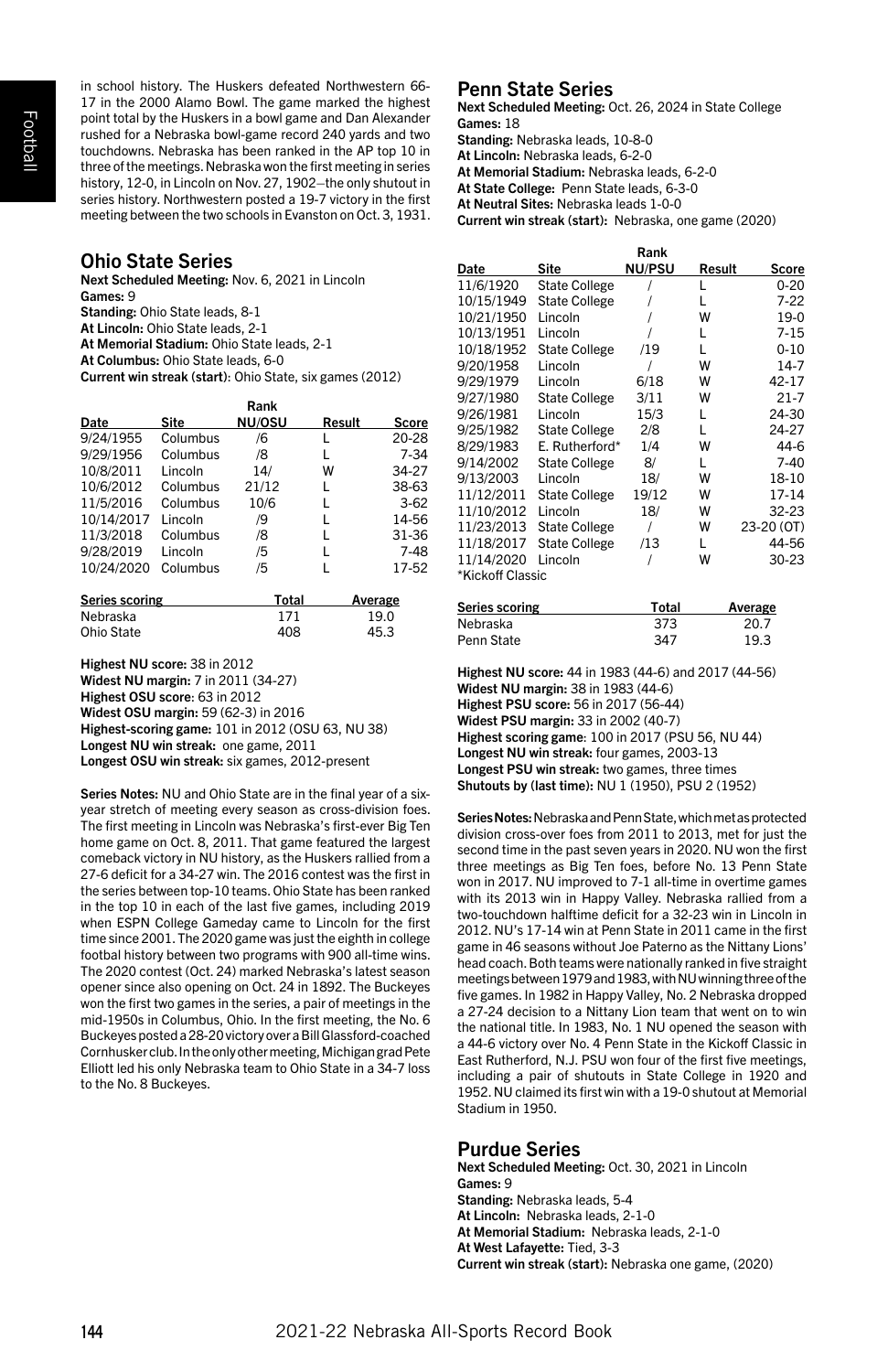in school history. The Huskers defeated Northwestern 66- 17 in the 2000 Alamo Bowl. The game marked the highest point total by the Huskers in a bowl game and Dan Alexander rushed for a Nebraska bowl-game record 240 yards and two touchdowns. Nebraska has been ranked in the AP top 10 in three of the meetings. Nebraska won the first meeting in series history, 12-0, in Lincoln on Nov. 27, 1902–the only shutout in series history. Northwestern posted a 19-7 victory in the first meeting between the two schools in Evanston on Oct. 3, 1931.

# Ohio State Series

Next Scheduled Meeting: Nov. 6, 2021 in Lincoln Games: 9 Standing: Ohio State leads, 8-1 At Lincoln: Ohio State leads, 2-1 At Memorial Stadium: Ohio State leads, 2-1 At Columbus: Ohio State leads, 6-0 Current win streak (start): Ohio State, six games (2012)

| Rank       |          |        |        |        |
|------------|----------|--------|--------|--------|
| Date       | Site     | NU/OSU | Result | Score  |
| 9/24/1955  | Columbus | /6     | L      | 20-28  |
| 9/29/1956  | Columbus | /8     | L      | $7-34$ |
| 10/8/2011  | Lincoln  | 14/    | w      | 34-27  |
| 10/6/2012  | Columbus | 21/12  | L      | 38-63  |
| 11/5/2016  | Columbus | 10/6   | L      | $3-62$ |
| 10/14/2017 | Lincoln  | /9     | L      | 14-56  |
| 11/3/2018  | Columbus | /8     | L      | 31-36  |
| 9/28/2019  | Lincoln  | /5     | L      | $7-48$ |
| 10/24/2020 | Columbus | /5     |        | 17-52  |

| Series scoring | Total | Average |
|----------------|-------|---------|
| Nebraska       | 171   | 19.0    |
| Ohio State     | 408   | 45.3    |

Highest NU score: 38 in 2012 Widest NU margin: 7 in 2011 (34-27) Highest OSU score: 63 in 2012 Widest OSU margin: 59 (62-3) in 2016 Highest-scoring game: 101 in 2012 (OSU 63, NU 38) Longest NU win streak: one game, 2011 Longest OSU win streak: six games, 2012-present

Series Notes: NU and Ohio State are in the final year of a sixyear stretch of meeting every season as cross-division foes. The first meeting in Lincoln was Nebraska's first-ever Big Ten home game on Oct. 8, 2011. That game featured the largest comeback victory in NU history, as the Huskers rallied from a 27-6 deficit for a 34-27 win. The 2016 contest was the first in the series between top-10 teams. Ohio State has been ranked in the top 10 in each of the last five games, including 2019 when ESPN College Gameday came to Lincoln for the first time since 2001. The 2020 game was just the eighth in college footbal history between two programs with 900 all-time wins. The 2020 contest (Oct. 24) marked Nebraska's latest season opener since also opening on Oct. 24 in 1892. The Buckeyes won the first two games in the series, a pair of meetings in the mid-1950s in Columbus, Ohio. In the first meeting, the No. 6 Buckeyes posted a 28-20 victory over a Bill Glassford-coached Cornhusker club. In the only other meeting, Michigan grad Pete Elliott led his only Nebraska team to Ohio State in a 34-7 loss to the No. 8 Buckeyes.

# Penn State Series

Next Scheduled Meeting: Oct. 26, 2024 in State College Games: 18

Standing: Nebraska leads, 10-8-0

At Lincoln: Nebraska leads, 6-2-0

At Memorial Stadium: Nebraska leads, 6-2-0

At State College: Penn State leads, 6-3-0

At Neutral Sites: Nebraska leads 1-0-0

Current win streak (start): Nebraska, one game (2020)

|                  |                      | Rank          |        |            |
|------------------|----------------------|---------------|--------|------------|
| Date             | Site                 | <b>NU/PSU</b> | Result | Score      |
| 11/6/1920        | <b>State College</b> |               | L      | $0 - 20$   |
| 10/15/1949       | <b>State College</b> |               | L      | $7 - 22$   |
| 10/21/1950       | Lincoln              |               | W      | 19-0       |
| 10/13/1951       | Lincoln              |               | L      | $7 - 15$   |
| 10/18/1952       | <b>State College</b> | /19           | L      | $0 - 10$   |
| 9/20/1958        | Lincoln              |               | w      | $14-7$     |
| 9/29/1979        | Lincoln              | 6/18          | w      | 42-17      |
| 9/27/1980        | <b>State College</b> | 3/11          | w      | $21 - 7$   |
| 9/26/1981        | Lincoln              | 15/3          | L      | 24-30      |
| 9/25/1982        | <b>State College</b> | 2/8           | L      | 24-27      |
| 8/29/1983        | E. Rutherford*       | 1/4           | w      | 44-6       |
| 9/14/2002        | <b>State College</b> | 8/            | L      | $7-40$     |
| 9/13/2003        | Lincoln              | 18/           | w      | 18-10      |
| 11/12/2011       | <b>State College</b> | 19/12         | w      | 17-14      |
| 11/10/2012       | Lincoln              | 18/           | w      | 32-23      |
| 11/23/2013       | <b>State College</b> |               | w      | 23-20 (OT) |
| 11/18/2017       | <b>State College</b> | /13           | L      | 44-56      |
| 11/14/2020       | Lincoln              |               | w      | 30-23      |
| *Kickoff Classic |                      |               |        |            |

| Series scoring | Total | Average |
|----------------|-------|---------|
| Nebraska       | 373   | 20.7    |
| Penn State     | 347   | 19.3    |

Highest NU score: 44 in 1983 (44-6) and 2017 (44-56) Widest NU margin: 38 in 1983 (44-6) Highest PSU score: 56 in 2017 (56-44) Widest PSU margin: 33 in 2002 (40-7) Highest scoring game: 100 in 2017 (PSU 56, NU 44) Longest NU win streak: four games, 2003-13 Longest PSU win streak: two games, three times

Shutouts by (last time): NU 1 (1950), PSU 2 (1952) Series Notes: Nebraska and Penn State, which met as protected division cross-over foes from 2011 to 2013, met for just the second time in the past seven years in 2020. NU won the first three meetings as Big Ten foes, before No. 13 Penn State won in 2017. NU improved to 7-1 all-time in overtime games with its 2013 win in Happy Valley. Nebraska rallied from a two-touchdown halftime deficit for a 32-23 win in Lincoln in 2012. NU's 17-14 win at Penn State in 2011 came in the first game in 46 seasons without Joe Paterno as the Nittany Lions' head coach. Both teams were nationally ranked in five straight meetings between 1979 and 1983, with NU winning three of the five games. In 1982 in Happy Valley, No. 2 Nebraska dropped a 27-24 decision to a Nittany Lion team that went on to win the national title. In 1983, No. 1 NU opened the season with a 44-6 victory over No. 4 Penn State in the Kickoff Classic in East Rutherford, N.J. PSU won four of the first five meetings, including a pair of shutouts in State College in 1920 and 1952. NU claimed its first win with a 19-0 shutout at Memorial

# Purdue Series

Stadium in 1950.

Next Scheduled Meeting: Oct. 30, 2021 in Lincoln Games: 9 Standing: Nebraska leads, 5-4 At Lincoln: Nebraska leads, 2-1-0 At Memorial Stadium: Nebraska leads, 2-1-0 At West Lafayette: Tied, 3-3 Current win streak (start): Nebraska one game, (2020)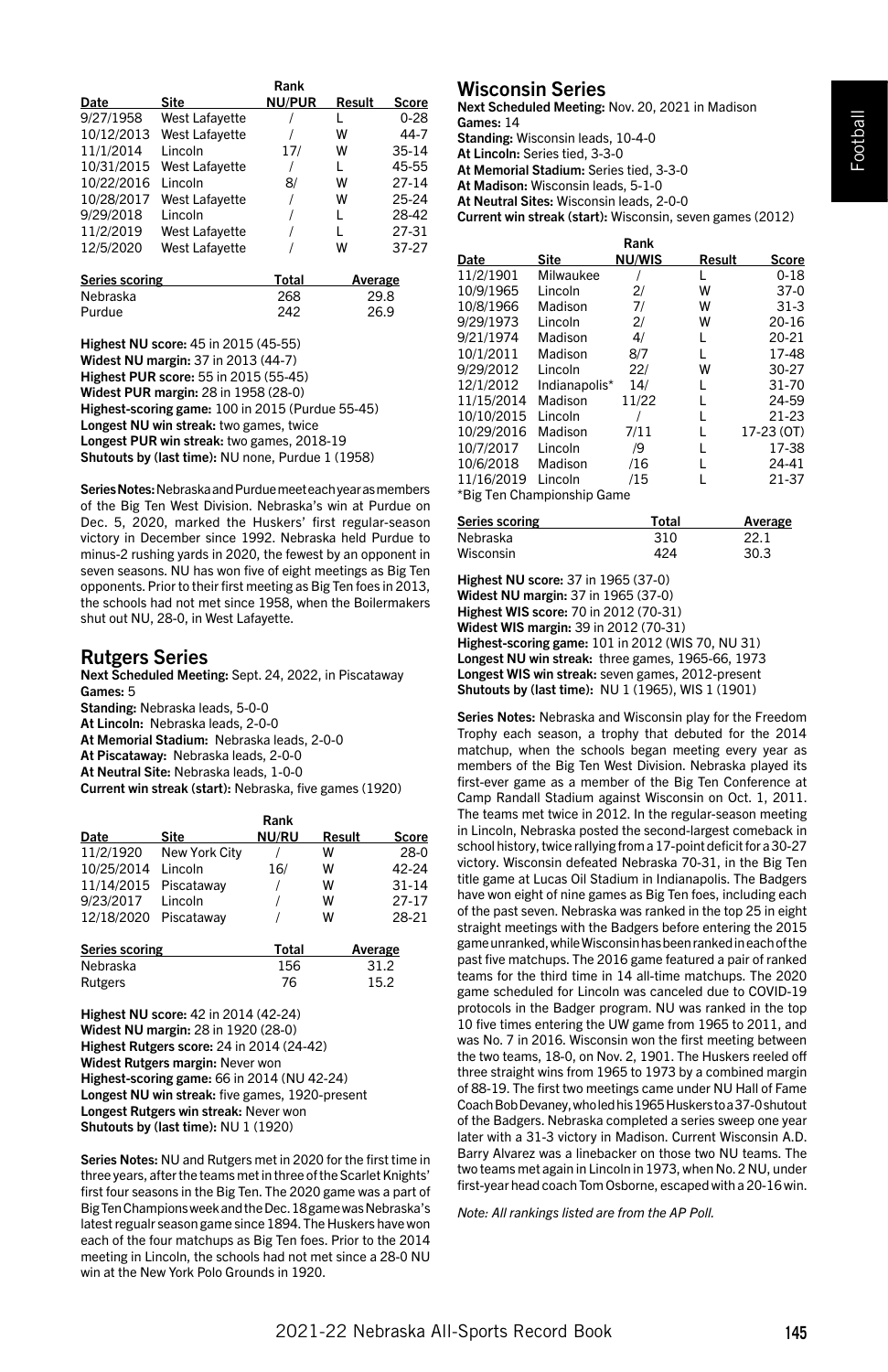|                |                | Rank          |        |           |
|----------------|----------------|---------------|--------|-----------|
| Date           | Site           | <b>NU/PUR</b> | Result | Score     |
| 9/27/1958      | West Lafayette |               |        | $0 - 28$  |
| 10/12/2013     | West Lafavette |               | w      | 44-7      |
| 11/1/2014      | Lincoln        | 17/           | w      | 35-14     |
| 10/31/2015     | West Lafayette |               | L      | 45-55     |
| 10/22/2016     | Lincoln        | 8/            | w      | $27 - 14$ |
| 10/28/2017     | West Lafayette |               | w      | 25-24     |
| 9/29/2018      | Lincoln        |               |        | 28-42     |
| 11/2/2019      | West Lafayette |               | L      | 27-31     |
| 12/5/2020      | West Lafavette |               | w      | 37-27     |
| Corios cooring |                | $T0+0$        | A      |           |

| Series scoring | Total | Average |
|----------------|-------|---------|
| Nebraska       | 268   | 29.8    |
| Purdue         | 242   | 26.9    |

Highest NU score: 45 in 2015 (45-55) Widest NU margin: 37 in 2013 (44-7) Highest PUR score: 55 in 2015 (55-45) Widest PUR margin: 28 in 1958 (28-0) Highest-scoring game: 100 in 2015 (Purdue 55-45) Longest NU win streak: two games, twice Longest PUR win streak: two games, 2018-19 Shutouts by (last time): NU none, Purdue 1 (1958)

Series Notes: Nebraska and Purdue meet each year as members of the Big Ten West Division. Nebraska's win at Purdue on Dec. 5, 2020, marked the Huskers' first regular-season victory in December since 1992. Nebraska held Purdue to minus-2 rushing yards in 2020, the fewest by an opponent in seven seasons. NU has won five of eight meetings as Big Ten opponents. Prior to their first meeting as Big Ten foes in 2013, the schools had not met since 1958, when the Boilermakers shut out NU, 28-0, in West Lafayette.

## Rutgers Series

Next Scheduled Meeting: Sept. 24, 2022, in Piscataway Games: 5 Standing: Nebraska leads, 5-0-0 At Lincoln: Nebraska leads, 2-0-0 At Memorial Stadium: Nebraska leads, 2-0-0 At Piscataway: Nebraska leads, 2-0-0 At Neutral Site: Nebraska leads, 1-0-0 Current win streak (start): Nebraska, five games (1920)

|                       |               | Rank  |        |           |
|-----------------------|---------------|-------|--------|-----------|
| Date                  | Site          | NU/RU | Result | Score     |
| 11/2/1920             | New York City |       | w      | $28-0$    |
| 10/25/2014            | Lincoln       | 16/   | w      | 42-24     |
| 11/14/2015            | Piscatawav    |       | W      | $31 - 14$ |
| 9/23/2017             | Lincoln       |       | w      | $27 - 17$ |
| 12/18/2020            | Piscatawav    |       | w      | 28-21     |
| <b>Series scoring</b> |               | Total |        | Average   |
| Nebraska              |               | 156   |        | 31.2      |

Highest NU score: 42 in 2014 (42-24) Widest NU margin: 28 in 1920 (28-0) Highest Rutgers score: 24 in 2014 (24-42) Widest Rutgers margin: Never won Highest-scoring game: 66 in 2014 (NU 42-24) Longest NU win streak: five games, 1920-present Longest Rutgers win streak: Never won Shutouts by (last time): NU 1 (1920)

Rutgers 76 15.2

Series Notes: NU and Rutgers met in 2020 for the first time in three years, after the teams met in three of the Scarlet Knights' first four seasons in the Big Ten. The 2020 game was a part of Big Ten Champions week and the Dec. 18 game was Nebraska's latest regualr season game since 1894. The Huskers have won each of the four matchups as Big Ten foes. Prior to the 2014 meeting in Lincoln, the schools had not met since a 28-0 NU win at the New York Polo Grounds in 1920.

# Wisconsin Series

Next Scheduled Meeting: Nov. 20, 2021 in Madison Games: 14

Standing: Wisconsin leads, 10-4-0

At Lincoln: Series tied, 3-3-0

At Memorial Stadium: Series tied, 3-3-0

At Madison: Wisconsin leads, 5-1-0 At Neutral Sites: Wisconsin leads, 2-0-0

Current win streak (start): Wisconsin, seven games (2012)

|            |                            | Rank          |        |            |
|------------|----------------------------|---------------|--------|------------|
| Date       | <b>Site</b>                | <b>NU/WIS</b> | Result | Score      |
| 11/2/1901  | Milwaukee                  |               | L      | $0 - 18$   |
| 10/9/1965  | Lincoln                    | 2/            | W      | $37-0$     |
| 10/8/1966  | Madison                    | 71            | W      | $31-3$     |
| 9/29/1973  | Lincoln                    | 2/            | W      | $20 - 16$  |
| 9/21/1974  | Madison                    | 4/            | L      | 20-21      |
| 10/1/2011  | Madison                    | 8/7           | L      | 17-48      |
| 9/29/2012  | Lincoln                    | 22/           | W      | 30-27      |
| 12/1/2012  | Indianapolis*              | 14/           | L      | 31-70      |
| 11/15/2014 | Madison                    | 11/22         | L      | 24-59      |
| 10/10/2015 | Lincoln                    |               | L      | 21-23      |
| 10/29/2016 | Madison                    | 7/11          | L      | 17-23 (OT) |
| 10/7/2017  | Lincoln                    | /9            | L      | 17-38      |
| 10/6/2018  | Madison                    | /16           | L      | 24-41      |
| 11/16/2019 | Lincoln                    | /15           | L      | 21-37      |
|            | *Ria Ton Chamnionshin Gamo |               |        |            |

Ten Championship Game

| Series scoring | Total | Average |
|----------------|-------|---------|
| Nebraska       | 310   | 22 1    |
| Wisconsin      | 424   | 30.3    |

Highest NU score: 37 in 1965 (37-0)

Widest NU margin: 37 in 1965 (37-0)

Highest WIS score: 70 in 2012 (70-31)

Widest WIS margin: 39 in 2012 (70-31)

Highest-scoring game: 101 in 2012 (WIS 70, NU 31) Longest NU win streak: three games, 1965-66, 1973

Longest WIS win streak: seven games, 2012-present Shutouts by (last time): NU 1 (1965), WIS 1 (1901)

Series Notes: Nebraska and Wisconsin play for the Freedom Trophy each season, a trophy that debuted for the 2014 matchup, when the schools began meeting every year as members of the Big Ten West Division. Nebraska played its first-ever game as a member of the Big Ten Conference at Camp Randall Stadium against Wisconsin on Oct. 1, 2011. The teams met twice in 2012. In the regular-season meeting in Lincoln, Nebraska posted the second-largest comeback in school history, twice rallying from a 17-point deficit for a 30-27 victory. Wisconsin defeated Nebraska 70-31, in the Big Ten title game at Lucas Oil Stadium in Indianapolis. The Badgers have won eight of nine games as Big Ten foes, including each of the past seven. Nebraska was ranked in the top 25 in eight straight meetings with the Badgers before entering the 2015 game unranked, while Wisconsin has been ranked in each of the past five matchups. The 2016 game featured a pair of ranked teams for the third time in 14 all-time matchups. The 2020 game scheduled for Lincoln was canceled due to COVID-19 protocols in the Badger program. NU was ranked in the top 10 five times entering the UW game from 1965 to 2011, and was No. 7 in 2016. Wisconsin won the first meeting between the two teams, 18-0, on Nov. 2, 1901. The Huskers reeled off three straight wins from 1965 to 1973 by a combined margin of 88-19. The first two meetings came under NU Hall of Fame Coach Bob Devaney, who led his 1965 Huskers to a 37-0 shutout of the Badgers. Nebraska completed a series sweep one year later with a 31-3 victory in Madison. Current Wisconsin A.D. Barry Alvarez was a linebacker on those two NU teams. The two teams met again in Lincoln in 1973, when No. 2 NU, under first-year head coach Tom Osborne, escaped with a 20-16 win.

*Note: All rankings listed are from the AP Poll.*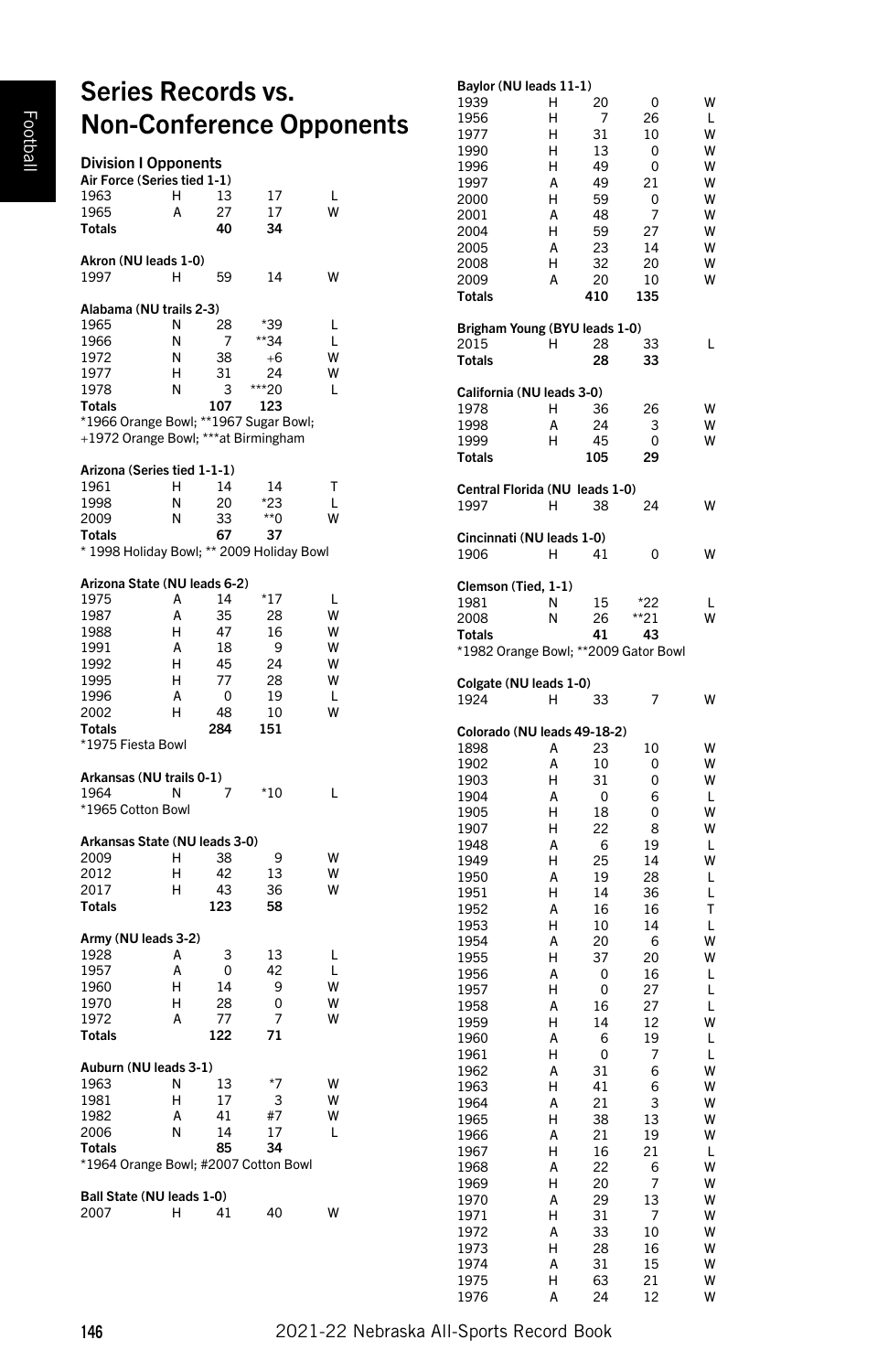# Series Records vs. Non-Conference Opponents

| <b>Division I Opponents</b><br>Air Force (Series tied 1-1)<br>1963 | Н | 13       | 17                  | ı |
|--------------------------------------------------------------------|---|----------|---------------------|---|
| 1965                                                               | A | 27       | 17                  | w |
| Totals                                                             |   | 40       | 34                  |   |
|                                                                    |   |          |                     |   |
| Akron (NU leads 1-0)<br>1997                                       | н | 59       | 14                  | w |
| Alabama (NU trails 2-3)                                            |   |          |                     |   |
| 1965                                                               | N | 28       | *39                 | L |
| 1966                                                               | N | 7        | *34                 | L |
| 1972                                                               | N | 38       | $+6$                | W |
| 1977                                                               | н | 31       | 24                  | W |
| 1978                                                               | N | 3        | **20                | L |
| Totals                                                             |   | 107      | 123                 |   |
| *1966 Orange Bowl; **1967 Sugar Bowl;                              |   |          |                     |   |
| +1972 Orange Bowl; ***at Birmingham                                |   |          |                     |   |
|                                                                    |   |          |                     |   |
| Arizona (Series tied 1-1-1)                                        |   |          |                     |   |
| 1961                                                               | н | 14       | 14                  | T |
| 1998                                                               | N | 20       | *23                 | Ĺ |
| 2009                                                               | N | 33       | $*$ 0               |   |
| Totals                                                             |   | 67       | 37                  |   |
| * 1998 Holiday Bowl; ** 2009 Holiday Bowl                          |   |          |                     |   |
| Arizona State (NU leads 6-2)                                       |   |          |                     |   |
| 1975                                                               | A | 14       | *17                 | ı |
| 1987                                                               | A | 35       | 28                  | W |
| 1988                                                               | H | 47       | 16                  | W |
| 1991                                                               | Δ | 18       | 9                   | W |
| 1992                                                               | H | 45       | 24                  | W |
| 1995                                                               | н | 77       | 28                  | W |
| 1996                                                               | A | 0        | 19                  | L |
| 2002                                                               | н | 48       | 10                  | W |
| Totals                                                             |   | 284      | 151                 |   |
| *1975 Fiesta Bowl                                                  |   |          |                     |   |
|                                                                    |   |          |                     |   |
| Arkansas (NU trails 0-1)                                           |   |          |                     |   |
| 1964                                                               | N | 7        | *10                 | L |
| *1965 Cotton Bowl                                                  |   |          |                     |   |
| Arkansas State (NU leads 3-0)                                      |   |          |                     |   |
| 2009                                                               | н | 38       | 9                   | W |
| 2012                                                               | н | 42       | 13                  | W |
| 2017                                                               | н | 43       | 36                  |   |
| <b>Totals</b>                                                      |   | 123      | 58                  |   |
| Army (NU leads 3-2)                                                |   |          |                     |   |
| 1928                                                               | A | 3        | 13                  | L |
|                                                                    | A |          | 42                  | L |
| 1957                                                               | H | 0        |                     | W |
| 1960                                                               |   | 14<br>28 | 9<br>$\overline{0}$ | W |
| 1970                                                               | н |          |                     |   |
| 1972                                                               | A | 77       | 7                   |   |
| <b>Totals</b>                                                      |   | 122      | 71                  |   |
| Auburn (NU leads 3-1)                                              |   |          |                     |   |
| 1963                                                               | Ν | 13       | *7                  | w |
| 1981                                                               | Н | 17       | 3                   | W |
| 1982                                                               | A | 41       | #7                  | W |
| 2006                                                               | Ν | 14       | 17                  | L |
| Totals                                                             |   | 85       | 34                  |   |
| *1964 Orange Bowl; #2007 Cotton Bowl                               |   |          |                     |   |
|                                                                    |   |          |                     |   |
| Ball State (NU leads 1-0)                                          |   |          |                     |   |
| 2007                                                               | н | 41       | 40                  |   |
|                                                                    |   |          |                     |   |

# Baylor (NU leads 11-1)

| 1939                                   | Н      | 20        | 0         | W      |
|----------------------------------------|--------|-----------|-----------|--------|
| 1956                                   | Н<br>н | 7<br>31   | 26        | L<br>w |
| 1977<br>1990                           | Н      | 13        | 10<br>0   | W      |
| 1996                                   | Н      | 49        | 0         | W      |
| 1997                                   | А      | 49        | 21        | W      |
| 2000                                   | Н      | 59        | 0         | W      |
| 2001                                   | A      | 48        | 7         | W      |
| 2004                                   | Н      | 59        | 27        | W      |
| 2005                                   | Α      | 23        | 14        | W      |
| 2008                                   | Н      | 32        | 20        | W<br>W |
| 2009<br><b>Totals</b>                  | А      | 20<br>410 | 10<br>135 |        |
| Brigham Young (BYU leads 1-0)          |        |           |           |        |
| 2015                                   | Н      | 28        | 33        | L      |
| <b>Totals</b>                          |        | 28        | 33        |        |
| California (NU leads 3-0)              |        |           |           |        |
| 1978                                   | н      | 36        | 26        | W      |
| 1998                                   | A      | 24        | 3         | W      |
| 1999<br><b>Totals</b>                  | н      | 45<br>105 | 0<br>29   | W      |
|                                        |        |           |           |        |
| Central Florida (NU leads 1-0)<br>1997 | н      | 38        | 24        | w      |
| Cincinnati (NU leads 1-0)              |        |           |           |        |
| 1906                                   | н      | 41        | 0         | w      |
| Clemson (Tied, 1-1)                    |        |           |           |        |
| 1981                                   | N      | 15        | $*22$     | L      |
| 2008                                   | N      | 26        | **21      | w      |
| Totals                                 |        | 41        | 43        |        |
| *1982 Orange Bowl; **2009 Gator Bowl   |        |           |           |        |
| Colgate (NU leads 1-0)                 |        |           |           |        |
| 1924                                   | Н      | 33        | 7         | w      |
| Colorado (NU leads 49-18-2)            |        |           |           |        |
| 1898<br>1902                           | А<br>А | 23<br>10  | 10<br>0   | W<br>W |
| 1903                                   | Н      | 31        | 0         | W      |
| 1904                                   | A      | 0         | 6         | Г      |
| 1905                                   | Н      | 18        | 0         | W      |
| 1907                                   | Н      | 22        | 8         | W      |
| 1948                                   | А      | 6         | 19        | L      |
| 1949                                   | Н      | 25        | 14        | W      |
| 1950<br>1951                           | A<br>Н | 19<br>14  | 28<br>36  | Г<br>L |
| 1952                                   | A      | 16        | 16        | т      |
| 1953                                   | Н      | 10        | 14        | L      |
| 1954                                   | A      | 20        | 6         | W      |
| 1955                                   | Н      | 37        | 20        | W      |
| 1956                                   | Α      | 0         | 16        | L      |
| 1957                                   | Н      | 0         | 27        | Г      |
| 1958<br>1959                           | А<br>Н | 16<br>14  | 27<br>12  | L<br>W |
| 1960                                   | A      | 6         | 19        | Г      |
| 1961                                   | Н      | 0         | 7         | L      |
| 1962                                   | A      | 31        | 6         | W      |
| 1963                                   | Н      | 41        | 6         | W      |
| 1964                                   | А      | 21        | 3         | w      |
| 1965                                   | H      | 38        | 13        | W      |
| 1966<br>1967                           | A<br>Н | 21<br>16  | 19<br>21  | W<br>L |
| 1968                                   | Α      | 22        | 6         | W      |
| 1969                                   | Н      | 20        | 7         | W      |
| 1970                                   | Α      | 29        | 13        | W      |
| 1971                                   | Η      | 31        | 7         | W      |
| 1972                                   | A      | 33        | 10        | W      |
| 1973                                   | Н      | 28        | 16        | W<br>W |
| 1974<br>1975                           | Α<br>H | 31<br>63  | 15<br>21  | W      |
| 1976                                   | Α      | 24        | 12        | W      |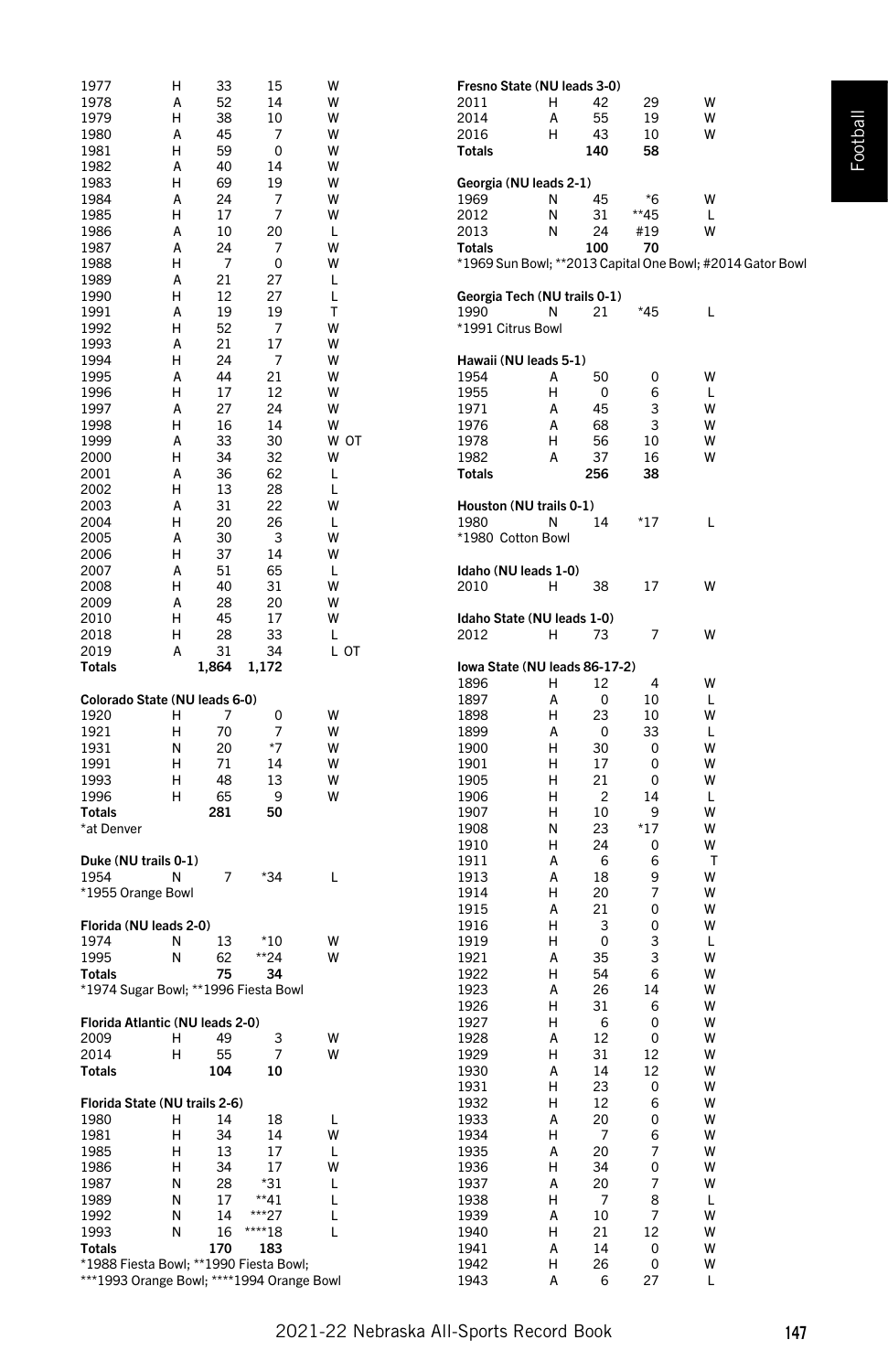| 1977                                      | н      | 33        | 15             | W      | Fresno State (NU leads 3-0)                                         |
|-------------------------------------------|--------|-----------|----------------|--------|---------------------------------------------------------------------|
| 1978                                      | Α      | 52        | 14             | W      | 2011<br>н<br>42<br>29<br>W                                          |
| 1979                                      | н      | 38        | 10             | W      | W<br>2014<br>55<br>19<br>Α                                          |
| 1980                                      | Α      | 45        | 7              | W      | W<br>2016<br>н<br>43<br>10                                          |
| 1981                                      | н      | 59        | 0              | W      | 140<br>58<br>Totals                                                 |
| 1982                                      | А      | 40        | 14             | W      |                                                                     |
| 1983<br>1984                              | н<br>А | 69<br>24  | 19<br>7        | W<br>W | Georgia (NU leads 2-1)<br>*6<br>45<br>W<br>1969<br>N                |
| 1985                                      | н      | 17        | 7              | W      | $**45$<br>2012<br>Ν<br>31<br>L                                      |
| 1986                                      | А      | 10        | 20             | Г      | 2013<br>N<br>24<br>#19<br>W                                         |
| 1987                                      | А      | 24        | 7              | W      | <b>Totals</b><br>100<br>70                                          |
| 1988                                      | н      | 7         | 0              | W      | *1969 Sun Bowl; **2013 Capital One Bowl; #2014 Gator Bowl           |
| 1989                                      | А      | 21        | 27             | L      |                                                                     |
| 1990                                      | н      | 12        | 27             | L      | Georgia Tech (NU trails 0-1)                                        |
| 1991                                      | Α      | 19        | 19             | т      | 1990<br>21<br>*45<br>Г<br>N                                         |
| 1992                                      | н      | 52        | 7              | W      | *1991 Citrus Bowl                                                   |
| 1993                                      | A      | 21        | 17             | W<br>W |                                                                     |
| 1994<br>1995                              | н<br>Α | 24<br>44  | 7<br>21        | W      | Hawaii (NU leads 5-1)<br>50<br>0<br>W<br>1954<br>Α                  |
| 1996                                      | н      | 17        | 12             | W      | 1955<br>н<br>0<br>6<br>Г                                            |
| 1997                                      | Α      | 27        | 24             | W      | 1971<br>А<br>45<br>3<br>w                                           |
| 1998                                      | н      | 16        | 14             | W      | 3<br>1976<br>A<br>68<br>w                                           |
| 1999                                      | А      | 33        | 30             | W OT   | н<br>10<br>W<br>1978<br>56                                          |
| 2000                                      | н      | 34        | 32             | W      | А<br>37<br>W<br>1982<br>16                                          |
| 2001                                      | Α      | 36        | 62             | L      | <b>Totals</b><br>256<br>38                                          |
| 2002                                      | н      | 13        | 28             | L      |                                                                     |
| 2003                                      | A      | 31        | 22             | W      | Houston (NU trails 0-1)                                             |
| 2004                                      | н      | 20        | 26             | L      | *17<br>1980<br>N<br>14<br>L                                         |
| 2005<br>2006                              | Α<br>н | 30<br>37  | 3<br>14        | W<br>W | *1980 Cotton Bowl                                                   |
| 2007                                      | Α      | 51        | 65             | Г      | Idaho (NU leads 1-0)                                                |
| 2008                                      | н      | 40        | 31             | W      | 2010<br>н<br>38<br>17<br>W                                          |
| 2009                                      | А      | 28        | 20             | W      |                                                                     |
| 2010                                      | н      | 45        | 17             | W      | Idaho State (NU leads 1-0)                                          |
| 2018                                      | н      | 28        | 33             | L      | 7<br>W<br>2012<br>н<br>73                                           |
| 2019                                      | Α      | 31        | 34             | L OT   |                                                                     |
| Totals                                    |        | 1,864     | 1,172          |        | Iowa State (NU leads 86-17-2)                                       |
| Colorado State (NU leads 6-0)             |        |           |                |        | $\overline{4}$<br>W<br>1896<br>н<br>12<br>10<br>1897<br>А<br>0<br>L |
| 1920                                      | н      | 7         | 0              | W      | 1898<br>н<br>23<br>10<br>W                                          |
| 1921                                      | н      | 70        | $\overline{7}$ | W      | 1899<br>А<br>0<br>33<br>L                                           |
| 1931                                      | N      | 20        | $*7$           | W      | 1900<br>н<br>30<br>0<br>W                                           |
| 1991                                      | н      | 71        | 14             | W      | н<br>0<br>W<br>1901<br>17                                           |
| 1993                                      | н      | 48        | 13             | W      | 1905<br>н<br>21<br>0<br>W                                           |
| 1996                                      | н      | 65        | 9              | W      | 1906<br>н<br>2<br>14<br>Г                                           |
| Totals                                    |        | 281       | 50             |        | 1907<br>н<br>10<br>9<br>W                                           |
| *at Denver                                |        |           |                |        | $*17$<br>1908<br>N<br>23<br>W<br>н<br>W<br>1910<br>24<br>0          |
| Duke (NU trails 0-1)                      |        |           |                |        | А<br>6<br>т<br>1911<br>6                                            |
| 1954                                      | Ν      | 7         | *34            | L      | 1913<br>А<br>18<br>9<br>W                                           |
| *1955 Orange Bowl                         |        |           |                |        | 7<br>1914<br>н<br>20<br>W                                           |
|                                           |        |           |                |        | 1915<br>А<br>21<br>0<br>W                                           |
| Florida (NU leads 2-0)                    |        |           |                |        | н<br>0<br>W<br>1916<br>3                                            |
| 1974                                      | N      | 13        | *10            | W      | 3<br>н<br>0<br>1919<br>L                                            |
| 1995<br>Totals                            | Ν      | 62<br>75  | **24<br>34     | W      | 3<br>1921<br>А<br>35<br>W<br>1922<br>н<br>54<br>6<br>W              |
| *1974 Sugar Bowl; **1996 Fiesta Bowl      |        |           |                |        | 1923<br>А<br>26<br>14<br>W                                          |
|                                           |        |           |                |        | н<br>W<br>1926<br>31<br>6                                           |
| Florida Atlantic (NU leads 2-0)           |        |           |                |        | н<br>0<br>W<br>1927<br>6                                            |
| 2009                                      | н      | 49        | 3              | W      | 1928<br>А<br>12<br>0<br>W                                           |
| 2014                                      | н      | 55        | $\overline{7}$ | W      | н<br>12<br>W<br>1929<br>31                                          |
| <b>Totals</b>                             |        | 104       | 10             |        | 1930<br>А<br>14<br>12<br>W                                          |
|                                           |        |           |                |        | 1931<br>н<br>23<br>0<br>w                                           |
| Florida State (NU trails 2-6)<br>1980     | н      | 14        | 18             | L      | W<br>1932<br>Н<br>12<br>6<br>1933<br>20<br>0<br>W<br>А              |
| 1981                                      | н      | 34        | 14             | W      | 1934<br>н<br>6<br>W<br>7                                            |
| 1985                                      | н      | 13        | 17             | Г      | 7<br>1935<br>А<br>20<br>W                                           |
| 1986                                      | н      | 34        | 17             | W      | Н<br>0<br>W<br>1936<br>34                                           |
| 1987                                      | Ν      | 28        | $*31$          | Г      | 1937<br>20<br>7<br>W<br>А                                           |
| 1989                                      | N      | 17        | $**41$         | Г      | 1938<br>Н<br>7<br>8<br>Г                                            |
| 1992                                      | Ν      | 14        | ***27          | Г      | 7<br>W<br>1939<br>А<br>10                                           |
| 1993<br><b>Totals</b>                     | Ν      | 16<br>170 | ****18<br>183  | Г      | 1940<br>Н<br>21<br>12<br>W<br>W<br>1941<br>А<br>14<br>0             |
| *1988 Fiesta Bowl; **1990 Fiesta Bowl;    |        |           |                |        | 1942<br>н<br>26<br>0<br>W                                           |
| ***1993 Orange Bowl; ****1994 Orange Bowl |        |           |                |        | 1943<br>6<br>27<br>А<br>Г                                           |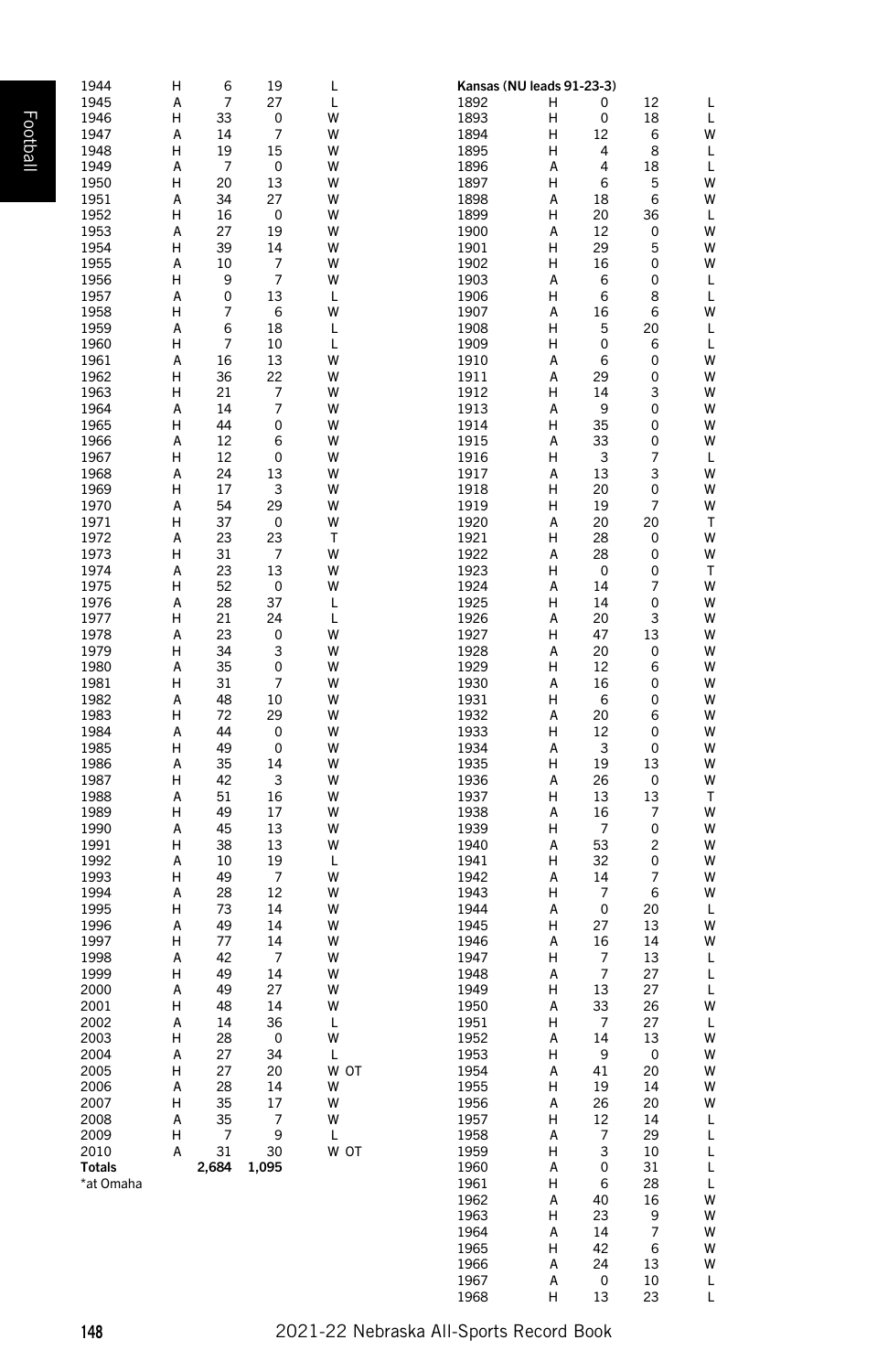| ٠ |
|---|
|   |

| 1944         | н      | 6              | 19      | L      |              | Kansas (NU leads 91-23-3) |          |         |        |
|--------------|--------|----------------|---------|--------|--------------|---------------------------|----------|---------|--------|
| 1945         | А      | 7              | 27      | L      | 1892         | н                         | 0        | 12      | L      |
| 1946         | н      | 33             | 0       | w      | 1893         | н                         | 0        | 18      | L      |
| 1947         | A      | 14             | 7       | w      | 1894         | н                         | 12       | 6       | W      |
| 1948         | н      | 19             | 15      | w      | 1895         | н                         | 4        | 8       | L      |
| 1949         | А      | 7              | 0       | w      | 1896         | А                         | 4        | 18      | L      |
| 1950         | н      | 20             | 13      | w      | 1897         | н                         | 6        | 5       | W      |
| 1951         | А      | 34             | 27      | w      | 1898         | А                         | 18       | 6       | W      |
| 1952         | н      | 16             | 0       | w      | 1899         | н                         | 20       | 36      | L      |
| 1953         | А      | 27             | 19      | w      | 1900         | А                         | 12       | 0       | W      |
| 1954         | н      | 39             | 14      | w      | 1901         | н                         | 29       | 5       | W      |
| 1955         | А      | 10             | 7       | w      | 1902         | н                         | 16       | 0       | W      |
| 1956         | н      | 9              | 7       | w      | 1903         | А                         | 6        | 0       | L      |
| 1957         | А      | 0              | 13      | L      | 1906         | н                         | 6        | 8       | L      |
| 1958         | н      | 7              | 6       | w      | 1907         | А                         | 16       | 6       | W      |
| 1959         | А      | 6              | 18      | L      | 1908         | н                         | 5        | 20      | L      |
| 1960         | н      | $\overline{7}$ | 10      | L      | 1909         | н                         | 0        | 6       | L      |
| 1961         | А      | 16             | 13      | w      | 1910         | А                         | 6        | 0       | W      |
| 1962         | н      | 36             | 22      | w      | 1911         | А                         | 29       | 0       | W      |
| 1963         | н      | 21             | 7       | w      | 1912         | н                         | 14       | 3       | W      |
| 1964         | А      | 14             | 7       | w      | 1913         | А                         | 9        | 0       | W      |
| 1965         | н      | 44             | 0       | w      | 1914         | н                         | 35       | 0       | W      |
| 1966         | А      | 12             | 6       | w      | 1915         | А                         | 33       | 0       | W      |
| 1967         | н      | 12             | 0       | w      | 1916         | н                         | 3        | 7       | L      |
| 1968         | А      | 24             | 13      | w      | 1917         | А                         | 13       | 3       | W      |
| 1969         | н      | 17             | 3       | w      | 1918         | н                         | 20       | 0       | W      |
| 1970         | А      | 54             | 29      | w      | 1919         | н                         | 19       | 7       | W      |
| 1971         | н      | 37             | 0       | w      | 1920         | А                         | 20       | 20      | Т      |
| 1972         | А      | 23             | 23      | т      | 1921         | н                         | 28       | 0       | W      |
| 1973         | н      | 31             | 7       | w      | 1922         | А                         | 28       | 0       | W      |
| 1974         | А      | 23             | 13      | w      | 1923         | н                         | 0        | 0       | т      |
| 1975         | н      | 52             | 0       | w      | 1924         | А                         | 14       | 7       | W      |
| 1976         | А      | 28             | 37      | L      | 1925         | Н                         | 14       | 0       | W<br>W |
| 1977         | н<br>А | 21             | 24<br>0 | L<br>w | 1926         | А<br>н                    | 20<br>47 | 3<br>13 | W      |
| 1978<br>1979 | н      | 23<br>34       | 3       | w      | 1927<br>1928 | А                         | 20       | 0       | W      |
| 1980         | А      | 35             | 0       | W      | 1929         | н                         | 12       | 6       | W      |
| 1981         | н      | 31             | 7       | w      | 1930         | А                         | 16       | 0       | W      |
| 1982         | А      | 48             | 10      | w      | 1931         | н                         | 6        | 0       | W      |
| 1983         | н      | 72             | 29      | w      | 1932         | А                         | 20       | 6       | W      |
| 1984         | А      | 44             | 0       | w      | 1933         | н                         | 12       | 0       | W      |
| 1985         | н      | 49             | 0       | w      | 1934         | А                         | 3        | 0       | W      |
| 1986         | А      | 35             | 14      | w      | 1935         | н                         | 19       | 13      | W      |
| 1987         | н      | 42             | 3       | w      | 1936         | А                         | 26       | 0       | W      |
| 1988         | А      | 51             | 16      | w      | 1937         | н                         | 13       | 13      | т      |
| 1989         | н      | 49             | 17      | w      | 1938         | А                         | 16       | 7       | W      |
| 1990         | А      | 45             | 13      | w      | 1939         | н                         | 7        | 0       | W      |
| 1991         | н      | 38             | 13      | w      | 1940         | А                         | 53       | 2       | W      |
| 1992         | А      | 10             | 19      | L      | 1941         | н                         | 32       | 0       | W      |
| 1993         | н      | 49             | 7       | w      | 1942         | А                         | 14       | 7       | W      |
| 1994         | А      | 28             | 12      | w      | 1943         | н                         | 7        | 6       | W      |
| 1995         | н      | 73             | 14      | w      | 1944         | А                         | 0        | 20      | L      |
| 1996         | А      | 49             | 14      | w      | 1945         | н                         | 27       | 13      | W      |
| 1997         | н      | 77             | 14      | w      | 1946         | А                         | 16       | 14      | W      |
| 1998         | А      | 42             | 7       | w      | 1947         | н                         | 7        | 13      | L      |
| 1999         | н      | 49             | 14      | w      | 1948         | А                         | 7        | 27      | L      |
| 2000         | А      | 49             | 27      | w      | 1949         | н                         | 13       | 27      | L      |
| 2001         | н      | 48             | 14      | w      | 1950         | А                         | 33       | 26      | W      |
| 2002         | A      | 14             | 36      | L      | 1951         | н                         | 7        | 27      | L      |
| 2003         | н      | 28             | 0       | w      | 1952         | А                         | 14       | 13      | W      |
| 2004         | А      | 27             | 34      | L      | 1953         | н                         | 9        | 0       | W      |
| 2005         | н      | 27             | 20      | w ot   | 1954         | А                         | 41       | 20      | W      |
| 2006         | А      | 28             | 14      | w      | 1955         | н                         | 19       | 14      | W      |
| 2007         | н      | 35             | 17      | w      | 1956         | А                         | 26       | 20      | W      |
| 2008         | Α      | 35             | 7       | w      | 1957         | н                         | 12       | 14      | L      |
| 2009         | н      | 7              | 9       | L      | 1958         | А                         | 7        | 29      | L      |
| 2010         | А      | 31             | 30      | W OT   | 1959         | н                         | 3        | 10      | L      |
| Totals       |        | 2,684          | 1,095   |        | 1960         | А                         | 0        | 31      | L      |
| *at Omaha    |        |                |         |        | 1961         | н                         | 6        | 28      | L      |
|              |        |                |         |        | 1962         | А                         | 40       | 16      | W      |
|              |        |                |         |        | 1963         | н                         | 23       | 9       | W      |
|              |        |                |         |        | 1964         | А                         | 14       | 7       | W      |
|              |        |                |         |        | 1965         | н                         | 42       | 6       | W      |
|              |        |                |         |        | 1966         | А                         | 24       | 13      | W      |

1966 1967 1968

 $24$  13

 $\begin{array}{c} 0 \\ 13 \end{array}$ 

0 10

L L

 $A$ <br> $A$ <br> $H$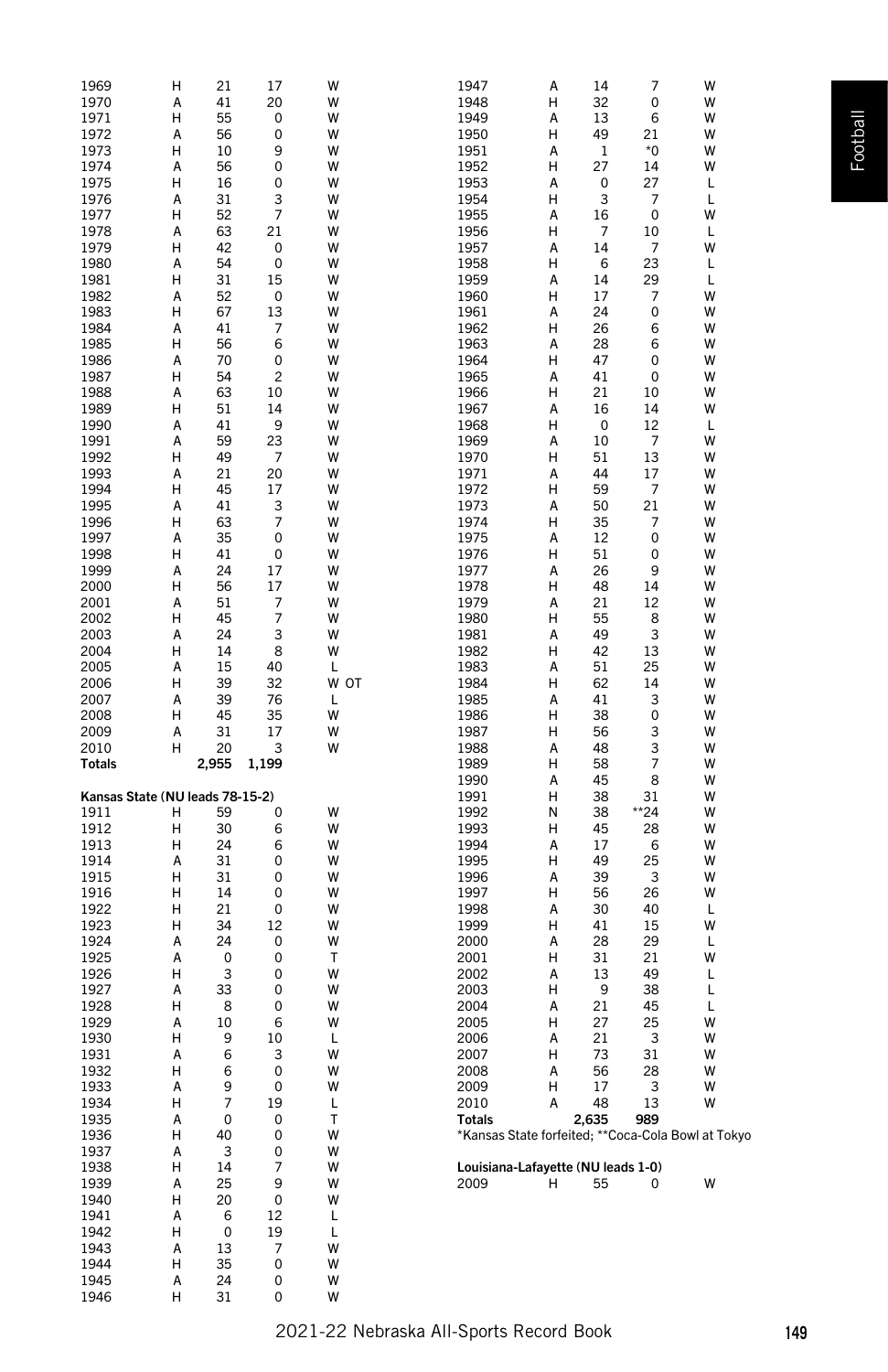| 1969                            | н      | 21             | 17     | w      |      | 1947<br>Α                                           | 14    | 7     | W |
|---------------------------------|--------|----------------|--------|--------|------|-----------------------------------------------------|-------|-------|---|
| 1970                            | А      | 41             | 20     | W      |      | 1948<br>Н                                           | 32    | 0     | W |
| 1971                            | Н      | 55             | 0      | W      |      | 1949<br>A                                           | 13    | 6     | W |
|                                 |        |                |        |        |      |                                                     |       |       |   |
| 1972                            | А      | 56             | 0      | W      |      | 1950<br>Н                                           | 49    | 21    | W |
| 1973                            | Н      | 10             | 9      | W      |      | 1951<br>Α                                           | 1     | *0    | W |
| 1974                            | А      | 56             | 0      | W      |      | 1952<br>Н                                           | 27    | 14    | W |
| 1975                            | н      | 16             | 0      | W      |      | 1953<br>А                                           | 0     | 27    | L |
| 1976                            | А      | 31             | 3      | W      |      | 1954<br>Н                                           | 3     | 7     | L |
|                                 |        |                |        |        |      |                                                     |       |       |   |
| 1977                            | н      | 52             | 7      | W      |      | 1955<br>А                                           | 16    | 0     | W |
| 1978                            | А      | 63             | 21     | W      |      | Н<br>1956                                           | 7     | 10    | L |
| 1979                            | Н      | 42             | 0      | W      |      | 1957<br>А                                           | 14    | 7     | W |
|                                 |        |                |        |        |      |                                                     |       |       |   |
| 1980                            | А      | 54             | 0      | W      |      | 1958<br>Н                                           | 6     | 23    | L |
| 1981                            | Н      | 31             | 15     | W      |      | 1959<br>A                                           | 14    | 29    | L |
| 1982                            | А      | 52             | 0      | W      |      | 1960<br>Н                                           | 17    | 7     | W |
|                                 | Н      |                | 13     | W      |      |                                                     | 24    |       | W |
| 1983                            |        | 67             |        |        |      | 1961<br>Α                                           |       | 0     |   |
| 1984                            | А      | 41             | 7      | W      |      | Н<br>1962                                           | 26    | 6     | W |
| 1985                            | Н      | 56             | 6      | W      |      | 1963<br>А                                           | 28    | 6     | W |
| 1986                            | А      | 70             | 0      | W      |      | 1964<br>Н                                           | 47    | 0     | W |
|                                 |        |                |        |        |      |                                                     |       |       |   |
| 1987                            | Н      | 54             | 2      | W      |      | 1965<br>А                                           | 41    | 0     | W |
| 1988                            | А      | 63             | 10     | W      |      | Н<br>1966                                           | 21    | 10    | W |
| 1989                            | Н      | 51             | 14     | W      |      | 1967<br>А                                           | 16    | 14    | W |
|                                 |        |                | 9      |        |      |                                                     |       |       |   |
| 1990                            | А      | 41             |        | W      |      | 1968<br>н                                           | 0     | 12    | L |
| 1991                            | А      | 59             | 23     | W      |      | 1969<br>A                                           | 10    | 7     | W |
| 1992                            | н      | 49             | 7      | W      |      | 1970<br>Н                                           | 51    | 13    | W |
| 1993                            | А      | 21             | 20     | W      |      | 1971<br>Α                                           | 44    | 17    | W |
|                                 |        |                |        |        |      |                                                     |       |       |   |
| 1994                            | Н      | 45             | 17     | W      |      | 1972<br>Н                                           | 59    | 7     | W |
| 1995                            | А      | 41             | 3      | W      |      | 1973<br>А                                           | 50    | 21    | W |
| 1996                            | Н      | 63             | 7      | W      |      | 1974<br>Н                                           | 35    | 7     | W |
|                                 |        |                |        | W      |      | А                                                   |       |       | W |
| 1997                            | А      | 35             | 0      |        |      | 1975                                                | 12    | 0     |   |
| 1998                            | Н      | 41             | 0      | W      |      | Н<br>1976                                           | 51    | 0     | W |
| 1999                            | А      | 24             | 17     | W      |      | 1977<br>А                                           | 26    | 9     | W |
| 2000                            | Н      | 56             | 17     | W      |      | 1978<br>н                                           | 48    | 14    | W |
|                                 |        |                |        |        |      |                                                     |       |       |   |
| 2001                            | А      | 51             | 7      | W      |      | 1979<br>A                                           | 21    | 12    | W |
| 2002                            | н      | 45             | 7      | W      |      | 1980<br>Н                                           | 55    | 8     | W |
| 2003                            | А      | 24             | 3      | W      |      | 1981<br>Α                                           | 49    | 3     | W |
|                                 | Н      |                | 8      | W      |      | Н                                                   | 42    | 13    | W |
| 2004                            |        | 14             |        |        |      | 1982                                                |       |       |   |
| 2005                            | А      | 15             | 40     | L      |      | 1983<br>А                                           | 51    | 25    | W |
|                                 |        |                |        |        |      |                                                     |       |       |   |
|                                 |        |                |        |        |      |                                                     |       |       |   |
| 2006                            | Н      | 39             | 32     |        | W OT | 1984<br>Н                                           | 62    | 14    | W |
| 2007                            | А      | 39             | 76     | L      |      | 1985<br>A                                           | 41    | 3     | W |
| 2008                            | н      | 45             | 35     | W      |      | Н<br>1986                                           | 38    | 0     | W |
| 2009                            | А      | 31             | 17     | W      |      | 1987<br>н                                           | 56    | 3     | W |
|                                 |        |                |        |        |      |                                                     |       |       |   |
| 2010                            | н      | 20             | 3      | W      |      | 1988<br>А                                           | 48    | 3     | W |
| <b>Totals</b>                   |        | 2,955          | 1,199  |        |      | 1989<br>Н                                           | 58    | 7     | W |
|                                 |        |                |        |        |      | 1990<br>A                                           | 45    | 8     | W |
|                                 |        |                |        |        |      |                                                     |       |       |   |
| Kansas State (NU leads 78-15-2) |        |                |        |        |      | Н<br>1991                                           | 38    | 31    | W |
| 1911                            | н      | 59             | 0      | W      |      | 1992<br>Ν                                           | 38    | $*24$ | W |
| 1912                            | н      | 30             | 6      | W      |      | 1993<br>н                                           | 45    | 28    | W |
|                                 |        |                |        |        |      |                                                     |       |       |   |
| 1913                            | н      | 24             | 6      | W      |      | 1994<br>A                                           | 17    | 6     | W |
| 1914                            | А      | 31             | 0      | W      |      | 1995<br>Н                                           | 49    | 25    | W |
| 1915                            | н      | 31             | 0      | W      |      | 1996<br>Α                                           | 39    | 3     | W |
| 1916                            | н      | 14             | 0      | W      |      | Н<br>1997                                           | 56    | 26    | W |
|                                 |        |                |        |        |      |                                                     |       |       |   |
| 1922                            | н      | 21             | 0      | W      |      | 1998<br>А                                           | 30    | 40    | L |
| 1923                            | н      | 34             | 12     | W      |      | 1999<br>Н                                           | 41    | 15    | W |
| 1924                            | А      | 24             | 0      | W      |      | 2000<br>A                                           | 28    | 29    | L |
|                                 | А      | 0              | 0      | т      |      | Н                                                   |       | 21    | W |
| 1925                            |        |                |        |        |      | 2001                                                | 31    |       |   |
| 1926                            | н      | 3              | 0      | W      |      | 2002<br>А                                           | 13    | 49    | L |
| 1927                            | А      | 33             | 0      | W      |      | 2003<br>н                                           | 9     | 38    | L |
| 1928                            | Н      | 8              | 0      | W      |      | 2004<br>A                                           | 21    | 45    | L |
|                                 |        |                |        | W      |      |                                                     |       |       | W |
| 1929                            | А      | 10             | 6      |        |      | 2005<br>н                                           | 27    | 25    |   |
| 1930                            | н      | 9              | 10     | L      |      | 2006<br>Α                                           | 21    | 3     | W |
| 1931                            | А      | 6              | 3      | W      |      | 2007<br>н                                           | 73    | 31    | W |
| 1932                            | н      | 6              | 0      | W      |      | 2008<br>А                                           | 56    | 28    | W |
|                                 |        |                |        |        |      |                                                     |       |       |   |
| 1933                            | А      | 9              | 0      | W      |      | 2009<br>н                                           | 17    | 3     | W |
| 1934                            | н      | $\overline{7}$ | 19     | L      |      | 2010<br>A                                           | 48    | 13    | W |
| 1935                            | А      | 0              | 0      | т      |      | Totals                                              | 2,635 | 989   |   |
| 1936                            | н      | 40             | 0      | W      |      |                                                     |       |       |   |
|                                 |        |                |        |        |      | *Kansas State forfeited; ** Coca-Cola Bowl at Tokyo |       |       |   |
| 1937                            | А      | 3              | 0      | W      |      |                                                     |       |       |   |
| 1938                            | н      | 14             | 7      | W      |      | Louisiana-Lafayette (NU leads 1-0)                  |       |       |   |
| 1939                            | А      | 25             | 9      | W      |      | H<br>2009                                           | 55    | 0     | W |
|                                 |        |                |        |        |      |                                                     |       |       |   |
| 1940                            | н      | 20             | 0      | W      |      |                                                     |       |       |   |
| 1941                            | А      | 6              | 12     | L      |      |                                                     |       |       |   |
| 1942                            | н      | 0              | 19     | Г      |      |                                                     |       |       |   |
|                                 |        |                |        |        |      |                                                     |       |       |   |
| 1943                            | А      | 13             | 7      | W      |      |                                                     |       |       |   |
| 1944                            | н      | 35             | 0      | W      |      |                                                     |       |       |   |
| 1945<br>1946                    | А<br>н | 24<br>31       | 0<br>0 | W<br>W |      |                                                     |       |       |   |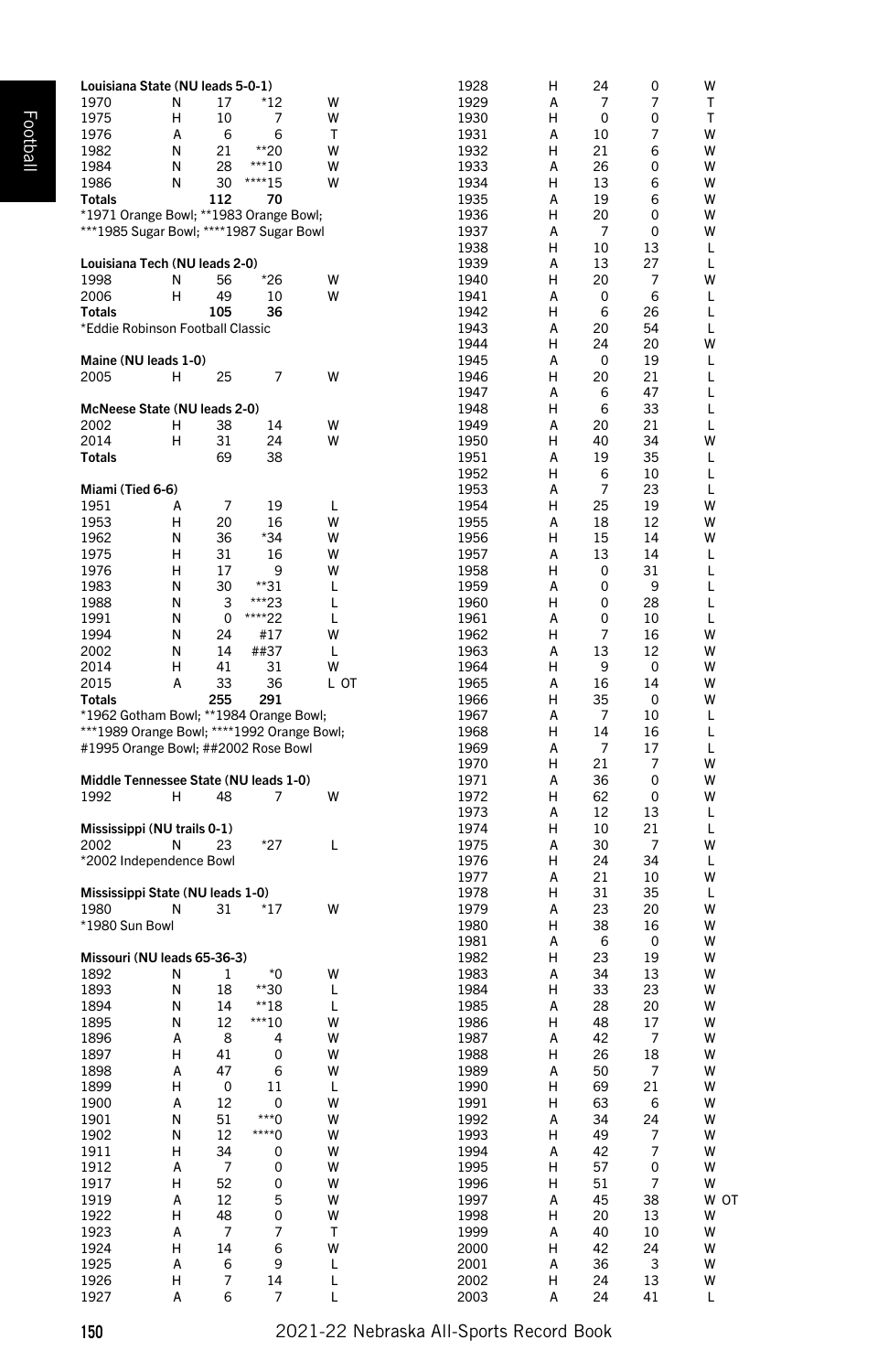| Louisiana State (NU leads 5-0-1)           |   |                         |                         |              | 1928         | н      | 24       | 0                       | w      |
|--------------------------------------------|---|-------------------------|-------------------------|--------------|--------------|--------|----------|-------------------------|--------|
| 1970                                       | N | 17                      | *12                     | w            | 1929         | A      | 7        | 7                       | T      |
| 1975                                       | н | 10                      | 7                       | w            | 1930         | н      | 0        | 0                       | T      |
| 1976                                       | Α | 6                       | 6                       | Т            | 1931         | А      | 10       | 7                       | w      |
| 1982                                       | N | 21                      | $*20$                   | W            | 1932         | н      | 21       | 6                       | W      |
| 1984                                       | N | 28                      | $***10$                 | w            | 1933         | A      | 26       | 0                       | w      |
| 1986                                       | N | 30                      | ****15                  | w            | 1934         | н      | 13       | 6                       | W      |
| Totals                                     |   | 112                     | 70                      |              | 1935         | А      | 19       | 6                       | W      |
| *1971 Orange Bowl; **1983 Orange Bowl;     |   |                         |                         |              | 1936         | Н      | 20       | 0                       | W      |
| ***1985 Sugar Bowl; ****1987 Sugar Bowl    |   |                         |                         |              | 1937         | А      | 7        | 0                       | W      |
|                                            |   |                         |                         |              | 1938         | н      | 10       | 13                      | L      |
| Louisiana Tech (NU leads 2-0)              |   |                         |                         |              | 1939         | A      | 13       | 27                      | L      |
| 1998                                       | N | 56                      | $*26$                   | w            | 1940         | н      | 20       | 7                       | W      |
| 2006                                       | H | 49                      | 10                      | w            | 1941         | А      | 0        | 6                       | L      |
| <b>Totals</b>                              |   | 105                     | 36                      |              | 1942         | н      | 6        | 26                      | L      |
| *Eddie Robinson Football Classic           |   |                         |                         |              | 1943         | A      | 20       | 54                      | L      |
|                                            |   |                         |                         |              | 1944         | н      | 24       | 20                      | w      |
| Maine (NU leads 1-0)                       |   |                         |                         |              | 1945         | А      | 0        | 19                      | L      |
| 2005                                       | н | 25                      | 7                       | w            | 1946         | Н      | 20       | 21                      | L      |
|                                            |   |                         |                         |              | 1947         | А      | 6        | 47                      | L      |
| McNeese State (NU leads 2-0)               |   |                         |                         |              | 1948         | н      | 6        | 33                      | L      |
| 2002                                       | н | 38                      | 14                      | w            | 1949         | A      | 20       | 21                      | L      |
| 2014                                       | н | 31                      | 24                      | w            | 1950         | н      | 40       | 34                      | w      |
| Totals                                     |   | 69                      | 38                      |              | 1951         | А      | 19       | 35                      | L      |
|                                            |   |                         |                         |              | 1952         | н      | 6        | 10                      | L      |
| Miami (Tied 6-6)                           |   |                         |                         |              | 1953         | A      | 7        | 23                      | L      |
| 1951                                       | А | 7                       | 19                      | L            | 1954         | н      | 25       | 19                      | W      |
| 1953                                       | н | 20                      | 16                      | w            | 1955         | А      | 18       | 12                      | W      |
| 1962                                       | N | 36                      | *34                     | w            | 1956         | Н      | 15       | 14                      | w      |
| 1975                                       | н | 31                      | 16                      | w            | 1957         | А      | 13       | 14                      | L      |
| 1976                                       | н | 17                      | 9                       | w            | 1958         | н      | 0        | 31                      | L      |
| 1983                                       | N | 30                      | **31                    | L            | 1959         | A      | 0        | 9                       | L      |
| 1988                                       | N | 3                       | ***23                   | L            | 1960         | н      | 0        | 28                      | L      |
| 1991                                       | Ν | 0                       | ****22                  | L            | 1961         | А      | 0        | 10                      | L      |
| 1994                                       | N | 24                      | #17                     | w            | 1962         | н      | 7        | 16                      | w      |
| 2002                                       | N | 14                      | ##37                    | L            | 1963         | A      | 13       | 12                      | w      |
| 2014                                       | н | 41                      | 31                      | w            | 1964         | н      | 9        | 0                       | W      |
| 2015                                       | А | 33                      | 36                      | L ОТ         | 1965         | А      | 16       | 14                      | W      |
| <b>Totals</b>                              |   | 255                     | 291                     |              | 1966         | Н      | 35       | 0                       | W      |
| *1962 Gotham Bowl; **1984 Orange Bowl;     |   |                         |                         |              | 1967         | А      | 7        | 10                      | L      |
| ***1989 Orange Bowl; ****1992 Orange Bowl; |   |                         |                         |              | 1968         | н      | 14       | 16                      | L      |
| #1995 Orange Bowl; ##2002 Rose Bowl        |   |                         |                         |              | 1969         | A      | 7        | 17                      | L      |
|                                            |   |                         |                         |              | 1970         | н      | 21       | 7                       | W      |
| Middle Tennessee State (NU leads 1-0)      |   |                         |                         |              | 1971         | А      | 36       | 0                       | W      |
| 1992                                       | н | 48                      | 7                       | w            | 1972         | н      | 62       | 0                       | w      |
|                                            |   |                         |                         |              | 1973         | A      | 12       | 13                      | L      |
| Mississippi (NU trails 0-1)                |   |                         |                         |              | 1974         | н      | 10       | 21                      | L      |
| 2002                                       | N | 23                      | *27                     | L            | 1975         | А<br>Н | 30<br>24 | 7                       | W      |
| *2002 Independence Bowl                    |   |                         |                         |              | 1976<br>1977 | А      | 21       | 34<br>10                | L<br>w |
|                                            |   |                         |                         |              |              | н      |          | 35                      | L      |
| Mississippi State (NU leads 1-0)           |   |                         |                         | w            | 1978         | A      | 31<br>23 | 20                      | W      |
| 1980                                       | N | 31                      | *17                     |              | 1979         |        |          |                         | W      |
| *1980 Sun Bowl                             |   |                         |                         |              | 1980<br>1981 | н<br>А | 38<br>6  | 16<br>0                 | W      |
| Missouri (NU leads 65-36-3)                |   |                         |                         |              | 1982         | н      | 23       | 19                      | W      |
| 1892                                       | N | 1                       | *0                      | w            | 1983         | A      | 34       | 13                      | w      |
| 1893                                       | N | 18                      | **30                    | L            | 1984         | н      | 33       | 23                      | W      |
| 1894                                       | Ν | 14                      | $*18$                   | L            | 1985         | А      | 28       | 20                      | W      |
| 1895                                       | Ν | 12                      | $***10$                 | w            | 1986         | н      | 48       | 17                      | W      |
| 1896                                       | А | 8                       | 4                       | w            | 1987         | А      | 42       | 7                       | W      |
| 1897                                       | н | 41                      | 0                       | w            | 1988         | н      | 26       | 18                      | w      |
| 1898                                       | A | 47                      | 6                       | w            | 1989         | A      | 50       | 7                       | W      |
| 1899                                       | н | $\overline{\mathbf{0}}$ | 11                      | L            | 1990         | H      | 69       | 21                      | W      |
| 1900                                       | А | 12                      | $\overline{\mathbf{0}}$ | W            | 1991         | н      | 63       | - 6                     | W      |
| 1901                                       | Ν | 51                      | $***0$                  | W            | 1992         | А      | 34       | 24                      | W      |
| 1902                                       | Ν | 12                      | $x***0$                 | W            | 1993         | н      | 49       | 7                       | W      |
| 1911                                       | н | 34                      | 0                       | W            | 1994         | А      | 42       | $\overline{7}$          | W      |
| 1912                                       | А | $\overline{7}$          | 0                       | W            | 1995         | н      | 57       | $\mathbf 0$             | W      |
| 1917                                       | н | 52                      | 0                       | W            | 1996         | н      | 51       | $\overline{7}$          | W      |
| 1919                                       | А | 12                      | 5                       | W            | 1997         | А      | 45       | 38                      | W OT   |
| 1922                                       | н | 48                      | 0                       | w            | 1998         | н      | 20       | 13                      | W      |
| 1923                                       | А | 7                       | $\overline{7}$          | $\mathsf{T}$ | 1999         | А      | 40       | 10                      | W      |
| 1924                                       | н | 14                      | 6                       | W            | 2000         | н      | 42       | 24                      | W      |
| 1925                                       | А | 6                       | 9                       | L            | 2001         | Α      | 36       | $\overline{\mathbf{3}}$ | W      |
| 1926                                       | н | $\overline{7}$          | 14                      | Г            | 2002         | н      | 24       | 13                      | W      |
| 1927                                       | А | 6                       | 7                       | L            | 2003         | A      | 24       | 41                      | L      |
|                                            |   |                         |                         |              |              |        |          |                         |        |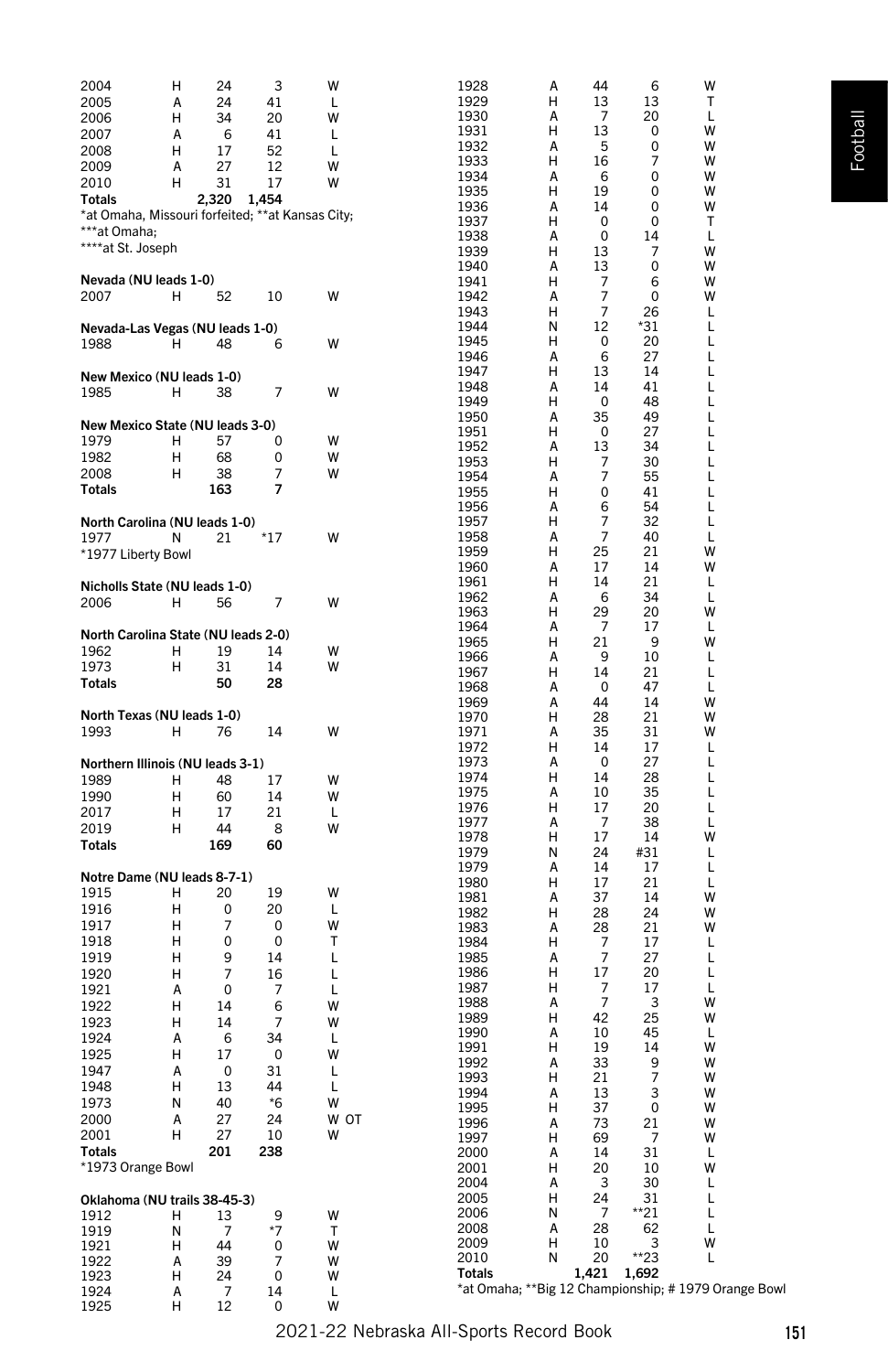| 2004                                             | н | 24    | 3     | w    | 1928   | А | 44             | 6     | W                                                   |  |
|--------------------------------------------------|---|-------|-------|------|--------|---|----------------|-------|-----------------------------------------------------|--|
| 2005                                             | А | 24    | 41    | L    | 1929   | н | 13             | 13    | т                                                   |  |
| 2006                                             | н | 34    | 20    | W    | 1930   | А | 7              | 20    | L                                                   |  |
|                                                  |   |       |       |      | 1931   | н | 13             | 0     | w                                                   |  |
| 2007                                             | А | 6     | 41    | L    | 1932   | Α | 5              | 0     | W                                                   |  |
| 2008                                             | Н | 17    | 52    | L    | 1933   | н | 16             | 7     | W                                                   |  |
| 2009                                             | А | 27    | 12    | W    | 1934   | А | 6              | 0     | W                                                   |  |
| 2010                                             | н | 31    | 17    | W    | 1935   | н | 19             | 0     | w                                                   |  |
| <b>Totals</b>                                    |   | 2,320 | 1,454 |      | 1936   | А | 14             | 0     | W                                                   |  |
| *at Omaha, Missouri forfeited; **at Kansas City; |   |       |       |      |        |   |                |       |                                                     |  |
| ***at Omaha;                                     |   |       |       |      | 1937   | н | 0              | 0     | т                                                   |  |
| ****at St. Joseph                                |   |       |       |      | 1938   | А | 0              | 14    | L                                                   |  |
|                                                  |   |       |       |      | 1939   | н | 13             | 7     | w                                                   |  |
|                                                  |   |       |       |      | 1940   | А | 13             | 0     | W                                                   |  |
| Nevada (NU leads 1-0)                            |   |       |       |      | 1941   | н | 7              | 6     | w                                                   |  |
| 2007                                             | н | 52    | 10    | w    | 1942   | Α | 7              | 0     | w                                                   |  |
|                                                  |   |       |       |      | 1943   | н | $\overline{7}$ | 26    | L                                                   |  |
| Nevada-Las Vegas (NU leads 1-0)                  |   |       |       |      | 1944   | N | 12             | *31   | L                                                   |  |
| 1988                                             | н | 48    | 6     | W    | 1945   | н | 0              | 20    | L                                                   |  |
|                                                  |   |       |       |      | 1946   | Α | 6              | 27    | L                                                   |  |
| New Mexico (NU leads 1-0)                        |   |       |       |      | 1947   | н | 13             | 14    | L                                                   |  |
| 1985                                             | н | 38    | 7     | W    | 1948   | A | 14             | 41    | L                                                   |  |
|                                                  |   |       |       |      | 1949   | н | 0              | 48    | L                                                   |  |
|                                                  |   |       |       |      | 1950   | А | 35             | 49    | L                                                   |  |
| New Mexico State (NU leads 3-0)                  |   |       |       |      | 1951   | н | 0              | 27    | L                                                   |  |
| 1979                                             | н | 57    | 0     | W    | 1952   | Α | 13             | 34    | L                                                   |  |
| 1982                                             | н | 68    | 0     | W    | 1953   | н | 7              | 30    | L                                                   |  |
| 2008                                             | н | 38    | 7     | w    | 1954   | Α | 7              | 55    | L                                                   |  |
| <b>Totals</b>                                    |   | 163   | 7     |      | 1955   | Н | 0              | 41    | L                                                   |  |
|                                                  |   |       |       |      | 1956   | А | 6              | 54    | L                                                   |  |
| North Carolina (NU leads 1-0)                    |   |       |       |      | 1957   | н | 7              | 32    | L                                                   |  |
| 1977                                             | N | 21    | *17   | w    | 1958   | Α | $\overline{7}$ | 40    | L                                                   |  |
|                                                  |   |       |       |      | 1959   | н | 25             | 21    | w                                                   |  |
| *1977 Liberty Bowl                               |   |       |       |      | 1960   | А | 17             | 14    | w                                                   |  |
|                                                  |   |       |       |      | 1961   | н | 14             | 21    | L                                                   |  |
| Nicholls State (NU leads 1-0)                    |   |       |       |      | 1962   | А |                | 34    |                                                     |  |
| 2006                                             | н | 56    | 7     | W    |        |   | 6              |       | L                                                   |  |
|                                                  |   |       |       |      | 1963   | н | 29             | 20    | w                                                   |  |
| North Carolina State (NU leads 2-0)              |   |       |       |      | 1964   | А | 7              | 17    | L                                                   |  |
| 1962                                             | н | 19    | 14    | W    | 1965   | н | 21             | 9     | w                                                   |  |
| 1973                                             | н | 31    | 14    | W    | 1966   | А | 9              | 10    | L                                                   |  |
| <b>Totals</b>                                    |   | 50    | 28    |      | 1967   | н | 14             | 21    | L                                                   |  |
|                                                  |   |       |       |      | 1968   | А | 0              | 47    | L                                                   |  |
|                                                  |   |       |       |      | 1969   | Α | 44             | 14    | w                                                   |  |
| North Texas (NU leads 1-0)                       |   |       |       |      | 1970   | н | 28             | 21    | w                                                   |  |
| 1993                                             | н | 76    | 14    | W    | 1971   | Α | 35             | 31    | w                                                   |  |
|                                                  |   |       |       |      | 1972   | Н | 14             | 17    | L                                                   |  |
| Northern Illinois (NU leads 3-1)                 |   |       |       |      | 1973   | А | 0              | 27    | L                                                   |  |
| 1989                                             | н | 48    | 17    | W    | 1974   | н | 14             | 28    | L                                                   |  |
| 1990                                             | н | 60    | 14    | W    | 1975   | Α | 10             | 35    | L                                                   |  |
| 2017                                             | Н | 17    | 21    | L    | 1976   | н | 17             | 20    | L                                                   |  |
|                                                  |   |       |       |      | 1977   | А | 7              | 38    | L                                                   |  |
| 2019                                             | н | 44    | 8     | W    | 1978   | н | 17             | 14    | w                                                   |  |
| <b>Totals</b>                                    |   | 169   | 60    |      | 1979   | Ν | 24             | #31   | L                                                   |  |
|                                                  |   |       |       |      | 1979   | А | 14             | 17    | L                                                   |  |
| Notre Dame (NU leads 8-7-1)                      |   |       |       |      | 1980   | н | 17             | 21    | L                                                   |  |
| 1915                                             | н | 20    | 19    | W    | 1981   | А | 37             | 14    | w                                                   |  |
| 1916                                             | Н | 0     | 20    | L    | 1982   | н | 28             | 24    | w                                                   |  |
| 1917                                             | н | 7     | 0     | W    | 1983   | А | 28             | 21    | w                                                   |  |
| 1918                                             | н | 0     | 0     | Т    | 1984   | Н | 7              | 17    | L                                                   |  |
| 1919                                             | н | 9     | 14    | L    | 1985   | Α | $\overline{7}$ | 27    | L                                                   |  |
|                                                  |   | 7     |       |      | 1986   | н | 17             | 20    | L                                                   |  |
| 1920                                             | н |       | 16    | L    | 1987   | н |                | 17    |                                                     |  |
| 1921                                             | А | 0     | 7     | L    |        |   | 7<br>7         |       | L                                                   |  |
| 1922                                             | н | 14    | 6     | W    | 1988   | А |                | 3     | W                                                   |  |
| 1923                                             | н | 14    | 7     | W    | 1989   | н | 42             | 25    | W                                                   |  |
| 1924                                             | Α | 6     | 34    | L    | 1990   | A | 10             | 45    | L                                                   |  |
| 1925                                             | Н | 17    | 0     | W    | 1991   | н | 19             | 14    | w                                                   |  |
| 1947                                             | А | 0     | 31    | L    | 1992   | А | 33             | 9     | w                                                   |  |
| 1948                                             | н | 13    | 44    | L    | 1993   | н | 21             | 7     | W                                                   |  |
| 1973                                             | Ν | 40    | $*6$  | W    | 1994   | А | 13             | 3     | W                                                   |  |
| 2000                                             |   |       | 24    | W OT | 1995   | Н | 37             | 0     | W                                                   |  |
|                                                  | А | 27    |       |      | 1996   | A | 73             | 21    | w                                                   |  |
| 2001                                             | Н | 27    | 10    | W    | 1997   | н | 69             | 7     | W                                                   |  |
| <b>Totals</b>                                    |   | 201   | 238   |      | 2000   | А | 14             | 31    | L                                                   |  |
| *1973 Orange Bowl                                |   |       |       |      | 2001   | н | 20             | 10    | W                                                   |  |
|                                                  |   |       |       |      | 2004   | Α | 3              | 30    | Г                                                   |  |
| Oklahoma (NU trails 38-45-3)                     |   |       |       |      | 2005   | н | 24             | 31    | Г                                                   |  |
| 1912                                             | н | 13    | 9     | W    | 2006   | Ν | 7              | $*21$ | L                                                   |  |
| 1919                                             | Ν | 7     | $*7$  | т    | 2008   | Α | 28             | 62    | Г                                                   |  |
| 1921                                             | н | 44    | 0     | W    | 2009   | н | 10             | 3     | W                                                   |  |
| 1922                                             | А | 39    | 7     | W    | 2010   | N | 20             | $*23$ | L                                                   |  |
| 1923                                             | Н | 24    | 0     | W    | Totals |   | 1,421          | 1,692 |                                                     |  |
| 1924                                             | А | 7     | 14    | L    |        |   |                |       | *at Omaha; **Big 12 Championship; #1979 Orange Bowl |  |
| 1925                                             | Н | 12    | 0     | W    |        |   |                |       |                                                     |  |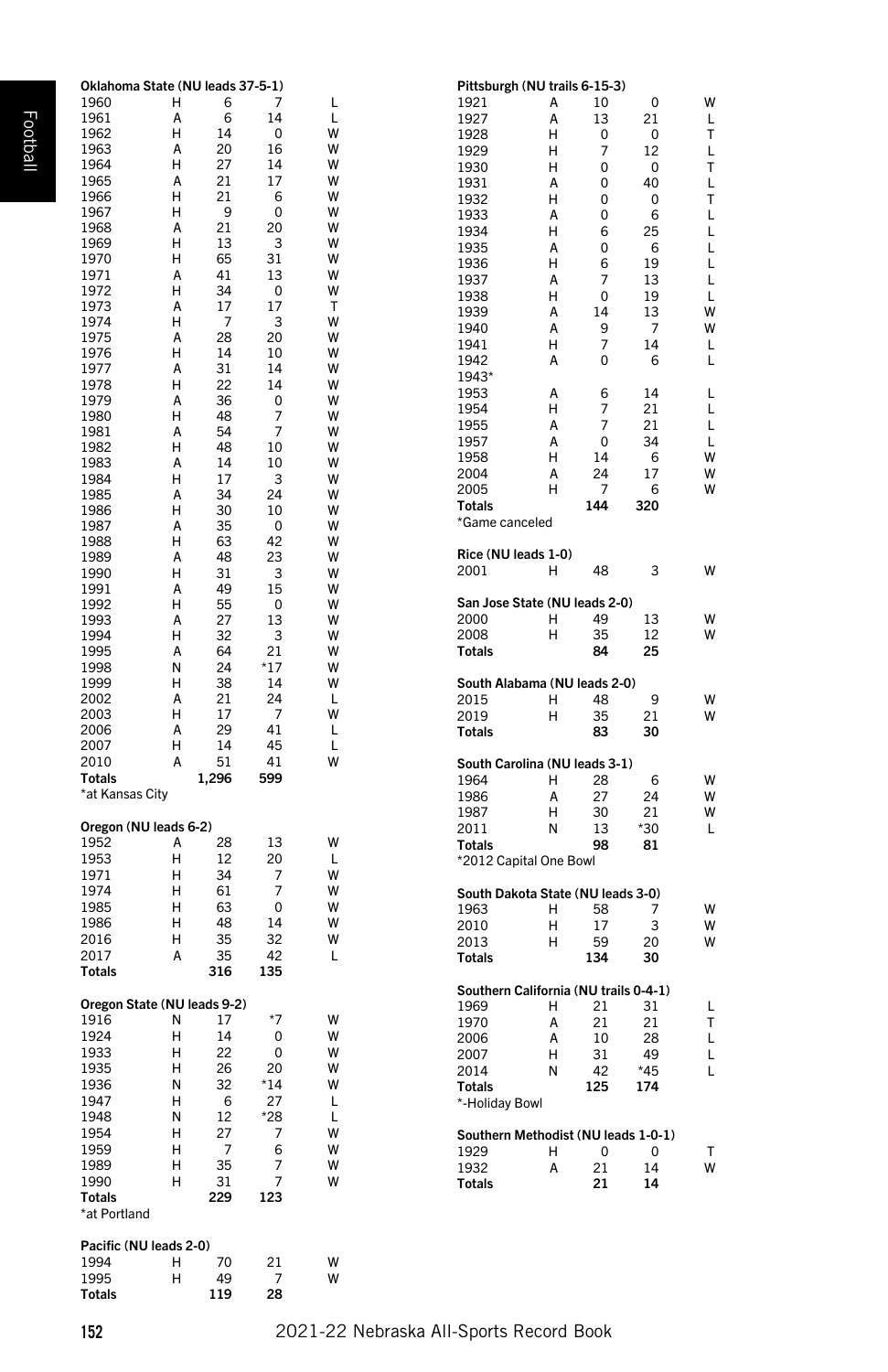| Oklahoma State (NU leads 37-5-1) |   |       |       |   | Pittsburgh (NU trails 6-15-3)         |   |     |       |
|----------------------------------|---|-------|-------|---|---------------------------------------|---|-----|-------|
| 1960                             | н | 6     | 7     | L | 1921                                  | Α | 10  | 0     |
|                                  |   |       | 14    |   |                                       |   |     |       |
| 1961                             | A | 6     |       | L | 1927                                  | А | 13  | 21    |
| 1962                             | н | 14    | 0     | W | 1928                                  | н | 0   | 0     |
| 1963                             | А | 20    | 16    | W | 1929                                  | н | 7   | 12    |
| 1964                             | н | 27    | 14    | W | 1930                                  | н | 0   | 0     |
| 1965                             | А | 21    | 17    | W | 1931                                  | Α | 0   | 40    |
| 1966                             | н | 21    | 6     | W | 1932                                  | н | 0   | 0     |
| 1967                             | н | 9     | 0     | W | 1933                                  | A | 0   | 6     |
| 1968                             | А | 21    | 20    | W |                                       |   |     |       |
| 1969                             | н | 13    | 3     | w | 1934                                  | н | 6   | 25    |
|                                  |   |       |       |   | 1935                                  | А | 0   | 6     |
| 1970                             | н | 65    | 31    | W | 1936                                  | н | 6   | 19    |
| 1971                             | А | 41    | 13    | W | 1937                                  | А | 7   | 13    |
| 1972                             | н | 34    | 0     | W | 1938                                  | н | 0   | 19    |
| 1973                             | A | 17    | 17    | т | 1939                                  | А | 14  | 13    |
| 1974                             | н | - 7   | 3     | W |                                       |   |     |       |
| 1975                             | А | 28    | 20    | W | 1940                                  | А | 9   | 7     |
| 1976                             | н | 14    | 10    | W | 1941                                  | н | 7   | 14    |
| 1977                             | А | 31    | 14    | W | 1942                                  | А | 0   | 6     |
|                                  |   |       |       |   | 1943*                                 |   |     |       |
| 1978                             | н | 22    | 14    | W | 1953                                  | А | 6   | 14    |
| 1979                             | A | 36    | 0     | W | 1954                                  | н | 7   | 21    |
| 1980                             | н | 48    | 7     | W |                                       | А | 7   | 21    |
| 1981                             | А | 54    | 7     | W | 1955                                  |   |     |       |
| 1982                             | н | 48    | 10    | W | 1957                                  | А | 0   | 34    |
| 1983                             | Α | 14    | 10    | W | 1958                                  | н | 14  | 6     |
| 1984                             | н | 17    | 3     | W | 2004                                  | А | 24  | 17    |
|                                  | A |       |       |   | 2005                                  | н | 7   | 6     |
| 1985                             |   | 34    | 24    | W | <b>Totals</b>                         |   | 144 | 320   |
| 1986                             | н | 30    | 10    | W |                                       |   |     |       |
| 1987                             | А | 35    | 0     | w | *Game canceled                        |   |     |       |
| 1988                             | н | 63    | 42    | W |                                       |   |     |       |
| 1989                             | А | 48    | 23    | W | Rice (NU leads 1-0)                   |   |     |       |
| 1990                             | н | 31    | 3     | w | 2001                                  | н | 48  | 3     |
| 1991                             | A | 49    | 15    | W |                                       |   |     |       |
|                                  |   | 55    |       |   | San Jose State (NU leads 2-0)         |   |     |       |
| 1992                             | н |       | 0     | W |                                       | н | 49  | 13    |
| 1993                             | А | 27    | 13    | w | 2000                                  |   |     |       |
| 1994                             | н | 32    | 3     | W | 2008                                  | н | 35  | 12    |
| 1995                             | А | 64    | 21    | w | Totals                                |   | 84  | 25    |
| 1998                             | Ν | 24    | $*17$ | w |                                       |   |     |       |
| 1999                             | н | 38    | 14    | W | South Alabama (NU leads 2-0)          |   |     |       |
| 2002                             | А | 21    | 24    | L | 2015                                  | н | 48  | 9     |
|                                  |   |       |       |   |                                       |   |     |       |
| 2003                             | н | 17    | 7     | W | 2019                                  | н | 35  | 21    |
| 2006                             | A | 29    | 41    | L | Totals                                |   | 83  | 30    |
| 2007                             | н | 14    | 45    | L |                                       |   |     |       |
| 2010                             | А | 51    | 41    | w | South Carolina (NU leads 3-1)         |   |     |       |
| Totals                           |   | 1,296 | 599   |   | 1964                                  | н | 28  | 6     |
| *at Kansas City                  |   |       |       |   | 1986                                  | Α | 27  | 24    |
|                                  |   |       |       |   |                                       |   |     |       |
|                                  |   |       |       |   | 1987                                  | н | 30  | 21    |
| Oregon (NU leads 6-2)            |   |       |       |   | 2011                                  | N | 13  | $*30$ |
| 1952                             | А | 28    | 13    | W | <b>Totals</b>                         |   | 98  | 81    |
| 1953                             | н | 12    | 20    | L | *2012 Capital One Bowl                |   |     |       |
| 1971                             | н | 34    | 7     | w |                                       |   |     |       |
| 1974                             | н | 61    | 7     | w | South Dakota State (NU leads 3-0)     |   |     |       |
| 1985                             | н | 63    | 0     | W |                                       |   |     |       |
|                                  |   |       |       |   | 1963                                  | н | 58  | 7     |
| 1986                             | н | 48    | 14    | W | 2010                                  | н | 17  | 3     |
| 2016                             | н | 35    | 32    | W | 2013                                  | н | 59  | 20    |
| 2017                             | Α | 35    | 42    | L | <b>Totals</b>                         |   | 134 | 30    |
| Totals                           |   | 316   | 135   |   |                                       |   |     |       |
|                                  |   |       |       |   | Southern California (NU trails 0-4-1) |   |     |       |
| Oregon State (NU leads 9-2)      |   |       |       |   |                                       |   |     |       |
|                                  | Ν | 17    | $*7$  | W | 1969                                  | н | 21  | 31    |
| 1916                             |   |       |       |   | 1970                                  | А | 21  | 21    |
| 1924                             | н | 14    | 0     | W | 2006                                  | А | 10  | 28    |
| 1933                             | н | 22    | 0     | W | 2007                                  | н | 31  | 49    |
| 1935                             | н | 26    | 20    | W | 2014                                  | N | 42  | $*45$ |
| 1936                             | Ν | 32    | $*14$ | W | <b>Totals</b>                         |   | 125 | 174   |
| 1947                             | н | 6     | 27    | L |                                       |   |     |       |
| 1948                             |   |       |       |   | *-Holiday Bowl                        |   |     |       |
|                                  | Ν | 12    | *28   | Г |                                       |   |     |       |
| 1954                             | н | 27    | 7     | W | Southern Methodist (NU leads 1-0-1)   |   |     |       |
| 1959                             | н | 7     | 6     | W | 1929                                  | н | 0   | 0     |
| 1989                             | н | 35    | 7     | W | 1932                                  | А | 21  | 14    |
| 1990                             | н | 31    | 7     | W | <b>Totals</b>                         |   | 21  | 14    |
| Totals                           |   | 229   | 123   |   |                                       |   |     |       |
|                                  |   |       |       |   |                                       |   |     |       |
| *at Portland                     |   |       |       |   |                                       |   |     |       |
|                                  |   |       |       |   |                                       |   |     |       |
| Pacific (NU leads 2-0)           |   |       |       |   |                                       |   |     |       |
| 1994                             | н | 70    | 21    | W |                                       |   |     |       |
| 1995                             | н | 49    | 7     | W |                                       |   |     |       |
| Totals                           |   | 119   | 28    |   |                                       |   |     |       |
|                                  |   |       |       |   |                                       |   |     |       |

WLTLTLTLLLLLLWWLL

L L L L W W W

W

W W

W W

W W W

L

W W W

L T L L L

T W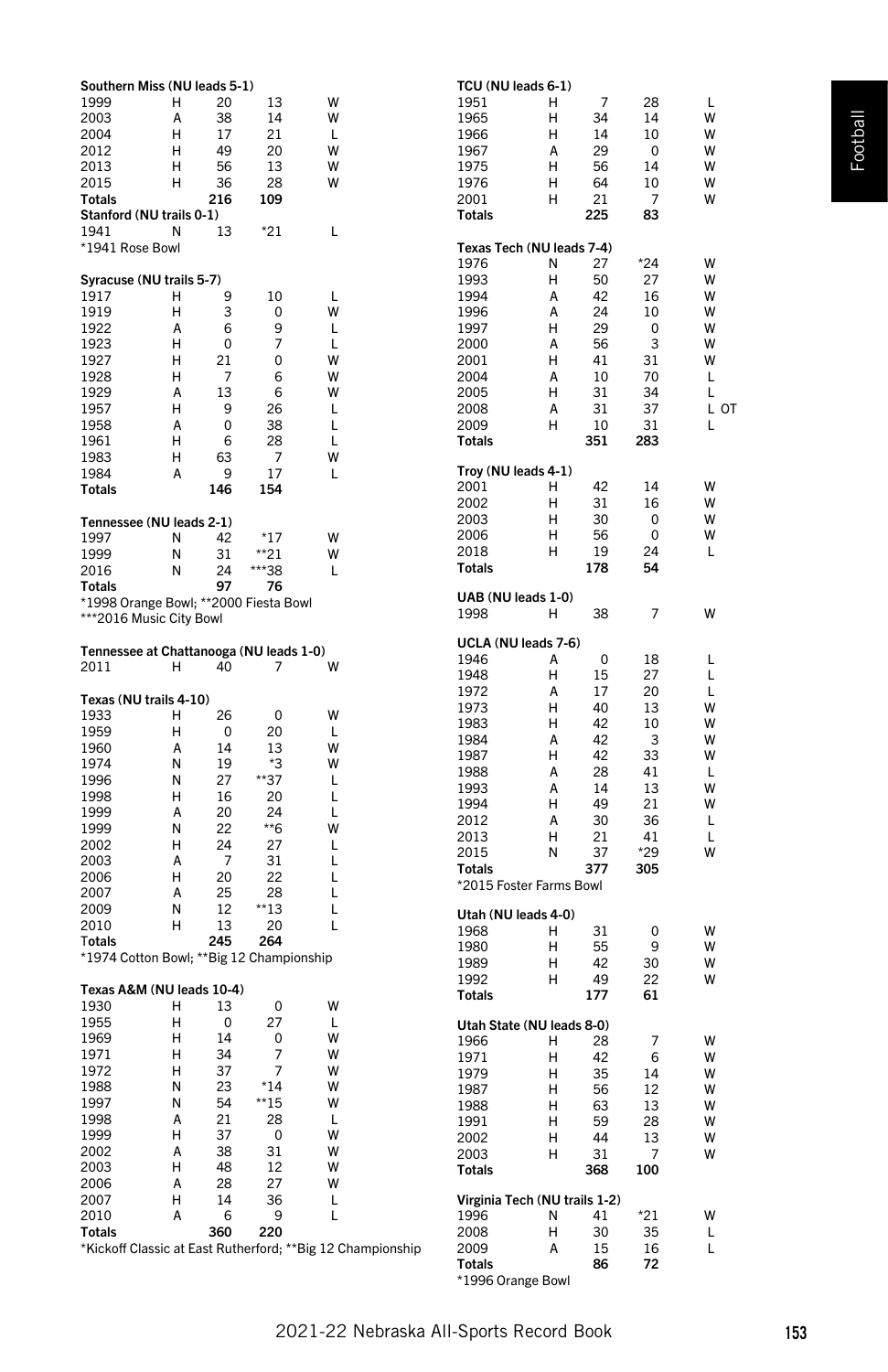| Southern Miss (NU leads 5-1)             |        |          |            |                                                            |  |
|------------------------------------------|--------|----------|------------|------------------------------------------------------------|--|
| 1999                                     | н      | 20       |            | W                                                          |  |
| 2003                                     | А      | 38       | 13<br>14   | w                                                          |  |
| 2004                                     | н      | 17       | 21         | L                                                          |  |
| 2012                                     | н      | 49       | 20         | w                                                          |  |
| 2013                                     | н      | 56       | 13         | w                                                          |  |
| 2015                                     | н      | 36       | 28         | w                                                          |  |
| <b>Totals</b>                            |        | 216      | 109        |                                                            |  |
| Stanford (NU trails 0-1)                 |        |          |            |                                                            |  |
| 1941                                     | Ν      | 13       | *21        | L                                                          |  |
| *1941 Rose Bowl                          |        |          |            |                                                            |  |
|                                          |        |          |            |                                                            |  |
| Syracuse (NU trails 5-7)                 |        |          |            |                                                            |  |
| 1917                                     | н      | 9        | 10         | L                                                          |  |
| 1919                                     | Н      | 3        | 0          | w                                                          |  |
| 1922                                     | А      | 6        | 9          | L                                                          |  |
| 1923                                     | Н      | 0        | 7          | L                                                          |  |
| 1927                                     | Н      | 21       | 0          | W                                                          |  |
| 1928                                     | н      | 7        | 6          | W                                                          |  |
| 1929                                     | A      | 13       | 6          | w                                                          |  |
| 1957                                     | н      | 9        | 26         | L                                                          |  |
| 1958                                     | А      | 0        | 38         | L                                                          |  |
| 1961                                     | Н      | 6        | 28         | L                                                          |  |
| 1983                                     | н<br>A | 63       | 7<br>17    | w                                                          |  |
| 1984<br>Totals                           |        | 9<br>146 | 154        | L                                                          |  |
|                                          |        |          |            |                                                            |  |
| Tennessee (NU leads 2-1)                 |        |          |            |                                                            |  |
| 1997                                     | N      | 42       | *17        | w                                                          |  |
| 1999                                     | Ν      | 31       | **21       | w                                                          |  |
| 2016                                     | Ν      | 24       | ***38      | L                                                          |  |
| Totals                                   |        | 97       | 76         |                                                            |  |
| *1998 Orange Bowl; **2000 Fiesta Bowl    |        |          |            |                                                            |  |
| ***2016 Music City Bowl                  |        |          |            |                                                            |  |
|                                          |        |          |            |                                                            |  |
| Tennessee at Chattanooga (NU leads 1-0)  |        |          |            |                                                            |  |
| 2011                                     | н      | 40       | 7          | W                                                          |  |
|                                          |        |          |            |                                                            |  |
| Texas (NU trails 4-10)                   |        |          |            |                                                            |  |
| 1933                                     | н      | 26       | 0          | w                                                          |  |
| 1959                                     | н      | 0        | 20         | L                                                          |  |
| 1960                                     | А      | 14       | 13         | w                                                          |  |
| 1974                                     | Ν<br>N | 19       | *3         | w<br>L                                                     |  |
| 1996<br>1998                             | н      | 27<br>16 | **37<br>20 | L                                                          |  |
| 1999                                     | Α      | 20       | 24         | L                                                          |  |
| 1999                                     | N      | 22       | **6        | w                                                          |  |
| 2002                                     | н      | 24       | 27         | L                                                          |  |
| 2003                                     | A      | 7        | 31         | L                                                          |  |
| 2006                                     | н      | 20       | 22         | L                                                          |  |
| 2007                                     | А      | 25       | 28         | L                                                          |  |
| 2009                                     | N      | 12       | $*$ 13     | L                                                          |  |
| 2010                                     | н      | 13       | 20         | L                                                          |  |
| Totals                                   |        | 245      | 264        |                                                            |  |
| *1974 Cotton Bowl; **Big 12 Championship |        |          |            |                                                            |  |
|                                          |        |          |            |                                                            |  |
| Texas A&M (NU leads 10-4)                |        |          |            |                                                            |  |
| 1930                                     | н      | 13       | 0          | W                                                          |  |
| 1955                                     | н      | 0<br>14  | 27         | L<br>w                                                     |  |
| 1969<br>1971                             | н<br>н | 34       | 0          | w                                                          |  |
|                                          |        | 37       | 7<br>7     | w                                                          |  |
| 1972<br>1988                             | н<br>Ν | 23       | $*14$      | W                                                          |  |
| 1997                                     | Ν      | 54       | **15       | W                                                          |  |
| 1998                                     | А      | 21       | 28         | L                                                          |  |
| 1999                                     | Н      | 37       | 0          | W                                                          |  |
| 2002                                     | А      | 38       | 31         | W                                                          |  |
| 2003                                     | Н      | 48       | 12         | W                                                          |  |
| 2006                                     | A      | 28       | 27         | W                                                          |  |
| 2007                                     | Н      | 14       | 36         | L                                                          |  |
| 2010                                     | А      | 6        | 9          | L                                                          |  |
| <b>Totals</b>                            |        | 360      | 220        |                                                            |  |
|                                          |        |          |            | *Kickoff Classic at East Rutherford; **Big 12 Championship |  |

| TCU (NU leads 6-1)            |   |          |          |         |
|-------------------------------|---|----------|----------|---------|
| 1951                          | н | 7        | 28       | L       |
| 1965                          | н | 34       | 14       | W       |
| 1966                          | н | 14       | 10       | W       |
| 1967                          | A | 29       | 0        | W       |
| 1975                          | н | 56       | 14       | W       |
| 1976                          | н | 64       | 10       | W       |
| 2001                          | н | 21       | 7        | W       |
| Totals                        |   | 225      | 83       |         |
|                               |   |          |          |         |
| Texas Tech (NU leads 7-4)     |   |          |          |         |
| 1976                          | Ν | 27       | $*24$    | W       |
| 1993                          | н | 50       | 27       | W       |
| 1994                          | A | 42       | 16       | W       |
| 1996                          | A | 24       | 10       | W       |
| 1997                          | н | 29       | 0        | W       |
| 2000                          | A | 56       | 3        | W       |
| 2001                          | Η | 41       | 31       | W       |
| 2004                          | A |          |          | L       |
|                               | н | 10<br>31 | 70<br>34 | L       |
| 2005<br>2008                  | A | 31       | 37       | ОT<br>L |
|                               | н |          |          |         |
| 2009                          |   | 10       | 31       | L       |
| Totals                        |   | 351      | 283      |         |
| Troy (NU leads 4-1)           |   |          |          |         |
| 2001                          | н | 42       | 14       | W       |
| 2002                          | н | 31       | 16       | W       |
| 2003                          | н | 30       | 0        | W       |
| 2006                          | н | 56       | 0        | W       |
| 2018                          | н | 19       | 24       | L       |
| <b>Totals</b>                 |   | 178      | 54       |         |
|                               |   |          |          |         |
| UAB (NU leads 1-0)            |   |          |          |         |
| 1998                          | н | 38       | 7        | w       |
|                               |   |          |          |         |
| UCLA (NU leads 7-6)           |   |          |          |         |
| 1946                          | А | 0        | 18       | L       |
| 1948                          | н | 15       | 27       | L       |
| 1972                          | A | 17       | 20       | L       |
| 1973                          | н | 40       | 13       | w       |
| 1983                          | н | 42       | 10       | W       |
| 1984                          | A | 42       | 3        | W       |
| 1987                          | Н | 42       | 33       | W       |
| 1988                          | A | 28       | 41       | L       |
| 1993                          | A | 14       | 13       | W       |
| 1994                          | Н | 49       | 21       | W       |
| 2012                          | A | 30       | 36       | L       |
| 2013                          | н | 21       | 41       | L       |
| 2015                          | Ν | 37       | *29      | w       |
| <b>Totals</b>                 |   | 377      | 305      |         |
| *2015 Foster Farms Bowl       |   |          |          |         |
|                               |   |          |          |         |
| Utah (NU leads 4-0)           |   |          |          |         |
| 1968                          | н | 31       | 0        | W       |
| 1980                          | н | 55       | 9        | W       |
| 1989                          | н | 42       | 30       | W       |
| 1992                          | н | 49       | 22       | w       |
| <b>Totals</b>                 |   | 177      | 61       |         |
| Utah State (NU leads 8-0)     |   |          |          |         |
| 1966                          | н | 28       | 7        | w       |
| 1971                          | н | 42       | 6        | W       |
|                               | Н | 35       | 14       | W       |
| 1979<br>1987                  | н | 56       | 12       | W       |
| 1988                          | н | 63       | 13       | W       |
| 1991                          | н | 59       | 28       | W       |
| 2002                          | н | 44       | 13       | W       |
| 2003                          | н | 31       | 7        | W       |
|                               |   |          |          |         |
| <b>Totals</b>                 |   | 368      | 100      |         |
| Virginia Tech (NU trails 1-2) |   |          |          |         |
| 1996                          | Ν | 41       | *21      | W       |
| 2008                          | н | 30       | 35       | L       |
| 2009                          | A | 15       | 16       | L       |
| <b>Totals</b>                 |   | 86       | 72       |         |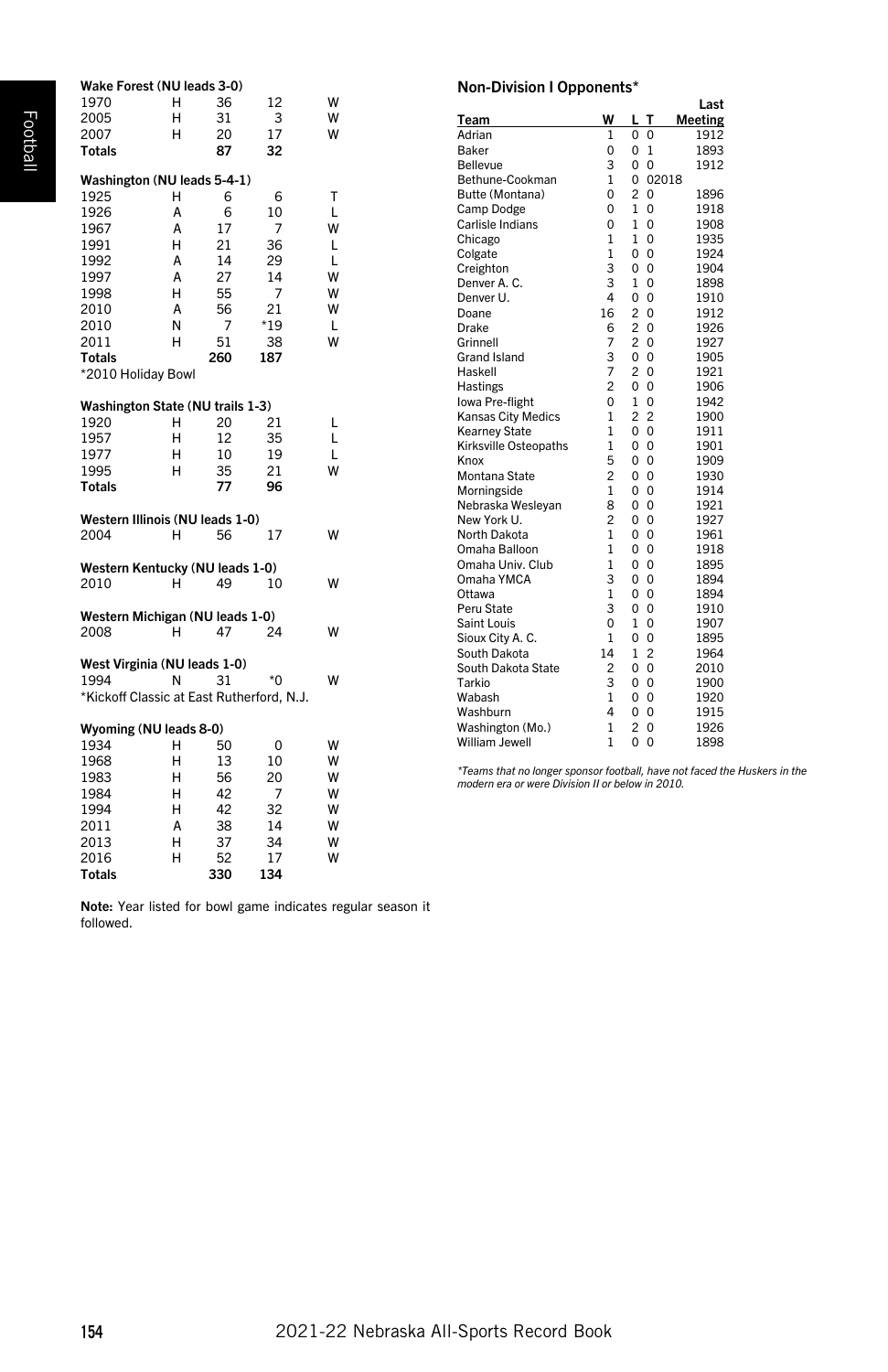| Wake Forest (NU leads 3-0)                |   |     |       |   |
|-------------------------------------------|---|-----|-------|---|
| 1970                                      | н | 36  | 12    | W |
| 2005                                      | н | 31  | 3     | W |
| 2007                                      | н | 20  | 17    | W |
| <b>Totals</b>                             |   | 87  | 32    |   |
| Washington (NU leads 5-4-1)               |   |     |       |   |
| 1925                                      | н | 6   | 6     | т |
| 1926                                      | A | 6   | 10    | L |
| 1967                                      | A | 17  | 7     | W |
| 1991                                      | н | 21  | 36    | L |
| 1992                                      | A | 14  | 29    | L |
| 1997                                      | A | 27  | 14    | W |
| 1998                                      | н | 55  | 7     | W |
| 2010                                      | A | 56  | 21    | W |
| 2010                                      | N | 7   | *19   | L |
| 2011                                      | н | 51  | 38    | W |
| <b>Totals</b>                             |   | 260 | 187   |   |
| *2010 Holiday Bowl                        |   |     |       |   |
| Washington State (NU trails 1-3)          |   |     |       |   |
| 1920                                      | н | 20  | 21    | L |
| 1957                                      | н | 12  | 35    | L |
| 1977                                      | н | 10  | 19    | L |
| 1995                                      | н | 35  | 21    | W |
| <b>Totals</b>                             |   | 77  | 96    |   |
|                                           |   |     |       |   |
| Western Illinois (NU leads 1-0)           |   |     |       |   |
| 2004                                      | н | 56  | 17    | w |
| Western Kentucky (NU leads 1-0)           |   |     |       |   |
| 2010                                      | н | 49  | 10    | w |
| Western Michigan (NU leads 1-0)           |   |     |       |   |
| 2008                                      | н | 47  | 24    |   |
|                                           |   |     |       |   |
| West Virginia (NU leads 1-0)              |   |     |       |   |
| 1994                                      | N | 31  | $*$ 0 | w |
| *Kickoff Classic at East Rutherford, N.J. |   |     |       |   |
| Wyoming (NU leads 8-0)                    |   |     |       |   |
| 1934                                      | н | 50  | 0     | w |
| 1968                                      | н | 13  | 10    | W |
| 1983                                      | н | 56  | 20    | W |
| 1984                                      | н | 42  | 7     | W |
| 1994                                      | Н | 42  | 32    | W |
| 2011                                      | A | 38  | 14    | W |
| 2013                                      | н | 37  | 34    | W |
| 2016                                      | н | 52  | 17    | W |

Non-Division I Opponents\*

|                       |                |                |                | Last    |
|-----------------------|----------------|----------------|----------------|---------|
| T <u>eam</u>          | W              | L              | т              | Meeting |
| Adrian                | 1              | 0              | 0              | 1912    |
| Baker                 | $\Omega$       | 0              | $\mathbf{1}$   | 1893    |
| Bellevue              | 3              | 0              | $\Omega$       | 1912    |
| Bethune-Cookman       | $\mathbf{1}$   | 0              | 02018          |         |
| Butte (Montana)       | $\Omega$       | $\overline{c}$ | $\Omega$       | 1896    |
| Camp Dodge            | $\Omega$       | 1              | $\Omega$       | 1918    |
| Carlisle Indians      | $\Omega$       | 1              | $\Omega$       | 1908    |
| Chicago               | $\mathbf{1}$   | $\mathbf{1}$   | $\Omega$       | 1935    |
| Colgate               | $\mathbf{1}$   | 0              | $\Omega$       | 1924    |
| Creighton             | 3              | 0              | $\Omega$       | 1904    |
| Denver A. C.          | 3              | 1              | O              | 1898    |
| Denver U.             | $\overline{4}$ | 0              | $\Omega$       | 1910    |
| Doane                 | 16             | $\overline{c}$ | $\Omega$       | 1912    |
| Drake                 | 6              | $\overline{c}$ | 0              | 1926    |
| Grinnell              | 7              | $\overline{c}$ | $\Omega$       | 1927    |
| Grand Island          | 3              | 0              | $\Omega$       | 1905    |
| Haskell               | $\overline{7}$ | $\overline{a}$ | $\Omega$       | 1921    |
| Hastings              | $\overline{c}$ | $\Omega$       | $\Omega$       | 1906    |
| Iowa Pre-flight       | $\Omega$       | 1              | 0              | 1942    |
| Kansas City Medics    | $\mathbf{1}$   | $\overline{c}$ | $\overline{c}$ | 1900    |
| <b>Kearney State</b>  | $\mathbf{1}$   | 0              | $\Omega$       | 1911    |
| Kirksville Osteopaths | $\mathbf{1}$   | 0              | $\Omega$       | 1901    |
| Knox                  | 5              | 0              | $\overline{0}$ | 1909    |
| Montana State         | $\overline{c}$ | 0              | $\Omega$       | 1930    |
| Morningside           | $\mathbf{1}$   | 0              | $\Omega$       | 1914    |
| Nebraska Wesleyan     | 8              | 0              | $\Omega$       | 1921    |
| New York U.           | $\overline{c}$ | 0              | $\Omega$       | 1927    |
| North Dakota          | $\mathbf{1}$   | 0              | $\overline{0}$ | 1961    |
| Omaha Balloon         | $\mathbf{1}$   | 0              | $\overline{0}$ | 1918    |
| Omaha Univ, Club      | 1              | 0              | $\overline{0}$ | 1895    |
| Omaha YMCA            | 3              | 0              | $\Omega$       | 1894    |
| Ottawa                | 1              | 0              | $\Omega$       | 1894    |
| Peru State            | 3              | 0              | $\overline{0}$ | 1910    |
| Saint Louis           | $\Omega$       | 1              | O              | 1907    |
| Sioux City A. C.      | 1              | 0              | $\overline{0}$ | 1895    |
| South Dakota          | 14             | 1              | $\overline{c}$ | 1964    |
| South Dakota State    | $\overline{c}$ | 0              | $\overline{0}$ | 2010    |
| Tarkio                | 3              | 0              | $\overline{0}$ | 1900    |
| Wabash                | $\mathbf{1}$   | 0              | $\overline{0}$ | 1920    |
| Washburn              | 4              | 0              | $\overline{0}$ | 1915    |
| Washington (Mo.)      | $\mathbf{1}$   | $\overline{c}$ | $\Omega$       | 1926    |
| William Jewell        | $\mathbf{1}$   | $\Omega$       | $\Omega$       | 1898    |

*\*Teams that no longer sponsor football, have not faced the Huskers in the modern era or were Division II or below in 2010.*

Note: Year listed for bowl game indicates regular season it followed.

Totals 330 134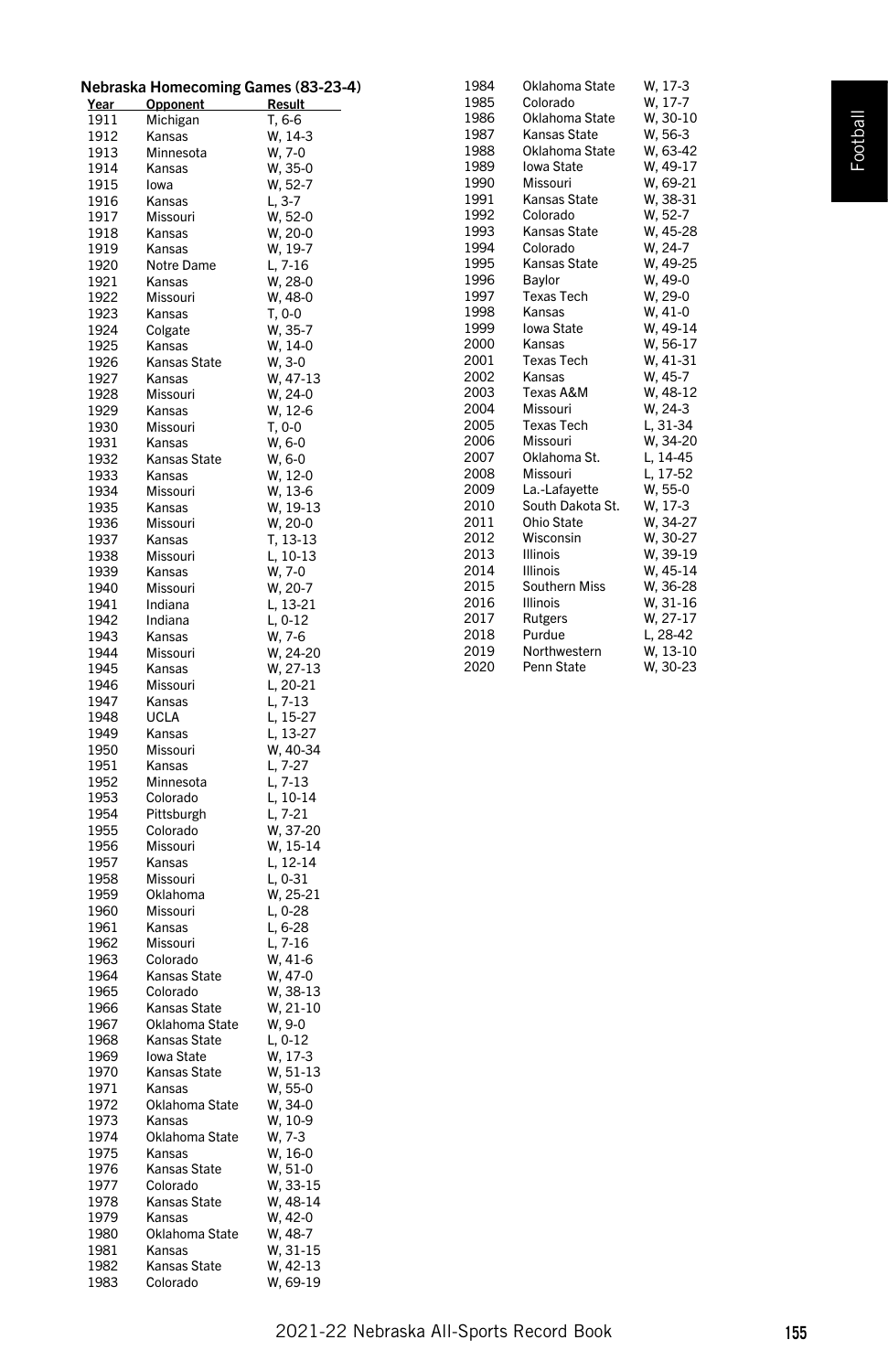| Nebraska Homecoming Games (83-23-4) |  |  |
|-------------------------------------|--|--|
|-------------------------------------|--|--|

| <u>Year</u>  | <u>Opponent</u>          | <u>Result</u>                  |
|--------------|--------------------------|--------------------------------|
| 1911         | Michigan                 | T, 6-6                         |
| 1912<br>1913 | Kansas<br>Minnesota      | w, 14-3<br>W, 7-0              |
| 1914         | Kansas                   | W, 35-0                        |
| 1915         | lowa                     | W, 52-7<br>L, 3-7              |
| 1916         | Kansas                   |                                |
| 1917         | Missouri                 | W, 52-0                        |
| 1918<br>1919 | Kansas<br>Kansas         | $W, 20-0$<br>W, 19-7           |
| 1920         | Notre Dame               | L, 7-16                        |
| 1921         | Kansas                   | W, 28-0                        |
| 1922         | Missouri                 | W, 48-0                        |
| 1923         | Kansas                   | T, 0-0                         |
| 1924<br>1925 | Colgate<br>Kansas        | W, 35-7                        |
| 1926         | Kansas State             | $W, 14-0$<br>$W, 3-0$          |
| 1927         | Kansas                   | W, 47-13                       |
| 1928         | Missouri                 | $W, 24-0$                      |
| 1929         | Kansas                   | $W, 12-6$                      |
| 1930<br>1931 | Missouri<br>Kansas       | T, 0-0<br>W, 6-0               |
| 1932         | Kansas State             | W, 6-0                         |
| 1933         | Kansas                   | $W, 12-0$                      |
| 1934         | Missouri                 | W, 13-6                        |
| 1935         | Kansas                   | W, 19-13<br>W, 20-0            |
| 1936<br>1937 | Missouri<br>Kansas       |                                |
| 1938         | Missouri                 | T, 13-13<br>L, 10-13           |
| 1939         | Kansas                   | W, 7-0                         |
| 1940         | Missouri                 | W, 20-7<br>L, 13-21            |
| 1941<br>1942 | Indiana<br>Indiana       |                                |
| 1943         | Kansas                   | L, 0-12<br>$W, 7-6$            |
| 1944         | Missouri                 | W, 24-20                       |
| 1945         | Kansas                   | W, 27-13<br>L, 20-21           |
| 1946         | Missouri                 |                                |
| 1947<br>1948 | Kansas<br><b>UCLA</b>    | L, 7-13<br>L, 15-27            |
| 1949         | Kansas                   | L, 13-27                       |
| 1950         | Missouri                 | W, 40-34                       |
| 1951         | Kansas                   | L, 7-27<br>L, 7-13<br>L, 10-14 |
| 1952         | Minnesota                |                                |
| 1953<br>1954 | Colorado<br>Pittsburgh   | L, 7-21                        |
| 1955         | Colorado                 |                                |
| 1956         | Missouri                 | W, 37-20<br>W, 15-14           |
| 1957         | Kansas                   | L, 12-14<br>L, 0-31            |
| 1958         | Missouri                 |                                |
| 1959<br>1960 | Oklahoma<br>Missouri     | W, 25-21<br>L, 0-28            |
| 1961         | Kansas                   | L, 6-28                        |
| 1962         | Missouri                 | L, 7-16<br>W, 41-6             |
| 1963         | Colorado                 |                                |
| 1964<br>1965 | Kansas State<br>Colorado | W, 47-0                        |
| 1966         | Kansas State             | W, 38-13                       |
| 1967         | Oklahoma State           | W, 21-10<br>W, 9-0             |
| 1968         | Kansas State             | $L, 0-12$                      |
| 1969         | Iowa State               | W, 17-3                        |
| 1970<br>1971 | Kansas State<br>Kansas   | W, 51-13<br>W, 55-0            |
| 1972         | Oklahoma State           |                                |
| 1973         | Kansas                   |                                |
| 1974         | Oklahoma State           | W, 34-0<br>W, 10-9<br>W, 7-3   |
| 1975         | Kansas                   | W, 16-0                        |
| 1976<br>1977 | Kansas State<br>Colorado | W, 51-0<br>W, 33-15            |
| 1978         | Kansas State             | W, 48-14                       |
| 1979         | Kansas                   | W, 42-0                        |
| 1980         | Oklahoma State           | W, 48-7                        |
| 1981         | Kansas                   | W, 31-15                       |
| 1982<br>1983 | Kansas State<br>Colorado | W, 42-13<br>W, 69-19           |
|              |                          |                                |

| 1984 | Oklahoma State      | W, 17-3  |
|------|---------------------|----------|
| 1985 | Colorado            | W, 17-7  |
| 1986 | Oklahoma State      | W, 30-10 |
| 1987 | Kansas State        | W, 56-3  |
| 1988 | Oklahoma State      | W, 63-42 |
| 1989 | Iowa State          | W, 49-17 |
| 1990 | Missouri            | W, 69-21 |
| 1991 | <b>Kansas State</b> | W, 38-31 |
| 1992 | Colorado            | W, 52-7  |
| 1993 | Kansas State        | W, 45-28 |
| 1994 | Colorado            | W. 24-7  |
| 1995 | Kansas State        | W, 49-25 |
| 1996 | Baylor              | W, 49-0  |
| 1997 | <b>Texas Tech</b>   | W, 29-0  |
| 1998 | Kansas              | W, 41-0  |
| 1999 | Iowa State          | W, 49-14 |
| 2000 | Kansas              | W, 56-17 |
| 2001 | <b>Texas Tech</b>   | W, 41-31 |
| 2002 | Kansas              | W, 45-7  |
| 2003 | Texas A&M           | W, 48-12 |
| 2004 | Missouri            | W, 24-3  |
| 2005 | <b>Texas Tech</b>   | L, 31-34 |
| 2006 | Missouri            | W, 34-20 |
| 2007 | Oklahoma St.        | L, 14-45 |
| 2008 | Missouri            | L, 17-52 |
| 2009 | La.-Lafayette       | W. 55-0  |
| 2010 | South Dakota St.    | W, 17-3  |
| 2011 | Ohio State          | W, 34-27 |
| 2012 | Wisconsin           | W, 30-27 |
| 2013 | <b>Illinois</b>     | W, 39-19 |
| 2014 | <b>Illinois</b>     | W, 45-14 |
| 2015 | Southern Miss       | W, 36-28 |
| 2016 | <b>Illinois</b>     | W, 31-16 |
| 2017 | Rutgers             | W, 27-17 |
| 2018 | Purdue              | L, 28-42 |
| 2019 | Northwestern        | W, 13-10 |
| 2020 | Penn State          | W, 30-23 |
|      |                     |          |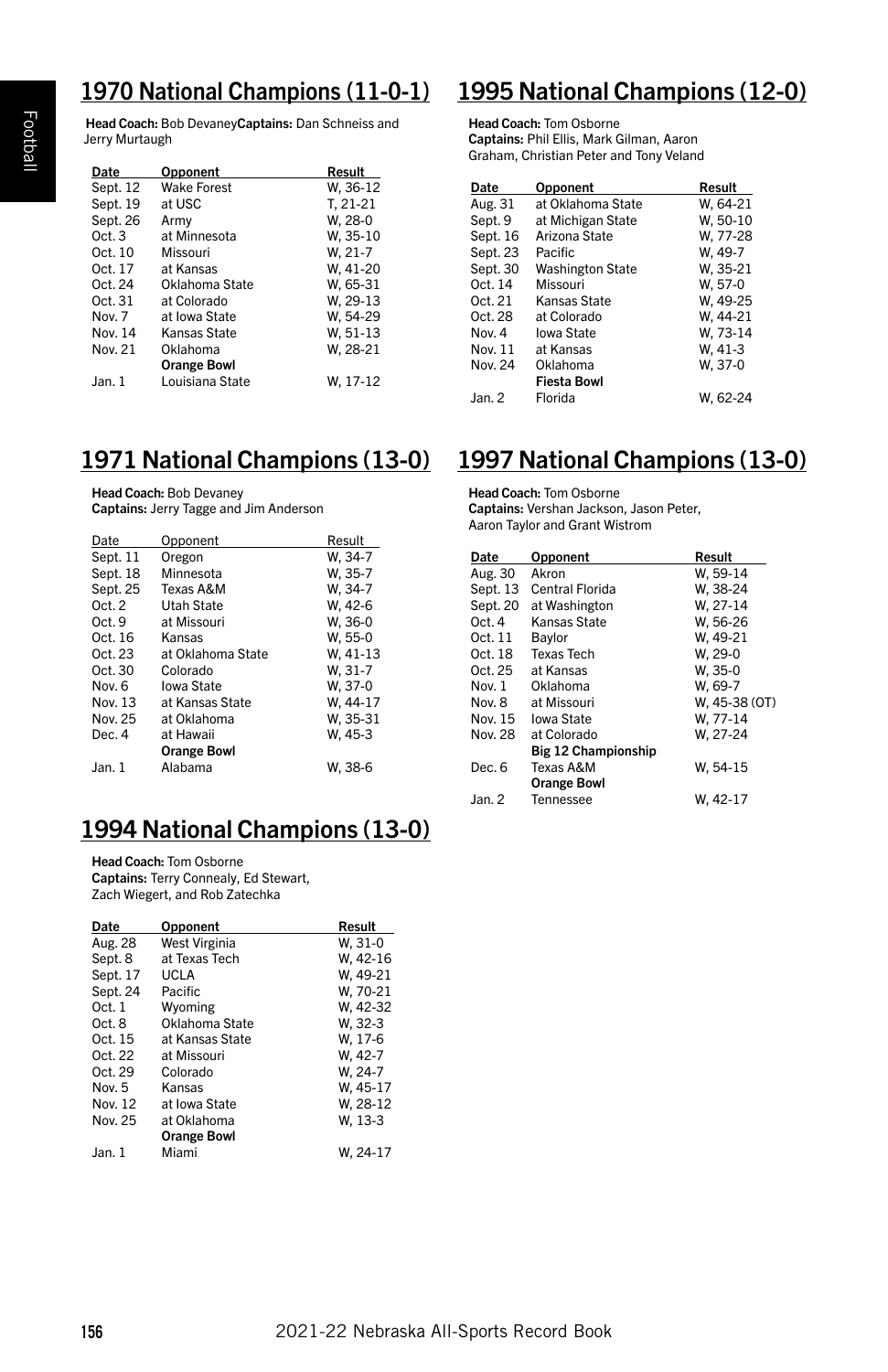Head Coach: Bob DevaneyCaptains: Dan Schneiss and Jerry Murtaugh

| Date     | Opponent           | Result    |
|----------|--------------------|-----------|
| Sept. 12 | <b>Wake Forest</b> | W, 36-12  |
| Sept. 19 | at USC             | T. 21-21  |
| Sept. 26 | Army               | W. 28-0   |
| Oct.3    | at Minnesota       | W. 35-10  |
| Oct. 10  | Missouri           | $W. 21-7$ |
| Oct. 17  | at Kansas          | W. 41-20  |
| Oct. 24  | Oklahoma State     | W. 65-31  |
| Oct. 31  | at Colorado        | W, 29-13  |
| Nov. 7   | at Iowa State      | W. 54-29  |
| Nov. 14  | Kansas State       | W, 51-13  |
| Nov. 21  | Oklahoma           | W, 28-21  |
|          | <b>Orange Bowl</b> |           |
| Jan. 1   | Louisiana State    | W. 17-12  |

#### 1971 National Champions (13-0)

#### Head Coach: Bob Devaney

Captains: Jerry Tagge and Jim Anderson

| Date     | Opponent           | Result   |
|----------|--------------------|----------|
| Sept. 11 | Oregon             | W. 34-7  |
| Sept. 18 | Minnesota          | W. 35-7  |
| Sept. 25 | Texas A&M          | W. 34-7  |
| Oct.2    | Utah State         | W. 42-6  |
| Oct.9    | at Missouri        | W. 36-0  |
| Oct. 16  | Kansas             | W, 55-0  |
| Oct. 23  | at Oklahoma State  | W. 41-13 |
| Oct. 30  | Colorado           | W. 31-7  |
| Nov. 6   | Iowa State         | W. 37-0  |
| Nov. 13  | at Kansas State    | W. 44-17 |
| Nov. 25  | at Oklahoma        | W. 35-31 |
| Dec 4    | at Hawaii          | W. 45-3  |
|          | <b>Orange Bowl</b> |          |
| Jan.1    | Alabama            | W. 38-6  |

### 1994 National Champions (13-0)

Head Coach: Tom Osborne Captains: Terry Connealy, Ed Stewart, Zach Wiegert, and Rob Zatechka

| Date     | Opponent           | Result   |
|----------|--------------------|----------|
| Aug. 28  | West Virginia      | W. 31-0  |
| Sept. 8  | at Texas Tech      | W, 42-16 |
| Sept. 17 | UCLA               | W. 49-21 |
| Sept. 24 | <b>Pacific</b>     | W. 70-21 |
| Oct.1    | Wyoming            | W. 42-32 |
| Oct. 8   | Oklahoma State     | W. 32-3  |
| Oct. 15  | at Kansas State    | W. 17-6  |
| Oct. 22  | at Missouri        | W. 42-7  |
| Oct. 29  | Colorado           | W. 24-7  |
| Nov. 5   | Kansas             | W. 45-17 |
| Nov. 12  | at Iowa State      | W. 28-12 |
| Nov. 25  | at Oklahoma        | W. 13-3  |
|          | <b>Orange Bowl</b> |          |
| Jan. 1   | Miami              | W. 24-17 |

#### 1970 National Champions (11-0-1) 1995 National Champions (12-0)

Head Coach: Tom Osborne Captains: Phil Ellis, Mark Gilman, Aaron Graham, Christian Peter and Tony Veland

| Date     | Opponent                | Result   |
|----------|-------------------------|----------|
| Aug. 31  | at Oklahoma State       | W. 64-21 |
| Sept. 9  | at Michigan State       | W. 50-10 |
| Sept. 16 | Arizona State           | W, 77-28 |
| Sept. 23 | Pacific                 | W, 49-7  |
| Sept. 30 | <b>Washington State</b> | W. 35-21 |
| Oct. 14  | Missouri                | W. 57-0  |
| Oct. 21  | Kansas State            | W. 49-25 |
| Oct. 28  | at Colorado             | W. 44-21 |
| Nov. 4   | Iowa State              | W, 73-14 |
| Nov. 11  | at Kansas               | W, 41-3  |
| Nov. 24  | Oklahoma                | W. 37-0  |
|          | <b>Fiesta Bowl</b>      |          |
| Jan. 2   | Florida                 | W. 62-24 |

#### 1997 National Champions (13-0)

Head Coach: Tom Osborne Captains: Vershan Jackson, Jason Peter, Aaron Taylor and Grant Wistrom

| Date     | Opponent                   | Result        |
|----------|----------------------------|---------------|
| Aug. 30  | Akron                      | W. 59-14      |
| Sept. 13 | Central Florida            | W. 38-24      |
| Sept. 20 | at Washington              | W. 27-14      |
| Oct.4    | Kansas State               | W. 56-26      |
| Oct. 11  | Bavlor                     | W. 49-21      |
| Oct. 18  | <b>Texas Tech</b>          | W. 29-0       |
| Oct. 25  | at Kansas                  | W. 35-0       |
| Nov. 1   | Oklahoma                   | W. 69-7       |
| Nov. 8   | at Missouri                | W. 45-38 (OT) |
| Nov. 15  | Iowa State                 | W. 77-14      |
| Nov. 28  | at Colorado                | W. 27-24      |
|          | <b>Big 12 Championship</b> |               |
| Dec. 6   | Texas A&M                  | W. 54-15      |
|          | <b>Orange Bowl</b>         |               |
| Jan. 2   | Tennessee                  | W, 42-17      |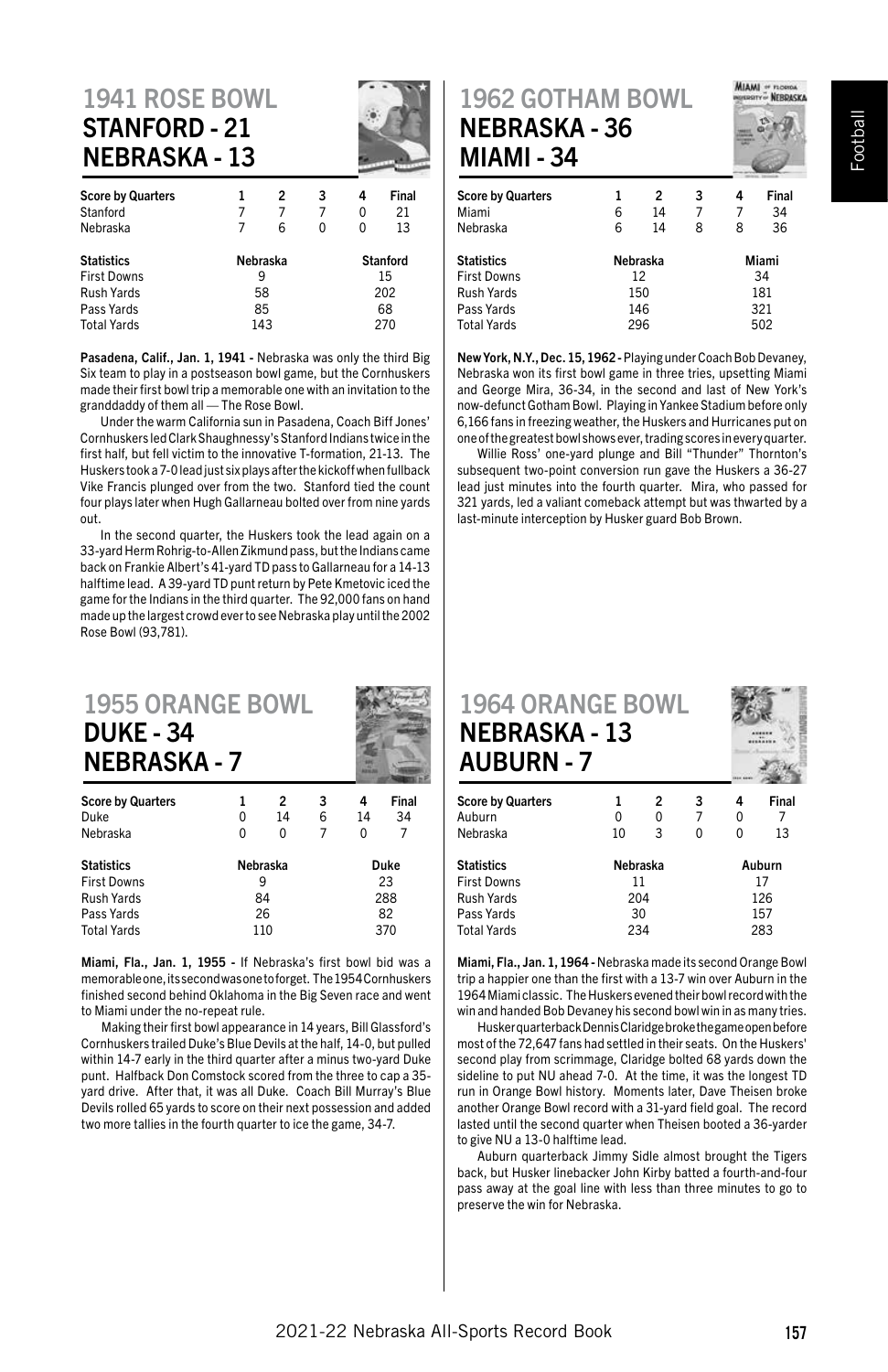#### 1941 ROSE BOWL STANFORD - 21 NEBRASKA - 13

| <b>Score by Quarters</b><br>Stanford |          | 2 | 3<br>7          | 4<br>0 | Final<br>21 |
|--------------------------------------|----------|---|-----------------|--------|-------------|
| Nebraska                             | 7        | 6 | 0               |        | 13          |
| <b>Statistics</b>                    | Nebraska |   | <b>Stanford</b> |        |             |
| <b>First Downs</b>                   | 9        |   |                 | 15     |             |
| <b>Rush Yards</b>                    | 58       |   |                 | 202    |             |
| Pass Yards                           | 85       |   |                 | 68     |             |
| <b>Total Yards</b>                   | 143      |   |                 | 270    |             |
|                                      |          |   |                 |        |             |

Pasadena, Calif., Jan. 1, 1941 - Nebraska was only the third Big Six team to play in a postseason bowl game, but the Cornhuskers made their first bowl trip a memorable one with an invitation to the granddaddy of them all — The Rose Bowl.

Under the warm California sun in Pasadena, Coach Biff Jones' Cornhuskers led Clark Shaughnessy's Stanford Indians twice in the first half, but fell victim to the innovative T-formation, 21-13. The Huskers took a 7-0 lead just six plays after the kickoff when fullback Vike Francis plunged over from the two. Stanford tied the count four plays later when Hugh Gallarneau bolted over from nine yards out.

In the second quarter, the Huskers took the lead again on a 33-yard Herm Rohrig-to-Allen Zikmund pass, but the Indians came back on Frankie Albert's 41-yard TD pass to Gallarneau for a 14-13 halftime lead. A 39-yard TD punt return by Pete Kmetovic iced the game for the Indians in the third quarter. The 92,000 fans on hand made up the largest crowd ever to see Nebraska play until the 2002 Rose Bowl (93,781).

# 1955 ORANGE BOWL DUKE - 34 NEBRASKA - 7

| <b>Score by Quarters</b> |          | 2  | 3    | 4  | Final |
|--------------------------|----------|----|------|----|-------|
| Duke                     | 0        | 14 | 6    | 14 | 34    |
| Nebraska                 | O        | 0  |      | 0  |       |
| <b>Statistics</b>        | Nebraska |    | Duke |    |       |
| <b>First Downs</b>       | 9        |    |      | 23 |       |
| <b>Rush Yards</b>        | 84       |    | 288  |    |       |
| Pass Yards               | 26       |    | 82   |    |       |
| <b>Total Yards</b>       | 110      |    | 370  |    |       |

Miami, Fla., Jan. 1, 1955 - If Nebraska's first bowl bid was a memorable one, its second was one to forget. The 1954 Cornhuskers finished second behind Oklahoma in the Big Seven race and went to Miami under the no-repeat rule.

Making their first bowl appearance in 14 years, Bill Glassford's Cornhuskers trailed Duke's Blue Devils at the half, 14-0, but pulled within 14-7 early in the third quarter after a minus two-yard Duke punt. Halfback Don Comstock scored from the three to cap a 35 yard drive. After that, it was all Duke. Coach Bill Murray's Blue Devils rolled 65 yards to score on their next possession and added two more tallies in the fourth quarter to ice the game, 34-7.

### 1962 GOTHAM BOWL NEBRASKA - 36 MIAMI - 34

| 111171111<br>◡᠇          |          |     |       |     |       |
|--------------------------|----------|-----|-------|-----|-------|
| <b>Score by Quarters</b> | 1        | 2   | 3     | 4   | Final |
| Miami                    | 6        | 14  |       |     | 34    |
| Nebraska                 | 6        | 14  | 8     | 8   | 36    |
| Statistics               | Nebraska |     | Miami |     |       |
| <b>First Downs</b>       | 12       |     |       | 34  |       |
| Rush Yards               | 150      |     |       | 181 |       |
| Pass Yards               | 146      |     |       |     | 321   |
| Total Yards              |          | 296 |       |     | 502   |
|                          |          |     |       |     |       |

New York, N.Y., Dec. 15, 1962 - Playing under Coach Bob Devaney, Nebraska won its first bowl game in three tries, upsetting Miami and George Mira, 36-34, in the second and last of New York's now-defunct Gotham Bowl. Playing in Yankee Stadium before only 6,166 fans in freezing weather, the Huskers and Hurricanes put on one of the greatest bowl shows ever, trading scores in every quarter.

Willie Ross' one-yard plunge and Bill "Thunder" Thornton's subsequent two-point conversion run gave the Huskers a 36-27 lead just minutes into the fourth quarter. Mira, who passed for 321 yards, led a valiant comeback attempt but was thwarted by a last-minute interception by Husker guard Bob Brown.

| <b>1964 ORANGE BOWL</b><br><b>NEBRASKA - 13</b><br><b>AUBURN - 7</b> |   |        |   |   |       |
|----------------------------------------------------------------------|---|--------|---|---|-------|
| <b>Score by Quarters</b><br>$A$ $A$                                  | Λ | $\sim$ | ર | Λ | Final |

| Score by Quarters  |          |   | a   | 4      | rınaı |  |
|--------------------|----------|---|-----|--------|-------|--|
| Auburn             | 0        | 0 |     | 0      |       |  |
| Nebraska           | 10       | 3 |     | ŋ      | 13    |  |
| <b>Statistics</b>  | Nebraska |   |     | Auburn |       |  |
| <b>First Downs</b> | 11       |   |     | 17     |       |  |
| Rush Yards         | 204      |   | 126 |        |       |  |
| Pass Yards         | 30       |   | 157 |        |       |  |
| <b>Total Yards</b> | 234      |   |     | 283    |       |  |
|                    |          |   |     |        |       |  |

Miami, Fla., Jan. 1, 1964 - Nebraska made its second Orange Bowl trip a happier one than the first with a 13-7 win over Auburn in the 1964 Miami classic. The Huskers evened their bowl record with the win and handed Bob Devaney his second bowl win in as many tries.

Husker quarterback Dennis Claridge broke the game open before most of the 72,647 fans had settled in their seats. On the Huskers' second play from scrimmage, Claridge bolted 68 yards down the sideline to put NU ahead 7-0. At the time, it was the longest TD run in Orange Bowl history. Moments later, Dave Theisen broke another Orange Bowl record with a 31-yard field goal. The record lasted until the second quarter when Theisen booted a 36-yarder to give NU a 13-0 halftime lead.

Auburn quarterback Jimmy Sidle almost brought the Tigers back, but Husker linebacker John Kirby batted a fourth-and-four pass away at the goal line with less than three minutes to go to preserve the win for Nebraska.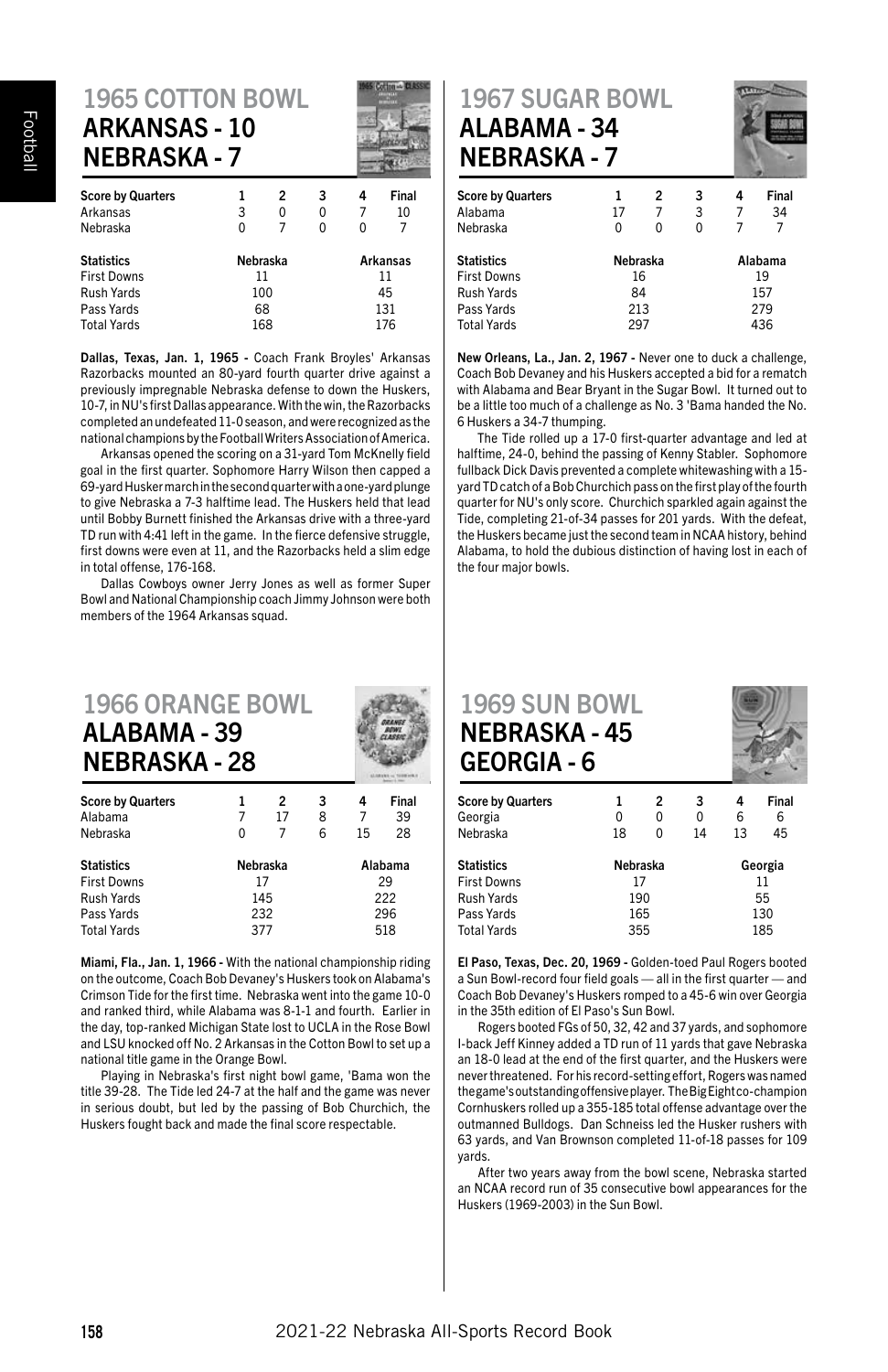# 1965 COTTON BOWL ARKANSAS - 10 NEBRASKA - 7

| <b>Score by Quarters</b> |          | 2 | 3               | 4   | Final |     |
|--------------------------|----------|---|-----------------|-----|-------|-----|
| Arkansas                 | 3        | 0 | 0               |     | 10    |     |
| Nebraska                 | ŋ        | 7 | ŋ               | ŋ   | 7     |     |
| <b>Statistics</b>        | Nebraska |   | <b>Arkansas</b> |     |       |     |
| <b>First Downs</b>       | 11       |   |                 | 11  |       |     |
| <b>Rush Yards</b>        | 100      |   |                 | 45  |       |     |
| Pass Yards               | 68       |   |                 |     |       | 131 |
| <b>Total Yards</b>       | 168      |   |                 | 176 |       |     |

Dallas, Texas, Jan. 1, 1965 - Coach Frank Broyles' Arkansas Razorbacks mounted an 80-yard fourth quarter drive against a previously impregnable Nebraska defense to down the Huskers, 10-7, in NU's first Dallas appearance. With the win, the Razorbacks completed an undefeated 11-0 season, and were recognized as the national champions by the Football Writers Association of America.

Arkansas opened the scoring on a 31-yard Tom McKnelly field goal in the first quarter. Sophomore Harry Wilson then capped a 69-yard Husker march in the second quarter with a one-yard plunge to give Nebraska a 7-3 halftime lead. The Huskers held that lead until Bobby Burnett finished the Arkansas drive with a three-yard TD run with 4:41 left in the game. In the fierce defensive struggle, first downs were even at 11, and the Razorbacks held a slim edge in total offense, 176-168.

Dallas Cowboys owner Jerry Jones as well as former Super Bowl and National Championship coach Jimmy Johnson were both members of the 1964 Arkansas squad.

#### 1966 ORANGE BOWL ALABAMA - 39 NEBRASKA - 28 Score by Quarters 1 2 3 4 Final Alabama 7 17 8 7 39

| Nebraska           |          |  |     | 15 | 28      |
|--------------------|----------|--|-----|----|---------|
| <b>Statistics</b>  | Nebraska |  |     |    | Alabama |
| <b>First Downs</b> | 17       |  |     |    | 29      |
| Rush Yards         | 145      |  |     |    | 222     |
| Pass Yards         | 232      |  | 296 |    |         |
| <b>Total Yards</b> | 377      |  | 518 |    |         |

Miami, Fla., Jan. 1, 1966 - With the national championship riding on the outcome, Coach Bob Devaney's Huskers took on Alabama's Crimson Tide for the first time. Nebraska went into the game 10-0 and ranked third, while Alabama was 8-1-1 and fourth. Earlier in the day, top-ranked Michigan State lost to UCLA in the Rose Bowl and LSU knocked off No. 2 Arkansas in the Cotton Bowl to set up a national title game in the Orange Bowl.

Playing in Nebraska's first night bowl game, 'Bama won the title 39-28. The Tide led 24-7 at the half and the game was never in serious doubt, but led by the passing of Bob Churchich, the Huskers fought back and made the final score respectable.

#### 1967 SUGAR BOWL ALABAMA - 34 NEBRASKA - 7



|          | 2 | 3       | 4 | Final |
|----------|---|---------|---|-------|
| 17       | 7 | 3       |   | 34    |
| 0        | ŋ | 0       |   | 7     |
| Nebraska |   | Alabama |   |       |
| 16       |   | 19      |   |       |
| 84       |   | 157     |   |       |
| 213      |   | 279     |   |       |
| 297      |   | 436     |   |       |
|          |   |         |   |       |

New Orleans, La., Jan. 2, 1967 - Never one to duck a challenge, Coach Bob Devaney and his Huskers accepted a bid for a rematch with Alabama and Bear Bryant in the Sugar Bowl. It turned out to be a little too much of a challenge as No. 3 'Bama handed the No. 6 Huskers a 34-7 thumping.

The Tide rolled up a 17-0 first-quarter advantage and led at halftime, 24-0, behind the passing of Kenny Stabler. Sophomore fullback Dick Davis prevented a complete whitewashing with a 15 yard TD catch of a Bob Churchich pass on the first play of the fourth quarter for NU's only score. Churchich sparkled again against the Tide, completing 21-of-34 passes for 201 yards. With the defeat, the Huskers became just the second team in NCAA history, behind Alabama, to hold the dubious distinction of having lost in each of the four major bowls.

#### 1969 SUN BOWL NEBRASKA - 45 GEORGIA - 6



| <b>Score by Quarters</b><br>Georgia<br>Nebraska | 1<br>0<br>18 | 2<br>0<br>0 | 3<br>0<br>14 | 4<br>6<br>13 | Final<br>6<br>45 |     |  |
|-------------------------------------------------|--------------|-------------|--------------|--------------|------------------|-----|--|
| <b>Statistics</b>                               | Nebraska     |             |              | Georgia      |                  |     |  |
| <b>First Downs</b>                              | 17           |             |              | 11           |                  |     |  |
| <b>Rush Yards</b>                               | 190          |             |              | 55           |                  |     |  |
| Pass Yards                                      | 165          |             |              |              |                  | 130 |  |
| <b>Total Yards</b>                              | 355          |             |              | 185          |                  |     |  |

El Paso, Texas, Dec. 20, 1969 - Golden-toed Paul Rogers booted a Sun Bowl-record four field goals — all in the first quarter — and Coach Bob Devaney's Huskers romped to a 45-6 win over Georgia in the 35th edition of El Paso's Sun Bowl.

Rogers booted FGs of 50, 32, 42 and 37 yards, and sophomore I-back Jeff Kinney added a TD run of 11 yards that gave Nebraska an 18-0 lead at the end of the first quarter, and the Huskers were never threatened. For his record-setting effort, Rogers was named the game's outstanding offensive player. The Big Eight co-champion Cornhuskers rolled up a 355-185 total offense advantage over the outmanned Bulldogs. Dan Schneiss led the Husker rushers with 63 yards, and Van Brownson completed 11-of-18 passes for 109 yards.

After two years away from the bowl scene, Nebraska started an NCAA record run of 35 consecutive bowl appearances for the Huskers (1969-2003) in the Sun Bowl.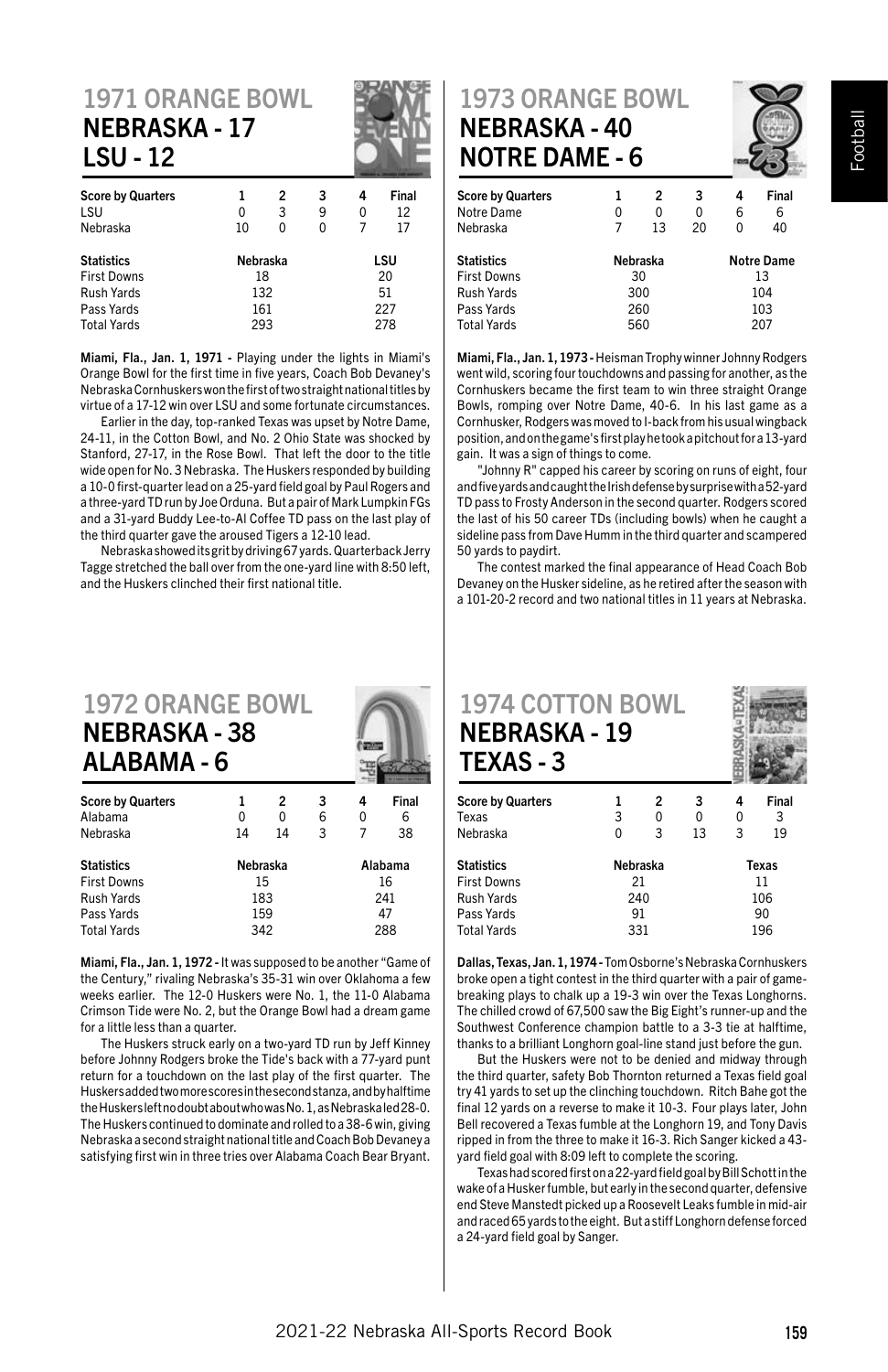#### 1971 ORANGE BOWL NEBRASKA - 17 LSU - 12

| <b>Score by Quarters</b><br>LSU | 2<br>1<br>3<br>0 |   | 3<br>9 | 4<br>0 | Final<br>12 |  |
|---------------------------------|------------------|---|--------|--------|-------------|--|
| Nebraska                        | 10               | 0 | 0      |        | 17          |  |
| <b>Statistics</b>               | Nebraska         |   |        |        | LSU         |  |
| <b>First Downs</b>              | 18               |   |        | 20     |             |  |
| Rush Yards                      | 132              |   | 51     |        |             |  |
| Pass Yards                      | 161              |   |        | 227    |             |  |
| <b>Total Yards</b>              | 293              |   |        |        | 278         |  |

Miami, Fla., Jan. 1, 1971 - Playing under the lights in Miami's Orange Bowl for the first time in five years, Coach Bob Devaney's Nebraska Cornhuskers won the first of two straight national titles by virtue of a 17-12 win over LSU and some fortunate circumstances.

Earlier in the day, top-ranked Texas was upset by Notre Dame, 24-11, in the Cotton Bowl, and No. 2 Ohio State was shocked by Stanford, 27-17, in the Rose Bowl. That left the door to the title wide open for No. 3 Nebraska. The Huskers responded by building a 10-0 first-quarter lead on a 25-yard field goal by Paul Rogers and a three-yard TD run by Joe Orduna. But a pair of Mark Lumpkin FGs and a 31-yard Buddy Lee-to-Al Coffee TD pass on the last play of the third quarter gave the aroused Tigers a 12-10 lead.

Nebraska showed its grit by driving 67 yards. Quarterback Jerry Tagge stretched the ball over from the one-yard line with 8:50 left, and the Huskers clinched their first national title.

#### 1972 ORANGE BOWL NEBRASKA - 38 ALABAMA - 6

| <b>Score by Quarters</b> |          | 2   | 3 | 4   | Final   |
|--------------------------|----------|-----|---|-----|---------|
| Alabama                  | 0        | 0   | 6 | 0   | 6       |
| Nebraska                 | 14       | 14  | 3 |     | 38      |
| <b>Statistics</b>        | Nebraska |     |   |     | Alabama |
| <b>First Downs</b>       |          | 15  |   | 16  |         |
| <b>Rush Yards</b>        | 183      |     |   | 241 |         |
| Pass Yards               |          | 159 |   |     | 47      |
| <b>Total Yards</b>       | 342      |     |   | 288 |         |

Miami, Fla., Jan. 1, 1972 - It was supposed to be another "Game of the Century," rivaling Nebraska's 35-31 win over Oklahoma a few weeks earlier. The 12-0 Huskers were No. 1, the 11-0 Alabama Crimson Tide were No. 2, but the Orange Bowl had a dream game for a little less than a quarter.

The Huskers struck early on a two-yard TD run by Jeff Kinney before Johnny Rodgers broke the Tide's back with a 77-yard punt return for a touchdown on the last play of the first quarter. The Huskers added two more scores in the second stanza, and by halftime the Huskers left no doubt about who was No. 1, as Nebraska led 28-0. The Huskers continued to dominate and rolled to a 38-6 win, giving Nebraska a second straight national title and Coach Bob Devaney a satisfying first win in three tries over Alabama Coach Bear Bryant.

#### 1973 ORANGE BOWL NEBRASKA - 40 NOTRE DAME - 6



| <b>Score by Quarters</b> |          | 2   | 3  | 4   | Final             |  |
|--------------------------|----------|-----|----|-----|-------------------|--|
| Notre Dame               | 0        | 0   | 0  | 6   | 6                 |  |
| Nebraska                 |          | 13  | 20 | 0   | 40                |  |
| <b>Statistics</b>        | Nebraska |     |    |     | <b>Notre Dame</b> |  |
| <b>First Downs</b>       |          | 30  |    | 13  |                   |  |
| Rush Yards               |          | 300 |    | 104 |                   |  |
| Pass Yards               |          | 260 |    |     | 103               |  |
| <b>Total Yards</b>       |          | 560 |    |     | 207               |  |

Miami, Fla., Jan. 1, 1973 - Heisman Trophy winner Johnny Rodgers went wild, scoring four touchdowns and passing for another, as the Cornhuskers became the first team to win three straight Orange Bowls, romping over Notre Dame, 40-6. In his last game as a Cornhusker, Rodgers was moved to I-back from his usual wingback position, and on the game's first play he took a pitchout for a 13-yard gain. It was a sign of things to come.

"Johnny R" capped his career by scoring on runs of eight, four and five yards and caught the Irish defense by surprise with a 52-yard TD pass to Frosty Anderson in the second quarter. Rodgers scored the last of his 50 career TDs (including bowls) when he caught a sideline pass from Dave Humm in the third quarter and scampered 50 yards to paydirt.

The contest marked the final appearance of Head Coach Bob Devaney on the Husker sideline, as he retired after the season with a 101-20-2 record and two national titles in 11 years at Nebraska.

| <b>1974 COTTON BOWL</b><br><b>NEBRASKA - 19</b><br><b>TEXAS-3</b> |   |          |    |     |       |  |
|-------------------------------------------------------------------|---|----------|----|-----|-------|--|
| <b>Score by Quarters</b>                                          |   | 2        | 3  | 4   | Final |  |
| Texas                                                             | 3 | 0        | 0  | 0   | 3     |  |
| Nebraska                                                          | O | 3        | 13 | 3   | 19    |  |
| <b>Statistics</b>                                                 |   | Nebraska |    |     | Texas |  |
| <b>First Downs</b>                                                |   | 21       |    | 11  |       |  |
| Rush Yards                                                        |   | 240      |    | 106 |       |  |
| Pass Yards                                                        |   | 91       |    | 90  |       |  |

Dallas, Texas, Jan. 1, 1974 - Tom Osborne's Nebraska Cornhuskers broke open a tight contest in the third quarter with a pair of gamebreaking plays to chalk up a 19-3 win over the Texas Longhorns. The chilled crowd of 67,500 saw the Big Eight's runner-up and the Southwest Conference champion battle to a 3-3 tie at halftime, thanks to a brilliant Longhorn goal-line stand just before the gun.

Pass Yards 91 90

But the Huskers were not to be denied and midway through the third quarter, safety Bob Thornton returned a Texas field goal try 41 yards to set up the clinching touchdown. Ritch Bahe got the final 12 yards on a reverse to make it 10-3. Four plays later, John Bell recovered a Texas fumble at the Longhorn 19, and Tony Davis ripped in from the three to make it 16-3. Rich Sanger kicked a 43 yard field goal with 8:09 left to complete the scoring.

Texas had scored first on a 22-yard field goal by Bill Schott in the wake of a Husker fumble, but early in the second quarter, defensive end Steve Manstedt picked up a Roosevelt Leaks fumble in mid-air and raced 65 yards to the eight. But a stiff Longhorn defense forced a 24-yard field goal by Sanger.

**Total Yards**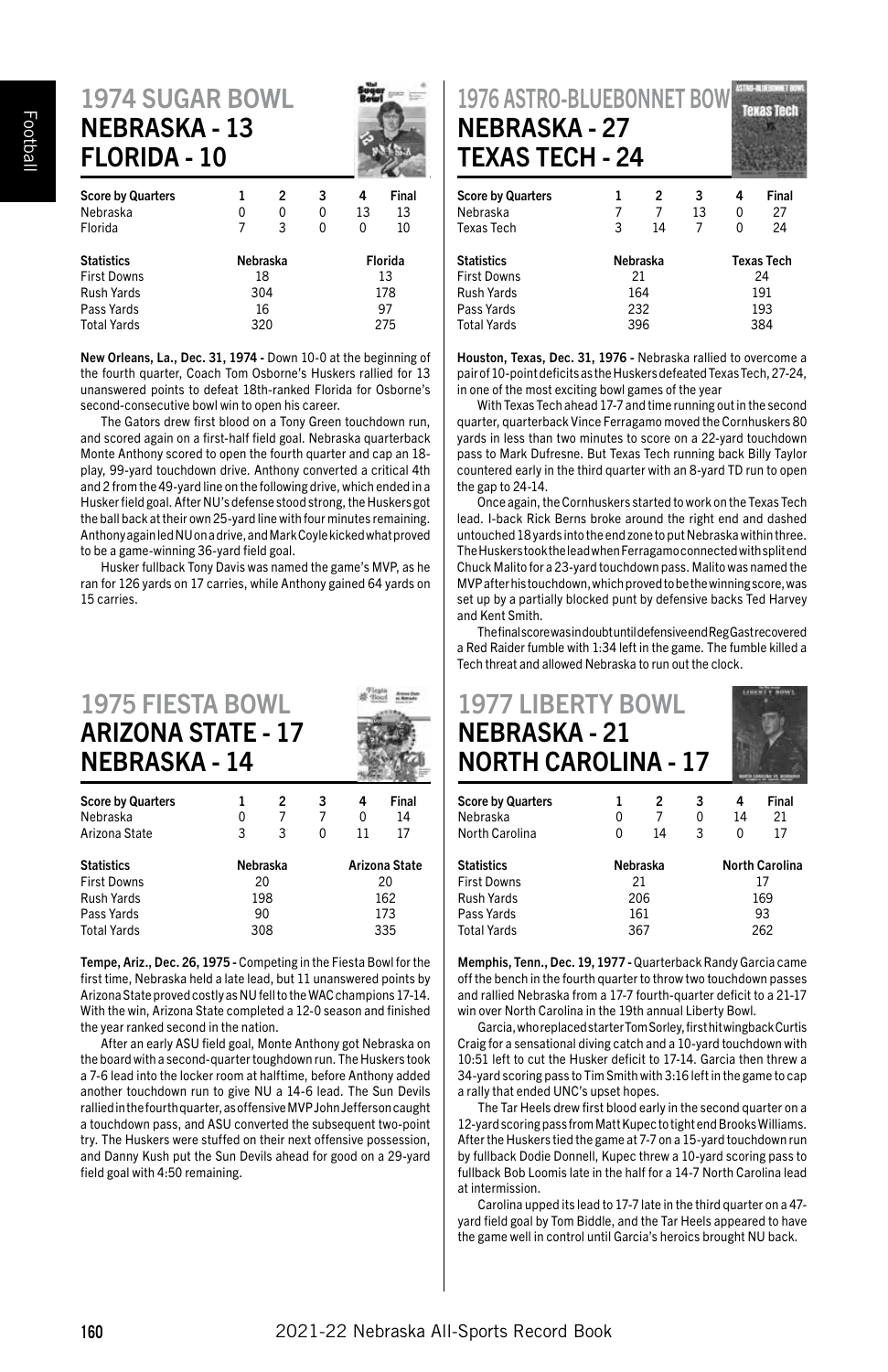#### 1974 SUGAR BOWL NEBRASKA - 13 FLORIDA - 10

| <b>Score by Quarters</b> | 1        | 2  | 3   | 4  | Final   |  |
|--------------------------|----------|----|-----|----|---------|--|
| Nebraska                 | 0        | 0  | 0   | 13 | 13      |  |
| Florida                  | 7        | 3  | 0   | 0  | 10      |  |
| <b>Statistics</b>        | Nebraska |    |     |    | Florida |  |
| First Downs              |          | 18 |     | 13 |         |  |
| Rush Yards               | 304      |    | 178 |    |         |  |
| Pass Yards               |          | 16 |     |    | 97      |  |
| <b>Total Yards</b>       | 320      |    |     |    | 275     |  |
|                          |          |    |     |    |         |  |

New Orleans, La., Dec. 31, 1974 - Down 10-0 at the beginning of the fourth quarter, Coach Tom Osborne's Huskers rallied for 13 unanswered points to defeat 18th-ranked Florida for Osborne's second-consecutive bowl win to open his career.

The Gators drew first blood on a Tony Green touchdown run, and scored again on a first-half field goal. Nebraska quarterback Monte Anthony scored to open the fourth quarter and cap an 18 play, 99-yard touchdown drive. Anthony converted a critical 4th and 2 from the 49-yard line on the following drive, which ended in a Husker field goal. After NU's defense stood strong, the Huskers got the ball back at their own 25-yard line with four minutes remaining. Anthony again led NU on a drive, and Mark Coyle kicked what proved to be a game-winning 36-yard field goal.

Husker fullback Tony Davis was named the game's MVP, as he ran for 126 yards on 17 carries, while Anthony gained 64 yards on 15 carries.

#### 1975 FIESTA BOWL ARIZONA STATE - 17 NEBRASKA - 14

| <b>Score by Quarters</b> |          | 2  | 3 | 4             | Final |  |  |
|--------------------------|----------|----|---|---------------|-------|--|--|
| Nebraska                 | 0        | 7  | 7 | 0             | 14    |  |  |
| Arizona State            | 3        | 3  | 0 | 11            | 17    |  |  |
| <b>Statistics</b>        | Nebraska |    |   | Arizona State |       |  |  |
| <b>First Downs</b>       |          | 20 |   | 20            |       |  |  |
| Rush Yards               | 198      |    |   | 162           |       |  |  |
| Pass Yards               | 90       |    |   |               | 173   |  |  |
| <b>Total Yards</b>       | 308      |    |   | 335           |       |  |  |

Tempe, Ariz., Dec. 26, 1975 - Competing in the Fiesta Bowl for the first time, Nebraska held a late lead, but 11 unanswered points by Arizona State proved costly as NU fell to the WAC champions 17-14. With the win, Arizona State completed a 12-0 season and finished the year ranked second in the nation.

After an early ASU field goal, Monte Anthony got Nebraska on the board with a second-quarter toughdown run. The Huskers took a 7-6 lead into the locker room at halftime, before Anthony added another touchdown run to give NU a 14-6 lead. The Sun Devils rallied in the fourth quarter, as offensive MVP John Jefferson caught a touchdown pass, and ASU converted the subsequent two-point try. The Huskers were stuffed on their next offensive possession, and Danny Kush put the Sun Devils ahead for good on a 29-yard field goal with 4:50 remaining.

| <b>1976 ASTRO-BLUEBONNET BOW</b><br><b>Texas Tech</b><br><b>NEBRASKA - 27</b><br><b>TEXAS TECH - 24</b> |   |          |    |     |                   |  |  |
|---------------------------------------------------------------------------------------------------------|---|----------|----|-----|-------------------|--|--|
| <b>Score by Quarters</b>                                                                                | 1 | 2        | 3  | 4   | Final             |  |  |
| Nebraska                                                                                                | 7 | 7        | 13 | 0   | 27                |  |  |
| <b>Texas Tech</b>                                                                                       | 3 | 14       | 7  | 0   | 24                |  |  |
| <b>Statistics</b>                                                                                       |   | Nebraska |    |     | <b>Texas Tech</b> |  |  |
| <b>First Downs</b>                                                                                      |   | 21       |    |     | 24                |  |  |
| Rush Yards                                                                                              |   | 164      |    |     | 191               |  |  |
| Pass Yards                                                                                              |   | 232      |    |     | 193               |  |  |
| Total Varde                                                                                             |   | 20 F     |    | 381 |                   |  |  |

Houston, Texas, Dec. 31, 1976 - Nebraska rallied to overcome a pair of 10-point deficits as the Huskers defeated Texas Tech, 27-24, in one of the most exciting bowl games of the year

With Texas Tech ahead 17-7 and time running out in the second quarter, quarterback Vince Ferragamo moved the Cornhuskers 80 yards in less than two minutes to score on a 22-yard touchdown pass to Mark Dufresne. But Texas Tech running back Billy Taylor countered early in the third quarter with an 8-yard TD run to open the gap to 24-14.

Once again, the Cornhuskers started to work on the Texas Tech lead. I-back Rick Berns broke around the right end and dashed untouched 18 yards into the end zone to put Nebraska within three. The Huskers took the lead when Ferragamo connected with split end Chuck Malito for a 23-yard touchdown pass. Malito was named the MVP after his touchdown, which proved to be the winning score, was set up by a partially blocked punt by defensive backs Ted Harvey and Kent Smith.

The final score was in doubt until defensive end Reg Gast recovered a Red Raider fumble with 1:34 left in the game. The fumble killed a Tech threat and allowed Nebraska to run out the clock.

| <b>1977 LIBERTY BOWL</b><br><b>NEBRASKA - 21</b><br><b>NORTH CAROLINA - 17</b> |     |          |   |    |                       |  |
|--------------------------------------------------------------------------------|-----|----------|---|----|-----------------------|--|
| <b>Score by Quarters</b>                                                       |     | 2        | 3 | 4  | Final                 |  |
| Nebraska                                                                       | 0   | 7        | 0 | 14 | 21                    |  |
| North Carolina                                                                 | 0   | 14       | 3 | 0  | 17                    |  |
| <b>Statistics</b>                                                              |     | Nebraska |   |    | <b>North Carolina</b> |  |
| <b>First Downs</b>                                                             |     | 21       |   | 17 |                       |  |
| <b>Rush Yards</b>                                                              | 206 |          |   |    | 169                   |  |

Memphis, Tenn., Dec. 19, 1977 - Quarterback Randy Garcia came off the bench in the fourth quarter to throw two touchdown passes and rallied Nebraska from a 17-7 fourth-quarter deficit to a 21-17 win over North Carolina in the 19th annual Liberty Bowl.

Pass Yards 161 93 Total Yards 367 262

Garcia, who replaced starter Tom Sorley, first hit wingback Curtis Craig for a sensational diving catch and a 10-yard touchdown with 10:51 left to cut the Husker deficit to 17-14. Garcia then threw a 34-yard scoring pass to Tim Smith with 3:16 left in the game to cap a rally that ended UNC's upset hopes.

The Tar Heels drew first blood early in the second quarter on a 12-yard scoring pass from Matt Kupec to tight end Brooks Williams. After the Huskers tied the game at 7-7 on a 15-yard touchdown run by fullback Dodie Donnell, Kupec threw a 10-yard scoring pass to fullback Bob Loomis late in the half for a 14-7 North Carolina lead at intermission.

Carolina upped its lead to 17-7 late in the third quarter on a 47 yard field goal by Tom Biddle, and the Tar Heels appeared to have the game well in control until Garcia's heroics brought NU back.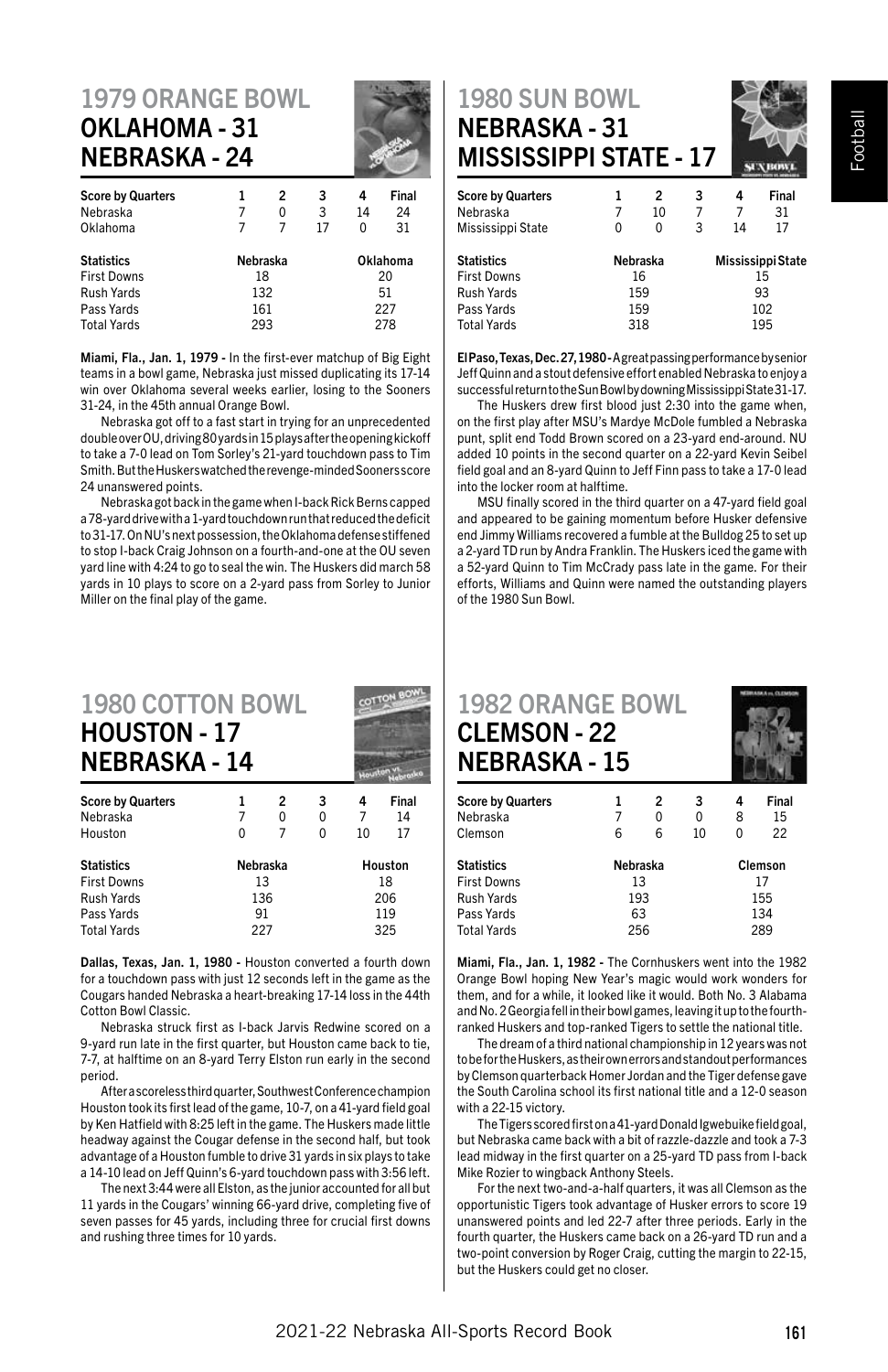#### 1979 ORANGE BOWL OKLAHOMA - 31 NEBRASKA - 24

| <b>Score by Quarters</b> |     | 2        | 3  | 4  | Final    |  |
|--------------------------|-----|----------|----|----|----------|--|
| Nebraska                 |     | 0        | 3  | 14 | 24       |  |
| Oklahoma                 |     | 7        | 17 | O  | 31       |  |
| <b>Statistics</b>        |     | Nebraska |    |    | Oklahoma |  |
| <b>First Downs</b>       |     | 18       |    | 20 |          |  |
| Rush Yards               |     | 132      |    | 51 |          |  |
| Pass Yards               | 161 |          |    |    | 227      |  |
| <b>Total Yards</b>       |     | 293      |    |    | 278      |  |
|                          |     |          |    |    |          |  |

Miami, Fla., Jan. 1, 1979 - In the first-ever matchup of Big Eight teams in a bowl game, Nebraska just missed duplicating its 17-14 win over Oklahoma several weeks earlier, losing to the Sooners 31-24, in the 45th annual Orange Bowl.

Nebraska got off to a fast start in trying for an unprecedented double over OU, driving 80 yards in 15 plays after the opening kickoff to take a 7-0 lead on Tom Sorley's 21-yard touchdown pass to Tim Smith. But the Huskers watched the revenge-minded Sooners score 24 unanswered points.

Nebraska got back in the game when I-back Rick Berns capped a 78-yard drive with a 1-yard touchdown run that reduced the deficit to 31-17. On NU's next possession, the Oklahoma defense stiffened to stop I-back Craig Johnson on a fourth-and-one at the OU seven yard line with 4:24 to go to seal the win. The Huskers did march 58 yards in 10 plays to score on a 2-yard pass from Sorley to Junior Miller on the final play of the game.

**OTTON BO** 

## 1980 COTTON BOWL HOUSTON - 17 NEBRASKA - 14

| <b>Score by Quarters</b> |          | 2 | 3 | 4       | Final |  |
|--------------------------|----------|---|---|---------|-------|--|
| Nebraska                 |          | 0 | 0 | 7       | 14    |  |
| Houston                  | 0        |   | 0 | 10      | 17    |  |
| <b>Statistics</b>        | Nebraska |   |   | Houston |       |  |
| <b>First Downs</b>       | 13       |   |   | 18      |       |  |
| <b>Rush Yards</b>        | 136      |   |   | 206     |       |  |
| Pass Yards               | 91       |   |   |         | 119   |  |
| <b>Total Yards</b>       | 227      |   |   | 325     |       |  |

Dallas, Texas, Jan. 1, 1980 - Houston converted a fourth down for a touchdown pass with just 12 seconds left in the game as the Cougars handed Nebraska a heart-breaking 17-14 loss in the 44th Cotton Bowl Classic.

Nebraska struck first as I-back Jarvis Redwine scored on a 9-yard run late in the first quarter, but Houston came back to tie, 7-7, at halftime on an 8-yard Terry Elston run early in the second period.

After a scoreless third quarter, Southwest Conference champion Houston took its first lead of the game, 10-7, on a 41-yard field goal by Ken Hatfield with 8:25 left in the game. The Huskers made little headway against the Cougar defense in the second half, but took advantage of a Houston fumble to drive 31 yards in six plays to take a 14-10 lead on Jeff Quinn's 6-yard touchdown pass with 3:56 left.

The next 3:44 were all Elston, as the junior accounted for all but 11 yards in the Cougars' winning 66-yard drive, completing five of seven passes for 45 yards, including three for crucial first downs and rushing three times for 10 yards.

#### 1980 SUN BOWL NEBRASKA - 31 MISSISSIPPI STATE - 17



| <b>Score by Quarters</b> | 1        | 2   | 3 | 4   | Final             |  |
|--------------------------|----------|-----|---|-----|-------------------|--|
| Nebraska                 |          | 10  | 7 | 7   | 31                |  |
| Mississippi State        | 0        | 0   | 3 | 14  | 17                |  |
| <b>Statistics</b>        | Nebraska |     |   |     | Mississippi State |  |
| <b>First Downs</b>       | 16       |     |   | 15  |                   |  |
| Rush Yards               | 159      |     |   | 93  |                   |  |
| Pass Yards               |          | 159 |   |     | 102               |  |
| <b>Total Yards</b>       | 318      |     |   | 195 |                   |  |

El Paso, Texas, Dec. 27, 1980 - A great passing performance by senior Jeff Quinn and a stout defensive effort enabled Nebraska to enjoy a successful return to the Sun Bowl by downing Mississippi State 31-17.

The Huskers drew first blood just 2:30 into the game when, on the first play after MSU's Mardye McDole fumbled a Nebraska punt, split end Todd Brown scored on a 23-yard end-around. NU added 10 points in the second quarter on a 22-yard Kevin Seibel field goal and an 8-yard Quinn to Jeff Finn pass to take a 17-0 lead into the locker room at halftime.

MSU finally scored in the third quarter on a 47-yard field goal and appeared to be gaining momentum before Husker defensive end Jimmy Williams recovered a fumble at the Bulldog 25 to set up a 2-yard TD run by Andra Franklin. The Huskers iced the game with a 52-yard Quinn to Tim McCrady pass late in the game. For their efforts, Williams and Quinn were named the outstanding players of the 1980 Sun Bowl.

| <b>1982 ORANGE BOWL</b><br><b>CLEMSON - 22</b><br>NEBRASKA - 15 |   |   |    |   |       |  |
|-----------------------------------------------------------------|---|---|----|---|-------|--|
| <b>Score by Quarters</b>                                        |   | 2 | 3  | 4 | Final |  |
| Nebraska                                                        | 7 |   | 0  | 8 | 15    |  |
| Clemson                                                         | հ |   | 10 | U | 22    |  |

| Statistics  | Nebraska | Clemson |  |  |
|-------------|----------|---------|--|--|
| First Downs | 13       | 17      |  |  |
| Rush Yards  | 193      | 155     |  |  |
| Pass Yards  | 63       | 134     |  |  |
| Total Yards | 256      | 289     |  |  |
|             |          |         |  |  |

Miami, Fla., Jan. 1, 1982 - The Cornhuskers went into the 1982 Orange Bowl hoping New Year's magic would work wonders for them, and for a while, it looked like it would. Both No. 3 Alabama and No. 2 Georgia fell in their bowl games, leaving it up to the fourthranked Huskers and top-ranked Tigers to settle the national title.

The dream of a third national championship in 12 years was not to be for the Huskers, as their own errors and standout performances by Clemson quarterback Homer Jordan and the Tiger defense gave the South Carolina school its first national title and a 12-0 season with a 22-15 victory.

The Tigers scored first on a 41-yard Donald Igwebuike field goal, but Nebraska came back with a bit of razzle-dazzle and took a 7-3 lead midway in the first quarter on a 25-yard TD pass from I-back Mike Rozier to wingback Anthony Steels.

For the next two-and-a-half quarters, it was all Clemson as the opportunistic Tigers took advantage of Husker errors to score 19 unanswered points and led 22-7 after three periods. Early in the fourth quarter, the Huskers came back on a 26-yard TD run and a two-point conversion by Roger Craig, cutting the margin to 22-15, but the Huskers could get no closer.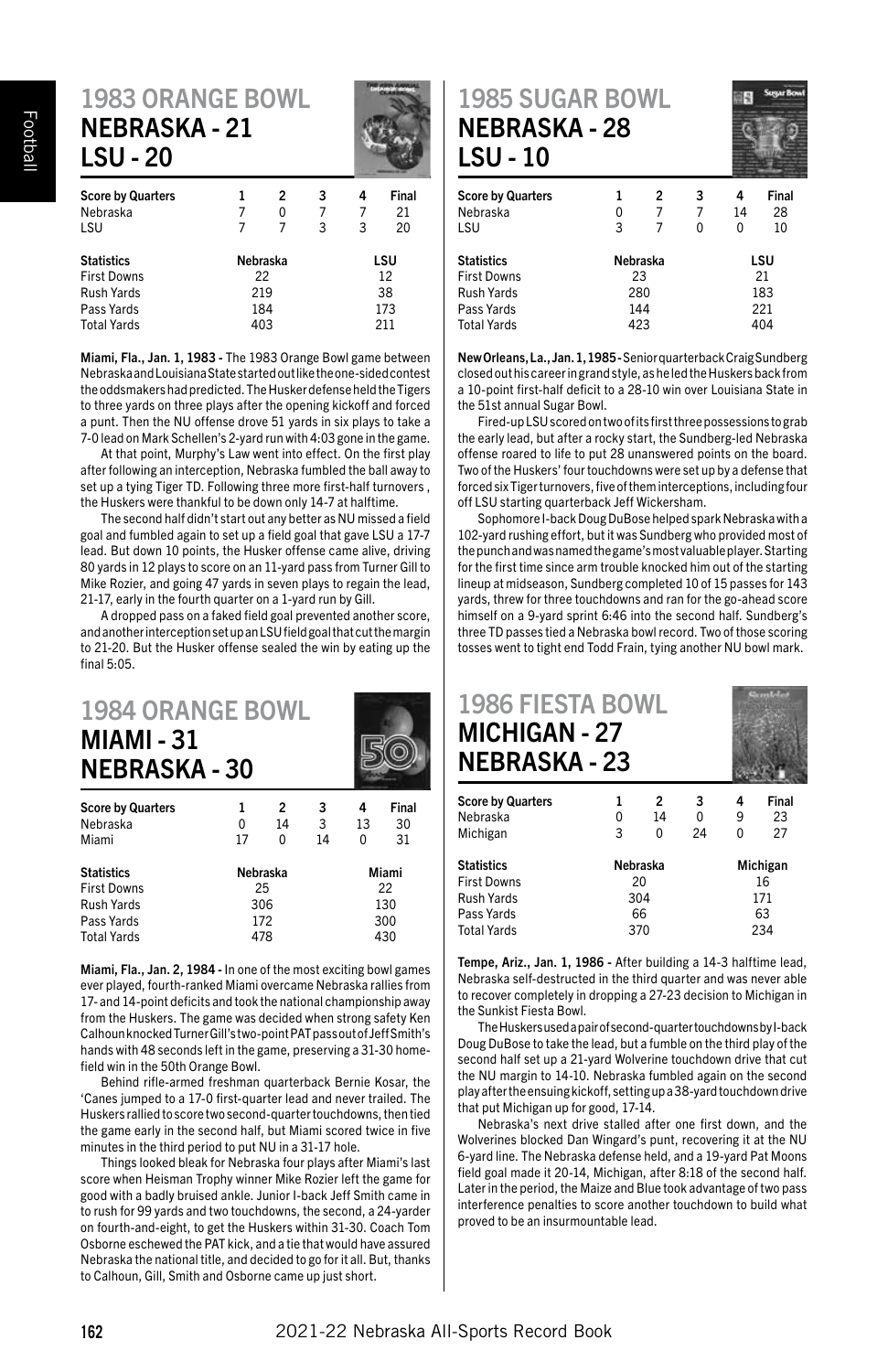### 1983 ORANGE BOWL NEBRASKA - 21 LSU - 20



| <b>Score by Quarters</b> |          | 2   | 3   | 4   | Final |  |
|--------------------------|----------|-----|-----|-----|-------|--|
| Nebraska                 |          | 0   |     |     | 21    |  |
| LSU                      |          |     | 3   | 3   | 20    |  |
| <b>Statistics</b>        | Nebraska |     |     | LSU |       |  |
| <b>First Downs</b>       | 22       |     |     | 12  |       |  |
| Rush Yards               |          | 219 |     | 38  |       |  |
| Pass Yards               | 184      |     | 173 |     |       |  |
| <b>Total Yards</b>       |          | 403 |     |     | 211   |  |
|                          |          |     |     |     |       |  |

Miami, Fla., Jan. 1, 1983 - The 1983 Orange Bowl game between Nebraska and Louisiana State started out like the one-sided contest the oddsmakers had predicted. The Husker defense held the Tigers to three yards on three plays after the opening kickoff and forced a punt. Then the NU offense drove 51 yards in six plays to take a 7-0 lead on Mark Schellen's 2-yard run with 4:03 gone in the game.

At that point, Murphy's Law went into effect. On the first play after following an interception, Nebraska fumbled the ball away to set up a tying Tiger TD. Following three more first-half turnovers , the Huskers were thankful to be down only 14-7 at halftime.

The second half didn't start out any better as NU missed a field goal and fumbled again to set up a field goal that gave LSU a 17-7 lead. But down 10 points, the Husker offense came alive, driving 80 yards in 12 plays to score on an 11-yard pass from Turner Gill to Mike Rozier, and going 47 yards in seven plays to regain the lead, 21-17, early in the fourth quarter on a 1-yard run by Gill.

A dropped pass on a faked field goal prevented another score, and another interception set up an LSU field goal that cut the margin to 21-20. But the Husker offense sealed the win by eating up the final 5:05.

| <b>1984 ORANGE BOWL</b><br><b>MIAMI - 31</b><br><b>NEBRASKA - 30</b> |  |  |       |
|----------------------------------------------------------------------|--|--|-------|
| <b>Score by Quarters</b>                                             |  |  | Final |

| Nebraska           |          | 14    | 3   | 13  | 30 |  |
|--------------------|----------|-------|-----|-----|----|--|
| Miami              | 17       | 0     | 14  | 0   | 31 |  |
| <b>Statistics</b>  | Nebraska | Miami |     |     |    |  |
| <b>First Downs</b> |          | 25    |     | 22  |    |  |
| <b>Rush Yards</b>  | 306      |       |     | 130 |    |  |
| Pass Yards         | 172      |       | 300 |     |    |  |
| <b>Total Yards</b> |          | 478   |     | 430 |    |  |

Miami, Fla., Jan. 2, 1984 - In one of the most exciting bowl games ever played, fourth-ranked Miami overcame Nebraska rallies from 17- and 14-point deficits and took the national championship away from the Huskers. The game was decided when strong safety Ken Calhoun knocked Turner Gill's two-point PAT pass out of Jeff Smith's hands with 48 seconds left in the game, preserving a 31-30 homefield win in the 50th Orange Bowl.

Behind rifle-armed freshman quarterback Bernie Kosar, the 'Canes jumped to a 17-0 first-quarter lead and never trailed. The Huskers rallied to score two second-quarter touchdowns, then tied the game early in the second half, but Miami scored twice in five minutes in the third period to put NU in a 31-17 hole.

Things looked bleak for Nebraska four plays after Miami's last score when Heisman Trophy winner Mike Rozier left the game for good with a badly bruised ankle. Junior I-back Jeff Smith came in to rush for 99 yards and two touchdowns, the second, a 24-yarder on fourth-and-eight, to get the Huskers within 31-30. Coach Tom Osborne eschewed the PAT kick, and a tie that would have assured Nebraska the national title, and decided to go for it all. But, thanks to Calhoun, Gill, Smith and Osborne came up just short.

1985 SUGAR BOWL NEBRASKA - 28 LSU - 10



| 1<br>0<br>3 | 2<br>7 | 3<br>7<br>0 | 4<br>14<br>0 | Final<br>28<br>10 |  |
|-------------|--------|-------------|--------------|-------------------|--|
| Nebraska    |        | LSU         |              |                   |  |
| 23          |        |             | 21           |                   |  |
| 280         |        |             | 183          |                   |  |
|             |        |             | 221          |                   |  |
|             |        |             |              | 404               |  |
|             |        | 144<br>423  |              |                   |  |

New Orleans, La., Jan. 1, 1985 - Senior quarterback Craig Sundberg closed out his career in grand style, as he led the Huskers back from a 10-point first-half deficit to a 28-10 win over Louisiana State in the 51st annual Sugar Bowl.

Fired-up LSU scored on two of its first three possessions to grab the early lead, but after a rocky start, the Sundberg-led Nebraska offense roared to life to put 28 unanswered points on the board. Two of the Huskers' four touchdowns were set up by a defense that forced six Tiger turnovers, five of them interceptions, including four off LSU starting quarterback Jeff Wickersham.

Sophomore I-back Doug DuBose helped spark Nebraska with a 102-yard rushing effort, but it was Sundberg who provided most of the punch and was named the game's most valuable player. Starting for the first time since arm trouble knocked him out of the starting lineup at midseason, Sundberg completed 10 of 15 passes for 143 yards, threw for three touchdowns and ran for the go-ahead score himself on a 9-yard sprint 6:46 into the second half. Sundberg's three TD passes tied a Nebraska bowl record. Two of those scoring tosses went to tight end Todd Frain, tying another NU bowl mark.

| <b>1986 FIESTA BOWL</b><br><b>MICHIGAN - 27</b><br><b>NEBRASKA - 23</b> |   |                |    |   |          |
|-------------------------------------------------------------------------|---|----------------|----|---|----------|
| <b>Score by Quarters</b>                                                | 1 | $\mathfrak{p}$ | 3  | 4 | Final    |
| Nebraska                                                                | 0 | 14             | 0  | 9 | 23       |
| Michigan                                                                | 3 | n              | 24 | 0 | 27       |
| <b>Ctatictics</b>                                                       |   | Nobracka       |    |   | Michigan |

| Statistics  | Nebraska | Michigan |  |  |
|-------------|----------|----------|--|--|
| First Downs | 20       | 16       |  |  |
| Rush Yards  | 304      | 171      |  |  |
| Pass Yards  | 66       | 63       |  |  |
| Total Yards | 370      | 234      |  |  |
|             |          |          |  |  |

Tempe, Ariz., Jan. 1, 1986 - After building a 14-3 halftime lead, Nebraska self-destructed in the third quarter and was never able to recover completely in dropping a 27-23 decision to Michigan in the Sunkist Fiesta Bowl.

The Huskers used a pair of second-quarter touchdowns by I-back Doug DuBose to take the lead, but a fumble on the third play of the second half set up a 21-yard Wolverine touchdown drive that cut the NU margin to 14-10. Nebraska fumbled again on the second play after the ensuing kickoff, setting up a 38-yard touchdown drive that put Michigan up for good, 17-14.

Nebraska's next drive stalled after one first down, and the Wolverines blocked Dan Wingard's punt, recovering it at the NU 6-yard line. The Nebraska defense held, and a 19-yard Pat Moons field goal made it 20-14, Michigan, after 8:18 of the second half. Later in the period, the Maize and Blue took advantage of two pass interference penalties to score another touchdown to build what proved to be an insurmountable lead.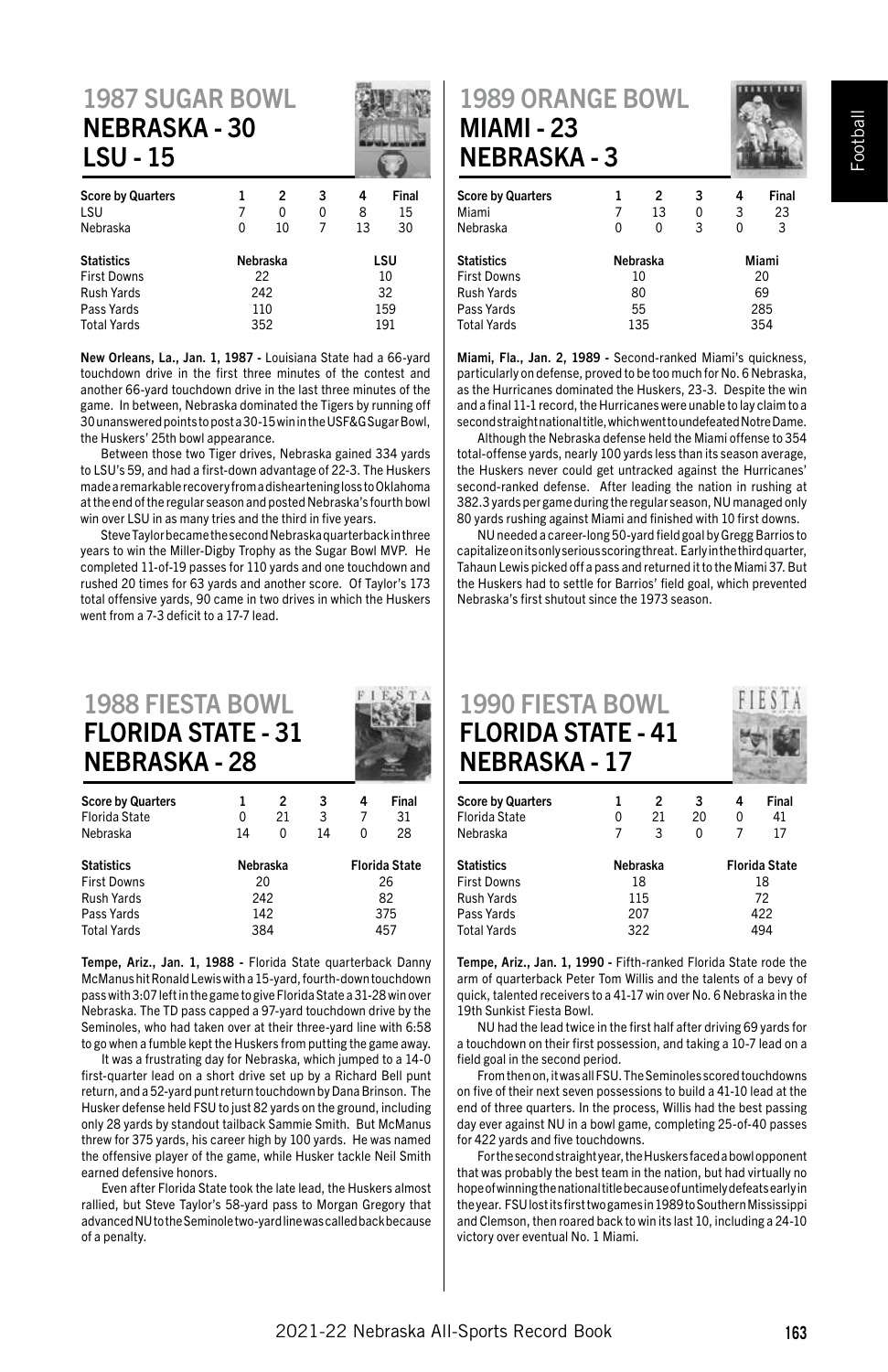# 1987 SUGAR BOWL NEBRASKA - 30 LSU - 15

| <b>Score by Quarters</b><br>LSU<br>Nebraska | 0        | 2<br>0<br>10 | 3<br>0 | 4<br>8<br>13 | Final<br>15<br>30 |  |
|---------------------------------------------|----------|--------------|--------|--------------|-------------------|--|
| <b>Statistics</b>                           | Nebraska |              |        | LSU          |                   |  |
| <b>First Downs</b>                          |          | 22           |        | 10           |                   |  |
| Rush Yards                                  | 242      |              |        | 32           |                   |  |
| Pass Yards                                  | 110      |              |        |              | 159               |  |
| <b>Total Yards</b>                          | 352      |              |        | 191          |                   |  |

New Orleans, La., Jan. 1, 1987 - Louisiana State had a 66-yard touchdown drive in the first three minutes of the contest and another 66-yard touchdown drive in the last three minutes of the game. In between, Nebraska dominated the Tigers by running off 30 unanswered points to post a 30-15 win in the USF&G Sugar Bowl, the Huskers' 25th bowl appearance.

Between those two Tiger drives, Nebraska gained 334 yards to LSU's 59, and had a first-down advantage of 22-3. The Huskers made a remarkable recovery from a disheartening loss to Oklahoma at the end of the regular season and posted Nebraska's fourth bowl win over LSU in as many tries and the third in five years.

Steve Taylor became the second Nebraska quarterback in three years to win the Miller-Digby Trophy as the Sugar Bowl MVP. He completed 11-of-19 passes for 110 yards and one touchdown and rushed 20 times for 63 yards and another score. Of Taylor's 173 total offensive yards, 90 came in two drives in which the Huskers went from a 7-3 deficit to a 17-7 lead.

#### 1988 FIESTA BOWL FLORIDA STATE - 31 NEBRASKA - 28

| <b>Score by Quarters</b> |          | 2  | 3   | 4                    | Final |  |
|--------------------------|----------|----|-----|----------------------|-------|--|
| Florida State            | 0        | 21 | 3   |                      | 31    |  |
| Nebraska                 | 14       | 0  | 14  |                      | 28    |  |
| <b>Statistics</b>        | Nebraska |    |     | <b>Florida State</b> |       |  |
| <b>First Downs</b>       |          | 20 |     | 26                   |       |  |
| <b>Rush Yards</b>        | 242      |    | 82  |                      |       |  |
| Pass Yards               | 142      |    | 375 |                      |       |  |
| <b>Total Yards</b>       | 384      |    | 457 |                      |       |  |

Tempe, Ariz., Jan. 1, 1988 - Florida State quarterback Danny McManus hit Ronald Lewis with a 15-yard, fourth-down touchdown pass with 3:07 left in the game to give Florida State a 31-28 win over Nebraska. The TD pass capped a 97-yard touchdown drive by the Seminoles, who had taken over at their three-yard line with 6:58 to go when a fumble kept the Huskers from putting the game away.

It was a frustrating day for Nebraska, which jumped to a 14-0 first-quarter lead on a short drive set up by a Richard Bell punt return, and a 52-yard punt return touchdown by Dana Brinson. The Husker defense held FSU to just 82 yards on the ground, including only 28 yards by standout tailback Sammie Smith. But McManus threw for 375 yards, his career high by 100 yards. He was named the offensive player of the game, while Husker tackle Neil Smith earned defensive honors.

Even after Florida State took the late lead, the Huskers almost rallied, but Steve Taylor's 58-yard pass to Morgan Gregory that advanced NU to the Seminole two-yard line was called back because of a penalty.

#### 1989 ORANGE BOWL MIAMI - 23 NEBRASKA - 3

| <b>Score by Quarters</b><br>Miami |          | 2<br>13 | 3<br>0 | 4<br>3 | Final<br>23 |  |
|-----------------------------------|----------|---------|--------|--------|-------------|--|
| Nebraska                          | 0        | 0       | 3      | 0      | 3           |  |
| <b>Statistics</b>                 | Nebraska |         |        |        | Miami       |  |
| <b>First Downs</b>                | 10       |         |        | 20     |             |  |
| <b>Rush Yards</b>                 | 80       |         |        | 69     |             |  |
| Pass Yards                        | 55       |         |        |        | 285         |  |
| <b>Total Yards</b>                |          | 135     |        |        | 354         |  |
|                                   |          |         |        |        |             |  |

Miami, Fla., Jan. 2, 1989 - Second-ranked Miami's quickness, particularly on defense, proved to be too much for No. 6 Nebraska, as the Hurricanes dominated the Huskers, 23-3. Despite the win and a final 11-1 record, the Hurricanes were unable to lay claim to a second straight national title, which went to undefeated Notre Dame.

Although the Nebraska defense held the Miami offense to 354 total-offense yards, nearly 100 yards less than its season average, the Huskers never could get untracked against the Hurricanes' second-ranked defense. After leading the nation in rushing at 382.3 yards per game during the regular season, NU managed only 80 yards rushing against Miami and finished with 10 first downs.

NU needed a career-long 50-yard field goal by Gregg Barrios to capitalize on its only serious scoring threat. Early in the third quarter, Tahaun Lewis picked off a pass and returned it to the Miami 37. But the Huskers had to settle for Barrios' field goal, which prevented Nebraska's first shutout since the 1973 season.



| <b>Score by Quarters</b> |          | 2   | 3                    |     | Final |  |
|--------------------------|----------|-----|----------------------|-----|-------|--|
| Florida State            | 0        | 21  | 20                   |     | 41    |  |
| Nebraska                 | 7        | 3   | 0                    |     | 17    |  |
| Statistics               | Nebraska |     | <b>Florida State</b> |     |       |  |
| <b>First Downs</b>       |          | 18  |                      | 18  |       |  |
| Rush Yards               | 115      |     | 72                   |     |       |  |
| Pass Yards               | 207      |     |                      | 422 |       |  |
| Total Yards              |          | 322 |                      | 494 |       |  |
|                          |          |     |                      |     |       |  |

Tempe, Ariz., Jan. 1, 1990 - Fifth-ranked Florida State rode the arm of quarterback Peter Tom Willis and the talents of a bevy of quick, talented receivers to a 41-17 win over No. 6 Nebraska in the 19th Sunkist Fiesta Bowl.

NU had the lead twice in the first half after driving 69 yards for a touchdown on their first possession, and taking a 10-7 lead on a field goal in the second period.

From then on, it was all FSU. The Seminoles scored touchdowns on five of their next seven possessions to build a 41-10 lead at the end of three quarters. In the process, Willis had the best passing day ever against NU in a bowl game, completing 25-of-40 passes for 422 yards and five touchdowns.

For the second straight year, the Huskers faced a bowl opponent that was probably the best team in the nation, but had virtually no hope of winning the national title because of untimely defeats early in the year. FSU lost its first two games in 1989 to Southern Mississippi and Clemson, then roared back to win its last 10, including a 24-10 victory over eventual No. 1 Miami.

Football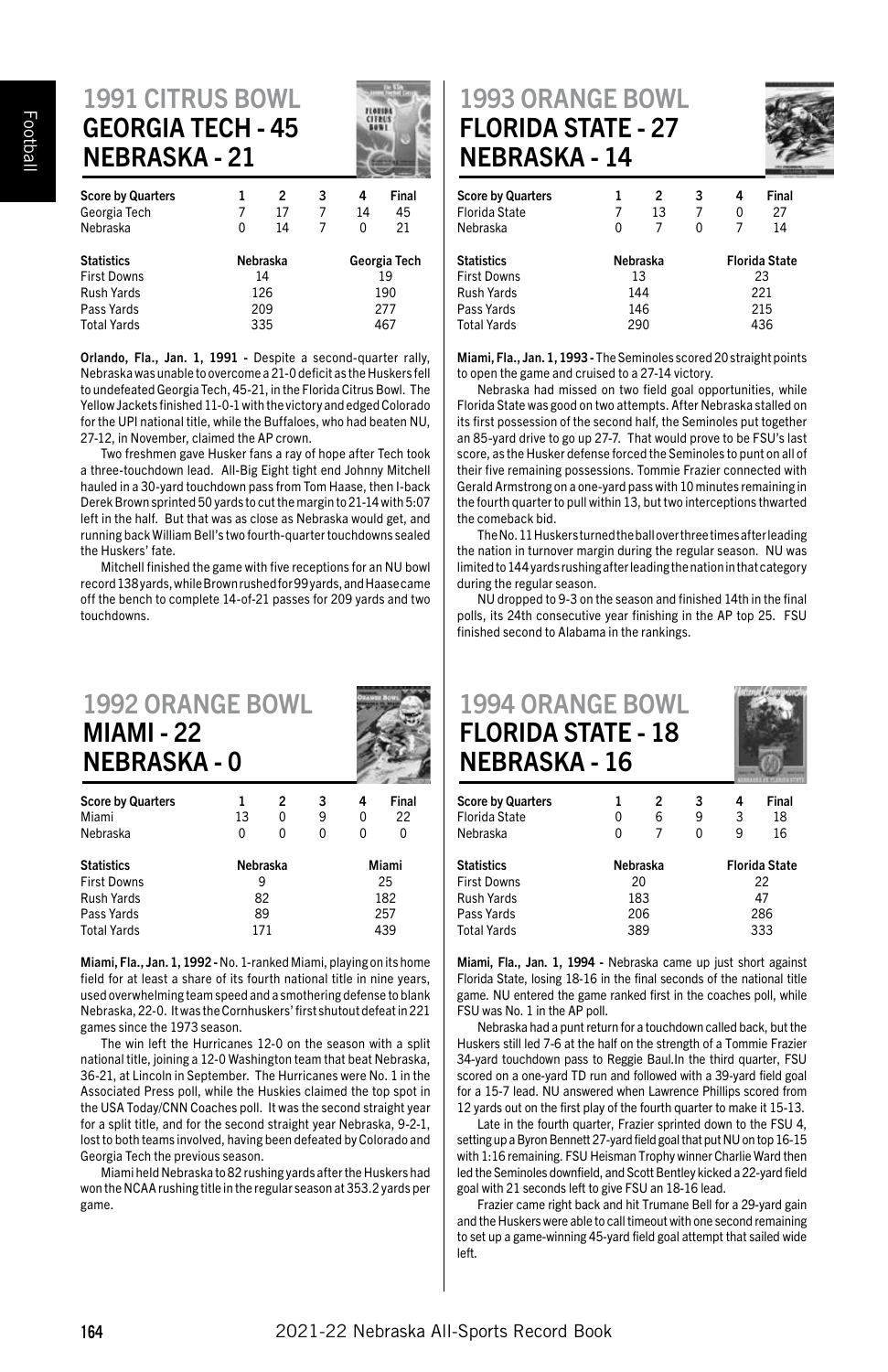#### 1991 CITRUS BOWL GEORGIA TECH - 45 NEBRASKA - 21

| 1<br>7   | 2<br>17 | 3<br>7   | 4<br>14      | Final<br>45 |  |
|----------|---------|----------|--------------|-------------|--|
|          |         |          |              | 21          |  |
| Nebraska |         |          | Georgia Tech |             |  |
|          |         |          | 19           |             |  |
| 126      |         |          | 190          |             |  |
| 209      |         |          | 277          |             |  |
| 335      |         |          | 467          |             |  |
|          | 0       | 14<br>14 | 7            | 0           |  |

Orlando, Fla., Jan. 1, 1991 - Despite a second-quarter rally, Nebraska was unable to overcome a 21-0 deficit as the Huskers fell to undefeated Georgia Tech, 45-21, in the Florida Citrus Bowl. The Yellow Jackets finished 11-0-1 with the victory and edged Colorado for the UPI national title, while the Buffaloes, who had beaten NU, 27-12, in November, claimed the AP crown.

Two freshmen gave Husker fans a ray of hope after Tech took a three-touchdown lead. All-Big Eight tight end Johnny Mitchell hauled in a 30-yard touchdown pass from Tom Haase, then I-back Derek Brown sprinted 50 yards to cut the margin to 21-14 with 5:07 left in the half. But that was as close as Nebraska would get, and running back William Bell's two fourth-quarter touchdowns sealed the Huskers' fate.

Mitchell finished the game with five receptions for an NU bowl record 138 yards, while Brown rushed for 99 yards, and Haase came off the bench to complete 14-of-21 passes for 209 yards and two touchdowns.

| <b>1992 ORANGE BOWL</b><br><b>MIAMI - 22</b><br><b>NEBRASKA-0</b> |          |                |          |       |       |  |
|-------------------------------------------------------------------|----------|----------------|----------|-------|-------|--|
| <b>Score by Quarters</b>                                          | 1        | $\overline{2}$ | 3        | 4     | Final |  |
| Miami                                                             | 13       | 0              | 9        | O     | 22    |  |
| Nebraska                                                          | 0        |                | $\Omega$ | 0     | O     |  |
| <b>Statistics</b>                                                 | Nebraska |                |          | Miami |       |  |
| <b>First Downs</b>                                                | 9        |                |          | 25    |       |  |
| <b>Rush Yards</b>                                                 | 82       |                |          | 182   |       |  |
| Pass Yards                                                        | 89       |                |          | 257   |       |  |

Miami, Fla., Jan. 1, 1992 - No. 1-ranked Miami, playing on its home field for at least a share of its fourth national title in nine years, used overwhelming team speed and a smothering defense to blank Nebraska, 22-0. It was the Cornhuskers' first shutout defeat in 221 games since the 1973 season.

Pass Yards 89 257<br>Total Vards 171 171 1720

Total Yards 171

The win left the Hurricanes 12-0 on the season with a split national title, joining a 12-0 Washington team that beat Nebraska, 36-21, at Lincoln in September. The Hurricanes were No. 1 in the Associated Press poll, while the Huskies claimed the top spot in the USA Today/CNN Coaches poll. It was the second straight year for a split title, and for the second straight year Nebraska, 9-2-1, lost to both teams involved, having been defeated by Colorado and Georgia Tech the previous season.

Miami held Nebraska to 82 rushing yards after the Huskers had won the NCAA rushing title in the regular season at 353.2 yards per game.

#### 1993 ORANGE BOWL FLORIDA STATE - 27 NEBRASKA - 14



| <b>Score by Quarters</b><br>Florida State<br>Nebraska | 1<br>7<br>0 | 2<br>13<br>7 | 3<br>7<br>ŋ | 4<br>0<br>7          | Final<br>27<br>14 |  |
|-------------------------------------------------------|-------------|--------------|-------------|----------------------|-------------------|--|
| <b>Statistics</b>                                     | Nebraska    |              |             | <b>Florida State</b> |                   |  |
| <b>First Downs</b>                                    |             | 13           |             | 23                   |                   |  |
| Rush Yards                                            | 144         |              |             | 221                  |                   |  |
| Pass Yards                                            | 146         |              |             | 215                  |                   |  |
| <b>Total Yards</b>                                    | 290         |              |             | 436                  |                   |  |

Miami, Fla., Jan. 1, 1993 - The Seminoles scored 20 straight points to open the game and cruised to a 27-14 victory.

Nebraska had missed on two field goal opportunities, while Florida State was good on two attempts. After Nebraska stalled on its first possession of the second half, the Seminoles put together an 85-yard drive to go up 27-7. That would prove to be FSU's last score, as the Husker defense forced the Seminoles to punt on all of their five remaining possessions. Tommie Frazier connected with Gerald Armstrong on a one-yard pass with 10 minutes remaining in the fourth quarter to pull within 13, but two interceptions thwarted the comeback bid.

The No. 11 Huskers turned the ball over three times after leading the nation in turnover margin during the regular season. NU was limited to 144 yards rushing after leading the nation in that category during the regular season.

NU dropped to 9-3 on the season and finished 14th in the final polls, its 24th consecutive year finishing in the AP top 25. FSU finished second to Alabama in the rankings.



| <b>Score by Quarters</b> |          | 2 | 3 |                      | Final |
|--------------------------|----------|---|---|----------------------|-------|
| Florida State            | 0        | 6 | 9 | 3                    | 18    |
| Nebraska                 | 0        |   | 0 | 9                    | 16    |
| Statistics               | Nebraska |   |   | <b>Florida State</b> |       |
| First Downs              | 20       |   |   | 22                   |       |
| Rush Yards               | 183      |   |   | 47                   |       |
| Pass Yards               | 206      |   |   | 286                  |       |
| Total Yards              | 389      |   |   | 333                  |       |
|                          |          |   |   |                      |       |

Miami, Fla., Jan. 1, 1994 - Nebraska came up just short against Florida State, losing 18-16 in the final seconds of the national title game. NU entered the game ranked first in the coaches poll, while FSU was No. 1 in the AP poll.

Nebraska had a punt return for a touchdown called back, but the Huskers still led 7-6 at the half on the strength of a Tommie Frazier 34-yard touchdown pass to Reggie Baul.In the third quarter, FSU scored on a one-yard TD run and followed with a 39-yard field goal for a 15-7 lead. NU answered when Lawrence Phillips scored from 12 yards out on the first play of the fourth quarter to make it 15-13.

Late in the fourth quarter, Frazier sprinted down to the FSU 4, setting up a Byron Bennett 27-yard field goal that put NU on top 16-15 with 1:16 remaining. FSU Heisman Trophy winner Charlie Ward then led the Seminoles downfield, and Scott Bentley kicked a 22-yard field goal with 21 seconds left to give FSU an 18-16 lead.

Frazier came right back and hit Trumane Bell for a 29-yard gain and the Huskers were able to call timeout with one second remaining to set up a game-winning 45-yard field goal attempt that sailed wide left.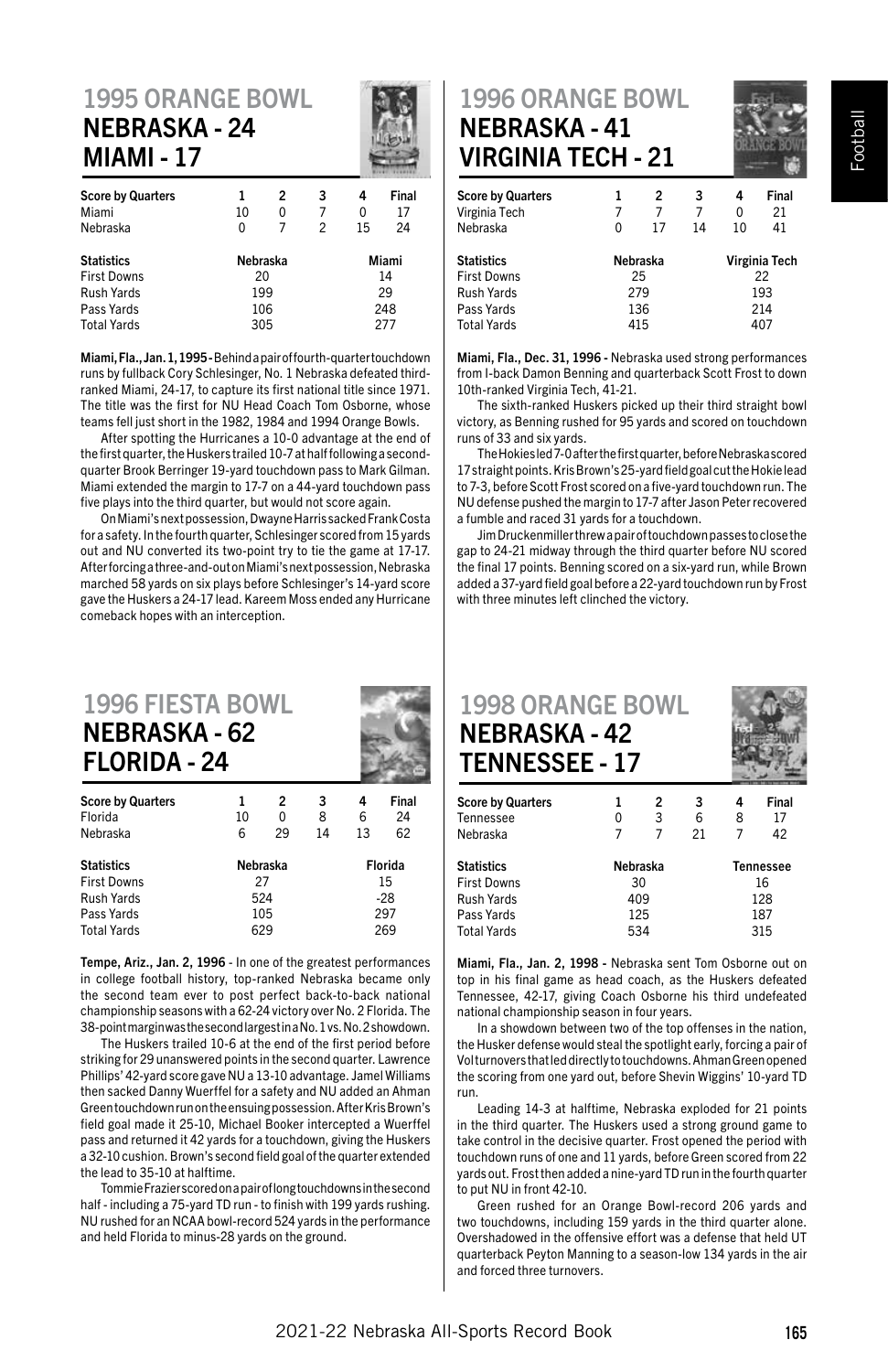#### 1995 ORANGE BOWL NEBRASKA - 24 MIAMI - 17

| <b>Score by Quarters</b> |          | 2 | 3              | 4     | Final |  |
|--------------------------|----------|---|----------------|-------|-------|--|
| Miami                    | 10       | 0 |                | 0     | 17    |  |
| Nebraska                 | 0        |   | $\overline{c}$ | 15    | 24    |  |
| <b>Statistics</b>        | Nebraska |   |                | Miami |       |  |
| <b>First Downs</b>       | 20       |   |                | 14    |       |  |
| Rush Yards               | 199      |   |                | 29    |       |  |
| Pass Yards               | 106      |   |                | 248   |       |  |
| <b>Total Yards</b>       | 305      |   |                | 277   |       |  |

Miami, Fla., Jan. 1, 1995 - Behind a pair of fourth-quarter touchdown runs by fullback Cory Schlesinger, No. 1 Nebraska defeated thirdranked Miami, 24-17, to capture its first national title since 1971. The title was the first for NU Head Coach Tom Osborne, whose teams fell just short in the 1982, 1984 and 1994 Orange Bowls.

After spotting the Hurricanes a 10-0 advantage at the end of the first quarter, the Huskers trailed 10-7 at half following a secondquarter Brook Berringer 19-yard touchdown pass to Mark Gilman. Miami extended the margin to 17-7 on a 44-yard touchdown pass five plays into the third quarter, but would not score again.

On Miami's next possession, Dwayne Harris sacked Frank Costa for a safety. In the fourth quarter, Schlesinger scored from 15 yards out and NU converted its two-point try to tie the game at 17-17. After forcing a three-and-out on Miami's next possession, Nebraska marched 58 yards on six plays before Schlesinger's 14-yard score gave the Huskers a 24-17 lead. Kareem Moss ended any Hurricane comeback hopes with an interception.

| <b>1996 FIESTA BOWL</b><br><b>NEBRASKA - 62</b><br><b>FLORIDA - 24</b> |     |          |    |         |       |  |
|------------------------------------------------------------------------|-----|----------|----|---------|-------|--|
| <b>Score by Quarters</b>                                               | 1   | 2        | 3  | 4       | Final |  |
| Florida                                                                | 10  | 0        | 8  | 6       | 24    |  |
| Nebraska                                                               | 6   | 29       | 14 | 13      | 62    |  |
| <b>Statistics</b>                                                      |     | Nebraska |    | Florida |       |  |
| <b>First Downs</b>                                                     |     | 27       |    | 15      |       |  |
| <b>Rush Yards</b>                                                      | 524 |          |    | $-28$   |       |  |
| Pass Yards                                                             | 105 |          |    | 297     |       |  |
| <b>Total Yards</b>                                                     |     | 629      |    | 269     |       |  |

Tempe, Ariz., Jan. 2, 1996 - In one of the greatest performances in college football history, top-ranked Nebraska became only the second team ever to post perfect back-to-back national championship seasons with a 62-24 victory over No. 2 Florida. The 38-point margin was the second largest in a No. 1 vs. No. 2 showdown.

The Huskers trailed 10-6 at the end of the first period before striking for 29 unanswered points in the second quarter. Lawrence Phillips' 42-yard score gave NU a 13-10 advantage. Jamel Williams then sacked Danny Wuerffel for a safety and NU added an Ahman Green touchdown run on the ensuing possession. After Kris Brown's field goal made it 25-10, Michael Booker intercepted a Wuerffel pass and returned it 42 yards for a touchdown, giving the Huskers a 32-10 cushion. Brown's second field goal of the quarter extended the lead to 35-10 at halftime.

Tommie Frazier scored on a pair of long touchdowns in the second half - including a 75-yard TD run - to finish with 199 yards rushing. NU rushed for an NCAA bowl-record 524 yards in the performance and held Florida to minus-28 yards on the ground.

#### 1996 ORANGE BOWL NEBRASKA - 41 VIRGINIA TECH - 21



| <b>Score by Quarters</b> |          | 2   | 3  | 4             | Final |
|--------------------------|----------|-----|----|---------------|-------|
| Virginia Tech            |          | 7   |    | 0             | 21    |
| Nebraska                 | 0        | 17  | 14 | 10            | 41    |
| <b>Statistics</b>        | Nebraska |     |    | Virginia Tech |       |
| <b>First Downs</b>       |          | 25  |    | 22            |       |
| <b>Rush Yards</b>        | 279      |     |    | 193           |       |
| Pass Yards               |          | 136 |    | 214           |       |
| <b>Total Yards</b>       |          | 415 |    | 407           |       |

Miami, Fla., Dec. 31, 1996 - Nebraska used strong performances from I-back Damon Benning and quarterback Scott Frost to down 10th-ranked Virginia Tech, 41-21.

The sixth-ranked Huskers picked up their third straight bowl victory, as Benning rushed for 95 yards and scored on touchdown runs of 33 and six yards.

The Hokies led 7-0 after the first quarter, before Nebraska scored 17 straight points. Kris Brown's 25-yard field goal cut the Hokie lead to 7-3, before Scott Frost scored on a five-yard touchdown run. The NU defense pushed the margin to 17-7 after Jason Peter recovered a fumble and raced 31 yards for a touchdown.

Jim Druckenmiller threw a pair of touchdown passes to close the gap to 24-21 midway through the third quarter before NU scored the final 17 points. Benning scored on a six-yard run, while Brown added a 37-yard field goal before a 22-yard touchdown run by Frost with three minutes left clinched the victory.



| ivebidska   |          | $\sim$ | 47               |
|-------------|----------|--------|------------------|
| Statistics  | Nebraska |        | <b>Tennessee</b> |
| First Downs | 30       |        | 16               |
| Rush Yards  | 409      |        | 128              |
| Pass Yards  | 125      |        | 187              |
| Total Yards | 534      |        | 315              |
|             |          |        |                  |

Miami, Fla., Jan. 2, 1998 - Nebraska sent Tom Osborne out on top in his final game as head coach, as the Huskers defeated Tennessee, 42-17, giving Coach Osborne his third undefeated national championship season in four years.

In a showdown between two of the top offenses in the nation, the Husker defense would steal the spotlight early, forcing a pair of Vol turnovers that led directly to touchdowns. Ahman Green opened the scoring from one yard out, before Shevin Wiggins' 10-yard TD run.

Leading 14-3 at halftime, Nebraska exploded for 21 points in the third quarter. The Huskers used a strong ground game to take control in the decisive quarter. Frost opened the period with touchdown runs of one and 11 yards, before Green scored from 22 yards out. Frost then added a nine-yard TD run in the fourth quarter to put NU in front 42-10.

Green rushed for an Orange Bowl-record 206 yards and two touchdowns, including 159 yards in the third quarter alone. Overshadowed in the offensive effort was a defense that held UT quarterback Peyton Manning to a season-low 134 yards in the air and forced three turnovers.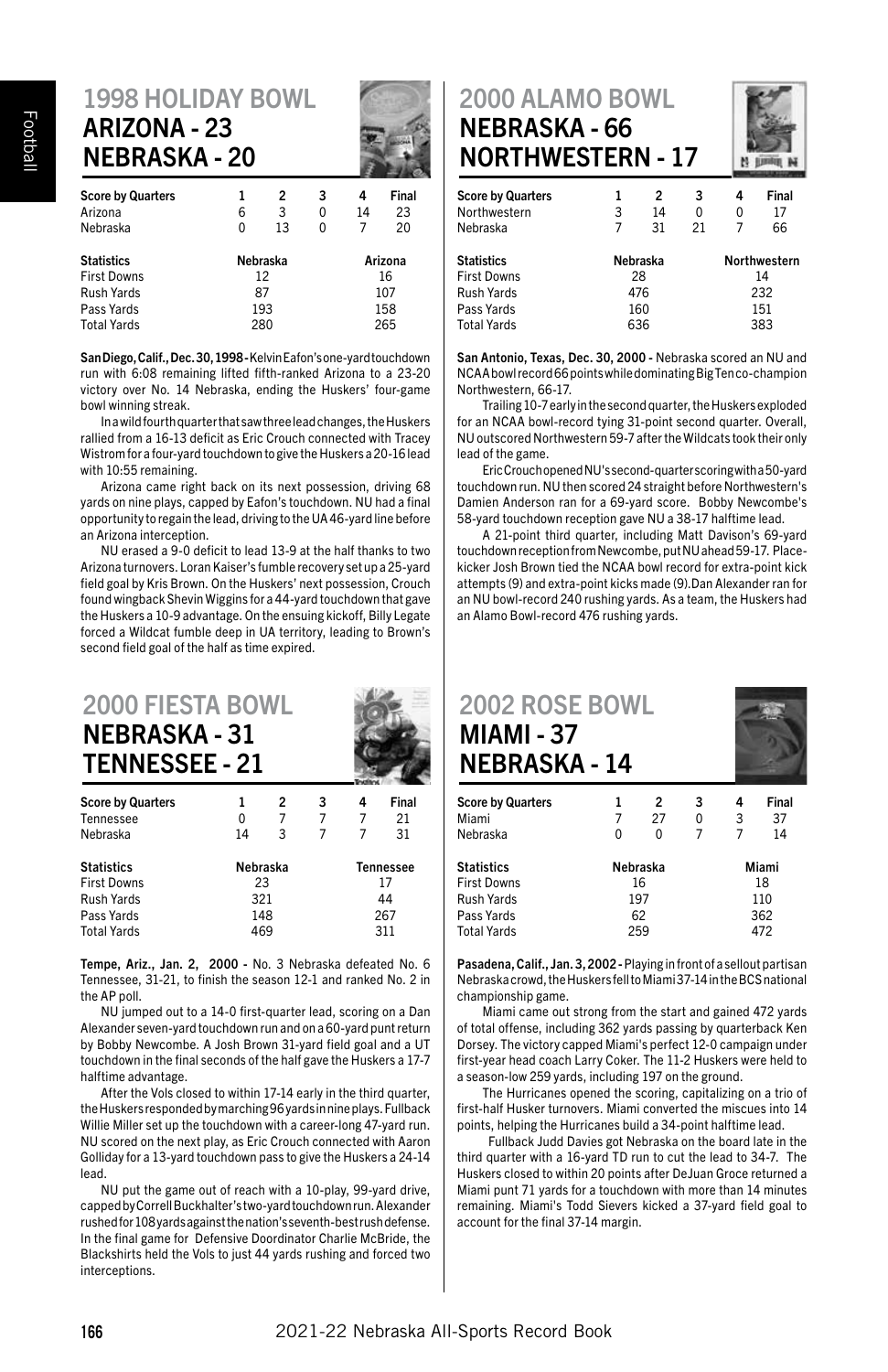#### 1998 HOLIDAY BOWL ARIZONA - 23 NEBRASKA - 20

| <b>Score by Quarters</b><br>Arizona<br>Nebraska | 6<br>0   | 2<br>3<br>13 | 3<br>0<br>0 | 4<br>14<br>7 | Final<br>23<br>20 |  |
|-------------------------------------------------|----------|--------------|-------------|--------------|-------------------|--|
| <b>Statistics</b>                               | Nebraska |              | Arizona     |              |                   |  |
| First Downs<br>Rush Yards                       | 12<br>87 |              |             | 16<br>107    |                   |  |
| Pass Yards                                      | 193      |              |             | 158          |                   |  |
| Total Yards                                     |          | 280          |             | 265          |                   |  |

San Diego, Calif., Dec. 30, 1998 - Kelvin Eafon's one-yard touchdown run with 6:08 remaining lifted fifth-ranked Arizona to a 23-20 victory over No. 14 Nebraska, ending the Huskers' four-game bowl winning streak.

In a wild fourth quarter that saw three lead changes, the Huskers rallied from a 16-13 deficit as Eric Crouch connected with Tracey Wistrom for a four-yard touchdown to give the Huskers a 20-16 lead with 10:55 remaining.

Arizona came right back on its next possession, driving 68 yards on nine plays, capped by Eafon's touchdown. NU had a final opportunity to regain the lead, driving to the UA 46-yard line before an Arizona interception.

NU erased a 9-0 deficit to lead 13-9 at the half thanks to two Arizona turnovers. Loran Kaiser's fumble recovery set up a 25-yard field goal by Kris Brown. On the Huskers' next possession, Crouch found wingback Shevin Wiggins for a 44-yard touchdown that gave the Huskers a 10-9 advantage. On the ensuing kickoff, Billy Legate forced a Wildcat fumble deep in UA territory, leading to Brown's second field goal of the half as time expired.

| <b>2000 FIESTA BOWL</b><br><b>NEBRASKA - 31</b><br><b>TENNESSEE - 21</b> |    |          |   |   |           |
|--------------------------------------------------------------------------|----|----------|---|---|-----------|
| <b>Score by Quarters</b>                                                 |    | 2        | 3 | 4 | Final     |
| Tennessee                                                                | 0  |          |   |   | 21        |
| Nebraska                                                                 | 14 | 3        |   |   | 31        |
| Statistics                                                               |    | Nebraska |   |   | Tennessee |

| .                  | .   | .   |
|--------------------|-----|-----|
| <b>First Downs</b> | 23  | 17  |
| Rush Yards         | 321 | 44  |
| Pass Yards         | 148 | 267 |
| <b>Total Yards</b> | 469 | 311 |
|                    |     |     |

Tempe, Ariz., Jan. 2, 2000 - No. 3 Nebraska defeated No. 6 Tennessee, 31-21, to finish the season 12-1 and ranked No. 2 in the AP poll.

NU jumped out to a 14-0 first-quarter lead, scoring on a Dan Alexander seven-yard touchdown run and on a 60-yard punt return by Bobby Newcombe. A Josh Brown 31-yard field goal and a UT touchdown in the final seconds of the half gave the Huskers a 17-7 halftime advantage.

After the Vols closed to within 17-14 early in the third quarter, the Huskers responded by marching 96 yards in nine plays. Fullback Willie Miller set up the touchdown with a career-long 47-yard run. NU scored on the next play, as Eric Crouch connected with Aaron Golliday for a 13-yard touchdown pass to give the Huskers a 24-14 lead.

NU put the game out of reach with a 10-play, 99-yard drive, capped by Correll Buckhalter's two-yard touchdown run. Alexander rushed for 108 yards against the nation's seventh-best rush defense. In the final game for Defensive Doordinator Charlie McBride, the Blackshirts held the Vols to just 44 yards rushing and forced two interceptions.

#### 2000 ALAMO BOWL NEBRASKA - 66 NORTHWESTERN - 17



| <b>Score by Quarters</b><br>Northwestern | 1<br>3   | 2<br>14 | 3<br>0 | 4<br>0              | Final<br>17 |
|------------------------------------------|----------|---------|--------|---------------------|-------------|
| Nebraska                                 | 7        | 31      | 21     | 7                   | 66          |
| <b>Statistics</b>                        | Nebraska |         |        | <b>Northwestern</b> |             |
| <b>First Downs</b>                       |          | 28      |        | 14                  |             |
| Rush Yards                               | 476      |         |        | 232                 |             |
| Pass Yards                               | 160      |         |        | 151                 |             |
| <b>Total Yards</b>                       | 636      |         |        | 383                 |             |
|                                          |          |         |        |                     |             |

San Antonio, Texas, Dec. 30, 2000 - Nebraska scored an NU and NCAA bowl record 66 points while dominating Big Ten co-champion Northwestern, 66-17.

Trailing 10-7 early in the second quarter, the Huskers exploded for an NCAA bowl-record tying 31-point second quarter. Overall, NU outscored Northwestern 59-7 after the Wildcats took their only lead of the game.

Eric Crouch opened NU's second-quarter scoring with a 50-yard touchdown run. NU then scored 24 straight before Northwestern's Damien Anderson ran for a 69-yard score. Bobby Newcombe's 58-yard touchdown reception gave NU a 38-17 halftime lead.

A 21-point third quarter, including Matt Davison's 69-yard touchdown reception from Newcombe, put NU ahead 59-17. Placekicker Josh Brown tied the NCAA bowl record for extra-point kick attempts (9) and extra-point kicks made (9).Dan Alexander ran for an NU bowl-record 240 rushing yards. As a team, the Huskers had an Alamo Bowl-record 476 rushing yards.

| <b>2002 ROSE BOWL</b><br><b>MIAMI - 37</b><br><b>NEBRASKA - 14</b> |   |                      |        |        |             |
|--------------------------------------------------------------------|---|----------------------|--------|--------|-------------|
| <b>Score by Quarters</b><br>Miami                                  |   | $\overline{2}$<br>27 | 3<br>0 | 4<br>3 | Final<br>37 |
| Nebraska                                                           | n |                      |        | 7      | 14          |

| Nebraska | Miami |  |  |
|----------|-------|--|--|
| 16       | 18    |  |  |
| 197      | 110   |  |  |
| 62       | 362   |  |  |
| 259      | 472   |  |  |
|          |       |  |  |

Pasadena, Calif., Jan. 3, 2002 - Playing in front of a sellout partisan Nebraska crowd, the Huskers fell to Miami 37-14 in the BCS national championship game.

Miami came out strong from the start and gained 472 yards of total offense, including 362 yards passing by quarterback Ken Dorsey. The victory capped Miami's perfect 12-0 campaign under first-year head coach Larry Coker. The 11-2 Huskers were held to a season-low 259 yards, including 197 on the ground.

The Hurricanes opened the scoring, capitalizing on a trio of first-half Husker turnovers. Miami converted the miscues into 14 points, helping the Hurricanes build a 34-point halftime lead.

 Fullback Judd Davies got Nebraska on the board late in the third quarter with a 16-yard TD run to cut the lead to 34-7. The Huskers closed to within 20 points after DeJuan Groce returned a Miami punt 71 yards for a touchdown with more than 14 minutes remaining. Miami's Todd Sievers kicked a 37-yard field goal to account for the final 37-14 margin.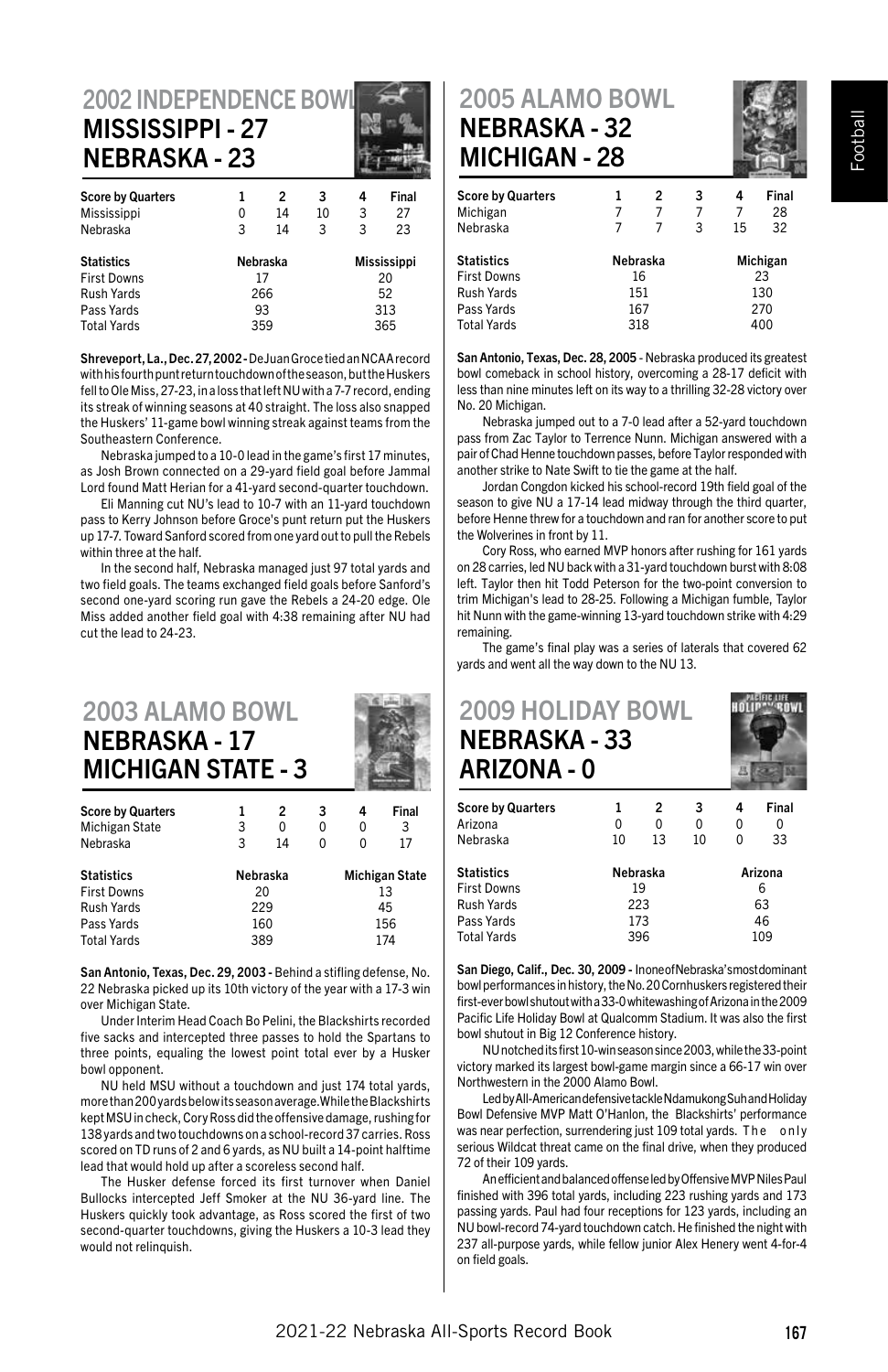#### 2002 INDEPENDENCE BOW MISSISSIPPI - 27 NEBRASKA - 23

| <b>Score by Quarters</b> |          | 2  | 3  | 4                  | Final |  |
|--------------------------|----------|----|----|--------------------|-------|--|
| Mississippi              | 0        | 14 | 10 | 3                  | 27    |  |
| Nebraska                 | 3        | 14 | 3  | 3                  | 23    |  |
| <b>Statistics</b>        | Nebraska |    |    | <b>Mississippi</b> |       |  |
| <b>First Downs</b>       |          | 17 |    | 20                 |       |  |
| Rush Yards               | 266      |    | 52 |                    |       |  |
| Pass Yards               | 93       |    |    |                    | 313   |  |
| <b>Total Yards</b>       | 359      |    |    | 365                |       |  |

Shreveport, La., Dec. 27, 2002 - DeJuan Groce tied an NCAA record with his fourth punt return touchdown of the season, but the Huskers fell to Ole Miss, 27-23, in a loss that left NU with a 7-7 record, ending its streak of winning seasons at 40 straight. The loss also snapped the Huskers' 11-game bowl winning streak against teams from the Southeastern Conference.

Nebraska jumped to a 10-0 lead in the game's first 17 minutes, as Josh Brown connected on a 29-yard field goal before Jammal Lord found Matt Herian for a 41-yard second-quarter touchdown.

Eli Manning cut NU's lead to 10-7 with an 11-yard touchdown pass to Kerry Johnson before Groce's punt return put the Huskers up 17-7. Toward Sanford scored from one yard out to pull the Rebels within three at the half.

In the second half, Nebraska managed just 97 total yards and two field goals. The teams exchanged field goals before Sanford's second one-yard scoring run gave the Rebels a 24-20 edge. Ole Miss added another field goal with 4:38 remaining after NU had cut the lead to 24-23.

#### 2003 ALAMO BOWL NEBRASKA - 17 MICHIGAN STATE - 3

| <b>Score by Quarters</b> | 1        | 2  | 3 | 4                     | Final |  |
|--------------------------|----------|----|---|-----------------------|-------|--|
| Michigan State           | 3        | 0  | 0 | 0                     | 3     |  |
| Nebraska                 | 3        | 14 | 0 | 0                     | 17    |  |
| <b>Statistics</b>        | Nebraska |    |   | <b>Michigan State</b> |       |  |
| <b>First Downs</b>       |          | 20 |   | 13                    |       |  |
| Rush Yards               | 229      |    |   | 45                    |       |  |
| Pass Yards               | 160      |    |   | 156                   |       |  |
| <b>Total Vards</b>       | 389      |    |   | 174                   |       |  |

San Antonio, Texas, Dec. 29, 2003 - Behind a stifling defense, No. 22 Nebraska picked up its 10th victory of the year with a 17-3 win over Michigan State.

Under Interim Head Coach Bo Pelini, the Blackshirts recorded five sacks and intercepted three passes to hold the Spartans to three points, equaling the lowest point total ever by a Husker bowl opponent.

NU held MSU without a touchdown and just 174 total yards, more than 200 yards below its season average.While the Blackshirts kept MSU in check, Cory Ross did the offensive damage, rushing for 138 yards and two touchdowns on a school-record 37 carries. Ross scored on TD runs of 2 and 6 yards, as NU built a 14-point halftime lead that would hold up after a scoreless second half.

The Husker defense forced its first turnover when Daniel Bullocks intercepted Jeff Smoker at the NU 36-yard line. The Huskers quickly took advantage, as Ross scored the first of two second-quarter touchdowns, giving the Huskers a 10-3 lead they would not relinquish.

#### 2005 ALAMO BOWL NEBRASKA - 32 MICHIGAN - 28



|          | 2 | 3  | 4   | Final    |  |
|----------|---|----|-----|----------|--|
|          | 7 | 7  | 7   | 28       |  |
|          | 7 | 3  | 15  | 32       |  |
| Nebraska |   |    |     | Michigan |  |
|          |   |    | 23  |          |  |
| 151      |   |    | 130 |          |  |
| 167      |   |    | 270 |          |  |
| 318      |   |    | 400 |          |  |
|          |   | 16 |     |          |  |

San Antonio, Texas, Dec. 28, 2005 - Nebraska produced its greatest bowl comeback in school history, overcoming a 28-17 deficit with less than nine minutes left on its way to a thrilling 32-28 victory over No. 20 Michigan.

Nebraska jumped out to a 7-0 lead after a 52-yard touchdown pass from Zac Taylor to Terrence Nunn. Michigan answered with a pair of Chad Henne touchdown passes, before Taylor responded with another strike to Nate Swift to tie the game at the half.

Jordan Congdon kicked his school-record 19th field goal of the season to give NU a 17-14 lead midway through the third quarter, before Henne threw for a touchdown and ran for another score to put the Wolverines in front by 11.

Cory Ross, who earned MVP honors after rushing for 161 yards on 28 carries, led NU back with a 31-yard touchdown burst with 8:08 left. Taylor then hit Todd Peterson for the two-point conversion to trim Michigan's lead to 28-25. Following a Michigan fumble, Taylor hit Nunn with the game-winning 13-yard touchdown strike with 4:29 remaining.

The game's final play was a series of laterals that covered 62 yards and went all the way down to the NU 13.

# 2009 HOLIDAY BOWL NEBRASKA - 33 ARIZONA - 0

| <b>Score by Quarters</b> |          | 2  | 3  | 4       | Final |  |
|--------------------------|----------|----|----|---------|-------|--|
| Arizona                  | 0        | 0  | 0  | 0       | 0     |  |
| Nebraska                 | 10       | 13 | 10 | o       | 33    |  |
| <b>Statistics</b>        | Nebraska |    |    | Arizona |       |  |
| <b>First Downs</b>       |          | 19 |    | 6       |       |  |
| Rush Yards               | 223      |    |    | 63      |       |  |
| Pass Yards               | 173      |    |    | 46      |       |  |
| <b>Total Yards</b>       | 396      |    |    | 109     |       |  |

San Diego, Calif., Dec. 30, 2009 - Inone of Nebraska's most dominant bowl performances in history, the No. 20 Cornhuskers registered their first-ever bowl shutout with a 33-0 whitewashing of Arizona in the 2009 Pacific Life Holiday Bowl at Qualcomm Stadium. It was also the first bowl shutout in Big 12 Conference history.

NU notched its first 10-win season since 2003, while the 33-point victory marked its largest bowl-game margin since a 66-17 win over Northwestern in the 2000 Alamo Bowl.

Led by All-American defensive tackle Ndamukong Suh and Holiday Bowl Defensive MVP Matt O'Hanlon, the Blackshirts' performance was near perfection, surrendering just 109 total yards. The only serious Wildcat threat came on the final drive, when they produced 72 of their 109 yards.

An efficient and balanced offense led by Offensive MVP Niles Paul finished with 396 total yards, including 223 rushing yards and 173 passing yards. Paul had four receptions for 123 yards, including an NU bowl-record 74-yard touchdown catch. He finished the night with 237 all-purpose yards, while fellow junior Alex Henery went 4-for-4 on field goals.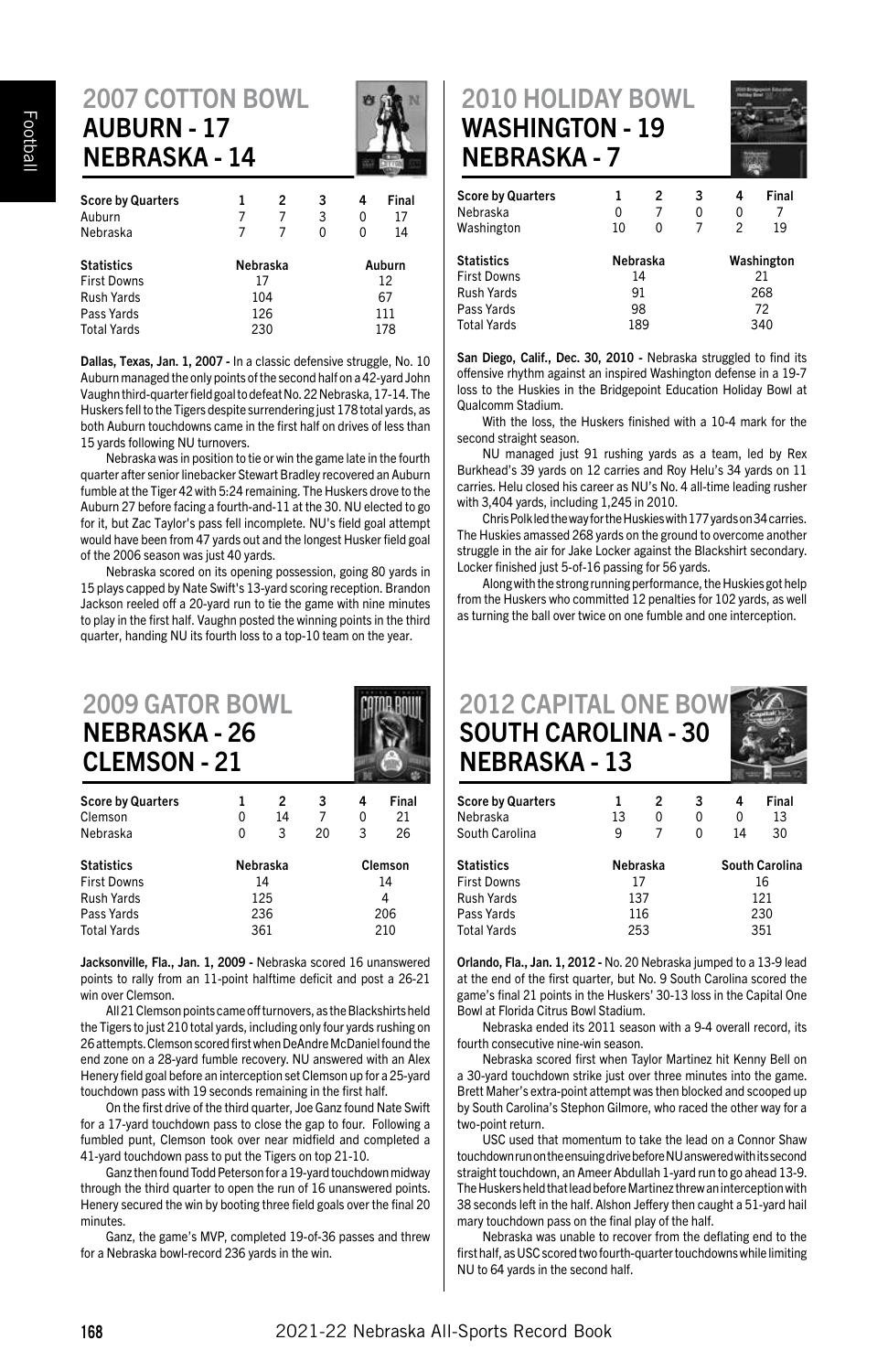# 2007 COTTON BOWL AUBURN - 17 NEBRASKA - 14

| <b>Score by Quarters</b> | 1        | 2  | 3  | 4      | Final |  |
|--------------------------|----------|----|----|--------|-------|--|
| Auburn                   |          | 7  | 3  | 0      | 17    |  |
| Nebraska                 |          | 7  | 0  | 0      | 14    |  |
| Statistics               | Nebraska |    |    | Auburn |       |  |
| <b>First Downs</b>       |          | 17 |    | 12     |       |  |
| Rush Yards               | 104      |    | 67 |        |       |  |
| Pass Yards               | 126      |    |    | 111    |       |  |
| Total Yards              | 230      |    |    | 178    |       |  |
|                          |          |    |    |        |       |  |

Dallas, Texas, Jan. 1, 2007 - In a classic defensive struggle, No. 10 Auburn managed the only points of the second half on a 42-yard John Vaughn third-quarter field goal to defeat No. 22 Nebraska, 17-14. The Huskers fell to the Tigers despite surrendering just 178 total yards, as both Auburn touchdowns came in the first half on drives of less than 15 yards following NU turnovers.

Nebraska was in position to tie or win the game late in the fourth quarter after senior linebacker Stewart Bradley recovered an Auburn fumble at the Tiger 42 with 5:24 remaining. The Huskers drove to the Auburn 27 before facing a fourth-and-11 at the 30. NU elected to go for it, but Zac Taylor's pass fell incomplete. NU's field goal attempt would have been from 47 yards out and the longest Husker field goal of the 2006 season was just 40 yards.

Nebraska scored on its opening possession, going 80 yards in 15 plays capped by Nate Swift's 13-yard scoring reception. Brandon Jackson reeled off a 20-yard run to tie the game with nine minutes to play in the first half. Vaughn posted the winning points in the third quarter, handing NU its fourth loss to a top-10 team on the year.

| <b>2009 GATOR BOWL</b><br><b>NEBRASKA - 26</b><br><b>CLEMSON - 21</b> |          |    |                 |         |       |  |  |
|-----------------------------------------------------------------------|----------|----|-----------------|---------|-------|--|--|
| <b>Score by Quarters</b>                                              |          | 2  | 3               | 4       | Final |  |  |
| Clemson                                                               | 0        | 14 | $7\overline{ }$ | 0       | 21    |  |  |
| Nebraska                                                              | 0        | 3  | 20              | 3       | 26    |  |  |
| <b>Statistics</b>                                                     | Nebraska |    |                 | Clemson |       |  |  |
| <b>First Downs</b>                                                    | 14       |    |                 | 14      |       |  |  |
|                                                                       |          |    |                 |         |       |  |  |

Rush Yards 125 4 Pass Yards 236 206 Total Yards 361

Jacksonville, Fla., Jan. 1, 2009 - Nebraska scored 16 unanswered points to rally from an 11-point halftime deficit and post a 26-21 win over Clemson.

All 21 Clemson points came off turnovers, as the Blackshirts held the Tigers to just 210 total yards, including only four yards rushing on 26 attempts. Clemson scored first when DeAndre McDaniel found the end zone on a 28-yard fumble recovery. NU answered with an Alex Henery field goal before an interception set Clemson up for a 25-yard touchdown pass with 19 seconds remaining in the first half.

On the first drive of the third quarter, Joe Ganz found Nate Swift for a 17-yard touchdown pass to close the gap to four. Following a fumbled punt, Clemson took over near midfield and completed a 41-yard touchdown pass to put the Tigers on top 21-10.

 Ganz then found Todd Peterson for a 19-yard touchdown midway through the third quarter to open the run of 16 unanswered points. Henery secured the win by booting three field goals over the final 20 minutes.

Ganz, the game's MVP, completed 19-of-36 passes and threw for a Nebraska bowl-record 236 yards in the win.

#### 2010 HOLIDAY BOWL WASHINGTON - 19 NEBRASKA - 7



| <b>Score by Quarters</b><br>Nebraska | 0        | 2<br>7 | 3<br>0 | 4<br>0     | Final<br>7 |  |
|--------------------------------------|----------|--------|--------|------------|------------|--|
| Washington                           | 10       | ŋ      | 7      | 2          | 19         |  |
| <b>Statistics</b>                    | Nebraska |        |        | Washington |            |  |
| <b>First Downs</b>                   | 14       |        |        | 21         |            |  |
| Rush Yards                           | 91       |        | 268    |            |            |  |
| Pass Yards                           | 98       |        |        | 72         |            |  |
| <b>Total Yards</b>                   | 189      |        | 340    |            |            |  |
|                                      |          |        |        |            |            |  |

San Diego, Calif., Dec. 30, 2010 - Nebraska struggled to find its offensive rhythm against an inspired Washington defense in a 19-7 loss to the Huskies in the Bridgepoint Education Holiday Bowl at Qualcomm Stadium.

With the loss, the Huskers finished with a 10-4 mark for the second straight season.

NU managed just 91 rushing yards as a team, led by Rex Burkhead's 39 yards on 12 carries and Roy Helu's 34 yards on 11 carries. Helu closed his career as NU's No. 4 all-time leading rusher with 3,404 yards, including 1,245 in 2010.

Chris Polk led the way for the Huskies with 177 yards on 34 carries. The Huskies amassed 268 yards on the ground to overcome another struggle in the air for Jake Locker against the Blackshirt secondary. Locker finished just 5-of-16 passing for 56 yards.

Along with the strong running performance, the Huskies got help from the Huskers who committed 12 penalties for 102 yards, as well as turning the ball over twice on one fumble and one interception.

| <b>2012 CAPITAL ONE BOW</b><br><b>SOUTH CAROLINA - 30</b><br><b>NEBRASKA - 13</b> |          |   |   |     |                |  |
|-----------------------------------------------------------------------------------|----------|---|---|-----|----------------|--|
| <b>Score by Quarters</b>                                                          |          | 2 | 3 | 4   | Final          |  |
| Nebraska                                                                          | 13       | 0 | 0 | 0   | 13             |  |
| South Carolina                                                                    | 9        | 7 | 0 | 14  | 30             |  |
| <b>Statistics</b>                                                                 | Nebraska |   |   |     | South Carolina |  |
| <b>First Downs</b>                                                                | 17       |   |   | 16  |                |  |
| Rush Yards                                                                        | 137      |   |   | 121 |                |  |

Orlando, Fla., Jan. 1, 2012 - No. 20 Nebraska jumped to a 13-9 lead at the end of the first quarter, but No. 9 South Carolina scored the game's final 21 points in the Huskers' 30-13 loss in the Capital One Bowl at Florida Citrus Bowl Stadium.

Pass Yards 116 230

Total Yards 253

Nebraska ended its 2011 season with a 9-4 overall record, its fourth consecutive nine-win season.

Nebraska scored first when Taylor Martinez hit Kenny Bell on a 30-yard touchdown strike just over three minutes into the game. Brett Maher's extra-point attempt was then blocked and scooped up by South Carolina's Stephon Gilmore, who raced the other way for a two-point return.

USC used that momentum to take the lead on a Connor Shaw touchdown run on the ensuing drive before NU answered with its second straight touchdown, an Ameer Abdullah 1-yard run to go ahead 13-9. The Huskers held that lead before Martinez threw an interception with 38 seconds left in the half. Alshon Jeffery then caught a 51-yard hail mary touchdown pass on the final play of the half.

Nebraska was unable to recover from the deflating end to the first half, as USC scored two fourth-quarter touchdowns while limiting NU to 64 yards in the second half.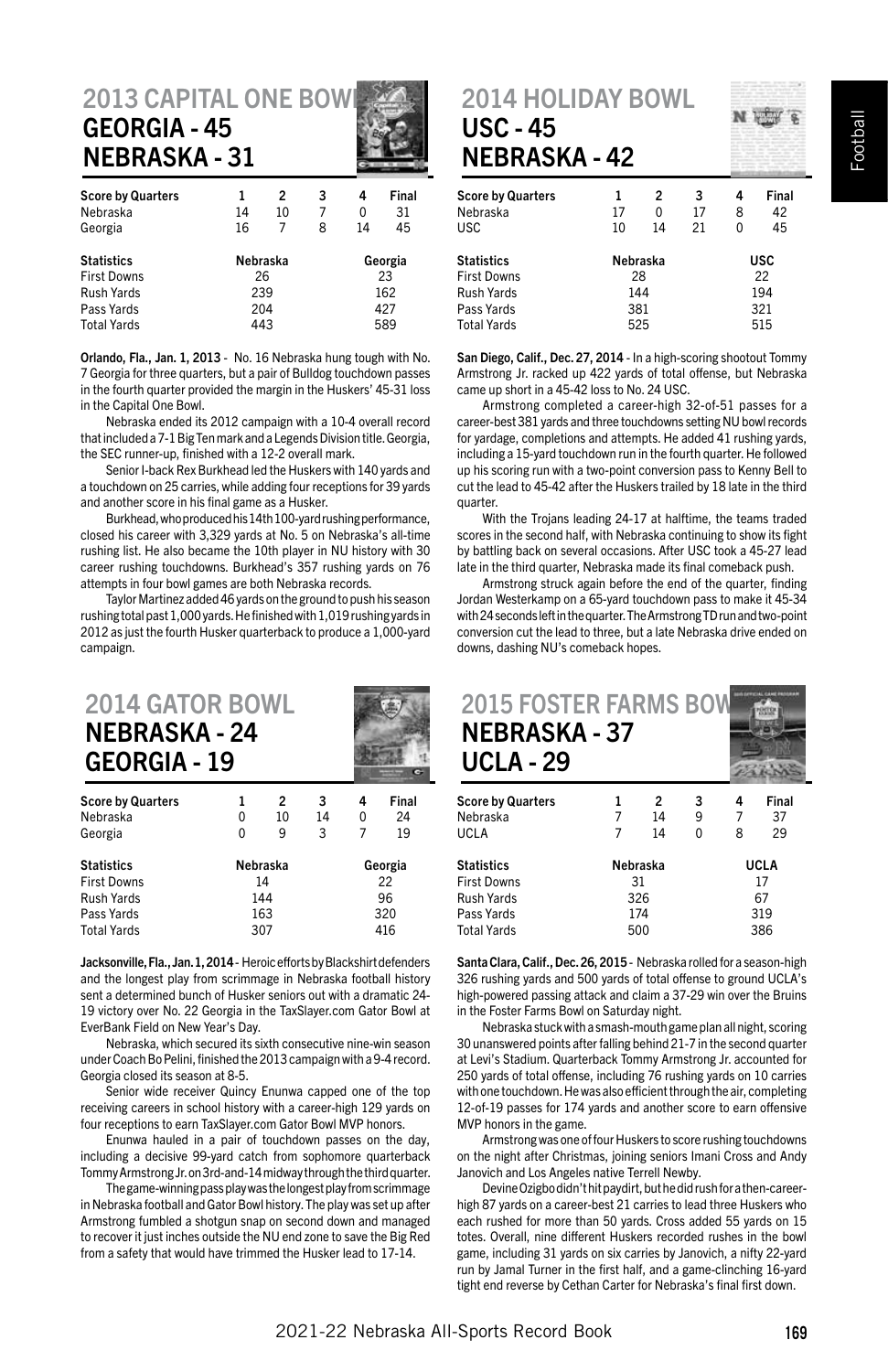#### 2013 CAPITAL ONE BOW GEORGIA - 45 NEBRASKA - 31

| <b>Score by Quarters</b> | 1        | 2  | 3 | 4       | Final |  |
|--------------------------|----------|----|---|---------|-------|--|
| Nebraska                 | 14       | 10 | 7 | 0       | 31    |  |
| Georgia                  | 16       | 7  | 8 | 14      | 45    |  |
| <b>Statistics</b>        | Nebraska |    |   | Georgia |       |  |
| <b>First Downs</b>       | 26       |    |   | 23      |       |  |
| <b>Rush Yards</b>        | 239      |    |   | 162     |       |  |
| Pass Yards               | 204      |    |   | 427     |       |  |
| <b>Total Yards</b>       | 443      |    |   | 589     |       |  |

Orlando, Fla., Jan. 1, 2013 - No. 16 Nebraska hung tough with No. 7 Georgia for three quarters, but a pair of Bulldog touchdown passes in the fourth quarter provided the margin in the Huskers' 45-31 loss in the Capital One Bowl.

Nebraska ended its 2012 campaign with a 10-4 overall record that included a 7-1 Big Ten mark and a Legends Division title. Georgia, the SEC runner-up, finished with a 12-2 overall mark.

Senior I-back Rex Burkhead led the Huskers with 140 yards and a touchdown on 25 carries, while adding four receptions for 39 yards and another score in his final game as a Husker.

Burkhead, who produced his 14th 100-yard rushing performance, closed his career with 3,329 yards at No. 5 on Nebraska's all-time rushing list. He also became the 10th player in NU history with 30 career rushing touchdowns. Burkhead's 357 rushing yards on 76 attempts in four bowl games are both Nebraska records.

Taylor Martinez added 46 yards on the ground to push his season rushing total past 1,000 yards. He finished with 1,019 rushing yards in 2012 as just the fourth Husker quarterback to produce a 1,000-yard campaign.

| <b>2014 GATOR BOWL</b><br><b>NEBRASKA - 24</b><br><b>GEORGIA - 19</b> |     |                |    |         |       |  |
|-----------------------------------------------------------------------|-----|----------------|----|---------|-------|--|
| <b>Score by Quarters</b>                                              | 1   | $\overline{2}$ | 3  | 4       | Final |  |
| Nebraska                                                              | 0   | 10             | 14 | 0       | 24    |  |
| Georgia                                                               | 0   | 9              | 3  | 7       | 19    |  |
| <b>Statistics</b>                                                     |     | Nebraska       |    | Georgia |       |  |
| <b>First Downs</b>                                                    | 14  |                |    | 22      |       |  |
| Rush Yards                                                            | 144 |                |    | 96      |       |  |
| Pass Yards                                                            | 163 |                |    | 320     |       |  |
| Total Varde                                                           | 307 |                |    | 116     |       |  |

Jacksonville, Fla., Jan. 1, 2014 - Heroic efforts by Blackshirt defenders and the longest play from scrimmage in Nebraska football history sent a determined bunch of Husker seniors out with a dramatic 24- 19 victory over No. 22 Georgia in the TaxSlayer.com Gator Bowl at EverBank Field on New Year's Day.

**Total Yards** 

Nebraska, which secured its sixth consecutive nine-win season under Coach Bo Pelini, finished the 2013 campaign with a 9-4 record. Georgia closed its season at 8-5.

Senior wide receiver Quincy Enunwa capped one of the top receiving careers in school history with a career-high 129 yards on four receptions to earn TaxSlayer.com Gator Bowl MVP honors.

Enunwa hauled in a pair of touchdown passes on the day, including a decisive 99-yard catch from sophomore quarterback Tommy Armstrong Jr. on 3rd-and-14 midway through the third quarter.

The game-winning pass play was the longest play from scrimmage in Nebraska football and Gator Bowl history. The play was set up after Armstrong fumbled a shotgun snap on second down and managed to recover it just inches outside the NU end zone to save the Big Red from a safety that would have trimmed the Husker lead to 17-14.

#### 2014 HOLIDAY BOWL USC - 45 NEBRASKA - 42

| <b>Score by Quarters</b><br>Nebraska<br><b>USC</b> | 1<br>17<br>10 | 2<br>0<br>14 | 3<br>17<br>21 | 4<br>8<br>0 | Final<br>42<br>45 |  |
|----------------------------------------------------|---------------|--------------|---------------|-------------|-------------------|--|
| <b>Statistics</b>                                  | Nebraska      |              |               |             | <b>USC</b>        |  |
| <b>First Downs</b>                                 |               | 28           |               | 22          |                   |  |
| Rush Yards                                         | 144           |              |               | 194         |                   |  |
| Pass Yards                                         | 381           |              |               |             | 321               |  |
| <b>Total Yards</b>                                 | 525           |              |               |             | 515               |  |
|                                                    |               |              |               |             |                   |  |

San Diego, Calif., Dec. 27, 2014 - In a high-scoring shootout Tommy Armstrong Jr. racked up 422 yards of total offense, but Nebraska came up short in a 45-42 loss to No. 24 USC.

Armstrong completed a career-high 32-of-51 passes for a career-best 381 yards and three touchdowns setting NU bowl records for yardage, completions and attempts. He added 41 rushing yards, including a 15-yard touchdown run in the fourth quarter. He followed up his scoring run with a two-point conversion pass to Kenny Bell to cut the lead to 45-42 after the Huskers trailed by 18 late in the third quarter.

With the Trojans leading 24-17 at halftime, the teams traded scores in the second half, with Nebraska continuing to show its fight by battling back on several occasions. After USC took a 45-27 lead late in the third quarter, Nebraska made its final comeback push.

Armstrong struck again before the end of the quarter, finding Jordan Westerkamp on a 65-yard touchdown pass to make it 45-34 with 24 seconds left in the quarter. The Armstrong TD run and two-point conversion cut the lead to three, but a late Nebraska drive ended on downs, dashing NU's comeback hopes.

| <b>2015 FOSTER FARMS BOW</b><br><b>NEBRASKA - 37</b><br><b>UCLA - 29</b> |   |          |   |   |             |  |  |
|--------------------------------------------------------------------------|---|----------|---|---|-------------|--|--|
| <b>Score by Quarters</b>                                                 | 1 | 2        | 3 | 4 | Final       |  |  |
| Nebraska                                                                 |   | 14       | 9 | 7 | 37          |  |  |
| UCLA                                                                     |   | 14       | 0 | 8 | 29          |  |  |
| <b>Statistics</b>                                                        |   | Nebraska |   |   | <b>UCLA</b> |  |  |
| <b>First Downs</b>                                                       |   | 31       |   |   | 17          |  |  |
| <b>Rush Yards</b>                                                        |   | 326      |   |   | 67          |  |  |
| Pass Yards                                                               |   | 174      |   |   | 319         |  |  |
| <b>Total Yards</b>                                                       |   | 500      |   |   | 386         |  |  |

Santa Clara, Calif., Dec. 26, 2015 - Nebraska rolled for a season-high 326 rushing yards and 500 yards of total offense to ground UCLA's high-powered passing attack and claim a 37-29 win over the Bruins in the Foster Farms Bowl on Saturday night.

Nebraska stuck with a smash-mouth game plan all night, scoring 30 unanswered points after falling behind 21-7 in the second quarter at Levi's Stadium. Quarterback Tommy Armstrong Jr. accounted for 250 yards of total offense, including 76 rushing yards on 10 carries with one touchdown. He was also efficient through the air, completing 12-of-19 passes for 174 yards and another score to earn offensive MVP honors in the game.

Armstrong was one of four Huskers to score rushing touchdowns on the night after Christmas, joining seniors Imani Cross and Andy Janovich and Los Angeles native Terrell Newby.

Devine Ozigbo didn't hit paydirt, but he did rush for a then-careerhigh 87 yards on a career-best 21 carries to lead three Huskers who each rushed for more than 50 yards. Cross added 55 yards on 15 totes. Overall, nine different Huskers recorded rushes in the bowl game, including 31 yards on six carries by Janovich, a nifty 22-yard run by Jamal Turner in the first half, and a game-clinching 16-yard tight end reverse by Cethan Carter for Nebraska's final first down.